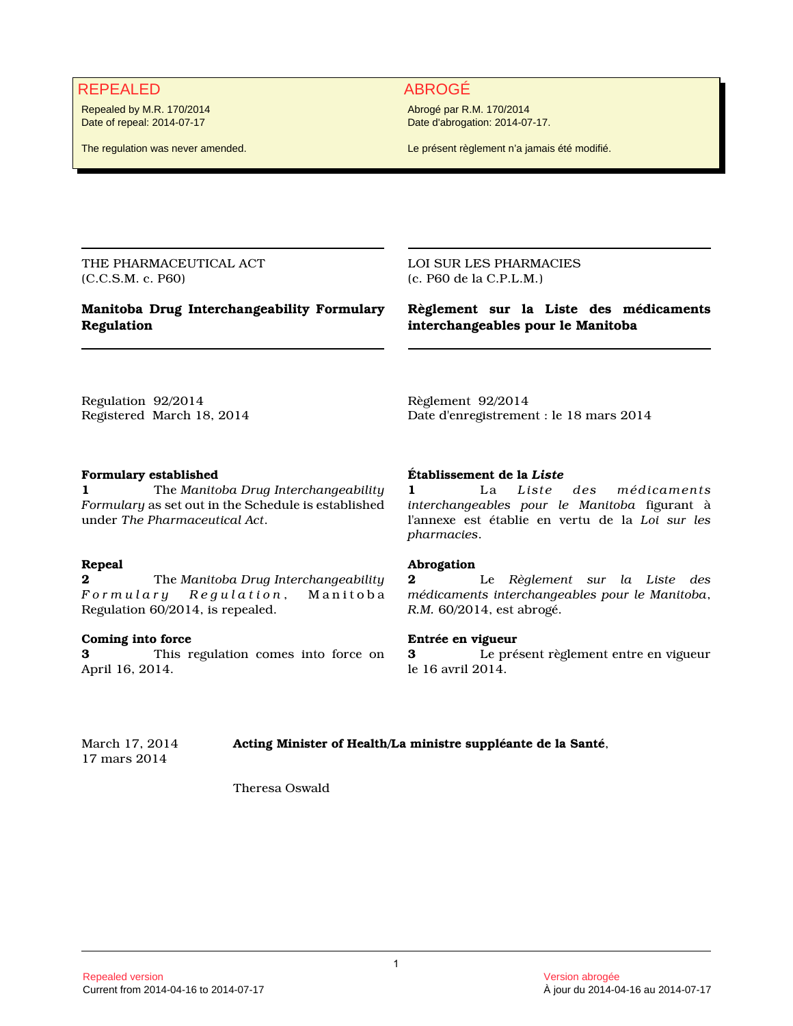# REPEALED ABROGÉ

Repealed by M.R. 170/2014 Date of repeal: 2014-07-17

The regulation was never amended.

Abrogé par R.M. 170/2014 Date d'abrogation: 2014-07-17.

Le présent règlement n'a jamais été modifié.

THE PHARMACEUTICAL ACT (C.C.S.M. c. P60)

## **Manitoba Drug Interchangeability Formulary Regulation**

LOI SUR LES PHARMACIES (c. P60 de la C.P.L.M.)

**Règlement sur la Liste des médicaments interchangeables pour le Manitoba**

Date d'enregistrement : le 18 mars 2014

Regulation 92/2014 Registered March 18, 2014

### **Formulary established**

**1** The *Manitoba Drug Interchangeability Formulary* as set out in the Schedule is established under *The Pharmaceutical Act*.

### **Repeal**

**2** The *Manitoba Drug Interchangeability F o r m u l a r y R e g u l a t i o n* , M a n i t o b a Regulation 60/2014, is repealed.

### **Coming into force**

**3** This regulation comes into force on April 16, 2014.

### **Établissement de la** *Liste*

Règlement 92/2014

**1** La *Liste des médicaments interchangeables pour le Manitoba* figurant à l'annexe est établie en vertu de la *Loi sur les pharmacies*.

### **Abrogation**

**2** Le *Règlement sur la Liste des médicaments interchangeables pour le Manitoba*, *R.M.* 60/2014, est abrogé.

### **Entrée en vigueur**

**3** Le présent règlement entre en vigueur le 16 avril 2014.

March 17, 2014 **Acting Minister of Health/La ministre suppléante de la Santé**, 17 mars 2014

Theresa Oswald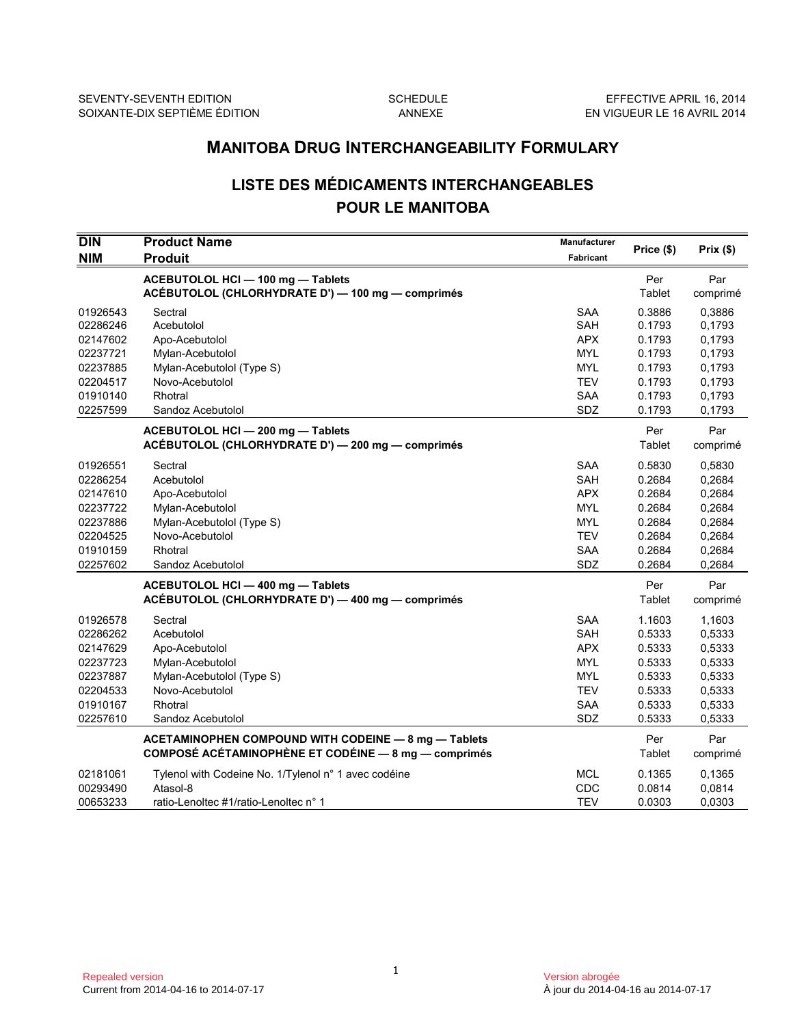# **LISTE DES MÉDICAMENTS INTERCHANGEABLES POUR LE MANITOBA**

|                                                                                              | <b>MANITOBA DRUG INTERCHANGEABILITY FORMULARY</b>                                                                                           |                                                                                                |                                                                              |                                                                              |  |
|----------------------------------------------------------------------------------------------|---------------------------------------------------------------------------------------------------------------------------------------------|------------------------------------------------------------------------------------------------|------------------------------------------------------------------------------|------------------------------------------------------------------------------|--|
|                                                                                              | <b>LISTE DES MÉDICAMENTS INTERCHANGEABLES</b><br><b>POUR LE MANITOBA</b>                                                                    |                                                                                                |                                                                              |                                                                              |  |
| $\overline{D}$ IN<br><b>NIM</b>                                                              | <b>Product Name</b><br>Produit                                                                                                              | Manufacturer<br><b>Fabricant</b>                                                               | Price (\$)                                                                   | Prix(\$)                                                                     |  |
|                                                                                              | ACEBUTOLOL HCI - 100 mg - Tablets<br>ACÉBUTOLOL (CHLORHYDRATE D') - 100 mg - comprimés                                                      |                                                                                                | Per<br>Tablet                                                                | Par<br>comprimé                                                              |  |
| 01926543<br>02286246<br>02147602<br>02237721                                                 | Sectral<br>Acebutolol<br>Apo-Acebutolol<br>Mylan-Acebutolol                                                                                 | <b>SAA</b><br>SAH<br><b>APX</b><br><b>MYL</b>                                                  | 0.3886<br>0.1793<br>0.1793<br>0.1793                                         | 0,3886<br>0,1793<br>0,1793<br>0,1793                                         |  |
| 02237885<br>02204517<br>01910140<br>02257599                                                 | Mylan-Acebutolol (Type S)<br>Novo-Acebutolol<br>Rhotral<br>Sandoz Acebutolol                                                                | <b>MYL</b><br><b>TEV</b><br>SAA<br>SDZ                                                         | 0.1793<br>0.1793<br>0.1793<br>0.1793                                         | 0,1793<br>0,1793<br>0,1793<br>0,1793                                         |  |
|                                                                                              | ACEBUTOLOL HCI-200 mg-Tablets<br>ACÉBUTOLOL (CHLORHYDRATE D') - 200 mg - comprimés                                                          |                                                                                                | Per<br>Tablet                                                                | Par<br>comprimé                                                              |  |
| 01926551<br>02286254<br>02147610<br>02237722<br>02237886<br>02204525<br>01910159<br>02257602 | Sectral<br>Acebutolol<br>Apo-Acebutolol<br>Mylan-Acebutolol<br>Mylan-Acebutolol (Type S)<br>Novo-Acebutolol<br>Rhotral<br>Sandoz Acebutolol | <b>SAA</b><br><b>SAH</b><br><b>APX</b><br><b>MYL</b><br>MYL<br><b>TEV</b><br>SAA<br>SDZ        | 0.5830<br>0.2684<br>0.2684<br>0.2684<br>0.2684<br>0.2684<br>0.2684<br>0.2684 | 0,5830<br>0,2684<br>0,2684<br>0,2684<br>0,2684<br>0,2684<br>0,2684<br>0,2684 |  |
|                                                                                              | ACEBUTOLOL HCI - 400 mg - Tablets<br>ACÉBUTOLOL (CHLORHYDRATE D') — 400 mg — comprimés                                                      |                                                                                                | Per<br>Tablet                                                                | Par<br>comprimé                                                              |  |
| 01926578<br>02286262<br>02147629<br>02237723<br>02237887<br>02204533<br>01910167<br>02257610 | Sectral<br>Acebutolol<br>Apo-Acebutolol<br>Mylan-Acebutolol<br>Mylan-Acebutolol (Type S)<br>Novo-Acebutolol<br>Rhotral<br>Sandoz Acebutolol | <b>SAA</b><br><b>SAH</b><br><b>APX</b><br><b>MYL</b><br>MYL<br><b>TEV</b><br><b>SAA</b><br>SDZ | 1.1603<br>0.5333<br>0.5333<br>0.5333<br>0.5333<br>0.5333<br>0.5333<br>0.5333 | 1,1603<br>0,5333<br>0,5333<br>0,5333<br>0,5333<br>0,5333<br>0,5333<br>0,5333 |  |
|                                                                                              | ACETAMINOPHEN COMPOUND WITH CODEINE - 8 mg - Tablets<br><b>COMPOSÉ ACÉTAMINOPHÈNE ET CODÉINE - 8 mg - comprimés</b>                         |                                                                                                | Per<br>Tablet                                                                | Par<br>comprimé                                                              |  |
| 02181061<br>00293490<br>00653233                                                             | Tylenol with Codeine No. 1/Tylenol n° 1 avec codéine<br>Atasol-8<br>ratio-Lenoltec #1/ratio-Lenoltec n° 1                                   | <b>MCL</b><br>CDC<br><b>TEV</b>                                                                | 0.1365<br>0.0814<br>0.0303                                                   | 0,1365<br>0,0814<br>0.0303                                                   |  |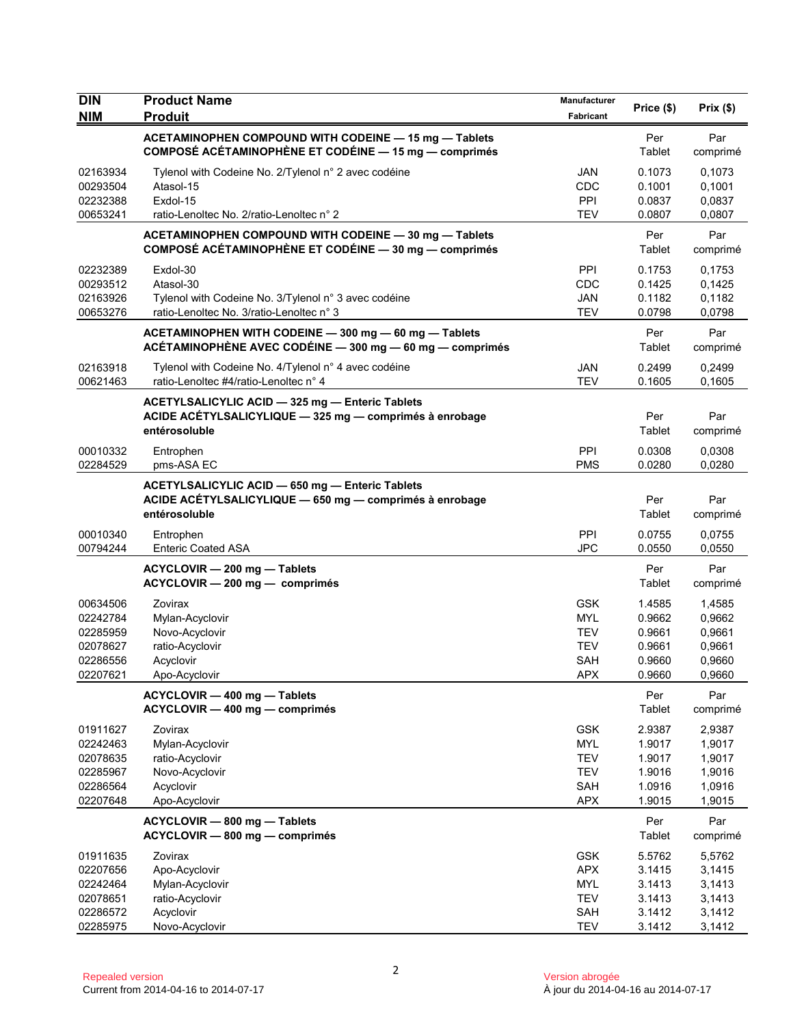| <b>Product Name</b>                                                                                                         | <b>Manufacturer</b><br>Fabricant                                             | Price (\$)                                     | Prix(\$)                                                 |
|-----------------------------------------------------------------------------------------------------------------------------|------------------------------------------------------------------------------|------------------------------------------------|----------------------------------------------------------|
| ACETAMINOPHEN COMPOUND WITH CODEINE - 15 mg - Tablets                                                                       |                                                                              | Per                                            | Par                                                      |
| COMPOSÉ ACÉTAMINOPHÈNE ET CODÉINE - 15 mg - comprimés                                                                       |                                                                              | Tablet                                         | comprimé                                                 |
| Tylenol with Codeine No. 2/Tylenol n° 2 avec codéine<br>Atasol-15<br>Exdol-15                                               | <b>JAN</b><br>CDC<br>PPI                                                     | 0.1073<br>0.1001<br>0.0837                     | 0.1073<br>0,1001<br>0,0837<br>0,0807                     |
| ACETAMINOPHEN COMPOUND WITH CODEINE - 30 mg - Tablets                                                                       |                                                                              | Per                                            | Par                                                      |
| COMPOSÉ ACÉTAMINOPHÈNE ET CODÉINE - 30 mg - comprimés                                                                       |                                                                              | Tablet                                         | comprimé                                                 |
| Exdol-30                                                                                                                    | PPI                                                                          | 0.1753                                         | 0,1753                                                   |
| Atasol-30                                                                                                                   | CDC                                                                          | 0.1425                                         | 0,1425                                                   |
| Tylenol with Codeine No. 3/Tylenol n° 3 avec codéine                                                                        | <b>JAN</b>                                                                   | 0.1182                                         | 0,1182                                                   |
| ratio-Lenoltec No. 3/ratio-Lenoltec n° 3                                                                                    | <b>TEV</b>                                                                   | 0.0798                                         | 0,0798                                                   |
| ACETAMINOPHEN WITH CODEINE - 300 mg - 60 mg - Tablets                                                                       |                                                                              | Per                                            | Par                                                      |
| ACÉTAMINOPHÈNE AVEC CODÉINE - 300 mg - 60 mg - comprimés                                                                    |                                                                              | Tablet                                         | comprimé                                                 |
| Tylenol with Codeine No. 4/Tylenol n° 4 avec codéine                                                                        | JAN                                                                          | 0.2499                                         | 0,2499                                                   |
| ratio-Lenoltec #4/ratio-Lenoltec n° 4                                                                                       | <b>TEV</b>                                                                   | 0.1605                                         | 0,1605                                                   |
| ACETYLSALICYLIC ACID - 325 mg - Enteric Tablets<br>ACIDE ACÉTYLSALICYLIQUE - 325 mg - comprimés à enrobage<br>entérosoluble |                                                                              | Per<br>Tablet                                  | Par<br>comprimé                                          |
| Entrophen                                                                                                                   | PPI                                                                          | 0.0308                                         | 0,0308                                                   |
| pms-ASA EC                                                                                                                  | <b>PMS</b>                                                                   | 0.0280                                         | 0,0280                                                   |
| ACETYLSALICYLIC ACID - 650 mg - Enteric Tablets<br>ACIDE ACÉTYLSALICYLIQUE - 650 mg - comprimés à enrobage<br>entérosoluble |                                                                              | Per<br>Tablet                                  | Par<br>comprimé                                          |
| Entrophen                                                                                                                   | <b>PPI</b>                                                                   | 0.0755                                         | 0,0755                                                   |
| <b>Enteric Coated ASA</b>                                                                                                   | <b>JPC</b>                                                                   | 0.0550                                         | 0,0550                                                   |
| ACYCLOVIR - 200 mg - Tablets                                                                                                |                                                                              | Per                                            | Par                                                      |
| ACYCLOVIR - 200 mg - comprimés                                                                                              |                                                                              | Tablet                                         | comprimé                                                 |
| Zovirax                                                                                                                     | <b>GSK</b>                                                                   | 1.4585                                         | 1,4585                                                   |
| Mylan-Acyclovir                                                                                                             | <b>MYL</b>                                                                   | 0.9662                                         | 0,9662                                                   |
| Novo-Acyclovir                                                                                                              | <b>TEV</b>                                                                   | 0.9661                                         | 0,9661                                                   |
| ratio-Acyclovir                                                                                                             | <b>TEV</b>                                                                   | 0.9661                                         | 0,9661                                                   |
| Acyclovir                                                                                                                   | SAH                                                                          | 0.9660                                         | 0,9660                                                   |
| Apo-Acyclovir                                                                                                               | APX                                                                          | 0.9660                                         | 0,9660                                                   |
| ACYCLOVIR - 400 mg - Tablets                                                                                                |                                                                              | Per                                            | Par                                                      |
| ACYCLOVIR - 400 mg - comprimés                                                                                              |                                                                              | Tablet                                         | comprimé                                                 |
| Zovirax                                                                                                                     | <b>GSK</b>                                                                   | 2.9387                                         | 2,9387                                                   |
| Mylan-Acyclovir                                                                                                             | <b>MYL</b>                                                                   | 1.9017                                         | 1,9017                                                   |
| ratio-Acyclovir                                                                                                             | <b>TEV</b>                                                                   | 1.9017                                         | 1,9017                                                   |
| Novo-Acyclovir                                                                                                              | <b>TEV</b>                                                                   | 1.9016                                         | 1,9016                                                   |
| Acyclovir                                                                                                                   | SAH                                                                          | 1.0916                                         | 1,0916                                                   |
| Apo-Acyclovir                                                                                                               | <b>APX</b>                                                                   | 1.9015                                         | 1,9015                                                   |
| ACYCLOVIR - 800 mg - Tablets                                                                                                |                                                                              | Per                                            | Par                                                      |
| ACYCLOVIR - 800 mg - comprimés                                                                                              |                                                                              | Tablet                                         | comprimé                                                 |
| Zovirax<br>Apo-Acyclovir<br>Mylan-Acyclovir<br>ratio-Acyclovir<br>Acyclovir                                                 | <b>GSK</b><br><b>APX</b><br><b>MYL</b><br><b>TEV</b><br>SAH                  | 5.5762<br>3.1415<br>3.1413<br>3.1413<br>3.1412 | 5,5762<br>3,1415<br>3,1413<br>3,1413<br>3,1412<br>3,1412 |
|                                                                                                                             | <b>Produit</b><br>ratio-Lenoltec No. 2/ratio-Lenoltec n° 2<br>Novo-Acyclovir | <b>TEV</b><br><b>TEV</b>                       | 0.0807<br>3.1412                                         |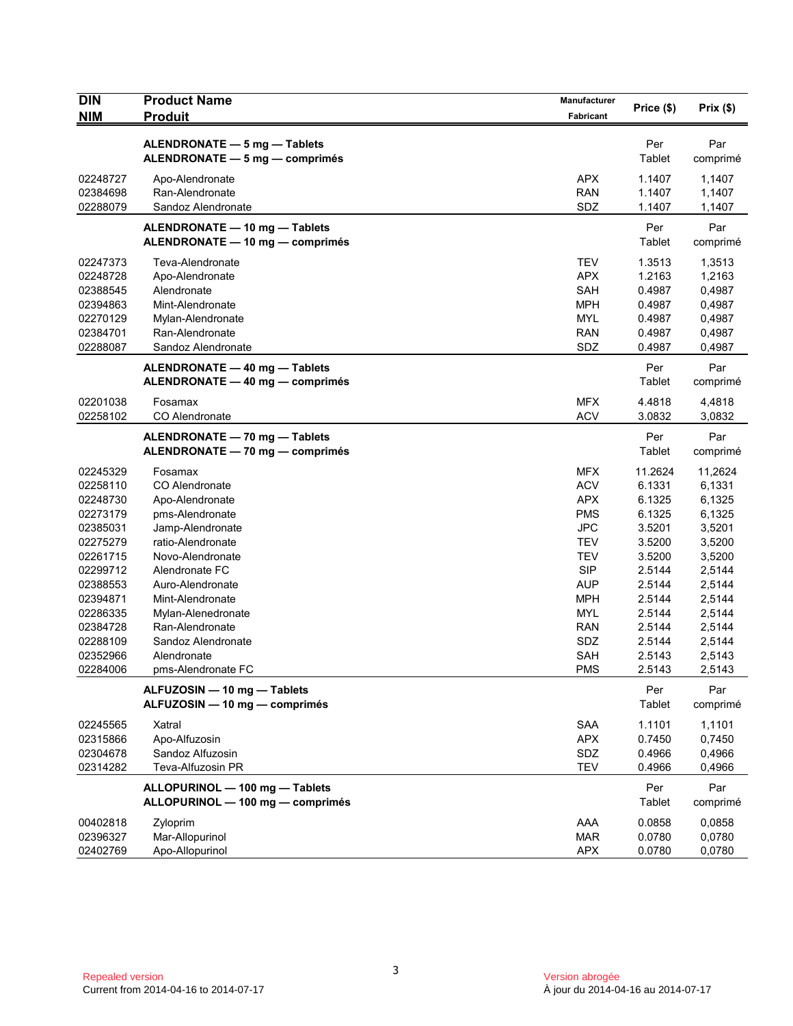| <b>DIN</b><br><b>NIM</b> | <b>Product Name</b><br><b>Produit</b>                            | Manufacturer<br>Fabricant | Price (\$)       | Prix(\$)         |
|--------------------------|------------------------------------------------------------------|---------------------------|------------------|------------------|
|                          |                                                                  |                           |                  |                  |
|                          | ALENDRONATE - 5 mg - Tablets                                     |                           | Per              | Par              |
|                          | ALENDRONATE - 5 mg - comprimés                                   |                           | Tablet           | comprimé         |
| 02248727                 | Apo-Alendronate                                                  | <b>APX</b>                | 1.1407           | 1,1407           |
| 02384698                 | Ran-Alendronate                                                  | <b>RAN</b>                | 1.1407           | 1,1407           |
| 02288079                 | Sandoz Alendronate                                               | SDZ                       | 1.1407           | 1,1407           |
|                          |                                                                  |                           | Per              | Par              |
|                          | ALENDRONATE - 10 mg - Tablets<br>ALENDRONATE - 10 mg - comprimés |                           | Tablet           | comprimé         |
|                          |                                                                  |                           |                  |                  |
| 02247373                 | Teva-Alendronate                                                 | <b>TEV</b>                | 1.3513           | 1,3513           |
| 02248728                 | Apo-Alendronate                                                  | <b>APX</b>                | 1.2163           | 1,2163           |
| 02388545                 | Alendronate                                                      | <b>SAH</b>                | 0.4987           | 0,4987           |
| 02394863                 | Mint-Alendronate                                                 | <b>MPH</b>                | 0.4987           | 0,4987           |
| 02270129                 | Mylan-Alendronate                                                | <b>MYL</b>                | 0.4987           | 0,4987           |
| 02384701                 | Ran-Alendronate                                                  | <b>RAN</b>                | 0.4987           | 0,4987           |
| 02288087                 | Sandoz Alendronate                                               | SDZ                       | 0.4987           | 0,4987           |
|                          | ALENDRONATE - 40 mg - Tablets                                    |                           | Per              | Par              |
|                          | ALENDRONATE - 40 mg - comprimés                                  |                           | Tablet           | comprimé         |
| 02201038                 | Fosamax                                                          | <b>MFX</b>                | 4.4818           | 4,4818           |
| 02258102                 | CO Alendronate                                                   | <b>ACV</b>                | 3.0832           | 3,0832           |
|                          | ALENDRONATE - 70 mg - Tablets                                    |                           | Per              | Par              |
|                          | ALENDRONATE - 70 mg - comprimés                                  |                           | Tablet           | comprimé         |
|                          |                                                                  |                           |                  |                  |
| 02245329                 | Fosamax                                                          | <b>MFX</b>                | 11.2624          | 11,2624          |
| 02258110                 | CO Alendronate                                                   | <b>ACV</b>                | 6.1331           | 6,1331           |
| 02248730                 | Apo-Alendronate                                                  | <b>APX</b>                | 6.1325           | 6,1325           |
| 02273179                 | pms-Alendronate                                                  | <b>PMS</b>                | 6.1325           | 6,1325           |
| 02385031                 | Jamp-Alendronate                                                 | <b>JPC</b>                | 3.5201           | 3,5201           |
| 02275279                 | ratio-Alendronate                                                | <b>TEV</b>                | 3.5200           | 3,5200           |
| 02261715                 | Novo-Alendronate                                                 | <b>TEV</b><br><b>SIP</b>  | 3.5200           | 3,5200           |
| 02299712<br>02388553     | Alendronate FC<br>Auro-Alendronate                               | AUP                       | 2.5144<br>2.5144 | 2,5144<br>2,5144 |
| 02394871                 | Mint-Alendronate                                                 | <b>MPH</b>                | 2.5144           | 2,5144           |
| 02286335                 | Mylan-Alenedronate                                               | <b>MYL</b>                | 2.5144           | 2,5144           |
| 02384728                 | Ran-Alendronate                                                  | <b>RAN</b>                | 2.5144           | 2,5144           |
| 02288109                 | Sandoz Alendronate                                               | SDZ                       | 2.5144           | 2,5144           |
| 02352966                 | Alendronate                                                      | <b>SAH</b>                | 2.5143           | 2,5143           |
| 02284006                 | pms-Alendronate FC                                               | <b>PMS</b>                | 2.5143           | 2.5143           |
|                          |                                                                  |                           |                  |                  |
|                          | ALFUZOSIN - 10 mg - Tablets                                      |                           | Per              | Par              |
|                          | ALFUZOSIN - 10 mg - comprimés                                    |                           | Tablet           | comprimé         |
| 02245565                 | Xatral                                                           | <b>SAA</b>                | 1.1101           | 1,1101           |
| 02315866                 | Apo-Alfuzosin                                                    | <b>APX</b>                | 0.7450           | 0,7450           |
| 02304678                 | Sandoz Alfuzosin                                                 | SDZ                       | 0.4966           | 0,4966           |
| 02314282                 | Teva-Alfuzosin PR                                                | <b>TEV</b>                | 0.4966           | 0,4966           |
|                          | ALLOPURINOL - 100 mg - Tablets                                   |                           | Per              | Par              |
|                          | ALLOPURINOL - 100 mg - comprimés                                 |                           | Tablet           | comprimé         |
| 00402818                 | Zyloprim                                                         | AAA                       | 0.0858           | 0,0858           |
| 02396327                 | Mar-Allopurinol                                                  | <b>MAR</b>                | 0.0780           | 0,0780           |
| 02402769                 | Apo-Allopurinol                                                  | APX                       | 0.0780           | 0,0780           |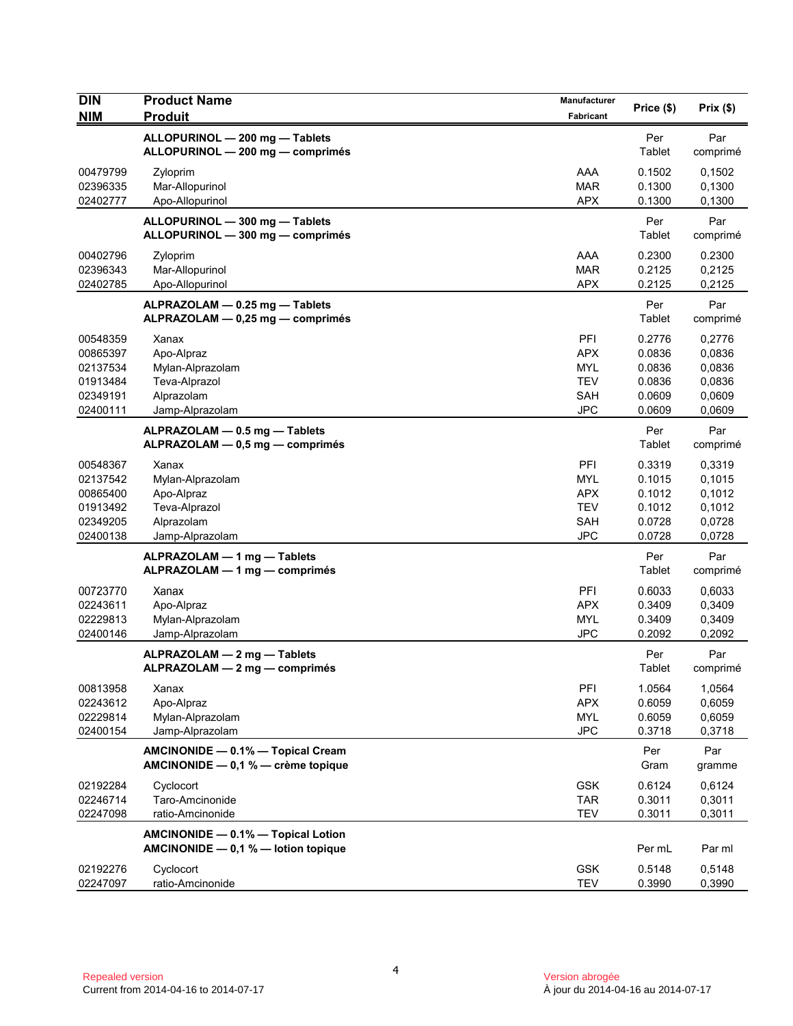| <b>DIN</b><br><b>NIM</b>                                             | <b>Product Name</b><br><b>Produit</b>                                                     | Manufacturer<br>Fabricant                                                 | Price (\$)                                               | Prix(\$)                                                 |
|----------------------------------------------------------------------|-------------------------------------------------------------------------------------------|---------------------------------------------------------------------------|----------------------------------------------------------|----------------------------------------------------------|
|                                                                      | ALLOPURINOL - 200 mg - Tablets<br>ALLOPURINOL - 200 mg - comprimés                        |                                                                           | Per<br>Tablet                                            | Par<br>comprimé                                          |
| 00479799<br>02396335<br>02402777                                     | Zyloprim<br>Mar-Allopurinol<br>Apo-Allopurinol                                            | AAA<br><b>MAR</b><br><b>APX</b>                                           | 0.1502<br>0.1300<br>0.1300                               | 0,1502<br>0,1300<br>0,1300                               |
|                                                                      | ALLOPURINOL - 300 mg - Tablets<br>ALLOPURINOL - 300 mg - comprimés                        |                                                                           | Per<br>Tablet                                            | Par<br>comprimé                                          |
| 00402796<br>02396343<br>02402785                                     | Zyloprim<br>Mar-Allopurinol<br>Apo-Allopurinol                                            | AAA<br><b>MAR</b><br><b>APX</b>                                           | 0.2300<br>0.2125<br>0.2125                               | 0.2300<br>0,2125<br>0,2125                               |
|                                                                      | ALPRAZOLAM - 0.25 mg - Tablets<br>ALPRAZOLAM - 0,25 mg - comprimés                        |                                                                           | Per<br>Tablet                                            | Par<br>comprimé                                          |
| 00548359<br>00865397<br>02137534<br>01913484<br>02349191<br>02400111 | Xanax<br>Apo-Alpraz<br>Mylan-Alprazolam<br>Teva-Alprazol<br>Alprazolam<br>Jamp-Alprazolam | PFI<br><b>APX</b><br><b>MYL</b><br><b>TEV</b><br><b>SAH</b><br><b>JPC</b> | 0.2776<br>0.0836<br>0.0836<br>0.0836<br>0.0609<br>0.0609 | 0,2776<br>0,0836<br>0,0836<br>0,0836<br>0,0609<br>0,0609 |
|                                                                      | ALPRAZOLAM - 0.5 mg - Tablets<br>ALPRAZOLAM - 0,5 mg - comprimés                          |                                                                           | Per<br>Tablet                                            | Par<br>comprimé                                          |
| 00548367<br>02137542<br>00865400<br>01913492<br>02349205<br>02400138 | Xanax<br>Mylan-Alprazolam<br>Apo-Alpraz<br>Teva-Alprazol<br>Alprazolam<br>Jamp-Alprazolam | PFI<br><b>MYL</b><br><b>APX</b><br><b>TEV</b><br><b>SAH</b><br><b>JPC</b> | 0.3319<br>0.1015<br>0.1012<br>0.1012<br>0.0728<br>0.0728 | 0,3319<br>0,1015<br>0,1012<br>0,1012<br>0,0728<br>0,0728 |
|                                                                      | ALPRAZOLAM - 1 mg - Tablets<br>ALPRAZOLAM - 1 mg - comprimés                              |                                                                           | Per<br>Tablet                                            | Par<br>comprimé                                          |
| 00723770<br>02243611<br>02229813<br>02400146                         | Xanax<br>Apo-Alpraz<br>Mylan-Alprazolam<br>Jamp-Alprazolam                                | PFI<br><b>APX</b><br><b>MYL</b><br><b>JPC</b>                             | 0.6033<br>0.3409<br>0.3409<br>0.2092                     | 0,6033<br>0,3409<br>0,3409<br>0,2092                     |
|                                                                      | ALPRAZOLAM - 2 mg - Tablets<br>ALPRAZOLAM - 2 mg - comprimés                              |                                                                           | Per<br>Tablet                                            | Par<br>comprimé                                          |
| 00813958<br>02243612<br>02229814<br>02400154                         | Xanax<br>Apo-Alpraz<br>Mylan-Alprazolam<br>Jamp-Alprazolam                                | PFI<br><b>APX</b><br><b>MYL</b><br><b>JPC</b>                             | 1.0564<br>0.6059<br>0.6059<br>0.3718                     | 1,0564<br>0,6059<br>0,6059<br>0,3718                     |
|                                                                      | AMCINONIDE - 0.1% - Topical Cream<br>AMCINONIDE - 0,1 % - crème topique                   |                                                                           | Per<br>Gram                                              | Par<br>gramme                                            |
| 02192284<br>02246714<br>02247098                                     | Cyclocort<br>Taro-Amcinonide<br>ratio-Amcinonide                                          | <b>GSK</b><br><b>TAR</b><br><b>TEV</b>                                    | 0.6124<br>0.3011<br>0.3011                               | 0,6124<br>0,3011<br>0,3011                               |
|                                                                      | AMCINONIDE - 0.1% - Topical Lotion<br>AMCINONIDE - 0,1 % - lotion topique                 |                                                                           | Per mL                                                   | Par ml                                                   |
| 02192276<br>02247097                                                 | Cyclocort<br>ratio-Amcinonide                                                             | GSK<br><b>TEV</b>                                                         | 0.5148<br>0.3990                                         | 0,5148<br>0,3990                                         |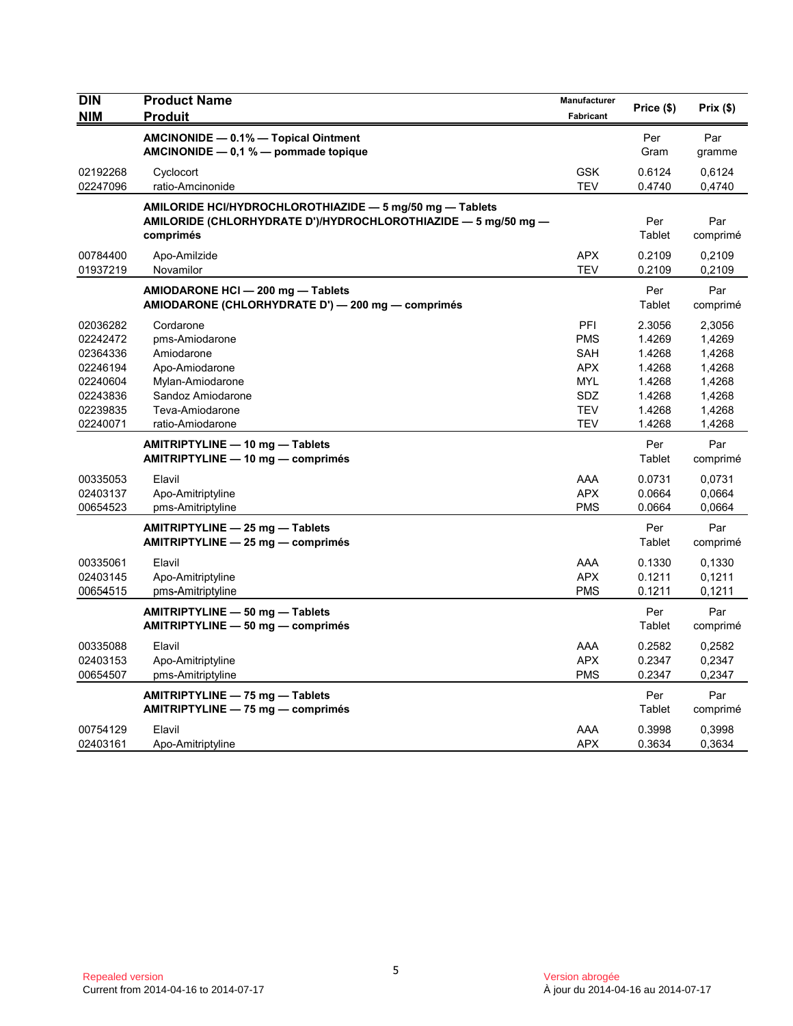| <b>DIN</b><br><b>NIM</b>                                                                     | <b>Product Name</b><br><b>Produit</b>                                                                                                       | Manufacturer<br>Fabricant                                                                      | Price (\$)                                                                   | Prix(\$)                                                                     |
|----------------------------------------------------------------------------------------------|---------------------------------------------------------------------------------------------------------------------------------------------|------------------------------------------------------------------------------------------------|------------------------------------------------------------------------------|------------------------------------------------------------------------------|
|                                                                                              | AMCINONIDE - 0.1% - Topical Ointment<br>AMCINONIDE - 0,1 % - pommade topique                                                                |                                                                                                | Per<br>Gram                                                                  | Par<br>gramme                                                                |
| 02192268<br>02247096                                                                         | Cyclocort<br>ratio-Amcinonide                                                                                                               | <b>GSK</b><br><b>TEV</b>                                                                       | 0.6124<br>0.4740                                                             | 0,6124<br>0,4740                                                             |
|                                                                                              | AMILORIDE HCI/HYDROCHLOROTHIAZIDE - 5 mg/50 mg - Tablets<br>AMILORIDE (CHLORHYDRATE D')/HYDROCHLOROTHIAZIDE $-$ 5 mg/50 mg $-$<br>comprimés |                                                                                                | Per<br>Tablet                                                                | Par<br>comprimé                                                              |
| 00784400<br>01937219                                                                         | Apo-Amilzide<br>Novamilor                                                                                                                   | <b>APX</b><br><b>TEV</b>                                                                       | 0.2109<br>0.2109                                                             | 0,2109<br>0,2109                                                             |
|                                                                                              | AMIODARONE HCI - 200 mg - Tablets<br>AMIODARONE (CHLORHYDRATE D') — 200 mg — comprimés                                                      |                                                                                                | Per<br>Tablet                                                                | Par<br>comprimé                                                              |
| 02036282<br>02242472<br>02364336<br>02246194<br>02240604<br>02243836<br>02239835<br>02240071 | Cordarone<br>pms-Amiodarone<br>Amiodarone<br>Apo-Amiodarone<br>Mylan-Amiodarone<br>Sandoz Amiodarone<br>Teva-Amiodarone<br>ratio-Amiodarone | PFI<br><b>PMS</b><br>SAH<br><b>APX</b><br><b>MYL</b><br><b>SDZ</b><br><b>TEV</b><br><b>TEV</b> | 2.3056<br>1.4269<br>1.4268<br>1.4268<br>1.4268<br>1.4268<br>1.4268<br>1.4268 | 2,3056<br>1,4269<br>1,4268<br>1,4268<br>1,4268<br>1,4268<br>1,4268<br>1,4268 |
|                                                                                              | AMITRIPTYLINE - 10 mg - Tablets<br>AMITRIPTYLINE - 10 mg - comprimés                                                                        |                                                                                                | Per<br>Tablet                                                                | Par<br>comprimé                                                              |
| 00335053<br>02403137<br>00654523                                                             | Elavil<br>Apo-Amitriptyline<br>pms-Amitriptyline                                                                                            | AAA<br><b>APX</b><br><b>PMS</b>                                                                | 0.0731<br>0.0664<br>0.0664                                                   | 0,0731<br>0,0664<br>0,0664                                                   |
|                                                                                              | AMITRIPTYLINE - 25 mg - Tablets<br>AMITRIPTYLINE - 25 mg - comprimés                                                                        |                                                                                                | Per<br>Tablet                                                                | Par<br>comprimé                                                              |
| 00335061<br>02403145<br>00654515                                                             | Elavil<br>Apo-Amitriptyline<br>pms-Amitriptyline                                                                                            | AAA<br><b>APX</b><br><b>PMS</b>                                                                | 0.1330<br>0.1211<br>0.1211                                                   | 0.1330<br>0,1211<br>0,1211                                                   |
|                                                                                              | AMITRIPTYLINE - 50 mg - Tablets<br>AMITRIPTYLINE - 50 mg - comprimés                                                                        |                                                                                                | Per<br>Tablet                                                                | Par<br>comprimé                                                              |
| 00335088<br>02403153<br>00654507                                                             | Elavil<br>Apo-Amitriptyline<br>pms-Amitriptyline                                                                                            | AAA<br><b>APX</b><br><b>PMS</b>                                                                | 0.2582<br>0.2347<br>0.2347                                                   | 0,2582<br>0,2347<br>0,2347                                                   |
|                                                                                              | AMITRIPTYLINE - 75 mg - Tablets<br>AMITRIPTYLINE - 75 mg - comprimés                                                                        |                                                                                                | Per<br>Tablet                                                                | Par<br>comprimé                                                              |
| 00754129<br>02403161                                                                         | Elavil<br>Apo-Amitriptyline                                                                                                                 | AAA<br><b>APX</b>                                                                              | 0.3998<br>0.3634                                                             | 0,3998<br>0,3634                                                             |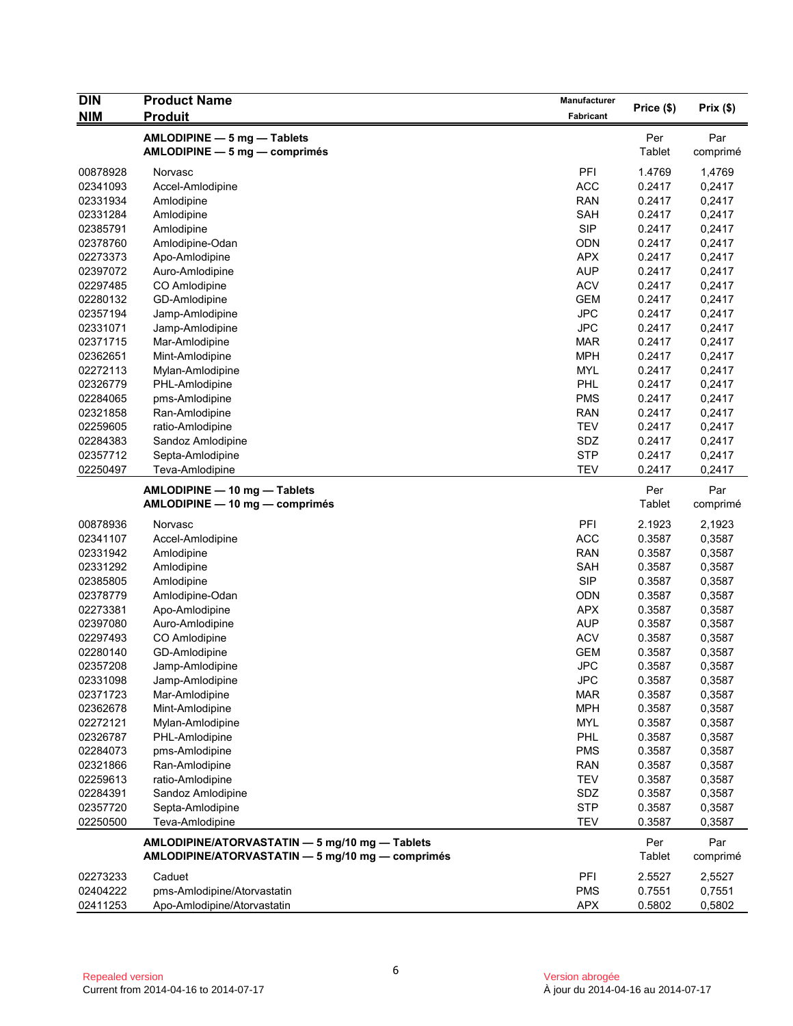| <b>DIN</b> | <b>Product Name</b>                                                                                | Manufacturer |               |                 |
|------------|----------------------------------------------------------------------------------------------------|--------------|---------------|-----------------|
| <b>NIM</b> | <b>Produit</b>                                                                                     | Fabricant    | Price (\$)    | Prix(\$)        |
|            | AMLODIPINE - 5 mg - Tablets<br>$AMLODIPINE - 5 mg - comprimés$                                     |              | Per<br>Tablet | Par<br>comprimé |
| 00878928   | Norvasc                                                                                            | PFI          | 1.4769        | 1,4769          |
| 02341093   | Accel-Amlodipine                                                                                   | <b>ACC</b>   | 0.2417        | 0,2417          |
| 02331934   | Amlodipine                                                                                         | <b>RAN</b>   | 0.2417        | 0,2417          |
| 02331284   | Amlodipine                                                                                         | <b>SAH</b>   | 0.2417        | 0,2417          |
| 02385791   | Amlodipine                                                                                         | <b>SIP</b>   | 0.2417        | 0,2417          |
| 02378760   | Amlodipine-Odan                                                                                    | <b>ODN</b>   | 0.2417        | 0,2417          |
| 02273373   | Apo-Amlodipine                                                                                     | <b>APX</b>   | 0.2417        | 0,2417          |
| 02397072   | Auro-Amlodipine                                                                                    | <b>AUP</b>   | 0.2417        | 0,2417          |
| 02297485   | CO Amlodipine                                                                                      | <b>ACV</b>   | 0.2417        | 0,2417          |
| 02280132   | GD-Amlodipine                                                                                      | <b>GEM</b>   | 0.2417        | 0,2417          |
| 02357194   | Jamp-Amlodipine                                                                                    | <b>JPC</b>   | 0.2417        | 0,2417          |
| 02331071   | Jamp-Amlodipine                                                                                    | <b>JPC</b>   | 0.2417        | 0,2417          |
| 02371715   | Mar-Amlodipine                                                                                     | <b>MAR</b>   | 0.2417        | 0,2417          |
| 02362651   | Mint-Amlodipine                                                                                    | <b>MPH</b>   | 0.2417        | 0,2417          |
| 02272113   | Mylan-Amlodipine                                                                                   | <b>MYL</b>   | 0.2417        | 0,2417          |
| 02326779   | PHL-Amlodipine                                                                                     | <b>PHL</b>   | 0.2417        | 0,2417          |
| 02284065   | pms-Amlodipine                                                                                     | <b>PMS</b>   | 0.2417        | 0,2417          |
| 02321858   | Ran-Amlodipine                                                                                     | <b>RAN</b>   | 0.2417        | 0,2417          |
| 02259605   | ratio-Amlodipine                                                                                   | <b>TEV</b>   | 0.2417        | 0,2417          |
| 02284383   | Sandoz Amlodipine                                                                                  | SDZ          | 0.2417        | 0,2417          |
| 02357712   | Septa-Amlodipine                                                                                   | <b>STP</b>   | 0.2417        | 0,2417          |
| 02250497   | Teva-Amlodipine                                                                                    | <b>TEV</b>   | 0.2417        | 0,2417          |
|            | AMLODIPINE - 10 mg - Tablets<br>AMLODIPINE - 10 mg - comprimés                                     |              | Per<br>Tablet | Par<br>comprimé |
| 00878936   | Norvasc                                                                                            | PFI          | 2.1923        | 2,1923          |
| 02341107   | Accel-Amlodipine                                                                                   | <b>ACC</b>   | 0.3587        | 0,3587          |
| 02331942   | Amlodipine                                                                                         | <b>RAN</b>   | 0.3587        | 0,3587          |
| 02331292   | Amlodipine                                                                                         | <b>SAH</b>   | 0.3587        | 0,3587          |
| 02385805   | Amlodipine                                                                                         | <b>SIP</b>   | 0.3587        | 0,3587          |
| 02378779   | Amlodipine-Odan                                                                                    | <b>ODN</b>   | 0.3587        | 0,3587          |
| 02273381   | Apo-Amlodipine                                                                                     | <b>APX</b>   | 0.3587        | 0,3587          |
| 02397080   | Auro-Amlodipine                                                                                    | <b>AUP</b>   | 0.3587        | 0,3587          |
| 02297493   | CO Amlodipine                                                                                      | <b>ACV</b>   | 0.3587        | 0,3587          |
| 02280140   | GD-Amlodipine                                                                                      | <b>GEM</b>   | 0.3587        | 0,3587          |
| 02357208   | Jamp-Amlodipine                                                                                    | <b>JPC</b>   | 0.3587        | 0,3587          |
| 02331098   | Jamp-Amlodipine                                                                                    | <b>JPC</b>   | 0.3587        | 0,3587          |
| 02371723   | Mar-Amlodipine                                                                                     | <b>MAR</b>   | 0.3587        | 0,3587          |
| 02362678   | Mint-Amlodipine                                                                                    | <b>MPH</b>   | 0.3587        | 0,3587          |
| 02272121   | Mylan-Amlodipine                                                                                   | <b>MYL</b>   | 0.3587        | 0,3587          |
| 02326787   | PHL-Amlodipine                                                                                     | <b>PHL</b>   | 0.3587        | 0,3587          |
| 02284073   | pms-Amlodipine                                                                                     | <b>PMS</b>   | 0.3587        | 0,3587          |
| 02321866   | Ran-Amlodipine                                                                                     | <b>RAN</b>   | 0.3587        | 0,3587          |
| 02259613   | ratio-Amlodipine                                                                                   | <b>TEV</b>   | 0.3587        | 0,3587          |
| 02284391   | Sandoz Amlodipine                                                                                  | SDZ          | 0.3587        | 0,3587          |
| 02357720   | Septa-Amlodipine                                                                                   | <b>STP</b>   | 0.3587        | 0,3587          |
| 02250500   | Teva-Amlodipine                                                                                    | <b>TEV</b>   | 0.3587        | 0,3587          |
|            | AMLODIPINE/ATORVASTATIN - 5 mg/10 mg - Tablets<br>AMLODIPINE/ATORVASTATIN - 5 mg/10 mg - comprimés |              | Per<br>Tablet | Par<br>comprimé |
| 02273233   | Caduet                                                                                             | PFI          | 2.5527        | 2,5527          |
| 02404222   | pms-Amlodipine/Atorvastatin                                                                        | <b>PMS</b>   | 0.7551        | 0,7551          |
| 02411253   | Apo-Amlodipine/Atorvastatin                                                                        | <b>APX</b>   | 0.5802        | 0,5802          |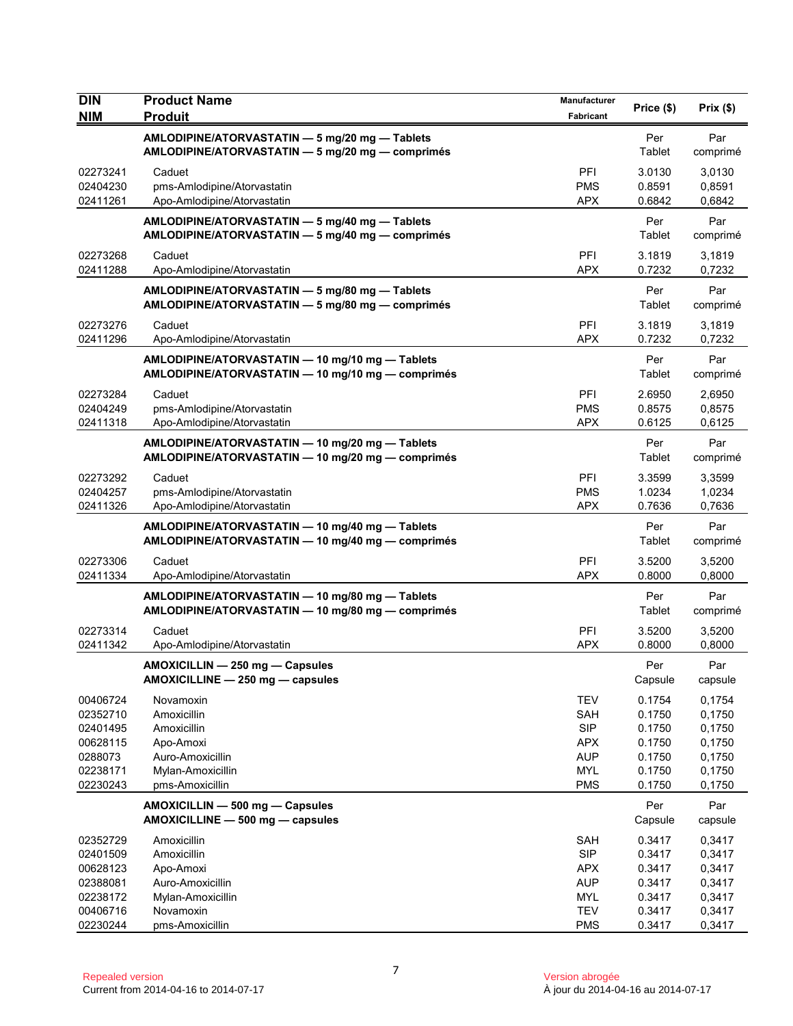| <b>DIN</b>           | <b>Product Name</b>                                                                                  | Manufacturer             | Price (\$)       | Prix(\$)         |
|----------------------|------------------------------------------------------------------------------------------------------|--------------------------|------------------|------------------|
| <b>NIM</b>           | <b>Produit</b>                                                                                       | Fabricant                |                  |                  |
|                      | AMLODIPINE/ATORVASTATIN - 5 mg/20 mg - Tablets<br>AMLODIPINE/ATORVASTATIN - 5 mg/20 mg - comprimés   |                          | Per<br>Tablet    | Par<br>comprimé  |
| 02273241             | Caduet                                                                                               | PFI                      | 3.0130           | 3,0130           |
| 02404230             | pms-Amlodipine/Atorvastatin                                                                          | <b>PMS</b>               | 0.8591           | 0,8591           |
| 02411261             | Apo-Amlodipine/Atorvastatin                                                                          | <b>APX</b>               | 0.6842           | 0,6842           |
|                      | AMLODIPINE/ATORVASTATIN - 5 mg/40 mg - Tablets<br>AMLODIPINE/ATORVASTATIN - 5 mg/40 mg - comprimés   |                          | Per<br>Tablet    | Par<br>comprimé  |
| 02273268<br>02411288 | Caduet<br>Apo-Amlodipine/Atorvastatin                                                                | PFI<br><b>APX</b>        | 3.1819<br>0.7232 | 3,1819<br>0,7232 |
|                      | AMLODIPINE/ATORVASTATIN - 5 mg/80 mg - Tablets<br>AMLODIPINE/ATORVASTATIN - 5 mg/80 mg - comprimés   |                          | Per<br>Tablet    | Par<br>comprimé  |
| 02273276             | Caduet                                                                                               | PFI                      | 3.1819           | 3,1819           |
| 02411296             | Apo-Amlodipine/Atorvastatin                                                                          | <b>APX</b>               | 0.7232           | 0,7232           |
|                      | AMLODIPINE/ATORVASTATIN - 10 mg/10 mg - Tablets<br>AMLODIPINE/ATORVASTATIN - 10 mg/10 mg - comprimés |                          | Per<br>Tablet    | Par<br>comprimé  |
| 02273284             | Caduet                                                                                               | <b>PFI</b>               | 2.6950           | 2.6950           |
| 02404249             | pms-Amlodipine/Atorvastatin                                                                          | <b>PMS</b>               | 0.8575           | 0,8575           |
| 02411318             | Apo-Amlodipine/Atorvastatin                                                                          | <b>APX</b>               | 0.6125           | 0,6125           |
|                      | AMLODIPINE/ATORVASTATIN - 10 mg/20 mg - Tablets<br>AMLODIPINE/ATORVASTATIN - 10 mg/20 mg - comprimés |                          | Per<br>Tablet    | Par<br>comprimé  |
| 02273292             | Caduet                                                                                               | PFI                      | 3.3599           | 3,3599           |
| 02404257             | pms-Amlodipine/Atorvastatin<br>Apo-Amlodipine/Atorvastatin                                           | <b>PMS</b><br><b>APX</b> | 1.0234<br>0.7636 | 1,0234<br>0,7636 |
| 02411326             | AMLODIPINE/ATORVASTATIN - 10 mg/40 mg - Tablets<br>AMLODIPINE/ATORVASTATIN - 10 mg/40 mg - comprimés |                          | Per<br>Tablet    | Par<br>comprimé  |
| 02273306             | Caduet                                                                                               | PFI                      | 3.5200           | 3,5200           |
| 02411334             | Apo-Amlodipine/Atorvastatin                                                                          | <b>APX</b>               | 0.8000           | 0,8000           |
|                      | AMLODIPINE/ATORVASTATIN - 10 mg/80 mg - Tablets<br>AMLODIPINE/ATORVASTATIN - 10 mg/80 mg - comprimés |                          | Per<br>Tablet    | Par<br>comprimé  |
| 02273314<br>02411342 | Caduet<br>Apo-Amlodipine/Atorvastatin                                                                | PFI<br><b>APX</b>        | 3.5200<br>0.8000 | 3,5200<br>0,8000 |
|                      | AMOXICILLIN - 250 mg - Capsules<br>AMOXICILLINE - 250 mg - capsules                                  |                          | Per<br>Capsule   | Par<br>capsule   |
| 00406724             | Novamoxin                                                                                            | <b>TEV</b>               | 0.1754           | 0,1754           |
| 02352710             | Amoxicillin                                                                                          | <b>SAH</b>               | 0.1750           | 0,1750           |
| 02401495             | Amoxicillin                                                                                          | <b>SIP</b>               | 0.1750           | 0,1750           |
| 00628115<br>0288073  | Apo-Amoxi<br>Auro-Amoxicillin                                                                        | <b>APX</b><br><b>AUP</b> | 0.1750<br>0.1750 | 0,1750<br>0,1750 |
| 02238171             | Mylan-Amoxicillin                                                                                    | <b>MYL</b>               | 0.1750           | 0,1750           |
| 02230243             | pms-Amoxicillin                                                                                      | <b>PMS</b>               | 0.1750           | 0,1750           |
|                      | AMOXICILLIN - 500 mg - Capsules<br>AMOXICILLINE - 500 mg - capsules                                  |                          | Per<br>Capsule   | Par<br>capsule   |
| 02352729             | Amoxicillin                                                                                          | <b>SAH</b>               | 0.3417           | 0,3417           |
| 02401509             | Amoxicillin                                                                                          | SIP                      | 0.3417           | 0,3417           |
| 00628123             | Apo-Amoxi                                                                                            | <b>APX</b>               | 0.3417           | 0,3417           |
| 02388081             | Auro-Amoxicillin                                                                                     | <b>AUP</b>               | 0.3417           | 0,3417           |
| 02238172<br>00406716 | Mylan-Amoxicillin<br>Novamoxin                                                                       | <b>MYL</b><br><b>TEV</b> | 0.3417<br>0.3417 | 0,3417<br>0,3417 |
| 02230244             | pms-Amoxicillin                                                                                      | <b>PMS</b>               | 0.3417           | 0,3417           |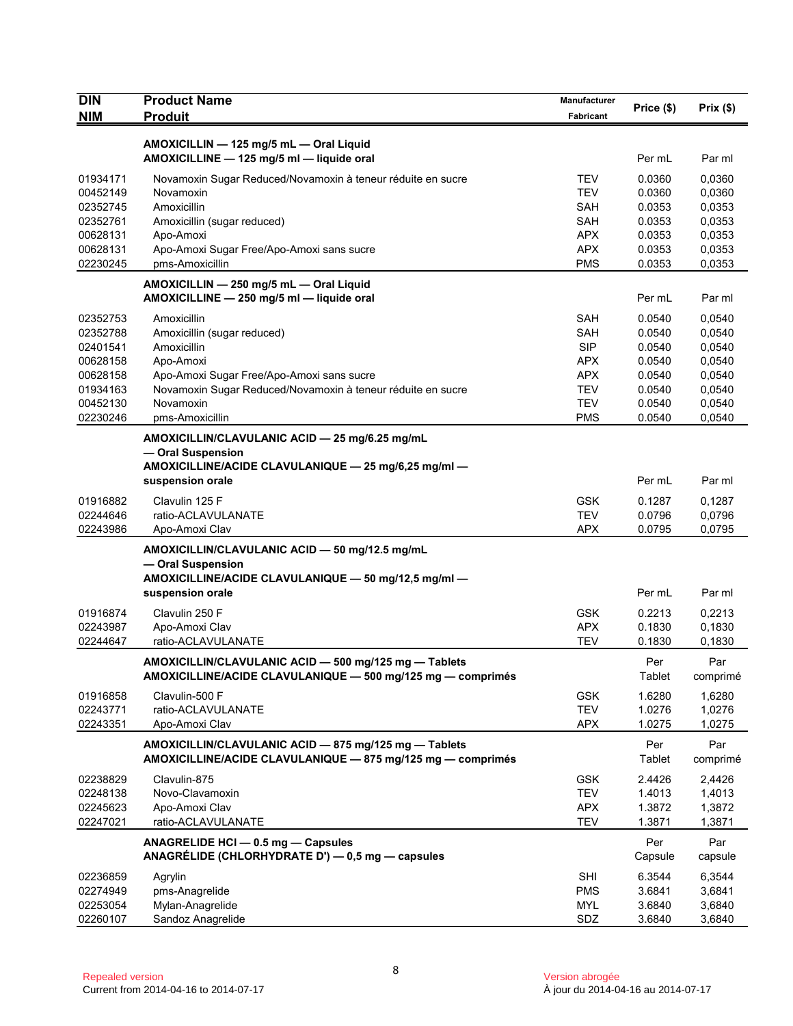| <b>DIN</b>           | <b>Product Name</b>                                                                  | Manufacturer      | Price (\$)       | Prix(\$)         |
|----------------------|--------------------------------------------------------------------------------------|-------------------|------------------|------------------|
| <b>NIM</b>           | <b>Produit</b>                                                                       | Fabricant         |                  |                  |
|                      | AMOXICILLIN - 125 mg/5 mL - Oral Liquid                                              |                   |                  |                  |
|                      | AMOXICILLINE - 125 mg/5 ml - liquide oral                                            |                   | Per mL           | Par ml           |
| 01934171             | Novamoxin Sugar Reduced/Novamoxin à teneur réduite en sucre                          | <b>TEV</b>        | 0.0360           | 0,0360           |
| 00452149             | Novamoxin                                                                            | <b>TEV</b>        | 0.0360           | 0,0360           |
| 02352745             | Amoxicillin                                                                          | SAH               | 0.0353           | 0,0353           |
| 02352761             | Amoxicillin (sugar reduced)                                                          | SAH               | 0.0353           | 0,0353           |
| 00628131             | Apo-Amoxi                                                                            | <b>APX</b>        | 0.0353           | 0,0353           |
| 00628131             | Apo-Amoxi Sugar Free/Apo-Amoxi sans sucre                                            | <b>APX</b>        | 0.0353           | 0,0353           |
| 02230245             | pms-Amoxicillin                                                                      | <b>PMS</b>        | 0.0353           | 0,0353           |
|                      | AMOXICILLIN - 250 mg/5 mL - Oral Liquid<br>AMOXICILLINE - 250 mg/5 ml - liquide oral |                   | Per mL           | Par ml           |
|                      |                                                                                      |                   |                  |                  |
| 02352753             | Amoxicillin                                                                          | SAH               | 0.0540           | 0,0540           |
| 02352788<br>02401541 | Amoxicillin (sugar reduced)<br>Amoxicillin                                           | SAH<br><b>SIP</b> | 0.0540<br>0.0540 | 0,0540<br>0,0540 |
| 00628158             | Apo-Amoxi                                                                            | <b>APX</b>        | 0.0540           | 0,0540           |
| 00628158             | Apo-Amoxi Sugar Free/Apo-Amoxi sans sucre                                            | <b>APX</b>        | 0.0540           | 0,0540           |
| 01934163             | Novamoxin Sugar Reduced/Novamoxin à teneur réduite en sucre                          | <b>TEV</b>        | 0.0540           | 0,0540           |
| 00452130             | Novamoxin                                                                            | <b>TEV</b>        | 0.0540           | 0,0540           |
| 02230246             | pms-Amoxicillin                                                                      | <b>PMS</b>        | 0.0540           | 0,0540           |
|                      | AMOXICILLIN/CLAVULANIC ACID - 25 mg/6.25 mg/mL                                       |                   |                  |                  |
|                      | - Oral Suspension                                                                    |                   |                  |                  |
|                      | AMOXICILLINE/ACIDE CLAVULANIQUE - 25 mg/6,25 mg/ml -                                 |                   |                  |                  |
|                      | suspension orale                                                                     |                   | Per mL           | Par ml           |
| 01916882             | Clavulin 125 F                                                                       | <b>GSK</b>        | 0.1287           | 0,1287           |
| 02244646             | ratio-ACLAVULANATE                                                                   | <b>TEV</b>        | 0.0796           | 0,0796           |
| 02243986             | Apo-Amoxi Clav                                                                       | <b>APX</b>        | 0.0795           | 0,0795           |
|                      | AMOXICILLIN/CLAVULANIC ACID - 50 mg/12.5 mg/mL                                       |                   |                  |                  |
|                      | - Oral Suspension                                                                    |                   |                  |                  |
|                      | AMOXICILLINE/ACIDE CLAVULANIQUE - 50 mg/12,5 mg/ml -                                 |                   |                  |                  |
|                      | suspension orale                                                                     |                   | Per mL           | Par ml           |
| 01916874             | Clavulin 250 F                                                                       | <b>GSK</b>        | 0.2213           | 0,2213           |
| 02243987             | Apo-Amoxi Clav                                                                       | <b>APX</b>        | 0.1830           | 0,1830           |
| 02244647             | ratio-ACLAVULANATE                                                                   | TEV               | 0.1830           | 0,1830           |
|                      | AMOXICILLIN/CLAVULANIC ACID - 500 mg/125 mg - Tablets                                |                   | Per              | Par              |
|                      | AMOXICILLINE/ACIDE CLAVULANIQUE — 500 mg/125 mg — comprimés                          |                   | Tablet           | comprimé         |
| 01916858             | Clavulin-500 F                                                                       | <b>GSK</b>        | 1.6280           | 1.6280           |
| 02243771             | ratio-ACLAVULANATE                                                                   | <b>TEV</b>        | 1.0276           | 1,0276           |
| 02243351             | Apo-Amoxi Clav                                                                       | <b>APX</b>        | 1.0275           | 1,0275           |
|                      | AMOXICILLIN/CLAVULANIC ACID - 875 mg/125 mg - Tablets                                |                   | Per              | Par              |
|                      | AMOXICILLINE/ACIDE CLAVULANIQUE - 875 mg/125 mg - comprimés                          |                   | Tablet           | comprimé         |
| 02238829             | Clavulin-875                                                                         | <b>GSK</b>        | 2.4426           | 2,4426           |
| 02248138             | Novo-Clavamoxin                                                                      | <b>TEV</b>        | 1.4013           | 1,4013           |
| 02245623             | Apo-Amoxi Clav                                                                       | <b>APX</b>        | 1.3872           | 1,3872           |
| 02247021             | ratio-ACLAVULANATE                                                                   | <b>TEV</b>        | 1.3871           | 1,3871           |
|                      | ANAGRELIDE HCI - 0.5 mg - Capsules                                                   |                   | Per              | Par              |
|                      | ANAGRÉLIDE (CHLORHYDRATE D') — 0,5 mg — capsules                                     |                   | Capsule          | capsule          |
| 02236859             | Agrylin                                                                              | <b>SHI</b>        | 6.3544           | 6,3544           |
| 02274949             | pms-Anagrelide                                                                       | <b>PMS</b>        | 3.6841           | 3,6841           |
| 02253054             | Mylan-Anagrelide                                                                     | MYL               | 3.6840           | 3,6840           |
| 02260107             | Sandoz Anagrelide                                                                    | SDZ               | 3.6840           | 3,6840           |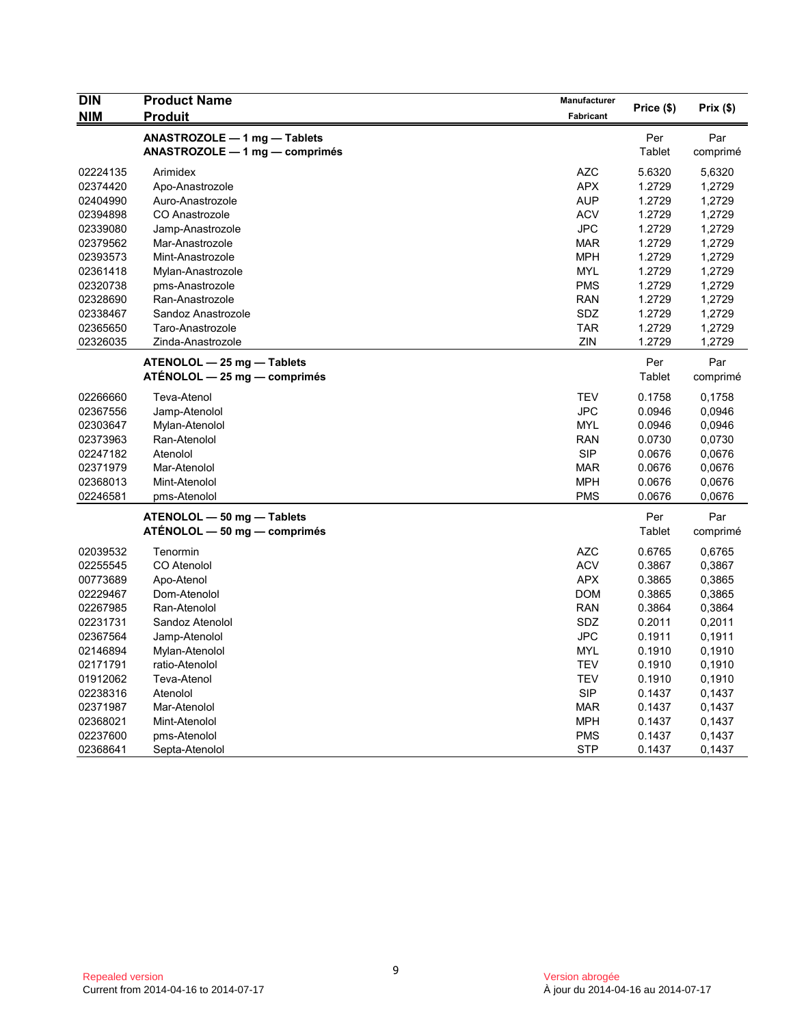| <b>DIN</b> | <b>Product Name</b>                                            | Manufacturer | Price (\$)    | Prix(\$)        |
|------------|----------------------------------------------------------------|--------------|---------------|-----------------|
| <b>NIM</b> | <b>Produit</b>                                                 | Fabricant    |               |                 |
|            | ANASTROZOLE - 1 mg - Tablets<br>ANASTROZOLE - 1 mg - comprimés |              | Per<br>Tablet | Par<br>comprimé |
| 02224135   | Arimidex                                                       | <b>AZC</b>   | 5.6320        | 5,6320          |
| 02374420   | Apo-Anastrozole                                                | <b>APX</b>   | 1.2729        | 1,2729          |
| 02404990   | Auro-Anastrozole                                               | <b>AUP</b>   | 1.2729        | 1,2729          |
| 02394898   | CO Anastrozole                                                 | <b>ACV</b>   | 1.2729        | 1,2729          |
| 02339080   | Jamp-Anastrozole                                               | <b>JPC</b>   | 1.2729        | 1,2729          |
| 02379562   | Mar-Anastrozole                                                | <b>MAR</b>   | 1.2729        | 1,2729          |
| 02393573   | Mint-Anastrozole                                               | <b>MPH</b>   | 1.2729        | 1,2729          |
| 02361418   | Mylan-Anastrozole                                              | <b>MYL</b>   | 1.2729        | 1,2729          |
| 02320738   | pms-Anastrozole                                                | <b>PMS</b>   | 1.2729        | 1,2729          |
| 02328690   | Ran-Anastrozole                                                | <b>RAN</b>   | 1.2729        | 1,2729          |
| 02338467   | Sandoz Anastrozole                                             | SDZ          | 1.2729        | 1,2729          |
| 02365650   | Taro-Anastrozole                                               | TAR          | 1.2729        | 1,2729          |
| 02326035   | Zinda-Anastrozole                                              | ZIN          | 1.2729        | 1,2729          |
|            | ATENOLOL - 25 mg - Tablets                                     |              | Per           | Par             |
|            | $ATÉNOLOL - 25 mg - comprimés$                                 |              | Tablet        | comprimé        |
| 02266660   | Teva-Atenol                                                    | TEV          | 0.1758        | 0,1758          |
| 02367556   | Jamp-Atenolol                                                  | <b>JPC</b>   | 0.0946        | 0,0946          |
| 02303647   | Mylan-Atenolol                                                 | <b>MYL</b>   | 0.0946        | 0,0946          |
| 02373963   | Ran-Atenolol                                                   | <b>RAN</b>   | 0.0730        | 0,0730          |
| 02247182   | Atenolol                                                       | <b>SIP</b>   | 0.0676        | 0,0676          |
| 02371979   | Mar-Atenolol                                                   | <b>MAR</b>   | 0.0676        | 0,0676          |
| 02368013   | Mint-Atenolol                                                  | <b>MPH</b>   | 0.0676        | 0,0676          |
| 02246581   | pms-Atenolol                                                   | <b>PMS</b>   | 0.0676        | 0,0676          |
|            | ATENOLOL - 50 mg - Tablets<br>ATÉNOLOL — 50 mg — comprimés     |              | Per<br>Tablet | Par<br>comprimé |
| 02039532   | Tenormin                                                       | <b>AZC</b>   | 0.6765        | 0,6765          |
| 02255545   | CO Atenolol                                                    | <b>ACV</b>   | 0.3867        | 0,3867          |
| 00773689   | Apo-Atenol                                                     | <b>APX</b>   | 0.3865        | 0,3865          |
| 02229467   | Dom-Atenolol                                                   | <b>DOM</b>   | 0.3865        | 0,3865          |
| 02267985   | Ran-Atenolol                                                   | <b>RAN</b>   | 0.3864        | 0,3864          |
| 02231731   | Sandoz Atenolol                                                | SDZ          | 0.2011        | 0,2011          |
| 02367564   | Jamp-Atenolol                                                  | JPC          | 0.1911        | 0,1911          |
| 02146894   | Mylan-Atenolol                                                 | <b>MYL</b>   | 0.1910        | 0,1910          |
| 02171791   | ratio-Atenolol                                                 | <b>TEV</b>   | 0.1910        | 0,1910          |
| 01912062   | Teva-Atenol                                                    | TEV          | 0.1910        | 0,1910          |
| 02238316   | Atenolol                                                       | <b>SIP</b>   | 0.1437        | 0,1437          |
| 02371987   | Mar-Atenolol                                                   | <b>MAR</b>   | 0.1437        | 0,1437          |
| 02368021   | Mint-Atenolol                                                  | <b>MPH</b>   | 0.1437        | 0,1437          |
| 02237600   | pms-Atenolol                                                   | <b>PMS</b>   | 0.1437        | 0,1437          |
| 02368641   | Septa-Atenolol                                                 | <b>STP</b>   | 0.1437        | 0,1437          |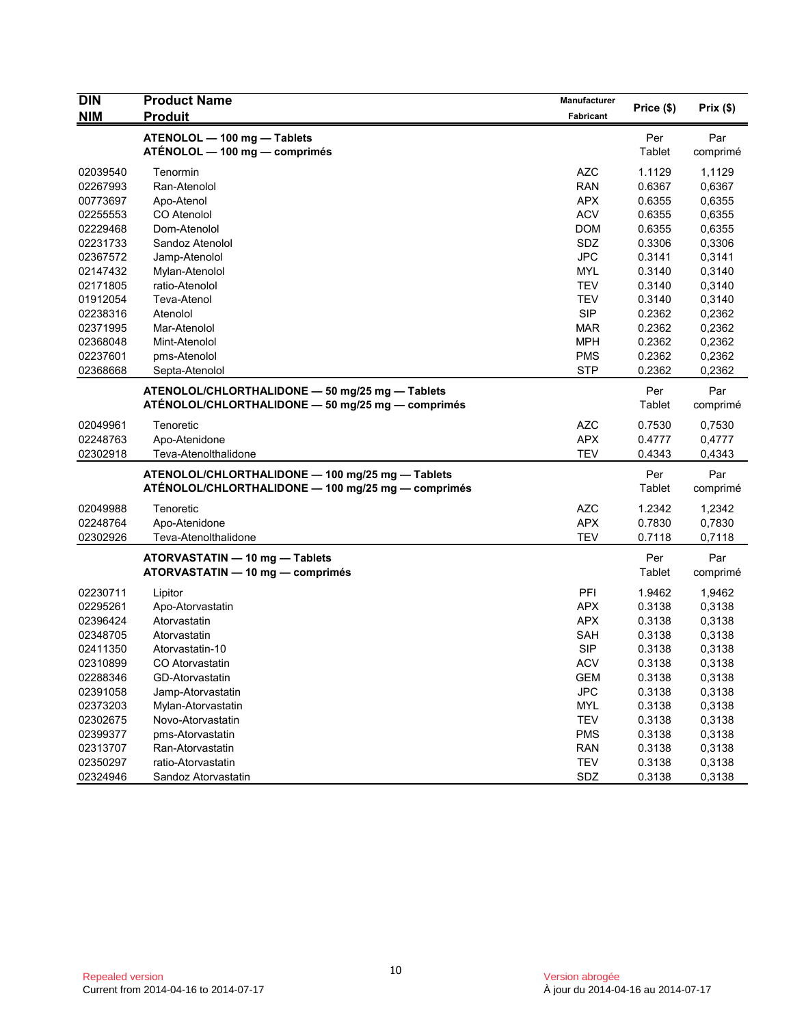| <b>DIN</b> | <b>Product Name</b>                                                                                    | Manufacturer | Price (\$)    | Prix(\$)        |
|------------|--------------------------------------------------------------------------------------------------------|--------------|---------------|-----------------|
| <b>NIM</b> | <b>Produit</b>                                                                                         | Fabricant    |               |                 |
|            | ATENOLOL - 100 mg - Tablets                                                                            |              | Per           | Par             |
|            | ATÉNOLOL — 100 mg — comprimés                                                                          |              | Tablet        | comprimé        |
| 02039540   | Tenormin                                                                                               | <b>AZC</b>   | 1.1129        | 1,1129          |
| 02267993   | Ran-Atenolol                                                                                           | <b>RAN</b>   | 0.6367        | 0,6367          |
| 00773697   | Apo-Atenol                                                                                             | <b>APX</b>   | 0.6355        | 0,6355          |
| 02255553   | CO Atenolol                                                                                            | <b>ACV</b>   | 0.6355        | 0,6355          |
| 02229468   | Dom-Atenolol                                                                                           | <b>DOM</b>   | 0.6355        | 0,6355          |
| 02231733   | Sandoz Atenolol                                                                                        | SDZ          | 0.3306        | 0,3306          |
| 02367572   | Jamp-Atenolol                                                                                          | <b>JPC</b>   | 0.3141        | 0,3141          |
| 02147432   | Mylan-Atenolol                                                                                         | <b>MYL</b>   | 0.3140        | 0,3140          |
| 02171805   | ratio-Atenolol                                                                                         | <b>TEV</b>   | 0.3140        | 0,3140          |
| 01912054   | Teva-Atenol                                                                                            | <b>TEV</b>   | 0.3140        | 0,3140          |
| 02238316   | Atenolol                                                                                               | <b>SIP</b>   | 0.2362        | 0,2362          |
| 02371995   | Mar-Atenolol                                                                                           | MAR          | 0.2362        | 0,2362          |
| 02368048   | Mint-Atenolol                                                                                          | <b>MPH</b>   | 0.2362        | 0,2362          |
| 02237601   | pms-Atenolol                                                                                           | <b>PMS</b>   | 0.2362        | 0,2362          |
| 02368668   | Septa-Atenolol                                                                                         | <b>STP</b>   | 0.2362        | 0,2362          |
|            | ATENOLOL/CHLORTHALIDONE - 50 mg/25 mg - Tablets                                                        |              | Per           | Par             |
|            | ATÉNOLOL/CHLORTHALIDONE - 50 mg/25 mg - comprimés                                                      |              | Tablet        | comprimé        |
| 02049961   | Tenoretic                                                                                              | <b>AZC</b>   | 0.7530        | 0,7530          |
| 02248763   | Apo-Atenidone                                                                                          | <b>APX</b>   | 0.4777        | 0,4777          |
| 02302918   | Teva-Atenolthalidone                                                                                   | <b>TEV</b>   | 0.4343        | 0,4343          |
|            |                                                                                                        |              |               |                 |
|            | ATENOLOL/CHLORTHALIDONE - 100 mg/25 mg - Tablets<br>ATÉNOLOL/CHLORTHALIDONE - 100 mg/25 mg - comprimés |              | Per<br>Tablet | Par<br>comprimé |
|            |                                                                                                        |              |               |                 |
| 02049988   | Tenoretic                                                                                              | <b>AZC</b>   | 1.2342        | 1,2342          |
| 02248764   | Apo-Atenidone                                                                                          | <b>APX</b>   | 0.7830        | 0,7830          |
| 02302926   | Teva-Atenolthalidone                                                                                   | <b>TEV</b>   | 0.7118        | 0,7118          |
|            | ATORVASTATIN - 10 mg - Tablets                                                                         |              | Per           | Par             |
|            | ATORVASTATIN - 10 mg - comprimés                                                                       |              | Tablet        | comprimé        |
| 02230711   | Lipitor                                                                                                | PFI          | 1.9462        | 1,9462          |
| 02295261   | Apo-Atorvastatin                                                                                       | <b>APX</b>   | 0.3138        | 0,3138          |
| 02396424   | Atorvastatin                                                                                           | <b>APX</b>   | 0.3138        | 0,3138          |
| 02348705   | Atorvastatin                                                                                           | <b>SAH</b>   | 0.3138        | 0,3138          |
| 02411350   | Atorvastatin-10                                                                                        | <b>SIP</b>   | 0.3138        | 0,3138          |
| 02310899   | <b>CO Atorvastatin</b>                                                                                 | <b>ACV</b>   | 0.3138        | 0,3138          |
| 02288346   | GD-Atorvastatin                                                                                        | <b>GEM</b>   | 0.3138        | 0,3138          |
| 02391058   | Jamp-Atorvastatin                                                                                      | <b>JPC</b>   | 0.3138        | 0,3138          |
| 02373203   | Mylan-Atorvastatin                                                                                     | <b>MYL</b>   | 0.3138        | 0,3138          |
| 02302675   | Novo-Atorvastatin                                                                                      | <b>TEV</b>   | 0.3138        | 0,3138          |
| 02399377   | pms-Atorvastatin                                                                                       | <b>PMS</b>   | 0.3138        | 0,3138          |
| 02313707   | Ran-Atorvastatin                                                                                       | <b>RAN</b>   | 0.3138        | 0,3138          |
| 02350297   | ratio-Atorvastatin                                                                                     | <b>TEV</b>   | 0.3138        | 0,3138          |
| 02324946   | Sandoz Atorvastatin                                                                                    | SDZ          | 0.3138        | 0,3138          |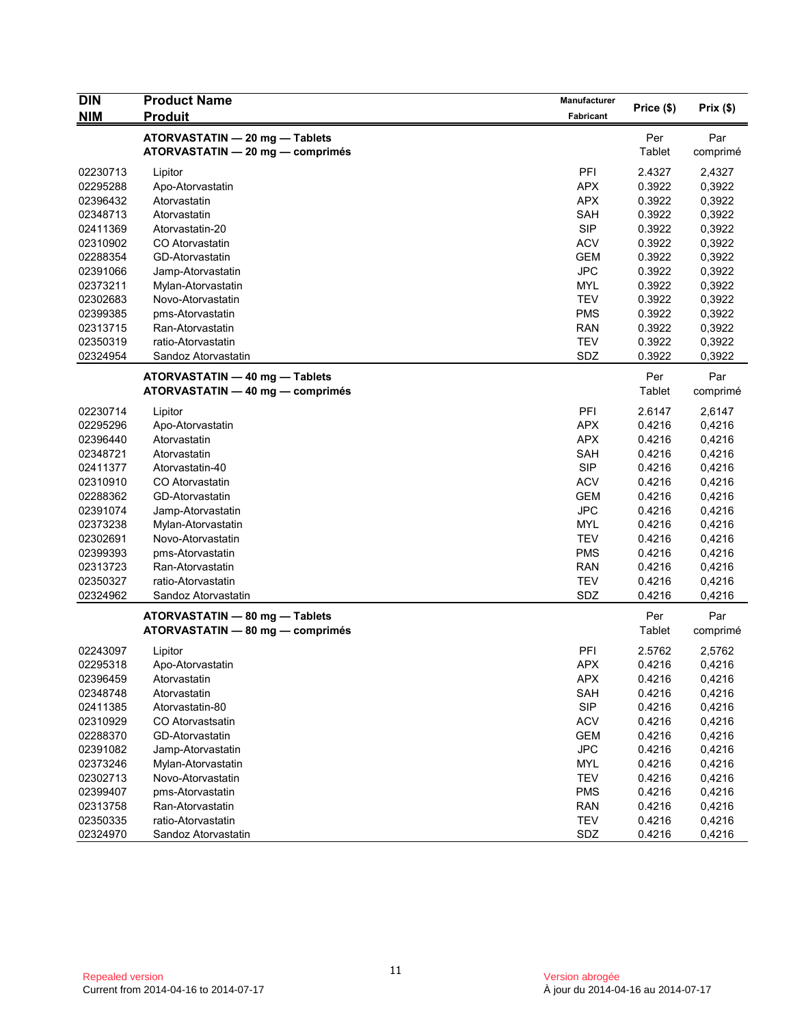| Price (\$)<br><b>NIM</b><br><b>Produit</b><br>Fabricant<br>ATORVASTATIN - 20 mg - Tablets<br>Per<br>Par<br>ATORVASTATIN - 20 mg - comprimés<br>Tablet<br>comprimé<br>PFI<br>2.4327<br>02230713<br>2,4327<br>Lipitor<br><b>APX</b><br>02295288<br>Apo-Atorvastatin<br>0.3922<br>0,3922<br><b>APX</b><br>0.3922<br>02396432<br>Atorvastatin<br>0,3922<br>02348713<br><b>SAH</b><br>0.3922<br>0,3922<br>Atorvastatin<br><b>SIP</b><br>0.3922<br>0,3922<br>02411369<br>Atorvastatin-20<br><b>ACV</b><br>0.3922<br>02310902<br>CO Atorvastatin<br>0,3922<br>02288354<br><b>GEM</b><br>0.3922<br>0,3922<br>GD-Atorvastatin<br><b>JPC</b><br>0.3922<br>0,3922<br>02391066<br>Jamp-Atorvastatin<br><b>MYL</b><br>02373211<br>0.3922<br>0,3922<br>Mylan-Atorvastatin<br>02302683<br>Novo-Atorvastatin<br><b>TEV</b><br>0.3922<br>0,3922<br>02399385<br><b>PMS</b><br>0.3922<br>0,3922<br>pms-Atorvastatin<br>02313715<br><b>RAN</b><br>0.3922<br>0,3922<br>Ran-Atorvastatin<br>ratio-Atorvastatin<br><b>TEV</b><br>0.3922<br>0,3922<br>02350319<br>SDZ<br>02324954<br>0.3922<br>Sandoz Atorvastatin<br>0,3922<br>Per<br>Par<br>ATORVASTATIN - 40 mg - Tablets<br>Tablet<br>ATORVASTATIN - 40 mg - comprimés<br>comprimé<br>PFI<br>2.6147<br>02230714<br>2,6147<br>Lipitor<br><b>APX</b><br>0.4216<br>0,4216<br>02295296<br>Apo-Atorvastatin<br>Atorvastatin<br><b>APX</b><br>0.4216<br>0,4216<br>02396440<br><b>SAH</b><br>0.4216<br>0,4216<br>02348721<br>Atorvastatin<br>02411377<br><b>SIP</b><br>0.4216<br>0,4216<br>Atorvastatin-40<br><b>ACV</b><br>0.4216<br>0,4216<br>02310910<br>CO Atorvastatin<br>02288362<br><b>GEM</b><br>0.4216<br>0,4216<br>GD-Atorvastatin<br><b>JPC</b><br>0.4216<br>0,4216<br>02391074<br>Jamp-Atorvastatin<br><b>MYL</b><br>0.4216<br>0,4216<br>02373238<br>Mylan-Atorvastatin<br>02302691<br><b>TEV</b><br>0.4216<br>0,4216<br>Novo-Atorvastatin<br>02399393<br><b>PMS</b><br>0.4216<br>0,4216<br>pms-Atorvastatin<br><b>RAN</b><br>0.4216<br>02313723<br>Ran-Atorvastatin<br>0,4216<br><b>TEV</b><br>02350327<br>ratio-Atorvastatin<br>0.4216<br>0,4216<br>02324962<br>SDZ<br>0.4216<br>0,4216<br>Sandoz Atorvastatin<br>Per<br>Par<br>ATORVASTATIN - 80 mg - Tablets<br>Tablet<br>ATORVASTATIN - 80 mg - comprimés<br>comprimé<br>PFI<br>02243097<br>Lipitor<br>2.5762<br>2,5762<br>02295318<br><b>APX</b><br>0.4216<br>0,4216<br>Apo-Atorvastatin<br>0.4216<br>02396459<br>APX<br>0,4216<br>Atorvastatin<br>0.4216<br>02348748<br><b>SAH</b><br>0,4216<br>Atorvastatin<br>Atorvastatin-80<br><b>SIP</b><br>0.4216<br>0,4216<br>02411385<br><b>ACV</b><br>02310929<br>CO Atorvastsatin<br>0.4216<br>0,4216<br>02288370<br><b>GEM</b><br>0.4216<br>0,4216<br>GD-Atorvastatin<br><b>JPC</b><br>0.4216<br>0,4216<br>02391082<br>Jamp-Atorvastatin<br>0.4216<br>02373246<br>Mylan-Atorvastatin<br>MYL<br>0,4216<br>02302713<br>Novo-Atorvastatin<br><b>TEV</b><br>0.4216<br>0,4216<br>02399407<br><b>PMS</b><br>0.4216<br>0,4216<br>pms-Atorvastatin<br>02313758<br>Ran-Atorvastatin<br><b>RAN</b><br>0.4216<br>0,4216<br><b>TEV</b><br>02350335<br>0.4216<br>0,4216<br>ratio-Atorvastatin<br>SDZ<br>0.4216<br>02324970<br>Sandoz Atorvastatin<br>0,4216 | <b>DIN</b> | <b>Product Name</b> | Manufacturer |  | $Prix($ \$) |
|-----------------------------------------------------------------------------------------------------------------------------------------------------------------------------------------------------------------------------------------------------------------------------------------------------------------------------------------------------------------------------------------------------------------------------------------------------------------------------------------------------------------------------------------------------------------------------------------------------------------------------------------------------------------------------------------------------------------------------------------------------------------------------------------------------------------------------------------------------------------------------------------------------------------------------------------------------------------------------------------------------------------------------------------------------------------------------------------------------------------------------------------------------------------------------------------------------------------------------------------------------------------------------------------------------------------------------------------------------------------------------------------------------------------------------------------------------------------------------------------------------------------------------------------------------------------------------------------------------------------------------------------------------------------------------------------------------------------------------------------------------------------------------------------------------------------------------------------------------------------------------------------------------------------------------------------------------------------------------------------------------------------------------------------------------------------------------------------------------------------------------------------------------------------------------------------------------------------------------------------------------------------------------------------------------------------------------------------------------------------------------------------------------------------------------------------------------------------------------------------------------------------------------------------------------------------------------------------------------------------------------------------------------------------------------------------------------------------------------------------------------------------------------------------------------------------------------------------------------------------------------------------------------------------------------------------------------------------------------------------------------------------------------------------------------------------------------------------------------------------------------------------------------------------------------------|------------|---------------------|--------------|--|-------------|
|                                                                                                                                                                                                                                                                                                                                                                                                                                                                                                                                                                                                                                                                                                                                                                                                                                                                                                                                                                                                                                                                                                                                                                                                                                                                                                                                                                                                                                                                                                                                                                                                                                                                                                                                                                                                                                                                                                                                                                                                                                                                                                                                                                                                                                                                                                                                                                                                                                                                                                                                                                                                                                                                                                                                                                                                                                                                                                                                                                                                                                                                                                                                                                                   |            |                     |              |  |             |
|                                                                                                                                                                                                                                                                                                                                                                                                                                                                                                                                                                                                                                                                                                                                                                                                                                                                                                                                                                                                                                                                                                                                                                                                                                                                                                                                                                                                                                                                                                                                                                                                                                                                                                                                                                                                                                                                                                                                                                                                                                                                                                                                                                                                                                                                                                                                                                                                                                                                                                                                                                                                                                                                                                                                                                                                                                                                                                                                                                                                                                                                                                                                                                                   |            |                     |              |  |             |
|                                                                                                                                                                                                                                                                                                                                                                                                                                                                                                                                                                                                                                                                                                                                                                                                                                                                                                                                                                                                                                                                                                                                                                                                                                                                                                                                                                                                                                                                                                                                                                                                                                                                                                                                                                                                                                                                                                                                                                                                                                                                                                                                                                                                                                                                                                                                                                                                                                                                                                                                                                                                                                                                                                                                                                                                                                                                                                                                                                                                                                                                                                                                                                                   |            |                     |              |  |             |
|                                                                                                                                                                                                                                                                                                                                                                                                                                                                                                                                                                                                                                                                                                                                                                                                                                                                                                                                                                                                                                                                                                                                                                                                                                                                                                                                                                                                                                                                                                                                                                                                                                                                                                                                                                                                                                                                                                                                                                                                                                                                                                                                                                                                                                                                                                                                                                                                                                                                                                                                                                                                                                                                                                                                                                                                                                                                                                                                                                                                                                                                                                                                                                                   |            |                     |              |  |             |
|                                                                                                                                                                                                                                                                                                                                                                                                                                                                                                                                                                                                                                                                                                                                                                                                                                                                                                                                                                                                                                                                                                                                                                                                                                                                                                                                                                                                                                                                                                                                                                                                                                                                                                                                                                                                                                                                                                                                                                                                                                                                                                                                                                                                                                                                                                                                                                                                                                                                                                                                                                                                                                                                                                                                                                                                                                                                                                                                                                                                                                                                                                                                                                                   |            |                     |              |  |             |
|                                                                                                                                                                                                                                                                                                                                                                                                                                                                                                                                                                                                                                                                                                                                                                                                                                                                                                                                                                                                                                                                                                                                                                                                                                                                                                                                                                                                                                                                                                                                                                                                                                                                                                                                                                                                                                                                                                                                                                                                                                                                                                                                                                                                                                                                                                                                                                                                                                                                                                                                                                                                                                                                                                                                                                                                                                                                                                                                                                                                                                                                                                                                                                                   |            |                     |              |  |             |
|                                                                                                                                                                                                                                                                                                                                                                                                                                                                                                                                                                                                                                                                                                                                                                                                                                                                                                                                                                                                                                                                                                                                                                                                                                                                                                                                                                                                                                                                                                                                                                                                                                                                                                                                                                                                                                                                                                                                                                                                                                                                                                                                                                                                                                                                                                                                                                                                                                                                                                                                                                                                                                                                                                                                                                                                                                                                                                                                                                                                                                                                                                                                                                                   |            |                     |              |  |             |
|                                                                                                                                                                                                                                                                                                                                                                                                                                                                                                                                                                                                                                                                                                                                                                                                                                                                                                                                                                                                                                                                                                                                                                                                                                                                                                                                                                                                                                                                                                                                                                                                                                                                                                                                                                                                                                                                                                                                                                                                                                                                                                                                                                                                                                                                                                                                                                                                                                                                                                                                                                                                                                                                                                                                                                                                                                                                                                                                                                                                                                                                                                                                                                                   |            |                     |              |  |             |
|                                                                                                                                                                                                                                                                                                                                                                                                                                                                                                                                                                                                                                                                                                                                                                                                                                                                                                                                                                                                                                                                                                                                                                                                                                                                                                                                                                                                                                                                                                                                                                                                                                                                                                                                                                                                                                                                                                                                                                                                                                                                                                                                                                                                                                                                                                                                                                                                                                                                                                                                                                                                                                                                                                                                                                                                                                                                                                                                                                                                                                                                                                                                                                                   |            |                     |              |  |             |
|                                                                                                                                                                                                                                                                                                                                                                                                                                                                                                                                                                                                                                                                                                                                                                                                                                                                                                                                                                                                                                                                                                                                                                                                                                                                                                                                                                                                                                                                                                                                                                                                                                                                                                                                                                                                                                                                                                                                                                                                                                                                                                                                                                                                                                                                                                                                                                                                                                                                                                                                                                                                                                                                                                                                                                                                                                                                                                                                                                                                                                                                                                                                                                                   |            |                     |              |  |             |
|                                                                                                                                                                                                                                                                                                                                                                                                                                                                                                                                                                                                                                                                                                                                                                                                                                                                                                                                                                                                                                                                                                                                                                                                                                                                                                                                                                                                                                                                                                                                                                                                                                                                                                                                                                                                                                                                                                                                                                                                                                                                                                                                                                                                                                                                                                                                                                                                                                                                                                                                                                                                                                                                                                                                                                                                                                                                                                                                                                                                                                                                                                                                                                                   |            |                     |              |  |             |
|                                                                                                                                                                                                                                                                                                                                                                                                                                                                                                                                                                                                                                                                                                                                                                                                                                                                                                                                                                                                                                                                                                                                                                                                                                                                                                                                                                                                                                                                                                                                                                                                                                                                                                                                                                                                                                                                                                                                                                                                                                                                                                                                                                                                                                                                                                                                                                                                                                                                                                                                                                                                                                                                                                                                                                                                                                                                                                                                                                                                                                                                                                                                                                                   |            |                     |              |  |             |
|                                                                                                                                                                                                                                                                                                                                                                                                                                                                                                                                                                                                                                                                                                                                                                                                                                                                                                                                                                                                                                                                                                                                                                                                                                                                                                                                                                                                                                                                                                                                                                                                                                                                                                                                                                                                                                                                                                                                                                                                                                                                                                                                                                                                                                                                                                                                                                                                                                                                                                                                                                                                                                                                                                                                                                                                                                                                                                                                                                                                                                                                                                                                                                                   |            |                     |              |  |             |
|                                                                                                                                                                                                                                                                                                                                                                                                                                                                                                                                                                                                                                                                                                                                                                                                                                                                                                                                                                                                                                                                                                                                                                                                                                                                                                                                                                                                                                                                                                                                                                                                                                                                                                                                                                                                                                                                                                                                                                                                                                                                                                                                                                                                                                                                                                                                                                                                                                                                                                                                                                                                                                                                                                                                                                                                                                                                                                                                                                                                                                                                                                                                                                                   |            |                     |              |  |             |
|                                                                                                                                                                                                                                                                                                                                                                                                                                                                                                                                                                                                                                                                                                                                                                                                                                                                                                                                                                                                                                                                                                                                                                                                                                                                                                                                                                                                                                                                                                                                                                                                                                                                                                                                                                                                                                                                                                                                                                                                                                                                                                                                                                                                                                                                                                                                                                                                                                                                                                                                                                                                                                                                                                                                                                                                                                                                                                                                                                                                                                                                                                                                                                                   |            |                     |              |  |             |
|                                                                                                                                                                                                                                                                                                                                                                                                                                                                                                                                                                                                                                                                                                                                                                                                                                                                                                                                                                                                                                                                                                                                                                                                                                                                                                                                                                                                                                                                                                                                                                                                                                                                                                                                                                                                                                                                                                                                                                                                                                                                                                                                                                                                                                                                                                                                                                                                                                                                                                                                                                                                                                                                                                                                                                                                                                                                                                                                                                                                                                                                                                                                                                                   |            |                     |              |  |             |
|                                                                                                                                                                                                                                                                                                                                                                                                                                                                                                                                                                                                                                                                                                                                                                                                                                                                                                                                                                                                                                                                                                                                                                                                                                                                                                                                                                                                                                                                                                                                                                                                                                                                                                                                                                                                                                                                                                                                                                                                                                                                                                                                                                                                                                                                                                                                                                                                                                                                                                                                                                                                                                                                                                                                                                                                                                                                                                                                                                                                                                                                                                                                                                                   |            |                     |              |  |             |
|                                                                                                                                                                                                                                                                                                                                                                                                                                                                                                                                                                                                                                                                                                                                                                                                                                                                                                                                                                                                                                                                                                                                                                                                                                                                                                                                                                                                                                                                                                                                                                                                                                                                                                                                                                                                                                                                                                                                                                                                                                                                                                                                                                                                                                                                                                                                                                                                                                                                                                                                                                                                                                                                                                                                                                                                                                                                                                                                                                                                                                                                                                                                                                                   |            |                     |              |  |             |
|                                                                                                                                                                                                                                                                                                                                                                                                                                                                                                                                                                                                                                                                                                                                                                                                                                                                                                                                                                                                                                                                                                                                                                                                                                                                                                                                                                                                                                                                                                                                                                                                                                                                                                                                                                                                                                                                                                                                                                                                                                                                                                                                                                                                                                                                                                                                                                                                                                                                                                                                                                                                                                                                                                                                                                                                                                                                                                                                                                                                                                                                                                                                                                                   |            |                     |              |  |             |
|                                                                                                                                                                                                                                                                                                                                                                                                                                                                                                                                                                                                                                                                                                                                                                                                                                                                                                                                                                                                                                                                                                                                                                                                                                                                                                                                                                                                                                                                                                                                                                                                                                                                                                                                                                                                                                                                                                                                                                                                                                                                                                                                                                                                                                                                                                                                                                                                                                                                                                                                                                                                                                                                                                                                                                                                                                                                                                                                                                                                                                                                                                                                                                                   |            |                     |              |  |             |
|                                                                                                                                                                                                                                                                                                                                                                                                                                                                                                                                                                                                                                                                                                                                                                                                                                                                                                                                                                                                                                                                                                                                                                                                                                                                                                                                                                                                                                                                                                                                                                                                                                                                                                                                                                                                                                                                                                                                                                                                                                                                                                                                                                                                                                                                                                                                                                                                                                                                                                                                                                                                                                                                                                                                                                                                                                                                                                                                                                                                                                                                                                                                                                                   |            |                     |              |  |             |
|                                                                                                                                                                                                                                                                                                                                                                                                                                                                                                                                                                                                                                                                                                                                                                                                                                                                                                                                                                                                                                                                                                                                                                                                                                                                                                                                                                                                                                                                                                                                                                                                                                                                                                                                                                                                                                                                                                                                                                                                                                                                                                                                                                                                                                                                                                                                                                                                                                                                                                                                                                                                                                                                                                                                                                                                                                                                                                                                                                                                                                                                                                                                                                                   |            |                     |              |  |             |
|                                                                                                                                                                                                                                                                                                                                                                                                                                                                                                                                                                                                                                                                                                                                                                                                                                                                                                                                                                                                                                                                                                                                                                                                                                                                                                                                                                                                                                                                                                                                                                                                                                                                                                                                                                                                                                                                                                                                                                                                                                                                                                                                                                                                                                                                                                                                                                                                                                                                                                                                                                                                                                                                                                                                                                                                                                                                                                                                                                                                                                                                                                                                                                                   |            |                     |              |  |             |
|                                                                                                                                                                                                                                                                                                                                                                                                                                                                                                                                                                                                                                                                                                                                                                                                                                                                                                                                                                                                                                                                                                                                                                                                                                                                                                                                                                                                                                                                                                                                                                                                                                                                                                                                                                                                                                                                                                                                                                                                                                                                                                                                                                                                                                                                                                                                                                                                                                                                                                                                                                                                                                                                                                                                                                                                                                                                                                                                                                                                                                                                                                                                                                                   |            |                     |              |  |             |
|                                                                                                                                                                                                                                                                                                                                                                                                                                                                                                                                                                                                                                                                                                                                                                                                                                                                                                                                                                                                                                                                                                                                                                                                                                                                                                                                                                                                                                                                                                                                                                                                                                                                                                                                                                                                                                                                                                                                                                                                                                                                                                                                                                                                                                                                                                                                                                                                                                                                                                                                                                                                                                                                                                                                                                                                                                                                                                                                                                                                                                                                                                                                                                                   |            |                     |              |  |             |
|                                                                                                                                                                                                                                                                                                                                                                                                                                                                                                                                                                                                                                                                                                                                                                                                                                                                                                                                                                                                                                                                                                                                                                                                                                                                                                                                                                                                                                                                                                                                                                                                                                                                                                                                                                                                                                                                                                                                                                                                                                                                                                                                                                                                                                                                                                                                                                                                                                                                                                                                                                                                                                                                                                                                                                                                                                                                                                                                                                                                                                                                                                                                                                                   |            |                     |              |  |             |
|                                                                                                                                                                                                                                                                                                                                                                                                                                                                                                                                                                                                                                                                                                                                                                                                                                                                                                                                                                                                                                                                                                                                                                                                                                                                                                                                                                                                                                                                                                                                                                                                                                                                                                                                                                                                                                                                                                                                                                                                                                                                                                                                                                                                                                                                                                                                                                                                                                                                                                                                                                                                                                                                                                                                                                                                                                                                                                                                                                                                                                                                                                                                                                                   |            |                     |              |  |             |
|                                                                                                                                                                                                                                                                                                                                                                                                                                                                                                                                                                                                                                                                                                                                                                                                                                                                                                                                                                                                                                                                                                                                                                                                                                                                                                                                                                                                                                                                                                                                                                                                                                                                                                                                                                                                                                                                                                                                                                                                                                                                                                                                                                                                                                                                                                                                                                                                                                                                                                                                                                                                                                                                                                                                                                                                                                                                                                                                                                                                                                                                                                                                                                                   |            |                     |              |  |             |
|                                                                                                                                                                                                                                                                                                                                                                                                                                                                                                                                                                                                                                                                                                                                                                                                                                                                                                                                                                                                                                                                                                                                                                                                                                                                                                                                                                                                                                                                                                                                                                                                                                                                                                                                                                                                                                                                                                                                                                                                                                                                                                                                                                                                                                                                                                                                                                                                                                                                                                                                                                                                                                                                                                                                                                                                                                                                                                                                                                                                                                                                                                                                                                                   |            |                     |              |  |             |
|                                                                                                                                                                                                                                                                                                                                                                                                                                                                                                                                                                                                                                                                                                                                                                                                                                                                                                                                                                                                                                                                                                                                                                                                                                                                                                                                                                                                                                                                                                                                                                                                                                                                                                                                                                                                                                                                                                                                                                                                                                                                                                                                                                                                                                                                                                                                                                                                                                                                                                                                                                                                                                                                                                                                                                                                                                                                                                                                                                                                                                                                                                                                                                                   |            |                     |              |  |             |
|                                                                                                                                                                                                                                                                                                                                                                                                                                                                                                                                                                                                                                                                                                                                                                                                                                                                                                                                                                                                                                                                                                                                                                                                                                                                                                                                                                                                                                                                                                                                                                                                                                                                                                                                                                                                                                                                                                                                                                                                                                                                                                                                                                                                                                                                                                                                                                                                                                                                                                                                                                                                                                                                                                                                                                                                                                                                                                                                                                                                                                                                                                                                                                                   |            |                     |              |  |             |
|                                                                                                                                                                                                                                                                                                                                                                                                                                                                                                                                                                                                                                                                                                                                                                                                                                                                                                                                                                                                                                                                                                                                                                                                                                                                                                                                                                                                                                                                                                                                                                                                                                                                                                                                                                                                                                                                                                                                                                                                                                                                                                                                                                                                                                                                                                                                                                                                                                                                                                                                                                                                                                                                                                                                                                                                                                                                                                                                                                                                                                                                                                                                                                                   |            |                     |              |  |             |
|                                                                                                                                                                                                                                                                                                                                                                                                                                                                                                                                                                                                                                                                                                                                                                                                                                                                                                                                                                                                                                                                                                                                                                                                                                                                                                                                                                                                                                                                                                                                                                                                                                                                                                                                                                                                                                                                                                                                                                                                                                                                                                                                                                                                                                                                                                                                                                                                                                                                                                                                                                                                                                                                                                                                                                                                                                                                                                                                                                                                                                                                                                                                                                                   |            |                     |              |  |             |
|                                                                                                                                                                                                                                                                                                                                                                                                                                                                                                                                                                                                                                                                                                                                                                                                                                                                                                                                                                                                                                                                                                                                                                                                                                                                                                                                                                                                                                                                                                                                                                                                                                                                                                                                                                                                                                                                                                                                                                                                                                                                                                                                                                                                                                                                                                                                                                                                                                                                                                                                                                                                                                                                                                                                                                                                                                                                                                                                                                                                                                                                                                                                                                                   |            |                     |              |  |             |
|                                                                                                                                                                                                                                                                                                                                                                                                                                                                                                                                                                                                                                                                                                                                                                                                                                                                                                                                                                                                                                                                                                                                                                                                                                                                                                                                                                                                                                                                                                                                                                                                                                                                                                                                                                                                                                                                                                                                                                                                                                                                                                                                                                                                                                                                                                                                                                                                                                                                                                                                                                                                                                                                                                                                                                                                                                                                                                                                                                                                                                                                                                                                                                                   |            |                     |              |  |             |
|                                                                                                                                                                                                                                                                                                                                                                                                                                                                                                                                                                                                                                                                                                                                                                                                                                                                                                                                                                                                                                                                                                                                                                                                                                                                                                                                                                                                                                                                                                                                                                                                                                                                                                                                                                                                                                                                                                                                                                                                                                                                                                                                                                                                                                                                                                                                                                                                                                                                                                                                                                                                                                                                                                                                                                                                                                                                                                                                                                                                                                                                                                                                                                                   |            |                     |              |  |             |
|                                                                                                                                                                                                                                                                                                                                                                                                                                                                                                                                                                                                                                                                                                                                                                                                                                                                                                                                                                                                                                                                                                                                                                                                                                                                                                                                                                                                                                                                                                                                                                                                                                                                                                                                                                                                                                                                                                                                                                                                                                                                                                                                                                                                                                                                                                                                                                                                                                                                                                                                                                                                                                                                                                                                                                                                                                                                                                                                                                                                                                                                                                                                                                                   |            |                     |              |  |             |
|                                                                                                                                                                                                                                                                                                                                                                                                                                                                                                                                                                                                                                                                                                                                                                                                                                                                                                                                                                                                                                                                                                                                                                                                                                                                                                                                                                                                                                                                                                                                                                                                                                                                                                                                                                                                                                                                                                                                                                                                                                                                                                                                                                                                                                                                                                                                                                                                                                                                                                                                                                                                                                                                                                                                                                                                                                                                                                                                                                                                                                                                                                                                                                                   |            |                     |              |  |             |
|                                                                                                                                                                                                                                                                                                                                                                                                                                                                                                                                                                                                                                                                                                                                                                                                                                                                                                                                                                                                                                                                                                                                                                                                                                                                                                                                                                                                                                                                                                                                                                                                                                                                                                                                                                                                                                                                                                                                                                                                                                                                                                                                                                                                                                                                                                                                                                                                                                                                                                                                                                                                                                                                                                                                                                                                                                                                                                                                                                                                                                                                                                                                                                                   |            |                     |              |  |             |
|                                                                                                                                                                                                                                                                                                                                                                                                                                                                                                                                                                                                                                                                                                                                                                                                                                                                                                                                                                                                                                                                                                                                                                                                                                                                                                                                                                                                                                                                                                                                                                                                                                                                                                                                                                                                                                                                                                                                                                                                                                                                                                                                                                                                                                                                                                                                                                                                                                                                                                                                                                                                                                                                                                                                                                                                                                                                                                                                                                                                                                                                                                                                                                                   |            |                     |              |  |             |
|                                                                                                                                                                                                                                                                                                                                                                                                                                                                                                                                                                                                                                                                                                                                                                                                                                                                                                                                                                                                                                                                                                                                                                                                                                                                                                                                                                                                                                                                                                                                                                                                                                                                                                                                                                                                                                                                                                                                                                                                                                                                                                                                                                                                                                                                                                                                                                                                                                                                                                                                                                                                                                                                                                                                                                                                                                                                                                                                                                                                                                                                                                                                                                                   |            |                     |              |  |             |
|                                                                                                                                                                                                                                                                                                                                                                                                                                                                                                                                                                                                                                                                                                                                                                                                                                                                                                                                                                                                                                                                                                                                                                                                                                                                                                                                                                                                                                                                                                                                                                                                                                                                                                                                                                                                                                                                                                                                                                                                                                                                                                                                                                                                                                                                                                                                                                                                                                                                                                                                                                                                                                                                                                                                                                                                                                                                                                                                                                                                                                                                                                                                                                                   |            |                     |              |  |             |
|                                                                                                                                                                                                                                                                                                                                                                                                                                                                                                                                                                                                                                                                                                                                                                                                                                                                                                                                                                                                                                                                                                                                                                                                                                                                                                                                                                                                                                                                                                                                                                                                                                                                                                                                                                                                                                                                                                                                                                                                                                                                                                                                                                                                                                                                                                                                                                                                                                                                                                                                                                                                                                                                                                                                                                                                                                                                                                                                                                                                                                                                                                                                                                                   |            |                     |              |  |             |
|                                                                                                                                                                                                                                                                                                                                                                                                                                                                                                                                                                                                                                                                                                                                                                                                                                                                                                                                                                                                                                                                                                                                                                                                                                                                                                                                                                                                                                                                                                                                                                                                                                                                                                                                                                                                                                                                                                                                                                                                                                                                                                                                                                                                                                                                                                                                                                                                                                                                                                                                                                                                                                                                                                                                                                                                                                                                                                                                                                                                                                                                                                                                                                                   |            |                     |              |  |             |
|                                                                                                                                                                                                                                                                                                                                                                                                                                                                                                                                                                                                                                                                                                                                                                                                                                                                                                                                                                                                                                                                                                                                                                                                                                                                                                                                                                                                                                                                                                                                                                                                                                                                                                                                                                                                                                                                                                                                                                                                                                                                                                                                                                                                                                                                                                                                                                                                                                                                                                                                                                                                                                                                                                                                                                                                                                                                                                                                                                                                                                                                                                                                                                                   |            |                     |              |  |             |
|                                                                                                                                                                                                                                                                                                                                                                                                                                                                                                                                                                                                                                                                                                                                                                                                                                                                                                                                                                                                                                                                                                                                                                                                                                                                                                                                                                                                                                                                                                                                                                                                                                                                                                                                                                                                                                                                                                                                                                                                                                                                                                                                                                                                                                                                                                                                                                                                                                                                                                                                                                                                                                                                                                                                                                                                                                                                                                                                                                                                                                                                                                                                                                                   |            |                     |              |  |             |
|                                                                                                                                                                                                                                                                                                                                                                                                                                                                                                                                                                                                                                                                                                                                                                                                                                                                                                                                                                                                                                                                                                                                                                                                                                                                                                                                                                                                                                                                                                                                                                                                                                                                                                                                                                                                                                                                                                                                                                                                                                                                                                                                                                                                                                                                                                                                                                                                                                                                                                                                                                                                                                                                                                                                                                                                                                                                                                                                                                                                                                                                                                                                                                                   |            |                     |              |  |             |
|                                                                                                                                                                                                                                                                                                                                                                                                                                                                                                                                                                                                                                                                                                                                                                                                                                                                                                                                                                                                                                                                                                                                                                                                                                                                                                                                                                                                                                                                                                                                                                                                                                                                                                                                                                                                                                                                                                                                                                                                                                                                                                                                                                                                                                                                                                                                                                                                                                                                                                                                                                                                                                                                                                                                                                                                                                                                                                                                                                                                                                                                                                                                                                                   |            |                     |              |  |             |
|                                                                                                                                                                                                                                                                                                                                                                                                                                                                                                                                                                                                                                                                                                                                                                                                                                                                                                                                                                                                                                                                                                                                                                                                                                                                                                                                                                                                                                                                                                                                                                                                                                                                                                                                                                                                                                                                                                                                                                                                                                                                                                                                                                                                                                                                                                                                                                                                                                                                                                                                                                                                                                                                                                                                                                                                                                                                                                                                                                                                                                                                                                                                                                                   |            |                     |              |  |             |
|                                                                                                                                                                                                                                                                                                                                                                                                                                                                                                                                                                                                                                                                                                                                                                                                                                                                                                                                                                                                                                                                                                                                                                                                                                                                                                                                                                                                                                                                                                                                                                                                                                                                                                                                                                                                                                                                                                                                                                                                                                                                                                                                                                                                                                                                                                                                                                                                                                                                                                                                                                                                                                                                                                                                                                                                                                                                                                                                                                                                                                                                                                                                                                                   |            |                     |              |  |             |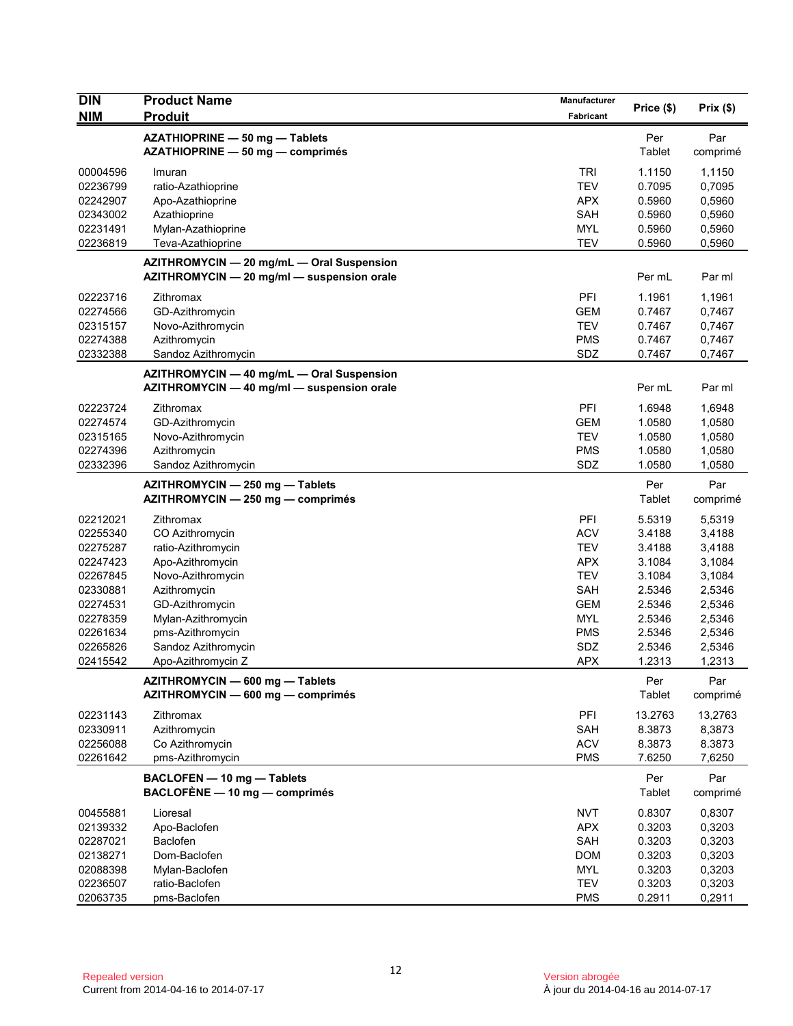| <b>DIN</b> | <b>Product Name</b>                        | <b>Manufacturer</b> | Price (\$) | Prix (\$) |
|------------|--------------------------------------------|---------------------|------------|-----------|
| <b>NIM</b> | <b>Produit</b>                             | Fabricant           |            |           |
|            | AZATHIOPRINE - 50 mg - Tablets             |                     | Per        | Par       |
|            | AZATHIOPRINE - 50 mg - comprimés           |                     | Tablet     | comprimé  |
| 00004596   | Imuran                                     | <b>TRI</b>          | 1.1150     | 1,1150    |
| 02236799   | ratio-Azathioprine                         | <b>TEV</b>          | 0.7095     | 0,7095    |
| 02242907   | Apo-Azathioprine                           | <b>APX</b>          | 0.5960     | 0,5960    |
| 02343002   | Azathioprine                               | <b>SAH</b>          | 0.5960     | 0,5960    |
| 02231491   | Mylan-Azathioprine                         | <b>MYL</b>          | 0.5960     | 0,5960    |
| 02236819   | Teva-Azathioprine                          | <b>TEV</b>          | 0.5960     | 0,5960    |
|            | AZITHROMYCIN - 20 mg/mL - Oral Suspension  |                     |            |           |
|            | AZITHROMYCIN - 20 mg/ml - suspension orale |                     | Per mL     | Par ml    |
| 02223716   | Zithromax                                  | PFI                 | 1.1961     | 1,1961    |
| 02274566   | GD-Azithromycin                            | <b>GEM</b>          | 0.7467     | 0,7467    |
| 02315157   | Novo-Azithromycin                          | <b>TEV</b>          | 0.7467     | 0,7467    |
| 02274388   | Azithromycin                               | <b>PMS</b>          | 0.7467     | 0,7467    |
| 02332388   | Sandoz Azithromycin                        | SDZ                 | 0.7467     | 0,7467    |
|            | AZITHROMYCIN - 40 mg/mL - Oral Suspension  |                     |            |           |
|            | AZITHROMYCIN - 40 mg/ml - suspension orale |                     | Per mL     | Par ml    |
| 02223724   | Zithromax                                  | PFI                 | 1.6948     | 1,6948    |
| 02274574   | GD-Azithromycin                            | <b>GEM</b>          | 1.0580     | 1,0580    |
| 02315165   | Novo-Azithromycin                          | <b>TEV</b>          | 1.0580     | 1,0580    |
| 02274396   | Azithromycin                               | <b>PMS</b>          | 1.0580     | 1,0580    |
| 02332396   | Sandoz Azithromycin                        | SDZ                 | 1.0580     | 1,0580    |
|            | AZITHROMYCIN - 250 mg - Tablets            |                     | Per        | Par       |
|            | AZITHROMYCIN - 250 mg - comprimés          |                     | Tablet     | comprimé  |
| 02212021   | Zithromax                                  | PFI                 | 5.5319     | 5,5319    |
| 02255340   | CO Azithromycin                            | <b>ACV</b>          | 3.4188     | 3,4188    |
| 02275287   | ratio-Azithromycin                         | <b>TEV</b>          | 3.4188     | 3,4188    |
| 02247423   | Apo-Azithromycin                           | <b>APX</b>          | 3.1084     | 3,1084    |
| 02267845   | Novo-Azithromycin                          | <b>TEV</b>          | 3.1084     | 3,1084    |
| 02330881   | Azithromycin                               | SAH                 | 2.5346     | 2,5346    |
| 02274531   | GD-Azithromycin                            | <b>GEM</b>          | 2.5346     | 2,5346    |
| 02278359   | Mylan-Azithromycin                         | <b>MYL</b>          | 2.5346     | 2,5346    |
| 02261634   | pms-Azithromycin                           | <b>PMS</b>          | 2.5346     | 2,5346    |
| 02265826   | Sandoz Azithromycin                        | SDZ                 | 2.5346     | 2,5346    |
| 02415542   | Apo-Azithromycin Z                         | <b>APX</b>          | 1.2313     | 1,2313    |
|            | AZITHROMYCIN - 600 mg - Tablets            |                     | Per        | Par       |
|            | AZITHROMYCIN - 600 mg - comprimés          |                     | Tablet     | comprimé  |
| 02231143   | Zithromax                                  | PFI                 | 13.2763    | 13,2763   |
| 02330911   | Azithromycin                               | SAH                 | 8.3873     | 8,3873    |
| 02256088   | Co Azithromycin                            | <b>ACV</b>          | 8.3873     | 8.3873    |
| 02261642   | pms-Azithromycin                           | <b>PMS</b>          | 7.6250     | 7,6250    |
|            | BACLOFEN - 10 mg - Tablets                 |                     | Per        | Par       |
|            | $BACLOFÈNE - 10 mg - comprimés$            |                     | Tablet     | comprimé  |
| 00455881   | Lioresal                                   | <b>NVT</b>          | 0.8307     | 0,8307    |
| 02139332   | Apo-Baclofen                               | <b>APX</b>          | 0.3203     | 0,3203    |
| 02287021   | Baclofen                                   | SAH                 | 0.3203     | 0,3203    |
| 02138271   | Dom-Baclofen                               | <b>DOM</b>          | 0.3203     | 0,3203    |
| 02088398   | Mylan-Baclofen                             | MYL                 | 0.3203     | 0,3203    |
| 02236507   | ratio-Baclofen                             | <b>TEV</b>          | 0.3203     | 0,3203    |
| 02063735   | pms-Baclofen                               | <b>PMS</b>          | 0.2911     | 0,2911    |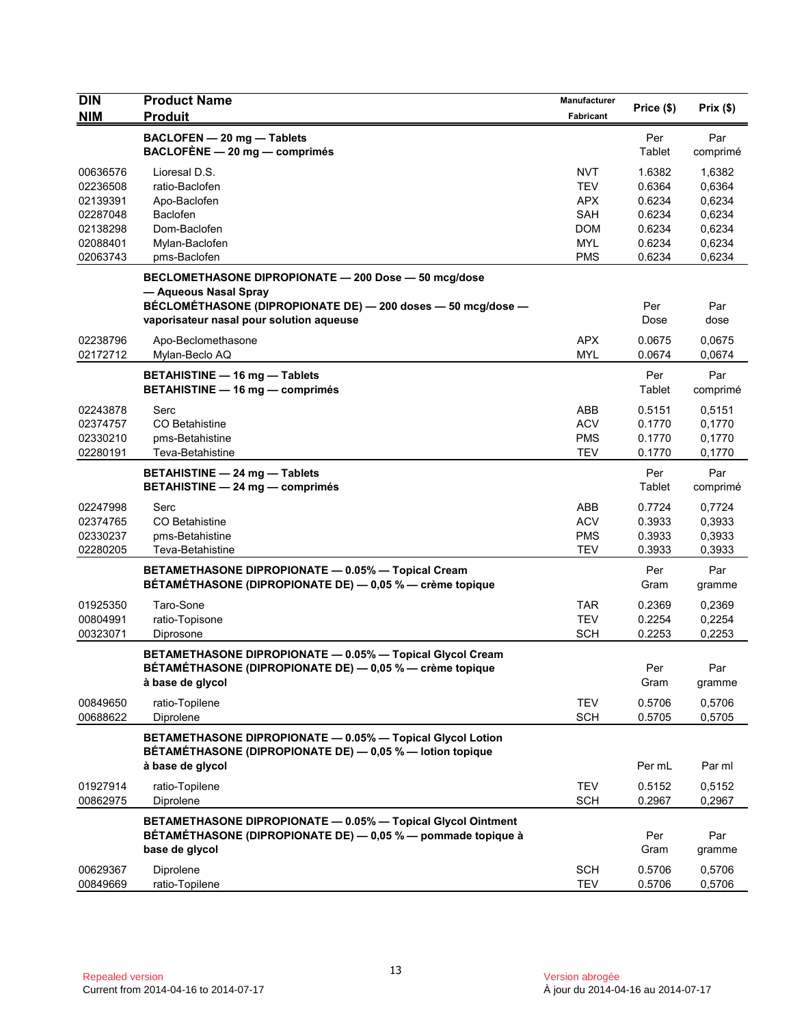| <b>DIN</b>                                               | <b>Product Name</b>                                                                                                                                                                       | Manufacturer                                                       | Price (\$)                                     | Prix(\$)                                       |
|----------------------------------------------------------|-------------------------------------------------------------------------------------------------------------------------------------------------------------------------------------------|--------------------------------------------------------------------|------------------------------------------------|------------------------------------------------|
| <b>NIM</b>                                               | <b>Produit</b>                                                                                                                                                                            | <b>Fabricant</b>                                                   |                                                |                                                |
|                                                          | BACLOFEN - 20 mg - Tablets<br>BACLOFÈNE $-$ 20 mg $-$ comprimés                                                                                                                           |                                                                    | Per<br>Tablet                                  | Par<br>comprimé                                |
| 00636576<br>02236508<br>02139391<br>02287048<br>02138298 | Lioresal D.S.<br>ratio-Baclofen<br>Apo-Baclofen<br>Baclofen<br>Dom-Baclofen                                                                                                               | <b>NVT</b><br><b>TEV</b><br><b>APX</b><br><b>SAH</b><br><b>DOM</b> | 1.6382<br>0.6364<br>0.6234<br>0.6234<br>0.6234 | 1,6382<br>0,6364<br>0,6234<br>0,6234<br>0,6234 |
| 02088401<br>02063743                                     | Mylan-Baclofen<br>pms-Baclofen                                                                                                                                                            | <b>MYL</b><br><b>PMS</b>                                           | 0.6234<br>0.6234                               | 0,6234<br>0,6234                               |
|                                                          | BECLOMETHASONE DIPROPIONATE - 200 Dose - 50 mcg/dose<br>- Aqueous Nasal Spray<br>BÉCLOMÉTHASONE (DIPROPIONATE DE) - 200 doses - 50 mcg/dose -<br>vaporisateur nasal pour solution aqueuse |                                                                    | Per<br>Dose                                    | Par<br>dose                                    |
| 02238796<br>02172712                                     | Apo-Beclomethasone<br>Mylan-Beclo AQ                                                                                                                                                      | <b>APX</b><br><b>MYL</b>                                           | 0.0675<br>0.0674                               | 0,0675<br>0,0674                               |
|                                                          | <b>BETAHISTINE - 16 mg - Tablets</b><br><b>BETAHISTINE - 16 mg - comprimés</b>                                                                                                            |                                                                    | Per<br>Tablet                                  | Par<br>comprimé                                |
| 02243878<br>02374757<br>02330210<br>02280191             | Serc<br>CO Betahistine<br>pms-Betahistine<br>Teva-Betahistine                                                                                                                             | <b>ABB</b><br><b>ACV</b><br><b>PMS</b><br><b>TEV</b>               | 0.5151<br>0.1770<br>0.1770<br>0.1770           | 0,5151<br>0,1770<br>0,1770<br>0,1770           |
|                                                          | <b>BETAHISTINE - 24 mg - Tablets</b><br>BETAHISTINE - 24 mg - comprimés                                                                                                                   |                                                                    | Per<br>Tablet                                  | Par<br>comprimé                                |
| 02247998<br>02374765<br>02330237<br>02280205             | Serc<br>CO Betahistine<br>pms-Betahistine<br>Teva-Betahistine                                                                                                                             | ABB<br><b>ACV</b><br><b>PMS</b><br><b>TEV</b>                      | 0.7724<br>0.3933<br>0.3933<br>0.3933           | 0,7724<br>0,3933<br>0,3933<br>0,3933           |
|                                                          | BETAMETHASONE DIPROPIONATE - 0.05% - Topical Cream<br>BÉTAMÉTHASONE (DIPROPIONATE DE) — 0,05 % — crème topique                                                                            |                                                                    | Per<br>Gram                                    | Par<br>gramme                                  |
| 01925350<br>00804991<br>00323071                         | Taro-Sone<br>ratio-Topisone<br>Diprosone                                                                                                                                                  | <b>TAR</b><br><b>TEV</b><br><b>SCH</b>                             | 0.2369<br>0.2254<br>0.2253                     | 0,2369<br>0,2254<br>0,2253                     |
|                                                          | BETAMETHASONE DIPROPIONATE - 0.05% - Topical Glycol Cream<br>BÉTAMÉTHASONE (DIPROPIONATE DE) — 0,05 % — crème topique<br>à base de glycol                                                 |                                                                    | Per<br>Gram                                    | Par<br>gramme                                  |
| 00849650<br>00688622                                     | ratio-Topilene<br>Diprolene                                                                                                                                                               | <b>TEV</b><br><b>SCH</b>                                           | 0.5706<br>0.5705                               | 0,5706<br>0,5705                               |
|                                                          | BETAMETHASONE DIPROPIONATE - 0.05% - Topical Glycol Lotion<br>BÉTAMÉTHASONE (DIPROPIONATE DE) - 0,05 % - lotion topique<br>à base de glycol                                               |                                                                    | Per mL                                         | Par ml                                         |
| 01927914<br>00862975                                     | ratio-Topilene<br>Diprolene                                                                                                                                                               | <b>TEV</b><br><b>SCH</b>                                           | 0.5152<br>0.2967                               | 0,5152<br>0,2967                               |
|                                                          | BETAMETHASONE DIPROPIONATE - 0.05% - Topical Glycol Ointment<br>BÉTAMÉTHASONE (DIPROPIONATE DE) - 0,05 % - pommade topique à<br>base de glycol                                            |                                                                    | Per<br>Gram                                    | Par<br>gramme                                  |
| 00629367<br>00849669                                     | Diprolene<br>ratio-Topilene                                                                                                                                                               | <b>SCH</b><br><b>TEV</b>                                           | 0.5706<br>0.5706                               | 0,5706<br>0,5706                               |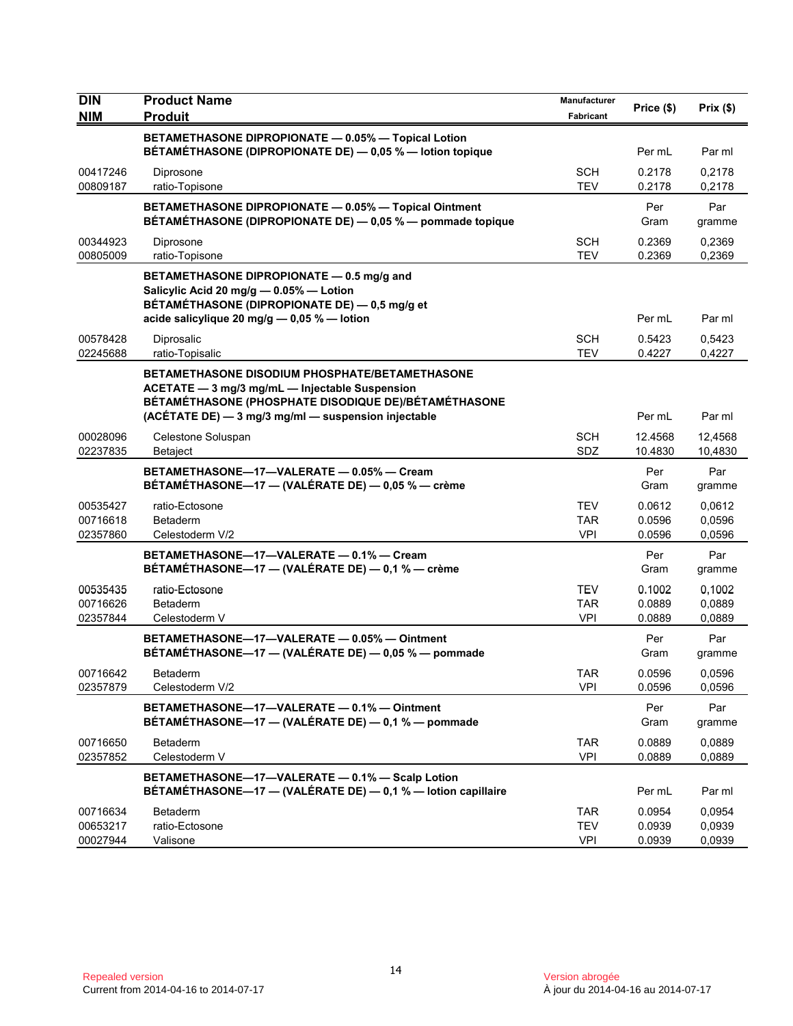| <b>DIN</b>                       | <b>Product Name</b>                                                                                                                                                                                                    | Manufacturer                           | Price (\$)                 | Prix(\$)                   |
|----------------------------------|------------------------------------------------------------------------------------------------------------------------------------------------------------------------------------------------------------------------|----------------------------------------|----------------------------|----------------------------|
| <b>NIM</b>                       | <b>Produit</b>                                                                                                                                                                                                         | Fabricant                              |                            |                            |
|                                  | BETAMETHASONE DIPROPIONATE - 0.05% - Topical Lotion<br>BÉTAMÉTHASONE (DIPROPIONATE DE) - 0,05 % - lotion topique                                                                                                       |                                        | Per mL                     | Par ml                     |
| 00417246<br>00809187             | Diprosone<br>ratio-Topisone                                                                                                                                                                                            | <b>SCH</b><br><b>TEV</b>               | 0.2178<br>0.2178           | 0,2178<br>0,2178           |
|                                  | BETAMETHASONE DIPROPIONATE - 0.05% - Topical Ointment<br>BÉTAMÉTHASONE (DIPROPIONATE DE) - 0,05 % - pommade topique                                                                                                    |                                        | Per<br>Gram                | Par<br>gramme              |
| 00344923<br>00805009             | Diprosone<br>ratio-Topisone                                                                                                                                                                                            | <b>SCH</b><br><b>TEV</b>               | 0.2369<br>0.2369           | 0,2369<br>0,2369           |
|                                  | BETAMETHASONE DIPROPIONATE - 0.5 mg/g and<br>Salicylic Acid 20 mg/g - 0.05% - Lotion<br>BÉTAMÉTHASONE (DIPROPIONATE DE) - 0,5 mg/g et<br>acide salicylique 20 mg/g - 0,05 % - lotion                                   |                                        | Per mL                     | Par ml                     |
| 00578428<br>02245688             | Diprosalic<br>ratio-Topisalic                                                                                                                                                                                          | <b>SCH</b><br><b>TEV</b>               | 0.5423<br>0.4227           | 0,5423<br>0,4227           |
|                                  | <b>BETAMETHASONE DISODIUM PHOSPHATE/BETAMETHASONE</b><br>ACETATE - 3 mg/3 mg/mL - Injectable Suspension<br>BÉTAMÉTHASONE (PHOSPHATE DISODIQUE DE)/BÉTAMÉTHASONE<br>(ACÉTATE DE) - 3 mg/3 mg/ml - suspension injectable |                                        | Per mL                     | Par ml                     |
| 00028096<br>02237835             | Celestone Soluspan<br><b>Betaject</b>                                                                                                                                                                                  | <b>SCH</b><br>SDZ                      | 12.4568<br>10.4830         | 12,4568<br>10,4830         |
|                                  | BETAMETHASONE-17-VALERATE - 0.05% - Cream<br>BÉTAMÉTHASONE-17 - (VALÉRATE DE) - 0,05 % - crème                                                                                                                         |                                        | Per<br>Gram                | Par<br>gramme              |
| 00535427<br>00716618<br>02357860 | ratio-Ectosone<br><b>Betaderm</b><br>Celestoderm V/2                                                                                                                                                                   | <b>TEV</b><br>TAR<br><b>VPI</b>        | 0.0612<br>0.0596<br>0.0596 | 0,0612<br>0,0596<br>0,0596 |
|                                  | BETAMETHASONE-17-VALERATE - 0.1% - Cream<br>BÉTAMÉTHASONE-17 - (VALÉRATE DE) - 0,1 % - crème                                                                                                                           |                                        | Per<br>Gram                | Par<br>gramme              |
| 00535435<br>00716626<br>02357844 | ratio-Ectosone<br><b>Betaderm</b><br>Celestoderm V                                                                                                                                                                     | <b>TEV</b><br><b>TAR</b><br><b>VPI</b> | 0.1002<br>0.0889<br>0.0889 | 0,1002<br>0,0889<br>0,0889 |
|                                  | BETAMETHASONE-17-VALERATE - 0.05% - Ointment<br>BÉTAMÉTHASONE—17 — (VALÉRATE DE) — 0,05 % — pommade                                                                                                                    |                                        | Per<br>Gram                | Par<br>gramme              |
| 00716642<br>02357879             | Betaderm<br>Celestoderm V/2                                                                                                                                                                                            | <b>TAR</b><br><b>VPI</b>               | 0.0596<br>0.0596           | 0,0596<br>0,0596           |
|                                  | BETAMETHASONE-17-VALERATE - 0.1% - Ointment<br>BÉTAMÉTHASONE-17 - (VALÉRATE DE) - 0,1 % - pommade                                                                                                                      |                                        | Per<br>Gram                | Par<br>gramme              |
| 00716650<br>02357852             | Betaderm<br>Celestoderm V                                                                                                                                                                                              | <b>TAR</b><br><b>VPI</b>               | 0.0889<br>0.0889           | 0,0889<br>0,0889           |
|                                  | BETAMETHASONE-17-VALERATE - 0.1% - Scalp Lotion<br>BÉTAMÉTHASONE-17 - (VALÉRATE DE) - 0,1 % - lotion capillaire                                                                                                        |                                        | Per mL                     | Par ml                     |
| 00716634<br>00653217<br>00027944 | <b>Betaderm</b><br>ratio-Ectosone<br>Valisone                                                                                                                                                                          | <b>TAR</b><br><b>TEV</b><br><b>VPI</b> | 0.0954<br>0.0939<br>0.0939 | 0,0954<br>0,0939<br>0,0939 |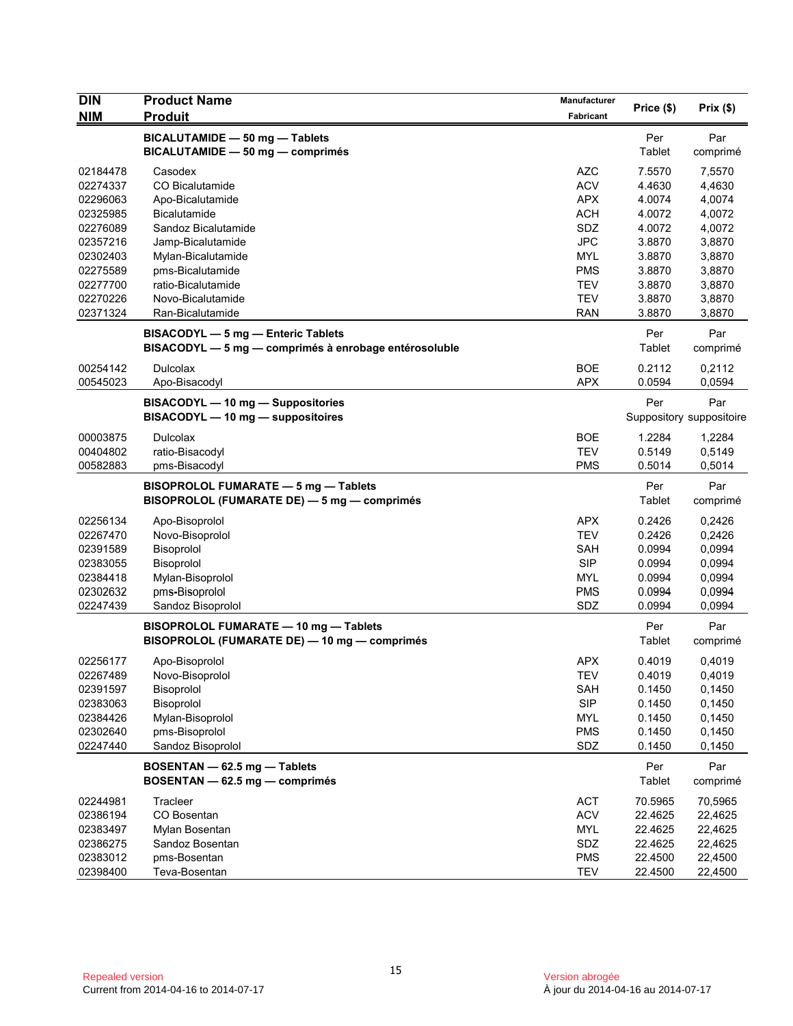| <b>DIN</b><br><b>NIM</b> | <b>Product Name</b><br><b>Produit</b>                              | <b>Manufacturer</b><br>Fabricant | Price (\$)       | Prix(\$)                 |
|--------------------------|--------------------------------------------------------------------|----------------------------------|------------------|--------------------------|
|                          |                                                                    |                                  |                  |                          |
|                          | BICALUTAMIDE - 50 mg - Tablets<br>BICALUTAMIDE - 50 mg - comprimés |                                  | Per<br>Tablet    | Par<br>comprimé          |
|                          |                                                                    |                                  |                  |                          |
| 02184478<br>02274337     | Casodex<br><b>CO Bicalutamide</b>                                  | AZC<br><b>ACV</b>                | 7.5570<br>4.4630 | 7,5570<br>4,4630         |
| 02296063                 | Apo-Bicalutamide                                                   | <b>APX</b>                       | 4.0074           | 4,0074                   |
| 02325985                 | <b>Bicalutamide</b>                                                | <b>ACH</b>                       | 4.0072           | 4,0072                   |
| 02276089                 | Sandoz Bicalutamide                                                | SDZ                              | 4.0072           | 4,0072                   |
| 02357216                 | Jamp-Bicalutamide                                                  | <b>JPC</b>                       | 3.8870           | 3,8870                   |
| 02302403                 | Mylan-Bicalutamide                                                 | <b>MYL</b>                       | 3.8870           | 3,8870                   |
| 02275589                 | pms-Bicalutamide                                                   | <b>PMS</b>                       | 3.8870           | 3,8870                   |
| 02277700                 | ratio-Bicalutamide                                                 | <b>TEV</b>                       | 3.8870           | 3,8870                   |
| 02270226                 | Novo-Bicalutamide                                                  | <b>TEV</b>                       | 3.8870           | 3,8870                   |
| 02371324                 | Ran-Bicalutamide                                                   | <b>RAN</b>                       | 3.8870           | 3,8870                   |
|                          | BISACODYL - 5 mg - Enteric Tablets                                 |                                  | Per              | Par                      |
|                          | BISACODYL - 5 mg - comprimés à enrobage entérosoluble              |                                  | Tablet           | comprimé                 |
| 00254142                 | <b>Dulcolax</b>                                                    | <b>BOE</b>                       | 0.2112           | 0,2112                   |
| 00545023                 | Apo-Bisacodyl                                                      | <b>APX</b>                       | 0.0594           | 0,0594                   |
|                          | BISACODYL - 10 mg - Suppositories                                  |                                  | Per              | Par                      |
|                          | BISACODYL - 10 mg - suppositoires                                  |                                  |                  | Suppository suppositoire |
| 00003875                 | <b>Dulcolax</b>                                                    | <b>BOE</b>                       | 1.2284           | 1,2284                   |
| 00404802                 | ratio-Bisacodyl                                                    | <b>TEV</b>                       | 0.5149           | 0,5149                   |
| 00582883                 | pms-Bisacodyl                                                      | <b>PMS</b>                       | 0.5014           | 0,5014                   |
|                          | BISOPROLOL FUMARATE - 5 mg - Tablets                               |                                  | Per              | Par                      |
|                          | BISOPROLOL (FUMARATE DE) - 5 mg - comprimés                        |                                  | Tablet           | comprimé                 |
| 02256134                 | Apo-Bisoprolol                                                     | APX                              | 0.2426           | 0,2426                   |
| 02267470                 | Novo-Bisoprolol                                                    | <b>TEV</b>                       | 0.2426           | 0,2426                   |
| 02391589                 | Bisoprolol                                                         | SAH                              | 0.0994           | 0,0994                   |
| 02383055                 | Bisoprolol                                                         | <b>SIP</b>                       | 0.0994           | 0,0994                   |
| 02384418                 | Mylan-Bisoprolol                                                   | MYL                              | 0.0994           | 0,0994                   |
| 02302632                 | pms-Bisoprolol                                                     | <b>PMS</b>                       | 0.0994           | 0,0994                   |
| 02247439                 | Sandoz Bisoprolol                                                  | SDZ                              | 0.0994           | 0,0994                   |
|                          | BISOPROLOL FUMARATE - 10 mg - Tablets                              |                                  | Per              | Par                      |
|                          | BISOPROLOL (FUMARATE DE) - 10 mg - comprimés                       |                                  | <b>Tablet</b>    | comprimé                 |
| 02256177                 | Apo-Bisoprolol                                                     | <b>APX</b>                       | 0.4019           | 0,4019                   |
| 02267489                 | Novo-Bisoprolol                                                    | <b>TEV</b>                       | 0.4019           | 0,4019                   |
| 02391597                 | Bisoprolol                                                         | SAH                              | 0.1450           | 0,1450                   |
| 02383063                 | Bisoprolol                                                         | SIP                              | 0.1450           | 0,1450                   |
| 02384426                 | Mylan-Bisoprolol                                                   | <b>MYL</b>                       | 0.1450           | 0,1450                   |
| 02302640                 | pms-Bisoprolol                                                     | <b>PMS</b>                       | 0.1450           | 0,1450                   |
| 02247440                 | Sandoz Bisoprolol                                                  | SDZ                              | 0.1450           | 0,1450                   |
|                          | BOSENTAN - 62.5 mg - Tablets                                       |                                  | Per              | Par                      |
|                          | BOSENTAN - 62.5 mg - comprimés                                     |                                  | Tablet           | comprimé                 |
| 02244981                 | Tracleer                                                           | <b>ACT</b>                       | 70.5965          | 70,5965                  |
| 02386194                 | CO Bosentan                                                        | <b>ACV</b>                       | 22.4625          | 22,4625                  |
| 02383497                 | Mylan Bosentan                                                     | MYL                              | 22.4625          | 22,4625                  |
| 02386275                 | Sandoz Bosentan                                                    | SDZ                              | 22.4625          | 22,4625                  |
| 02383012                 | pms-Bosentan                                                       | <b>PMS</b>                       | 22.4500          | 22,4500                  |
| 02398400                 | Teva-Bosentan                                                      | <b>TEV</b>                       | 22.4500          | 22,4500                  |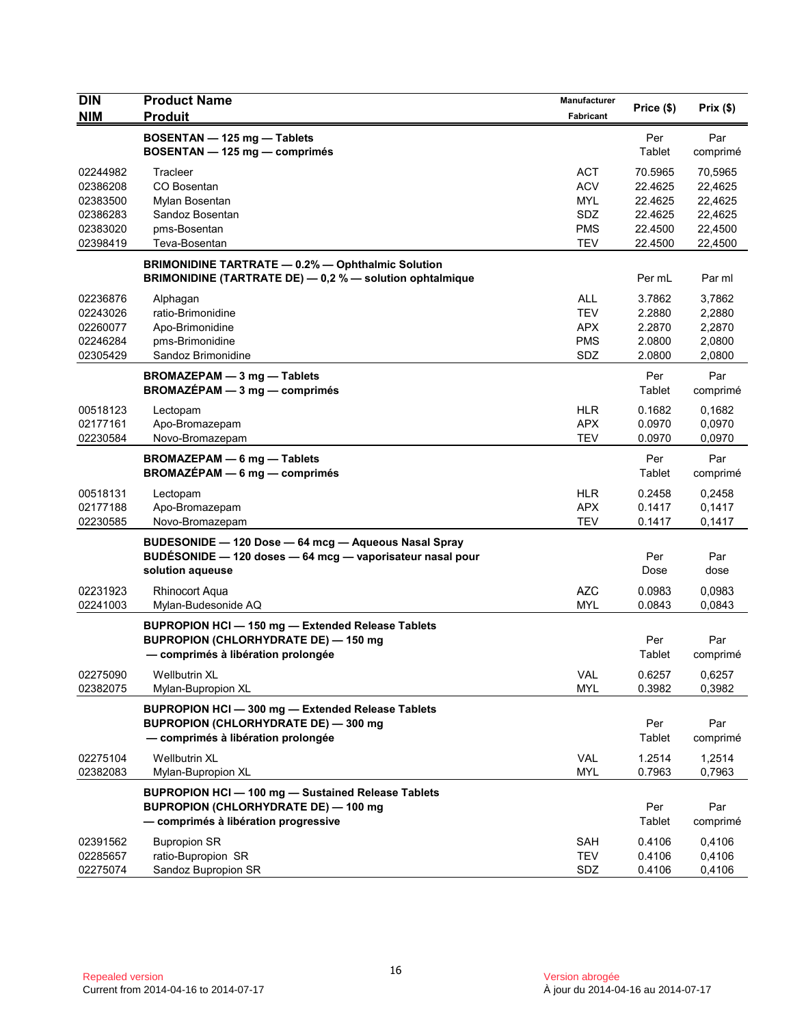| <b>DIN</b>           | <b>Product Name</b>                                                                                                  | Manufacturer      | Price (\$)         | Prix(\$)           |
|----------------------|----------------------------------------------------------------------------------------------------------------------|-------------------|--------------------|--------------------|
| <b>NIM</b>           | <b>Produit</b>                                                                                                       | Fabricant         |                    |                    |
|                      | BOSENTAN - 125 mg - Tablets<br>BOSENTAN - 125 mg - comprimés                                                         |                   | Per<br>Tablet      | Par<br>comprimé    |
| 02244982             | Tracleer                                                                                                             | <b>ACT</b>        | 70.5965            | 70,5965            |
| 02386208             | CO Bosentan                                                                                                          | <b>ACV</b>        | 22.4625            | 22,4625            |
| 02383500             | Mylan Bosentan                                                                                                       | <b>MYL</b>        | 22.4625            | 22,4625            |
| 02386283<br>02383020 | Sandoz Bosentan<br>pms-Bosentan                                                                                      | SDZ<br><b>PMS</b> | 22.4625<br>22.4500 | 22,4625<br>22,4500 |
| 02398419             | Teva-Bosentan                                                                                                        | <b>TEV</b>        | 22.4500            | 22,4500            |
|                      | <b>BRIMONIDINE TARTRATE - 0.2% - Ophthalmic Solution</b><br>BRIMONIDINE (TARTRATE DE) - 0,2 % - solution ophtalmique |                   | Per mL             | Par ml             |
| 02236876             | Alphagan                                                                                                             | <b>ALL</b>        | 3.7862             | 3,7862             |
| 02243026             | ratio-Brimonidine                                                                                                    | <b>TEV</b>        | 2.2880             | 2,2880             |
| 02260077             | Apo-Brimonidine                                                                                                      | <b>APX</b>        | 2.2870             | 2,2870             |
| 02246284             | pms-Brimonidine                                                                                                      | <b>PMS</b>        | 2.0800             | 2,0800             |
| 02305429             | Sandoz Brimonidine                                                                                                   | SDZ               | 2.0800             | 2,0800             |
|                      | BROMAZEPAM - 3 mg - Tablets<br>BROMAZÉPAM - 3 mg - comprimés                                                         |                   | Per<br>Tablet      | Par<br>comprimé    |
| 00518123             | Lectopam                                                                                                             | <b>HLR</b>        | 0.1682             | 0,1682             |
| 02177161             | Apo-Bromazepam                                                                                                       | APX               | 0.0970             | 0,0970             |
| 02230584             | Novo-Bromazepam                                                                                                      | <b>TEV</b>        | 0.0970             | 0,0970             |
|                      | <b>BROMAZEPAM - 6 mg - Tablets</b><br>BROMAZÉPAM - 6 mg - comprimés                                                  |                   | Per<br>Tablet      | Par<br>comprimé    |
| 00518131             | Lectopam                                                                                                             | <b>HLR</b>        | 0.2458             | 0,2458             |
| 02177188             | Apo-Bromazepam                                                                                                       | <b>APX</b>        | 0.1417             | 0,1417             |
| 02230585             | Novo-Bromazepam                                                                                                      | <b>TEV</b>        | 0.1417             | 0,1417             |
|                      | BUDESONIDE - 120 Dose - 64 mcg - Aqueous Nasal Spray                                                                 |                   |                    |                    |
|                      | BUDÉSONIDE - 120 doses - 64 mcg - vaporisateur nasal pour                                                            |                   | Per                | Par                |
|                      | solution aqueuse                                                                                                     |                   | Dose               | dose               |
| 02231923             | <b>Rhinocort Aqua</b>                                                                                                | <b>AZC</b>        | 0.0983             | 0.0983             |
| 02241003             | Mylan-Budesonide AQ                                                                                                  | <b>MYL</b>        | 0.0843             | 0,0843             |
|                      | BUPROPION HCI-150 mg-Extended Release Tablets                                                                        |                   |                    |                    |
|                      | <b>BUPROPION (CHLORHYDRATE DE) - 150 mg</b>                                                                          |                   | Per                | Par                |
|                      | - comprimés à libération prolongée                                                                                   |                   | Tablet             | comprimé           |
| 02275090             | Wellbutrin XL                                                                                                        | VAL               | 0.6257             | 0,6257             |
| 02382075             | Mylan-Bupropion XL                                                                                                   | <b>MYL</b>        | 0.3982             | 0,3982             |
|                      | BUPROPION HCI-300 mg-Extended Release Tablets                                                                        |                   |                    |                    |
|                      | <b>BUPROPION (CHLORHYDRATE DE) - 300 mg</b>                                                                          |                   | Per                | Par                |
|                      | - comprimés à libération prolongée                                                                                   |                   | Tablet             | comprimé           |
| 02275104             | <b>Wellbutrin XL</b>                                                                                                 | <b>VAL</b>        | 1.2514             | 1,2514             |
| 02382083             | Mylan-Bupropion XL                                                                                                   | <b>MYL</b>        | 0.7963             | 0,7963             |
|                      | <b>BUPROPION HCI-100 mg-Sustained Release Tablets</b>                                                                |                   |                    |                    |
|                      | <b>BUPROPION (CHLORHYDRATE DE) - 100 mg</b>                                                                          |                   | Per                | Par                |
|                      | - comprimés à libération progressive                                                                                 |                   | Tablet             | comprimé           |
| 02391562             | <b>Bupropion SR</b>                                                                                                  | SAH               | 0.4106             | 0,4106             |
| 02285657             | ratio-Bupropion SR                                                                                                   | <b>TEV</b>        | 0.4106             | 0,4106             |
| 02275074             | Sandoz Bupropion SR                                                                                                  | SDZ               | 0.4106             | 0,4106             |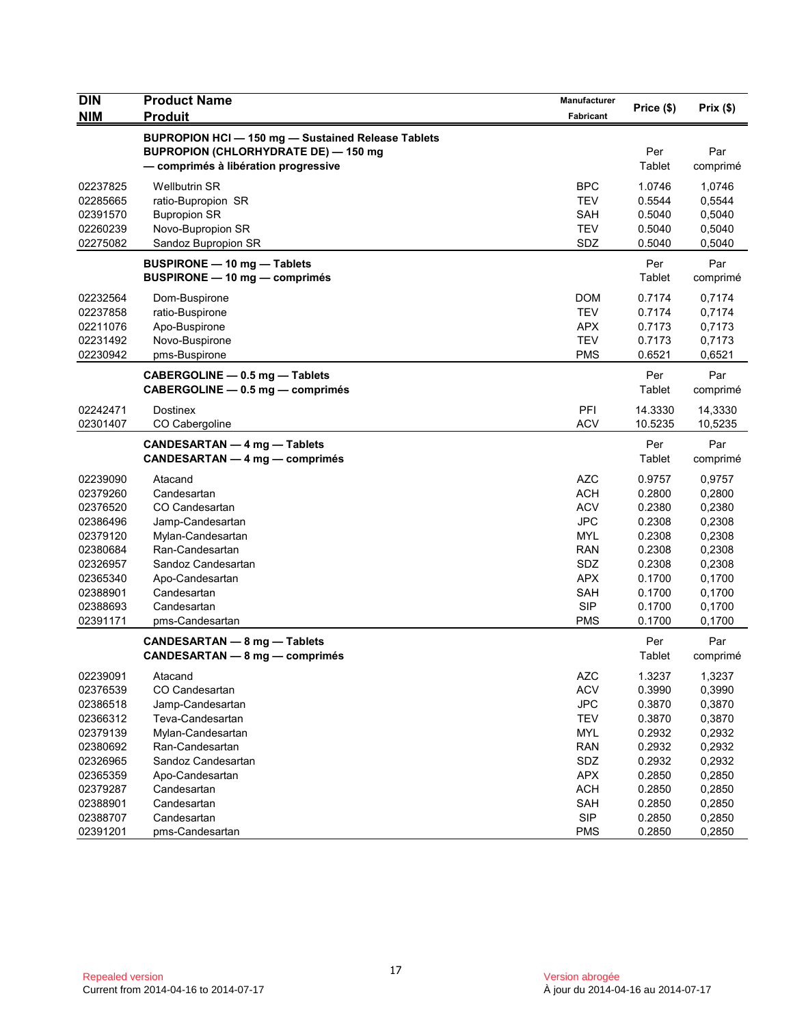| <b>DIN</b> | <b>Product Name</b>                                                                                                                   | Manufacturer | Price (\$)    | Prix(\$)        |
|------------|---------------------------------------------------------------------------------------------------------------------------------------|--------------|---------------|-----------------|
| <b>NIM</b> | <b>Produit</b>                                                                                                                        | Fabricant    |               |                 |
|            | BUPROPION HCI-150 mg-Sustained Release Tablets<br><b>BUPROPION (CHLORHYDRATE DE) - 150 mg</b><br>- comprimés à libération progressive |              | Per<br>Tablet | Par<br>comprimé |
| 02237825   | <b>Wellbutrin SR</b>                                                                                                                  | <b>BPC</b>   | 1.0746        | 1,0746          |
| 02285665   | ratio-Bupropion SR                                                                                                                    | <b>TEV</b>   | 0.5544        | 0,5544          |
| 02391570   | <b>Bupropion SR</b>                                                                                                                   | <b>SAH</b>   | 0.5040        | 0,5040          |
| 02260239   | Novo-Bupropion SR                                                                                                                     | <b>TEV</b>   | 0.5040        | 0,5040          |
| 02275082   | Sandoz Bupropion SR                                                                                                                   | SDZ          | 0.5040        | 0,5040          |
|            | <b>BUSPIRONE - 10 mg - Tablets</b><br>BUSPIRONE - 10 mg - comprimés                                                                   |              | Per<br>Tablet | Par<br>comprimé |
| 02232564   | Dom-Buspirone                                                                                                                         | <b>DOM</b>   | 0.7174        | 0,7174          |
| 02237858   | ratio-Buspirone                                                                                                                       | <b>TEV</b>   | 0.7174        | 0,7174          |
| 02211076   | Apo-Buspirone                                                                                                                         | <b>APX</b>   | 0.7173        | 0,7173          |
| 02231492   | Novo-Buspirone                                                                                                                        | <b>TEV</b>   | 0.7173        | 0,7173          |
| 02230942   | pms-Buspirone                                                                                                                         | <b>PMS</b>   | 0.6521        | 0,6521          |
|            | CABERGOLINE - 0.5 mg - Tablets<br>CABERGOLINE - 0.5 mg - comprimés                                                                    |              | Per<br>Tablet | Par<br>comprimé |
| 02242471   | Dostinex                                                                                                                              | PFI          | 14.3330       | 14,3330         |
| 02301407   | CO Cabergoline                                                                                                                        | <b>ACV</b>   | 10.5235       | 10,5235         |
|            | CANDESARTAN - 4 mg - Tablets<br>CANDESARTAN — 4 mg — comprimés                                                                        |              | Per<br>Tablet | Par<br>comprimé |
| 02239090   | Atacand                                                                                                                               | <b>AZC</b>   | 0.9757        | 0,9757          |
| 02379260   | Candesartan                                                                                                                           | <b>ACH</b>   | 0.2800        | 0,2800          |
| 02376520   | CO Candesartan                                                                                                                        | <b>ACV</b>   | 0.2380        | 0,2380          |
| 02386496   | Jamp-Candesartan                                                                                                                      | <b>JPC</b>   | 0.2308        | 0,2308          |
| 02379120   | Mylan-Candesartan                                                                                                                     | <b>MYL</b>   | 0.2308        | 0,2308          |
| 02380684   | Ran-Candesartan                                                                                                                       | <b>RAN</b>   | 0.2308        | 0,2308          |
| 02326957   | Sandoz Candesartan                                                                                                                    | SDZ          | 0.2308        | 0,2308          |
| 02365340   | Apo-Candesartan                                                                                                                       | <b>APX</b>   | 0.1700        | 0,1700          |
| 02388901   | Candesartan                                                                                                                           | SAH          | 0.1700        | 0,1700          |
| 02388693   | Candesartan                                                                                                                           | <b>SIP</b>   | 0.1700        | 0,1700          |
| 02391171   | pms-Candesartan                                                                                                                       | <b>PMS</b>   | 0.1700        | 0,1700          |
|            | CANDESARTAN - 8 mg - Tablets<br>CANDESARTAN - 8 mg - comprimés                                                                        |              | Per<br>Tablet | Par<br>comprimé |
| 02239091   | Atacand                                                                                                                               | <b>AZC</b>   | 1.3237        | 1,3237          |
| 02376539   | CO Candesartan                                                                                                                        | <b>ACV</b>   | 0.3990        | 0,3990          |
| 02386518   | Jamp-Candesartan                                                                                                                      | <b>JPC</b>   | 0.3870        | 0,3870          |
| 02366312   | Teva-Candesartan                                                                                                                      | <b>TEV</b>   | 0.3870        | 0,3870          |
| 02379139   | Mylan-Candesartan                                                                                                                     | <b>MYL</b>   | 0.2932        | 0,2932          |
| 02380692   | Ran-Candesartan                                                                                                                       | <b>RAN</b>   | 0.2932        | 0,2932          |
| 02326965   | Sandoz Candesartan                                                                                                                    | SDZ          | 0.2932        | 0,2932          |
| 02365359   | Apo-Candesartan                                                                                                                       | <b>APX</b>   | 0.2850        | 0,2850          |
| 02379287   | Candesartan                                                                                                                           | <b>ACH</b>   | 0.2850        | 0,2850          |
| 02388901   | Candesartan                                                                                                                           | SAH          | 0.2850        | 0,2850          |
| 02388707   | Candesartan                                                                                                                           | <b>SIP</b>   | 0.2850        | 0,2850          |
| 02391201   | pms-Candesartan                                                                                                                       | <b>PMS</b>   | 0.2850        | 0,2850          |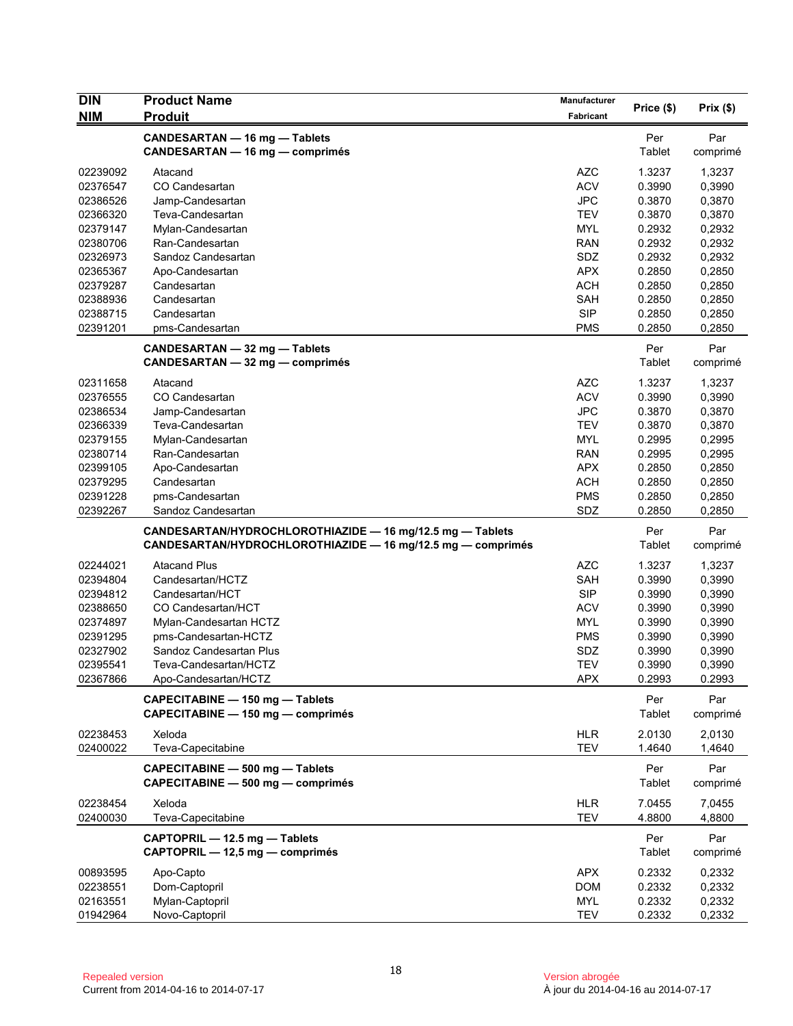| <b>Produit</b><br>Fabricant<br>CANDESARTAN - 16 mg - Tablets<br>Per<br>Par<br><b>CANDESARTAN - 16 mg - comprimés</b><br>Tablet<br>comprimé<br><b>AZC</b><br>1.3237<br>02239092<br>Atacand<br>1,3237<br>CO Candesartan<br><b>ACV</b><br>0.3990<br>0,3990<br>02376547<br><b>JPC</b><br>0.3870<br>0,3870<br>02386526<br>Jamp-Candesartan<br><b>TEV</b><br>0,3870<br>02366320<br>Teva-Candesartan<br>0.3870<br>02379147<br><b>MYL</b><br>0.2932<br>0,2932<br>Mylan-Candesartan<br>02380706<br><b>RAN</b><br>0.2932<br>0,2932<br>Ran-Candesartan<br>Sandoz Candesartan<br>SDZ<br>0.2932<br>0,2932<br>02326973<br>02365367<br><b>APX</b><br>0.2850<br>0,2850<br>Apo-Candesartan<br><b>ACH</b><br>02379287<br>0.2850<br>0,2850<br>Candesartan<br><b>SAH</b><br>0.2850<br>0,2850<br>02388936<br>Candesartan<br><b>SIP</b><br>Candesartan<br>0.2850<br>0,2850<br>02388715<br>02391201<br><b>PMS</b><br>0.2850<br>0,2850<br>pms-Candesartan<br>Per<br>Par<br>CANDESARTAN - 32 mg - Tablets<br>CANDESARTAN - 32 mg - comprimés<br>Tablet<br>comprimé<br><b>AZC</b><br>1.3237<br>02311658<br>Atacand<br>1,3237<br>CO Candesartan<br><b>ACV</b><br>0.3990<br>0,3990<br>02376555<br><b>JPC</b><br>0.3870<br>0,3870<br>02386534<br>Jamp-Candesartan<br>02366339<br><b>TEV</b><br>0.3870<br>0,3870<br>Teva-Candesartan<br><b>MYL</b><br>0.2995<br>0,2995<br>02379155<br>Mylan-Candesartan<br><b>RAN</b><br>0.2995<br>0,2995<br>02380714<br>Ran-Candesartan<br>02399105<br><b>APX</b><br>0.2850<br>0,2850<br>Apo-Candesartan<br>Candesartan<br><b>ACH</b><br>02379295<br>0.2850<br>0,2850<br><b>PMS</b><br>02391228<br>pms-Candesartan<br>0.2850<br>0,2850<br>02392267<br>SDZ<br>Sandoz Candesartan<br>0.2850<br>0,2850<br>Per<br>CANDESARTAN/HYDROCHLOROTHIAZIDE - 16 mg/12.5 mg - Tablets<br>Par<br>Tablet<br>CANDESARTAN/HYDROCHLOROTHIAZIDE - 16 mg/12.5 mg - comprimés<br>comprimé<br><b>Atacand Plus</b><br><b>AZC</b><br>1.3237<br>02244021<br>1,3237<br>02394804<br>Candesartan/HCTZ<br><b>SAH</b><br>0.3990<br>0,3990<br>SIP<br>02394812<br>0.3990<br>0,3990<br>Candesartan/HCT<br>02388650<br><b>ACV</b><br>0.3990<br>0,3990<br>CO Candesartan/HCT<br><b>MYL</b><br>02374897<br>0.3990<br>0,3990<br>Mylan-Candesartan HCTZ<br><b>PMS</b><br>02391295<br>pms-Candesartan-HCTZ<br>0.3990<br>0,3990<br>02327902<br>Sandoz Candesartan Plus<br>SDZ<br>0,3990<br>0.3990<br><b>TEV</b><br>02395541<br>Teva-Candesartan/HCTZ<br>0.3990<br>0,3990<br>APX<br>0.2993<br>0.2993<br>02367866<br>Apo-Candesartan/HCTZ<br>Per<br>Par<br>CAPECITABINE - 150 mg - Tablets<br>Tablet<br>CAPECITABINE - 150 mg - comprimés<br>comprimé<br><b>HLR</b><br>2.0130<br>02238453<br>Xeloda<br>2,0130<br>Teva-Capecitabine<br><b>TEV</b><br>02400022<br>1.4640<br>1,4640<br>Per<br>Par<br>CAPECITABINE - 500 mg - Tablets<br>CAPECITABINE - 500 mg - comprimés<br>Tablet<br>comprimé<br><b>HLR</b><br>7.0455<br>02238454<br>Xeloda<br>7,0455<br><b>TEV</b><br>02400030<br>Teva-Capecitabine<br>4.8800<br>4,8800<br>Per<br>Par<br>CAPTOPRIL - 12.5 mg - Tablets<br>CAPTOPRIL - 12,5 mg - comprimés<br>Tablet<br>comprimé<br>00893595<br><b>APX</b><br>0.2332<br>0,2332<br>Apo-Capto<br>Dom-Captopril<br><b>DOM</b><br>0.2332<br>0,2332<br>02238551<br>02163551<br>Mylan-Captopril<br><b>MYL</b><br>0.2332<br>0,2332<br>01942964<br>Novo-Captopril<br><b>TEV</b><br>0.2332<br>0,2332 | <b>DIN</b> | <b>Product Name</b> | Manufacturer | Price (\$) | Prix(\$) |
|----------------------------------------------------------------------------------------------------------------------------------------------------------------------------------------------------------------------------------------------------------------------------------------------------------------------------------------------------------------------------------------------------------------------------------------------------------------------------------------------------------------------------------------------------------------------------------------------------------------------------------------------------------------------------------------------------------------------------------------------------------------------------------------------------------------------------------------------------------------------------------------------------------------------------------------------------------------------------------------------------------------------------------------------------------------------------------------------------------------------------------------------------------------------------------------------------------------------------------------------------------------------------------------------------------------------------------------------------------------------------------------------------------------------------------------------------------------------------------------------------------------------------------------------------------------------------------------------------------------------------------------------------------------------------------------------------------------------------------------------------------------------------------------------------------------------------------------------------------------------------------------------------------------------------------------------------------------------------------------------------------------------------------------------------------------------------------------------------------------------------------------------------------------------------------------------------------------------------------------------------------------------------------------------------------------------------------------------------------------------------------------------------------------------------------------------------------------------------------------------------------------------------------------------------------------------------------------------------------------------------------------------------------------------------------------------------------------------------------------------------------------------------------------------------------------------------------------------------------------------------------------------------------------------------------------------------------------------------------------------------------------------------------------------------------------------------------------------------------------------------------------------------------------------------------------------------------------------------------------------------------------------------------------------------------------------------------------------------|------------|---------------------|--------------|------------|----------|
|                                                                                                                                                                                                                                                                                                                                                                                                                                                                                                                                                                                                                                                                                                                                                                                                                                                                                                                                                                                                                                                                                                                                                                                                                                                                                                                                                                                                                                                                                                                                                                                                                                                                                                                                                                                                                                                                                                                                                                                                                                                                                                                                                                                                                                                                                                                                                                                                                                                                                                                                                                                                                                                                                                                                                                                                                                                                                                                                                                                                                                                                                                                                                                                                                                                                                                                                                    | NIM        |                     |              |            |          |
|                                                                                                                                                                                                                                                                                                                                                                                                                                                                                                                                                                                                                                                                                                                                                                                                                                                                                                                                                                                                                                                                                                                                                                                                                                                                                                                                                                                                                                                                                                                                                                                                                                                                                                                                                                                                                                                                                                                                                                                                                                                                                                                                                                                                                                                                                                                                                                                                                                                                                                                                                                                                                                                                                                                                                                                                                                                                                                                                                                                                                                                                                                                                                                                                                                                                                                                                                    |            |                     |              |            |          |
|                                                                                                                                                                                                                                                                                                                                                                                                                                                                                                                                                                                                                                                                                                                                                                                                                                                                                                                                                                                                                                                                                                                                                                                                                                                                                                                                                                                                                                                                                                                                                                                                                                                                                                                                                                                                                                                                                                                                                                                                                                                                                                                                                                                                                                                                                                                                                                                                                                                                                                                                                                                                                                                                                                                                                                                                                                                                                                                                                                                                                                                                                                                                                                                                                                                                                                                                                    |            |                     |              |            |          |
|                                                                                                                                                                                                                                                                                                                                                                                                                                                                                                                                                                                                                                                                                                                                                                                                                                                                                                                                                                                                                                                                                                                                                                                                                                                                                                                                                                                                                                                                                                                                                                                                                                                                                                                                                                                                                                                                                                                                                                                                                                                                                                                                                                                                                                                                                                                                                                                                                                                                                                                                                                                                                                                                                                                                                                                                                                                                                                                                                                                                                                                                                                                                                                                                                                                                                                                                                    |            |                     |              |            |          |
|                                                                                                                                                                                                                                                                                                                                                                                                                                                                                                                                                                                                                                                                                                                                                                                                                                                                                                                                                                                                                                                                                                                                                                                                                                                                                                                                                                                                                                                                                                                                                                                                                                                                                                                                                                                                                                                                                                                                                                                                                                                                                                                                                                                                                                                                                                                                                                                                                                                                                                                                                                                                                                                                                                                                                                                                                                                                                                                                                                                                                                                                                                                                                                                                                                                                                                                                                    |            |                     |              |            |          |
|                                                                                                                                                                                                                                                                                                                                                                                                                                                                                                                                                                                                                                                                                                                                                                                                                                                                                                                                                                                                                                                                                                                                                                                                                                                                                                                                                                                                                                                                                                                                                                                                                                                                                                                                                                                                                                                                                                                                                                                                                                                                                                                                                                                                                                                                                                                                                                                                                                                                                                                                                                                                                                                                                                                                                                                                                                                                                                                                                                                                                                                                                                                                                                                                                                                                                                                                                    |            |                     |              |            |          |
|                                                                                                                                                                                                                                                                                                                                                                                                                                                                                                                                                                                                                                                                                                                                                                                                                                                                                                                                                                                                                                                                                                                                                                                                                                                                                                                                                                                                                                                                                                                                                                                                                                                                                                                                                                                                                                                                                                                                                                                                                                                                                                                                                                                                                                                                                                                                                                                                                                                                                                                                                                                                                                                                                                                                                                                                                                                                                                                                                                                                                                                                                                                                                                                                                                                                                                                                                    |            |                     |              |            |          |
|                                                                                                                                                                                                                                                                                                                                                                                                                                                                                                                                                                                                                                                                                                                                                                                                                                                                                                                                                                                                                                                                                                                                                                                                                                                                                                                                                                                                                                                                                                                                                                                                                                                                                                                                                                                                                                                                                                                                                                                                                                                                                                                                                                                                                                                                                                                                                                                                                                                                                                                                                                                                                                                                                                                                                                                                                                                                                                                                                                                                                                                                                                                                                                                                                                                                                                                                                    |            |                     |              |            |          |
|                                                                                                                                                                                                                                                                                                                                                                                                                                                                                                                                                                                                                                                                                                                                                                                                                                                                                                                                                                                                                                                                                                                                                                                                                                                                                                                                                                                                                                                                                                                                                                                                                                                                                                                                                                                                                                                                                                                                                                                                                                                                                                                                                                                                                                                                                                                                                                                                                                                                                                                                                                                                                                                                                                                                                                                                                                                                                                                                                                                                                                                                                                                                                                                                                                                                                                                                                    |            |                     |              |            |          |
|                                                                                                                                                                                                                                                                                                                                                                                                                                                                                                                                                                                                                                                                                                                                                                                                                                                                                                                                                                                                                                                                                                                                                                                                                                                                                                                                                                                                                                                                                                                                                                                                                                                                                                                                                                                                                                                                                                                                                                                                                                                                                                                                                                                                                                                                                                                                                                                                                                                                                                                                                                                                                                                                                                                                                                                                                                                                                                                                                                                                                                                                                                                                                                                                                                                                                                                                                    |            |                     |              |            |          |
|                                                                                                                                                                                                                                                                                                                                                                                                                                                                                                                                                                                                                                                                                                                                                                                                                                                                                                                                                                                                                                                                                                                                                                                                                                                                                                                                                                                                                                                                                                                                                                                                                                                                                                                                                                                                                                                                                                                                                                                                                                                                                                                                                                                                                                                                                                                                                                                                                                                                                                                                                                                                                                                                                                                                                                                                                                                                                                                                                                                                                                                                                                                                                                                                                                                                                                                                                    |            |                     |              |            |          |
|                                                                                                                                                                                                                                                                                                                                                                                                                                                                                                                                                                                                                                                                                                                                                                                                                                                                                                                                                                                                                                                                                                                                                                                                                                                                                                                                                                                                                                                                                                                                                                                                                                                                                                                                                                                                                                                                                                                                                                                                                                                                                                                                                                                                                                                                                                                                                                                                                                                                                                                                                                                                                                                                                                                                                                                                                                                                                                                                                                                                                                                                                                                                                                                                                                                                                                                                                    |            |                     |              |            |          |
|                                                                                                                                                                                                                                                                                                                                                                                                                                                                                                                                                                                                                                                                                                                                                                                                                                                                                                                                                                                                                                                                                                                                                                                                                                                                                                                                                                                                                                                                                                                                                                                                                                                                                                                                                                                                                                                                                                                                                                                                                                                                                                                                                                                                                                                                                                                                                                                                                                                                                                                                                                                                                                                                                                                                                                                                                                                                                                                                                                                                                                                                                                                                                                                                                                                                                                                                                    |            |                     |              |            |          |
|                                                                                                                                                                                                                                                                                                                                                                                                                                                                                                                                                                                                                                                                                                                                                                                                                                                                                                                                                                                                                                                                                                                                                                                                                                                                                                                                                                                                                                                                                                                                                                                                                                                                                                                                                                                                                                                                                                                                                                                                                                                                                                                                                                                                                                                                                                                                                                                                                                                                                                                                                                                                                                                                                                                                                                                                                                                                                                                                                                                                                                                                                                                                                                                                                                                                                                                                                    |            |                     |              |            |          |
|                                                                                                                                                                                                                                                                                                                                                                                                                                                                                                                                                                                                                                                                                                                                                                                                                                                                                                                                                                                                                                                                                                                                                                                                                                                                                                                                                                                                                                                                                                                                                                                                                                                                                                                                                                                                                                                                                                                                                                                                                                                                                                                                                                                                                                                                                                                                                                                                                                                                                                                                                                                                                                                                                                                                                                                                                                                                                                                                                                                                                                                                                                                                                                                                                                                                                                                                                    |            |                     |              |            |          |
|                                                                                                                                                                                                                                                                                                                                                                                                                                                                                                                                                                                                                                                                                                                                                                                                                                                                                                                                                                                                                                                                                                                                                                                                                                                                                                                                                                                                                                                                                                                                                                                                                                                                                                                                                                                                                                                                                                                                                                                                                                                                                                                                                                                                                                                                                                                                                                                                                                                                                                                                                                                                                                                                                                                                                                                                                                                                                                                                                                                                                                                                                                                                                                                                                                                                                                                                                    |            |                     |              |            |          |
|                                                                                                                                                                                                                                                                                                                                                                                                                                                                                                                                                                                                                                                                                                                                                                                                                                                                                                                                                                                                                                                                                                                                                                                                                                                                                                                                                                                                                                                                                                                                                                                                                                                                                                                                                                                                                                                                                                                                                                                                                                                                                                                                                                                                                                                                                                                                                                                                                                                                                                                                                                                                                                                                                                                                                                                                                                                                                                                                                                                                                                                                                                                                                                                                                                                                                                                                                    |            |                     |              |            |          |
|                                                                                                                                                                                                                                                                                                                                                                                                                                                                                                                                                                                                                                                                                                                                                                                                                                                                                                                                                                                                                                                                                                                                                                                                                                                                                                                                                                                                                                                                                                                                                                                                                                                                                                                                                                                                                                                                                                                                                                                                                                                                                                                                                                                                                                                                                                                                                                                                                                                                                                                                                                                                                                                                                                                                                                                                                                                                                                                                                                                                                                                                                                                                                                                                                                                                                                                                                    |            |                     |              |            |          |
|                                                                                                                                                                                                                                                                                                                                                                                                                                                                                                                                                                                                                                                                                                                                                                                                                                                                                                                                                                                                                                                                                                                                                                                                                                                                                                                                                                                                                                                                                                                                                                                                                                                                                                                                                                                                                                                                                                                                                                                                                                                                                                                                                                                                                                                                                                                                                                                                                                                                                                                                                                                                                                                                                                                                                                                                                                                                                                                                                                                                                                                                                                                                                                                                                                                                                                                                                    |            |                     |              |            |          |
|                                                                                                                                                                                                                                                                                                                                                                                                                                                                                                                                                                                                                                                                                                                                                                                                                                                                                                                                                                                                                                                                                                                                                                                                                                                                                                                                                                                                                                                                                                                                                                                                                                                                                                                                                                                                                                                                                                                                                                                                                                                                                                                                                                                                                                                                                                                                                                                                                                                                                                                                                                                                                                                                                                                                                                                                                                                                                                                                                                                                                                                                                                                                                                                                                                                                                                                                                    |            |                     |              |            |          |
|                                                                                                                                                                                                                                                                                                                                                                                                                                                                                                                                                                                                                                                                                                                                                                                                                                                                                                                                                                                                                                                                                                                                                                                                                                                                                                                                                                                                                                                                                                                                                                                                                                                                                                                                                                                                                                                                                                                                                                                                                                                                                                                                                                                                                                                                                                                                                                                                                                                                                                                                                                                                                                                                                                                                                                                                                                                                                                                                                                                                                                                                                                                                                                                                                                                                                                                                                    |            |                     |              |            |          |
|                                                                                                                                                                                                                                                                                                                                                                                                                                                                                                                                                                                                                                                                                                                                                                                                                                                                                                                                                                                                                                                                                                                                                                                                                                                                                                                                                                                                                                                                                                                                                                                                                                                                                                                                                                                                                                                                                                                                                                                                                                                                                                                                                                                                                                                                                                                                                                                                                                                                                                                                                                                                                                                                                                                                                                                                                                                                                                                                                                                                                                                                                                                                                                                                                                                                                                                                                    |            |                     |              |            |          |
|                                                                                                                                                                                                                                                                                                                                                                                                                                                                                                                                                                                                                                                                                                                                                                                                                                                                                                                                                                                                                                                                                                                                                                                                                                                                                                                                                                                                                                                                                                                                                                                                                                                                                                                                                                                                                                                                                                                                                                                                                                                                                                                                                                                                                                                                                                                                                                                                                                                                                                                                                                                                                                                                                                                                                                                                                                                                                                                                                                                                                                                                                                                                                                                                                                                                                                                                                    |            |                     |              |            |          |
|                                                                                                                                                                                                                                                                                                                                                                                                                                                                                                                                                                                                                                                                                                                                                                                                                                                                                                                                                                                                                                                                                                                                                                                                                                                                                                                                                                                                                                                                                                                                                                                                                                                                                                                                                                                                                                                                                                                                                                                                                                                                                                                                                                                                                                                                                                                                                                                                                                                                                                                                                                                                                                                                                                                                                                                                                                                                                                                                                                                                                                                                                                                                                                                                                                                                                                                                                    |            |                     |              |            |          |
|                                                                                                                                                                                                                                                                                                                                                                                                                                                                                                                                                                                                                                                                                                                                                                                                                                                                                                                                                                                                                                                                                                                                                                                                                                                                                                                                                                                                                                                                                                                                                                                                                                                                                                                                                                                                                                                                                                                                                                                                                                                                                                                                                                                                                                                                                                                                                                                                                                                                                                                                                                                                                                                                                                                                                                                                                                                                                                                                                                                                                                                                                                                                                                                                                                                                                                                                                    |            |                     |              |            |          |
|                                                                                                                                                                                                                                                                                                                                                                                                                                                                                                                                                                                                                                                                                                                                                                                                                                                                                                                                                                                                                                                                                                                                                                                                                                                                                                                                                                                                                                                                                                                                                                                                                                                                                                                                                                                                                                                                                                                                                                                                                                                                                                                                                                                                                                                                                                                                                                                                                                                                                                                                                                                                                                                                                                                                                                                                                                                                                                                                                                                                                                                                                                                                                                                                                                                                                                                                                    |            |                     |              |            |          |
|                                                                                                                                                                                                                                                                                                                                                                                                                                                                                                                                                                                                                                                                                                                                                                                                                                                                                                                                                                                                                                                                                                                                                                                                                                                                                                                                                                                                                                                                                                                                                                                                                                                                                                                                                                                                                                                                                                                                                                                                                                                                                                                                                                                                                                                                                                                                                                                                                                                                                                                                                                                                                                                                                                                                                                                                                                                                                                                                                                                                                                                                                                                                                                                                                                                                                                                                                    |            |                     |              |            |          |
|                                                                                                                                                                                                                                                                                                                                                                                                                                                                                                                                                                                                                                                                                                                                                                                                                                                                                                                                                                                                                                                                                                                                                                                                                                                                                                                                                                                                                                                                                                                                                                                                                                                                                                                                                                                                                                                                                                                                                                                                                                                                                                                                                                                                                                                                                                                                                                                                                                                                                                                                                                                                                                                                                                                                                                                                                                                                                                                                                                                                                                                                                                                                                                                                                                                                                                                                                    |            |                     |              |            |          |
|                                                                                                                                                                                                                                                                                                                                                                                                                                                                                                                                                                                                                                                                                                                                                                                                                                                                                                                                                                                                                                                                                                                                                                                                                                                                                                                                                                                                                                                                                                                                                                                                                                                                                                                                                                                                                                                                                                                                                                                                                                                                                                                                                                                                                                                                                                                                                                                                                                                                                                                                                                                                                                                                                                                                                                                                                                                                                                                                                                                                                                                                                                                                                                                                                                                                                                                                                    |            |                     |              |            |          |
|                                                                                                                                                                                                                                                                                                                                                                                                                                                                                                                                                                                                                                                                                                                                                                                                                                                                                                                                                                                                                                                                                                                                                                                                                                                                                                                                                                                                                                                                                                                                                                                                                                                                                                                                                                                                                                                                                                                                                                                                                                                                                                                                                                                                                                                                                                                                                                                                                                                                                                                                                                                                                                                                                                                                                                                                                                                                                                                                                                                                                                                                                                                                                                                                                                                                                                                                                    |            |                     |              |            |          |
|                                                                                                                                                                                                                                                                                                                                                                                                                                                                                                                                                                                                                                                                                                                                                                                                                                                                                                                                                                                                                                                                                                                                                                                                                                                                                                                                                                                                                                                                                                                                                                                                                                                                                                                                                                                                                                                                                                                                                                                                                                                                                                                                                                                                                                                                                                                                                                                                                                                                                                                                                                                                                                                                                                                                                                                                                                                                                                                                                                                                                                                                                                                                                                                                                                                                                                                                                    |            |                     |              |            |          |
|                                                                                                                                                                                                                                                                                                                                                                                                                                                                                                                                                                                                                                                                                                                                                                                                                                                                                                                                                                                                                                                                                                                                                                                                                                                                                                                                                                                                                                                                                                                                                                                                                                                                                                                                                                                                                                                                                                                                                                                                                                                                                                                                                                                                                                                                                                                                                                                                                                                                                                                                                                                                                                                                                                                                                                                                                                                                                                                                                                                                                                                                                                                                                                                                                                                                                                                                                    |            |                     |              |            |          |
|                                                                                                                                                                                                                                                                                                                                                                                                                                                                                                                                                                                                                                                                                                                                                                                                                                                                                                                                                                                                                                                                                                                                                                                                                                                                                                                                                                                                                                                                                                                                                                                                                                                                                                                                                                                                                                                                                                                                                                                                                                                                                                                                                                                                                                                                                                                                                                                                                                                                                                                                                                                                                                                                                                                                                                                                                                                                                                                                                                                                                                                                                                                                                                                                                                                                                                                                                    |            |                     |              |            |          |
|                                                                                                                                                                                                                                                                                                                                                                                                                                                                                                                                                                                                                                                                                                                                                                                                                                                                                                                                                                                                                                                                                                                                                                                                                                                                                                                                                                                                                                                                                                                                                                                                                                                                                                                                                                                                                                                                                                                                                                                                                                                                                                                                                                                                                                                                                                                                                                                                                                                                                                                                                                                                                                                                                                                                                                                                                                                                                                                                                                                                                                                                                                                                                                                                                                                                                                                                                    |            |                     |              |            |          |
|                                                                                                                                                                                                                                                                                                                                                                                                                                                                                                                                                                                                                                                                                                                                                                                                                                                                                                                                                                                                                                                                                                                                                                                                                                                                                                                                                                                                                                                                                                                                                                                                                                                                                                                                                                                                                                                                                                                                                                                                                                                                                                                                                                                                                                                                                                                                                                                                                                                                                                                                                                                                                                                                                                                                                                                                                                                                                                                                                                                                                                                                                                                                                                                                                                                                                                                                                    |            |                     |              |            |          |
|                                                                                                                                                                                                                                                                                                                                                                                                                                                                                                                                                                                                                                                                                                                                                                                                                                                                                                                                                                                                                                                                                                                                                                                                                                                                                                                                                                                                                                                                                                                                                                                                                                                                                                                                                                                                                                                                                                                                                                                                                                                                                                                                                                                                                                                                                                                                                                                                                                                                                                                                                                                                                                                                                                                                                                                                                                                                                                                                                                                                                                                                                                                                                                                                                                                                                                                                                    |            |                     |              |            |          |
|                                                                                                                                                                                                                                                                                                                                                                                                                                                                                                                                                                                                                                                                                                                                                                                                                                                                                                                                                                                                                                                                                                                                                                                                                                                                                                                                                                                                                                                                                                                                                                                                                                                                                                                                                                                                                                                                                                                                                                                                                                                                                                                                                                                                                                                                                                                                                                                                                                                                                                                                                                                                                                                                                                                                                                                                                                                                                                                                                                                                                                                                                                                                                                                                                                                                                                                                                    |            |                     |              |            |          |
|                                                                                                                                                                                                                                                                                                                                                                                                                                                                                                                                                                                                                                                                                                                                                                                                                                                                                                                                                                                                                                                                                                                                                                                                                                                                                                                                                                                                                                                                                                                                                                                                                                                                                                                                                                                                                                                                                                                                                                                                                                                                                                                                                                                                                                                                                                                                                                                                                                                                                                                                                                                                                                                                                                                                                                                                                                                                                                                                                                                                                                                                                                                                                                                                                                                                                                                                                    |            |                     |              |            |          |
|                                                                                                                                                                                                                                                                                                                                                                                                                                                                                                                                                                                                                                                                                                                                                                                                                                                                                                                                                                                                                                                                                                                                                                                                                                                                                                                                                                                                                                                                                                                                                                                                                                                                                                                                                                                                                                                                                                                                                                                                                                                                                                                                                                                                                                                                                                                                                                                                                                                                                                                                                                                                                                                                                                                                                                                                                                                                                                                                                                                                                                                                                                                                                                                                                                                                                                                                                    |            |                     |              |            |          |
|                                                                                                                                                                                                                                                                                                                                                                                                                                                                                                                                                                                                                                                                                                                                                                                                                                                                                                                                                                                                                                                                                                                                                                                                                                                                                                                                                                                                                                                                                                                                                                                                                                                                                                                                                                                                                                                                                                                                                                                                                                                                                                                                                                                                                                                                                                                                                                                                                                                                                                                                                                                                                                                                                                                                                                                                                                                                                                                                                                                                                                                                                                                                                                                                                                                                                                                                                    |            |                     |              |            |          |
|                                                                                                                                                                                                                                                                                                                                                                                                                                                                                                                                                                                                                                                                                                                                                                                                                                                                                                                                                                                                                                                                                                                                                                                                                                                                                                                                                                                                                                                                                                                                                                                                                                                                                                                                                                                                                                                                                                                                                                                                                                                                                                                                                                                                                                                                                                                                                                                                                                                                                                                                                                                                                                                                                                                                                                                                                                                                                                                                                                                                                                                                                                                                                                                                                                                                                                                                                    |            |                     |              |            |          |
|                                                                                                                                                                                                                                                                                                                                                                                                                                                                                                                                                                                                                                                                                                                                                                                                                                                                                                                                                                                                                                                                                                                                                                                                                                                                                                                                                                                                                                                                                                                                                                                                                                                                                                                                                                                                                                                                                                                                                                                                                                                                                                                                                                                                                                                                                                                                                                                                                                                                                                                                                                                                                                                                                                                                                                                                                                                                                                                                                                                                                                                                                                                                                                                                                                                                                                                                                    |            |                     |              |            |          |
|                                                                                                                                                                                                                                                                                                                                                                                                                                                                                                                                                                                                                                                                                                                                                                                                                                                                                                                                                                                                                                                                                                                                                                                                                                                                                                                                                                                                                                                                                                                                                                                                                                                                                                                                                                                                                                                                                                                                                                                                                                                                                                                                                                                                                                                                                                                                                                                                                                                                                                                                                                                                                                                                                                                                                                                                                                                                                                                                                                                                                                                                                                                                                                                                                                                                                                                                                    |            |                     |              |            |          |
|                                                                                                                                                                                                                                                                                                                                                                                                                                                                                                                                                                                                                                                                                                                                                                                                                                                                                                                                                                                                                                                                                                                                                                                                                                                                                                                                                                                                                                                                                                                                                                                                                                                                                                                                                                                                                                                                                                                                                                                                                                                                                                                                                                                                                                                                                                                                                                                                                                                                                                                                                                                                                                                                                                                                                                                                                                                                                                                                                                                                                                                                                                                                                                                                                                                                                                                                                    |            |                     |              |            |          |
|                                                                                                                                                                                                                                                                                                                                                                                                                                                                                                                                                                                                                                                                                                                                                                                                                                                                                                                                                                                                                                                                                                                                                                                                                                                                                                                                                                                                                                                                                                                                                                                                                                                                                                                                                                                                                                                                                                                                                                                                                                                                                                                                                                                                                                                                                                                                                                                                                                                                                                                                                                                                                                                                                                                                                                                                                                                                                                                                                                                                                                                                                                                                                                                                                                                                                                                                                    |            |                     |              |            |          |
|                                                                                                                                                                                                                                                                                                                                                                                                                                                                                                                                                                                                                                                                                                                                                                                                                                                                                                                                                                                                                                                                                                                                                                                                                                                                                                                                                                                                                                                                                                                                                                                                                                                                                                                                                                                                                                                                                                                                                                                                                                                                                                                                                                                                                                                                                                                                                                                                                                                                                                                                                                                                                                                                                                                                                                                                                                                                                                                                                                                                                                                                                                                                                                                                                                                                                                                                                    |            |                     |              |            |          |
|                                                                                                                                                                                                                                                                                                                                                                                                                                                                                                                                                                                                                                                                                                                                                                                                                                                                                                                                                                                                                                                                                                                                                                                                                                                                                                                                                                                                                                                                                                                                                                                                                                                                                                                                                                                                                                                                                                                                                                                                                                                                                                                                                                                                                                                                                                                                                                                                                                                                                                                                                                                                                                                                                                                                                                                                                                                                                                                                                                                                                                                                                                                                                                                                                                                                                                                                                    |            |                     |              |            |          |
|                                                                                                                                                                                                                                                                                                                                                                                                                                                                                                                                                                                                                                                                                                                                                                                                                                                                                                                                                                                                                                                                                                                                                                                                                                                                                                                                                                                                                                                                                                                                                                                                                                                                                                                                                                                                                                                                                                                                                                                                                                                                                                                                                                                                                                                                                                                                                                                                                                                                                                                                                                                                                                                                                                                                                                                                                                                                                                                                                                                                                                                                                                                                                                                                                                                                                                                                                    |            |                     |              |            |          |
|                                                                                                                                                                                                                                                                                                                                                                                                                                                                                                                                                                                                                                                                                                                                                                                                                                                                                                                                                                                                                                                                                                                                                                                                                                                                                                                                                                                                                                                                                                                                                                                                                                                                                                                                                                                                                                                                                                                                                                                                                                                                                                                                                                                                                                                                                                                                                                                                                                                                                                                                                                                                                                                                                                                                                                                                                                                                                                                                                                                                                                                                                                                                                                                                                                                                                                                                                    |            |                     |              |            |          |
|                                                                                                                                                                                                                                                                                                                                                                                                                                                                                                                                                                                                                                                                                                                                                                                                                                                                                                                                                                                                                                                                                                                                                                                                                                                                                                                                                                                                                                                                                                                                                                                                                                                                                                                                                                                                                                                                                                                                                                                                                                                                                                                                                                                                                                                                                                                                                                                                                                                                                                                                                                                                                                                                                                                                                                                                                                                                                                                                                                                                                                                                                                                                                                                                                                                                                                                                                    |            |                     |              |            |          |
|                                                                                                                                                                                                                                                                                                                                                                                                                                                                                                                                                                                                                                                                                                                                                                                                                                                                                                                                                                                                                                                                                                                                                                                                                                                                                                                                                                                                                                                                                                                                                                                                                                                                                                                                                                                                                                                                                                                                                                                                                                                                                                                                                                                                                                                                                                                                                                                                                                                                                                                                                                                                                                                                                                                                                                                                                                                                                                                                                                                                                                                                                                                                                                                                                                                                                                                                                    |            |                     |              |            |          |
|                                                                                                                                                                                                                                                                                                                                                                                                                                                                                                                                                                                                                                                                                                                                                                                                                                                                                                                                                                                                                                                                                                                                                                                                                                                                                                                                                                                                                                                                                                                                                                                                                                                                                                                                                                                                                                                                                                                                                                                                                                                                                                                                                                                                                                                                                                                                                                                                                                                                                                                                                                                                                                                                                                                                                                                                                                                                                                                                                                                                                                                                                                                                                                                                                                                                                                                                                    |            |                     |              |            |          |
|                                                                                                                                                                                                                                                                                                                                                                                                                                                                                                                                                                                                                                                                                                                                                                                                                                                                                                                                                                                                                                                                                                                                                                                                                                                                                                                                                                                                                                                                                                                                                                                                                                                                                                                                                                                                                                                                                                                                                                                                                                                                                                                                                                                                                                                                                                                                                                                                                                                                                                                                                                                                                                                                                                                                                                                                                                                                                                                                                                                                                                                                                                                                                                                                                                                                                                                                                    |            |                     |              |            |          |
|                                                                                                                                                                                                                                                                                                                                                                                                                                                                                                                                                                                                                                                                                                                                                                                                                                                                                                                                                                                                                                                                                                                                                                                                                                                                                                                                                                                                                                                                                                                                                                                                                                                                                                                                                                                                                                                                                                                                                                                                                                                                                                                                                                                                                                                                                                                                                                                                                                                                                                                                                                                                                                                                                                                                                                                                                                                                                                                                                                                                                                                                                                                                                                                                                                                                                                                                                    |            |                     |              |            |          |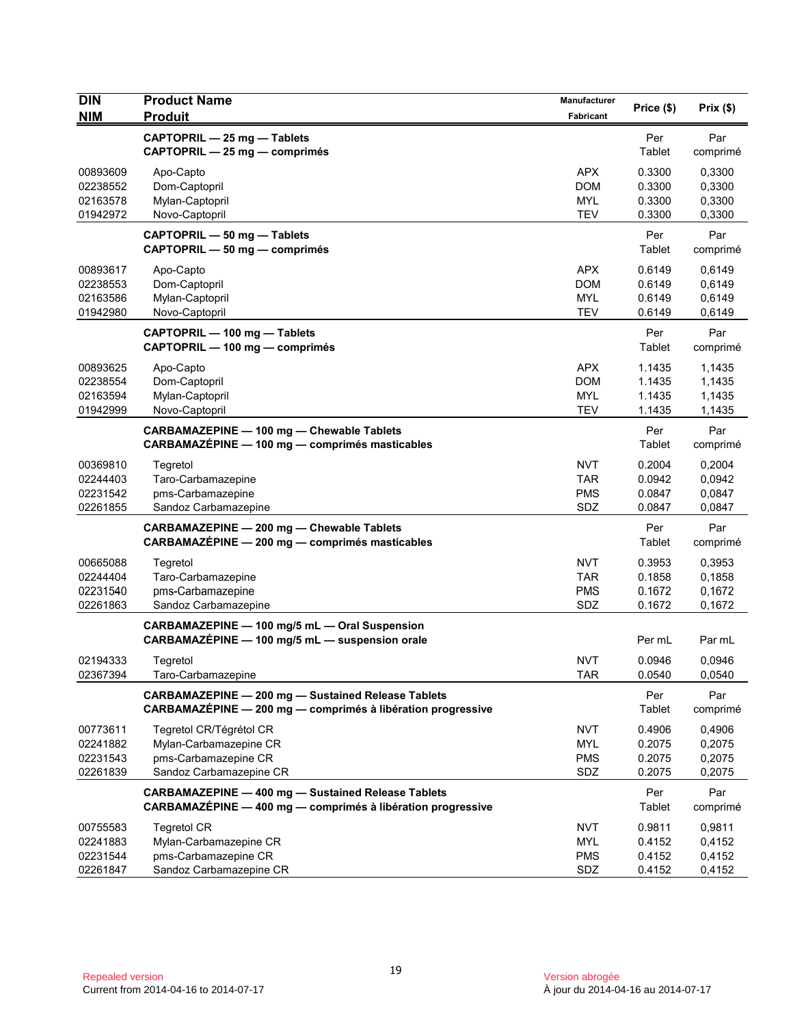| <b>DIN</b>                                   | <b>Product Name</b>                                                                                                      | Manufacturer                                         | Price (\$)                           | Prix(\$)                             |
|----------------------------------------------|--------------------------------------------------------------------------------------------------------------------------|------------------------------------------------------|--------------------------------------|--------------------------------------|
| <b>NIM</b>                                   | <b>Produit</b>                                                                                                           | <b>Fabricant</b>                                     |                                      |                                      |
|                                              | CAPTOPRIL - 25 mg - Tablets<br>CAPTOPRIL - 25 mg - comprimés                                                             |                                                      | Per<br>Tablet                        | Par<br>comprimé                      |
| 00893609<br>02238552<br>02163578<br>01942972 | Apo-Capto<br>Dom-Captopril<br>Mylan-Captopril<br>Novo-Captopril                                                          | <b>APX</b><br><b>DOM</b><br><b>MYL</b><br><b>TEV</b> | 0.3300<br>0.3300<br>0.3300<br>0.3300 | 0,3300<br>0,3300<br>0,3300<br>0,3300 |
|                                              | CAPTOPRIL - 50 mg - Tablets<br>CAPTOPRIL - 50 mg - comprimés                                                             |                                                      | Per<br>Tablet                        | Par<br>comprimé                      |
| 00893617<br>02238553<br>02163586<br>01942980 | Apo-Capto<br>Dom-Captopril<br>Mylan-Captopril<br>Novo-Captopril                                                          | <b>APX</b><br><b>DOM</b><br><b>MYL</b><br><b>TEV</b> | 0.6149<br>0.6149<br>0.6149<br>0.6149 | 0,6149<br>0,6149<br>0,6149<br>0,6149 |
|                                              | CAPTOPRIL - 100 mg - Tablets<br>CAPTOPRIL - 100 mg - comprimés                                                           |                                                      | Per<br>Tablet                        | Par<br>comprimé                      |
| 00893625<br>02238554<br>02163594<br>01942999 | Apo-Capto<br>Dom-Captopril<br>Mylan-Captopril<br>Novo-Captopril                                                          | <b>APX</b><br><b>DOM</b><br>MYL<br><b>TEV</b>        | 1.1435<br>1.1435<br>1.1435<br>1.1435 | 1,1435<br>1,1435<br>1,1435<br>1,1435 |
|                                              | CARBAMAZEPINE - 100 mg - Chewable Tablets<br>CARBAMAZÉPINE - 100 mg - comprimés masticables                              |                                                      | Per<br>Tablet                        | Par<br>comprimé                      |
| 00369810<br>02244403<br>02231542<br>02261855 | Tegretol<br>Taro-Carbamazepine<br>pms-Carbamazepine<br>Sandoz Carbamazepine                                              | <b>NVT</b><br><b>TAR</b><br><b>PMS</b><br>SDZ        | 0.2004<br>0.0942<br>0.0847<br>0.0847 | 0,2004<br>0,0942<br>0,0847<br>0,0847 |
|                                              | CARBAMAZEPINE - 200 mg - Chewable Tablets<br>CARBAMAZÉPINE - 200 mg - comprimés masticables                              |                                                      | Per<br>Tablet                        | Par<br>comprimé                      |
| 00665088<br>02244404<br>02231540<br>02261863 | Tegretol<br>Taro-Carbamazepine<br>pms-Carbamazepine<br>Sandoz Carbamazepine                                              | <b>NVT</b><br><b>TAR</b><br><b>PMS</b><br>SDZ        | 0.3953<br>0.1858<br>0.1672<br>0.1672 | 0,3953<br>0,1858<br>0,1672<br>0,1672 |
|                                              | CARBAMAZEPINE - 100 mg/5 mL - Oral Suspension<br>CARBAMAZÉPINE - 100 mg/5 mL - suspension orale                          |                                                      | Per mL                               | Par mL                               |
| 02194333<br>02367394                         | Tegretol<br>Taro-Carbamazepine                                                                                           | <b>NVT</b><br>I AR                                   | 0.0946<br>0.0540                     | 0,0946<br>0,0540                     |
|                                              | <b>CARBAMAZEPINE - 200 mg - Sustained Release Tablets</b><br>CARBAMAZÉPINE - 200 mg - comprimés à libération progressive |                                                      | Per<br>Tablet                        | Par<br>comprimé                      |
| 00773611<br>02241882<br>02231543<br>02261839 | Tegretol CR/Tégrétol CR<br>Mylan-Carbamazepine CR<br>pms-Carbamazepine CR<br>Sandoz Carbamazepine CR                     | <b>NVT</b><br><b>MYL</b><br><b>PMS</b><br>SDZ        | 0.4906<br>0.2075<br>0.2075<br>0.2075 | 0,4906<br>0,2075<br>0,2075<br>0,2075 |
|                                              | <b>CARBAMAZEPINE - 400 mg - Sustained Release Tablets</b><br>CARBAMAZÉPINE - 400 mg - comprimés à libération progressive |                                                      | Per<br>Tablet                        | Par<br>comprimé                      |
| 00755583<br>02241883<br>02231544<br>02261847 | <b>Tegretol CR</b><br>Mylan-Carbamazepine CR<br>pms-Carbamazepine CR<br>Sandoz Carbamazepine CR                          | <b>NVT</b><br><b>MYL</b><br><b>PMS</b><br>SDZ        | 0.9811<br>0.4152<br>0.4152<br>0.4152 | 0,9811<br>0,4152<br>0,4152<br>0,4152 |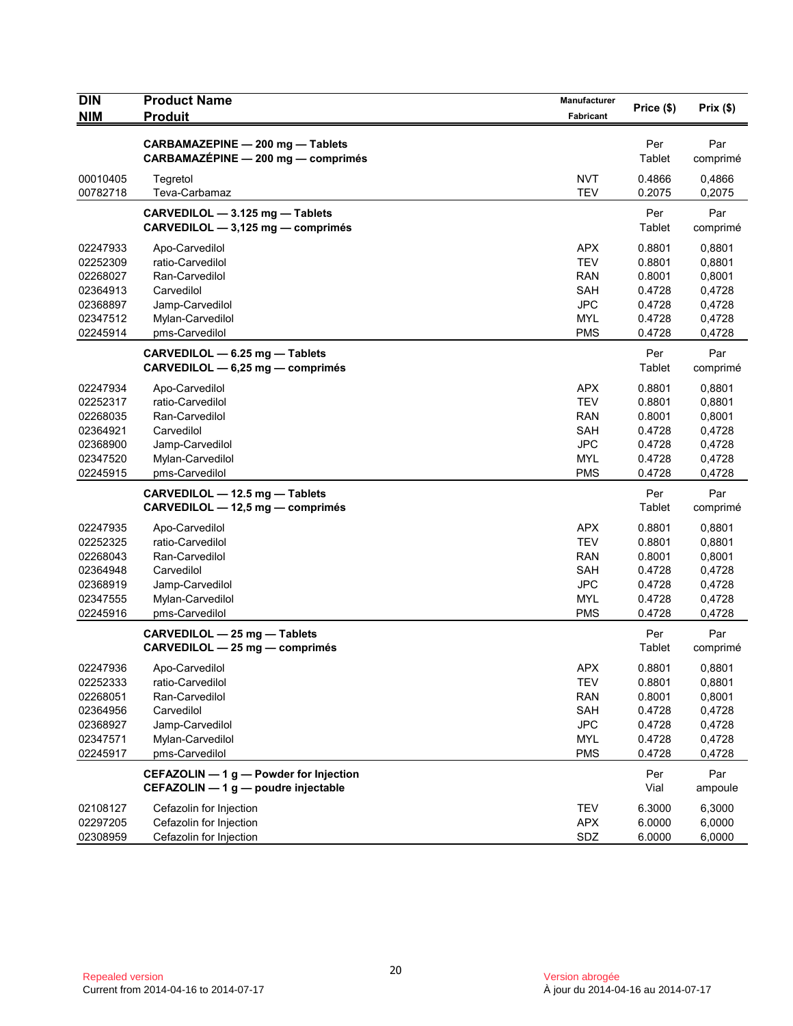| <b>DIN</b>                                                                       | <b>Product Name</b>                                                                                                         | <b>Manufacturer</b>                                                                            | Price (\$)                                                         | Prix(\$)                                                           |
|----------------------------------------------------------------------------------|-----------------------------------------------------------------------------------------------------------------------------|------------------------------------------------------------------------------------------------|--------------------------------------------------------------------|--------------------------------------------------------------------|
| <b>NIM</b>                                                                       | <b>Produit</b>                                                                                                              | Fabricant                                                                                      |                                                                    |                                                                    |
|                                                                                  | CARBAMAZEPINE - 200 mg - Tablets<br>CARBAMAZÉPINE - 200 mg - comprimés                                                      |                                                                                                | Per<br>Tablet                                                      | Par<br>comprimé                                                    |
| 00010405<br>00782718                                                             | Tegretol<br>Teva-Carbamaz                                                                                                   | NVT<br><b>TEV</b>                                                                              | 0.4866<br>0.2075                                                   | 0,4866<br>0,2075                                                   |
|                                                                                  | CARVEDILOL - 3.125 mg - Tablets<br>CARVEDILOL - 3,125 mg - comprimés                                                        |                                                                                                | Per<br>Tablet                                                      | Par<br>comprimé                                                    |
| 02247933<br>02252309<br>02268027<br>02364913<br>02368897<br>02347512<br>02245914 | Apo-Carvedilol<br>ratio-Carvedilol<br>Ran-Carvedilol<br>Carvedilol<br>Jamp-Carvedilol<br>Mylan-Carvedilol<br>pms-Carvedilol | <b>APX</b><br><b>TEV</b><br><b>RAN</b><br><b>SAH</b><br><b>JPC</b><br>MYL<br><b>PMS</b>        | 0.8801<br>0.8801<br>0.8001<br>0.4728<br>0.4728<br>0.4728<br>0.4728 | 0,8801<br>0,8801<br>0,8001<br>0,4728<br>0,4728<br>0,4728<br>0,4728 |
|                                                                                  | CARVEDILOL - 6.25 mg - Tablets<br>CARVEDILOL - 6,25 mg - comprimés                                                          |                                                                                                | Per<br>Tablet                                                      | Par<br>comprimé                                                    |
| 02247934<br>02252317<br>02268035<br>02364921<br>02368900<br>02347520<br>02245915 | Apo-Carvedilol<br>ratio-Carvedilol<br>Ran-Carvedilol<br>Carvedilol<br>Jamp-Carvedilol<br>Mylan-Carvedilol<br>pms-Carvedilol | APX<br><b>TEV</b><br><b>RAN</b><br><b>SAH</b><br><b>JPC</b><br><b>MYL</b><br><b>PMS</b>        | 0.8801<br>0.8801<br>0.8001<br>0.4728<br>0.4728<br>0.4728<br>0.4728 | 0,8801<br>0,8801<br>0,8001<br>0,4728<br>0,4728<br>0,4728<br>0,4728 |
|                                                                                  | CARVEDILOL - 12.5 mg - Tablets<br>CARVEDILOL - 12,5 mg - comprimés                                                          |                                                                                                | Per<br>Tablet                                                      | Par<br>comprimé                                                    |
| 02247935<br>02252325<br>02268043<br>02364948<br>02368919<br>02347555<br>02245916 | Apo-Carvedilol<br>ratio-Carvedilol<br>Ran-Carvedilol<br>Carvedilol<br>Jamp-Carvedilol<br>Mylan-Carvedilol<br>pms-Carvedilol | <b>APX</b><br><b>TEV</b><br><b>RAN</b><br><b>SAH</b><br><b>JPC</b><br><b>MYL</b><br><b>PMS</b> | 0.8801<br>0.8801<br>0.8001<br>0.4728<br>0.4728<br>0.4728<br>0.4728 | 0,8801<br>0,8801<br>0,8001<br>0,4728<br>0,4728<br>0,4728<br>0,4728 |
|                                                                                  | CARVEDILOL - 25 mg - Tablets<br>CARVEDILOL - 25 mg - comprimés                                                              |                                                                                                | Per<br>Tablet                                                      | Par<br>comprimé                                                    |
| 02247936<br>02252333<br>02268051<br>02364956<br>02368927<br>02347571<br>02245917 | Apo-Carvedilol<br>ratio-Carvedilol<br>Ran-Carvedilol<br>Carvedilol<br>Jamp-Carvedilol<br>Mylan-Carvedilol<br>pms-Carvedilol | <b>APX</b><br><b>TEV</b><br><b>RAN</b><br>SAH<br><b>JPC</b><br><b>MYL</b><br><b>PMS</b>        | 0.8801<br>0.8801<br>0.8001<br>0.4728<br>0.4728<br>0.4728<br>0.4728 | 0,8801<br>0,8801<br>0,8001<br>0,4728<br>0,4728<br>0,4728<br>0,4728 |
|                                                                                  | CEFAZOLIN - 1 g - Powder for Injection<br>CEFAZOLIN - 1 g - poudre injectable                                               |                                                                                                | Per<br>Vial                                                        | Par<br>ampoule                                                     |
| 02108127<br>02297205<br>02308959                                                 | Cefazolin for Injection<br>Cefazolin for Injection<br>Cefazolin for Injection                                               | <b>TEV</b><br>APX<br>SDZ                                                                       | 6.3000<br>6.0000<br>6.0000                                         | 6,3000<br>6,0000<br>6,0000                                         |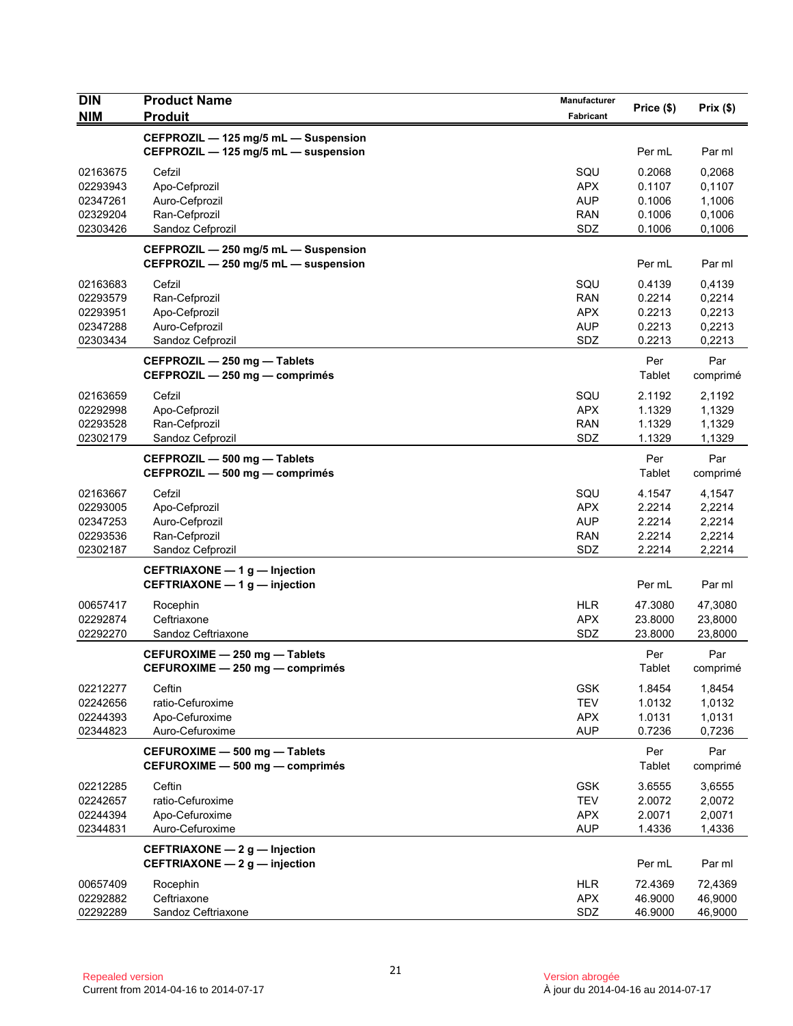| <b>DIN</b>           | <b>Product Name</b>                                                          | Manufacturer             | Price (\$)       | Prix(\$)         |
|----------------------|------------------------------------------------------------------------------|--------------------------|------------------|------------------|
| <b>NIM</b>           | <b>Produit</b>                                                               | Fabricant                |                  |                  |
|                      | CEFPROZIL - 125 mg/5 mL - Suspension<br>CEFPROZIL - 125 mg/5 mL - suspension |                          | Per mL           | Par ml           |
| 02163675             | Cefzil                                                                       | SQU                      | 0.2068           | 0,2068           |
| 02293943             | Apo-Cefprozil                                                                | <b>APX</b>               | 0.1107           | 0,1107           |
| 02347261             | Auro-Cefprozil                                                               | <b>AUP</b>               | 0.1006           | 1,1006           |
| 02329204<br>02303426 | Ran-Cefprozil<br>Sandoz Cefprozil                                            | RAN<br>SDZ               | 0.1006<br>0.1006 | 0,1006<br>0,1006 |
|                      | CEFPROZIL - 250 mg/5 mL - Suspension                                         |                          |                  |                  |
|                      | CEFPROZIL - 250 mg/5 mL - suspension                                         |                          | Per mL           | Par ml           |
| 02163683             | Cefzil                                                                       | SQU                      | 0.4139           | 0,4139           |
| 02293579             | Ran-Cefprozil                                                                | <b>RAN</b>               | 0.2214           | 0,2214           |
| 02293951<br>02347288 | Apo-Cefprozil<br>Auro-Cefprozil                                              | <b>APX</b><br><b>AUP</b> | 0.2213<br>0.2213 | 0,2213<br>0,2213 |
| 02303434             | Sandoz Cefprozil                                                             | SDZ                      | 0.2213           | 0,2213           |
|                      | CEFPROZIL - 250 mg - Tablets<br>CEFPROZIL - 250 mg - comprimés               |                          | Per<br>Tablet    | Par<br>comprimé  |
|                      |                                                                              |                          |                  |                  |
| 02163659<br>02292998 | Cefzil<br>Apo-Cefprozil                                                      | SQU<br><b>APX</b>        | 2.1192<br>1.1329 | 2,1192<br>1,1329 |
| 02293528             | Ran-Cefprozil                                                                | <b>RAN</b>               | 1.1329           | 1,1329           |
| 02302179             | Sandoz Cefprozil                                                             | SDZ                      | 1.1329           | 1,1329           |
|                      | CEFPROZIL - 500 mg - Tablets<br>CEFPROZIL - 500 mg - comprimés               |                          | Per<br>Tablet    | Par<br>comprimé  |
| 02163667             | Cefzil                                                                       | SQU                      | 4.1547           | 4,1547           |
| 02293005             | Apo-Cefprozil                                                                | <b>APX</b>               | 2.2214           | 2,2214           |
| 02347253             | Auro-Cefprozil                                                               | <b>AUP</b>               | 2.2214           | 2,2214           |
| 02293536             | Ran-Cefprozil                                                                | <b>RAN</b>               | 2.2214           | 2,2214           |
| 02302187             | Sandoz Cefprozil                                                             | SDZ                      | 2.2214           | 2,2214           |
|                      | CEFTRIAXONE - 1 g - Injection<br>CEFTRIAXONE - 1 g - injection               |                          | Per mL           | Par ml           |
| 00657417             | Rocephin                                                                     | <b>HLR</b>               | 47.3080          | 47,3080          |
| 02292874             | Ceftriaxone                                                                  | <b>APX</b>               | 23.8000          | 23,8000          |
| 02292270             | Sandoz Ceftriaxone                                                           | SDZ                      | 23.8000          | 23,8000          |
|                      | CEFUROXIME - 250 mg - Tablets<br>CEFUROXIME — 250 mg — comprimés             |                          | Per<br>Tablet    | Par<br>comprimé  |
| 02212277             | Ceftin                                                                       | <b>GSK</b>               | 1.8454           | 1,8454           |
| 02242656             | ratio-Cefuroxime                                                             | <b>TEV</b>               | 1.0132           | 1,0132           |
| 02244393             | Apo-Cefuroxime                                                               | <b>APX</b>               | 1.0131           | 1,0131           |
| 02344823             | Auro-Cefuroxime<br>CEFUROXIME - 500 mg - Tablets                             | <b>AUP</b>               | 0.7236<br>Per    | 0,7236<br>Par    |
|                      | CEFUROXIME - 500 mg - comprimés                                              |                          | Tablet           | comprimé         |
| 02212285             | Ceftin                                                                       | <b>GSK</b>               | 3.6555           | 3,6555           |
| 02242657             | ratio-Cefuroxime                                                             | <b>TEV</b>               | 2.0072           | 2,0072           |
| 02244394             | Apo-Cefuroxime                                                               | <b>APX</b>               | 2.0071           | 2,0071           |
| 02344831             | Auro-Cefuroxime                                                              | <b>AUP</b>               | 1.4336           | 1,4336           |
|                      | CEFTRIAXONE - 2 g - Injection<br>CEFTRIAXONE - 2 g - injection               |                          | Per mL           | Par ml           |
| 00657409             | Rocephin                                                                     | <b>HLR</b>               | 72.4369          | 72,4369          |
| 02292882             | Ceftriaxone                                                                  | <b>APX</b>               | 46.9000          | 46,9000          |
| 02292289             | Sandoz Ceftriaxone                                                           | SDZ                      | 46.9000          | 46,9000          |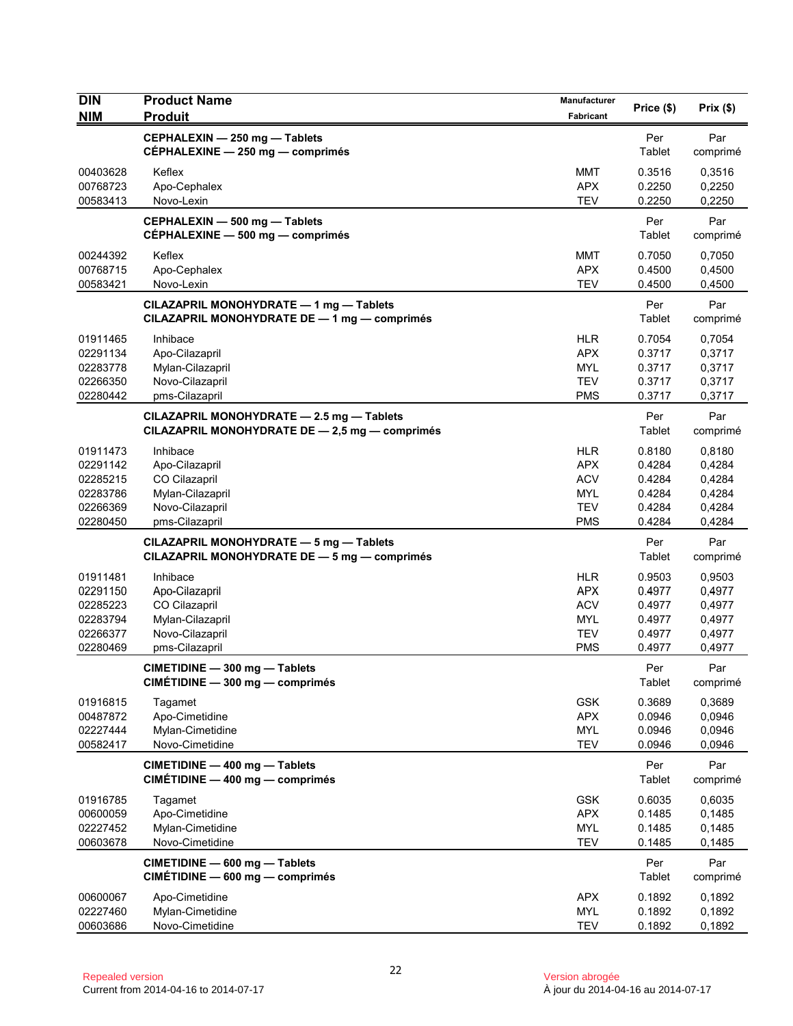| <b>DIN</b><br><b>NIM</b>                                             | <b>Product Name</b><br><b>Produit</b>                                                                | <b>Manufacturer</b><br>Fabricant                                                 | Price (\$)                                               | Prix(\$)                                                 |
|----------------------------------------------------------------------|------------------------------------------------------------------------------------------------------|----------------------------------------------------------------------------------|----------------------------------------------------------|----------------------------------------------------------|
|                                                                      | CEPHALEXIN - 250 mg - Tablets<br>CÉPHALEXINE - 250 mg - comprimés                                    |                                                                                  | Per<br>Tablet                                            | Par<br>comprimé                                          |
| 00403628<br>00768723<br>00583413                                     | Keflex<br>Apo-Cephalex<br>Novo-Lexin                                                                 | <b>MMT</b><br><b>APX</b><br><b>TEV</b>                                           | 0.3516<br>0.2250<br>0.2250                               | 0,3516<br>0,2250<br>0,2250                               |
|                                                                      | CEPHALEXIN - 500 mg - Tablets<br>CÉPHALEXINE - 500 mg - comprimés                                    |                                                                                  | Per<br>Tablet                                            | Par<br>comprimé                                          |
| 00244392<br>00768715<br>00583421                                     | Keflex<br>Apo-Cephalex<br>Novo-Lexin                                                                 | MMT<br><b>APX</b><br><b>TEV</b>                                                  | 0.7050<br>0.4500<br>0.4500                               | 0.7050<br>0,4500<br>0,4500                               |
|                                                                      | CILAZAPRIL MONOHYDRATE - 1 mg - Tablets<br>CILAZAPRIL MONOHYDRATE DE - 1 mg - comprimés              |                                                                                  | Per<br>Tablet                                            | Par<br>comprimé                                          |
| 01911465<br>02291134<br>02283778<br>02266350<br>02280442             | Inhibace<br>Apo-Cilazapril<br>Mylan-Cilazapril<br>Novo-Cilazapril<br>pms-Cilazapril                  | <b>HLR</b><br><b>APX</b><br><b>MYL</b><br><b>TEV</b><br><b>PMS</b>               | 0.7054<br>0.3717<br>0.3717<br>0.3717<br>0.3717           | 0,7054<br>0,3717<br>0,3717<br>0,3717<br>0,3717           |
|                                                                      | CILAZAPRIL MONOHYDRATE - 2.5 mg - Tablets<br>CILAZAPRIL MONOHYDRATE DE - 2,5 mg - comprimés          |                                                                                  | Per<br>Tablet                                            | Par<br>comprimé                                          |
| 01911473<br>02291142<br>02285215<br>02283786<br>02266369<br>02280450 | Inhibace<br>Apo-Cilazapril<br>CO Cilazapril<br>Mylan-Cilazapril<br>Novo-Cilazapril<br>pms-Cilazapril | <b>HLR</b><br><b>APX</b><br><b>ACV</b><br>MYL<br><b>TEV</b><br><b>PMS</b>        | 0.8180<br>0.4284<br>0.4284<br>0.4284<br>0.4284<br>0.4284 | 0,8180<br>0,4284<br>0,4284<br>0,4284<br>0,4284<br>0,4284 |
|                                                                      | CILAZAPRIL MONOHYDRATE - 5 mg - Tablets<br>CILAZAPRIL MONOHYDRATE DE - 5 mg - comprimés              |                                                                                  | Per<br>Tablet                                            | Par<br>comprimé                                          |
| 01911481<br>02291150<br>02285223<br>02283794<br>02266377<br>02280469 | Inhibace<br>Apo-Cilazapril<br>CO Cilazapril<br>Mylan-Cilazapril<br>Novo-Cilazapril<br>pms-Cilazapril | <b>HLR</b><br><b>APX</b><br><b>ACV</b><br><b>MYL</b><br><b>TEV</b><br><b>PMS</b> | 0.9503<br>0.4977<br>0.4977<br>0.4977<br>0.4977<br>0.4977 | 0,9503<br>0,4977<br>0,4977<br>0,4977<br>0,4977<br>0,4977 |
|                                                                      | CIMETIDINE - 300 mg - Tablets<br>CIMÉTIDINE - 300 mg - comprimés                                     |                                                                                  | Per<br>Tablet                                            | Par<br>comprimé                                          |
| 01916815<br>00487872<br>02227444<br>00582417                         | Tagamet<br>Apo-Cimetidine<br>Mylan-Cimetidine<br>Novo-Cimetidine                                     | <b>GSK</b><br><b>APX</b><br><b>MYL</b><br><b>TEV</b>                             | 0.3689<br>0.0946<br>0.0946<br>0.0946                     | 0,3689<br>0,0946<br>0,0946<br>0,0946                     |
|                                                                      | CIMETIDINE - 400 mg - Tablets<br>CIMÉTIDINE - 400 mg - comprimés                                     |                                                                                  | Per<br>Tablet                                            | Par<br>comprimé                                          |
| 01916785<br>00600059<br>02227452<br>00603678                         | Tagamet<br>Apo-Cimetidine<br>Mylan-Cimetidine<br>Novo-Cimetidine                                     | <b>GSK</b><br><b>APX</b><br>MYL<br><b>TEV</b>                                    | 0.6035<br>0.1485<br>0.1485<br>0.1485                     | 0,6035<br>0,1485<br>0,1485<br>0,1485                     |
|                                                                      | CIMETIDINE - 600 mg - Tablets<br>CIMÉTIDINE - 600 mg - comprimés                                     |                                                                                  | Per<br>Tablet                                            | Par<br>comprimé                                          |
| 00600067<br>02227460<br>00603686                                     | Apo-Cimetidine<br>Mylan-Cimetidine<br>Novo-Cimetidine                                                | <b>APX</b><br>MYL<br><b>TEV</b>                                                  | 0.1892<br>0.1892<br>0.1892                               | 0,1892<br>0,1892<br>0,1892                               |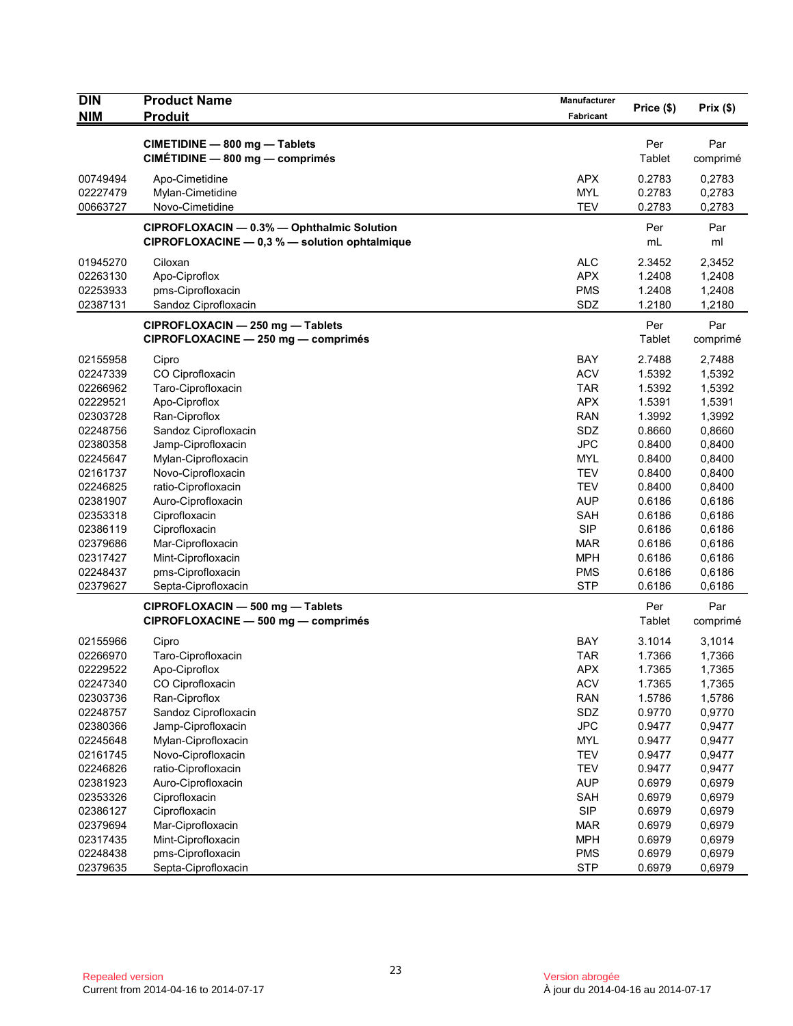| <b>DIN</b><br><b>NIM</b> | <b>Product Name</b><br><b>Produit</b>         | Manufacturer<br>Fabricant | Price (\$)       | Prix(\$)         |
|--------------------------|-----------------------------------------------|---------------------------|------------------|------------------|
|                          |                                               |                           |                  |                  |
|                          | CIMETIDINE - 800 mg - Tablets                 |                           | Per              | Par              |
|                          | CIMÉTIDINE - 800 mg - comprimés               |                           | Tablet           | comprimé         |
| 00749494                 | Apo-Cimetidine                                | <b>APX</b>                | 0.2783           | 0,2783           |
| 02227479                 | Mylan-Cimetidine                              | <b>MYL</b>                | 0.2783           | 0,2783           |
| 00663727                 | Novo-Cimetidine                               | <b>TEV</b>                | 0.2783           | 0,2783           |
|                          | CIPROFLOXACIN - 0.3% - Ophthalmic Solution    |                           | Per              | Par              |
|                          | CIPROFLOXACINE - 0,3 % - solution ophtalmique |                           | mL               | ml               |
|                          |                                               |                           |                  |                  |
| 01945270                 | Ciloxan                                       | <b>ALC</b>                | 2.3452           | 2,3452           |
| 02263130                 | Apo-Ciproflox                                 | <b>APX</b><br><b>PMS</b>  | 1.2408           | 1,2408           |
| 02253933<br>02387131     | pms-Ciprofloxacin<br>Sandoz Ciprofloxacin     | SDZ                       | 1.2408<br>1.2180 | 1,2408<br>1,2180 |
|                          |                                               |                           |                  |                  |
|                          | CIPROFLOXACIN - 250 mg - Tablets              |                           | Per              | Par              |
|                          | CIPROFLOXACINE - 250 mg - comprimés           |                           | Tablet           | comprimé         |
| 02155958                 | Cipro                                         | BAY                       | 2.7488           | 2,7488           |
| 02247339                 | CO Ciprofloxacin                              | <b>ACV</b>                | 1.5392           | 1,5392           |
| 02266962                 | Taro-Ciprofloxacin                            | TAR                       | 1.5392           | 1,5392           |
| 02229521                 | Apo-Ciproflox                                 | <b>APX</b>                | 1.5391           | 1,5391           |
| 02303728                 | Ran-Ciproflox                                 | <b>RAN</b>                | 1.3992           | 1,3992           |
| 02248756                 | Sandoz Ciprofloxacin                          | SDZ                       | 0.8660           | 0,8660           |
| 02380358                 | Jamp-Ciprofloxacin                            | <b>JPC</b>                | 0.8400           | 0,8400           |
| 02245647                 | Mylan-Ciprofloxacin                           | <b>MYL</b>                | 0.8400           | 0,8400           |
| 02161737                 | Novo-Ciprofloxacin                            | <b>TEV</b>                | 0.8400           | 0,8400           |
| 02246825<br>02381907     | ratio-Ciprofloxacin                           | <b>TEV</b><br><b>AUP</b>  | 0.8400<br>0.6186 | 0,8400           |
| 02353318                 | Auro-Ciprofloxacin<br>Ciprofloxacin           | <b>SAH</b>                | 0.6186           | 0,6186<br>0,6186 |
| 02386119                 | Ciprofloxacin                                 | <b>SIP</b>                | 0.6186           | 0,6186           |
| 02379686                 | Mar-Ciprofloxacin                             | <b>MAR</b>                | 0.6186           | 0,6186           |
| 02317427                 | Mint-Ciprofloxacin                            | <b>MPH</b>                | 0.6186           | 0,6186           |
| 02248437                 | pms-Ciprofloxacin                             | <b>PMS</b>                | 0.6186           | 0,6186           |
| 02379627                 | Septa-Ciprofloxacin                           | <b>STP</b>                | 0.6186           | 0,6186           |
|                          | CIPROFLOXACIN - 500 mg - Tablets              |                           | Per              | Par              |
|                          | CIPROFLOXACINE - 500 mg - comprimés           |                           | Tablet           | comprimé         |
|                          |                                               |                           |                  |                  |
| 02155966                 | Cipro                                         | BAY                       | 3.1014           | 3,1014           |
| 02266970                 | Taro-Ciprofloxacin                            | <b>TAR</b>                | 1.7366           | 1,7366           |
| 02229522                 | Apo-Ciproflox                                 | <b>APX</b>                | 1.7365           | 1,7365<br>1,7365 |
| 02247340<br>02303736     | CO Ciprofloxacin<br>Ran-Ciproflox             | <b>ACV</b><br><b>RAN</b>  | 1.7365<br>1.5786 | 1,5786           |
| 02248757                 | Sandoz Ciprofloxacin                          | SDZ                       | 0.9770           | 0,9770           |
| 02380366                 | Jamp-Ciprofloxacin                            | <b>JPC</b>                | 0.9477           | 0,9477           |
| 02245648                 | Mylan-Ciprofloxacin                           | <b>MYL</b>                | 0.9477           | 0,9477           |
| 02161745                 | Novo-Ciprofloxacin                            | <b>TEV</b>                | 0.9477           | 0,9477           |
| 02246826                 | ratio-Ciprofloxacin                           | <b>TEV</b>                | 0.9477           | 0,9477           |
| 02381923                 | Auro-Ciprofloxacin                            | <b>AUP</b>                | 0.6979           | 0,6979           |
| 02353326                 | Ciprofloxacin                                 | <b>SAH</b>                | 0.6979           | 0,6979           |
| 02386127                 | Ciprofloxacin                                 | <b>SIP</b>                | 0.6979           | 0,6979           |
| 02379694                 | Mar-Ciprofloxacin                             | <b>MAR</b>                | 0.6979           | 0,6979           |
| 02317435                 | Mint-Ciprofloxacin                            | <b>MPH</b>                | 0.6979           | 0,6979           |
| 02248438                 | pms-Ciprofloxacin                             | <b>PMS</b>                | 0.6979           | 0,6979           |
| 02379635                 | Septa-Ciprofloxacin                           | <b>STP</b>                | 0.6979           | 0,6979           |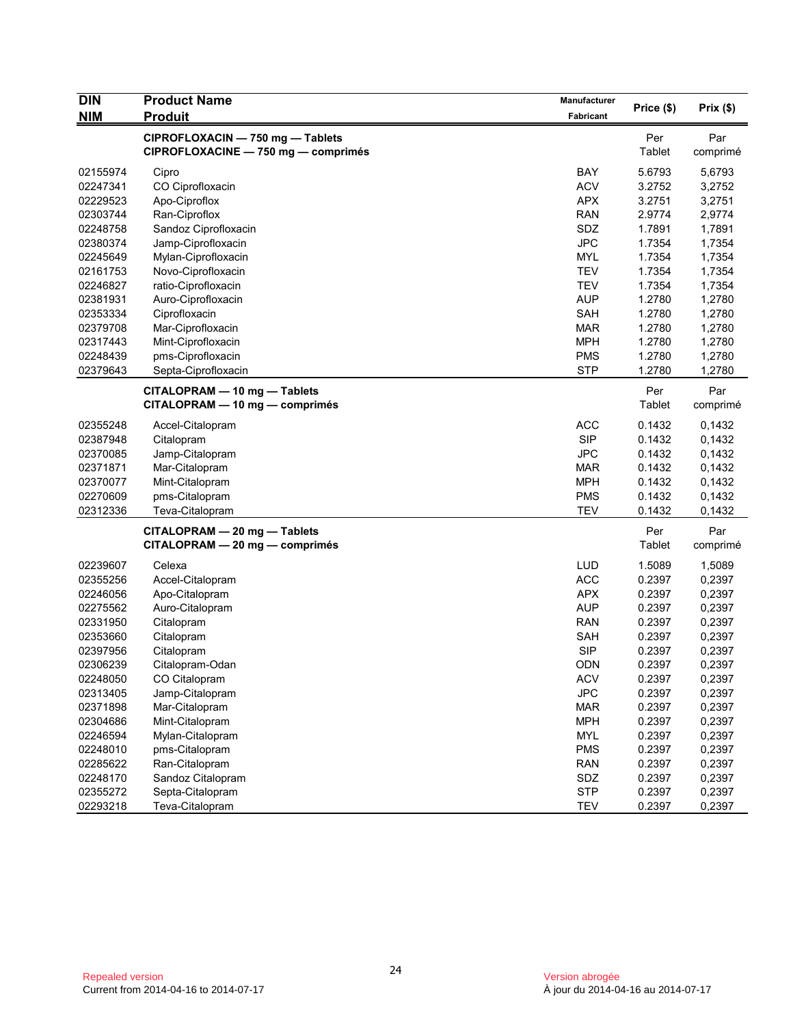| <b>DIN</b> | <b>Product Name</b>                 | Manufacturer | Price (\$) | Prix(\$) |
|------------|-------------------------------------|--------------|------------|----------|
| <b>NIM</b> | <b>Produit</b>                      | Fabricant    |            |          |
|            | CIPROFLOXACIN - 750 mg - Tablets    |              | Per        | Par      |
|            | CIPROFLOXACINE - 750 mg - comprimés |              | Tablet     | comprimé |
| 02155974   | Cipro                               | <b>BAY</b>   | 5.6793     | 5,6793   |
| 02247341   | CO Ciprofloxacin                    | <b>ACV</b>   | 3.2752     | 3,2752   |
| 02229523   | Apo-Ciproflox                       | <b>APX</b>   | 3.2751     | 3,2751   |
| 02303744   | Ran-Ciproflox                       | <b>RAN</b>   | 2.9774     | 2,9774   |
| 02248758   | Sandoz Ciprofloxacin                | SDZ          | 1.7891     | 1,7891   |
| 02380374   | Jamp-Ciprofloxacin                  | <b>JPC</b>   | 1.7354     | 1,7354   |
| 02245649   | Mylan-Ciprofloxacin                 | <b>MYL</b>   | 1.7354     | 1,7354   |
| 02161753   | Novo-Ciprofloxacin                  | <b>TEV</b>   | 1.7354     | 1,7354   |
| 02246827   | ratio-Ciprofloxacin                 | <b>TEV</b>   | 1.7354     | 1,7354   |
| 02381931   | Auro-Ciprofloxacin                  | <b>AUP</b>   | 1.2780     | 1,2780   |
| 02353334   | Ciprofloxacin                       | SAH          | 1.2780     | 1,2780   |
| 02379708   | Mar-Ciprofloxacin                   | <b>MAR</b>   | 1.2780     | 1,2780   |
| 02317443   | Mint-Ciprofloxacin                  | <b>MPH</b>   | 1.2780     | 1,2780   |
| 02248439   | pms-Ciprofloxacin                   | <b>PMS</b>   | 1.2780     | 1,2780   |
| 02379643   | Septa-Ciprofloxacin                 | <b>STP</b>   | 1.2780     | 1,2780   |
|            | CITALOPRAM - 10 mg - Tablets        |              | Per        | Par      |
|            | CITALOPRAM - 10 mg - comprimés      |              | Tablet     | comprimé |
| 02355248   | Accel-Citalopram                    | <b>ACC</b>   | 0.1432     | 0,1432   |
| 02387948   | Citalopram                          | <b>SIP</b>   | 0.1432     | 0,1432   |
| 02370085   | Jamp-Citalopram                     | <b>JPC</b>   | 0.1432     | 0,1432   |
| 02371871   | Mar-Citalopram                      | <b>MAR</b>   | 0.1432     | 0,1432   |
| 02370077   | Mint-Citalopram                     | <b>MPH</b>   | 0.1432     | 0,1432   |
| 02270609   | pms-Citalopram                      | <b>PMS</b>   | 0.1432     | 0,1432   |
| 02312336   | Teva-Citalopram                     | <b>TEV</b>   | 0.1432     | 0,1432   |
|            | CITALOPRAM - 20 mg - Tablets        |              | Per        | Par      |
|            | CITALOPRAM - 20 mg - comprimés      |              | Tablet     | comprimé |
| 02239607   | Celexa                              | LUD          | 1.5089     | 1,5089   |
| 02355256   | Accel-Citalopram                    | <b>ACC</b>   | 0.2397     | 0,2397   |
| 02246056   | Apo-Citalopram                      | <b>APX</b>   | 0.2397     | 0,2397   |
| 02275562   | Auro-Citalopram                     | <b>AUP</b>   | 0.2397     | 0,2397   |
| 02331950   | Citalopram                          | <b>RAN</b>   | 0.2397     | 0,2397   |
| 02353660   | Citalopram                          | SAH          | 0.2397     | 0,2397   |
| 02397956   | Citalopram                          | <b>SIP</b>   | 0.2397     | 0,2397   |
| 02306239   | Citalopram-Odan                     | <b>ODN</b>   | 0.2397     | 0,2397   |
| 02248050   | CO Citalopram                       | <b>ACV</b>   | 0.2397     | 0,2397   |
| 02313405   | Jamp-Citalopram                     | <b>JPC</b>   | 0.2397     | 0,2397   |
| 02371898   | Mar-Citalopram                      | <b>MAR</b>   | 0.2397     | 0,2397   |
| 02304686   | Mint-Citalopram                     | <b>MPH</b>   | 0.2397     | 0,2397   |
| 02246594   | Mylan-Citalopram                    | MYL          | 0.2397     | 0,2397   |
| 02248010   | pms-Citalopram                      | <b>PMS</b>   | 0.2397     | 0,2397   |
| 02285622   | Ran-Citalopram                      | <b>RAN</b>   | 0.2397     | 0,2397   |
| 02248170   | Sandoz Citalopram                   | SDZ          | 0.2397     | 0,2397   |
| 02355272   | Septa-Citalopram                    | <b>STP</b>   | 0.2397     | 0,2397   |
| 02293218   | Teva-Citalopram                     | <b>TEV</b>   | 0.2397     | 0,2397   |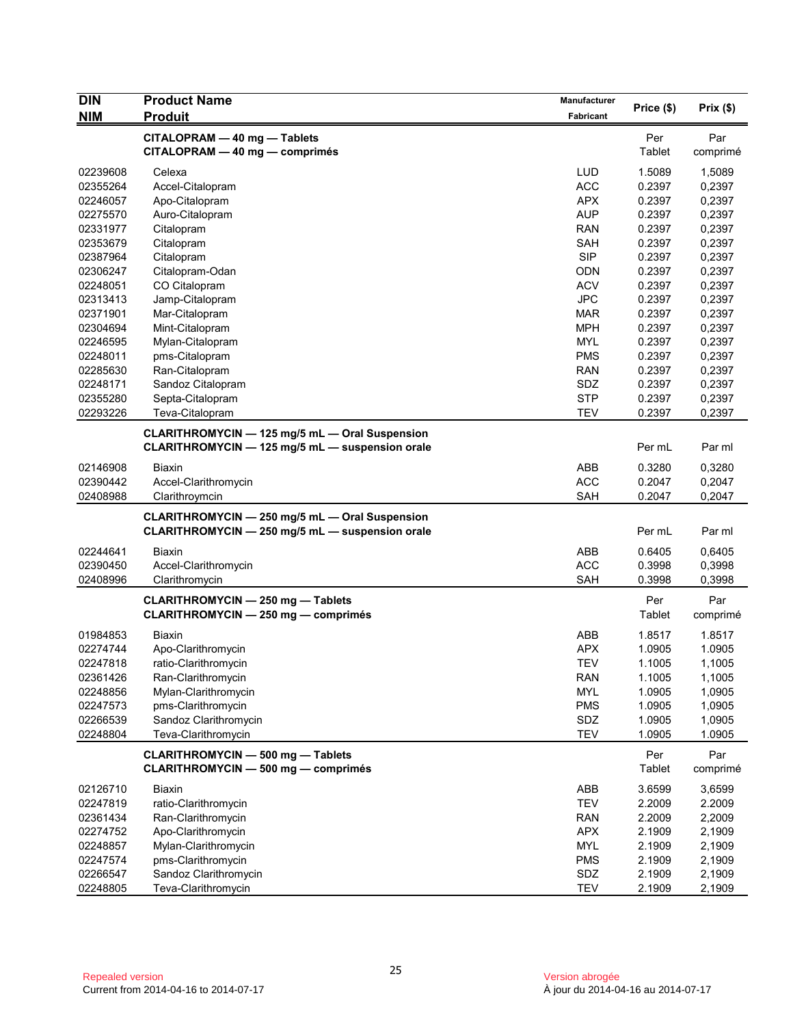| <b>DIN</b>           | <b>Product Name</b>                             | Manufacturer             |                  |                  |
|----------------------|-------------------------------------------------|--------------------------|------------------|------------------|
| NIM                  | <b>Produit</b>                                  | Fabricant                | Price (\$)       | Prix(\$)         |
|                      | CITALOPRAM - 40 mg - Tablets                    |                          | Per              | Par              |
|                      | CITALOPRAM - 40 mg - comprimés                  |                          | Tablet           | comprimé         |
|                      |                                                 |                          |                  |                  |
| 02239608             | Celexa                                          | LUD                      | 1.5089           | 1,5089           |
| 02355264             | Accel-Citalopram                                | <b>ACC</b>               | 0.2397           | 0,2397           |
| 02246057             | Apo-Citalopram                                  | <b>APX</b>               | 0.2397           | 0,2397           |
| 02275570<br>02331977 | Auro-Citalopram                                 | <b>AUP</b><br><b>RAN</b> | 0.2397<br>0.2397 | 0,2397           |
| 02353679             | Citalopram<br>Citalopram                        | SAH                      | 0.2397           | 0,2397<br>0,2397 |
| 02387964             | Citalopram                                      | <b>SIP</b>               | 0.2397           | 0,2397           |
| 02306247             | Citalopram-Odan                                 | <b>ODN</b>               | 0.2397           | 0,2397           |
| 02248051             | CO Citalopram                                   | <b>ACV</b>               | 0.2397           | 0,2397           |
| 02313413             | Jamp-Citalopram                                 | <b>JPC</b>               | 0.2397           | 0,2397           |
| 02371901             | Mar-Citalopram                                  | <b>MAR</b>               | 0.2397           | 0,2397           |
| 02304694             | Mint-Citalopram                                 | <b>MPH</b>               | 0.2397           | 0,2397           |
| 02246595             | Mylan-Citalopram                                | <b>MYL</b>               | 0.2397           | 0,2397           |
| 02248011             | pms-Citalopram                                  | <b>PMS</b>               | 0.2397           | 0,2397           |
| 02285630             | Ran-Citalopram                                  | <b>RAN</b>               | 0.2397           | 0,2397           |
| 02248171             | Sandoz Citalopram                               | SDZ                      | 0.2397           | 0,2397           |
| 02355280             | Septa-Citalopram                                | <b>STP</b>               | 0.2397           | 0,2397           |
| 02293226             | Teva-Citalopram                                 | TEV                      | 0.2397           | 0,2397           |
|                      |                                                 |                          |                  |                  |
|                      | CLARITHROMYCIN - 125 mg/5 mL - Oral Suspension  |                          |                  |                  |
|                      | CLARITHROMYCIN - 125 mg/5 mL - suspension orale |                          | Per mL           | Par ml           |
| 02146908             | <b>Biaxin</b>                                   | ABB                      | 0.3280           | 0,3280           |
| 02390442             | Accel-Clarithromycin                            | <b>ACC</b>               | 0.2047           | 0,2047           |
| 02408988             | Clarithroymcin                                  | SAH                      | 0.2047           | 0,2047           |
|                      | CLARITHROMYCIN - 250 mg/5 mL - Oral Suspension  |                          |                  |                  |
|                      | CLARITHROMYCIN - 250 mg/5 mL - suspension orale |                          | Per mL           | Par ml           |
|                      |                                                 |                          |                  |                  |
| 02244641             | <b>Biaxin</b>                                   | <b>ABB</b>               | 0.6405           | 0,6405           |
| 02390450             | Accel-Clarithromycin                            | <b>ACC</b>               | 0.3998           | 0,3998           |
| 02408996             | Clarithromycin                                  | SAH                      | 0.3998           | 0,3998           |
|                      | <b>CLARITHROMYCIN - 250 mg - Tablets</b>        |                          | Per              | Par              |
|                      | <b>CLARITHROMYCIN - 250 mg - comprimés</b>      |                          | Tablet           | comprimé         |
| 01984853             | Biaxin                                          | ABB                      | 1.8517           | 1.8517           |
| 02274744             | Apo-Clarithromycin                              | <b>APX</b>               | 1.0905           | 1.0905           |
| 02247818             | ratio-Clarithromycin                            | <b>TEV</b>               | 1.1005           | 1,1005           |
| 02361426             | Ran-Clarithromycin                              | <b>RAN</b>               | 1.1005           | 1,1005           |
| 02248856             | Mylan-Clarithromycin                            | <b>MYL</b>               | 1.0905           | 1,0905           |
| 02247573             | pms-Clarithromycin                              | <b>PMS</b>               | 1.0905           | 1,0905           |
| 02266539             | Sandoz Clarithromycin                           | SDZ                      | 1.0905           | 1,0905           |
| 02248804             | Teva-Clarithromycin                             | <b>TEV</b>               | 1.0905           | 1.0905           |
|                      |                                                 |                          |                  |                  |
|                      | <b>CLARITHROMYCIN - 500 mg - Tablets</b>        |                          | Per              | Par              |
|                      | <b>CLARITHROMYCIN - 500 mg - comprimés</b>      |                          | <b>Tablet</b>    | comprimé         |
| 02126710             | <b>Biaxin</b>                                   | ABB                      | 3.6599           | 3,6599           |
| 02247819             | ratio-Clarithromycin                            | <b>TEV</b>               | 2.2009           | 2.2009           |
| 02361434             | Ran-Clarithromycin                              | <b>RAN</b>               | 2.2009           | 2,2009           |
| 02274752             | Apo-Clarithromycin                              | <b>APX</b>               | 2.1909           | 2,1909           |
| 02248857             | Mylan-Clarithromycin                            | <b>MYL</b>               | 2.1909           | 2,1909           |
| 02247574             | pms-Clarithromycin                              | <b>PMS</b>               | 2.1909           | 2,1909           |
| 02266547             | Sandoz Clarithromycin                           | SDZ                      | 2.1909           | 2,1909           |
| 02248805             | Teva-Clarithromycin                             | <b>TEV</b>               | 2.1909           | 2,1909           |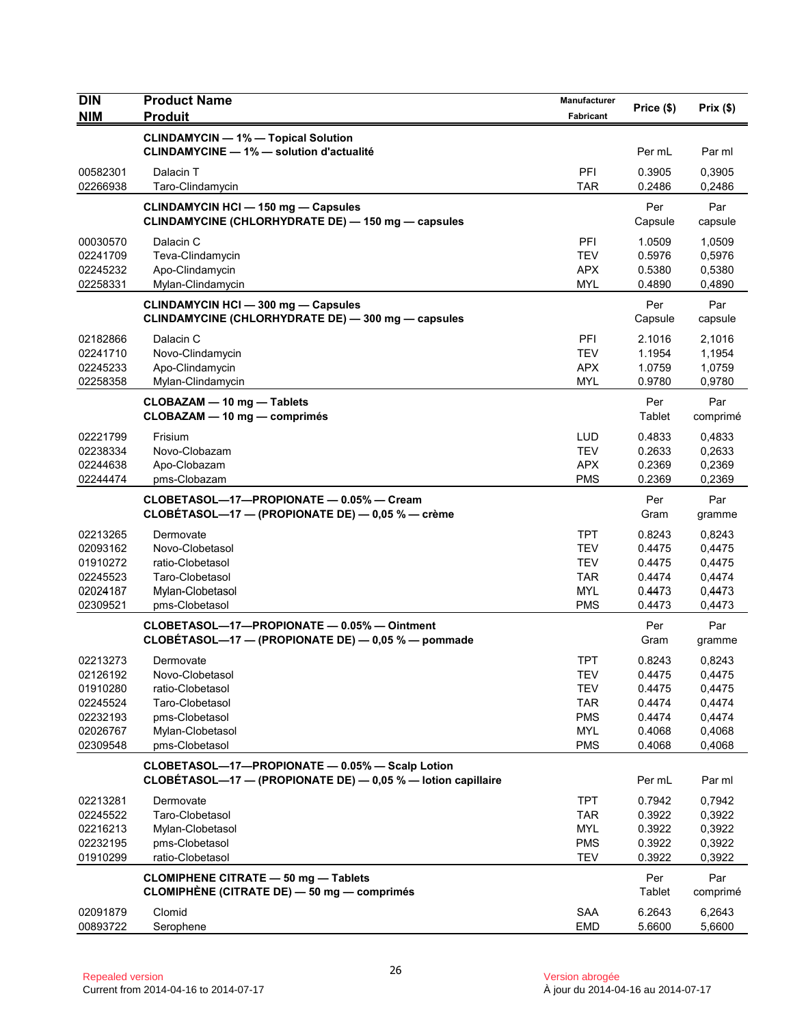| <b>NIM</b><br><b>Produit</b><br>Fabricant<br><b>CLINDAMYCIN - 1% - Topical Solution</b><br><b>CLINDAMYCINE - 1% - solution d'actualité</b><br>Per mL<br>Par ml<br>00582301<br><b>PFI</b><br>0.3905<br>0,3905<br>Dalacin T<br><b>TAR</b><br>02266938<br>Taro-Clindamycin<br>0.2486<br>0,2486<br><b>CLINDAMYCIN HCI - 150 mg - Capsules</b><br>Per<br>Par<br>CLINDAMYCINE (CHLORHYDRATE DE) - 150 mg - capsules<br>Capsule<br>capsule<br>PFI<br>00030570<br>Dalacin C<br>1.0509<br>1,0509<br>Teva-Clindamycin<br><b>TEV</b><br>0.5976<br>0,5976<br>02241709<br>02245232<br><b>APX</b><br>0.5380<br>0,5380<br>Apo-Clindamycin<br><b>MYL</b><br>02258331<br>Mylan-Clindamycin<br>0.4890<br>0,4890<br>Par<br><b>CLINDAMYCIN HCI - 300 mg - Capsules</b><br>Per<br>CLINDAMYCINE (CHLORHYDRATE DE) - 300 mg - capsules<br>Capsule<br>capsule<br><b>PFI</b><br>2.1016<br>02182866<br>Dalacin C<br>2,1016<br>Novo-Clindamycin<br><b>TEV</b><br>02241710<br>1.1954<br>1,1954<br>1.0759<br>1,0759<br>02245233<br>Apo-Clindamycin<br><b>APX</b><br>02258358<br>Mylan-Clindamycin<br><b>MYL</b><br>0.9780<br>0,9780<br>CLOBAZAM - 10 mg - Tablets<br>Per<br>Par<br>CLOBAZAM - 10 mg - comprimés<br>Tablet<br>comprimé<br><b>LUD</b><br>0.4833<br>02221799<br>Frisium<br>0,4833<br>Novo-Clobazam<br><b>TEV</b><br>0.2633<br>02238334<br>0,2633<br><b>APX</b><br>0.2369<br>0,2369<br>02244638<br>Apo-Clobazam<br><b>PMS</b><br>0.2369<br>0,2369<br>02244474<br>pms-Clobazam<br>CLOBETASOL-17-PROPIONATE - 0.05% - Cream<br>Per<br>Par<br>CLOBÉTASOL—17 — (PROPIONATE DE) — $0,05$ % — crème<br>Gram<br>gramme<br><b>TPT</b><br>02213265<br>Dermovate<br>0.8243<br>0,8243<br>02093162<br>Novo-Clobetasol<br><b>TEV</b><br>0,4475<br>0.4475<br>01910272<br>ratio-Clobetasol<br><b>TEV</b><br>0.4475<br>0,4475<br>Taro-Clobetasol<br><b>TAR</b><br>0.4474<br>0,4474<br>02245523<br><b>MYL</b><br>02024187<br>Mylan-Clobetasol<br>0.4473<br>0,4473<br>02309521<br><b>PMS</b><br>pms-Clobetasol<br>0.4473<br>0,4473<br>CLOBETASOL-17-PROPIONATE - 0.05% - Ointment<br>Per<br>Par<br>CLOBÉTASOL-17 - (PROPIONATE DE) - 0,05 % - pommade<br>Gram<br>gramme<br><b>TPT</b><br>0.8243<br>02213273<br>Dermovate<br>0,8243<br><b>TEV</b><br>Novo-Clobetasol<br>0.4475<br>02126192<br>0,4475<br>01910280<br>ratio-Clobetasol<br>TEV<br>0.4475<br>0,4475<br>02245524<br>Taro-Clobetasol<br><b>TAR</b><br>0.4474<br>0,4474<br><b>PMS</b><br>0.4474<br>0,4474<br>02232193<br>pms-Clobetasol<br>02026767<br>Mylan-Clobetasol<br><b>MYL</b><br>0.4068<br>0,4068<br>02309548<br>pms-Clobetasol<br><b>PMS</b><br>0.4068<br>0,4068<br>CLOBETASOL-17-PROPIONATE - 0.05% - Scalp Lotion<br>CLOBÉTASOL-17 - (PROPIONATE DE) - 0,05 % - lotion capillaire<br>Per mL<br>Par ml<br><b>TPT</b><br>02213281<br>Dermovate<br>0.7942<br>0,7942<br>Taro-Clobetasol<br><b>TAR</b><br>0.3922<br>02245522<br>0,3922<br>02216213<br>Mylan-Clobetasol<br><b>MYL</b><br>0.3922<br>0,3922<br>02232195<br>pms-Clobetasol<br><b>PMS</b><br>0.3922<br>0,3922<br>ratio-Clobetasol<br><b>TEV</b><br>0.3922<br>0,3922<br>01910299<br><b>CLOMIPHENE CITRATE - 50 mg - Tablets</b><br>Per<br>Par | <b>DIN</b> | <b>Product Name</b>                         | Manufacturer | Price (\$) | Prix(\$) |
|------------------------------------------------------------------------------------------------------------------------------------------------------------------------------------------------------------------------------------------------------------------------------------------------------------------------------------------------------------------------------------------------------------------------------------------------------------------------------------------------------------------------------------------------------------------------------------------------------------------------------------------------------------------------------------------------------------------------------------------------------------------------------------------------------------------------------------------------------------------------------------------------------------------------------------------------------------------------------------------------------------------------------------------------------------------------------------------------------------------------------------------------------------------------------------------------------------------------------------------------------------------------------------------------------------------------------------------------------------------------------------------------------------------------------------------------------------------------------------------------------------------------------------------------------------------------------------------------------------------------------------------------------------------------------------------------------------------------------------------------------------------------------------------------------------------------------------------------------------------------------------------------------------------------------------------------------------------------------------------------------------------------------------------------------------------------------------------------------------------------------------------------------------------------------------------------------------------------------------------------------------------------------------------------------------------------------------------------------------------------------------------------------------------------------------------------------------------------------------------------------------------------------------------------------------------------------------------------------------------------------------------------------------------------------------------------------------------------------------------------------------------------------------------------------------------------------------------------------------------------------------------------------------------------------------------------------------------------------------------------------------------------------------------------------------------------------------------------------------------------------------|------------|---------------------------------------------|--------------|------------|----------|
|                                                                                                                                                                                                                                                                                                                                                                                                                                                                                                                                                                                                                                                                                                                                                                                                                                                                                                                                                                                                                                                                                                                                                                                                                                                                                                                                                                                                                                                                                                                                                                                                                                                                                                                                                                                                                                                                                                                                                                                                                                                                                                                                                                                                                                                                                                                                                                                                                                                                                                                                                                                                                                                                                                                                                                                                                                                                                                                                                                                                                                                                                                                                    |            |                                             |              |            |          |
|                                                                                                                                                                                                                                                                                                                                                                                                                                                                                                                                                                                                                                                                                                                                                                                                                                                                                                                                                                                                                                                                                                                                                                                                                                                                                                                                                                                                                                                                                                                                                                                                                                                                                                                                                                                                                                                                                                                                                                                                                                                                                                                                                                                                                                                                                                                                                                                                                                                                                                                                                                                                                                                                                                                                                                                                                                                                                                                                                                                                                                                                                                                                    |            |                                             |              |            |          |
|                                                                                                                                                                                                                                                                                                                                                                                                                                                                                                                                                                                                                                                                                                                                                                                                                                                                                                                                                                                                                                                                                                                                                                                                                                                                                                                                                                                                                                                                                                                                                                                                                                                                                                                                                                                                                                                                                                                                                                                                                                                                                                                                                                                                                                                                                                                                                                                                                                                                                                                                                                                                                                                                                                                                                                                                                                                                                                                                                                                                                                                                                                                                    |            |                                             |              |            |          |
|                                                                                                                                                                                                                                                                                                                                                                                                                                                                                                                                                                                                                                                                                                                                                                                                                                                                                                                                                                                                                                                                                                                                                                                                                                                                                                                                                                                                                                                                                                                                                                                                                                                                                                                                                                                                                                                                                                                                                                                                                                                                                                                                                                                                                                                                                                                                                                                                                                                                                                                                                                                                                                                                                                                                                                                                                                                                                                                                                                                                                                                                                                                                    |            |                                             |              |            |          |
|                                                                                                                                                                                                                                                                                                                                                                                                                                                                                                                                                                                                                                                                                                                                                                                                                                                                                                                                                                                                                                                                                                                                                                                                                                                                                                                                                                                                                                                                                                                                                                                                                                                                                                                                                                                                                                                                                                                                                                                                                                                                                                                                                                                                                                                                                                                                                                                                                                                                                                                                                                                                                                                                                                                                                                                                                                                                                                                                                                                                                                                                                                                                    |            |                                             |              |            |          |
|                                                                                                                                                                                                                                                                                                                                                                                                                                                                                                                                                                                                                                                                                                                                                                                                                                                                                                                                                                                                                                                                                                                                                                                                                                                                                                                                                                                                                                                                                                                                                                                                                                                                                                                                                                                                                                                                                                                                                                                                                                                                                                                                                                                                                                                                                                                                                                                                                                                                                                                                                                                                                                                                                                                                                                                                                                                                                                                                                                                                                                                                                                                                    |            |                                             |              |            |          |
|                                                                                                                                                                                                                                                                                                                                                                                                                                                                                                                                                                                                                                                                                                                                                                                                                                                                                                                                                                                                                                                                                                                                                                                                                                                                                                                                                                                                                                                                                                                                                                                                                                                                                                                                                                                                                                                                                                                                                                                                                                                                                                                                                                                                                                                                                                                                                                                                                                                                                                                                                                                                                                                                                                                                                                                                                                                                                                                                                                                                                                                                                                                                    |            |                                             |              |            |          |
|                                                                                                                                                                                                                                                                                                                                                                                                                                                                                                                                                                                                                                                                                                                                                                                                                                                                                                                                                                                                                                                                                                                                                                                                                                                                                                                                                                                                                                                                                                                                                                                                                                                                                                                                                                                                                                                                                                                                                                                                                                                                                                                                                                                                                                                                                                                                                                                                                                                                                                                                                                                                                                                                                                                                                                                                                                                                                                                                                                                                                                                                                                                                    |            |                                             |              |            |          |
|                                                                                                                                                                                                                                                                                                                                                                                                                                                                                                                                                                                                                                                                                                                                                                                                                                                                                                                                                                                                                                                                                                                                                                                                                                                                                                                                                                                                                                                                                                                                                                                                                                                                                                                                                                                                                                                                                                                                                                                                                                                                                                                                                                                                                                                                                                                                                                                                                                                                                                                                                                                                                                                                                                                                                                                                                                                                                                                                                                                                                                                                                                                                    |            |                                             |              |            |          |
|                                                                                                                                                                                                                                                                                                                                                                                                                                                                                                                                                                                                                                                                                                                                                                                                                                                                                                                                                                                                                                                                                                                                                                                                                                                                                                                                                                                                                                                                                                                                                                                                                                                                                                                                                                                                                                                                                                                                                                                                                                                                                                                                                                                                                                                                                                                                                                                                                                                                                                                                                                                                                                                                                                                                                                                                                                                                                                                                                                                                                                                                                                                                    |            |                                             |              |            |          |
|                                                                                                                                                                                                                                                                                                                                                                                                                                                                                                                                                                                                                                                                                                                                                                                                                                                                                                                                                                                                                                                                                                                                                                                                                                                                                                                                                                                                                                                                                                                                                                                                                                                                                                                                                                                                                                                                                                                                                                                                                                                                                                                                                                                                                                                                                                                                                                                                                                                                                                                                                                                                                                                                                                                                                                                                                                                                                                                                                                                                                                                                                                                                    |            |                                             |              |            |          |
|                                                                                                                                                                                                                                                                                                                                                                                                                                                                                                                                                                                                                                                                                                                                                                                                                                                                                                                                                                                                                                                                                                                                                                                                                                                                                                                                                                                                                                                                                                                                                                                                                                                                                                                                                                                                                                                                                                                                                                                                                                                                                                                                                                                                                                                                                                                                                                                                                                                                                                                                                                                                                                                                                                                                                                                                                                                                                                                                                                                                                                                                                                                                    |            |                                             |              |            |          |
|                                                                                                                                                                                                                                                                                                                                                                                                                                                                                                                                                                                                                                                                                                                                                                                                                                                                                                                                                                                                                                                                                                                                                                                                                                                                                                                                                                                                                                                                                                                                                                                                                                                                                                                                                                                                                                                                                                                                                                                                                                                                                                                                                                                                                                                                                                                                                                                                                                                                                                                                                                                                                                                                                                                                                                                                                                                                                                                                                                                                                                                                                                                                    |            |                                             |              |            |          |
|                                                                                                                                                                                                                                                                                                                                                                                                                                                                                                                                                                                                                                                                                                                                                                                                                                                                                                                                                                                                                                                                                                                                                                                                                                                                                                                                                                                                                                                                                                                                                                                                                                                                                                                                                                                                                                                                                                                                                                                                                                                                                                                                                                                                                                                                                                                                                                                                                                                                                                                                                                                                                                                                                                                                                                                                                                                                                                                                                                                                                                                                                                                                    |            |                                             |              |            |          |
|                                                                                                                                                                                                                                                                                                                                                                                                                                                                                                                                                                                                                                                                                                                                                                                                                                                                                                                                                                                                                                                                                                                                                                                                                                                                                                                                                                                                                                                                                                                                                                                                                                                                                                                                                                                                                                                                                                                                                                                                                                                                                                                                                                                                                                                                                                                                                                                                                                                                                                                                                                                                                                                                                                                                                                                                                                                                                                                                                                                                                                                                                                                                    |            |                                             |              |            |          |
|                                                                                                                                                                                                                                                                                                                                                                                                                                                                                                                                                                                                                                                                                                                                                                                                                                                                                                                                                                                                                                                                                                                                                                                                                                                                                                                                                                                                                                                                                                                                                                                                                                                                                                                                                                                                                                                                                                                                                                                                                                                                                                                                                                                                                                                                                                                                                                                                                                                                                                                                                                                                                                                                                                                                                                                                                                                                                                                                                                                                                                                                                                                                    |            |                                             |              |            |          |
|                                                                                                                                                                                                                                                                                                                                                                                                                                                                                                                                                                                                                                                                                                                                                                                                                                                                                                                                                                                                                                                                                                                                                                                                                                                                                                                                                                                                                                                                                                                                                                                                                                                                                                                                                                                                                                                                                                                                                                                                                                                                                                                                                                                                                                                                                                                                                                                                                                                                                                                                                                                                                                                                                                                                                                                                                                                                                                                                                                                                                                                                                                                                    |            |                                             |              |            |          |
|                                                                                                                                                                                                                                                                                                                                                                                                                                                                                                                                                                                                                                                                                                                                                                                                                                                                                                                                                                                                                                                                                                                                                                                                                                                                                                                                                                                                                                                                                                                                                                                                                                                                                                                                                                                                                                                                                                                                                                                                                                                                                                                                                                                                                                                                                                                                                                                                                                                                                                                                                                                                                                                                                                                                                                                                                                                                                                                                                                                                                                                                                                                                    |            |                                             |              |            |          |
|                                                                                                                                                                                                                                                                                                                                                                                                                                                                                                                                                                                                                                                                                                                                                                                                                                                                                                                                                                                                                                                                                                                                                                                                                                                                                                                                                                                                                                                                                                                                                                                                                                                                                                                                                                                                                                                                                                                                                                                                                                                                                                                                                                                                                                                                                                                                                                                                                                                                                                                                                                                                                                                                                                                                                                                                                                                                                                                                                                                                                                                                                                                                    |            |                                             |              |            |          |
|                                                                                                                                                                                                                                                                                                                                                                                                                                                                                                                                                                                                                                                                                                                                                                                                                                                                                                                                                                                                                                                                                                                                                                                                                                                                                                                                                                                                                                                                                                                                                                                                                                                                                                                                                                                                                                                                                                                                                                                                                                                                                                                                                                                                                                                                                                                                                                                                                                                                                                                                                                                                                                                                                                                                                                                                                                                                                                                                                                                                                                                                                                                                    |            |                                             |              |            |          |
|                                                                                                                                                                                                                                                                                                                                                                                                                                                                                                                                                                                                                                                                                                                                                                                                                                                                                                                                                                                                                                                                                                                                                                                                                                                                                                                                                                                                                                                                                                                                                                                                                                                                                                                                                                                                                                                                                                                                                                                                                                                                                                                                                                                                                                                                                                                                                                                                                                                                                                                                                                                                                                                                                                                                                                                                                                                                                                                                                                                                                                                                                                                                    |            |                                             |              |            |          |
|                                                                                                                                                                                                                                                                                                                                                                                                                                                                                                                                                                                                                                                                                                                                                                                                                                                                                                                                                                                                                                                                                                                                                                                                                                                                                                                                                                                                                                                                                                                                                                                                                                                                                                                                                                                                                                                                                                                                                                                                                                                                                                                                                                                                                                                                                                                                                                                                                                                                                                                                                                                                                                                                                                                                                                                                                                                                                                                                                                                                                                                                                                                                    |            |                                             |              |            |          |
|                                                                                                                                                                                                                                                                                                                                                                                                                                                                                                                                                                                                                                                                                                                                                                                                                                                                                                                                                                                                                                                                                                                                                                                                                                                                                                                                                                                                                                                                                                                                                                                                                                                                                                                                                                                                                                                                                                                                                                                                                                                                                                                                                                                                                                                                                                                                                                                                                                                                                                                                                                                                                                                                                                                                                                                                                                                                                                                                                                                                                                                                                                                                    |            |                                             |              |            |          |
|                                                                                                                                                                                                                                                                                                                                                                                                                                                                                                                                                                                                                                                                                                                                                                                                                                                                                                                                                                                                                                                                                                                                                                                                                                                                                                                                                                                                                                                                                                                                                                                                                                                                                                                                                                                                                                                                                                                                                                                                                                                                                                                                                                                                                                                                                                                                                                                                                                                                                                                                                                                                                                                                                                                                                                                                                                                                                                                                                                                                                                                                                                                                    |            |                                             |              |            |          |
|                                                                                                                                                                                                                                                                                                                                                                                                                                                                                                                                                                                                                                                                                                                                                                                                                                                                                                                                                                                                                                                                                                                                                                                                                                                                                                                                                                                                                                                                                                                                                                                                                                                                                                                                                                                                                                                                                                                                                                                                                                                                                                                                                                                                                                                                                                                                                                                                                                                                                                                                                                                                                                                                                                                                                                                                                                                                                                                                                                                                                                                                                                                                    |            |                                             |              |            |          |
|                                                                                                                                                                                                                                                                                                                                                                                                                                                                                                                                                                                                                                                                                                                                                                                                                                                                                                                                                                                                                                                                                                                                                                                                                                                                                                                                                                                                                                                                                                                                                                                                                                                                                                                                                                                                                                                                                                                                                                                                                                                                                                                                                                                                                                                                                                                                                                                                                                                                                                                                                                                                                                                                                                                                                                                                                                                                                                                                                                                                                                                                                                                                    |            |                                             |              |            |          |
|                                                                                                                                                                                                                                                                                                                                                                                                                                                                                                                                                                                                                                                                                                                                                                                                                                                                                                                                                                                                                                                                                                                                                                                                                                                                                                                                                                                                                                                                                                                                                                                                                                                                                                                                                                                                                                                                                                                                                                                                                                                                                                                                                                                                                                                                                                                                                                                                                                                                                                                                                                                                                                                                                                                                                                                                                                                                                                                                                                                                                                                                                                                                    |            |                                             |              |            |          |
|                                                                                                                                                                                                                                                                                                                                                                                                                                                                                                                                                                                                                                                                                                                                                                                                                                                                                                                                                                                                                                                                                                                                                                                                                                                                                                                                                                                                                                                                                                                                                                                                                                                                                                                                                                                                                                                                                                                                                                                                                                                                                                                                                                                                                                                                                                                                                                                                                                                                                                                                                                                                                                                                                                                                                                                                                                                                                                                                                                                                                                                                                                                                    |            |                                             |              |            |          |
|                                                                                                                                                                                                                                                                                                                                                                                                                                                                                                                                                                                                                                                                                                                                                                                                                                                                                                                                                                                                                                                                                                                                                                                                                                                                                                                                                                                                                                                                                                                                                                                                                                                                                                                                                                                                                                                                                                                                                                                                                                                                                                                                                                                                                                                                                                                                                                                                                                                                                                                                                                                                                                                                                                                                                                                                                                                                                                                                                                                                                                                                                                                                    |            |                                             |              |            |          |
|                                                                                                                                                                                                                                                                                                                                                                                                                                                                                                                                                                                                                                                                                                                                                                                                                                                                                                                                                                                                                                                                                                                                                                                                                                                                                                                                                                                                                                                                                                                                                                                                                                                                                                                                                                                                                                                                                                                                                                                                                                                                                                                                                                                                                                                                                                                                                                                                                                                                                                                                                                                                                                                                                                                                                                                                                                                                                                                                                                                                                                                                                                                                    |            |                                             |              |            |          |
|                                                                                                                                                                                                                                                                                                                                                                                                                                                                                                                                                                                                                                                                                                                                                                                                                                                                                                                                                                                                                                                                                                                                                                                                                                                                                                                                                                                                                                                                                                                                                                                                                                                                                                                                                                                                                                                                                                                                                                                                                                                                                                                                                                                                                                                                                                                                                                                                                                                                                                                                                                                                                                                                                                                                                                                                                                                                                                                                                                                                                                                                                                                                    |            |                                             |              |            |          |
|                                                                                                                                                                                                                                                                                                                                                                                                                                                                                                                                                                                                                                                                                                                                                                                                                                                                                                                                                                                                                                                                                                                                                                                                                                                                                                                                                                                                                                                                                                                                                                                                                                                                                                                                                                                                                                                                                                                                                                                                                                                                                                                                                                                                                                                                                                                                                                                                                                                                                                                                                                                                                                                                                                                                                                                                                                                                                                                                                                                                                                                                                                                                    |            |                                             |              |            |          |
|                                                                                                                                                                                                                                                                                                                                                                                                                                                                                                                                                                                                                                                                                                                                                                                                                                                                                                                                                                                                                                                                                                                                                                                                                                                                                                                                                                                                                                                                                                                                                                                                                                                                                                                                                                                                                                                                                                                                                                                                                                                                                                                                                                                                                                                                                                                                                                                                                                                                                                                                                                                                                                                                                                                                                                                                                                                                                                                                                                                                                                                                                                                                    |            |                                             |              |            |          |
|                                                                                                                                                                                                                                                                                                                                                                                                                                                                                                                                                                                                                                                                                                                                                                                                                                                                                                                                                                                                                                                                                                                                                                                                                                                                                                                                                                                                                                                                                                                                                                                                                                                                                                                                                                                                                                                                                                                                                                                                                                                                                                                                                                                                                                                                                                                                                                                                                                                                                                                                                                                                                                                                                                                                                                                                                                                                                                                                                                                                                                                                                                                                    |            |                                             |              |            |          |
|                                                                                                                                                                                                                                                                                                                                                                                                                                                                                                                                                                                                                                                                                                                                                                                                                                                                                                                                                                                                                                                                                                                                                                                                                                                                                                                                                                                                                                                                                                                                                                                                                                                                                                                                                                                                                                                                                                                                                                                                                                                                                                                                                                                                                                                                                                                                                                                                                                                                                                                                                                                                                                                                                                                                                                                                                                                                                                                                                                                                                                                                                                                                    |            |                                             |              |            |          |
|                                                                                                                                                                                                                                                                                                                                                                                                                                                                                                                                                                                                                                                                                                                                                                                                                                                                                                                                                                                                                                                                                                                                                                                                                                                                                                                                                                                                                                                                                                                                                                                                                                                                                                                                                                                                                                                                                                                                                                                                                                                                                                                                                                                                                                                                                                                                                                                                                                                                                                                                                                                                                                                                                                                                                                                                                                                                                                                                                                                                                                                                                                                                    |            |                                             |              |            |          |
|                                                                                                                                                                                                                                                                                                                                                                                                                                                                                                                                                                                                                                                                                                                                                                                                                                                                                                                                                                                                                                                                                                                                                                                                                                                                                                                                                                                                                                                                                                                                                                                                                                                                                                                                                                                                                                                                                                                                                                                                                                                                                                                                                                                                                                                                                                                                                                                                                                                                                                                                                                                                                                                                                                                                                                                                                                                                                                                                                                                                                                                                                                                                    |            |                                             |              |            |          |
|                                                                                                                                                                                                                                                                                                                                                                                                                                                                                                                                                                                                                                                                                                                                                                                                                                                                                                                                                                                                                                                                                                                                                                                                                                                                                                                                                                                                                                                                                                                                                                                                                                                                                                                                                                                                                                                                                                                                                                                                                                                                                                                                                                                                                                                                                                                                                                                                                                                                                                                                                                                                                                                                                                                                                                                                                                                                                                                                                                                                                                                                                                                                    |            |                                             |              |            |          |
|                                                                                                                                                                                                                                                                                                                                                                                                                                                                                                                                                                                                                                                                                                                                                                                                                                                                                                                                                                                                                                                                                                                                                                                                                                                                                                                                                                                                                                                                                                                                                                                                                                                                                                                                                                                                                                                                                                                                                                                                                                                                                                                                                                                                                                                                                                                                                                                                                                                                                                                                                                                                                                                                                                                                                                                                                                                                                                                                                                                                                                                                                                                                    |            |                                             |              |            |          |
|                                                                                                                                                                                                                                                                                                                                                                                                                                                                                                                                                                                                                                                                                                                                                                                                                                                                                                                                                                                                                                                                                                                                                                                                                                                                                                                                                                                                                                                                                                                                                                                                                                                                                                                                                                                                                                                                                                                                                                                                                                                                                                                                                                                                                                                                                                                                                                                                                                                                                                                                                                                                                                                                                                                                                                                                                                                                                                                                                                                                                                                                                                                                    |            |                                             |              |            |          |
|                                                                                                                                                                                                                                                                                                                                                                                                                                                                                                                                                                                                                                                                                                                                                                                                                                                                                                                                                                                                                                                                                                                                                                                                                                                                                                                                                                                                                                                                                                                                                                                                                                                                                                                                                                                                                                                                                                                                                                                                                                                                                                                                                                                                                                                                                                                                                                                                                                                                                                                                                                                                                                                                                                                                                                                                                                                                                                                                                                                                                                                                                                                                    |            |                                             |              |            |          |
|                                                                                                                                                                                                                                                                                                                                                                                                                                                                                                                                                                                                                                                                                                                                                                                                                                                                                                                                                                                                                                                                                                                                                                                                                                                                                                                                                                                                                                                                                                                                                                                                                                                                                                                                                                                                                                                                                                                                                                                                                                                                                                                                                                                                                                                                                                                                                                                                                                                                                                                                                                                                                                                                                                                                                                                                                                                                                                                                                                                                                                                                                                                                    |            |                                             |              |            |          |
|                                                                                                                                                                                                                                                                                                                                                                                                                                                                                                                                                                                                                                                                                                                                                                                                                                                                                                                                                                                                                                                                                                                                                                                                                                                                                                                                                                                                                                                                                                                                                                                                                                                                                                                                                                                                                                                                                                                                                                                                                                                                                                                                                                                                                                                                                                                                                                                                                                                                                                                                                                                                                                                                                                                                                                                                                                                                                                                                                                                                                                                                                                                                    |            |                                             |              |            |          |
|                                                                                                                                                                                                                                                                                                                                                                                                                                                                                                                                                                                                                                                                                                                                                                                                                                                                                                                                                                                                                                                                                                                                                                                                                                                                                                                                                                                                                                                                                                                                                                                                                                                                                                                                                                                                                                                                                                                                                                                                                                                                                                                                                                                                                                                                                                                                                                                                                                                                                                                                                                                                                                                                                                                                                                                                                                                                                                                                                                                                                                                                                                                                    |            |                                             |              |            |          |
|                                                                                                                                                                                                                                                                                                                                                                                                                                                                                                                                                                                                                                                                                                                                                                                                                                                                                                                                                                                                                                                                                                                                                                                                                                                                                                                                                                                                                                                                                                                                                                                                                                                                                                                                                                                                                                                                                                                                                                                                                                                                                                                                                                                                                                                                                                                                                                                                                                                                                                                                                                                                                                                                                                                                                                                                                                                                                                                                                                                                                                                                                                                                    |            |                                             |              |            |          |
|                                                                                                                                                                                                                                                                                                                                                                                                                                                                                                                                                                                                                                                                                                                                                                                                                                                                                                                                                                                                                                                                                                                                                                                                                                                                                                                                                                                                                                                                                                                                                                                                                                                                                                                                                                                                                                                                                                                                                                                                                                                                                                                                                                                                                                                                                                                                                                                                                                                                                                                                                                                                                                                                                                                                                                                                                                                                                                                                                                                                                                                                                                                                    |            |                                             |              |            |          |
|                                                                                                                                                                                                                                                                                                                                                                                                                                                                                                                                                                                                                                                                                                                                                                                                                                                                                                                                                                                                                                                                                                                                                                                                                                                                                                                                                                                                                                                                                                                                                                                                                                                                                                                                                                                                                                                                                                                                                                                                                                                                                                                                                                                                                                                                                                                                                                                                                                                                                                                                                                                                                                                                                                                                                                                                                                                                                                                                                                                                                                                                                                                                    |            |                                             |              |            |          |
|                                                                                                                                                                                                                                                                                                                                                                                                                                                                                                                                                                                                                                                                                                                                                                                                                                                                                                                                                                                                                                                                                                                                                                                                                                                                                                                                                                                                                                                                                                                                                                                                                                                                                                                                                                                                                                                                                                                                                                                                                                                                                                                                                                                                                                                                                                                                                                                                                                                                                                                                                                                                                                                                                                                                                                                                                                                                                                                                                                                                                                                                                                                                    |            |                                             |              |            |          |
|                                                                                                                                                                                                                                                                                                                                                                                                                                                                                                                                                                                                                                                                                                                                                                                                                                                                                                                                                                                                                                                                                                                                                                                                                                                                                                                                                                                                                                                                                                                                                                                                                                                                                                                                                                                                                                                                                                                                                                                                                                                                                                                                                                                                                                                                                                                                                                                                                                                                                                                                                                                                                                                                                                                                                                                                                                                                                                                                                                                                                                                                                                                                    |            | CLOMIPHÈNE (CITRATE DE) - 50 mg - comprimés |              | Tablet     | comprimé |
| <b>SAA</b><br>02091879<br>Clomid<br>6.2643<br>6,2643                                                                                                                                                                                                                                                                                                                                                                                                                                                                                                                                                                                                                                                                                                                                                                                                                                                                                                                                                                                                                                                                                                                                                                                                                                                                                                                                                                                                                                                                                                                                                                                                                                                                                                                                                                                                                                                                                                                                                                                                                                                                                                                                                                                                                                                                                                                                                                                                                                                                                                                                                                                                                                                                                                                                                                                                                                                                                                                                                                                                                                                                               |            |                                             |              |            |          |
| 00893722<br><b>EMD</b><br>5.6600<br>5,6600<br>Serophene                                                                                                                                                                                                                                                                                                                                                                                                                                                                                                                                                                                                                                                                                                                                                                                                                                                                                                                                                                                                                                                                                                                                                                                                                                                                                                                                                                                                                                                                                                                                                                                                                                                                                                                                                                                                                                                                                                                                                                                                                                                                                                                                                                                                                                                                                                                                                                                                                                                                                                                                                                                                                                                                                                                                                                                                                                                                                                                                                                                                                                                                            |            |                                             |              |            |          |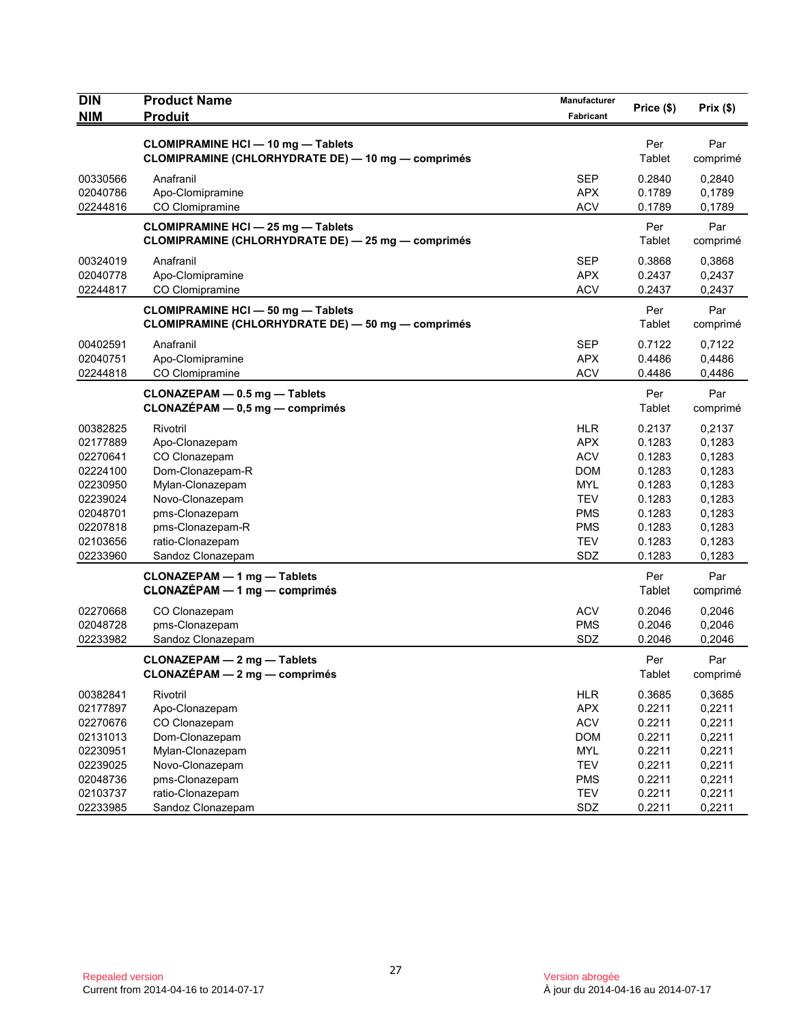| <b>NIM</b><br><b>Produit</b><br>Fabricant<br><b>CLOMIPRAMINE HCI - 10 mg - Tablets</b><br>Per<br>Par<br><b>CLOMIPRAMINE (CHLORHYDRATE DE) - 10 mg - comprimés</b><br>Tablet<br>comprimé<br>Anafranil<br><b>SEP</b><br>0.2840<br>00330566<br>0,2840<br>02040786<br>Apo-Clomipramine<br><b>APX</b><br>0.1789<br>0,1789<br><b>ACV</b><br>0.1789<br>02244816<br>CO Clomipramine<br>0,1789<br><b>CLOMIPRAMINE HCI - 25 mg - Tablets</b><br>Per<br>Par<br><b>CLOMIPRAMINE (CHLORHYDRATE DE) - 25 mg - comprimés</b><br>Tablet<br>comprimé |  |
|-------------------------------------------------------------------------------------------------------------------------------------------------------------------------------------------------------------------------------------------------------------------------------------------------------------------------------------------------------------------------------------------------------------------------------------------------------------------------------------------------------------------------------------|--|
|                                                                                                                                                                                                                                                                                                                                                                                                                                                                                                                                     |  |
|                                                                                                                                                                                                                                                                                                                                                                                                                                                                                                                                     |  |
|                                                                                                                                                                                                                                                                                                                                                                                                                                                                                                                                     |  |
|                                                                                                                                                                                                                                                                                                                                                                                                                                                                                                                                     |  |
|                                                                                                                                                                                                                                                                                                                                                                                                                                                                                                                                     |  |
|                                                                                                                                                                                                                                                                                                                                                                                                                                                                                                                                     |  |
|                                                                                                                                                                                                                                                                                                                                                                                                                                                                                                                                     |  |
| <b>SEP</b><br>0.3868<br>00324019<br>Anafranil<br>0,3868                                                                                                                                                                                                                                                                                                                                                                                                                                                                             |  |
| Apo-Clomipramine<br><b>APX</b><br>02040778<br>0.2437<br>0,2437                                                                                                                                                                                                                                                                                                                                                                                                                                                                      |  |
| <b>ACV</b><br>0.2437<br>0,2437<br>02244817<br>CO Clomipramine                                                                                                                                                                                                                                                                                                                                                                                                                                                                       |  |
| Par<br><b>CLOMIPRAMINE HCI - 50 mg - Tablets</b><br>Per<br>CLOMIPRAMINE (CHLORHYDRATE DE) - 50 mg - comprimés<br>Tablet<br>comprimé                                                                                                                                                                                                                                                                                                                                                                                                 |  |
| 00402591<br>Anafranil<br><b>SEP</b><br>0.7122<br>0,7122                                                                                                                                                                                                                                                                                                                                                                                                                                                                             |  |
| 02040751<br>Apo-Clomipramine<br><b>APX</b><br>0.4486<br>0,4486                                                                                                                                                                                                                                                                                                                                                                                                                                                                      |  |
| CO Clomipramine<br><b>ACV</b><br>02244818<br>0.4486<br>0,4486                                                                                                                                                                                                                                                                                                                                                                                                                                                                       |  |
| Par<br>CLONAZEPAM - 0.5 mg - Tablets<br>Per                                                                                                                                                                                                                                                                                                                                                                                                                                                                                         |  |
| CLONAZÉPAM - 0,5 mg - comprimés<br>Tablet<br>comprimé                                                                                                                                                                                                                                                                                                                                                                                                                                                                               |  |
| <b>HLR</b><br>0.2137<br>00382825<br>Rivotril<br>0,2137                                                                                                                                                                                                                                                                                                                                                                                                                                                                              |  |
| 0.1283<br>02177889<br>Apo-Clonazepam<br>APX<br>0,1283                                                                                                                                                                                                                                                                                                                                                                                                                                                                               |  |
| 02270641<br><b>ACV</b><br>0.1283<br>0,1283<br>CO Clonazepam                                                                                                                                                                                                                                                                                                                                                                                                                                                                         |  |
| 02224100<br>Dom-Clonazepam-R<br><b>DOM</b><br>0.1283<br>0,1283                                                                                                                                                                                                                                                                                                                                                                                                                                                                      |  |
| Mylan-Clonazepam<br><b>MYL</b><br>0.1283<br>0,1283<br>02230950                                                                                                                                                                                                                                                                                                                                                                                                                                                                      |  |
| 02239024<br>Novo-Clonazepam<br><b>TEV</b><br>0.1283<br>0,1283                                                                                                                                                                                                                                                                                                                                                                                                                                                                       |  |
| 02048701<br>pms-Clonazepam<br><b>PMS</b><br>0.1283<br>0,1283                                                                                                                                                                                                                                                                                                                                                                                                                                                                        |  |
| 02207818<br>pms-Clonazepam-R<br><b>PMS</b><br>0.1283<br>0,1283<br>ratio-Clonazepam<br><b>TEV</b><br>0.1283<br>0,1283<br>02103656                                                                                                                                                                                                                                                                                                                                                                                                    |  |
| 02233960<br>SDZ<br>0.1283<br>0,1283<br>Sandoz Clonazepam                                                                                                                                                                                                                                                                                                                                                                                                                                                                            |  |
| Per                                                                                                                                                                                                                                                                                                                                                                                                                                                                                                                                 |  |
| CLONAZEPAM - 1 mg - Tablets<br>Par<br>CLONAZÉPAM - 1 mg - comprimés<br>Tablet<br>comprimé                                                                                                                                                                                                                                                                                                                                                                                                                                           |  |
| <b>ACV</b><br>02270668<br>CO Clonazepam<br>0.2046<br>0,2046                                                                                                                                                                                                                                                                                                                                                                                                                                                                         |  |
| 02048728<br>pms-Clonazepam<br><b>PMS</b><br>0.2046<br>0,2046                                                                                                                                                                                                                                                                                                                                                                                                                                                                        |  |
| 02233982<br>SDZ<br>0.2046<br>0,2046<br>Sandoz Clonazepam                                                                                                                                                                                                                                                                                                                                                                                                                                                                            |  |
| CLONAZEPAM - 2 mg - Tablets<br>Per<br>Par                                                                                                                                                                                                                                                                                                                                                                                                                                                                                           |  |
| Tablet<br><b>CLONAZÉPAM - 2 mg - comprimés</b><br>comprime                                                                                                                                                                                                                                                                                                                                                                                                                                                                          |  |
| 00382841<br><b>HLR</b><br>0.3685<br>0,3685<br>Rivotril                                                                                                                                                                                                                                                                                                                                                                                                                                                                              |  |
| 02177897<br><b>APX</b><br>0.2211<br>0,2211<br>Apo-Clonazepam                                                                                                                                                                                                                                                                                                                                                                                                                                                                        |  |
| <b>ACV</b><br>0.2211<br>02270676<br>CO Clonazepam<br>0,2211                                                                                                                                                                                                                                                                                                                                                                                                                                                                         |  |
| <b>DOM</b><br>0.2211<br>0,2211<br>02131013<br>Dom-Clonazepam                                                                                                                                                                                                                                                                                                                                                                                                                                                                        |  |
| 02230951<br><b>MYL</b><br>0.2211<br>0,2211<br>Mylan-Clonazepam                                                                                                                                                                                                                                                                                                                                                                                                                                                                      |  |
| <b>TEV</b><br>0.2211<br>0,2211<br>02239025<br>Novo-Clonazepam                                                                                                                                                                                                                                                                                                                                                                                                                                                                       |  |
| 0.2211<br>0,2211<br>02048736<br>pms-Clonazepam<br><b>PMS</b>                                                                                                                                                                                                                                                                                                                                                                                                                                                                        |  |
| 02103737<br><b>TEV</b><br>0.2211<br>0,2211<br>ratio-Clonazepam<br>02233985<br>Sandoz Clonazepam<br>SDZ<br>0.2211<br>0,2211                                                                                                                                                                                                                                                                                                                                                                                                          |  |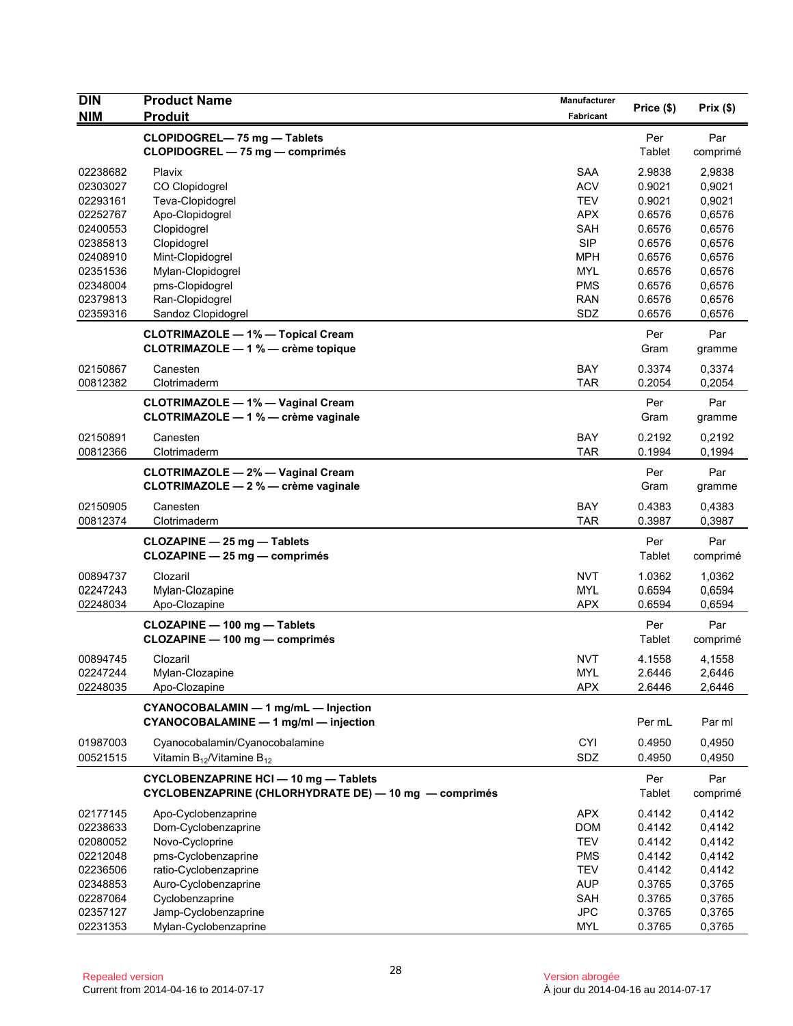| <b>DIN</b><br><b>NIM</b> | <b>Product Name</b><br><b>Produit</b>                                                                 | <b>Manufacturer</b><br>Fabricant | Price (\$)    | Prix(\$)        |
|--------------------------|-------------------------------------------------------------------------------------------------------|----------------------------------|---------------|-----------------|
|                          | CLOPIDOGREL-75 mg - Tablets<br>CLOPIDOGREL - 75 mg - comprimés                                        |                                  | Per<br>Tablet | Par<br>comprimé |
| 02238682                 | Plavix                                                                                                | <b>SAA</b>                       | 2.9838        | 2,9838          |
| 02303027                 | CO Clopidogrel                                                                                        | <b>ACV</b>                       | 0.9021        | 0,9021          |
| 02293161                 | Teva-Clopidogrel                                                                                      | <b>TEV</b>                       | 0.9021        | 0,9021          |
| 02252767                 | Apo-Clopidogrel                                                                                       | <b>APX</b>                       | 0.6576        | 0,6576          |
| 02400553                 | Clopidogrel                                                                                           | SAH                              | 0.6576        | 0,6576          |
| 02385813                 | Clopidogrel                                                                                           | <b>SIP</b>                       | 0.6576        | 0,6576          |
| 02408910                 | Mint-Clopidogrel                                                                                      | MPH                              | 0.6576        | 0,6576          |
| 02351536                 | Mylan-Clopidogrel                                                                                     | <b>MYL</b>                       | 0.6576        | 0,6576          |
| 02348004                 | pms-Clopidogrel                                                                                       | <b>PMS</b>                       | 0.6576        | 0,6576          |
| 02379813                 | Ran-Clopidogrel                                                                                       | <b>RAN</b>                       | 0.6576        | 0,6576          |
| 02359316                 | Sandoz Clopidogrel                                                                                    | SDZ                              | 0.6576        | 0,6576          |
|                          | <b>CLOTRIMAZOLE - 1% - Topical Cream</b><br>CLOTRIMAZOLE - 1 % - crème topique                        |                                  | Per<br>Gram   | Par<br>gramme   |
| 02150867                 | Canesten                                                                                              | <b>BAY</b>                       | 0.3374        | 0,3374          |
| 00812382                 | Clotrimaderm                                                                                          | <b>TAR</b>                       | 0.2054        | 0,2054          |
|                          | <b>CLOTRIMAZOLE - 1% - Vaginal Cream</b><br>CLOTRIMAZOLE - 1 % - crème vaginale                       |                                  | Per<br>Gram   | Par<br>gramme   |
| 02150891                 | Canesten                                                                                              | <b>BAY</b>                       | 0.2192        | 0,2192          |
| 00812366                 | Clotrimaderm                                                                                          | <b>TAR</b>                       | 0.1994        | 0,1994          |
|                          | <b>CLOTRIMAZOLE - 2% - Vaginal Cream</b><br>CLOTRIMAZOLE - 2 % - crème vaginale                       |                                  | Per<br>Gram   | Par<br>gramme   |
| 02150905                 | Canesten                                                                                              | BAY                              | 0.4383        | 0,4383          |
| 00812374                 | Clotrimaderm                                                                                          | TAR                              | 0.3987        | 0,3987          |
|                          | CLOZAPINE - 25 mg - Tablets<br>CLOZAPINE - 25 mg - comprimés                                          |                                  | Per<br>Tablet | Par<br>comprimé |
| 00894737                 | Clozaril                                                                                              | <b>NVT</b>                       | 1.0362        | 1,0362          |
| 02247243                 | Mylan-Clozapine                                                                                       | <b>MYL</b>                       | 0.6594        | 0,6594          |
| 02248034                 | Apo-Clozapine                                                                                         | <b>APX</b>                       | 0.6594        | 0,6594          |
|                          | CLOZAPINE - 100 mg - Tablets<br>CLOZAPINE - 100 mg - comprimés                                        |                                  | Per<br>Tablet | Par<br>comprimé |
| 00894745                 | Clozaril                                                                                              | <b>NVT</b>                       | 4.1558        | 4,1558          |
| 02247244                 | Mylan-Clozapine                                                                                       | <b>MYL</b>                       | 2.6446        | 2,6446          |
| 02248035                 | Apo-Clozapine                                                                                         | <b>APX</b>                       | 2.6446        | 2,6446          |
|                          | CYANOCOBALAMIN - 1 mg/mL - Injection<br>CYANOCOBALAMINE - 1 mg/ml - injection                         |                                  | Per mL        | Par ml          |
| 01987003                 | Cyanocobalamin/Cyanocobalamine                                                                        | <b>CYI</b>                       | 0.4950        | 0,4950          |
| 00521515                 | Vitamin $B_{12}$ /Vitamine $B_{12}$                                                                   | <b>SDZ</b>                       | 0.4950        | 0,4950          |
|                          | <b>CYCLOBENZAPRINE HCI - 10 mg - Tablets</b><br>CYCLOBENZAPRINE (CHLORHYDRATE DE) - 10 mg - comprimés |                                  | Per<br>Tablet | Par<br>comprimé |
| 02177145                 | Apo-Cyclobenzaprine                                                                                   | <b>APX</b>                       | 0.4142        | 0,4142          |
| 02238633                 | Dom-Cyclobenzaprine                                                                                   | DOM                              | 0.4142        | 0,4142          |
| 02080052                 | Novo-Cycloprine                                                                                       | <b>TEV</b>                       | 0.4142        | 0,4142          |
| 02212048                 | pms-Cyclobenzaprine                                                                                   | <b>PMS</b>                       | 0.4142        | 0,4142          |
| 02236506                 | ratio-Cyclobenzaprine                                                                                 | TEV                              | 0.4142        | 0,4142          |
| 02348853                 | Auro-Cyclobenzaprine                                                                                  | <b>AUP</b>                       | 0.3765        | 0,3765          |
| 02287064                 | Cyclobenzaprine                                                                                       | SAH                              | 0.3765        | 0,3765          |
| 02357127                 | Jamp-Cyclobenzaprine                                                                                  | <b>JPC</b>                       | 0.3765        | 0,3765          |
| 02231353                 | Mylan-Cyclobenzaprine                                                                                 | MYL                              | 0.3765        | 0,3765          |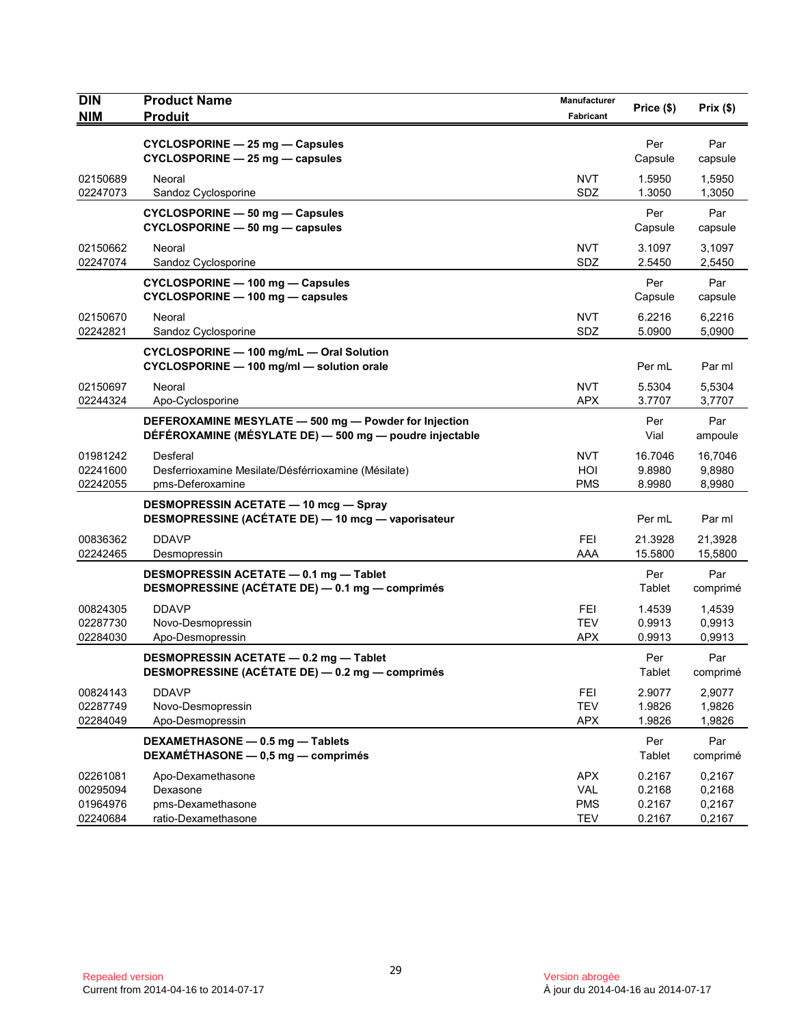| <b>DIN</b><br><b>NIM</b>                     | <b>Product Name</b><br><b>Produit</b>                                                                            | Manufacturer<br>Fabricant              | Price (\$)                           | Prix (\$)                            |
|----------------------------------------------|------------------------------------------------------------------------------------------------------------------|----------------------------------------|--------------------------------------|--------------------------------------|
|                                              | CYCLOSPORINE - 25 mg - Capsules<br>CYCLOSPORINE - 25 mg - capsules                                               |                                        | Per<br>Capsule                       | Par<br>capsule                       |
| 02150689<br>02247073                         | Neoral<br>Sandoz Cyclosporine                                                                                    | <b>NVT</b><br>SDZ                      | 1.5950<br>1.3050                     | 1,5950<br>1,3050                     |
|                                              | CYCLOSPORINE - 50 mg - Capsules<br>CYCLOSPORINE - 50 mg - capsules                                               |                                        | Per<br>Capsule                       | Par<br>capsule                       |
| 02150662<br>02247074                         | Neoral<br>Sandoz Cyclosporine                                                                                    | <b>NVT</b><br>SDZ                      | 3.1097<br>2.5450                     | 3,1097<br>2,5450                     |
|                                              | CYCLOSPORINE - 100 mg - Capsules<br>CYCLOSPORINE - 100 mg - capsules                                             |                                        | Per<br>Capsule                       | Par<br>capsule                       |
| 02150670<br>02242821                         | Neoral<br>Sandoz Cyclosporine                                                                                    | <b>NVT</b><br>SDZ                      | 6.2216<br>5.0900                     | 6,2216<br>5,0900                     |
|                                              | CYCLOSPORINE - 100 mg/mL - Oral Solution<br>CYCLOSPORINE - 100 mg/ml - solution orale                            |                                        | Per mL                               | Par ml                               |
| 02150697<br>02244324                         | Neoral<br>Apo-Cyclosporine                                                                                       | <b>NVT</b><br><b>APX</b>               | 5.5304<br>3.7707                     | 5,5304<br>3,7707                     |
|                                              | DEFEROXAMINE MESYLATE - 500 mg - Powder for Injection<br>DÉFÉROXAMINE (MÉSYLATE DE) - 500 mg - poudre injectable |                                        | Per<br>Vial                          | Par<br>ampoule                       |
| 01981242<br>02241600<br>02242055             | Desferal<br>Desferrioxamine Mesilate/Désférrioxamine (Mésilate)<br>pms-Deferoxamine                              | <b>NVT</b><br>HOI<br><b>PMS</b>        | 16.7046<br>9.8980<br>8.9980          | 16,7046<br>9,8980<br>8,9980          |
|                                              | <b>DESMOPRESSIN ACETATE - 10 mcg - Spray</b><br>DESMOPRESSINE (ACÉTATE DE) - 10 mcg - vaporisateur               |                                        | Per mL                               | Par ml                               |
| 00836362<br>02242465                         | <b>DDAVP</b><br>Desmopressin                                                                                     | FEI<br>AAA                             | 21.3928<br>15.5800                   | 21,3928<br>15,5800                   |
|                                              | DESMOPRESSIN ACETATE - 0.1 mg - Tablet<br>DESMOPRESSINE (ACÉTATE DE) - 0.1 mg - comprimés                        |                                        | Per<br>Tablet                        | Par<br>comprimé                      |
| 00824305<br>02287730<br>02284030             | <b>DDAVP</b><br>Novo-Desmopressin<br>Apo-Desmopressin                                                            | <b>FEI</b><br><b>TEV</b><br><b>APX</b> | 1.4539<br>0.9913<br>0.9913           | 1,4539<br>0,9913<br>0,9913           |
|                                              | DESMOPRESSIN ACETATE - 0.2 mg - Tablet<br>DESMOPRESSINE (ACÉTATE DE) - 0.2 mg - comprimés                        |                                        | Per<br>Tablet                        | Par<br>comprimé                      |
| 00824143<br>02287749<br>02284049             | <b>DDAVP</b><br>Novo-Desmopressin<br>Apo-Desmopressin                                                            | FEI<br><b>TEV</b><br><b>APX</b>        | 2.9077<br>1.9826<br>1.9826           | 2,9077<br>1,9826<br>1,9826           |
|                                              | DEXAMETHASONE - 0.5 mg - Tablets<br>DEXAMÉTHASONE - 0,5 mg - comprimés                                           |                                        | Per<br>Tablet                        | Par<br>comprimé                      |
| 02261081<br>00295094<br>01964976<br>02240684 | Apo-Dexamethasone<br>Dexasone<br>pms-Dexamethasone<br>ratio-Dexamethasone                                        | <b>APX</b><br>VAL<br><b>PMS</b><br>TEV | 0.2167<br>0.2168<br>0.2167<br>0.2167 | 0,2167<br>0,2168<br>0,2167<br>0,2167 |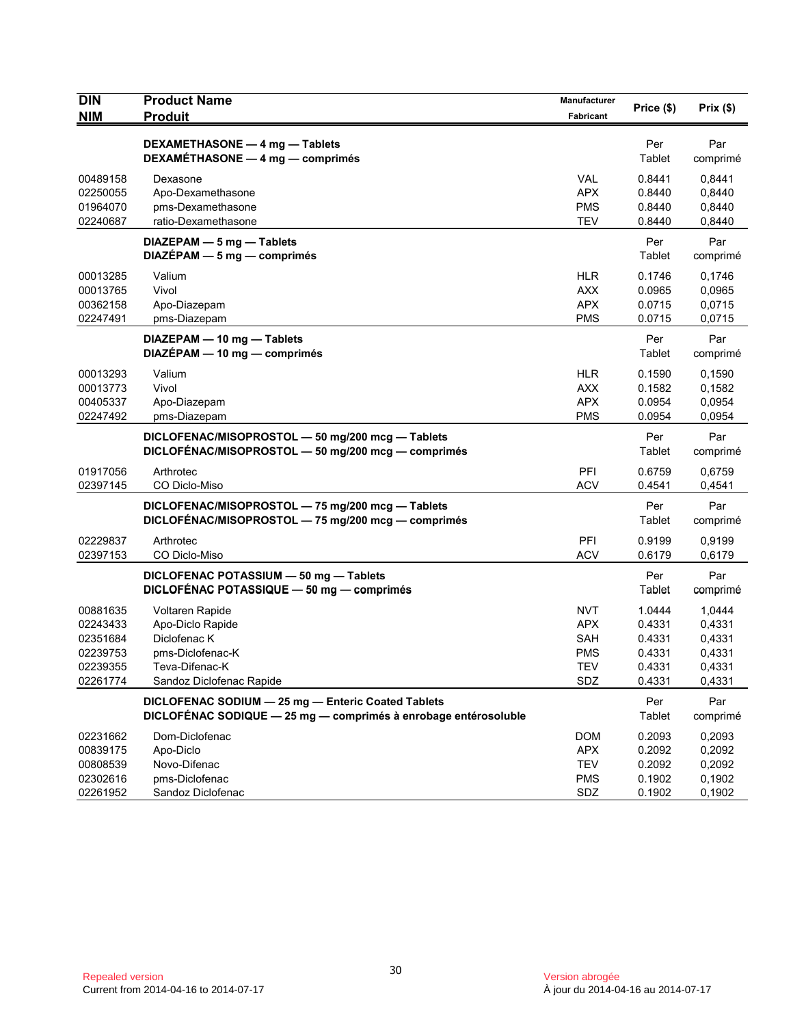| <b>DIN</b><br><b>NIM</b>                                             | <b>Product Name</b><br><b>Produit</b>                                                                                 | Manufacturer<br>Fabricant                                          | Price (\$)                                               | Prix(\$)                                                 |
|----------------------------------------------------------------------|-----------------------------------------------------------------------------------------------------------------------|--------------------------------------------------------------------|----------------------------------------------------------|----------------------------------------------------------|
|                                                                      | DEXAMETHASONE - 4 mg - Tablets<br>DEXAMÉTHASONE - 4 mg - comprimés                                                    |                                                                    | Per<br>Tablet                                            | Par<br>comprimé                                          |
| 00489158<br>02250055<br>01964070<br>02240687                         | Dexasone<br>Apo-Dexamethasone<br>pms-Dexamethasone<br>ratio-Dexamethasone                                             | <b>VAL</b><br><b>APX</b><br><b>PMS</b><br><b>TEV</b>               | 0.8441<br>0.8440<br>0.8440<br>0.8440                     | 0,8441<br>0,8440<br>0,8440<br>0,8440                     |
|                                                                      | $DIAZEPAM - 5 mg - Tables$<br>$DIAZÉPAM - 5 mg - comprimés$                                                           |                                                                    | Per<br>Tablet                                            | Par<br>comprimé                                          |
| 00013285<br>00013765<br>00362158<br>02247491                         | Valium<br>Vivol<br>Apo-Diazepam<br>pms-Diazepam                                                                       | <b>HLR</b><br><b>AXX</b><br><b>APX</b><br><b>PMS</b>               | 0.1746<br>0.0965<br>0.0715<br>0.0715                     | 0,1746<br>0,0965<br>0,0715<br>0,0715                     |
|                                                                      | DIAZEPAM - 10 mg - Tablets<br>DIAZÉPAM - 10 mg - comprimés                                                            |                                                                    | Per<br>Tablet                                            | Par<br>comprimé                                          |
| 00013293<br>00013773<br>00405337<br>02247492                         | Valium<br>Vivol<br>Apo-Diazepam<br>pms-Diazepam                                                                       | <b>HLR</b><br><b>AXX</b><br><b>APX</b><br><b>PMS</b>               | 0.1590<br>0.1582<br>0.0954<br>0.0954                     | 0,1590<br>0,1582<br>0,0954<br>0,0954                     |
|                                                                      | DICLOFENAC/MISOPROSTOL - 50 mg/200 mcg - Tablets<br>DICLOFÉNAC/MISOPROSTOL - 50 mg/200 mcg - comprimés                |                                                                    | Per<br>Tablet                                            | Par<br>comprimé                                          |
| 01917056<br>02397145                                                 | Arthrotec<br>CO Diclo-Miso                                                                                            | PFI<br><b>ACV</b>                                                  | 0.6759<br>0.4541                                         | 0,6759<br>0,4541                                         |
|                                                                      | DICLOFENAC/MISOPROSTOL - 75 mg/200 mcg - Tablets<br>DICLOFÉNAC/MISOPROSTOL - 75 mg/200 mcg - comprimés                |                                                                    | Per<br>Tablet                                            | Par<br>comprimé                                          |
| 02229837<br>02397153                                                 | Arthrotec<br>CO Diclo-Miso                                                                                            | PFI<br><b>ACV</b>                                                  | 0.9199<br>0.6179                                         | 0,9199<br>0,6179                                         |
|                                                                      | DICLOFENAC POTASSIUM - 50 mg - Tablets<br>DICLOFÉNAC POTASSIQUE - 50 mg - comprimés                                   |                                                                    | Per<br>Tablet                                            | Par<br>comprimé                                          |
| 00881635<br>02243433<br>02351684<br>02239753<br>02239355<br>02261774 | Voltaren Rapide<br>Apo-Diclo Rapide<br>Diclofenac K<br>pms-Diclofenac-K<br>Teva-Difenac-K<br>Sandoz Diclofenac Rapide | <b>NVT</b><br><b>APX</b><br>SAH<br><b>PMS</b><br><b>TEV</b><br>SDZ | 1.0444<br>0.4331<br>0.4331<br>0.4331<br>0.4331<br>0.4331 | 1,0444<br>0,4331<br>0,4331<br>0,4331<br>0,4331<br>0,4331 |
|                                                                      | DICLOFENAC SODIUM - 25 mg - Enteric Coated Tablets<br>DICLOFÉNAC SODIQUE - 25 mg - comprimés à enrobage entérosoluble |                                                                    | Per<br>Tablet                                            | Par<br>comprimé                                          |
| 02231662<br>00839175<br>00808539<br>02302616<br>02261952             | Dom-Diclofenac<br>Apo-Diclo<br>Novo-Difenac<br>pms-Diclofenac<br>Sandoz Diclofenac                                    | <b>DOM</b><br><b>APX</b><br><b>TEV</b><br><b>PMS</b><br>SDZ        | 0.2093<br>0.2092<br>0.2092<br>0.1902<br>0.1902           | 0,2093<br>0,2092<br>0,2092<br>0,1902<br>0,1902           |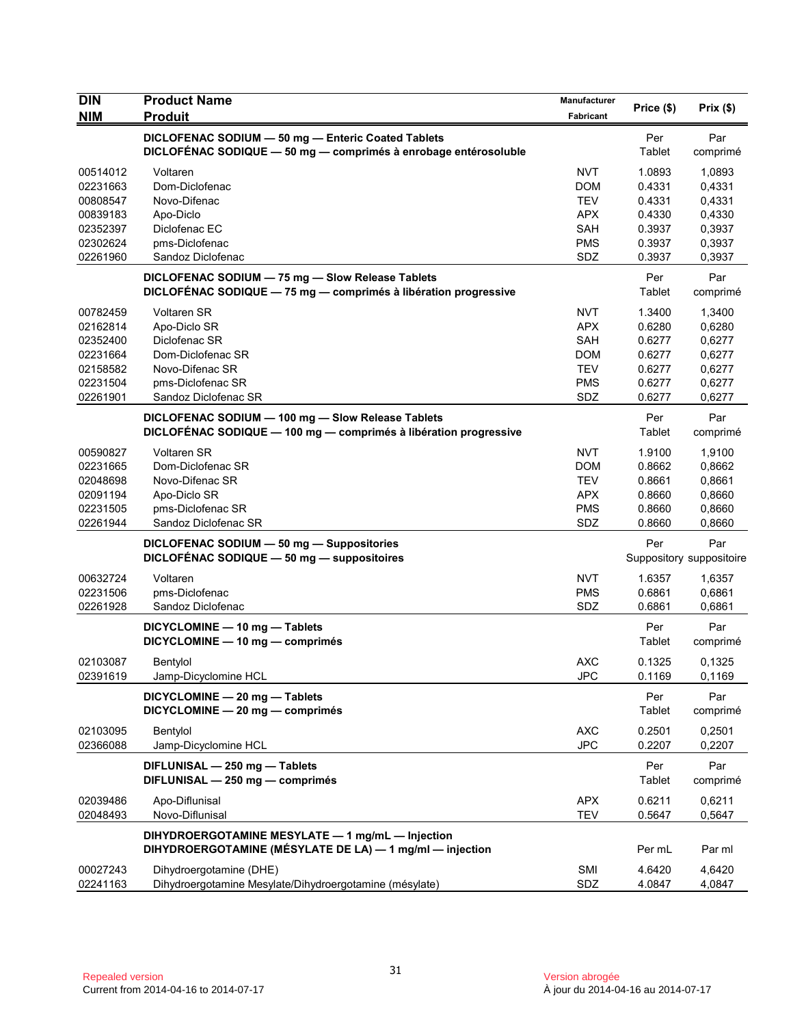| <b>DIN</b><br><b>NIM</b> | <b>Product Name</b><br><b>Produit</b>                                                                                 | Manufacturer<br>Fabricant | Price (\$)       | Prix(\$)                        |
|--------------------------|-----------------------------------------------------------------------------------------------------------------------|---------------------------|------------------|---------------------------------|
|                          | DICLOFENAC SODIUM - 50 mg - Enteric Coated Tablets<br>DICLOFÉNAC SODIQUE - 50 mg - comprimés à enrobage entérosoluble |                           | Per<br>Tablet    | Par<br>comprimé                 |
| 00514012                 | Voltaren                                                                                                              | <b>NVT</b>                | 1.0893           | 1,0893                          |
| 02231663                 | Dom-Diclofenac                                                                                                        | <b>DOM</b>                | 0.4331           | 0,4331                          |
| 00808547                 | Novo-Difenac                                                                                                          | <b>TEV</b>                | 0.4331           | 0,4331                          |
| 00839183                 | Apo-Diclo                                                                                                             | <b>APX</b>                | 0.4330           | 0,4330                          |
| 02352397                 | Diclofenac EC                                                                                                         | <b>SAH</b>                | 0.3937           | 0,3937                          |
| 02302624                 | pms-Diclofenac                                                                                                        | <b>PMS</b>                | 0.3937           | 0,3937                          |
| 02261960                 | Sandoz Diclofenac                                                                                                     | SDZ                       | 0.3937           | 0,3937                          |
|                          | DICLOFENAC SODIUM - 75 mg - Slow Release Tablets<br>DICLOFÉNAC SODIQUE - 75 mg - comprimés à libération progressive   |                           | Per<br>Tablet    | Par<br>comprimé                 |
| 00782459                 | <b>Voltaren SR</b>                                                                                                    | <b>NVT</b>                | 1.3400           | 1,3400                          |
| 02162814                 | Apo-Diclo SR                                                                                                          | <b>APX</b>                | 0.6280           | 0,6280                          |
| 02352400                 | Diclofenac SR                                                                                                         | <b>SAH</b>                | 0.6277           | 0,6277                          |
| 02231664                 | Dom-Diclofenac SR                                                                                                     | <b>DOM</b>                | 0.6277           | 0,6277                          |
| 02158582                 | Novo-Difenac SR                                                                                                       | <b>TEV</b>                | 0.6277           | 0,6277                          |
| 02231504                 | pms-Diclofenac SR                                                                                                     | <b>PMS</b>                | 0.6277           | 0,6277                          |
| 02261901                 | Sandoz Diclofenac SR                                                                                                  | SDZ                       | 0.6277           | 0,6277                          |
|                          | DICLOFENAC SODIUM - 100 mg - Slow Release Tablets                                                                     |                           | Per              | Par                             |
|                          | DICLOFÉNAC SODIQUE - 100 mg - comprimés à libération progressive                                                      |                           | Tablet           | comprimé                        |
| 00590827                 | <b>Voltaren SR</b>                                                                                                    | <b>NVT</b>                | 1.9100           | 1,9100                          |
| 02231665                 | Dom-Diclofenac SR                                                                                                     | <b>DOM</b>                | 0.8662           | 0,8662                          |
| 02048698                 | Novo-Difenac SR                                                                                                       | <b>TEV</b>                | 0.8661           | 0,8661                          |
| 02091194                 | Apo-Diclo SR                                                                                                          | <b>APX</b>                | 0.8660           | 0,8660                          |
| 02231505                 | pms-Diclofenac SR                                                                                                     | <b>PMS</b>                | 0.8660           | 0,8660                          |
| 02261944                 | Sandoz Diclofenac SR                                                                                                  | SDZ                       | 0.8660           | 0,8660                          |
|                          | DICLOFENAC SODIUM - 50 mg - Suppositories<br>DICLOFÉNAC SODIQUE - 50 mg - suppositoires                               |                           | Per              | Par<br>Suppository suppositoire |
| 00632724                 | Voltaren                                                                                                              | <b>NVT</b>                | 1.6357           | 1,6357                          |
| 02231506                 | pms-Diclofenac                                                                                                        | <b>PMS</b>                | 0.6861           |                                 |
|                          | Sandoz Diclofenac                                                                                                     | SDZ                       |                  | 0,6861                          |
| 02261928                 |                                                                                                                       |                           | 0.6861           | 0,6861                          |
|                          | DICYCLOMINE - 10 mg - Tablets<br>DICYCLOMINE - 10 mg - comprimés                                                      |                           | Per<br>Tablet    | Par<br>comprimé                 |
| 02103087                 | Bentylol                                                                                                              | <b>AXC</b>                | 0.1325           | 0,1325                          |
| 02391619                 | Jamp-Dicyclomine HCL                                                                                                  | <b>JPC</b>                | 0.1169           | 0,1169                          |
|                          | DICYCLOMINE - 20 mg - Tablets                                                                                         |                           | Per              | Par                             |
|                          | DICYCLOMINE - 20 mg - comprimés                                                                                       |                           | Tablet           | comprimé                        |
| 02103095                 | Bentylol                                                                                                              | <b>AXC</b>                | 0.2501           | 0,2501                          |
| 02366088                 | Jamp-Dicyclomine HCL                                                                                                  | <b>JPC</b>                | 0.2207           | 0,2207                          |
|                          | DIFLUNISAL - 250 mg - Tablets<br>DIFLUNISAL - 250 mg - comprimés                                                      |                           | Per<br>Tablet    | Par<br>comprimé                 |
| 02039486<br>02048493     | Apo-Diflunisal<br>Novo-Diflunisal                                                                                     | <b>APX</b><br><b>TEV</b>  | 0.6211<br>0.5647 | 0,6211<br>0,5647                |
|                          | DIHYDROERGOTAMINE MESYLATE - 1 mg/mL - Injection                                                                      |                           |                  |                                 |
|                          | DIHYDROERGOTAMINE (MÉSYLATE DE LA) - 1 mg/ml - injection                                                              |                           | Per mL           | Par ml                          |
| 00027243<br>02241163     | Dihydroergotamine (DHE)<br>Dihydroergotamine Mesylate/Dihydroergotamine (mésylate)                                    | SMI<br>SDZ                | 4.6420<br>4.0847 | 4,6420<br>4,0847                |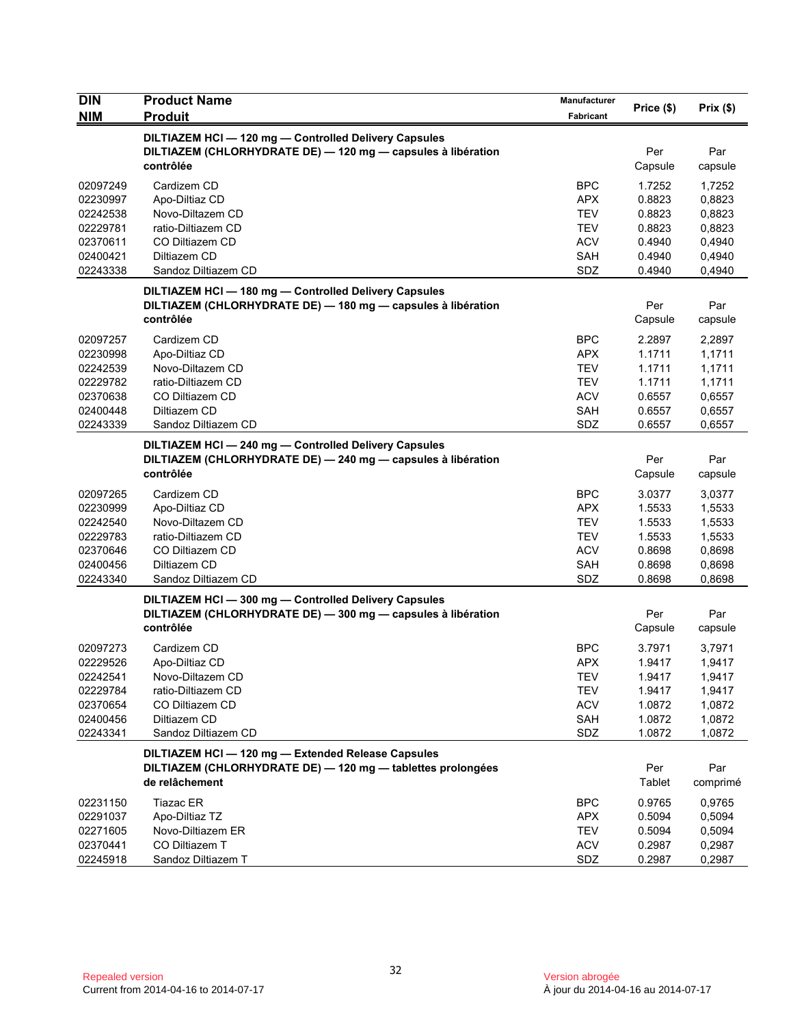| <b>DIN</b>                                                                       | <b>Product Name</b>                                                                                                                                   | <b>Manufacturer</b>                                                              |                                                                    |                                                                    |
|----------------------------------------------------------------------------------|-------------------------------------------------------------------------------------------------------------------------------------------------------|----------------------------------------------------------------------------------|--------------------------------------------------------------------|--------------------------------------------------------------------|
| <b>NIM</b>                                                                       | <b>Produit</b>                                                                                                                                        | Fabricant                                                                        | Price (\$)                                                         | Prix(\$)                                                           |
|                                                                                  | DILTIAZEM HCI - 120 mg - Controlled Delivery Capsules<br>DILTIAZEM (CHLORHYDRATE DE) - 120 mg - capsules à libération<br>contrôlée                    |                                                                                  | Per<br>Capsule                                                     | Par<br>capsule                                                     |
| 02097249<br>02230997<br>02242538                                                 | Cardizem CD<br>Apo-Diltiaz CD<br>Novo-Diltazem CD                                                                                                     | <b>BPC</b><br><b>APX</b><br>TEV                                                  | 1.7252<br>0.8823<br>0.8823                                         | 1,7252<br>0,8823<br>0,8823                                         |
| 02229781<br>02370611<br>02400421                                                 | ratio-Diltiazem CD<br>CO Diltiazem CD<br>Diltiazem CD                                                                                                 | <b>TEV</b><br><b>ACV</b><br>SAH                                                  | 0.8823<br>0.4940<br>0.4940                                         | 0,8823<br>0,4940<br>0,4940                                         |
| 02243338                                                                         | Sandoz Diltiazem CD<br>DILTIAZEM HCI-180 mg-Controlled Delivery Capsules<br>DILTIAZEM (CHLORHYDRATE DE) - 180 mg - capsules à libération<br>contrôlée | SDZ                                                                              | 0.4940<br>Per<br>Capsule                                           | 0,4940<br>Par<br>capsule                                           |
| 02097257<br>02230998<br>02242539<br>02229782<br>02370638<br>02400448<br>02243339 | Cardizem CD<br>Apo-Diltiaz CD<br>Novo-Diltazem CD<br>ratio-Diltiazem CD<br>CO Diltiazem CD<br>Diltiazem CD<br>Sandoz Diltiazem CD                     | <b>BPC</b><br><b>APX</b><br><b>TEV</b><br><b>TEV</b><br><b>ACV</b><br>SAH<br>SDZ | 2.2897<br>1.1711<br>1.1711<br>1.1711<br>0.6557<br>0.6557<br>0.6557 | 2,2897<br>1,1711<br>1,1711<br>1,1711<br>0,6557<br>0,6557<br>0,6557 |
|                                                                                  | DILTIAZEM HCI-240 mg-Controlled Delivery Capsules<br>DILTIAZEM (CHLORHYDRATE DE) - 240 mg - capsules à libération<br>contrôlée                        |                                                                                  | Per<br>Capsule                                                     | Par<br>capsule                                                     |
| 02097265<br>02230999<br>02242540<br>02229783<br>02370646<br>02400456<br>02243340 | Cardizem CD<br>Apo-Diltiaz CD<br>Novo-Diltazem CD<br>ratio-Diltiazem CD<br>CO Diltiazem CD<br>Diltiazem CD<br>Sandoz Diltiazem CD                     | <b>BPC</b><br><b>APX</b><br><b>TEV</b><br><b>TEV</b><br><b>ACV</b><br>SAH<br>SDZ | 3.0377<br>1.5533<br>1.5533<br>1.5533<br>0.8698<br>0.8698<br>0.8698 | 3,0377<br>1,5533<br>1,5533<br>1,5533<br>0,8698<br>0,8698<br>0,8698 |
|                                                                                  | DILTIAZEM HCI-300 mg-Controlled Delivery Capsules<br>DILTIAZEM (CHLORHYDRATE DE) - 300 mg - capsules à libération<br>contrôlée                        |                                                                                  | Per<br>Capsule                                                     | Par<br>capsule                                                     |
| 02097273<br>02229526<br>02242541<br>02229784<br>02370654<br>02400456<br>02243341 | Cardizem CD<br>Apo-Diltiaz CD<br>Novo-Diltazem CD<br>ratio-Diltiazem CD<br>CO Diltiazem CD<br>Diltiazem CD<br>Sandoz Diltiazem CD                     | <b>BPC</b><br><b>APX</b><br>TEV<br><b>TEV</b><br><b>ACV</b><br>SAH<br>SDZ        | 3.7971<br>1.9417<br>1.9417<br>1.9417<br>1.0872<br>1.0872<br>1.0872 | 3,7971<br>1,9417<br>1,9417<br>1,9417<br>1,0872<br>1,0872<br>1,0872 |
|                                                                                  | DILTIAZEM HCI - 120 mg - Extended Release Capsules<br>DILTIAZEM (CHLORHYDRATE DE) - 120 mg - tablettes prolongées<br>de relâchement                   |                                                                                  | Per<br>Tablet                                                      | Par<br>comprimé                                                    |
| 02231150<br>02291037<br>02271605<br>02370441<br>02245918                         | <b>Tiazac ER</b><br>Apo-Diltiaz TZ<br>Novo-Diltiazem ER<br>CO Diltiazem T<br>Sandoz Diltiazem T                                                       | <b>BPC</b><br><b>APX</b><br><b>TEV</b><br><b>ACV</b><br>SDZ                      | 0.9765<br>0.5094<br>0.5094<br>0.2987<br>0.2987                     | 0,9765<br>0,5094<br>0,5094<br>0,2987<br>0,2987                     |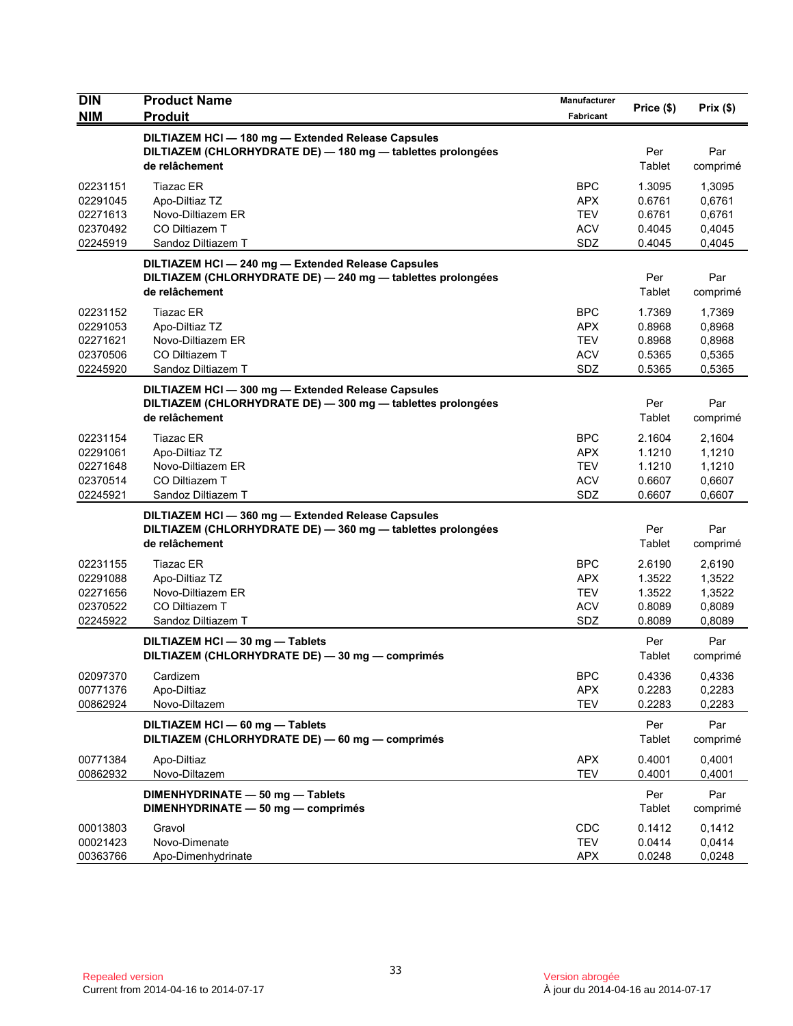| <b>DIN</b>                                               | <b>Product Name</b>                                                                                                                               | Manufacturer                                                | Price (\$)                                     | Prix(\$)                                       |
|----------------------------------------------------------|---------------------------------------------------------------------------------------------------------------------------------------------------|-------------------------------------------------------------|------------------------------------------------|------------------------------------------------|
| <b>NIM</b>                                               | <b>Produit</b><br>DILTIAZEM HCI-180 mg-Extended Release Capsules<br>DILTIAZEM (CHLORHYDRATE DE) - 180 mg - tablettes prolongées<br>de relâchement | <b>Fabricant</b>                                            | Per<br>Tablet                                  | Par<br>comprimé                                |
| 02231151<br>02291045<br>02271613<br>02370492<br>02245919 | <b>Tiazac ER</b><br>Apo-Diltiaz TZ<br>Novo-Diltiazem ER<br>CO Diltiazem T<br>Sandoz Diltiazem T                                                   | <b>BPC</b><br><b>APX</b><br><b>TEV</b><br><b>ACV</b><br>SDZ | 1.3095<br>0.6761<br>0.6761<br>0.4045<br>0.4045 | 1,3095<br>0,6761<br>0,6761<br>0,4045<br>0,4045 |
|                                                          | DILTIAZEM HCI-240 mg-Extended Release Capsules<br>DILTIAZEM (CHLORHYDRATE DE) - 240 mg - tablettes prolongées<br>de relâchement                   |                                                             | Per<br>Tablet                                  | Par<br>comprimé                                |
| 02231152<br>02291053<br>02271621<br>02370506<br>02245920 | <b>Tiazac ER</b><br>Apo-Diltiaz TZ<br>Novo-Diltiazem ER<br>CO Diltiazem T<br>Sandoz Diltiazem T                                                   | <b>BPC</b><br><b>APX</b><br><b>TEV</b><br><b>ACV</b><br>SDZ | 1.7369<br>0.8968<br>0.8968<br>0.5365<br>0.5365 | 1,7369<br>0,8968<br>0,8968<br>0,5365<br>0,5365 |
|                                                          | DILTIAZEM HCI - 300 mg - Extended Release Capsules<br>DILTIAZEM (CHLORHYDRATE DE) - 300 mg - tablettes prolongées<br>de relâchement               |                                                             | Per<br>Tablet                                  | Par<br>comprimé                                |
| 02231154<br>02291061<br>02271648<br>02370514<br>02245921 | Tiazac ER<br>Apo-Diltiaz TZ<br>Novo-Diltiazem ER<br>CO Diltiazem T<br>Sandoz Diltiazem T                                                          | <b>BPC</b><br><b>APX</b><br><b>TEV</b><br><b>ACV</b><br>SDZ | 2.1604<br>1.1210<br>1.1210<br>0.6607<br>0.6607 | 2,1604<br>1,1210<br>1,1210<br>0,6607<br>0,6607 |
|                                                          | DILTIAZEM HCI-360 mg-Extended Release Capsules<br>DILTIAZEM (CHLORHYDRATE DE) - 360 mg - tablettes prolongées<br>de relâchement                   |                                                             | Per<br>Tablet                                  | Par<br>comprimé                                |
| 02231155<br>02291088<br>02271656<br>02370522<br>02245922 | Tiazac ER<br>Apo-Diltiaz TZ<br>Novo-Diltiazem ER<br>CO Diltiazem T<br>Sandoz Diltiazem T                                                          | <b>BPC</b><br><b>APX</b><br><b>TEV</b><br><b>ACV</b><br>SDZ | 2.6190<br>1.3522<br>1.3522<br>0.8089<br>0.8089 | 2,6190<br>1,3522<br>1,3522<br>0,8089<br>0,8089 |
|                                                          | DILTIAZEM HCI - 30 mg - Tablets<br>DILTIAZEM (CHLORHYDRATE DE) - 30 mg - comprimés                                                                |                                                             | Per<br>Tablet                                  | Par<br>comprimé                                |
| 02097370<br>00771376<br>00862924                         | Cardizem<br>Apo-Diltiaz<br>Novo-Diltazem                                                                                                          | <b>BPC</b><br><b>APX</b><br><b>TEV</b>                      | 0.4336<br>0.2283<br>0.2283                     | 0,4336<br>0,2283<br>0,2283                     |
|                                                          | DILTIAZEM HCI - 60 mg - Tablets<br>DILTIAZEM (CHLORHYDRATE DE) - 60 mg - comprimés                                                                |                                                             | Per<br>Tablet                                  | Par<br>comprimé                                |
| 00771384<br>00862932                                     | Apo-Diltiaz<br>Novo-Diltazem                                                                                                                      | <b>APX</b><br><b>TEV</b>                                    | 0.4001<br>0.4001                               | 0,4001<br>0,4001                               |
|                                                          | DIMENHYDRINATE - 50 mg - Tablets<br>DIMENHYDRINATE - 50 mg - comprimés                                                                            |                                                             | Per<br>Tablet                                  | Par<br>comprimé                                |
| 00013803<br>00021423<br>00363766                         | Gravol<br>Novo-Dimenate<br>Apo-Dimenhydrinate                                                                                                     | <b>CDC</b><br><b>TEV</b><br><b>APX</b>                      | 0.1412<br>0.0414<br>0.0248                     | 0,1412<br>0,0414<br>0,0248                     |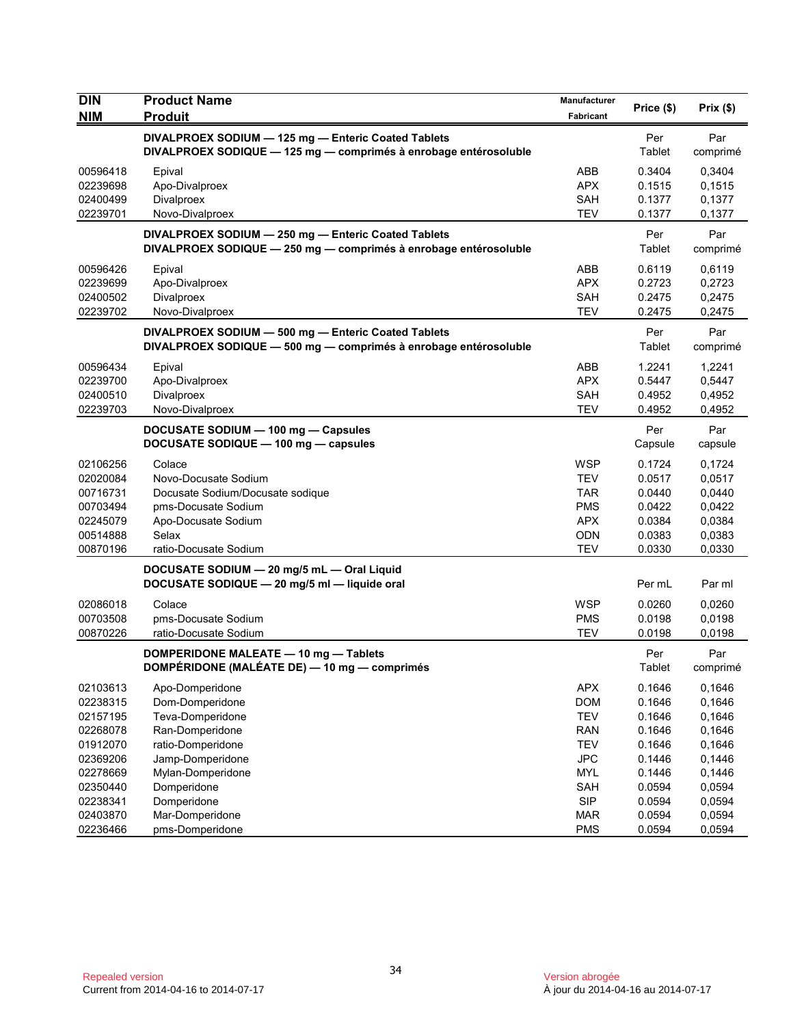| <b>DIN</b>           | <b>Product Name</b>                                              | Manufacturer             |                  |                  |
|----------------------|------------------------------------------------------------------|--------------------------|------------------|------------------|
| <b>NIM</b>           | <b>Produit</b>                                                   | Fabricant                | Price (\$)       | Prix(\$)         |
|                      | DIVALPROEX SODIUM - 125 mg - Enteric Coated Tablets              |                          | Per              | Par              |
|                      | DIVALPROEX SODIQUE - 125 mg - comprimés à enrobage entérosoluble |                          | Tablet           | comprimé         |
| 00596418             | Epival                                                           | ABB                      | 0.3404           | 0.3404           |
| 02239698             | Apo-Divalproex                                                   | <b>APX</b>               | 0.1515           | 0,1515           |
| 02400499             | Divalproex                                                       | SAH                      | 0.1377           | 0,1377           |
| 02239701             | Novo-Divalproex                                                  | <b>TEV</b>               | 0.1377           | 0,1377           |
|                      | DIVALPROEX SODIUM - 250 mg - Enteric Coated Tablets              |                          | Per              | Par              |
|                      | DIVALPROEX SODIQUE - 250 mg - comprimés à enrobage entérosoluble |                          | Tablet           | comprimé         |
| 00596426             | Epival                                                           | ABB                      | 0.6119           | 0,6119           |
| 02239699             | Apo-Divalproex                                                   | <b>APX</b>               | 0.2723           | 0,2723           |
| 02400502             | Divalproex                                                       | <b>SAH</b>               | 0.2475           | 0,2475           |
| 02239702             | Novo-Divalproex                                                  | <b>TEV</b>               | 0.2475           | 0,2475           |
|                      | DIVALPROEX SODIUM - 500 mg - Enteric Coated Tablets              |                          | Per              | Par              |
|                      | DIVALPROEX SODIQUE - 500 mg - comprimés à enrobage entérosoluble |                          | Tablet           | comprimé         |
| 00596434             | Epival                                                           | ABB                      | 1.2241           | 1,2241           |
| 02239700             | Apo-Divalproex                                                   | <b>APX</b>               | 0.5447           | 0,5447           |
| 02400510             | Divalproex                                                       | SAH                      | 0.4952           | 0,4952           |
| 02239703             | Novo-Divalproex                                                  | <b>TEV</b>               | 0.4952           | 0,4952           |
|                      | DOCUSATE SODIUM - 100 mg - Capsules                              |                          | Per              | Par              |
|                      | DOCUSATE SODIQUE - 100 mg - capsules                             |                          | Capsule          | capsule          |
| 02106256             | Colace                                                           | <b>WSP</b>               | 0.1724           | 0,1724           |
| 02020084             | Novo-Docusate Sodium                                             | <b>TEV</b>               | 0.0517           | 0,0517           |
| 00716731             | Docusate Sodium/Docusate sodique                                 | <b>TAR</b>               | 0.0440           | 0,0440           |
| 00703494             | pms-Docusate Sodium                                              | <b>PMS</b>               | 0.0422           | 0,0422           |
| 02245079             | Apo-Docusate Sodium                                              | <b>APX</b>               | 0.0384           | 0,0384           |
| 00514888             | Selax                                                            | <b>ODN</b>               | 0.0383           | 0,0383           |
| 00870196             | ratio-Docusate Sodium                                            | <b>TEV</b>               | 0.0330           | 0,0330           |
|                      | DOCUSATE SODIUM - 20 mg/5 mL - Oral Liquid                       |                          |                  |                  |
|                      | DOCUSATE SODIQUE - 20 mg/5 ml - liquide oral                     |                          | Per mL           | Par ml           |
| 02086018             | Colace                                                           | <b>WSP</b>               | 0.0260           | 0,0260           |
| 00703508             | pms-Docusate Sodium                                              | <b>PMS</b>               | 0.0198           | 0,0198           |
| 00870226             | ratio-Docusate Sodium                                            | <b>TEV</b>               | 0.0198           | 0,0198           |
|                      | DOMPERIDONE MALEATE - 10 mg - Tablets                            |                          | Per              | Par              |
|                      | DOMPÉRIDONE (MALÉATE DE) - 10 mg - comprimés                     |                          | Tablet           | comprimé         |
| 02103613             | Apo-Domperidone                                                  | <b>APX</b>               | 0.1646           | 0,1646           |
| 02238315             | Dom-Domperidone                                                  | <b>DOM</b>               | 0.1646           | 0,1646           |
| 02157195             | Teva-Domperidone                                                 | <b>TEV</b>               | 0.1646           | 0,1646           |
| 02268078             | Ran-Domperidone                                                  | <b>RAN</b>               | 0.1646           | 0,1646           |
| 01912070             | ratio-Domperidone                                                | <b>TEV</b>               | 0.1646           | 0,1646           |
| 02369206             | Jamp-Domperidone                                                 | <b>JPC</b>               | 0.1446           | 0,1446           |
| 02278669             | Mylan-Domperidone                                                | <b>MYL</b>               | 0.1446           | 0,1446           |
| 02350440             | Domperidone                                                      | SAH                      | 0.0594           | 0,0594           |
| 02238341             | Domperidone                                                      | SIP                      | 0.0594           | 0,0594           |
| 02403870<br>02236466 | Mar-Domperidone<br>pms-Domperidone                               | <b>MAR</b><br><b>PMS</b> | 0.0594<br>0.0594 | 0,0594<br>0,0594 |
|                      |                                                                  |                          |                  |                  |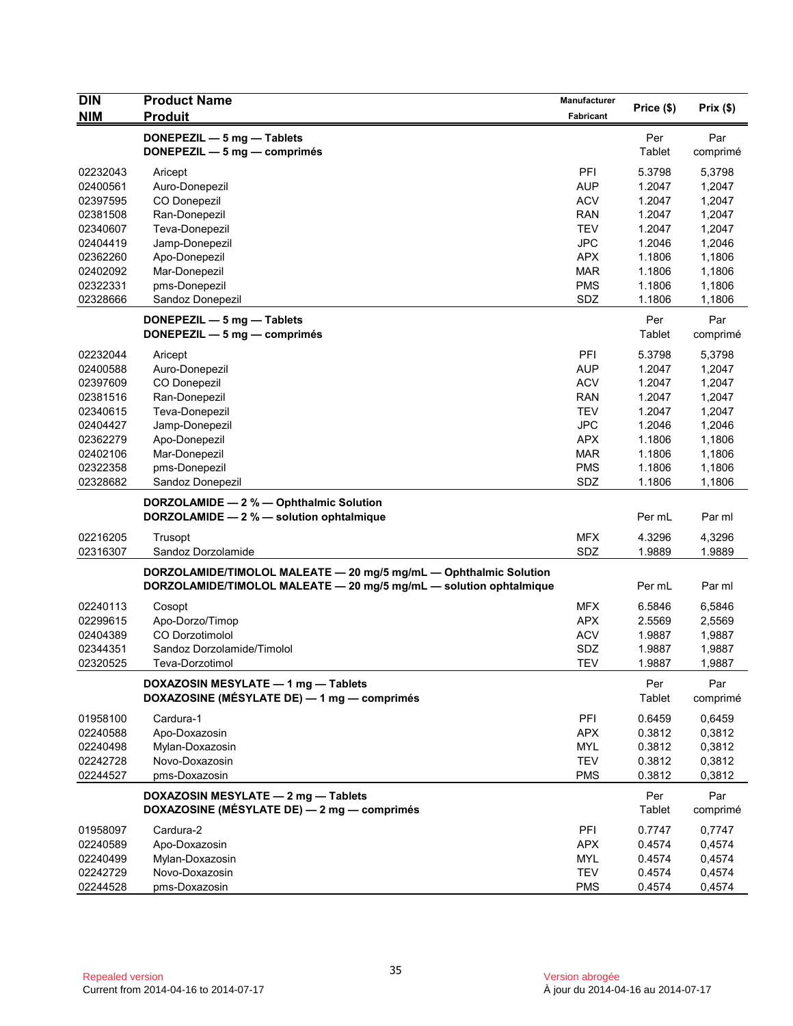| <b>DIN</b>           | <b>Product Name</b>                                                | <b>Manufacturer</b>      |                  |                  |
|----------------------|--------------------------------------------------------------------|--------------------------|------------------|------------------|
| <b>NIM</b>           | <b>Produit</b>                                                     | Fabricant                | Price (\$)       | Prix(\$)         |
|                      | DONEPEZIL - 5 mg - Tablets                                         |                          | Per              | Par              |
|                      | DONEPEZIL - 5 mg - comprimés                                       |                          | Tablet           | comprimé         |
|                      |                                                                    |                          |                  |                  |
| 02232043             | Aricept                                                            | PFI                      | 5.3798           | 5,3798           |
| 02400561             | Auro-Donepezil                                                     | <b>AUP</b>               | 1.2047           | 1,2047           |
| 02397595<br>02381508 | CO Donepezil                                                       | <b>ACV</b><br><b>RAN</b> | 1.2047<br>1.2047 | 1,2047           |
| 02340607             | Ran-Donepezil                                                      | <b>TEV</b>               | 1.2047           | 1,2047           |
| 02404419             | Teva-Donepezil<br>Jamp-Donepezil                                   | <b>JPC</b>               | 1.2046           | 1,2047<br>1,2046 |
| 02362260             | Apo-Donepezil                                                      | <b>APX</b>               | 1.1806           |                  |
| 02402092             | Mar-Donepezil                                                      | <b>MAR</b>               | 1.1806           | 1,1806<br>1,1806 |
| 02322331             | pms-Donepezil                                                      | <b>PMS</b>               | 1.1806           | 1,1806           |
| 02328666             | Sandoz Donepezil                                                   | SDZ                      | 1.1806           | 1,1806           |
|                      |                                                                    |                          |                  |                  |
|                      | DONEPEZIL - 5 mg - Tablets                                         |                          | Per              | Par              |
|                      | DONEPEZIL - 5 mg - comprimés                                       |                          | Tablet           | comprimé         |
| 02232044             | Aricept                                                            | <b>PFI</b>               | 5.3798           | 5,3798           |
| 02400588             | Auro-Donepezil                                                     | <b>AUP</b>               | 1.2047           | 1,2047           |
| 02397609             | CO Donepezil                                                       | <b>ACV</b>               | 1.2047           | 1,2047           |
| 02381516             | Ran-Donepezil                                                      | <b>RAN</b>               | 1.2047           | 1,2047           |
| 02340615             | Teva-Donepezil                                                     | <b>TEV</b>               | 1.2047           | 1,2047           |
| 02404427             | Jamp-Donepezil                                                     | <b>JPC</b>               | 1.2046           | 1,2046           |
| 02362279             | Apo-Donepezil                                                      | <b>APX</b>               | 1.1806           | 1,1806           |
| 02402106             | Mar-Donepezil                                                      | <b>MAR</b>               | 1.1806           | 1,1806           |
| 02322358             | pms-Donepezil                                                      | <b>PMS</b>               | 1.1806           | 1,1806           |
| 02328682             | Sandoz Donepezil                                                   | SDZ                      | 1.1806           | 1,1806           |
|                      | DORZOLAMIDE - 2 % - Ophthalmic Solution                            |                          |                  |                  |
|                      | DORZOLAMIDE - 2 % - solution ophtalmique                           |                          | Per mL           | Par ml           |
| 02216205             | Trusopt                                                            | <b>MFX</b>               | 4.3296           | 4,3296           |
| 02316307             | Sandoz Dorzolamide                                                 | SDZ                      | 1.9889           | 1.9889           |
|                      | DORZOLAMIDE/TIMOLOL MALEATE - 20 mg/5 mg/mL - Ophthalmic Solution  |                          |                  |                  |
|                      | DORZOLAMIDE/TIMOLOL MALEATE - 20 mg/5 mg/mL - solution ophtalmique |                          | Per mL           | Par ml           |
|                      |                                                                    |                          |                  |                  |
| 02240113             | Cosopt                                                             | <b>MFX</b>               | 6.5846           | 6,5846           |
| 02299615             | Apo-Dorzo/Timop                                                    | <b>APX</b>               | 2.5569           | 2,5569           |
| 02404389             | <b>CO Dorzotimolol</b>                                             | <b>ACV</b>               | 1.9887           | 1,9887           |
| 02344351             | Sandoz Dorzolamide/Timolol                                         | SDZ                      | 1.9887           | 1,9887           |
| 02320525             | Teva-Dorzotimol                                                    | <b>TEV</b>               | 1.9887           | 1,9887           |
|                      | DOXAZOSIN MESYLATE - 1 mg - Tablets                                |                          | Per              | Par              |
|                      | DOXAZOSINE (MÉSYLATE DE) - 1 mg - comprimés                        |                          | Tablet           | comprimé         |
| 01958100             | Cardura-1                                                          | PFI                      | 0.6459           | 0,6459           |
| 02240588             | Apo-Doxazosin                                                      | <b>APX</b>               | 0.3812           | 0,3812           |
| 02240498             | Mylan-Doxazosin                                                    | <b>MYL</b>               | 0.3812           | 0,3812           |
| 02242728             | Novo-Doxazosin                                                     | <b>TEV</b>               | 0.3812           |                  |
| 02244527             | pms-Doxazosin                                                      | <b>PMS</b>               | 0.3812           | 0,3812<br>0,3812 |
|                      |                                                                    |                          |                  |                  |
|                      | DOXAZOSIN MESYLATE - 2 mg - Tablets                                |                          | Per              | Par              |
|                      | DOXAZOSINE (MÉSYLATE DE) — 2 mg — comprimés                        |                          | Tablet           | comprimé         |
| 01958097             | Cardura-2                                                          | PFI                      | 0.7747           | 0,7747           |
| 02240589             | Apo-Doxazosin                                                      | <b>APX</b>               | 0.4574           | 0,4574           |
| 02240499             | Mylan-Doxazosin                                                    | <b>MYL</b>               | 0.4574           | 0,4574           |
| 02242729             | Novo-Doxazosin                                                     | <b>TEV</b>               | 0.4574           | 0,4574           |
| 02244528             | pms-Doxazosin                                                      | <b>PMS</b>               | 0.4574           | 0,4574           |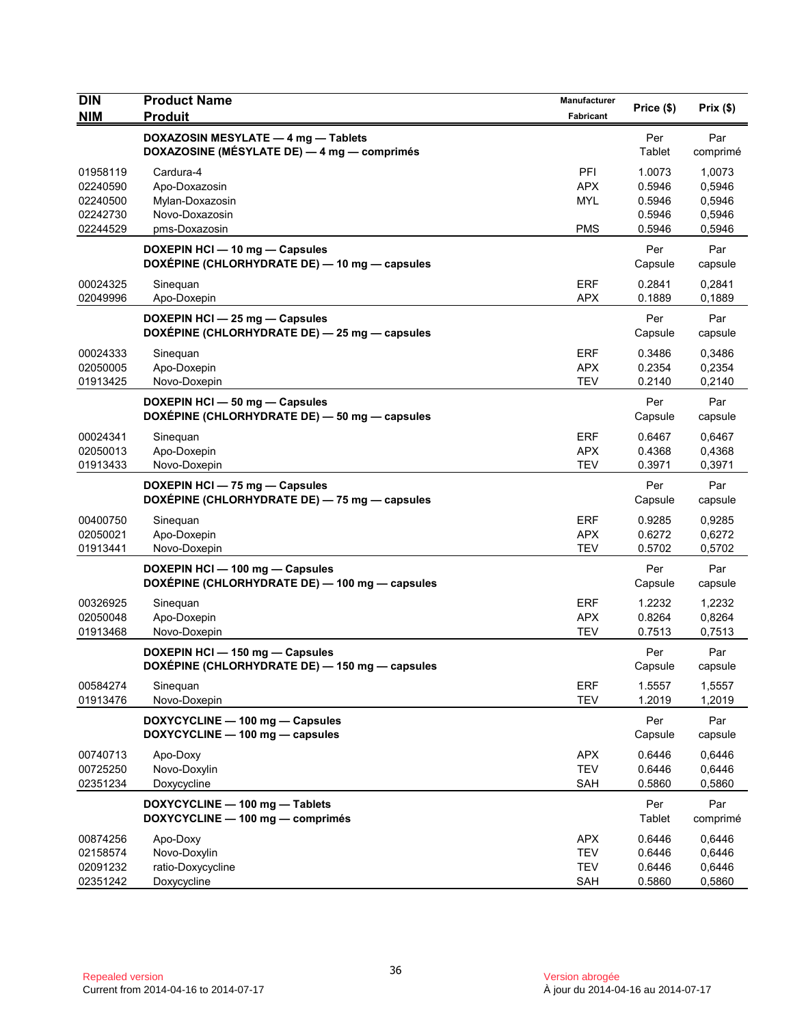| <b>DIN</b><br><b>NIM</b>                                 | <b>Product Name</b><br><b>Produit</b>                                              | <b>Manufacturer</b><br>Fabricant              | Price (\$)                                     | Prix (\$)                                      |
|----------------------------------------------------------|------------------------------------------------------------------------------------|-----------------------------------------------|------------------------------------------------|------------------------------------------------|
|                                                          | DOXAZOSIN MESYLATE - 4 mg - Tablets<br>DOXAZOSINE (MÉSYLATE DE) - 4 mg - comprimés |                                               | Per<br>Tablet                                  | Par<br>comprimé                                |
| 01958119<br>02240590<br>02240500<br>02242730<br>02244529 | Cardura-4<br>Apo-Doxazosin<br>Mylan-Doxazosin<br>Novo-Doxazosin<br>pms-Doxazosin   | PFI<br><b>APX</b><br><b>MYL</b><br><b>PMS</b> | 1.0073<br>0.5946<br>0.5946<br>0.5946<br>0.5946 | 1,0073<br>0,5946<br>0,5946<br>0,5946<br>0,5946 |
|                                                          | DOXEPIN HCI - 10 mg - Capsules<br>DOXÉPINE (CHLORHYDRATE DE) — 10 mg — capsules    |                                               | Per<br>Capsule                                 | Par<br>capsule                                 |
| 00024325<br>02049996                                     | Sineguan<br>Apo-Doxepin                                                            | <b>ERF</b><br><b>APX</b>                      | 0.2841<br>0.1889                               | 0,2841<br>0,1889                               |
|                                                          | DOXEPIN HCI - 25 mg - Capsules<br>DOXÉPINE (CHLORHYDRATE DE) - 25 mg - capsules    |                                               | Per<br>Capsule                                 | Par<br>capsule                                 |
| 00024333<br>02050005<br>01913425                         | Sineguan<br>Apo-Doxepin<br>Novo-Doxepin                                            | <b>ERF</b><br>APX<br><b>TEV</b>               | 0.3486<br>0.2354<br>0.2140                     | 0,3486<br>0,2354<br>0,2140                     |
|                                                          | DOXEPIN HCI - 50 mg - Capsules<br>DOXÉPINE (CHLORHYDRATE DE) - 50 mg - capsules    |                                               | Per<br>Capsule                                 | Par<br>capsule                                 |
| 00024341<br>02050013<br>01913433                         | Sineguan<br>Apo-Doxepin<br>Novo-Doxepin                                            | <b>ERF</b><br><b>APX</b><br><b>TEV</b>        | 0.6467<br>0.4368<br>0.3971                     | 0,6467<br>0,4368<br>0,3971                     |
|                                                          | DOXEPIN HCI - 75 mg - Capsules<br>DOXÉPINE (CHLORHYDRATE DE) - 75 mg - capsules    |                                               | Per<br>Capsule                                 | Par<br>capsule                                 |
| 00400750<br>02050021<br>01913441                         | Sineguan<br>Apo-Doxepin<br>Novo-Doxepin                                            | ERF<br><b>APX</b><br><b>TEV</b>               | 0.9285<br>0.6272<br>0.5702                     | 0,9285<br>0,6272<br>0,5702                     |
|                                                          | DOXEPIN HCI-100 mg-Capsules<br>DOXÉPINE (CHLORHYDRATE DE) — 100 mg — capsules      |                                               | Per<br>Capsule                                 | Par<br>capsule                                 |
| 00326925<br>02050048<br>01913468                         | Sineguan<br>Apo-Doxepin<br>Novo-Doxepin                                            | <b>ERF</b><br>APX.<br><b>TEV</b>              | 1.2232<br>0.8264<br>0.7513                     | 1,2232<br>0,8264<br>0,7513                     |
|                                                          | DOXEPIN HCI - 150 mg - Capsules<br>DOXÉPINE (CHLORHYDRATE DE) - 150 mg - capsules  |                                               | Per<br>Capsule                                 | Par<br>capsule                                 |
| 00584274<br>01913476                                     | Sineguan<br>Novo-Doxepin                                                           | ERF<br><b>TEV</b>                             | 1.5557<br>1.2019                               | 1,5557<br>1,2019                               |
|                                                          | DOXYCYCLINE - 100 mg - Capsules<br>DOXYCYCLINE - 100 mg - capsules                 |                                               | Per<br>Capsule                                 | Par<br>capsule                                 |
| 00740713<br>00725250<br>02351234                         | Apo-Doxy<br>Novo-Doxylin<br>Doxycycline                                            | <b>APX</b><br><b>TEV</b><br><b>SAH</b>        | 0.6446<br>0.6446<br>0.5860                     | 0,6446<br>0,6446<br>0,5860                     |
|                                                          | DOXYCYCLINE - 100 mg - Tablets<br>DOXYCYCLINE - 100 mg - comprimés                 |                                               | Per<br>Tablet                                  | Par<br>comprimé                                |
| 00874256<br>02158574<br>02091232<br>02351242             | Apo-Doxy<br>Novo-Doxylin<br>ratio-Doxycycline<br>Doxycycline                       | <b>APX</b><br><b>TEV</b><br><b>TEV</b><br>SAH | 0.6446<br>0.6446<br>0.6446<br>0.5860           | 0,6446<br>0,6446<br>0,6446<br>0,5860           |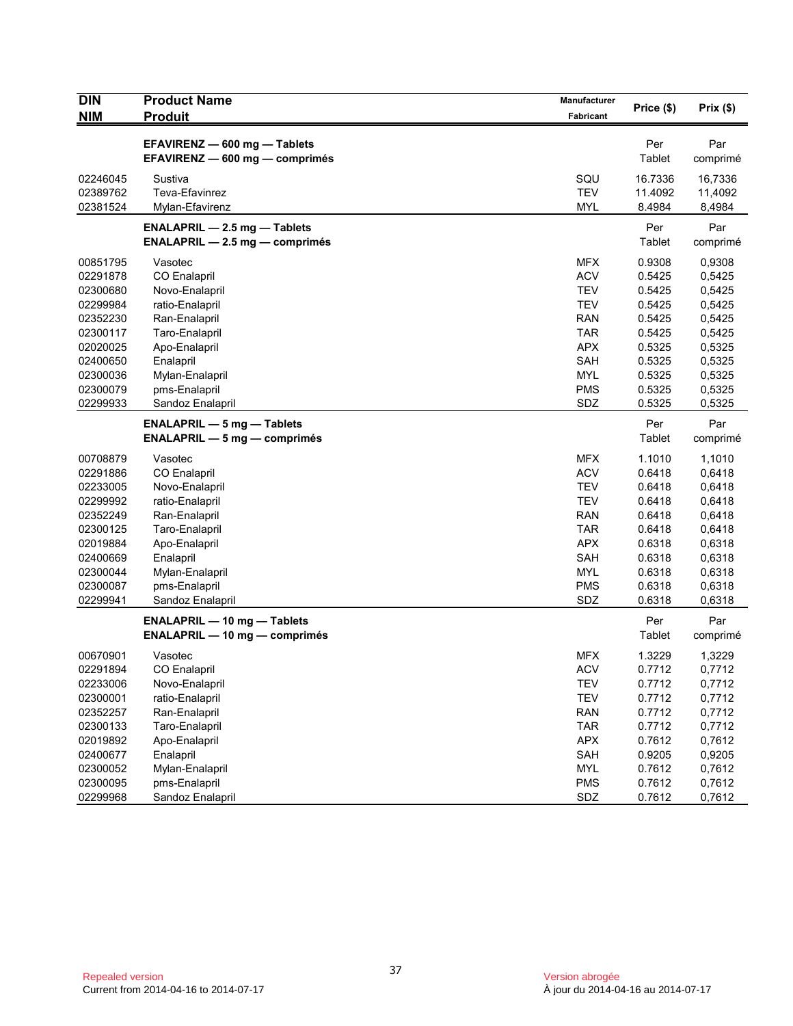| <b>DIN</b> | <b>Product Name</b>                                                                              | Manufacturer | Price (\$)    | Prix(\$)        |
|------------|--------------------------------------------------------------------------------------------------|--------------|---------------|-----------------|
| NIM        | <b>Produit</b>                                                                                   | Fabricant    |               |                 |
|            | EFAVIRENZ - 600 mg - Tablets<br>EFAVIRENZ - 600 mg - comprimés                                   |              | Per<br>Tablet | Par<br>comprimé |
| 02246045   | Sustiva                                                                                          | SQU          | 16.7336       | 16,7336         |
| 02389762   | Teva-Efavinrez                                                                                   | <b>TEV</b>   | 11.4092       | 11,4092         |
| 02381524   | Mylan-Efavirenz                                                                                  | <b>MYL</b>   | 8.4984        | 8,4984          |
|            | <b>ENALAPRIL <math>-2.5</math> mg <math>-</math> Tablets</b><br>$ENALAPRIL - 2.5 mg - comprimés$ |              | Per<br>Tablet | Par<br>comprimé |
| 00851795   | Vasotec                                                                                          | <b>MFX</b>   | 0.9308        | 0,9308          |
| 02291878   | <b>CO</b> Enalapril                                                                              | <b>ACV</b>   | 0.5425        | 0,5425          |
| 02300680   | Novo-Enalapril                                                                                   | <b>TEV</b>   | 0.5425        | 0,5425          |
| 02299984   | ratio-Enalapril                                                                                  | <b>TEV</b>   | 0.5425        | 0,5425          |
| 02352230   | Ran-Enalapril                                                                                    | <b>RAN</b>   | 0.5425        | 0,5425          |
| 02300117   | Taro-Enalapril                                                                                   | <b>TAR</b>   | 0.5425        | 0,5425          |
| 02020025   | Apo-Enalapril                                                                                    | <b>APX</b>   | 0.5325        | 0,5325          |
| 02400650   | Enalapril                                                                                        | SAH          | 0.5325        | 0,5325          |
| 02300036   | Mylan-Enalapril                                                                                  | <b>MYL</b>   | 0.5325        | 0,5325          |
| 02300079   | pms-Enalapril                                                                                    | <b>PMS</b>   | 0.5325        | 0,5325          |
| 02299933   | Sandoz Enalapril                                                                                 | SDZ          | 0.5325        | 0,5325          |
|            | $ENALAPRIL - 5 mg - Tables$<br>$ENALAPRIL - 5 mg - comprimés$                                    |              | Per<br>Tablet | Par<br>comprimé |
| 00708879   | Vasotec                                                                                          | MFX          | 1.1010        | 1,1010          |
| 02291886   | <b>CO Enalapril</b>                                                                              | <b>ACV</b>   | 0.6418        | 0,6418          |
| 02233005   | Novo-Enalapril                                                                                   | <b>TEV</b>   | 0.6418        | 0,6418          |
| 02299992   | ratio-Enalapril                                                                                  | <b>TEV</b>   | 0.6418        | 0,6418          |
| 02352249   | Ran-Enalapril                                                                                    | <b>RAN</b>   | 0.6418        | 0,6418          |
| 02300125   | Taro-Enalapril                                                                                   | <b>TAR</b>   | 0.6418        | 0,6418          |
| 02019884   | Apo-Enalapril                                                                                    | <b>APX</b>   | 0.6318        | 0,6318          |
| 02400669   | Enalapril                                                                                        | <b>SAH</b>   | 0.6318        | 0,6318          |
| 02300044   | Mylan-Enalapril                                                                                  | <b>MYL</b>   | 0.6318        | 0,6318          |
| 02300087   | pms-Enalapril                                                                                    | <b>PMS</b>   | 0.6318        | 0,6318          |
| 02299941   | Sandoz Enalapril                                                                                 | SDZ          | 0.6318        | 0,6318          |
|            |                                                                                                  |              |               |                 |
|            | <b>ENALAPRIL - 10 mg - Tablets</b><br><b>ENALAPRIL - 10 mg - comprimés</b>                       |              | Per<br>Tablet | Par<br>comprimé |
| 00670901   | Vasotec                                                                                          | <b>MFX</b>   | 1.3229        | 1,3229          |
| 02291894   | <b>CO Enalapril</b>                                                                              | <b>ACV</b>   | 0.7712        | 0,7712          |
| 02233006   | Novo-Enalapril                                                                                   | <b>TEV</b>   | 0.7712        | 0,7712          |
| 02300001   | ratio-Enalapril                                                                                  | <b>TEV</b>   | 0.7712        | 0,7712          |
| 02352257   | Ran-Enalapril                                                                                    | RAN          | 0.7712        | 0,7712          |
| 02300133   | Taro-Enalapril                                                                                   | <b>TAR</b>   | 0.7712        | 0,7712          |
| 02019892   | Apo-Enalapril                                                                                    | <b>APX</b>   | 0.7612        | 0,7612          |
| 02400677   | Enalapril                                                                                        | SAH          | 0.9205        | 0,9205          |
| 02300052   | Mylan-Enalapril                                                                                  | <b>MYL</b>   | 0.7612        | 0,7612          |
| 02300095   | pms-Enalapril                                                                                    | <b>PMS</b>   | 0.7612        | 0,7612          |
| 02299968   | Sandoz Enalapril                                                                                 | SDZ          | 0.7612        | 0,7612          |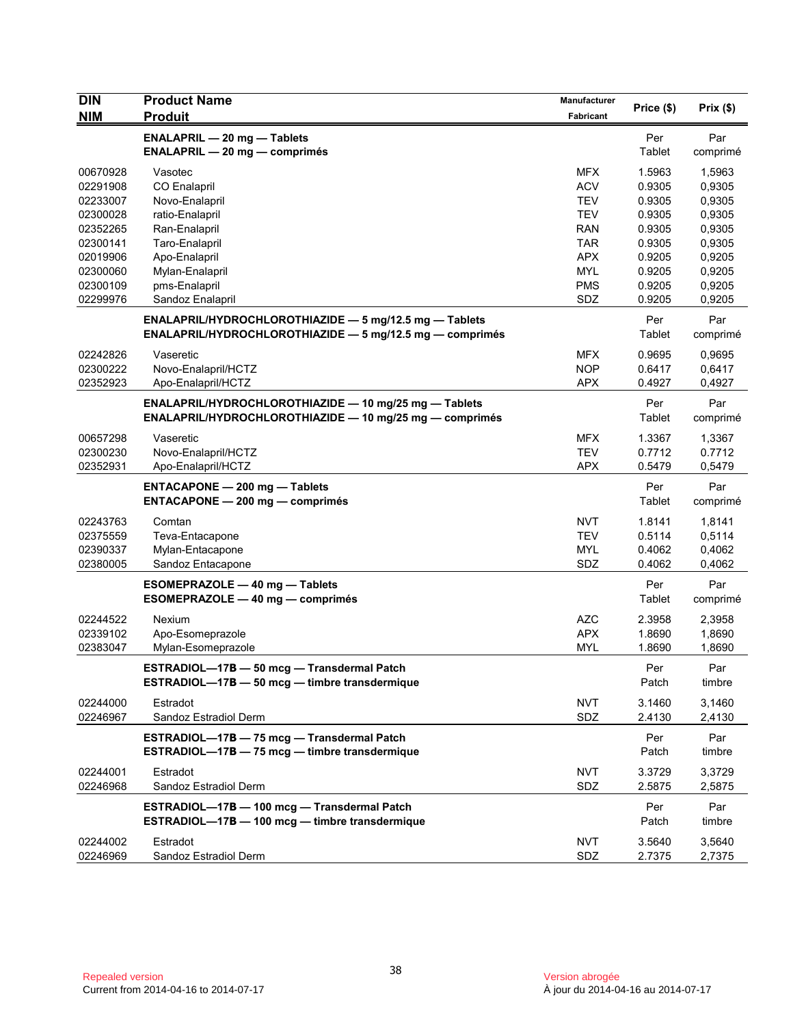| <b>DIN</b><br><b>NIM</b> | <b>Product Name</b><br><b>Produit</b>                                                         | Manufacturer<br>Fabricant | Price (\$)    | Prix(\$)        |
|--------------------------|-----------------------------------------------------------------------------------------------|---------------------------|---------------|-----------------|
|                          | <b>ENALAPRIL - 20 mg - Tablets</b>                                                            |                           | Per           | Par             |
|                          | <b>ENALAPRIL - 20 mg - comprimés</b>                                                          |                           | Tablet        | comprimé        |
| 00670928                 | Vasotec                                                                                       | <b>MFX</b>                | 1.5963        | 1,5963          |
| 02291908                 | <b>CO</b> Enalapril                                                                           | <b>ACV</b>                | 0.9305        | 0,9305          |
| 02233007                 | Novo-Enalapril                                                                                | <b>TEV</b>                | 0.9305        | 0,9305          |
| 02300028                 | ratio-Enalapril                                                                               | <b>TEV</b>                | 0.9305        | 0,9305          |
| 02352265                 | Ran-Enalapril                                                                                 | <b>RAN</b>                | 0.9305        | 0,9305          |
| 02300141                 | Taro-Enalapril                                                                                | <b>TAR</b>                | 0.9305        | 0,9305          |
| 02019906                 | Apo-Enalapril                                                                                 | <b>APX</b>                | 0.9205        | 0,9205          |
| 02300060                 | Mylan-Enalapril                                                                               | <b>MYL</b>                | 0.9205        | 0,9205          |
| 02300109                 | pms-Enalapril                                                                                 | <b>PMS</b>                | 0.9205        | 0,9205          |
| 02299976                 | Sandoz Enalapril                                                                              | SDZ                       | 0.9205        | 0,9205          |
|                          | ENALAPRIL/HYDROCHLOROTHIAZIDE - 5 mg/12.5 mg - Tablets                                        |                           | Per           | Par             |
|                          | ENALAPRIL/HYDROCHLOROTHIAZIDE - 5 mg/12.5 mg - comprimés                                      |                           | Tablet        | comprimé        |
| 02242826                 | Vaseretic                                                                                     | <b>MFX</b>                | 0.9695        | 0,9695          |
| 02300222                 | Novo-Enalapril/HCTZ                                                                           | <b>NOP</b>                | 0.6417        | 0,6417          |
| 02352923                 | Apo-Enalapril/HCTZ                                                                            | <b>APX</b>                | 0.4927        | 0,4927          |
|                          | ENALAPRIL/HYDROCHLOROTHIAZIDE - 10 mg/25 mg - Tablets                                         |                           | Per           | Par             |
|                          | <b>ENALAPRIL/HYDROCHLOROTHIAZIDE — 10 mg/25 mg — comprimés</b>                                |                           | Tablet        | comprimé        |
| 00657298                 | Vaseretic                                                                                     | <b>MFX</b>                | 1.3367        | 1,3367          |
| 02300230                 | Novo-Enalapril/HCTZ                                                                           | <b>TEV</b>                | 0.7712        | 0.7712          |
| 02352931                 | Apo-Enalapril/HCTZ                                                                            | <b>APX</b>                | 0.5479        | 0,5479          |
|                          | <b>ENTACAPONE - 200 mg - Tablets</b><br><b>ENTACAPONE - 200 mg - comprimés</b>                |                           | Per<br>Tablet | Par<br>comprimé |
| 02243763                 | Comtan                                                                                        | <b>NVT</b>                | 1.8141        | 1,8141          |
| 02375559                 | Teva-Entacapone                                                                               | <b>TEV</b>                | 0.5114        | 0,5114          |
| 02390337                 | Mylan-Entacapone                                                                              | <b>MYL</b>                | 0.4062        | 0,4062          |
| 02380005                 | Sandoz Entacapone                                                                             | SDZ                       | 0.4062        | 0,4062          |
|                          | <b>ESOMEPRAZOLE - 40 mg - Tablets</b>                                                         |                           | Per           | Par             |
|                          | ESOMEPRAZOLE - 40 mg - comprimés                                                              |                           | Tablet        | comprimé        |
|                          |                                                                                               |                           |               |                 |
| 02244522                 | Nexium                                                                                        | <b>AZC</b>                | 2.3958        | 2,3958          |
| 02339102                 | Apo-Esomeprazole                                                                              | <b>APX</b>                | 1.8690        | 1,8690          |
| 02383047                 | Mylan-Esomeprazole                                                                            | <b>MYL</b>                | 1.8690        | 1,8690          |
|                          | ESTRADIOL-17B - 50 mcg - Transdermal Patch<br>ESTRADIOL-17B - 50 mcg - timbre transdermique   |                           | Per<br>Patch  | Par<br>timbre   |
| 02244000                 | Estradot                                                                                      | <b>NVT</b>                | 3.1460        | 3,1460          |
| 02246967                 | Sandoz Estradiol Derm                                                                         | SDZ                       | 2.4130        | 2,4130          |
|                          | ESTRADIOL-17B - 75 mcg - Transdermal Patch<br>ESTRADIOL-17B - 75 mcg - timbre transdermique   |                           | Per<br>Patch  | Par<br>timbre   |
| 02244001                 | Estradot                                                                                      | <b>NVT</b>                | 3.3729        | 3,3729          |
| 02246968                 | Sandoz Estradiol Derm                                                                         | SDZ                       | 2.5875        | 2,5875          |
|                          | ESTRADIOL-17B - 100 mcg - Transdermal Patch<br>ESTRADIOL-17B - 100 mcg - timbre transdermique |                           | Per<br>Patch  | Par<br>timbre   |
| 02244002                 | Estradot                                                                                      | <b>NVT</b>                | 3.5640        | 3,5640          |
| 02246969                 | Sandoz Estradiol Derm                                                                         | SDZ                       | 2.7375        | 2,7375          |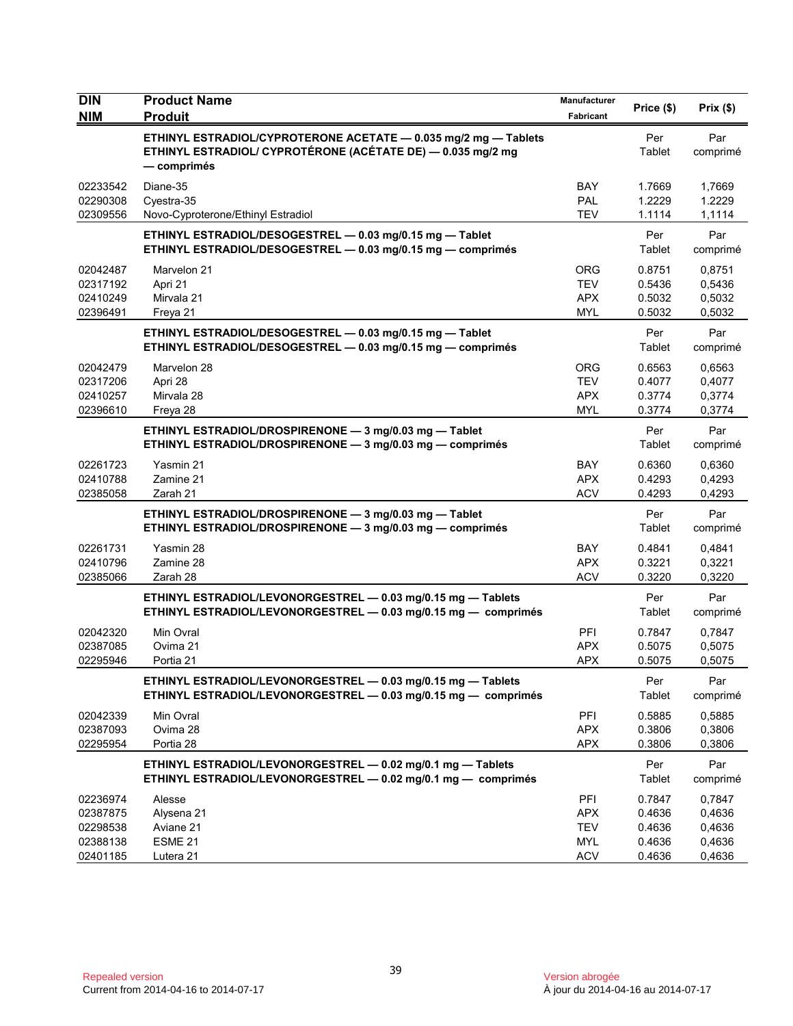| <b>DIN</b><br><b>NIM</b>                                 | <b>Product Name</b><br><b>Produit</b>                                                                                                         | Manufacturer<br>Fabricant                            | Price (\$)                                     | Prix(\$)                                       |
|----------------------------------------------------------|-----------------------------------------------------------------------------------------------------------------------------------------------|------------------------------------------------------|------------------------------------------------|------------------------------------------------|
|                                                          | ETHINYL ESTRADIOL/CYPROTERONE ACETATE - 0.035 mg/2 mg - Tablets<br>ETHINYL ESTRADIOL/ CYPROTÉRONE (ACÉTATE DE) - 0.035 mg/2 mg<br>— comprimés |                                                      | Per<br>Tablet                                  | Par<br>comprimé                                |
| 02233542<br>02290308<br>02309556                         | Diane-35<br>Cyestra-35<br>Novo-Cyproterone/Ethinyl Estradiol                                                                                  | <b>BAY</b><br><b>PAL</b><br><b>TEV</b>               | 1.7669<br>1.2229<br>1.1114                     | 1,7669<br>1.2229<br>1,1114                     |
|                                                          | ETHINYL ESTRADIOL/DESOGESTREL - 0.03 mg/0.15 mg - Tablet<br>ETHINYL ESTRADIOL/DESOGESTREL - 0.03 mg/0.15 mg - comprimés                       |                                                      | Per<br>Tablet                                  | Par<br>comprimé                                |
| 02042487<br>02317192<br>02410249<br>02396491             | Marvelon 21<br>Apri 21<br>Mirvala 21<br>Freya 21                                                                                              | ORG<br><b>TEV</b><br><b>APX</b><br><b>MYL</b>        | 0.8751<br>0.5436<br>0.5032<br>0.5032           | 0,8751<br>0,5436<br>0,5032<br>0,5032           |
|                                                          | ETHINYL ESTRADIOL/DESOGESTREL - 0.03 mg/0.15 mg - Tablet<br>ETHINYL ESTRADIOL/DESOGESTREL - 0.03 mg/0.15 mg - comprimés                       |                                                      | Per<br>Tablet                                  | Par<br>comprimé                                |
| 02042479<br>02317206<br>02410257<br>02396610             | Marvelon 28<br>Apri 28<br>Mirvala 28<br>Freya 28                                                                                              | <b>ORG</b><br><b>TEV</b><br><b>APX</b><br><b>MYL</b> | 0.6563<br>0.4077<br>0.3774<br>0.3774           | 0,6563<br>0,4077<br>0,3774<br>0,3774           |
|                                                          | ETHINYL ESTRADIOL/DROSPIRENONE - 3 mg/0.03 mg - Tablet<br>ETHINYL ESTRADIOL/DROSPIRENONE - 3 mg/0.03 mg - comprimés                           |                                                      | Per<br>Tablet                                  | Par<br>comprimé                                |
| 02261723<br>02410788<br>02385058                         | Yasmin 21<br>Zamine 21<br>Zarah 21                                                                                                            | <b>BAY</b><br><b>APX</b><br><b>ACV</b>               | 0.6360<br>0.4293<br>0.4293                     | 0,6360<br>0,4293<br>0,4293                     |
|                                                          | ETHINYL ESTRADIOL/DROSPIRENONE - 3 mg/0.03 mg - Tablet<br>ETHINYL ESTRADIOL/DROSPIRENONE - 3 mg/0.03 mg - comprimés                           |                                                      | Per<br>Tablet                                  | Par<br>comprimé                                |
| 02261731<br>02410796<br>02385066                         | Yasmin 28<br>Zamine 28<br>Zarah 28                                                                                                            | <b>BAY</b><br><b>APX</b><br><b>ACV</b>               | 0.4841<br>0.3221<br>0.3220                     | 0,4841<br>0,3221<br>0,3220                     |
|                                                          | ETHINYL ESTRADIOL/LEVONORGESTREL - 0.03 mg/0.15 mg - Tablets<br>ETHINYL ESTRADIOL/LEVONORGESTREL - 0.03 mg/0.15 mg - comprimés                |                                                      | Per<br>Tablet                                  | Par<br>comprimé                                |
| 02042320<br>02387085<br>02295946                         | Min Ovral<br>Ovima 21<br>Portia 21                                                                                                            | PFI<br><b>APX</b><br><b>APX</b>                      | 0.7847<br>0.5075<br>0.5075                     | 0,7847<br>0,5075<br>0,5075                     |
|                                                          | ETHINYL ESTRADIOL/LEVONORGESTREL - 0.03 mg/0.15 mg - Tablets<br>ETHINYL ESTRADIOL/LEVONORGESTREL - 0.03 mg/0.15 mg - comprimés                |                                                      | Per<br>Tablet                                  | Par<br>comprimé                                |
| 02042339<br>02387093<br>02295954                         | Min Ovral<br>Ovima 28<br>Portia 28                                                                                                            | PFI<br><b>APX</b><br><b>APX</b>                      | 0.5885<br>0.3806<br>0.3806                     | 0,5885<br>0,3806<br>0,3806                     |
|                                                          | ETHINYL ESTRADIOL/LEVONORGESTREL - 0.02 mg/0.1 mg - Tablets<br>ETHINYL ESTRADIOL/LEVONORGESTREL - 0.02 mg/0.1 mg - comprimés                  |                                                      | Per<br>Tablet                                  | Par<br>comprimé                                |
| 02236974<br>02387875<br>02298538<br>02388138<br>02401185 | Alesse<br>Alysena 21<br>Aviane 21<br>ESME <sub>21</sub><br>Lutera 21                                                                          | PFI<br><b>APX</b><br><b>TEV</b><br>MYL<br><b>ACV</b> | 0.7847<br>0.4636<br>0.4636<br>0.4636<br>0.4636 | 0,7847<br>0,4636<br>0,4636<br>0,4636<br>0,4636 |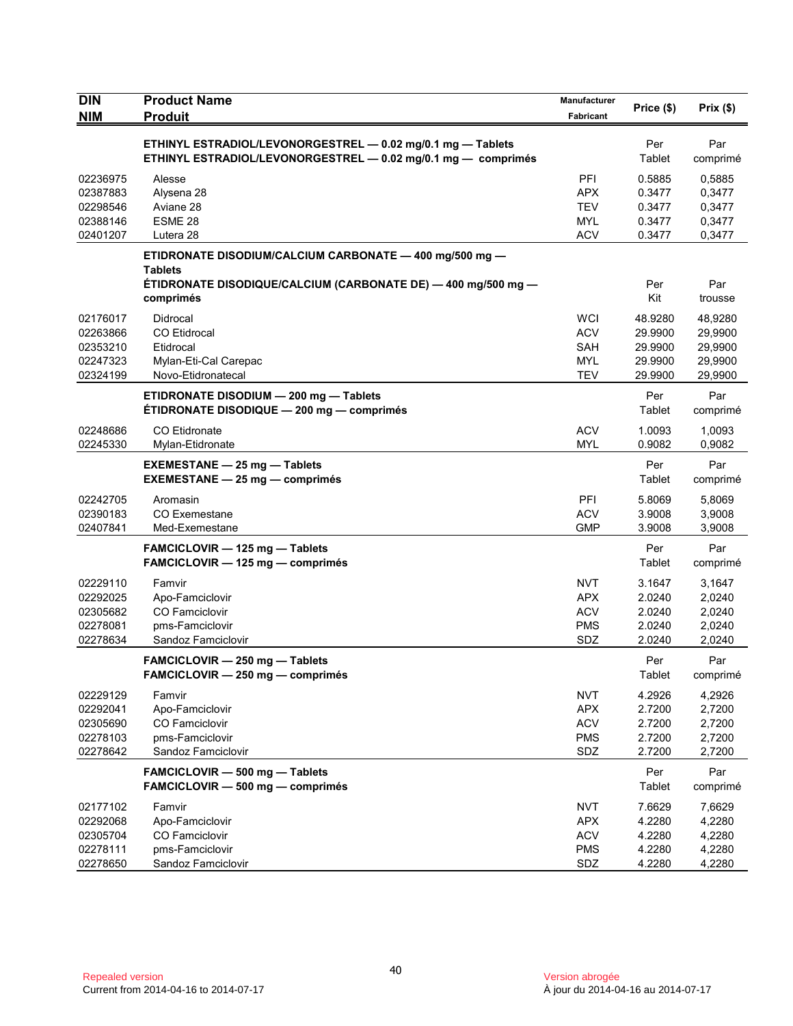| <b>DIN</b>                                               | <b>Product Name</b>                                                                                                                                     | <b>Manufacturer</b>                                                | Price (\$)                                          | Prix(\$)                                            |
|----------------------------------------------------------|---------------------------------------------------------------------------------------------------------------------------------------------------------|--------------------------------------------------------------------|-----------------------------------------------------|-----------------------------------------------------|
| <b>NIM</b>                                               | <b>Produit</b>                                                                                                                                          | Fabricant                                                          |                                                     |                                                     |
|                                                          | ETHINYL ESTRADIOL/LEVONORGESTREL - 0.02 mg/0.1 mg - Tablets<br>ETHINYL ESTRADIOL/LEVONORGESTREL - 0.02 mg/0.1 mg - comprimés                            |                                                                    | Per<br>Tablet                                       | Par<br>comprimé                                     |
| 02236975<br>02387883<br>02298546<br>02388146<br>02401207 | Alesse<br>Alysena 28<br>Aviane 28<br>ESME <sub>28</sub><br>Lutera 28                                                                                    | <b>PFI</b><br><b>APX</b><br><b>TEV</b><br><b>MYL</b><br><b>ACV</b> | 0.5885<br>0.3477<br>0.3477<br>0.3477<br>0.3477      | 0,5885<br>0,3477<br>0,3477<br>0,3477<br>0,3477      |
|                                                          | ETIDRONATE DISODIUM/CALCIUM CARBONATE - 400 mg/500 mg -<br><b>Tablets</b><br>ÉTIDRONATE DISODIQUE/CALCIUM (CARBONATE DE) — 400 mg/500 mg —<br>comprimés |                                                                    | Per<br>Kit                                          | Par<br>trousse                                      |
| 02176017<br>02263866<br>02353210<br>02247323<br>02324199 | Didrocal<br><b>CO</b> Etidrocal<br>Etidrocal<br>Mylan-Eti-Cal Carepac<br>Novo-Etidronatecal                                                             | <b>WCI</b><br><b>ACV</b><br>SAH<br><b>MYL</b><br><b>TEV</b>        | 48.9280<br>29.9900<br>29.9900<br>29.9900<br>29.9900 | 48,9280<br>29,9900<br>29,9900<br>29,9900<br>29,9900 |
|                                                          | ETIDRONATE DISODIUM - 200 mg - Tablets<br>ÉTIDRONATE DISODIQUE - 200 mg - comprimés                                                                     |                                                                    | Per<br>Tablet                                       | Par<br>comprimé                                     |
| 02248686<br>02245330                                     | CO Etidronate<br>Mylan-Etidronate                                                                                                                       | <b>ACV</b><br><b>MYL</b>                                           | 1.0093<br>0.9082                                    | 1,0093<br>0.9082                                    |
|                                                          | <b>EXEMESTANE - 25 mg - Tablets</b><br><b>EXEMESTANE - 25 mg - comprimés</b>                                                                            |                                                                    | Per<br>Tablet                                       | Par<br>comprimé                                     |
| 02242705<br>02390183<br>02407841                         | Aromasin<br><b>CO Exemestane</b><br>Med-Exemestane                                                                                                      | <b>PFI</b><br><b>ACV</b><br><b>GMP</b>                             | 5.8069<br>3.9008<br>3.9008                          | 5,8069<br>3,9008<br>3,9008                          |
|                                                          | FAMCICLOVIR - 125 mg - Tablets<br>FAMCICLOVIR - 125 mg - comprimés                                                                                      |                                                                    | Per<br>Tablet                                       | Par<br>comprimé                                     |
| 02229110<br>02292025<br>02305682<br>02278081<br>02278634 | Famvir<br>Apo-Famciclovir<br><b>CO Famciclovir</b><br>pms-Famciclovir<br>Sandoz Famciclovir                                                             | <b>NVT</b><br><b>APX</b><br><b>ACV</b><br><b>PMS</b><br>SDZ        | 3.1647<br>2.0240<br>2.0240<br>2.0240<br>2.0240      | 3,1647<br>2,0240<br>2,0240<br>2,0240<br>2,0240      |
|                                                          | FAMCICLOVIR - 250 mg - Tablets<br>FAMCICLOVIR - 250 mg - comprimés                                                                                      |                                                                    | Per<br>Tablet                                       | Par<br>comprime                                     |
| 02229129<br>02292041<br>02305690<br>02278103<br>02278642 | Famvir<br>Apo-Famciclovir<br><b>CO Famciclovir</b><br>pms-Famciclovir<br>Sandoz Famciclovir                                                             | <b>NVT</b><br><b>APX</b><br><b>ACV</b><br><b>PMS</b><br>SDZ        | 4.2926<br>2.7200<br>2.7200<br>2.7200<br>2.7200      | 4,2926<br>2,7200<br>2,7200<br>2,7200<br>2,7200      |
|                                                          | FAMCICLOVIR - 500 mg - Tablets<br>FAMCICLOVIR - 500 mg - comprimés                                                                                      |                                                                    | Per<br>Tablet                                       | Par<br>comprimé                                     |
| 02177102<br>02292068<br>02305704<br>02278111<br>02278650 | Famvir<br>Apo-Famciclovir<br>CO Famciclovir<br>pms-Famciclovir<br>Sandoz Famciclovir                                                                    | <b>NVT</b><br><b>APX</b><br><b>ACV</b><br><b>PMS</b><br>SDZ        | 7.6629<br>4.2280<br>4.2280<br>4.2280<br>4.2280      | 7,6629<br>4,2280<br>4,2280<br>4,2280<br>4,2280      |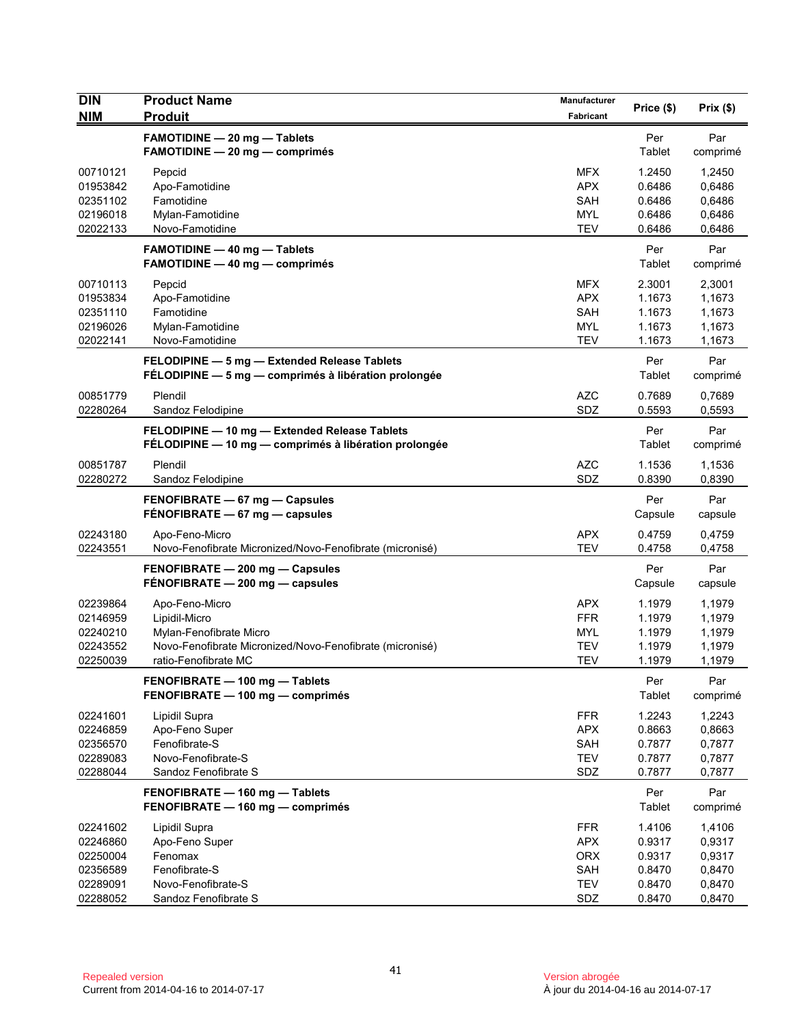| <b>DIN</b>                                                           | <b>Product Name</b>                                                                                                                            | Manufacturer                                                       | Price (\$)                                               | Prix (\$)                                                |
|----------------------------------------------------------------------|------------------------------------------------------------------------------------------------------------------------------------------------|--------------------------------------------------------------------|----------------------------------------------------------|----------------------------------------------------------|
| <b>NIM</b>                                                           | <b>Produit</b>                                                                                                                                 | Fabricant                                                          |                                                          |                                                          |
|                                                                      | FAMOTIDINE - 20 mg - Tablets<br><b>FAMOTIDINE - 20 mg - comprimés</b>                                                                          |                                                                    | Per<br>Tablet                                            | Par<br>comprimé                                          |
| 00710121<br>01953842<br>02351102<br>02196018                         | Pepcid<br>Apo-Famotidine<br>Famotidine<br>Mylan-Famotidine                                                                                     | <b>MFX</b><br><b>APX</b><br>SAH<br><b>MYL</b>                      | 1.2450<br>0.6486<br>0.6486<br>0.6486                     | 1,2450<br>0,6486<br>0,6486<br>0,6486                     |
| 02022133                                                             | Novo-Famotidine                                                                                                                                | <b>TEV</b>                                                         | 0.6486                                                   | 0,6486                                                   |
|                                                                      | <b>FAMOTIDINE - 40 mg - Tablets</b><br><b>FAMOTIDINE - 40 mg - comprimés</b>                                                                   |                                                                    | Per<br>Tablet                                            | Par<br>comprimé                                          |
| 00710113<br>01953834<br>02351110<br>02196026<br>02022141             | Pepcid<br>Apo-Famotidine<br>Famotidine<br>Mylan-Famotidine<br>Novo-Famotidine                                                                  | <b>MFX</b><br><b>APX</b><br>SAH<br><b>MYL</b><br><b>TEV</b>        | 2.3001<br>1.1673<br>1.1673<br>1.1673<br>1.1673           | 2,3001<br>1,1673<br>1,1673<br>1,1673<br>1,1673           |
|                                                                      | FELODIPINE - 5 mg - Extended Release Tablets<br>FÉLODIPINE - 5 mg - comprimés à libération prolongée                                           |                                                                    | Per<br>Tablet                                            | Par<br>comprimé                                          |
| 00851779<br>02280264                                                 | Plendil<br>Sandoz Felodipine                                                                                                                   | <b>AZC</b><br>SDZ                                                  | 0.7689<br>0.5593                                         | 0,7689<br>0,5593                                         |
|                                                                      | FELODIPINE - 10 mg - Extended Release Tablets<br>FÉLODIPINE - 10 mg - comprimés à libération prolongée                                         |                                                                    | Per<br>Tablet                                            | Par<br>comprimé                                          |
| 00851787<br>02280272                                                 | Plendil<br>Sandoz Felodipine                                                                                                                   | <b>AZC</b><br>SDZ                                                  | 1.1536<br>0.8390                                         | 1,1536<br>0,8390                                         |
|                                                                      | FENOFIBRATE - 67 mg - Capsules<br>FÉNOFIBRATE - 67 mg - capsules                                                                               |                                                                    | Per<br>Capsule                                           | Par<br>capsule                                           |
| 02243180<br>02243551                                                 | Apo-Feno-Micro<br>Novo-Fenofibrate Micronized/Novo-Fenofibrate (micronisé)                                                                     | <b>APX</b><br><b>TEV</b>                                           | 0.4759<br>0.4758                                         | 0,4759<br>0,4758                                         |
|                                                                      | FENOFIBRATE - 200 mg - Capsules<br>FENOFIBRATE - 200 mg - capsules                                                                             |                                                                    | Per<br>Capsule                                           | Par<br>capsule                                           |
| 02239864<br>02146959<br>02240210<br>02243552<br>02250039             | Apo-Feno-Micro<br>Lipidil-Micro<br>Mylan-Fenofibrate Micro<br>Novo-Fenofibrate Micronized/Novo-Fenofibrate (micronisé)<br>ratio-Fenofibrate MC | <b>APX</b><br><b>FFR</b><br>MYL<br><b>TEV</b><br>TEV               | 1.1979<br>1.1979<br>1.1979<br>1.1979<br>1.1979           | 1,1979<br>1,1979<br>1,1979<br>1,1979<br>1,1979           |
|                                                                      | FENOFIBRATE - 100 mg - Tablets<br>FENOFIBRATE - 100 mg - comprimés                                                                             |                                                                    | Per<br>Tablet                                            | Par<br>comprimé                                          |
| 02241601<br>02246859<br>02356570<br>02289083<br>02288044             | Lipidil Supra<br>Apo-Feno Super<br>Fenofibrate-S<br>Novo-Fenofibrate-S<br>Sandoz Fenofibrate S                                                 | <b>FFR</b><br><b>APX</b><br>SAH<br><b>TEV</b><br>SDZ               | 1.2243<br>0.8663<br>0.7877<br>0.7877<br>0.7877           | 1,2243<br>0,8663<br>0,7877<br>0,7877<br>0,7877           |
|                                                                      | FENOFIBRATE - 160 mg - Tablets<br>FENOFIBRATE - 160 mg - comprimés                                                                             |                                                                    | Per<br>Tablet                                            | Par<br>comprimé                                          |
| 02241602<br>02246860<br>02250004<br>02356589<br>02289091<br>02288052 | Lipidil Supra<br>Apo-Feno Super<br>Fenomax<br>Fenofibrate-S<br>Novo-Fenofibrate-S<br>Sandoz Fenofibrate S                                      | <b>FFR</b><br><b>APX</b><br><b>ORX</b><br>SAH<br><b>TEV</b><br>SDZ | 1.4106<br>0.9317<br>0.9317<br>0.8470<br>0.8470<br>0.8470 | 1,4106<br>0,9317<br>0,9317<br>0,8470<br>0,8470<br>0,8470 |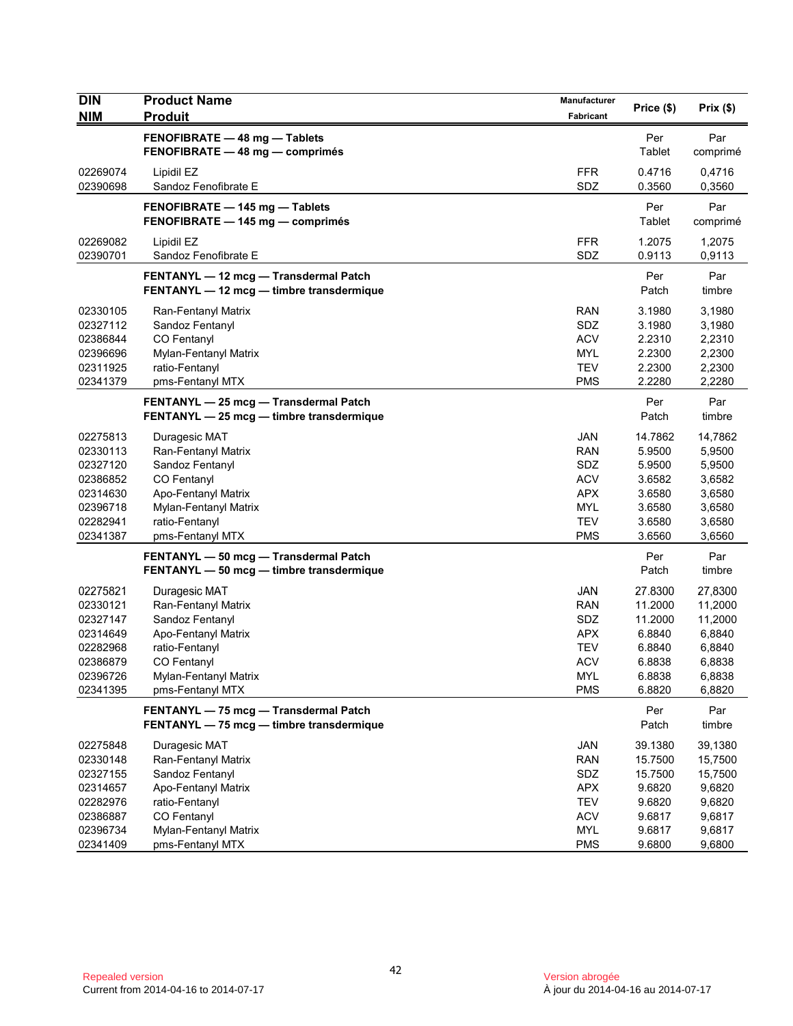| <b>DIN</b>                                                                                   | <b>Product Name</b>                                                                                                                                                 | Manufacturer                                                                                   | Price (\$)                                                                      | Prix(\$)                                                                        |
|----------------------------------------------------------------------------------------------|---------------------------------------------------------------------------------------------------------------------------------------------------------------------|------------------------------------------------------------------------------------------------|---------------------------------------------------------------------------------|---------------------------------------------------------------------------------|
| <b>NIM</b>                                                                                   | <b>Produit</b>                                                                                                                                                      | Fabricant                                                                                      |                                                                                 |                                                                                 |
|                                                                                              | FENOFIBRATE - 48 mg - Tablets<br>FENOFIBRATE - 48 mg - comprimés                                                                                                    |                                                                                                | Per<br>Tablet                                                                   | Par<br>comprimé                                                                 |
| 02269074<br>02390698                                                                         | Lipidil EZ<br>Sandoz Fenofibrate E                                                                                                                                  | <b>FFR</b><br>SDZ                                                                              | 0.4716<br>0.3560                                                                | 0,4716<br>0,3560                                                                |
|                                                                                              | FENOFIBRATE - 145 mg - Tablets<br>FENOFIBRATE - 145 mg - comprimés                                                                                                  |                                                                                                | Per<br>Tablet                                                                   | Par<br>comprimé                                                                 |
| 02269082<br>02390701                                                                         | Lipidil EZ<br>Sandoz Fenofibrate E                                                                                                                                  | <b>FFR</b><br>SDZ                                                                              | 1.2075<br>0.9113                                                                | 1,2075<br>0,9113                                                                |
|                                                                                              | FENTANYL - 12 mcg - Transdermal Patch<br>FENTANYL - 12 mcg - timbre transdermique                                                                                   |                                                                                                | Per<br>Patch                                                                    | Par<br>timbre                                                                   |
| 02330105<br>02327112<br>02386844<br>02396696<br>02311925<br>02341379                         | Ran-Fentanyl Matrix<br>Sandoz Fentanyl<br>CO Fentanyl<br>Mylan-Fentanyl Matrix<br>ratio-Fentanyl<br>pms-Fentanyl MTX                                                | <b>RAN</b><br>SDZ<br><b>ACV</b><br><b>MYL</b><br><b>TEV</b><br><b>PMS</b>                      | 3.1980<br>3.1980<br>2.2310<br>2.2300<br>2.2300<br>2.2280                        | 3,1980<br>3,1980<br>2,2310<br>2,2300<br>2,2300<br>2,2280                        |
|                                                                                              | FENTANYL - 25 mcg - Transdermal Patch<br>FENTANYL - 25 mcg - timbre transdermique                                                                                   |                                                                                                | Per<br>Patch                                                                    | Par<br>timbre                                                                   |
| 02275813<br>02330113<br>02327120<br>02386852<br>02314630<br>02396718<br>02282941<br>02341387 | Duragesic MAT<br>Ran-Fentanyl Matrix<br>Sandoz Fentanyl<br>CO Fentanyl<br>Apo-Fentanyl Matrix<br>Mylan-Fentanyl Matrix<br>ratio-Fentanyl<br>pms-Fentanyl MTX        | <b>JAN</b><br><b>RAN</b><br>SDZ<br><b>ACV</b><br><b>APX</b><br>MYL<br><b>TEV</b><br><b>PMS</b> | 14.7862<br>5.9500<br>5.9500<br>3.6582<br>3.6580<br>3.6580<br>3.6580<br>3.6560   | 14,7862<br>5,9500<br>5,9500<br>3,6582<br>3,6580<br>3,6580<br>3,6580<br>3,6560   |
|                                                                                              | FENTANYL - 50 mcg - Transdermal Patch<br>FENTANYL - 50 mcg - timbre transdermique                                                                                   |                                                                                                | Per<br>Patch                                                                    | Par<br>timbre                                                                   |
| 02275821<br>02330121<br>02327147<br>02314649<br>02282968<br>02386879<br>02396726<br>02341395 | Duragesic MAT<br>Ran-Fentanyl Matrix<br>Sandoz Fentanyl<br>Apo-Fentanyl Matrix<br>ratio-Fentanyl<br><b>CO Fentanyl</b><br>Mylan-Fentanyl Matrix<br>pms-Fentanyl MTX | JAN<br>RAN<br>SDZ<br><b>APX</b><br><b>TEV</b><br>ACV<br><b>MYL</b><br><b>PMS</b>               | 27.8300<br>11.2000<br>11.2000<br>6.8840<br>6.8840<br>6.8838<br>6.8838<br>6.8820 | 27,8300<br>11,2000<br>11,2000<br>6,8840<br>6,8840<br>6,8838<br>6,8838<br>6,8820 |
|                                                                                              | FENTANYL - 75 mcg - Transdermal Patch<br>FENTANYL - 75 mcg - timbre transdermique                                                                                   |                                                                                                | Per<br>Patch                                                                    | Par<br>timbre                                                                   |
| 02275848<br>02330148<br>02327155<br>02314657<br>02282976<br>02386887<br>02396734             | Duragesic MAT<br>Ran-Fentanyl Matrix<br>Sandoz Fentanyl<br>Apo-Fentanyl Matrix<br>ratio-Fentanyl<br>CO Fentanyl<br>Mylan-Fentanyl Matrix                            | JAN<br><b>RAN</b><br>SDZ<br><b>APX</b><br><b>TEV</b><br><b>ACV</b><br><b>MYL</b>               | 39.1380<br>15.7500<br>15.7500<br>9.6820<br>9.6820<br>9.6817<br>9.6817           | 39,1380<br>15,7500<br>15,7500<br>9,6820<br>9,6820<br>9,6817<br>9,6817           |
| 02341409                                                                                     | pms-Fentanyl MTX                                                                                                                                                    | <b>PMS</b>                                                                                     | 9.6800                                                                          | 9,6800                                                                          |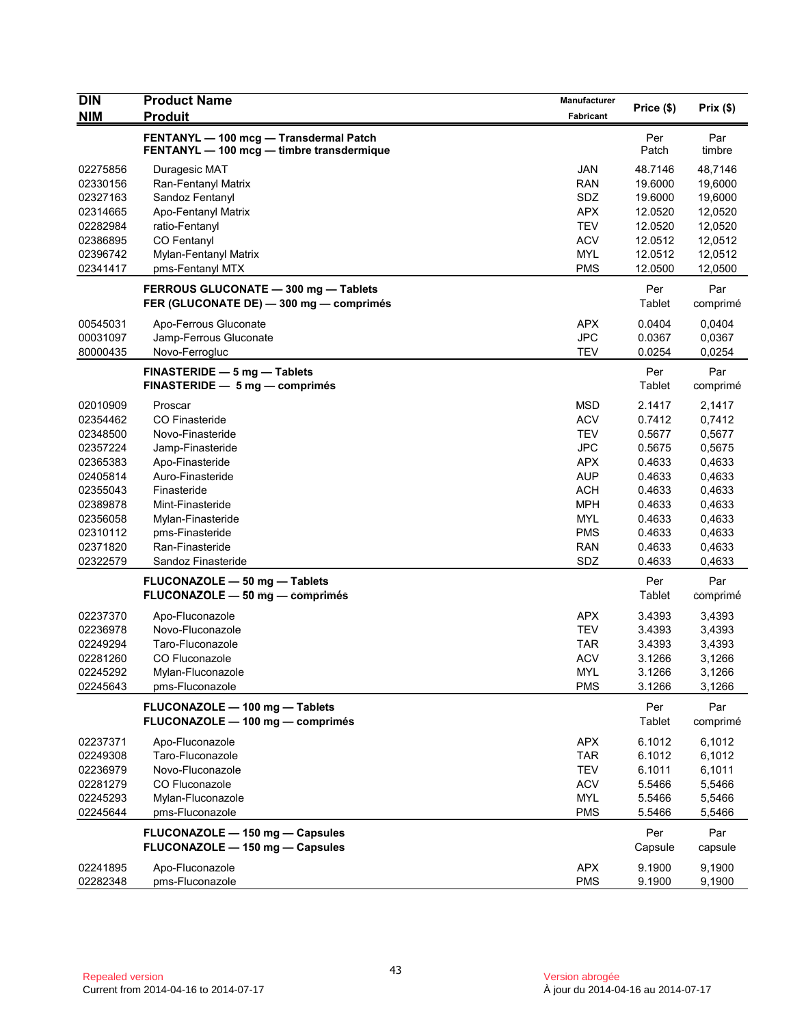| <b>DIN</b><br><b>NIM</b>                                                                                                                     | <b>Product Name</b><br><b>Produit</b>                                                                                                                                                                                                                                                            | <b>Manufacturer</b><br>Fabricant                                                                                                                              | Price (\$)                                                                                                                            | Prix(\$)                                                                                                                                |
|----------------------------------------------------------------------------------------------------------------------------------------------|--------------------------------------------------------------------------------------------------------------------------------------------------------------------------------------------------------------------------------------------------------------------------------------------------|---------------------------------------------------------------------------------------------------------------------------------------------------------------|---------------------------------------------------------------------------------------------------------------------------------------|-----------------------------------------------------------------------------------------------------------------------------------------|
|                                                                                                                                              | FENTANYL - 100 mcg - Transdermal Patch<br>FENTANYL - 100 mcg - timbre transdermique                                                                                                                                                                                                              |                                                                                                                                                               | Per<br>Patch                                                                                                                          | Par<br>timbre                                                                                                                           |
| 02275856<br>02330156<br>02327163<br>02314665<br>02282984<br>02386895<br>02396742<br>02341417                                                 | Duragesic MAT<br>Ran-Fentanyl Matrix<br>Sandoz Fentanyl<br>Apo-Fentanyl Matrix<br>ratio-Fentanyl<br>CO Fentanyl<br>Mylan-Fentanyl Matrix<br>pms-Fentanyl MTX                                                                                                                                     | <b>JAN</b><br><b>RAN</b><br>SDZ<br><b>APX</b><br><b>TEV</b><br><b>ACV</b><br><b>MYL</b><br><b>PMS</b>                                                         | 48.7146<br>19.6000<br>19.6000<br>12.0520<br>12.0520<br>12.0512<br>12.0512<br>12.0500                                                  | 48,7146<br>19,6000<br>19,6000<br>12,0520<br>12,0520<br>12,0512<br>12,0512<br>12,0500                                                    |
|                                                                                                                                              | FERROUS GLUCONATE - 300 mg - Tablets<br>FER (GLUCONATE DE) - 300 mg - comprimés                                                                                                                                                                                                                  |                                                                                                                                                               | Per<br>Tablet                                                                                                                         | Par<br>comprimé                                                                                                                         |
| 00545031<br>00031097<br>80000435                                                                                                             | Apo-Ferrous Gluconate<br>Jamp-Ferrous Gluconate<br>Novo-Ferrogluc                                                                                                                                                                                                                                | <b>APX</b><br><b>JPC</b><br><b>TEV</b>                                                                                                                        | 0.0404<br>0.0367<br>0.0254                                                                                                            | 0,0404<br>0,0367<br>0,0254                                                                                                              |
|                                                                                                                                              | FINASTERIDE - 5 mg - Tablets<br>FINASTERIDE - 5 mg - comprimés                                                                                                                                                                                                                                   |                                                                                                                                                               | Per<br>Tablet                                                                                                                         | Par<br>comprimé                                                                                                                         |
| 02010909<br>02354462<br>02348500<br>02357224<br>02365383<br>02405814<br>02355043<br>02389878<br>02356058<br>02310112<br>02371820<br>02322579 | Proscar<br>CO Finasteride<br>Novo-Finasteride<br>Jamp-Finasteride<br>Apo-Finasteride<br>Auro-Finasteride<br>Finasteride<br>Mint-Finasteride<br>Mylan-Finasteride<br>pms-Finasteride<br>Ran-Finasteride<br>Sandoz Finasteride<br>FLUCONAZOLE - 50 mg - Tablets<br>FLUCONAZOLE - 50 mg - comprimés | <b>MSD</b><br><b>ACV</b><br><b>TEV</b><br><b>JPC</b><br><b>APX</b><br><b>AUP</b><br><b>ACH</b><br><b>MPH</b><br><b>MYL</b><br><b>PMS</b><br><b>RAN</b><br>SDZ | 2.1417<br>0.7412<br>0.5677<br>0.5675<br>0.4633<br>0.4633<br>0.4633<br>0.4633<br>0.4633<br>0.4633<br>0.4633<br>0.4633<br>Per<br>Tablet | 2,1417<br>0,7412<br>0,5677<br>0,5675<br>0,4633<br>0,4633<br>0,4633<br>0,4633<br>0,4633<br>0,4633<br>0,4633<br>0,4633<br>Par<br>comprimé |
| 02237370<br>02236978<br>02249294<br>02281260<br>02245292<br>02245643                                                                         | Apo-Fluconazole<br>Novo-Fluconazole<br>Taro-Fluconazole<br>CO Fluconazole<br>Mylan-Fluconazole<br>pms-Fluconazole                                                                                                                                                                                | <b>APX</b><br><b>TEV</b><br><b>TAR</b><br><b>ACV</b><br><b>MYL</b><br><b>PMS</b>                                                                              | 3.4393<br>3.4393<br>3.4393<br>3.1266<br>3.1266<br>3.1266                                                                              | 3,4393<br>3,4393<br>3,4393<br>3,1266<br>3,1266<br>3,1266                                                                                |
|                                                                                                                                              | FLUCONAZOLE - 100 mg - Tablets<br>FLUCONAZOLE - 100 mg - comprimés                                                                                                                                                                                                                               |                                                                                                                                                               | Per<br>Tablet                                                                                                                         | Par<br>comprimé                                                                                                                         |
| 02237371<br>02249308<br>02236979<br>02281279<br>02245293<br>02245644                                                                         | Apo-Fluconazole<br>Taro-Fluconazole<br>Novo-Fluconazole<br>CO Fluconazole<br>Mylan-Fluconazole<br>pms-Fluconazole                                                                                                                                                                                | <b>APX</b><br>TAR.<br><b>TEV</b><br><b>ACV</b><br><b>MYL</b><br><b>PMS</b>                                                                                    | 6.1012<br>6.1012<br>6.1011<br>5.5466<br>5.5466<br>5.5466                                                                              | 6,1012<br>6,1012<br>6,1011<br>5,5466<br>5,5466<br>5,5466                                                                                |
|                                                                                                                                              | FLUCONAZOLE - 150 mg - Capsules<br>FLUCONAZOLE - 150 mg - Capsules                                                                                                                                                                                                                               |                                                                                                                                                               | Per<br>Capsule                                                                                                                        | Par<br>capsule                                                                                                                          |
| 02241895<br>02282348                                                                                                                         | Apo-Fluconazole<br>pms-Fluconazole                                                                                                                                                                                                                                                               | <b>APX</b><br><b>PMS</b>                                                                                                                                      | 9.1900<br>9.1900                                                                                                                      | 9,1900<br>9,1900                                                                                                                        |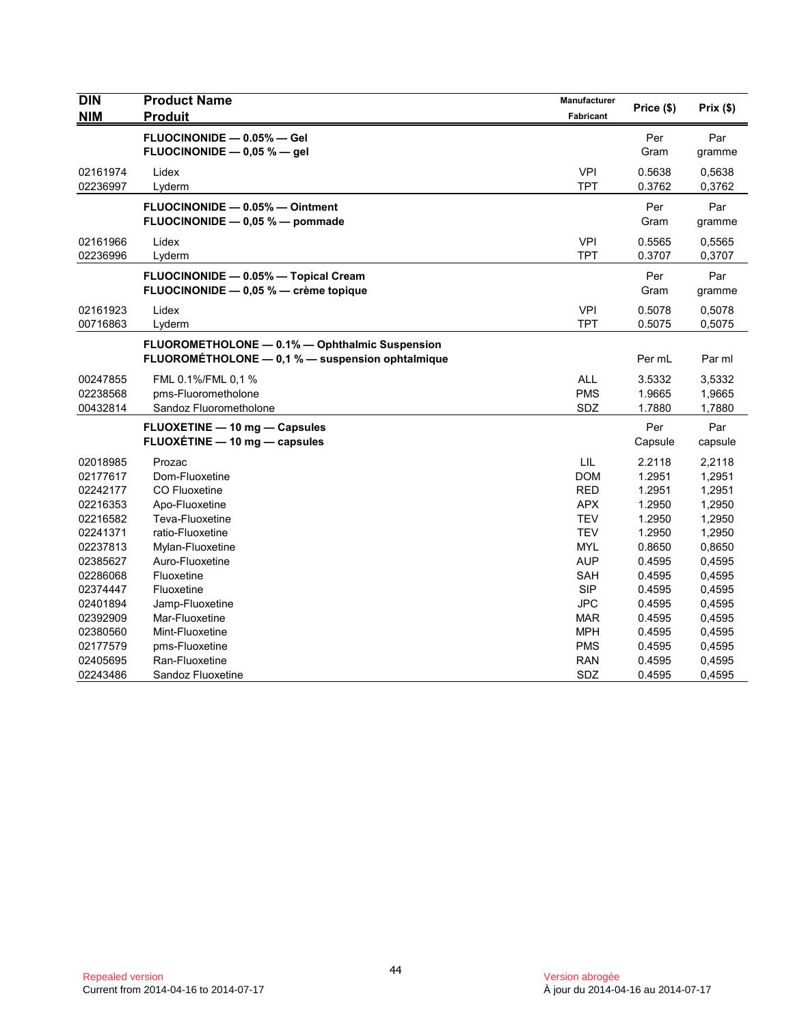| <b>DIN</b> | <b>Product Name</b>                                       | Manufacturer | Price (\$)  | Prix(\$) |
|------------|-----------------------------------------------------------|--------------|-------------|----------|
| <b>NIM</b> | <b>Produit</b>                                            | Fabricant    |             |          |
|            | FLUOCINONIDE - 0.05% - Gel<br>FLUOCINONIDE - 0,05 % - gel |              | Per<br>Gram | Par      |
|            |                                                           |              |             | gramme   |
| 02161974   | Lidex                                                     | <b>VPI</b>   | 0.5638      | 0,5638   |
| 02236997   | Lyderm                                                    | <b>TPT</b>   | 0.3762      | 0,3762   |
|            | FLUOCINONIDE - 0.05% - Ointment                           |              | Per         | Par      |
|            | FLUOCINONIDE - 0,05 % - pommade                           |              | Gram        | gramme   |
| 02161966   | Lidex                                                     | <b>VPI</b>   | 0.5565      | 0,5565   |
| 02236996   | Lyderm                                                    | <b>TPT</b>   | 0.3707      | 0,3707   |
|            | FLUOCINONIDE - 0.05% - Topical Cream                      |              | Per         | Par      |
|            | FLUOCINONIDE - 0.05 % - crème topique                     |              | Gram        | gramme   |
| 02161923   | Lidex                                                     | <b>VPI</b>   | 0.5078      | 0,5078   |
| 00716863   | Lyderm                                                    | <b>TPT</b>   | 0.5075      | 0,5075   |
|            | FLUOROMETHOLONE - 0.1% - Ophthalmic Suspension            |              |             |          |
|            | FLUOROMÉTHOLONE - 0,1 % - suspension ophtalmique          |              | Per mL      | Par ml   |
| 00247855   | FML 0.1%/FML 0.1 %                                        | <b>ALL</b>   | 3.5332      | 3,5332   |
| 02238568   | pms-Fluorometholone                                       | <b>PMS</b>   | 1.9665      | 1,9665   |
| 00432814   | Sandoz Fluorometholone                                    | SDZ          | 1.7880      | 1,7880   |
|            | FLUOXETINE - 10 mg - Capsules                             |              | Per         | Par      |
|            | FLUOXÉTINE - 10 mg - capsules                             |              | Capsule     | capsule  |
| 02018985   | Prozac                                                    | LIL          | 2.2118      | 2,2118   |
| 02177617   | Dom-Fluoxetine                                            | <b>DOM</b>   | 1.2951      | 1,2951   |
| 02242177   | CO Fluoxetine                                             | <b>RED</b>   | 1.2951      | 1,2951   |
| 02216353   | Apo-Fluoxetine                                            | <b>APX</b>   | 1.2950      | 1,2950   |
| 02216582   | Teva-Fluoxetine                                           | <b>TEV</b>   | 1.2950      | 1,2950   |
| 02241371   | ratio-Fluoxetine                                          | <b>TEV</b>   | 1.2950      | 1,2950   |
| 02237813   | Mylan-Fluoxetine                                          | <b>MYL</b>   | 0.8650      | 0,8650   |
| 02385627   | Auro-Fluoxetine                                           | <b>AUP</b>   | 0.4595      | 0,4595   |
| 02286068   | Fluoxetine                                                | SAH          | 0.4595      | 0,4595   |
| 02374447   | Fluoxetine                                                | <b>SIP</b>   | 0.4595      | 0,4595   |
| 02401894   | Jamp-Fluoxetine                                           | <b>JPC</b>   | 0.4595      | 0,4595   |
| 02392909   | Mar-Fluoxetine                                            | <b>MAR</b>   | 0.4595      | 0,4595   |
| 02380560   | Mint-Fluoxetine                                           | <b>MPH</b>   | 0.4595      | 0,4595   |
| 02177579   | pms-Fluoxetine                                            | <b>PMS</b>   | 0.4595      | 0,4595   |
| 02405695   | Ran-Fluoxetine                                            | <b>RAN</b>   | 0.4595      | 0,4595   |
| 02243486   | Sandoz Fluoxetine                                         | SDZ          | 0.4595      | 0,4595   |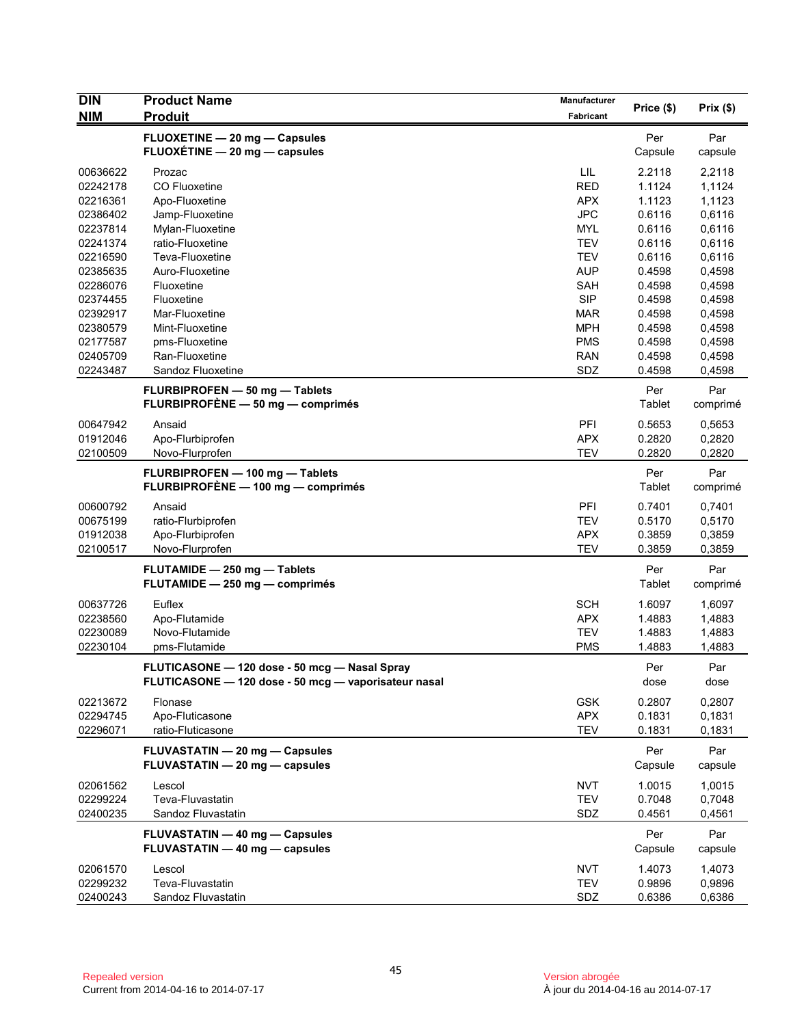| <b>DIN</b>           | <b>Product Name</b>                                  | Manufacturer      | Price (\$)       | Prix(\$)         |
|----------------------|------------------------------------------------------|-------------------|------------------|------------------|
| <b>NIM</b>           | <b>Produit</b>                                       | Fabricant         |                  |                  |
|                      | FLUOXETINE - 20 mg - Capsules                        |                   | Per              | Par              |
|                      | FLUOXÉTINE - 20 mg - capsules                        |                   | Capsule          | capsule          |
|                      |                                                      |                   |                  |                  |
| 00636622<br>02242178 | Prozac<br>CO Fluoxetine                              | LIL<br><b>RED</b> | 2.2118<br>1.1124 | 2,2118<br>1,1124 |
| 02216361             | Apo-Fluoxetine                                       | <b>APX</b>        | 1.1123           | 1,1123           |
| 02386402             | Jamp-Fluoxetine                                      | <b>JPC</b>        | 0.6116           | 0,6116           |
| 02237814             | Mylan-Fluoxetine                                     | <b>MYL</b>        | 0.6116           | 0,6116           |
| 02241374             | ratio-Fluoxetine                                     | <b>TEV</b>        | 0.6116           | 0,6116           |
| 02216590             | Teva-Fluoxetine                                      | <b>TEV</b>        | 0.6116           | 0,6116           |
| 02385635             | Auro-Fluoxetine                                      | <b>AUP</b>        | 0.4598           | 0,4598           |
| 02286076             | Fluoxetine                                           | <b>SAH</b>        | 0.4598           | 0,4598           |
| 02374455             | Fluoxetine                                           | <b>SIP</b>        | 0.4598           | 0,4598           |
| 02392917             | Mar-Fluoxetine                                       | <b>MAR</b>        | 0.4598           | 0,4598           |
| 02380579             | Mint-Fluoxetine                                      | <b>MPH</b>        | 0.4598           | 0,4598           |
| 02177587             | pms-Fluoxetine                                       | <b>PMS</b>        | 0.4598           | 0,4598           |
| 02405709             | Ran-Fluoxetine                                       | <b>RAN</b>        | 0.4598           | 0,4598           |
| 02243487             | Sandoz Fluoxetine                                    | SDZ               | 0.4598           | 0,4598           |
|                      |                                                      |                   |                  |                  |
|                      | FLURBIPROFEN - 50 mg - Tablets                       |                   | Per              | Par              |
|                      | FLURBIPROFÈNE - 50 mg - comprimés                    |                   | Tablet           | comprimé         |
| 00647942             | Ansaid                                               | PFI               | 0.5653           | 0,5653           |
| 01912046             | Apo-Flurbiprofen                                     | <b>APX</b>        | 0.2820           | 0,2820           |
| 02100509             | Novo-Flurprofen                                      | <b>TEV</b>        | 0.2820           | 0,2820           |
|                      | FLURBIPROFEN - 100 mg - Tablets                      |                   | Per              | Par              |
|                      | FLURBIPROFÈNE - 100 mg - comprimés                   |                   | Tablet           | comprimé         |
| 00600792             | Ansaid                                               | PFI               | 0.7401           | 0,7401           |
| 00675199             | ratio-Flurbiprofen                                   | <b>TEV</b>        | 0.5170           | 0,5170           |
| 01912038             | Apo-Flurbiprofen                                     | <b>APX</b>        | 0.3859           | 0,3859           |
| 02100517             | Novo-Flurprofen                                      | <b>TEV</b>        | 0.3859           | 0,3859           |
|                      |                                                      |                   |                  |                  |
|                      | FLUTAMIDE - 250 mg - Tablets                         |                   | Per              | Par              |
|                      | FLUTAMIDE - 250 mg - comprimés                       |                   | Tablet           | comprimé         |
| 00637726             | Euflex                                               | <b>SCH</b>        | 1.6097           | 1,6097           |
| 02238560             | Apo-Flutamide                                        | <b>APX</b>        | 1.4883           | 1,4883           |
| 02230089             | Novo-Flutamide                                       | <b>TEV</b>        | 1.4883           | 1,4883           |
| 02230104             | pms-Flutamide                                        | <b>PMS</b>        | 1.4883           | 1,4883           |
|                      | FLUTICASONE - 120 dose - 50 mcg - Nasal Spray        |                   | Per              | Par              |
|                      | FLUTICASONE - 120 dose - 50 mcg - vaporisateur nasal |                   | dose             | dose             |
|                      |                                                      |                   |                  |                  |
| 02213672             | Flonase                                              | <b>GSK</b>        | 0.2807           | 0,2807           |
| 02294745             | Apo-Fluticasone                                      | <b>APX</b>        | 0.1831           | 0,1831           |
| 02296071             | ratio-Fluticasone                                    | <b>TEV</b>        | 0.1831           | 0,1831           |
|                      | FLUVASTATIN - 20 mg - Capsules                       |                   | Per              | Par              |
|                      | FLUVASTATIN - 20 mg - capsules                       |                   | Capsule          | capsule          |
| 02061562             | Lescol                                               | <b>NVT</b>        | 1.0015           | 1,0015           |
| 02299224             | Teva-Fluvastatin                                     | <b>TEV</b>        | 0.7048           | 0,7048           |
| 02400235             | Sandoz Fluvastatin                                   | SDZ               | 0.4561           | 0,4561           |
|                      |                                                      |                   |                  |                  |
|                      | FLUVASTATIN - 40 mg - Capsules                       |                   | Per              | Par              |
|                      | FLUVASTATIN - 40 mg - capsules                       |                   | Capsule          | capsule          |
| 02061570             | Lescol                                               | NVT               | 1.4073           | 1,4073           |
| 02299232             | Teva-Fluvastatin                                     | <b>TEV</b>        | 0.9896           | 0,9896           |
| 02400243             | Sandoz Fluvastatin                                   | SDZ               | 0.6386           | 0,6386           |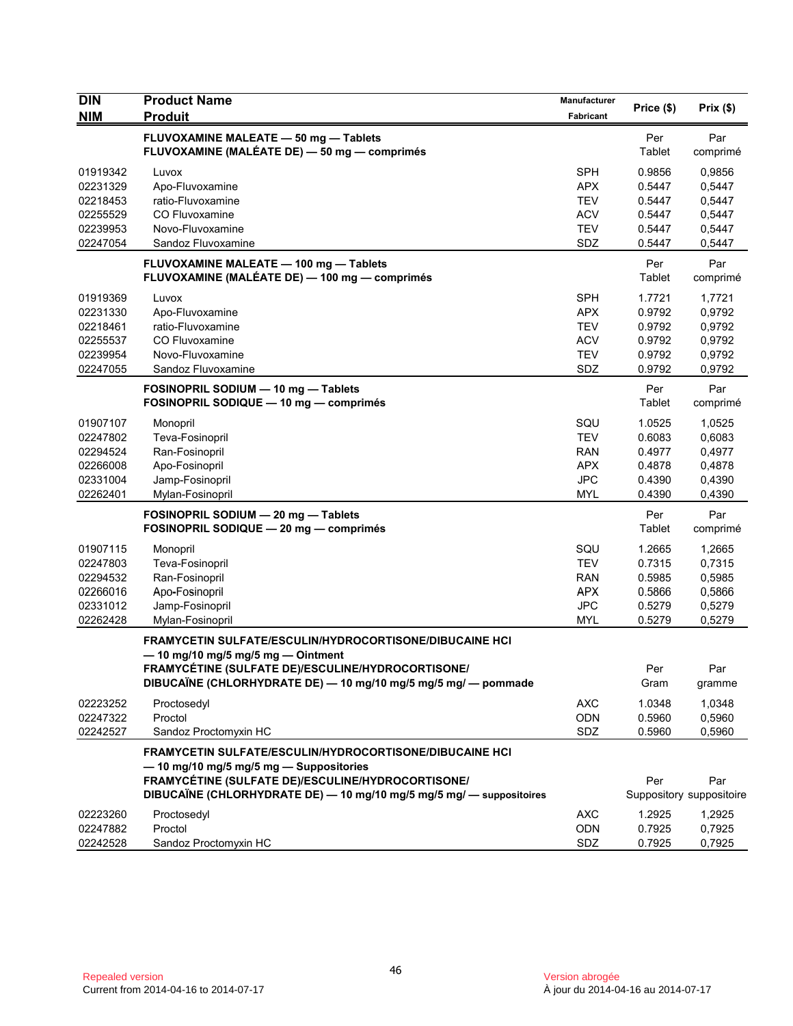| <b>DIN</b>                                                           | <b>Product Name</b>                                                                                                                                                                                                                   | <b>Manufacturer</b>                                                       | Price (\$)                                               | Prix(\$)                                                 |
|----------------------------------------------------------------------|---------------------------------------------------------------------------------------------------------------------------------------------------------------------------------------------------------------------------------------|---------------------------------------------------------------------------|----------------------------------------------------------|----------------------------------------------------------|
| <b>NIM</b>                                                           | <b>Produit</b>                                                                                                                                                                                                                        | Fabricant                                                                 |                                                          |                                                          |
|                                                                      | FLUVOXAMINE MALEATE - 50 mg - Tablets<br>FLUVOXAMINE (MALÉATE DE) - 50 mg - comprimés                                                                                                                                                 |                                                                           | Per<br>Tablet                                            | Par<br>comprimé                                          |
| 01919342<br>02231329<br>02218453<br>02255529<br>02239953<br>02247054 | Luvox<br>Apo-Fluvoxamine<br>ratio-Fluvoxamine<br>CO Fluvoxamine<br>Novo-Fluvoxamine<br>Sandoz Fluvoxamine                                                                                                                             | SPH<br><b>APX</b><br><b>TEV</b><br><b>ACV</b><br><b>TEV</b><br>SDZ        | 0.9856<br>0.5447<br>0.5447<br>0.5447<br>0.5447<br>0.5447 | 0,9856<br>0,5447<br>0,5447<br>0,5447<br>0,5447<br>0,5447 |
|                                                                      | FLUVOXAMINE MALEATE - 100 mg - Tablets<br>FLUVOXAMINE (MALÉATE DE) — 100 mg — comprimés                                                                                                                                               |                                                                           | Per<br>Tablet                                            | Par<br>comprimé                                          |
| 01919369<br>02231330<br>02218461<br>02255537<br>02239954<br>02247055 | Luvox<br>Apo-Fluvoxamine<br>ratio-Fluvoxamine<br>CO Fluvoxamine<br>Novo-Fluvoxamine<br>Sandoz Fluvoxamine                                                                                                                             | <b>SPH</b><br><b>APX</b><br><b>TEV</b><br><b>ACV</b><br><b>TEV</b><br>SDZ | 1.7721<br>0.9792<br>0.9792<br>0.9792<br>0.9792<br>0.9792 | 1,7721<br>0,9792<br>0,9792<br>0,9792<br>0,9792<br>0,9792 |
|                                                                      | FOSINOPRIL SODIUM - 10 mg - Tablets<br>FOSINOPRIL SODIQUE - 10 mg - comprimés                                                                                                                                                         |                                                                           | Per<br>Tablet                                            | Par<br>comprimé                                          |
| 01907107<br>02247802<br>02294524<br>02266008<br>02331004<br>02262401 | Monopril<br>Teva-Fosinopril<br>Ran-Fosinopril<br>Apo-Fosinopril<br>Jamp-Fosinopril<br>Mylan-Fosinopril                                                                                                                                | SQU<br><b>TEV</b><br><b>RAN</b><br><b>APX</b><br><b>JPC</b><br><b>MYL</b> | 1.0525<br>0.6083<br>0.4977<br>0.4878<br>0.4390<br>0.4390 | 1,0525<br>0,6083<br>0,4977<br>0,4878<br>0,4390<br>0,4390 |
|                                                                      | FOSINOPRIL SODIUM - 20 mg - Tablets<br>FOSINOPRIL SODIQUE - 20 mg - comprimés                                                                                                                                                         |                                                                           | Per<br>Tablet                                            | Par<br>comprimé                                          |
| 01907115<br>02247803<br>02294532<br>02266016<br>02331012<br>02262428 | Monopril<br>Teva-Fosinopril<br>Ran-Fosinopril<br>Apo-Fosinopril<br>Jamp-Fosinopril<br>Mylan-Fosinopril                                                                                                                                | SQU<br><b>TEV</b><br>RAN<br><b>APX</b><br><b>JPC</b><br><b>MYL</b>        | 1.2665<br>0.7315<br>0.5985<br>0.5866<br>0.5279<br>0.5279 | 1,2665<br>0,7315<br>0,5985<br>0,5866<br>0,5279<br>0,5279 |
|                                                                      | <b>FRAMYCETIN SULFATE/ESCULIN/HYDROCORTISONE/DIBUCAINE HCI</b><br>- 10 mg/10 mg/5 mg/5 mg - Ointment<br><b>FRAMYCÉTINE (SULFATE DE)/ESCULINE/HYDROCORTISONE/</b><br>DIBUCAÏNE (CHLORHYDRATE DE) - 10 mg/10 mg/5 mg/5 mg/ - pommade    |                                                                           | Per<br>Gram                                              | Par<br>gramme                                            |
| 02223252<br>02247322<br>02242527                                     | Proctosedyl<br>Proctol<br>Sandoz Proctomyxin HC                                                                                                                                                                                       | <b>AXC</b><br>ODN<br>SDZ                                                  | 1.0348<br>0.5960<br>0.5960                               | 1,0348<br>0,5960<br>0,5960                               |
|                                                                      | <b>FRAMYCETIN SULFATE/ESCULIN/HYDROCORTISONE/DIBUCAINE HCI</b><br>-10 mg/10 mg/5 mg/5 mg - Suppositories<br>FRAMYCÉTINE (SULFATE DE)/ESCULINE/HYDROCORTISONE/<br>DIBUCAÏNE (CHLORHYDRATE DE) - 10 mg/10 mg/5 mg/5 mg/ - suppositoires |                                                                           | Per                                                      | Par<br>Suppository suppositoire                          |
| 02223260<br>02247882<br>02242528                                     | Proctosedyl<br>Proctol<br>Sandoz Proctomyxin HC                                                                                                                                                                                       | <b>AXC</b><br><b>ODN</b><br>SDZ                                           | 1.2925<br>0.7925<br>0.7925                               | 1,2925<br>0,7925<br>0,7925                               |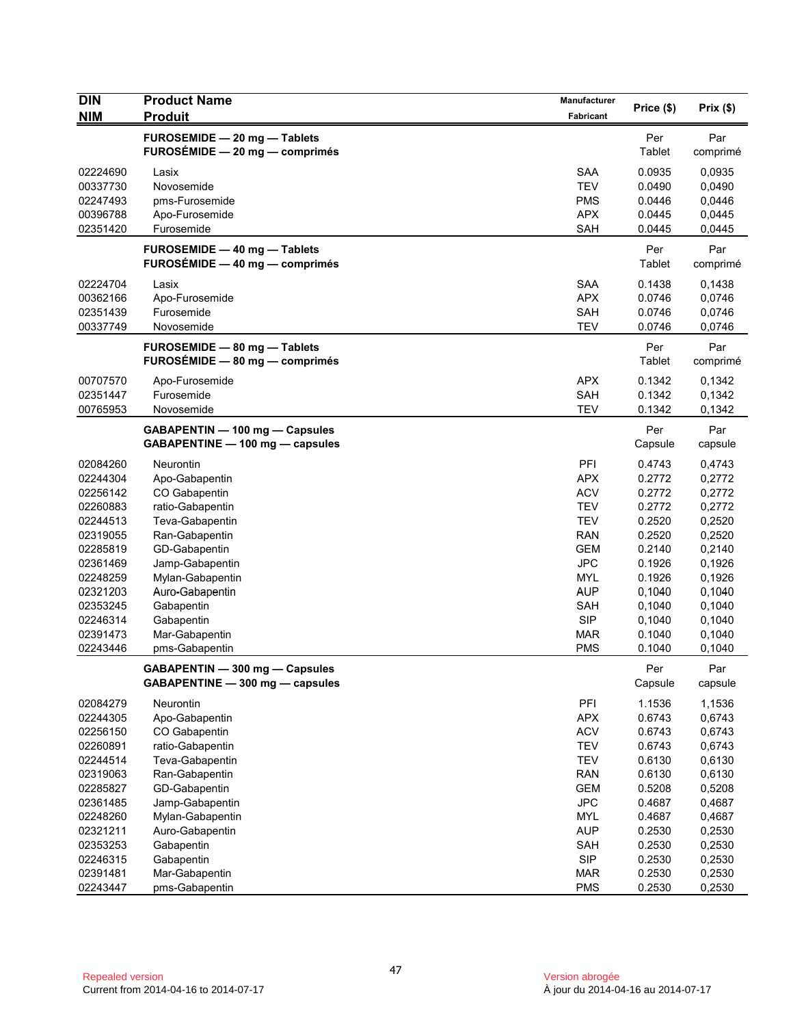| <b>DIN</b><br><b>Product Name</b>                                  | Manufacturer     |                  |
|--------------------------------------------------------------------|------------------|------------------|
| <b>NIM</b><br><b>Produit</b><br>Fabricant                          | Price (\$)       | Prix(\$)         |
| FUROSEMIDE - 20 mg - Tablets                                       | Per              | Par              |
| $FUROSÉMIDE - 20 mg - comprimés$                                   | Tablet           | comprimé         |
| 02224690<br><b>SAA</b><br>Lasix                                    | 0.0935           | 0,0935           |
| 00337730<br>Novosemide<br><b>TEV</b>                               | 0.0490           | 0.0490           |
| pms-Furosemide<br><b>PMS</b><br>02247493                           | 0.0446           | 0,0446           |
| <b>APX</b><br>00396788<br>Apo-Furosemide                           | 0.0445           | 0,0445           |
| 02351420<br><b>SAH</b><br>Furosemide                               | 0.0445           | 0,0445           |
|                                                                    |                  |                  |
| FUROSEMIDE - 40 mg - Tablets<br>FUROSÉMIDE - 40 mg - comprimés     | Per<br>Tablet    | Par<br>comprimé  |
|                                                                    |                  |                  |
| <b>SAA</b><br>02224704<br>Lasix                                    | 0.1438           | 0,1438           |
| 00362166<br>Apo-Furosemide<br><b>APX</b><br>Furosemide             | 0.0746           | 0,0746           |
| SAH<br>02351439<br>00337749<br><b>TEV</b><br>Novosemide            | 0.0746<br>0.0746 | 0,0746<br>0,0746 |
|                                                                    |                  |                  |
| FUROSEMIDE - 80 mg - Tablets                                       | Per              | Par              |
| FUROSÉMIDE - 80 mg - comprimés                                     | Tablet           | comprimé         |
| 00707570<br><b>APX</b><br>Apo-Furosemide                           | 0.1342           | 0,1342           |
| <b>SAH</b><br>02351447<br>Furosemide                               | 0.1342           | 0,1342           |
| <b>TEV</b><br>00765953<br>Novosemide                               | 0.1342           | 0,1342           |
| GABAPENTIN - 100 mg - Capsules                                     | Per              | Par              |
| GABAPENTINE - 100 mg - capsules                                    | Capsule          | capsule          |
| PFI<br>02084260<br>Neurontin                                       | 0.4743           | 0,4743           |
| 02244304<br><b>APX</b><br>Apo-Gabapentin                           | 0.2772           | 0,2772           |
| <b>ACV</b><br>02256142<br>CO Gabapentin                            | 0.2772           | 0,2772           |
| 02260883<br>ratio-Gabapentin<br><b>TEV</b>                         | 0.2772           | 0,2772           |
| Teva-Gabapentin<br><b>TEV</b><br>02244513                          | 0.2520           | 0,2520           |
| <b>RAN</b><br>02319055<br>Ran-Gabapentin                           | 0.2520           | 0,2520           |
| 02285819<br>GD-Gabapentin<br><b>GEM</b>                            | 0.2140           | 0,2140           |
| <b>JPC</b><br>02361469<br>Jamp-Gabapentin                          | 0.1926           | 0,1926           |
| <b>MYL</b><br>02248259<br>Mylan-Gabapentin                         | 0.1926           | 0,1926           |
| <b>AUP</b><br>02321203<br>Auro-Gabapentin                          | 0,1040           | 0,1040           |
| 02353245<br>Gabapentin<br><b>SAH</b>                               | 0,1040           | 0,1040           |
| <b>SIP</b><br>Gabapentin<br>02246314                               | 0,1040           | 0,1040           |
| 02391473<br>Mar-Gabapentin<br><b>MAR</b><br><b>PMS</b><br>02243446 | 0.1040<br>0.1040 | 0,1040           |
| pms-Gabapentin                                                     |                  | 0,1040           |
| GABAPENTIN - 300 mg - Capsules                                     | Per              | Par              |
| GABAPENTINE - 300 mg - capsules                                    | Capsule          | capsule          |
| PFI<br>02084279<br>Neurontin                                       | 1.1536           | 1,1536           |
| <b>APX</b><br>02244305<br>Apo-Gabapentin                           | 0.6743           | 0,6743           |
| <b>ACV</b><br>02256150<br>CO Gabapentin                            | 0.6743           | 0,6743           |
| 02260891<br><b>TEV</b><br>ratio-Gabapentin                         | 0.6743           | 0,6743           |
| <b>TEV</b><br>02244514<br>Teva-Gabapentin                          | 0.6130           | 0,6130           |
| Ran-Gabapentin<br><b>RAN</b><br>02319063                           | 0.6130           | 0,6130           |
| GD-Gabapentin<br><b>GEM</b><br>02285827                            | 0.5208           | 0,5208           |
| <b>JPC</b><br>02361485<br>Jamp-Gabapentin                          | 0.4687           | 0,4687           |
| Mylan-Gabapentin<br><b>MYL</b><br>02248260                         | 0.4687           | 0,4687           |
| 02321211<br><b>AUP</b><br>Auro-Gabapentin<br>SAH<br>02353253       | 0.2530           | 0,2530           |
| Gabapentin<br><b>SIP</b><br>02246315<br>Gabapentin                 | 0.2530<br>0.2530 | 0,2530<br>0,2530 |
| Mar-Gabapentin<br>02391481<br><b>MAR</b>                           | 0.2530           | 0,2530           |
| <b>PMS</b><br>02243447<br>pms-Gabapentin                           | 0.2530           | 0,2530           |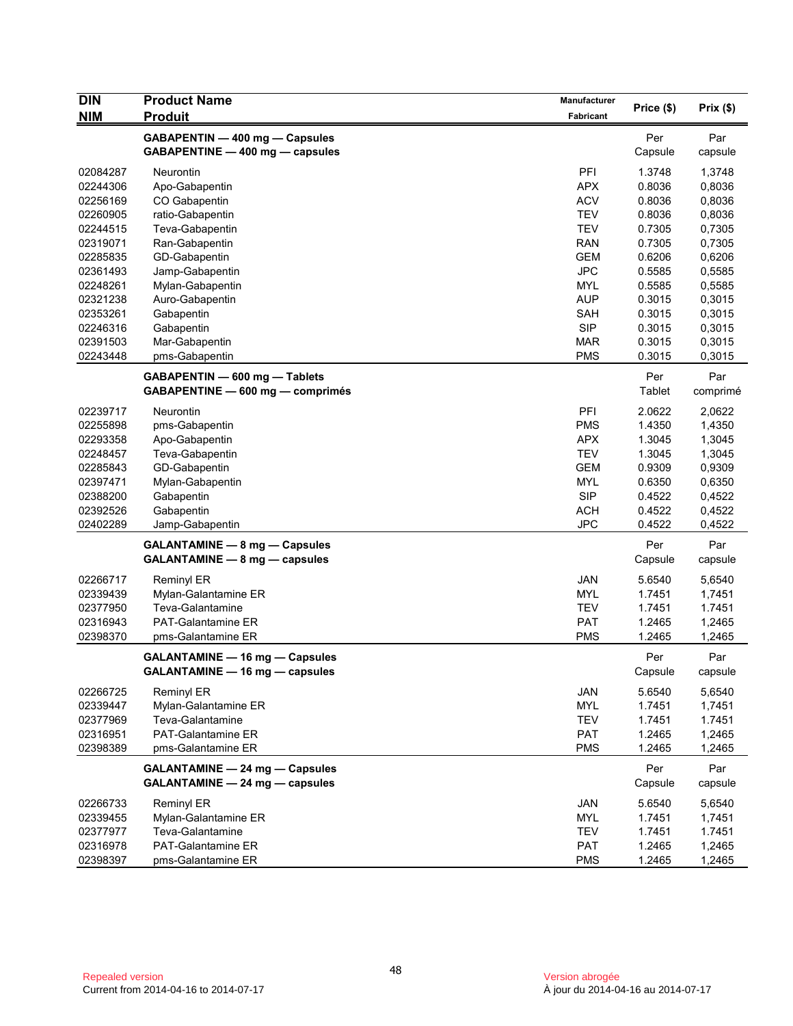| <b>DIN</b> | <b>Product Name</b>                   | Manufacturer     | Price (\$) | Prix(\$) |
|------------|---------------------------------------|------------------|------------|----------|
| <b>NIM</b> | <b>Produit</b>                        | <b>Fabricant</b> |            |          |
|            | GABAPENTIN - 400 mg - Capsules        |                  | Per        | Par      |
|            | GABAPENTINE - 400 mg - capsules       |                  | Capsule    | capsule  |
| 02084287   | Neurontin                             | PFI              | 1.3748     | 1,3748   |
| 02244306   | Apo-Gabapentin                        | <b>APX</b>       | 0.8036     | 0,8036   |
| 02256169   | CO Gabapentin                         | <b>ACV</b>       | 0.8036     | 0,8036   |
| 02260905   | ratio-Gabapentin                      | <b>TEV</b>       | 0.8036     | 0,8036   |
| 02244515   | Teva-Gabapentin                       | <b>TEV</b>       | 0.7305     | 0,7305   |
| 02319071   | Ran-Gabapentin                        | <b>RAN</b>       | 0.7305     | 0,7305   |
| 02285835   | GD-Gabapentin                         | <b>GEM</b>       | 0.6206     | 0,6206   |
| 02361493   | Jamp-Gabapentin                       | <b>JPC</b>       | 0.5585     | 0,5585   |
| 02248261   | Mylan-Gabapentin                      | <b>MYL</b>       | 0.5585     | 0,5585   |
| 02321238   | Auro-Gabapentin                       | <b>AUP</b>       | 0.3015     | 0,3015   |
| 02353261   | Gabapentin                            | <b>SAH</b>       | 0.3015     | 0,3015   |
| 02246316   | Gabapentin                            | <b>SIP</b>       | 0.3015     | 0,3015   |
| 02391503   | Mar-Gabapentin                        | MAR              | 0.3015     | 0,3015   |
| 02243448   | pms-Gabapentin                        | <b>PMS</b>       | 0.3015     | 0,3015   |
|            | GABAPENTIN - 600 mg - Tablets         |                  | Per        | Par      |
|            | GABAPENTINE - 600 mg - comprimés      |                  | Tablet     | comprimé |
| 02239717   | Neurontin                             | PFI              | 2.0622     | 2,0622   |
| 02255898   | pms-Gabapentin                        | <b>PMS</b>       | 1.4350     | 1,4350   |
| 02293358   | Apo-Gabapentin                        | <b>APX</b>       | 1.3045     | 1,3045   |
| 02248457   | Teva-Gabapentin                       | <b>TEV</b>       | 1.3045     | 1,3045   |
| 02285843   | GD-Gabapentin                         | <b>GEM</b>       | 0.9309     | 0,9309   |
| 02397471   | Mylan-Gabapentin                      | MYL              | 0.6350     | 0,6350   |
| 02388200   | Gabapentin                            | <b>SIP</b>       | 0.4522     | 0,4522   |
| 02392526   | Gabapentin                            | <b>ACH</b>       | 0.4522     | 0,4522   |
| 02402289   | Jamp-Gabapentin                       | <b>JPC</b>       | 0.4522     | 0,4522   |
|            | <b>GALANTAMINE - 8 mg - Capsules</b>  |                  | Per        | Par      |
|            | GALANTAMINE - 8 mg - capsules         |                  | Capsule    | capsule  |
| 02266717   | <b>Reminyl ER</b>                     | <b>JAN</b>       | 5.6540     | 5,6540   |
| 02339439   | Mylan-Galantamine ER                  | <b>MYL</b>       | 1.7451     | 1,7451   |
| 02377950   | Teva-Galantamine                      | TEV              | 1.7451     | 1.7451   |
| 02316943   | PAT-Galantamine ER                    | <b>PAT</b>       | 1.2465     | 1,2465   |
| 02398370   | pms-Galantamine ER                    | <b>PMS</b>       | 1.2465     | 1,2465   |
|            | <b>GALANTAMINE - 16 mg - Capsules</b> |                  | Per        | Par      |
|            | GALANTAMINE - 16 mg - capsules        |                  | Capsule    | capsule  |
| 02266725   | <b>Reminyl ER</b>                     | <b>JAN</b>       | 5.6540     | 5,6540   |
| 02339447   | Mylan-Galantamine ER                  | <b>MYL</b>       | 1.7451     | 1,7451   |
| 02377969   | Teva-Galantamine                      | <b>TEV</b>       | 1.7451     | 1.7451   |
| 02316951   | PAT-Galantamine ER                    | <b>PAT</b>       | 1.2465     | 1,2465   |
| 02398389   | pms-Galantamine ER                    | <b>PMS</b>       | 1.2465     | 1,2465   |
|            | <b>GALANTAMINE - 24 mg - Capsules</b> |                  | Per        | Par      |
|            | GALANTAMINE - 24 mg - capsules        |                  | Capsule    | capsule  |
| 02266733   | <b>Reminyl ER</b>                     | JAN              | 5.6540     | 5,6540   |
| 02339455   | Mylan-Galantamine ER                  | <b>MYL</b>       | 1.7451     | 1,7451   |
| 02377977   | Teva-Galantamine                      | <b>TEV</b>       | 1.7451     | 1.7451   |
| 02316978   | PAT-Galantamine ER                    | <b>PAT</b>       | 1.2465     | 1,2465   |
| 02398397   | pms-Galantamine ER                    | <b>PMS</b>       | 1.2465     | 1,2465   |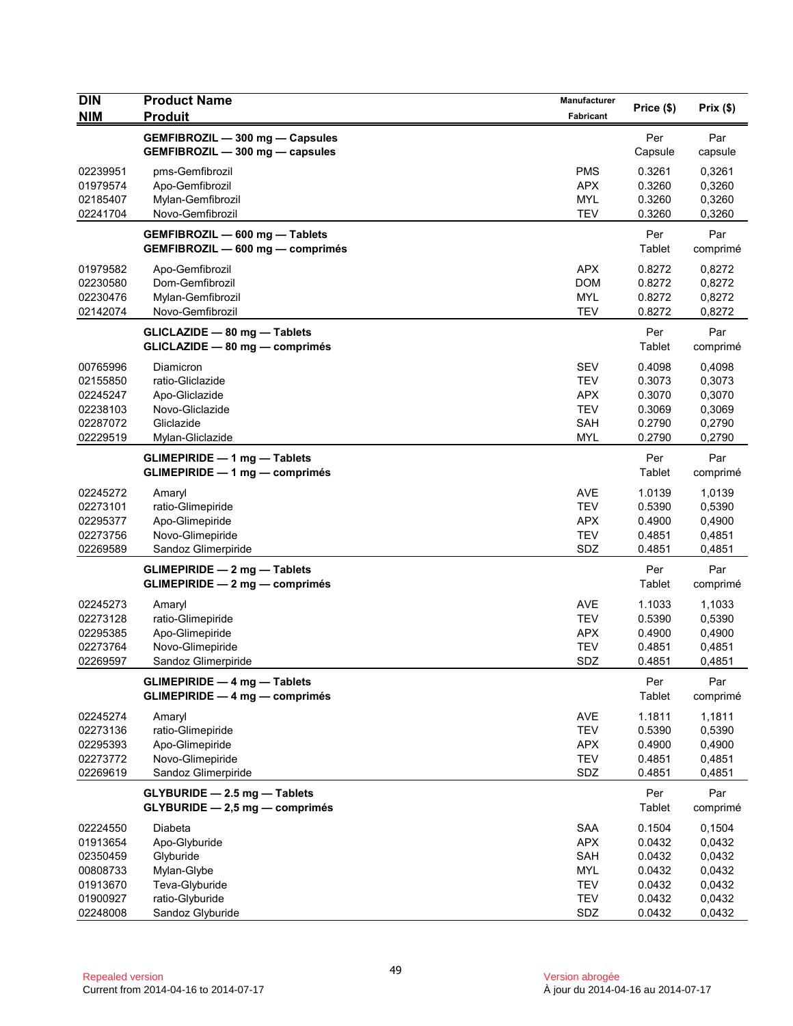| <b>DIN</b><br><b>NIM</b>                                             | <b>Product Name</b><br><b>Produit</b>                                                                | Manufacturer<br>Fabricant                                                        | Price (\$)                                               | Prix(\$)                                                 |
|----------------------------------------------------------------------|------------------------------------------------------------------------------------------------------|----------------------------------------------------------------------------------|----------------------------------------------------------|----------------------------------------------------------|
|                                                                      | GEMFIBROZIL - 300 mg - Capsules<br>GEMFIBROZIL - 300 mg - capsules                                   |                                                                                  | Per<br>Capsule                                           | Par<br>capsule                                           |
| 02239951<br>01979574<br>02185407<br>02241704                         | pms-Gemfibrozil<br>Apo-Gemfibrozil<br>Mylan-Gemfibrozil<br>Novo-Gemfibrozil                          | <b>PMS</b><br><b>APX</b><br><b>MYL</b><br><b>TEV</b>                             | 0.3261<br>0.3260<br>0.3260<br>0.3260                     | 0,3261<br>0,3260<br>0,3260<br>0,3260                     |
|                                                                      | GEMFIBROZIL - 600 mg - Tablets<br>GEMFIBROZIL - 600 mg - comprimés                                   |                                                                                  | Per<br>Tablet                                            | Par<br>comprimé                                          |
| 01979582<br>02230580<br>02230476<br>02142074                         | Apo-Gemfibrozil<br>Dom-Gemfibrozil<br>Mylan-Gemfibrozil<br>Novo-Gemfibrozil                          | <b>APX</b><br><b>DOM</b><br><b>MYL</b><br><b>TEV</b>                             | 0.8272<br>0.8272<br>0.8272<br>0.8272                     | 0,8272<br>0,8272<br>0,8272<br>0,8272                     |
|                                                                      | GLICLAZIDE - 80 mg - Tablets<br>GLICLAZIDE - 80 mg - comprimés                                       |                                                                                  | Per<br>Tablet                                            | Par<br>comprimé                                          |
| 00765996<br>02155850<br>02245247<br>02238103<br>02287072<br>02229519 | Diamicron<br>ratio-Gliclazide<br>Apo-Gliclazide<br>Novo-Gliclazide<br>Gliclazide<br>Mylan-Gliclazide | <b>SEV</b><br><b>TEV</b><br><b>APX</b><br><b>TEV</b><br><b>SAH</b><br><b>MYL</b> | 0.4098<br>0.3073<br>0.3070<br>0.3069<br>0.2790<br>0.2790 | 0,4098<br>0,3073<br>0,3070<br>0,3069<br>0,2790<br>0,2790 |
|                                                                      | <b>GLIMEPIRIDE - 1 mg - Tablets</b><br>GLIMEPIRIDE - 1 mg - comprimés                                |                                                                                  | Per<br>Tablet                                            | Par<br>comprimé                                          |
| 02245272<br>02273101<br>02295377<br>02273756<br>02269589             | Amaryl<br>ratio-Glimepiride<br>Apo-Glimepiride<br>Novo-Glimepiride<br>Sandoz Glimerpiride            | <b>AVE</b><br><b>TEV</b><br><b>APX</b><br><b>TEV</b><br>SDZ                      | 1.0139<br>0.5390<br>0.4900<br>0.4851<br>0.4851           | 1,0139<br>0,5390<br>0,4900<br>0,4851<br>0,4851           |
|                                                                      | <b>GLIMEPIRIDE - 2 mg - Tablets</b><br>$GLIMEPIRIDE - 2 mg - comprimés$                              |                                                                                  | Per<br>Tablet                                            | Par<br>comprimé                                          |
| 02245273<br>02273128<br>02295385<br>02273764<br>02269597             | Amaryl<br>ratio-Glimepiride<br>Apo-Glimepiride<br>Novo-Glimepiride<br>Sandoz Glimerpiride            | <b>AVE</b><br><b>TEV</b><br><b>APX</b><br><b>TEV</b><br>SDZ                      | 1.1033<br>0.5390<br>0.4900<br>0.4851<br>0.4851           | 1,1033<br>0,5390<br>0,4900<br>0,4851<br>0,4851           |
|                                                                      | <b>GLIMEPIRIDE - 4 mg - Tablets</b><br><b>GLIMEPIRIDE - 4 mg - comprimés</b>                         |                                                                                  | Per<br>Tablet                                            | Par<br>comprimé                                          |
| 02245274<br>02273136<br>02295393<br>02273772<br>02269619             | Amaryl<br>ratio-Glimepiride<br>Apo-Glimepiride<br>Novo-Glimepiride<br>Sandoz Glimerpiride            | AVE<br><b>TEV</b><br><b>APX</b><br><b>TEV</b><br>SDZ                             | 1.1811<br>0.5390<br>0.4900<br>0.4851<br>0.4851           | 1,1811<br>0,5390<br>0,4900<br>0,4851<br>0,4851           |
|                                                                      | GLYBURIDE - 2.5 mg - Tablets<br>GLYBURIDE - 2,5 mg - comprimés                                       |                                                                                  | Per<br>Tablet                                            | Par<br>comprimé                                          |
| 02224550<br>01913654<br>02350459<br>00808733<br>01913670<br>01900927 | Diabeta<br>Apo-Glyburide<br>Glyburide<br>Mylan-Glybe<br>Teva-Glyburide<br>ratio-Glyburide            | <b>SAA</b><br><b>APX</b><br><b>SAH</b><br><b>MYL</b><br><b>TEV</b><br><b>TEV</b> | 0.1504<br>0.0432<br>0.0432<br>0.0432<br>0.0432<br>0.0432 | 0,1504<br>0,0432<br>0,0432<br>0,0432<br>0,0432<br>0,0432 |
| 02248008                                                             | Sandoz Glyburide                                                                                     | SDZ                                                                              | 0.0432                                                   | 0,0432                                                   |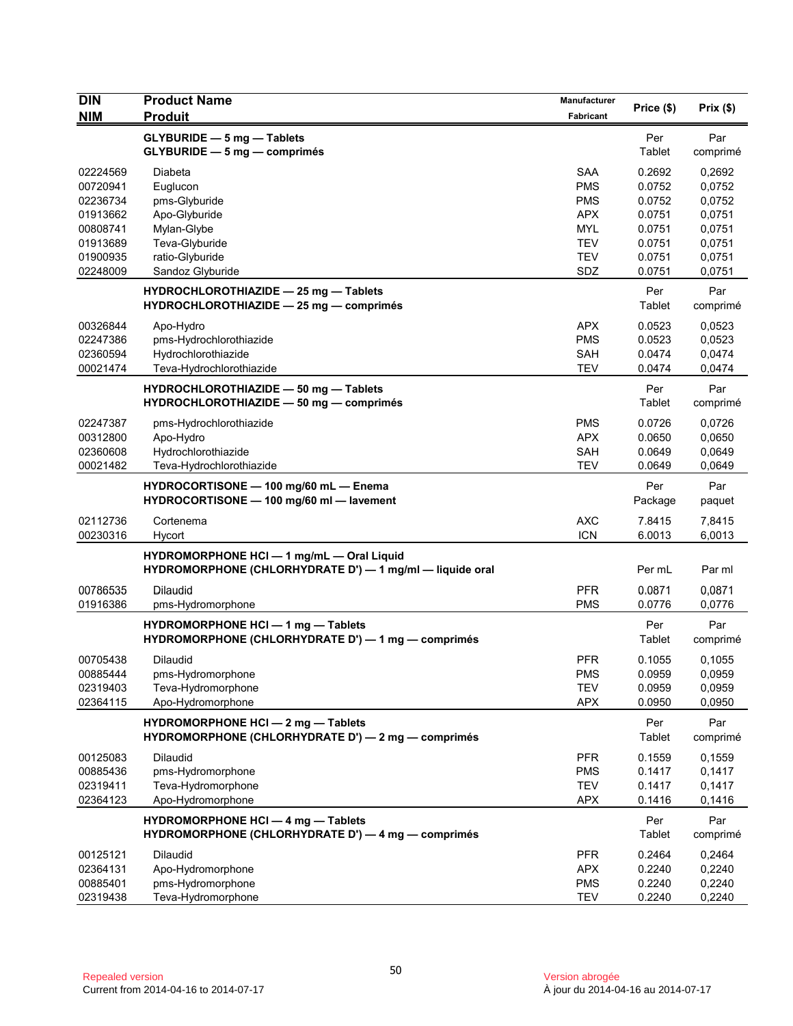| <b>DIN</b><br><b>NIM</b>                                                                     | <b>Product Name</b><br><b>Produit</b>                                                                                         | Manufacturer<br>Fabricant                                                                      | Price (\$)                                                                   | Prix(\$)                                                                     |
|----------------------------------------------------------------------------------------------|-------------------------------------------------------------------------------------------------------------------------------|------------------------------------------------------------------------------------------------|------------------------------------------------------------------------------|------------------------------------------------------------------------------|
|                                                                                              | <b>GLYBURIDE - 5 mg - Tablets</b><br>GLYBURIDE - 5 mg - comprimés                                                             |                                                                                                | Per<br>Tablet                                                                | Par<br>comprimé                                                              |
| 02224569<br>00720941<br>02236734<br>01913662<br>00808741<br>01913689<br>01900935<br>02248009 | Diabeta<br>Euglucon<br>pms-Glyburide<br>Apo-Glyburide<br>Mylan-Glybe<br>Teva-Glyburide<br>ratio-Glyburide<br>Sandoz Glyburide | <b>SAA</b><br><b>PMS</b><br><b>PMS</b><br><b>APX</b><br>MYL<br><b>TEV</b><br><b>TEV</b><br>SDZ | 0.2692<br>0.0752<br>0.0752<br>0.0751<br>0.0751<br>0.0751<br>0.0751<br>0.0751 | 0,2692<br>0,0752<br>0,0752<br>0,0751<br>0,0751<br>0,0751<br>0,0751<br>0,0751 |
|                                                                                              | HYDROCHLOROTHIAZIDE - 25 mg - Tablets<br>HYDROCHLOROTHIAZIDE - 25 mg - comprimés                                              |                                                                                                | Per<br>Tablet                                                                | Par<br>comprimé                                                              |
| 00326844<br>02247386<br>02360594<br>00021474                                                 | Apo-Hydro<br>pms-Hydrochlorothiazide<br>Hydrochlorothiazide<br>Teva-Hydrochlorothiazide                                       | APX<br><b>PMS</b><br>SAH<br><b>TEV</b>                                                         | 0.0523<br>0.0523<br>0.0474<br>0.0474                                         | 0,0523<br>0,0523<br>0,0474<br>0,0474                                         |
|                                                                                              | HYDROCHLOROTHIAZIDE - 50 mg - Tablets<br>HYDROCHLOROTHIAZIDE - 50 mg - comprimés                                              |                                                                                                | Per<br>Tablet                                                                | Par<br>comprimé                                                              |
| 02247387<br>00312800<br>02360608<br>00021482                                                 | pms-Hydrochlorothiazide<br>Apo-Hydro<br>Hydrochlorothiazide<br>Teva-Hydrochlorothiazide                                       | <b>PMS</b><br><b>APX</b><br>SAH<br><b>TEV</b>                                                  | 0.0726<br>0.0650<br>0.0649<br>0.0649                                         | 0,0726<br>0,0650<br>0,0649<br>0,0649                                         |
|                                                                                              | HYDROCORTISONE - 100 mg/60 mL - Enema<br>HYDROCORTISONE - 100 mg/60 ml - lavement                                             |                                                                                                | Per<br>Package                                                               | Par<br>paquet                                                                |
| 02112736<br>00230316                                                                         | Cortenema<br>Hycort                                                                                                           | <b>AXC</b><br><b>ICN</b>                                                                       | 7.8415<br>6.0013                                                             | 7,8415<br>6,0013                                                             |
|                                                                                              | HYDROMORPHONE HCI - 1 mg/mL - Oral Liquid<br>HYDROMORPHONE (CHLORHYDRATE D') - 1 mg/ml - liquide oral                         |                                                                                                | Per mL                                                                       | Par ml                                                                       |
| 00786535<br>01916386                                                                         | Dilaudid<br>pms-Hydromorphone                                                                                                 | <b>PFR</b><br><b>PMS</b>                                                                       | 0.0871<br>0.0776                                                             | 0,0871<br>0,0776                                                             |
|                                                                                              | <b>HYDROMORPHONE HCI - 1 mg - Tablets</b><br>HYDROMORPHONE (CHLORHYDRATE D') - 1 mg - comprimés                               |                                                                                                | Per<br>Tablet                                                                | Par<br>comprimé                                                              |
| 00705438<br>00885444<br>02319403<br>02364115                                                 | <b>Dilaudid</b><br>pms-Hydromorphone<br>Teva-Hydromorphone<br>Apo-Hydromorphone                                               | <b>PFR</b><br><b>PMS</b><br>TEV<br><b>APX</b>                                                  | 0.1055<br>0.0959<br>0.0959<br>0.0950                                         | 0,1055<br>0,0959<br>0,0959<br>0,0950                                         |
|                                                                                              | <b>HYDROMORPHONE HCI - 2 mg - Tablets</b><br>HYDROMORPHONE (CHLORHYDRATE D') - 2 mg - comprimés                               |                                                                                                | Per<br>Tablet                                                                | Par<br>comprimé                                                              |
| 00125083<br>00885436<br>02319411<br>02364123                                                 | <b>Dilaudid</b><br>pms-Hydromorphone<br>Teva-Hydromorphone<br>Apo-Hydromorphone                                               | <b>PFR</b><br><b>PMS</b><br><b>TEV</b><br><b>APX</b>                                           | 0.1559<br>0.1417<br>0.1417<br>0.1416                                         | 0,1559<br>0,1417<br>0,1417<br>0,1416                                         |
|                                                                                              | <b>HYDROMORPHONE HCI - 4 mg - Tablets</b><br>HYDROMORPHONE (CHLORHYDRATE D') - 4 mg - comprimés                               |                                                                                                | Per<br>Tablet                                                                | Par<br>comprimé                                                              |
| 00125121<br>02364131<br>00885401<br>02319438                                                 | Dilaudid<br>Apo-Hydromorphone<br>pms-Hydromorphone<br>Teva-Hydromorphone                                                      | <b>PFR</b><br><b>APX</b><br><b>PMS</b><br><b>TEV</b>                                           | 0.2464<br>0.2240<br>0.2240<br>0.2240                                         | 0,2464<br>0,2240<br>0,2240<br>0,2240                                         |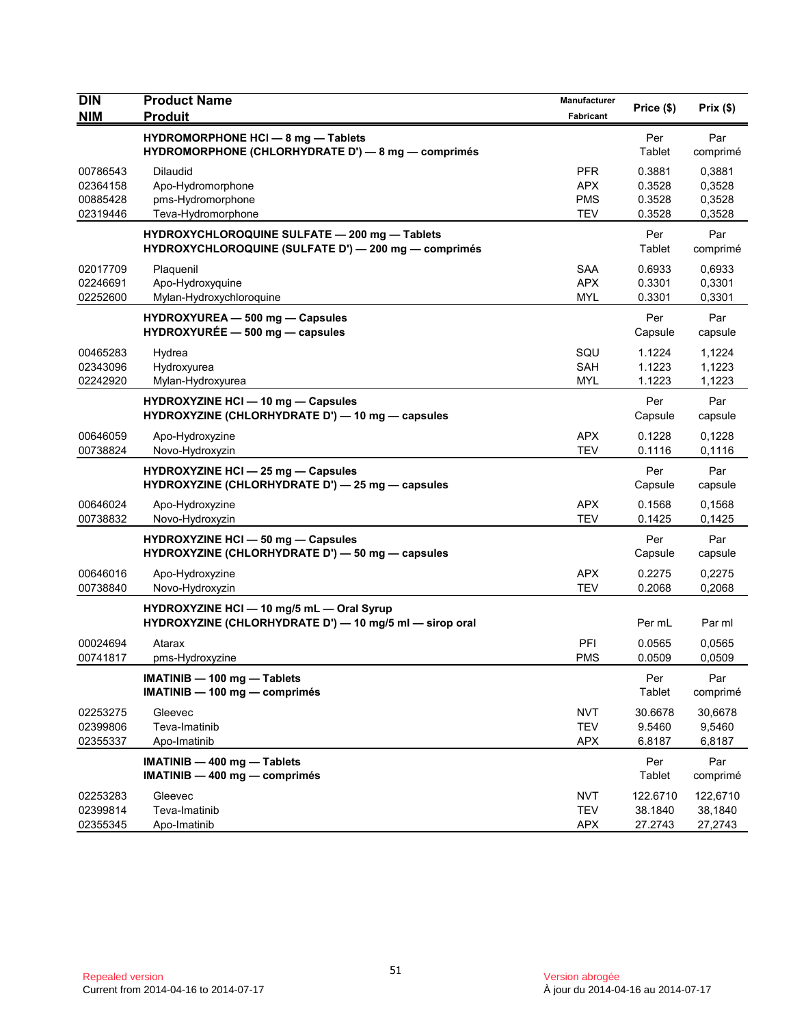| <b>DIN</b>                       | <b>Product Name</b>                                                                                                         | Manufacturer                                         | Price (\$)                     | Prix(\$)                       |
|----------------------------------|-----------------------------------------------------------------------------------------------------------------------------|------------------------------------------------------|--------------------------------|--------------------------------|
| <b>NIM</b>                       | <b>Produit</b>                                                                                                              | Fabricant                                            |                                |                                |
|                                  | HYDROMORPHONE HCI - 8 mg - Tablets<br>HYDROMORPHONE (CHLORHYDRATE D') - 8 mg - comprimés                                    |                                                      | Per<br>Tablet                  | Par<br>comprimé                |
| 00786543<br>02364158<br>00885428 | Dilaudid<br>Apo-Hydromorphone<br>pms-Hydromorphone                                                                          | <b>PFR</b><br><b>APX</b><br><b>PMS</b><br><b>TEV</b> | 0.3881<br>0.3528<br>0.3528     | 0,3881<br>0,3528<br>0,3528     |
| 02319446                         | Teva-Hydromorphone<br>HYDROXYCHLOROQUINE SULFATE - 200 mg - Tablets<br>HYDROXYCHLOROQUINE (SULFATE D') - 200 mg - comprimés |                                                      | 0.3528<br>Per<br>Tablet        | 0,3528<br>Par<br>comprimé      |
| 02017709<br>02246691<br>02252600 | Plaquenil<br>Apo-Hydroxyquine<br>Mylan-Hydroxychloroquine                                                                   | SAA<br><b>APX</b><br><b>MYL</b>                      | 0.6933<br>0.3301<br>0.3301     | 0.6933<br>0,3301<br>0,3301     |
|                                  | HYDROXYUREA - 500 mg - Capsules<br>$HYDROXYURÉE - 500 mg - capsules$                                                        |                                                      | Per<br>Capsule                 | Par<br>capsule                 |
| 00465283<br>02343096<br>02242920 | Hydrea<br>Hydroxyurea<br>Mylan-Hydroxyurea                                                                                  | SQU<br><b>SAH</b><br><b>MYL</b>                      | 1.1224<br>1.1223<br>1.1223     | 1,1224<br>1,1223<br>1,1223     |
|                                  | <b>HYDROXYZINE HCI - 10 mg - Capsules</b><br>HYDROXYZINE (CHLORHYDRATE D') - 10 mg - capsules                               |                                                      | Per<br>Capsule                 | Par<br>capsule                 |
| 00646059<br>00738824             | Apo-Hydroxyzine<br>Novo-Hydroxyzin                                                                                          | <b>APX</b><br><b>TEV</b>                             | 0.1228<br>0.1116               | 0,1228<br>0,1116               |
|                                  | <b>HYDROXYZINE HCI - 25 mg - Capsules</b><br>HYDROXYZINE (CHLORHYDRATE D') - 25 mg - capsules                               |                                                      | Per<br>Capsule                 | Par<br>capsule                 |
| 00646024<br>00738832             | Apo-Hydroxyzine<br>Novo-Hydroxyzin                                                                                          | <b>APX</b><br><b>TEV</b>                             | 0.1568<br>0.1425               | 0,1568<br>0,1425               |
|                                  | HYDROXYZINE HCI - 50 mg - Capsules<br>HYDROXYZINE (CHLORHYDRATE D') - 50 mg - capsules                                      |                                                      | Per<br>Capsule                 | Par<br>capsule                 |
| 00646016<br>00738840             | Apo-Hydroxyzine<br>Novo-Hydroxyzin                                                                                          | <b>APX</b><br><b>TEV</b>                             | 0.2275<br>0.2068               | 0,2275<br>0,2068               |
|                                  | HYDROXYZINE HCI - 10 mg/5 mL - Oral Syrup<br>HYDROXYZINE (CHLORHYDRATE D') - 10 mg/5 ml - sirop oral                        |                                                      | Per mL                         | Par ml                         |
| 00024694<br>00741817             | Atarax<br>pms-Hydroxyzine                                                                                                   | PFI<br><b>PMS</b>                                    | 0.0565<br>0.0509               | 0,0565<br>0,0509               |
|                                  | IMATINIB - 100 mg - Tablets<br>IMATINIB - 100 mg - comprimés                                                                |                                                      | Per<br>Tablet                  | Par<br>comprimé                |
| 02253275<br>02399806<br>02355337 | Gleevec<br>Teva-Imatinib<br>Apo-Imatinib                                                                                    | <b>NVT</b><br><b>TEV</b><br><b>APX</b>               | 30.6678<br>9.5460<br>6.8187    | 30,6678<br>9,5460<br>6,8187    |
|                                  | IMATINIB - 400 mg - Tablets<br>IMATINIB - 400 mg - comprimés                                                                |                                                      | Per<br>Tablet                  | Par<br>comprimé                |
| 02253283<br>02399814<br>02355345 | Gleevec<br>Teva-Imatinib<br>Apo-Imatinib                                                                                    | <b>NVT</b><br><b>TEV</b><br><b>APX</b>               | 122.6710<br>38.1840<br>27.2743 | 122,6710<br>38,1840<br>27,2743 |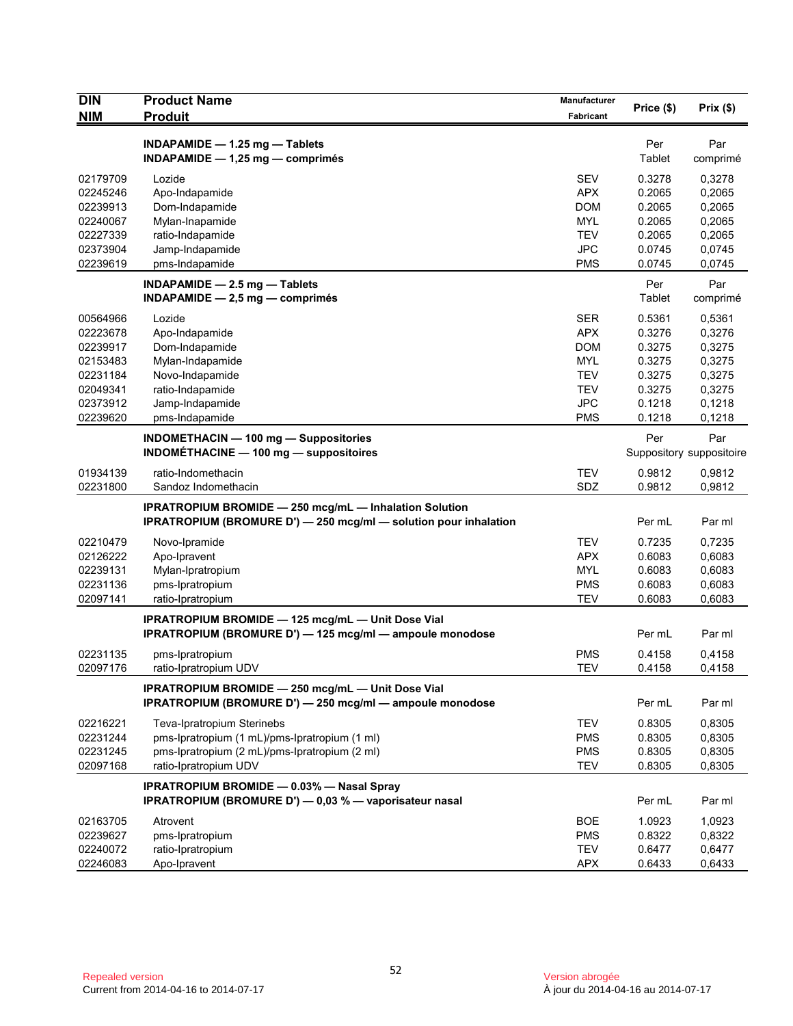| <b>DIN</b>           | <b>Product Name</b>                                              | <b>Manufacturer</b> | Price (\$)       | Prix(\$)                 |
|----------------------|------------------------------------------------------------------|---------------------|------------------|--------------------------|
| <b>NIM</b>           | <b>Produit</b>                                                   | Fabricant           |                  |                          |
|                      | INDAPAMIDE $-$ 1.25 mg $-$ Tablets                               |                     | Per              | Par                      |
|                      | INDAPAMIDE $- 1,25$ mg $-$ comprimés                             |                     | Tablet           | comprimé                 |
| 02179709             | Lozide                                                           | <b>SEV</b>          | 0.3278           | 0,3278                   |
| 02245246             | Apo-Indapamide                                                   | <b>APX</b>          | 0.2065           | 0,2065                   |
| 02239913             | Dom-Indapamide                                                   | <b>DOM</b>          | 0.2065           | 0,2065                   |
| 02240067             | Mylan-Inapamide                                                  | MYL                 | 0.2065           | 0,2065                   |
| 02227339             | ratio-Indapamide                                                 | <b>TEV</b>          | 0.2065           | 0,2065                   |
| 02373904             | Jamp-Indapamide                                                  | <b>JPC</b>          | 0.0745           | 0,0745                   |
| 02239619             | pms-Indapamide                                                   | <b>PMS</b>          | 0.0745           | 0,0745                   |
|                      | INDAPAMIDE - 2.5 mg - Tablets                                    |                     | Per              | Par                      |
|                      | INDAPAMIDE $-2,5$ mg $-$ comprimés                               |                     | Tablet           | comprimé                 |
| 00564966             | Lozide                                                           | <b>SER</b>          | 0.5361           | 0,5361                   |
| 02223678             | Apo-Indapamide                                                   | <b>APX</b>          | 0.3276           | 0,3276                   |
| 02239917             | Dom-Indapamide                                                   | <b>DOM</b>          | 0.3275           | 0,3275                   |
| 02153483             | Mylan-Indapamide                                                 | <b>MYL</b>          | 0.3275           | 0,3275                   |
| 02231184             | Novo-Indapamide                                                  | <b>TEV</b>          | 0.3275           | 0,3275                   |
| 02049341             | ratio-Indapamide                                                 | TEV                 | 0.3275           | 0,3275                   |
| 02373912             | Jamp-Indapamide                                                  | <b>JPC</b>          | 0.1218           | 0,1218                   |
| 02239620             | pms-Indapamide                                                   | <b>PMS</b>          | 0.1218           | 0,1218                   |
|                      | <b>INDOMETHACIN - 100 mg - Suppositories</b>                     |                     | Per              | Par                      |
|                      | INDOMÉTHACINE - 100 mg - suppositoires                           |                     |                  | Suppository suppositoire |
| 01934139             | ratio-Indomethacin                                               | <b>TEV</b>          | 0.9812           | 0,9812                   |
| 02231800             | Sandoz Indomethacin                                              | SDZ                 | 0.9812           | 0,9812                   |
|                      | <b>IPRATROPIUM BROMIDE - 250 mcg/mL - Inhalation Solution</b>    |                     |                  |                          |
|                      | IPRATROPIUM (BROMURE D') - 250 mcg/ml - solution pour inhalation |                     | Per mL           | Par ml                   |
| 02210479             | Novo-Ipramide                                                    | <b>TEV</b>          | 0.7235           | 0,7235                   |
| 02126222             | Apo-Ipravent                                                     | <b>APX</b>          | 0.6083           | 0,6083                   |
| 02239131             | Mylan-Ipratropium                                                | <b>MYL</b>          | 0.6083           | 0,6083                   |
| 02231136             | pms-Ipratropium                                                  | <b>PMS</b>          | 0.6083           | 0,6083                   |
| 02097141             | ratio-Ipratropium                                                | <b>TEV</b>          | 0.6083           | 0,6083                   |
|                      | IPRATROPIUM BROMIDE - 125 mcg/mL - Unit Dose Vial                |                     |                  |                          |
|                      | IPRATROPIUM (BROMURE D') - 125 mcg/ml - ampoule monodose         |                     | Per mL           | Par ml                   |
|                      |                                                                  |                     |                  |                          |
| 02231135<br>02097176 | pms-Ipratropium<br>ratio-Ipratropium UDV                         | PMS<br><b>TEV</b>   | 0.4158<br>0.4158 | 0,4158<br>0,4158         |
|                      |                                                                  |                     |                  |                          |
|                      | IPRATROPIUM BROMIDE - 250 mcg/mL - Unit Dose Vial                |                     |                  |                          |
|                      | IPRATROPIUM (BROMURE D') - 250 mcg/ml - ampoule monodose         |                     | Per mL           | Par ml                   |
| 02216221             | Teva-Ipratropium Sterinebs                                       | <b>TEV</b>          | 0.8305           | 0,8305                   |
| 02231244             | pms-Ipratropium (1 mL)/pms-Ipratropium (1 ml)                    | <b>PMS</b>          | 0.8305           | 0,8305                   |
| 02231245             | pms-Ipratropium (2 mL)/pms-Ipratropium (2 ml)                    | <b>PMS</b>          | 0.8305           | 0,8305                   |
| 02097168             | ratio-Ipratropium UDV                                            | <b>TEV</b>          | 0.8305           | 0,8305                   |
|                      | <b>IPRATROPIUM BROMIDE - 0.03% - Nasal Spray</b>                 |                     |                  |                          |
|                      | IPRATROPIUM (BROMURE D') - 0,03 % - vaporisateur nasal           |                     | Per mL           | Par ml                   |
| 02163705             | Atrovent                                                         | <b>BOE</b>          | 1.0923           | 1,0923                   |
| 02239627             | pms-Ipratropium                                                  | <b>PMS</b>          | 0.8322           | 0,8322                   |
| 02240072             | ratio-Ipratropium                                                | <b>TEV</b>          | 0.6477           | 0,6477                   |
| 02246083             | Apo-Ipravent                                                     | <b>APX</b>          | 0.6433           | 0,6433                   |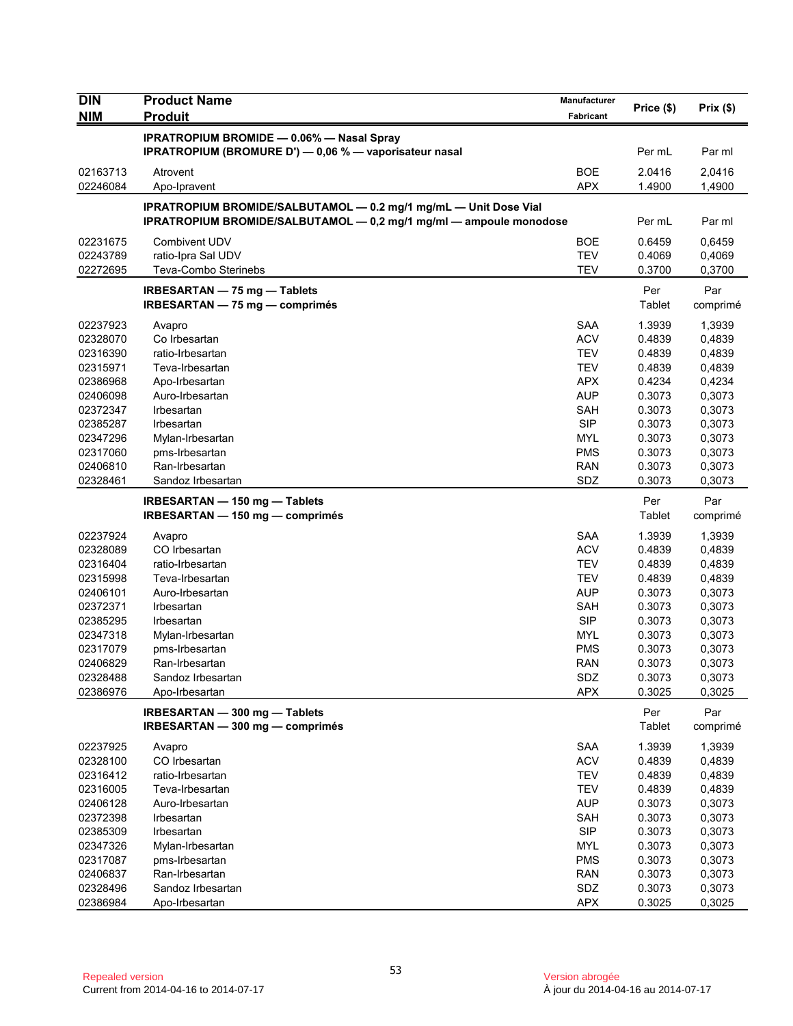| <b>DIN</b>           | <b>Product Name</b>                                                | <b>Manufacturer</b>      | Price (\$)       | Prix(\$)         |
|----------------------|--------------------------------------------------------------------|--------------------------|------------------|------------------|
| NIM                  | <b>Produit</b>                                                     | Fabricant                |                  |                  |
|                      | <b>IPRATROPIUM BROMIDE - 0.06% - Nasal Spray</b>                   |                          |                  |                  |
|                      | IPRATROPIUM (BROMURE D') - 0,06 % - vaporisateur nasal             |                          | Per mL           | Par ml           |
| 02163713             | Atrovent                                                           | <b>BOE</b>               | 2.0416           | 2,0416           |
| 02246084             | Apo-Ipravent                                                       | <b>APX</b>               | 1.4900           | 1,4900           |
|                      | IPRATROPIUM BROMIDE/SALBUTAMOL - 0.2 mg/1 mg/mL - Unit Dose Vial   |                          |                  |                  |
|                      | IPRATROPIUM BROMIDE/SALBUTAMOL - 0,2 mg/1 mg/ml - ampoule monodose |                          | Per mL           | Par ml           |
| 02231675             | Combivent UDV                                                      | BOE                      | 0.6459           | 0.6459           |
| 02243789             | ratio-Ipra Sal UDV                                                 | <b>TEV</b>               | 0.4069           | 0,4069           |
| 02272695             | Teva-Combo Sterinebs                                               | <b>TEV</b>               | 0.3700           | 0,3700           |
|                      | IRBESARTAN - 75 mg - Tablets                                       |                          | Per              | Par              |
|                      | IRBESARTAN - 75 mg - comprimés                                     |                          | Tablet           | comprimé         |
|                      |                                                                    |                          |                  |                  |
| 02237923<br>02328070 | Avapro<br>Co Irbesartan                                            | <b>SAA</b><br><b>ACV</b> | 1.3939<br>0.4839 | 1,3939           |
| 02316390             | ratio-Irbesartan                                                   | <b>TEV</b>               | 0.4839           | 0,4839<br>0,4839 |
| 02315971             | Teva-Irbesartan                                                    | <b>TEV</b>               | 0.4839           | 0,4839           |
| 02386968             | Apo-Irbesartan                                                     | <b>APX</b>               | 0.4234           | 0,4234           |
| 02406098             | Auro-Irbesartan                                                    | <b>AUP</b>               | 0.3073           | 0,3073           |
| 02372347             | Irbesartan                                                         | <b>SAH</b>               | 0.3073           | 0,3073           |
| 02385287             | Irbesartan                                                         | <b>SIP</b>               | 0.3073           | 0,3073           |
| 02347296             | Mylan-Irbesartan                                                   | MYL                      | 0.3073           | 0,3073           |
| 02317060             | pms-Irbesartan                                                     | <b>PMS</b>               | 0.3073           | 0,3073           |
| 02406810             | Ran-Irbesartan                                                     | <b>RAN</b>               | 0.3073           | 0,3073           |
| 02328461             | Sandoz Irbesartan                                                  | SDZ                      | 0.3073           | 0,3073           |
|                      |                                                                    |                          |                  |                  |
|                      | IRBESARTAN - 150 mg - Tablets                                      |                          | Per              | Par              |
|                      | IRBESARTAN - 150 mg - comprimés                                    |                          | Tablet           | comprimé         |
| 02237924             | Avapro                                                             | <b>SAA</b>               | 1.3939           | 1,3939           |
| 02328089             | CO Irbesartan                                                      | <b>ACV</b>               | 0.4839           | 0,4839           |
| 02316404             | ratio-Irbesartan                                                   | <b>TEV</b>               | 0.4839           | 0,4839           |
| 02315998             | Teva-Irbesartan                                                    | TEV                      | 0.4839           | 0,4839           |
| 02406101             | Auro-Irbesartan                                                    | <b>AUP</b>               | 0.3073           | 0,3073           |
| 02372371             | Irbesartan                                                         | <b>SAH</b>               | 0.3073           | 0,3073           |
| 02385295             | Irbesartan                                                         | <b>SIP</b>               | 0.3073           | 0,3073           |
| 02347318             | Mylan-Irbesartan                                                   | <b>MYL</b>               | 0.3073           | 0,3073           |
| 02317079             | pms-Irbesartan                                                     | <b>PMS</b>               | 0.3073           | 0,3073           |
| 02406829             | Ran-Irbesartan                                                     | <b>RAN</b>               | 0.3073           | 0,3073           |
| 02328488             | Sandoz Irbesartan                                                  | SDZ                      | 0.3073           | 0,3073           |
| 02386976             | Apo-Irbesartan                                                     | <b>APX</b>               | 0.3025           | 0,3025           |
|                      | IRBESARTAN - 300 mg - Tablets                                      |                          | Per              | Par              |
|                      | IRBESARTAN - 300 mg - comprimés                                    |                          | Tablet           | comprimé         |
| 02237925             | Avapro                                                             | SAA                      | 1.3939           | 1,3939           |
| 02328100             | CO Irbesartan                                                      | <b>ACV</b>               | 0.4839           | 0,4839           |
| 02316412             | ratio-Irbesartan                                                   | <b>TEV</b>               | 0.4839           | 0,4839           |
| 02316005             | Teva-Irbesartan                                                    | <b>TEV</b>               | 0.4839           | 0,4839           |
| 02406128             | Auro-Irbesartan                                                    | <b>AUP</b>               | 0.3073           | 0,3073           |
| 02372398             | Irbesartan                                                         | SAH                      | 0.3073           | 0,3073           |
| 02385309             | Irbesartan                                                         | SIP                      | 0.3073           | 0,3073           |
| 02347326             | Mylan-Irbesartan                                                   | MYL                      | 0.3073           | 0,3073           |
| 02317087             | pms-Irbesartan                                                     | <b>PMS</b>               | 0.3073           | 0,3073           |
| 02406837             | Ran-Irbesartan                                                     | <b>RAN</b>               | 0.3073           | 0,3073           |
| 02328496             | Sandoz Irbesartan                                                  | SDZ                      | 0.3073           | 0,3073           |
| 02386984             | Apo-Irbesartan                                                     | <b>APX</b>               | 0.3025           | 0,3025           |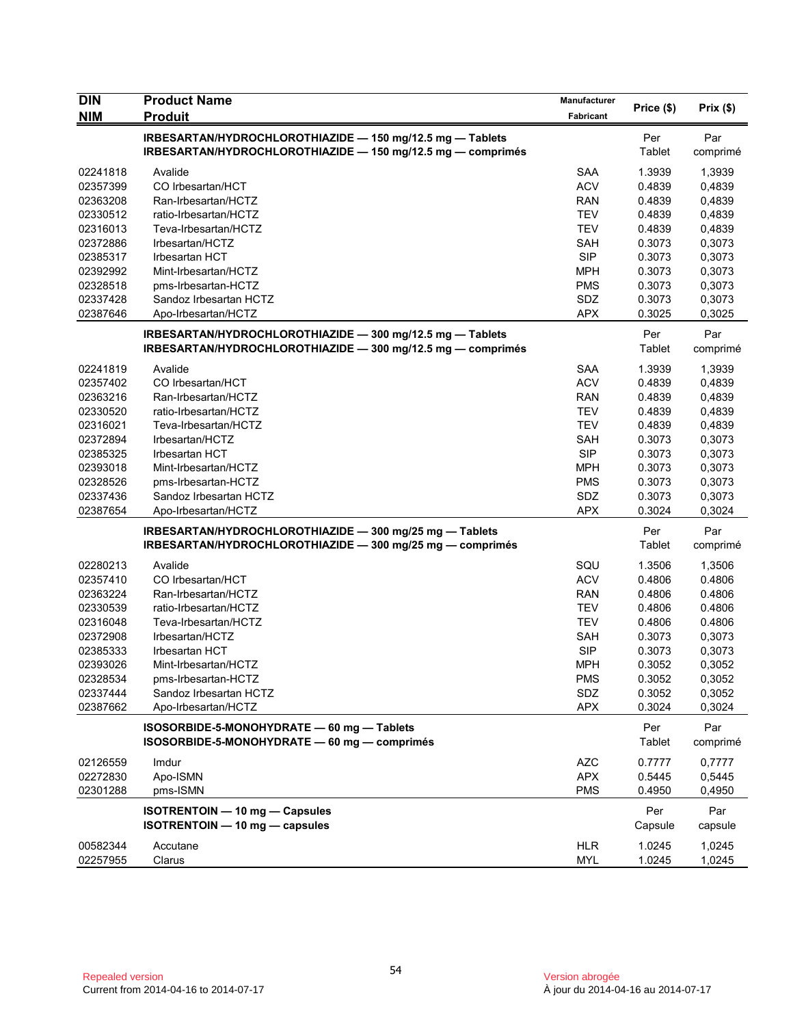| <b>DIN</b> | <b>Product Name</b>                                         | <b>Manufacturer</b> | Price (\$) | Prix(\$) |
|------------|-------------------------------------------------------------|---------------------|------------|----------|
| NIM        | <b>Produit</b>                                              | Fabricant           |            |          |
|            | IRBESARTAN/HYDROCHLOROTHIAZIDE - 150 mg/12.5 mg - Tablets   |                     | Per        | Par      |
|            | IRBESARTAN/HYDROCHLOROTHIAZIDE - 150 mg/12.5 mg - comprimés |                     | Tablet     | comprimé |
| 02241818   | Avalide                                                     | <b>SAA</b>          | 1.3939     | 1,3939   |
| 02357399   | CO Irbesartan/HCT                                           | <b>ACV</b>          | 0.4839     | 0,4839   |
| 02363208   | Ran-Irbesartan/HCTZ                                         | <b>RAN</b>          | 0.4839     | 0,4839   |
| 02330512   | ratio-Irbesartan/HCTZ                                       | <b>TEV</b>          | 0.4839     | 0,4839   |
| 02316013   | Teva-Irbesartan/HCTZ                                        | <b>TEV</b>          | 0.4839     | 0,4839   |
| 02372886   | Irbesartan/HCTZ                                             | <b>SAH</b>          | 0.3073     | 0,3073   |
| 02385317   | Irbesartan HCT                                              | <b>SIP</b>          | 0.3073     | 0,3073   |
| 02392992   | Mint-Irbesartan/HCTZ                                        | <b>MPH</b>          | 0.3073     | 0,3073   |
| 02328518   | pms-Irbesartan-HCTZ                                         | <b>PMS</b>          | 0.3073     | 0,3073   |
| 02337428   | Sandoz Irbesartan HCTZ                                      | SDZ                 | 0.3073     | 0,3073   |
| 02387646   | Apo-Irbesartan/HCTZ                                         | <b>APX</b>          | 0.3025     | 0,3025   |
|            | IRBESARTAN/HYDROCHLOROTHIAZIDE - 300 mg/12.5 mg - Tablets   |                     | Per        | Par      |
|            | IRBESARTAN/HYDROCHLOROTHIAZIDE - 300 mg/12.5 mg - comprimés |                     | Tablet     | comprimé |
| 02241819   | Avalide                                                     | <b>SAA</b>          | 1.3939     | 1,3939   |
| 02357402   | CO Irbesartan/HCT                                           | <b>ACV</b>          | 0.4839     | 0,4839   |
| 02363216   | Ran-Irbesartan/HCTZ                                         | <b>RAN</b>          | 0.4839     | 0,4839   |
| 02330520   | ratio-Irbesartan/HCTZ                                       | <b>TEV</b>          | 0.4839     | 0,4839   |
| 02316021   | Teva-Irbesartan/HCTZ                                        | <b>TEV</b>          | 0.4839     | 0,4839   |
| 02372894   | Irbesartan/HCTZ                                             | <b>SAH</b>          | 0.3073     | 0,3073   |
| 02385325   | <b>Irbesartan HCT</b>                                       | <b>SIP</b>          | 0.3073     | 0,3073   |
| 02393018   | Mint-Irbesartan/HCTZ                                        | <b>MPH</b>          | 0.3073     | 0,3073   |
| 02328526   | pms-Irbesartan-HCTZ                                         | <b>PMS</b>          | 0.3073     | 0,3073   |
| 02337436   | Sandoz Irbesartan HCTZ                                      | SDZ                 | 0.3073     | 0,3073   |
| 02387654   | Apo-Irbesartan/HCTZ                                         | <b>APX</b>          | 0.3024     | 0,3024   |
|            | IRBESARTAN/HYDROCHLOROTHIAZIDE - 300 mg/25 mg - Tablets     |                     | Per        | Par      |
|            | IRBESARTAN/HYDROCHLOROTHIAZIDE - 300 mg/25 mg - comprimés   |                     | Tablet     | comprimé |
| 02280213   | Avalide                                                     | SQU                 | 1.3506     | 1,3506   |
| 02357410   | CO Irbesartan/HCT                                           | <b>ACV</b>          | 0.4806     | 0.4806   |
| 02363224   | Ran-Irbesartan/HCTZ                                         | <b>RAN</b>          | 0.4806     | 0.4806   |
| 02330539   | ratio-Irbesartan/HCTZ                                       | <b>TEV</b>          | 0.4806     | 0.4806   |
| 02316048   | Teva-Irbesartan/HCTZ                                        | <b>TEV</b>          | 0.4806     | 0.4806   |
| 02372908   | Irbesartan/HCTZ                                             | <b>SAH</b>          | 0.3073     | 0,3073   |
| 02385333   | Irbesartan HCT                                              | <b>SIP</b>          | 0.3073     | 0,3073   |
| 02393026   | Mint-Irbesartan/HCTZ                                        | <b>MPH</b>          | 0.3052     | 0,3052   |
| 02328534   | pms-Irbesartan-HCTZ                                         | <b>PMS</b>          | 0.3052     | 0,3052   |
| 02337444   | Sandoz Irbesartan HCTZ                                      | SDZ                 | 0.3052     | 0,3052   |
| 02387662   | Apo-Irbesartan/HCTZ                                         | <b>APX</b>          | 0.3024     | 0,3024   |
|            | ISOSORBIDE-5-MONOHYDRATE - 60 mg - Tablets                  |                     | Per        | Par      |
|            | ISOSORBIDE-5-MONOHYDRATE - 60 mg - comprimés                |                     | Tablet     | comprimé |
| 02126559   | Imdur                                                       | <b>AZC</b>          | 0.7777     | 0,7777   |
| 02272830   | Apo-ISMN                                                    | <b>APX</b>          | 0.5445     | 0,5445   |
| 02301288   | pms-ISMN                                                    | <b>PMS</b>          | 0.4950     | 0,4950   |
|            | <b>ISOTRENTOIN - 10 mg - Capsules</b>                       |                     | Per        | Par      |
|            | ISOTRENTOIN - 10 mg - capsules                              |                     | Capsule    | capsule  |
| 00582344   | Accutane                                                    | <b>HLR</b>          | 1.0245     | 1,0245   |
| 02257955   | Clarus                                                      | <b>MYL</b>          | 1.0245     | 1,0245   |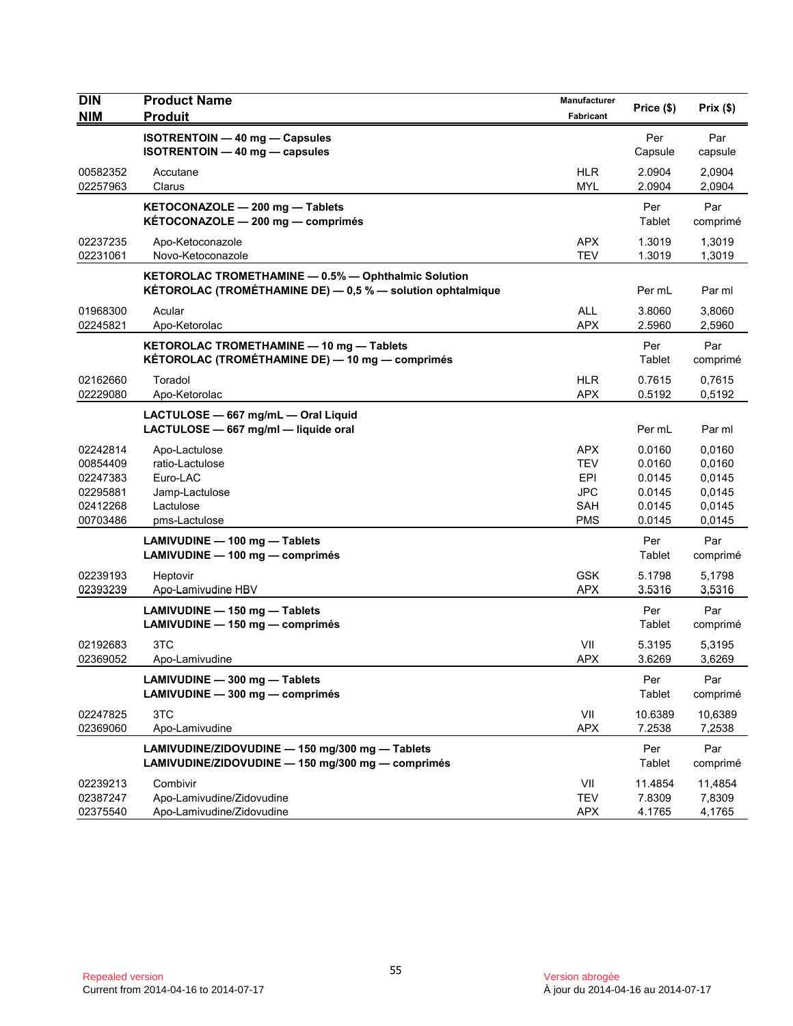| <b>DIN</b><br><b>NIM</b>                                             | <b>Product Name</b><br><b>Produit</b>                                                                                        | Manufacturer<br>Fabricant                                                        | Price (\$)                                               | Prix(\$)                                                 |
|----------------------------------------------------------------------|------------------------------------------------------------------------------------------------------------------------------|----------------------------------------------------------------------------------|----------------------------------------------------------|----------------------------------------------------------|
|                                                                      | <b>ISOTRENTOIN - 40 mg - Capsules</b><br><b>ISOTRENTOIN - 40 mg - capsules</b>                                               |                                                                                  | Per<br>Capsule                                           | Par<br>capsule                                           |
| 00582352<br>02257963                                                 | Accutane<br>Clarus                                                                                                           | <b>HLR</b><br><b>MYL</b>                                                         | 2.0904<br>2.0904                                         | 2,0904<br>2,0904                                         |
|                                                                      | KETOCONAZOLE - 200 mg - Tablets<br>KÉTOCONAZOLE - 200 mg - comprimés                                                         |                                                                                  | Per<br>Tablet                                            | Par<br>comprimé                                          |
| 02237235<br>02231061                                                 | Apo-Ketoconazole<br>Novo-Ketoconazole                                                                                        | <b>APX</b><br><b>TEV</b>                                                         | 1.3019<br>1.3019                                         | 1,3019<br>1,3019                                         |
|                                                                      | KETOROLAC TROMETHAMINE - 0.5% - Ophthalmic Solution<br><b>KÉTOROLAC (TROMÉTHAMINE DE)</b> $-$ 0,5 % $-$ solution ophtalmique |                                                                                  | Per mL                                                   | Par ml                                                   |
| 01968300<br>02245821                                                 | Acular<br>Apo-Ketorolac                                                                                                      | <b>ALL</b><br><b>APX</b>                                                         | 3.8060<br>2.5960                                         | 3,8060<br>2,5960                                         |
|                                                                      | KETOROLAC TROMETHAMINE - 10 mg - Tablets<br>KÉTOROLAC (TROMÉTHAMINE DE) - 10 mg - comprimés                                  |                                                                                  | Per<br>Tablet                                            | Par<br>comprimé                                          |
| 02162660<br>02229080                                                 | Toradol<br>Apo-Ketorolac                                                                                                     | <b>HLR</b><br><b>APX</b>                                                         | 0.7615<br>0.5192                                         | 0,7615<br>0,5192                                         |
|                                                                      | LACTULOSE - 667 mg/mL - Oral Liquid<br>LACTULOSE - 667 mg/ml - liquide oral                                                  |                                                                                  | Per mL                                                   | Par ml                                                   |
| 02242814<br>00854409<br>02247383<br>02295881<br>02412268<br>00703486 | Apo-Lactulose<br>ratio-Lactulose<br>Euro-LAC<br>Jamp-Lactulose<br>Lactulose<br>pms-Lactulose                                 | <b>APX</b><br><b>TEV</b><br><b>EPI</b><br><b>JPC</b><br><b>SAH</b><br><b>PMS</b> | 0.0160<br>0.0160<br>0.0145<br>0.0145<br>0.0145<br>0.0145 | 0,0160<br>0,0160<br>0,0145<br>0,0145<br>0,0145<br>0,0145 |
|                                                                      | LAMIVUDINE - 100 mg - Tablets<br>LAMIVUDINE - 100 mg - comprimés                                                             |                                                                                  | Per<br>Tablet                                            | Par<br>comprimé                                          |
| 02239193<br>02393239                                                 | Heptovir<br>Apo-Lamivudine HBV                                                                                               | <b>GSK</b><br><b>APX</b>                                                         | 5.1798<br>3.5316                                         | 5,1798<br>3,5316                                         |
|                                                                      | LAMIVUDINE - 150 mg - Tablets<br>LAMIVUDINE - 150 mg - comprimés                                                             |                                                                                  | Per<br>Tablet                                            | Par<br>comprimé                                          |
| 02192683<br>02369052                                                 | 3TC<br>Apo-Lamivudine                                                                                                        | VII<br><b>APX</b>                                                                | 5.3195<br>3.6269                                         | 5,3195<br>3,6269                                         |
|                                                                      | LAMIVUDINE - 300 mg - Tablets<br>LAMIVUDINE - 300 mg - comprimés                                                             |                                                                                  | Per<br>Tablet                                            | Par<br>comprimé                                          |
| 02247825<br>02369060                                                 | 3TC<br>Apo-Lamivudine                                                                                                        | VII<br><b>APX</b>                                                                | 10.6389<br>7.2538                                        | 10,6389<br>7,2538                                        |
|                                                                      | LAMIVUDINE/ZIDOVUDINE - 150 mg/300 mg - Tablets<br>LAMIVUDINE/ZIDOVUDINE - 150 mg/300 mg - comprimés                         |                                                                                  | Per<br>Tablet                                            | Par<br>comprimé                                          |
| 02239213<br>02387247<br>02375540                                     | Combivir<br>Apo-Lamivudine/Zidovudine<br>Apo-Lamivudine/Zidovudine                                                           | VII<br><b>TEV</b><br><b>APX</b>                                                  | 11.4854<br>7.8309<br>4.1765                              | 11,4854<br>7,8309<br>4,1765                              |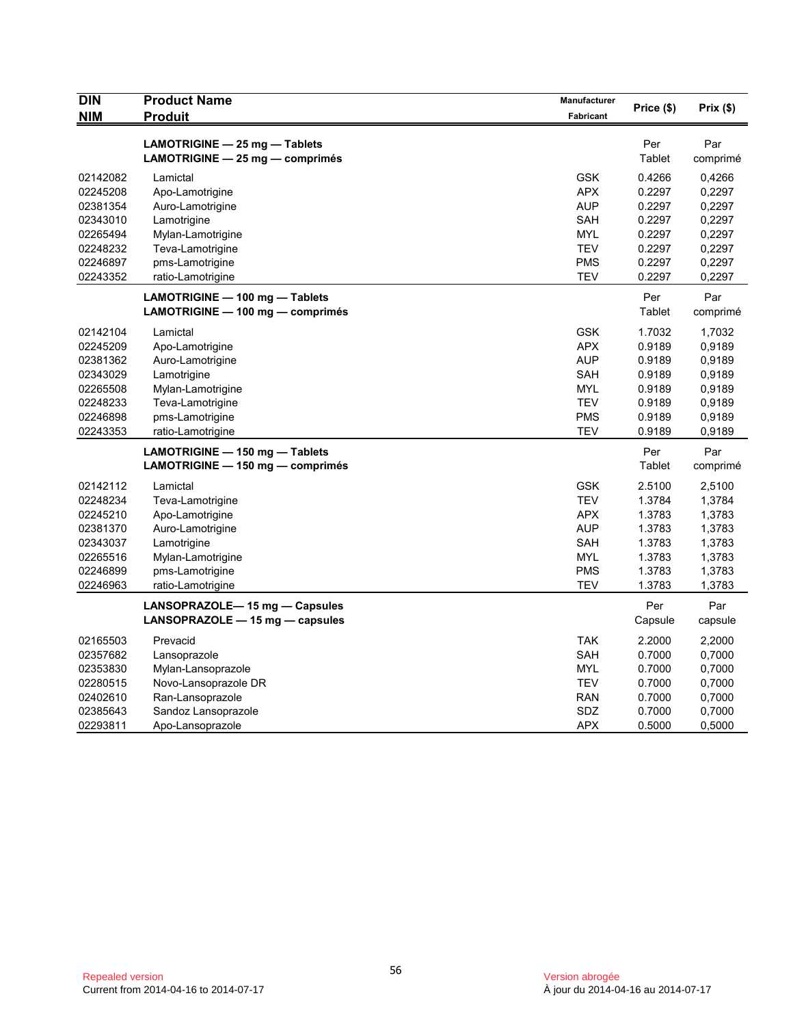| <b>DIN</b> | <b>Product Name</b>                                                 | Manufacturer     | Price (\$)    | Prix(\$)        |
|------------|---------------------------------------------------------------------|------------------|---------------|-----------------|
| <b>NIM</b> | <b>Produit</b>                                                      | <b>Fabricant</b> |               |                 |
|            |                                                                     |                  |               |                 |
|            | LAMOTRIGINE - 25 mg - Tablets<br>LAMOTRIGINE $-25$ mg $-$ comprimés |                  | Per<br>Tablet | Par<br>comprimé |
|            |                                                                     |                  |               |                 |
| 02142082   | Lamictal                                                            | <b>GSK</b>       | 0.4266        | 0,4266          |
| 02245208   | Apo-Lamotrigine                                                     | <b>APX</b>       | 0.2297        | 0,2297          |
| 02381354   | Auro-Lamotrigine                                                    | <b>AUP</b>       | 0.2297        | 0,2297          |
| 02343010   | Lamotrigine                                                         | SAH              | 0.2297        | 0,2297          |
| 02265494   | Mylan-Lamotrigine                                                   | <b>MYL</b>       | 0.2297        | 0,2297          |
| 02248232   | Teva-Lamotrigine                                                    | <b>TEV</b>       | 0.2297        | 0,2297          |
| 02246897   | pms-Lamotrigine                                                     | <b>PMS</b>       | 0.2297        | 0,2297          |
| 02243352   | ratio-Lamotrigine                                                   | <b>TEV</b>       | 0.2297        | 0,2297          |
|            | LAMOTRIGINE - 100 mg - Tablets                                      |                  | Per           | Par             |
|            | LAMOTRIGINE - 100 mg - comprimés                                    |                  | Tablet        | comprimé        |
| 02142104   | Lamictal                                                            | <b>GSK</b>       | 1.7032        | 1,7032          |
| 02245209   | Apo-Lamotrigine                                                     | <b>APX</b>       | 0.9189        | 0,9189          |
| 02381362   | Auro-Lamotrigine                                                    | <b>AUP</b>       | 0.9189        | 0,9189          |
| 02343029   | Lamotrigine                                                         | SAH              | 0.9189        | 0,9189          |
| 02265508   | Mylan-Lamotrigine                                                   | <b>MYL</b>       | 0.9189        | 0,9189          |
| 02248233   | Teva-Lamotrigine                                                    | <b>TEV</b>       | 0.9189        | 0,9189          |
| 02246898   | pms-Lamotrigine                                                     | <b>PMS</b>       | 0.9189        | 0,9189          |
| 02243353   | ratio-Lamotrigine                                                   | <b>TEV</b>       | 0.9189        | 0,9189          |
|            | LAMOTRIGINE - 150 mg - Tablets                                      |                  | Per           | Par             |
|            | LAMOTRIGINE - 150 mg - comprimés                                    |                  | Tablet        | comprimé        |
| 02142112   | Lamictal                                                            | <b>GSK</b>       | 2.5100        | 2,5100          |
| 02248234   | Teva-Lamotrigine                                                    | <b>TEV</b>       | 1.3784        | 1,3784          |
| 02245210   | Apo-Lamotrigine                                                     | <b>APX</b>       | 1.3783        | 1,3783          |
| 02381370   | Auro-Lamotrigine                                                    | <b>AUP</b>       | 1.3783        | 1,3783          |
| 02343037   | Lamotrigine                                                         | SAH              | 1.3783        | 1,3783          |
| 02265516   | Mylan-Lamotrigine                                                   | <b>MYL</b>       | 1.3783        | 1,3783          |
| 02246899   | pms-Lamotrigine                                                     | <b>PMS</b>       | 1.3783        | 1,3783          |
| 02246963   | ratio-Lamotrigine                                                   | <b>TEV</b>       | 1.3783        | 1,3783          |
|            | LANSOPRAZOLE-15 mg - Capsules                                       |                  | Per           | Par             |
|            | LANSOPRAZOLE $-$ 15 mg $-$ capsules                                 |                  | Capsule       | capsule         |
| 02165503   | Prevacid                                                            | <b>TAK</b>       | 2.2000        | 2,2000          |
| 02357682   | Lansoprazole                                                        | <b>SAH</b>       | 0.7000        | 0,7000          |
| 02353830   | Mylan-Lansoprazole                                                  | <b>MYL</b>       | 0.7000        | 0,7000          |
| 02280515   | Novo-Lansoprazole DR                                                | TEV              | 0.7000        | 0,7000          |
| 02402610   | Ran-Lansoprazole                                                    | <b>RAN</b>       | 0.7000        | 0,7000          |
| 02385643   | Sandoz Lansoprazole                                                 | SDZ              | 0.7000        | 0,7000          |
| 02293811   | Apo-Lansoprazole                                                    | <b>APX</b>       | 0.5000        | 0,5000          |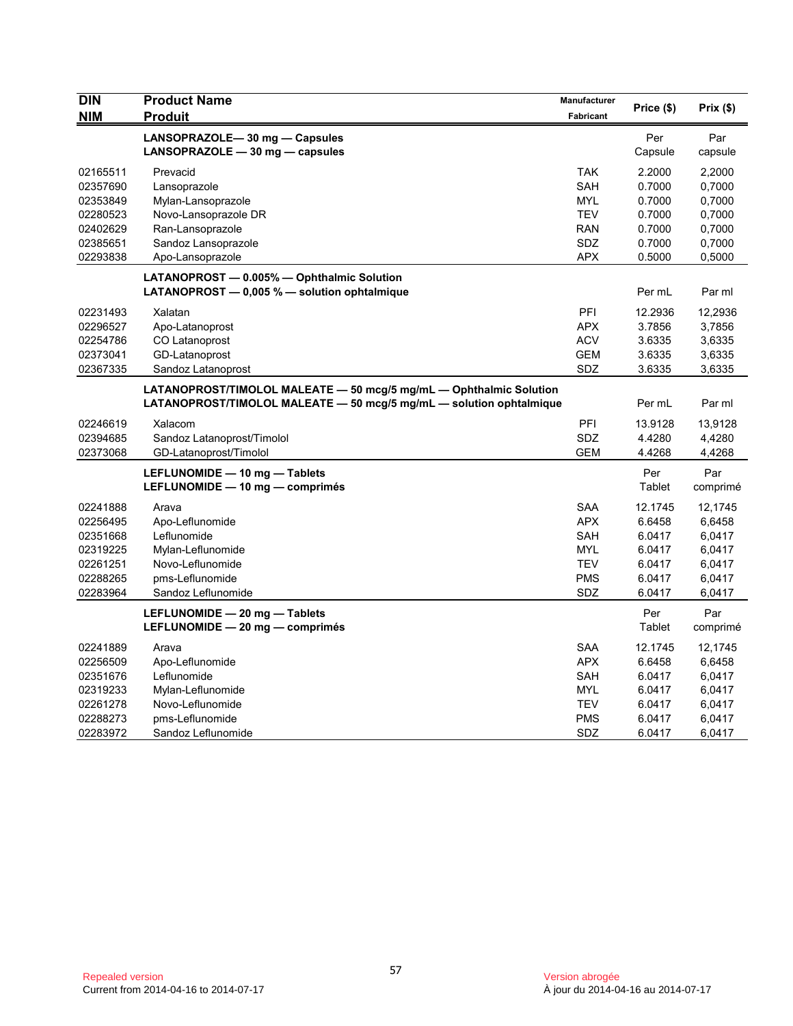| <b>DIN</b> | <b>Product Name</b>                                                 | Manufacturer     | Price (\$) | Prix(\$) |
|------------|---------------------------------------------------------------------|------------------|------------|----------|
| <b>NIM</b> | <b>Produit</b>                                                      | <b>Fabricant</b> |            |          |
|            | LANSOPRAZOLE-30 mg - Capsules                                       |                  | Per        | Par      |
|            | LANSOPRAZOLE $-30$ mg $-$ capsules                                  |                  | Capsule    | capsule  |
| 02165511   | Prevacid                                                            | <b>TAK</b>       | 2.2000     | 2,2000   |
| 02357690   | Lansoprazole                                                        | SAH              | 0.7000     | 0,7000   |
| 02353849   | Mylan-Lansoprazole                                                  | <b>MYL</b>       | 0.7000     | 0,7000   |
| 02280523   | Novo-Lansoprazole DR                                                | <b>TEV</b>       | 0.7000     | 0,7000   |
| 02402629   | Ran-Lansoprazole                                                    | <b>RAN</b>       | 0.7000     | 0,7000   |
| 02385651   | Sandoz Lansoprazole                                                 | SDZ              | 0.7000     | 0,7000   |
| 02293838   | Apo-Lansoprazole                                                    | APX              | 0.5000     | 0,5000   |
|            | LATANOPROST - 0.005% - Ophthalmic Solution                          |                  |            |          |
|            | LATANOPROST $-$ 0,005 % $-$ solution ophtalmique                    |                  | Per mL     | Par ml   |
| 02231493   | Xalatan                                                             | PFI              | 12.2936    | 12,2936  |
| 02296527   | Apo-Latanoprost                                                     | <b>APX</b>       | 3.7856     | 3,7856   |
| 02254786   | CO Latanoprost                                                      | <b>ACV</b>       | 3.6335     | 3,6335   |
| 02373041   | GD-Latanoprost                                                      | <b>GEM</b>       | 3.6335     | 3,6335   |
| 02367335   | Sandoz Latanoprost                                                  | SDZ              | 3.6335     | 3,6335   |
|            | LATANOPROST/TIMOLOL MALEATE - 50 mcg/5 mg/mL - Ophthalmic Solution  |                  |            |          |
|            | LATANOPROST/TIMOLOL MALEATE - 50 mcg/5 mg/mL - solution ophtalmique |                  | Per mL     | Par ml   |
| 02246619   | Xalacom                                                             | PFI              | 13.9128    | 13,9128  |
| 02394685   | Sandoz Latanoprost/Timolol                                          | SDZ              | 4.4280     | 4,4280   |
| 02373068   | GD-Latanoprost/Timolol                                              | <b>GEM</b>       | 4.4268     | 4,4268   |
|            | LEFLUNOMIDE - 10 mg - Tablets                                       |                  | Per        | Par      |
|            | LEFLUNOMIDE - 10 mg - comprimés                                     |                  | Tablet     | comprimé |
| 02241888   | Arava                                                               | SAA              | 12.1745    | 12,1745  |
| 02256495   | Apo-Leflunomide                                                     | <b>APX</b>       | 6.6458     | 6,6458   |
| 02351668   | Leflunomide                                                         | SAH              | 6.0417     | 6,0417   |
| 02319225   | Mylan-Leflunomide                                                   | MYL              | 6.0417     | 6,0417   |
| 02261251   | Novo-Leflunomide                                                    | <b>TEV</b>       | 6.0417     | 6,0417   |
| 02288265   | pms-Leflunomide                                                     | <b>PMS</b>       | 6.0417     | 6,0417   |
| 02283964   | Sandoz Leflunomide                                                  | SDZ              | 6.0417     | 6,0417   |
|            | LEFLUNOMIDE - 20 mg - Tablets                                       |                  | Per        | Par      |
|            | LEFLUNOMIDE - 20 mg - comprimés                                     |                  | Tablet     | comprimé |
| 02241889   | Arava                                                               | <b>SAA</b>       | 12.1745    | 12,1745  |
| 02256509   | Apo-Leflunomide                                                     | <b>APX</b>       | 6.6458     | 6,6458   |
| 02351676   | Leflunomide                                                         | SAH              | 6.0417     | 6,0417   |
| 02319233   | Mylan-Leflunomide                                                   | <b>MYL</b>       | 6.0417     | 6,0417   |
| 02261278   | Novo-Leflunomide                                                    | <b>TEV</b>       | 6.0417     | 6,0417   |
| 02288273   | pms-Leflunomide                                                     | <b>PMS</b>       | 6.0417     | 6,0417   |
| 02283972   | Sandoz Leflunomide                                                  | SDZ              | 6.0417     | 6,0417   |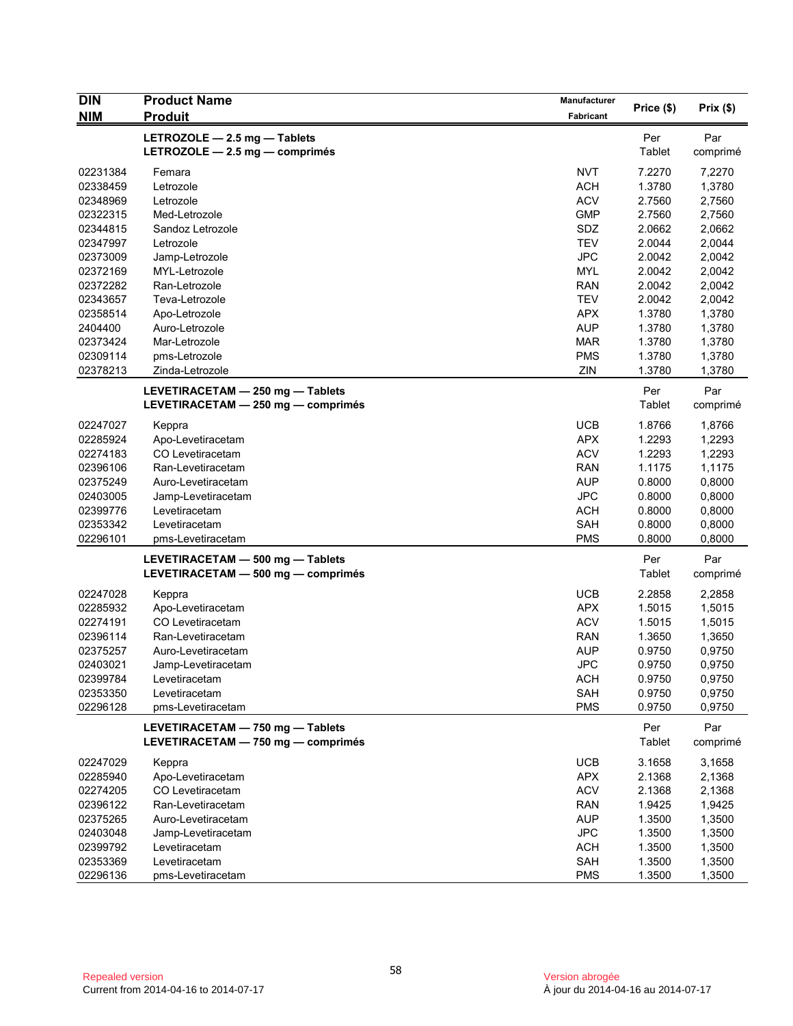| <b>DIN</b>           | <b>Product Name</b>                | Manufacturer             |                  |                  |
|----------------------|------------------------------------|--------------------------|------------------|------------------|
| <b>NIM</b>           | <b>Produit</b>                     | Fabricant                | Price (\$)       | Prix(\$)         |
|                      | LETROZOLE - 2.5 mg - Tablets       |                          | Per              | Par              |
|                      | LETROZOLE $-2.5$ mg $-$ comprimés  |                          | <b>Tablet</b>    | comprimé         |
|                      |                                    |                          |                  |                  |
| 02231384<br>02338459 | Femara<br>Letrozole                | <b>NVT</b><br><b>ACH</b> | 7.2270<br>1.3780 | 7,2270           |
| 02348969             | Letrozole                          | <b>ACV</b>               | 2.7560           | 1,3780<br>2,7560 |
| 02322315             | Med-Letrozole                      | <b>GMP</b>               | 2.7560           | 2,7560           |
| 02344815             | Sandoz Letrozole                   | SDZ                      | 2.0662           | 2,0662           |
| 02347997             | Letrozole                          | <b>TEV</b>               | 2.0044           | 2,0044           |
| 02373009             | Jamp-Letrozole                     | <b>JPC</b>               | 2.0042           | 2,0042           |
| 02372169             | MYL-Letrozole                      | <b>MYL</b>               | 2.0042           | 2,0042           |
| 02372282             | Ran-Letrozole                      | <b>RAN</b>               | 2.0042           | 2,0042           |
| 02343657             | Teva-Letrozole                     | <b>TEV</b>               | 2.0042           | 2,0042           |
| 02358514             | Apo-Letrozole                      | APX                      | 1.3780           | 1,3780           |
| 2404400              | Auro-Letrozole                     | <b>AUP</b>               | 1.3780           | 1,3780           |
| 02373424             | Mar-Letrozole                      | <b>MAR</b>               | 1.3780           | 1,3780           |
| 02309114             | pms-Letrozole                      | <b>PMS</b>               | 1.3780           | 1,3780           |
| 02378213             | Zinda-Letrozole                    | ZIN                      | 1.3780           | 1,3780           |
|                      | LEVETIRACETAM - 250 mg - Tablets   |                          | Per              | Par              |
|                      | LEVETIRACETAM - 250 mg - comprimés |                          | Tablet           | comprimé         |
|                      |                                    |                          |                  |                  |
| 02247027             | Keppra                             | <b>UCB</b>               | 1.8766           | 1,8766           |
| 02285924             | Apo-Levetiracetam                  | <b>APX</b>               | 1.2293           | 1,2293           |
| 02274183             | CO Levetiracetam                   | <b>ACV</b>               | 1.2293           | 1,2293           |
| 02396106             | Ran-Levetiracetam                  | <b>RAN</b>               | 1.1175           | 1,1175           |
| 02375249             | Auro-Levetiracetam                 | AUP                      | 0.8000           | 0,8000           |
| 02403005             | Jamp-Levetiracetam                 | <b>JPC</b>               | 0.8000           | 0,8000           |
| 02399776             | Levetiracetam                      | <b>ACH</b>               | 0.8000           | 0,8000           |
| 02353342             | Levetiracetam                      | <b>SAH</b>               | 0.8000           | 0,8000           |
| 02296101             | pms-Levetiracetam                  | <b>PMS</b>               | 0.8000           | 0,8000           |
|                      | LEVETIRACETAM - 500 mg - Tablets   |                          | Per              | Par              |
|                      | LEVETIRACETAM - 500 mg - comprimés |                          | <b>Tablet</b>    | comprimé         |
| 02247028             | Keppra                             | <b>UCB</b>               | 2.2858           | 2,2858           |
| 02285932             | Apo-Levetiracetam                  | <b>APX</b>               | 1.5015           | 1,5015           |
| 02274191             | CO Levetiracetam                   | <b>ACV</b>               | 1.5015           | 1,5015           |
| 02396114             | Ran-Levetiracetam                  | RAN                      | 1.3650           | 1,3650           |
| 02375257             | Auro-Levetiracetam                 | <b>AUP</b>               | 0.9750           | 0,9750           |
| 02403021             | Jamp-Levetiracetam                 | <b>JPC</b>               | 0.9750           | 0,9750           |
| 02399784             | Levetiracetam                      | <b>ACH</b>               | 0.9750           | 0,9750           |
| 02353350             | Levetiracetam                      | SAH                      | 0.9750           | 0,9750           |
| 02296128             | pms-Levetiracetam                  | <b>PMS</b>               | 0.9750           | 0,9750           |
|                      | LEVETIRACETAM - 750 mg - Tablets   |                          | Per              | Par              |
|                      | LEVETIRACETAM - 750 mg - comprimés |                          | Tablet           | comprimé         |
| 02247029             | Keppra                             | <b>UCB</b>               | 3.1658           | 3,1658           |
| 02285940             | Apo-Levetiracetam                  | APX                      | 2.1368           | 2,1368           |
| 02274205             | CO Levetiracetam                   | <b>ACV</b>               | 2.1368           | 2,1368           |
| 02396122             | Ran-Levetiracetam                  | <b>RAN</b>               | 1.9425           | 1,9425           |
| 02375265             | Auro-Levetiracetam                 | <b>AUP</b>               | 1.3500           | 1,3500           |
| 02403048             | Jamp-Levetiracetam                 | <b>JPC</b>               | 1.3500           | 1,3500           |
| 02399792             | Levetiracetam                      | <b>ACH</b>               | 1.3500           | 1,3500           |
| 02353369             | Levetiracetam                      | SAH                      | 1.3500           | 1,3500           |
| 02296136             | pms-Levetiracetam                  | <b>PMS</b>               | 1.3500           | 1,3500           |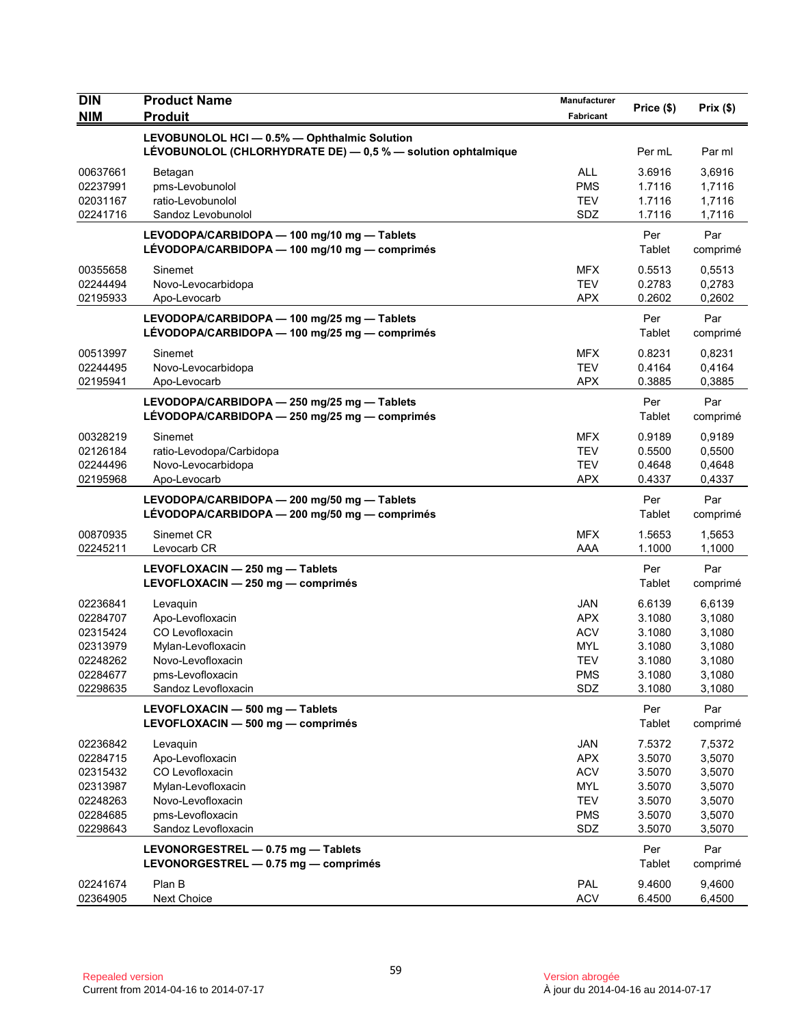| <b>DIN</b><br><b>NIM</b> | <b>Product Name</b><br><b>Produit</b>                                                                        | Manufacturer<br>Fabricant | Price (\$)       | Prix (\$)        |
|--------------------------|--------------------------------------------------------------------------------------------------------------|---------------------------|------------------|------------------|
|                          |                                                                                                              |                           |                  |                  |
|                          | LEVOBUNOLOL HCI - 0.5% - Ophthalmic Solution<br>LÉVOBUNOLOL (CHLORHYDRATE DE) - 0,5 % - solution ophtalmique |                           | Per mL           | Par ml           |
| 00637661                 | Betagan                                                                                                      | <b>ALL</b>                | 3.6916           | 3,6916           |
| 02237991                 | pms-Levobunolol                                                                                              | <b>PMS</b>                | 1.7116           | 1,7116           |
| 02031167                 | ratio-Levobunolol                                                                                            | <b>TEV</b>                | 1.7116           | 1,7116           |
| 02241716                 | Sandoz Levobunolol                                                                                           | SDZ                       | 1.7116           | 1,7116           |
|                          | LEVODOPA/CARBIDOPA - 100 mg/10 mg - Tablets<br>LÉVODOPA/CARBIDOPA — 100 mg/10 mg — comprimés                 |                           | Per<br>Tablet    | Par<br>comprimé  |
| 00355658                 | Sinemet                                                                                                      | <b>MFX</b>                | 0.5513           | 0,5513           |
| 02244494                 | Novo-Levocarbidopa                                                                                           | <b>TEV</b>                | 0.2783           | 0,2783           |
| 02195933                 | Apo-Levocarb                                                                                                 | <b>APX</b>                | 0.2602           | 0,2602           |
|                          | LEVODOPA/CARBIDOPA - 100 mg/25 mg - Tablets<br>LÉVODOPA/CARBIDOPA — 100 mg/25 mg — comprimés                 |                           | Per<br>Tablet    | Par<br>comprimé  |
| 00513997                 | Sinemet                                                                                                      | <b>MFX</b>                | 0.8231           | 0,8231           |
| 02244495                 | Novo-Levocarbidopa                                                                                           | <b>TEV</b>                | 0.4164           | 0,4164           |
| 02195941                 | Apo-Levocarb                                                                                                 | <b>APX</b>                | 0.3885           | 0,3885           |
|                          | LEVODOPA/CARBIDOPA - 250 mg/25 mg - Tablets<br>LÉVODOPA/CARBIDOPA — 250 mg/25 mg — comprimés                 |                           | Per<br>Tablet    | Par<br>comprimé  |
| 00328219                 | Sinemet                                                                                                      | <b>MFX</b>                | 0.9189           | 0,9189           |
| 02126184                 | ratio-Levodopa/Carbidopa                                                                                     | <b>TEV</b>                | 0.5500           | 0,5500           |
| 02244496                 | Novo-Levocarbidopa                                                                                           | <b>TEV</b>                | 0.4648           | 0,4648           |
| 02195968                 | Apo-Levocarb                                                                                                 | <b>APX</b>                | 0.4337           | 0,4337           |
|                          | LEVODOPA/CARBIDOPA - 200 mg/50 mg - Tablets<br>LÉVODOPA/CARBIDOPA - 200 mg/50 mg - comprimés                 |                           | Per<br>Tablet    | Par<br>comprimé  |
| 00870935                 | Sinemet CR                                                                                                   | <b>MFX</b>                | 1.5653           | 1,5653           |
| 02245211                 | Levocarb CR                                                                                                  | AAA                       | 1.1000           | 1,1000           |
|                          |                                                                                                              |                           | Per              |                  |
|                          | LEVOFLOXACIN - 250 mg - Tablets<br>LEVOFLOXACIN - 250 mg - comprimés                                         |                           | Tablet           | Par<br>comprimé  |
| 02236841                 | Levaquin                                                                                                     | <b>JAN</b>                | 6.6139           | 6,6139           |
| 02284707                 | Apo-Levofloxacin                                                                                             | <b>APX</b>                | 3.1080           | 3,1080           |
| 02315424                 | CO Levofloxacin                                                                                              | <b>ACV</b>                | 3.1080           | 3,1080           |
| 02313979                 | Mylan-Levofloxacin                                                                                           | MYL                       | 3.1080           | 3,1080           |
| 02248262                 | Novo-Levofloxacin                                                                                            | TEV                       | 3.1080           | 3,1080           |
| 02284677<br>02298635     | pms-Levotloxacın<br>Sandoz Levofloxacin                                                                      | <b>PMS</b><br>SDZ         | 3.1080<br>3.1080 | 3,1080<br>3,1080 |
|                          |                                                                                                              |                           |                  |                  |
|                          | LEVOFLOXACIN - 500 mg - Tablets<br>LEVOFLOXACIN - 500 mg - comprimés                                         |                           | Per<br>Tablet    | Par<br>comprimé  |
| 02236842                 | Levaquin                                                                                                     | JAN                       | 7.5372           | 7,5372           |
| 02284715                 | Apo-Levofloxacin                                                                                             | <b>APX</b>                | 3.5070           | 3,5070           |
| 02315432                 | CO Levofloxacin                                                                                              | <b>ACV</b>                | 3.5070           | 3,5070           |
| 02313987                 | Mylan-Levofloxacin                                                                                           | <b>MYL</b>                | 3.5070           | 3,5070           |
| 02248263                 | Novo-Levofloxacin                                                                                            | TEV                       | 3.5070           | 3,5070           |
| 02284685                 | pms-Levofloxacin                                                                                             | <b>PMS</b>                | 3.5070           | 3,5070           |
| 02298643                 | Sandoz Levofloxacin                                                                                          | SDZ                       | 3.5070           | 3,5070           |
|                          | LEVONORGESTREL - 0.75 mg - Tablets<br>LEVONORGESTREL - 0.75 mg - comprimés                                   |                           | Per<br>Tablet    | Par<br>comprimé  |
| 02241674                 | Plan B                                                                                                       | PAL                       | 9.4600           | 9,4600           |
| 02364905                 | Next Choice                                                                                                  | <b>ACV</b>                | 6.4500           | 6,4500           |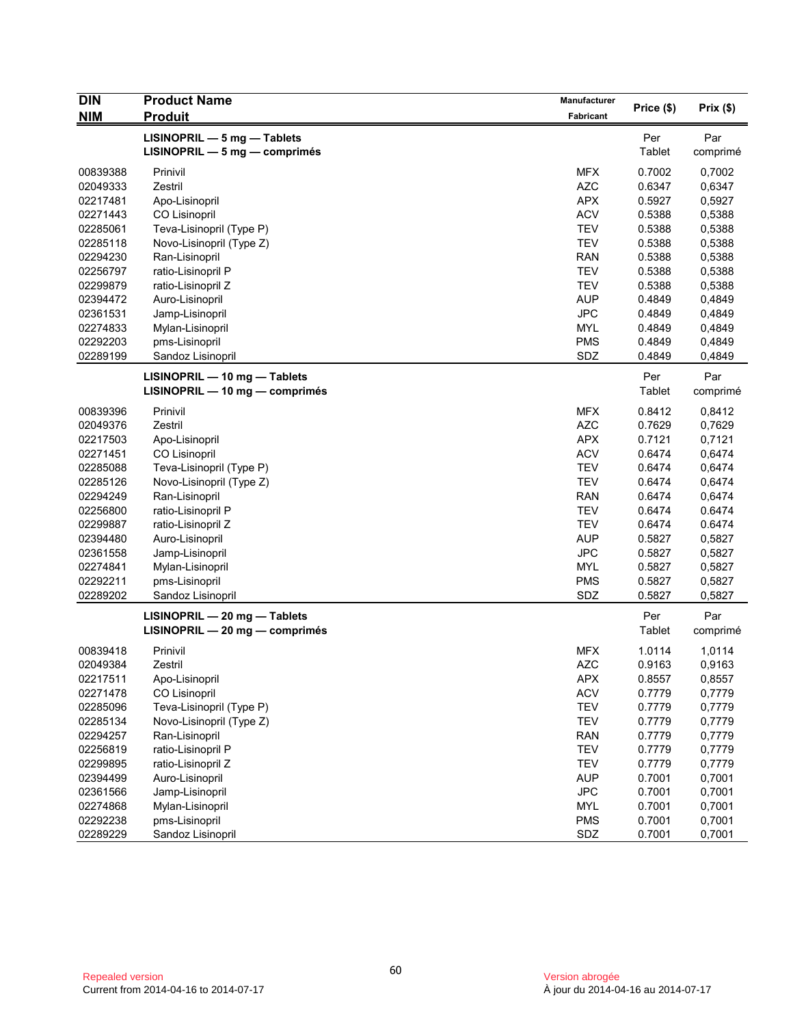| <b>DIN</b> | <b>Product Name</b>                                               | Manufacturer |               | Prix(\$)        |
|------------|-------------------------------------------------------------------|--------------|---------------|-----------------|
| <b>NIM</b> | <b>Produit</b>                                                    | Fabricant    | Price (\$)    |                 |
|            | LISINOPRIL - 5 mg - Tablets<br>$LISINOPRIL - 5 mg - comprimés$    |              | Per<br>Tablet | Par<br>comprimé |
| 00839388   | Prinivil                                                          | <b>MFX</b>   | 0.7002        | 0,7002          |
| 02049333   | Zestril                                                           | <b>AZC</b>   | 0.6347        | 0,6347          |
| 02217481   | Apo-Lisinopril                                                    | <b>APX</b>   | 0.5927        | 0,5927          |
| 02271443   | <b>CO Lisinopril</b>                                              | <b>ACV</b>   | 0.5388        | 0,5388          |
| 02285061   | Teva-Lisinopril (Type P)                                          | <b>TEV</b>   | 0.5388        | 0,5388          |
| 02285118   | Novo-Lisinopril (Type Z)                                          | TEV          | 0.5388        | 0,5388          |
| 02294230   | Ran-Lisinopril                                                    | <b>RAN</b>   | 0.5388        | 0,5388          |
| 02256797   | ratio-Lisinopril P                                                | <b>TEV</b>   | 0.5388        | 0,5388          |
| 02299879   | ratio-Lisinopril Z                                                | <b>TEV</b>   | 0.5388        | 0,5388          |
| 02394472   | Auro-Lisinopril                                                   | <b>AUP</b>   | 0.4849        | 0,4849          |
| 02361531   | Jamp-Lisinopril                                                   | <b>JPC</b>   | 0.4849        | 0,4849          |
| 02274833   | Mylan-Lisinopril                                                  | <b>MYL</b>   | 0.4849        | 0,4849          |
| 02292203   | pms-Lisinopril                                                    | <b>PMS</b>   | 0.4849        | 0,4849          |
| 02289199   | Sandoz Lisinopril                                                 | SDZ          | 0.4849        | 0,4849          |
|            |                                                                   |              |               |                 |
|            | LISINOPRIL - 10 mg - Tablets                                      |              | Per           | Par             |
|            | LISINOPRIL - 10 mg - comprimés                                    |              | Tablet        | comprimé        |
| 00839396   | Prinivil                                                          | <b>MFX</b>   | 0.8412        | 0,8412          |
| 02049376   | Zestril                                                           | <b>AZC</b>   | 0.7629        | 0,7629          |
| 02217503   | Apo-Lisinopril                                                    | <b>APX</b>   | 0.7121        | 0,7121          |
| 02271451   | CO Lisinopril                                                     | <b>ACV</b>   | 0.6474        | 0,6474          |
| 02285088   | Teva-Lisinopril (Type P)                                          | <b>TEV</b>   | 0.6474        | 0,6474          |
| 02285126   | Novo-Lisinopril (Type Z)                                          | <b>TEV</b>   | 0.6474        | 0,6474          |
| 02294249   | Ran-Lisinopril                                                    | <b>RAN</b>   | 0.6474        | 0,6474          |
| 02256800   | ratio-Lisinopril P                                                | <b>TEV</b>   | 0.6474        | 0.6474          |
| 02299887   | ratio-Lisinopril Z                                                | <b>TEV</b>   | 0.6474        | 0.6474          |
| 02394480   | Auro-Lisinopril                                                   | <b>AUP</b>   | 0.5827        | 0,5827          |
| 02361558   | Jamp-Lisinopril                                                   | <b>JPC</b>   | 0.5827        | 0,5827          |
| 02274841   | Mylan-Lisinopril                                                  | <b>MYL</b>   | 0.5827        | 0,5827          |
| 02292211   | pms-Lisinopril                                                    | <b>PMS</b>   | 0.5827        | 0,5827          |
| 02289202   | Sandoz Lisinopril                                                 | SDZ          | 0.5827        | 0,5827          |
|            |                                                                   |              |               |                 |
|            | $LISINOPRIL - 20 mg - Tables$<br>$LISINOPRIL - 20 mg - comprimés$ |              | Per<br>Tablet | Par<br>comprimé |
| 00839418   | Prinivil                                                          | <b>MFX</b>   | 1.0114        | 1,0114          |
| 02049384   | Zestril                                                           | <b>AZC</b>   | 0.9163        | 0,9163          |
| 02217511   | Apo-Lisinopril                                                    | <b>APX</b>   | 0.8557        | 0,8557          |
| 02271478   | CO Lisinopril                                                     | <b>ACV</b>   | 0.7779        | 0,7779          |
| 02285096   | Teva-Lisinopril (Type P)                                          | <b>TEV</b>   | 0.7779        | 0,7779          |
| 02285134   | Novo-Lisinopril (Type Z)                                          | <b>TEV</b>   | 0.7779        | 0,7779          |
| 02294257   | Ran-Lisinopril                                                    | <b>RAN</b>   | 0.7779        | 0,7779          |
| 02256819   | ratio-Lisinopril P                                                | <b>TEV</b>   | 0.7779        | 0,7779          |
| 02299895   | ratio-Lisinopril Z                                                | <b>TEV</b>   | 0.7779        | 0,7779          |
| 02394499   | Auro-Lisinopril                                                   | <b>AUP</b>   | 0.7001        | 0,7001          |
| 02361566   | Jamp-Lisinopril                                                   | <b>JPC</b>   | 0.7001        | 0,7001          |
| 02274868   | Mylan-Lisinopril                                                  | <b>MYL</b>   | 0.7001        | 0,7001          |
| 02292238   | pms-Lisinopril                                                    | <b>PMS</b>   | 0.7001        | 0,7001          |
| 02289229   | Sandoz Lisinopril                                                 | SDZ          | 0.7001        | 0,7001          |
|            |                                                                   |              |               |                 |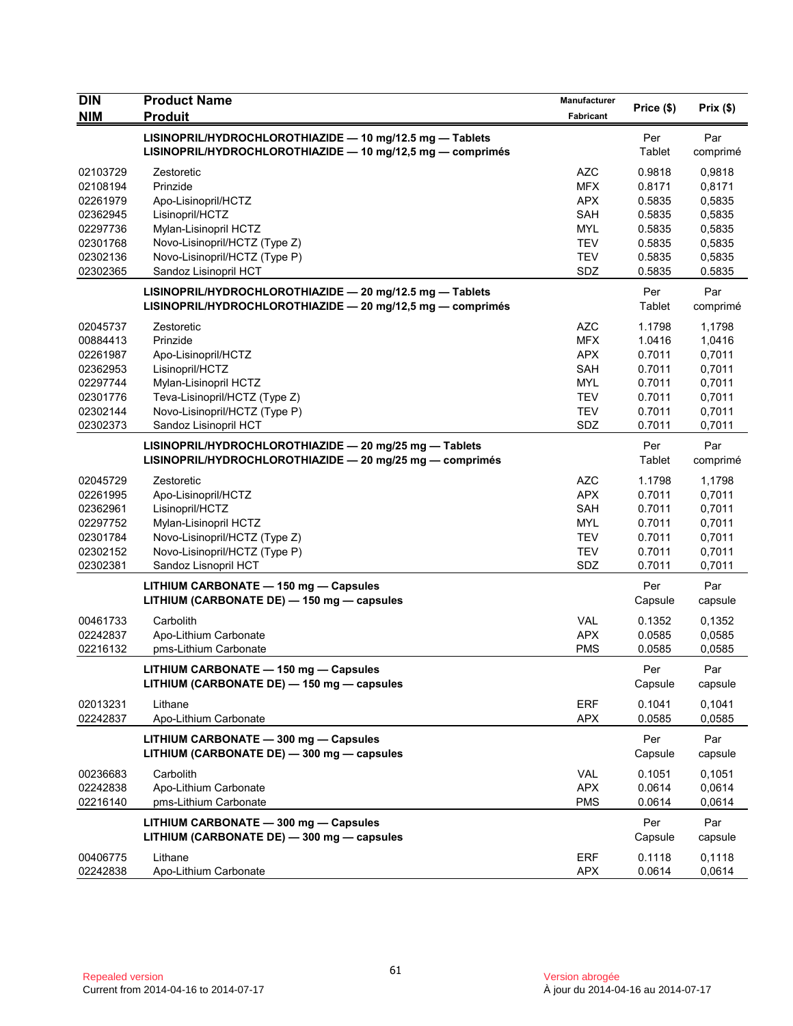| <b>DIN</b> | <b>Product Name</b>                                                                                                    | Manufacturer      | Price (\$)    | Prix(\$)        |
|------------|------------------------------------------------------------------------------------------------------------------------|-------------------|---------------|-----------------|
| <b>NIM</b> | <b>Produit</b>                                                                                                         | Fabricant         |               |                 |
|            | LISINOPRIL/HYDROCHLOROTHIAZIDE - 10 mg/12.5 mg - Tablets<br>LISINOPRIL/HYDROCHLOROTHIAZIDE - 10 mg/12,5 mg - comprimés |                   | Per<br>Tablet | Par<br>comprimé |
| 02103729   | Zestoretic                                                                                                             | <b>AZC</b>        | 0.9818        | 0,9818          |
| 02108194   | Prinzide                                                                                                               | <b>MFX</b>        | 0.8171        | 0,8171          |
| 02261979   | Apo-Lisinopril/HCTZ                                                                                                    | <b>APX</b>        | 0.5835        | 0,5835          |
| 02362945   | Lisinopril/HCTZ                                                                                                        | SAH               | 0.5835        | 0,5835          |
| 02297736   | Mylan-Lisinopril HCTZ                                                                                                  | <b>MYL</b>        | 0.5835        | 0,5835          |
| 02301768   | Novo-Lisinopril/HCTZ (Type Z)                                                                                          | <b>TEV</b>        | 0.5835        | 0,5835          |
| 02302136   | Novo-Lisinopril/HCTZ (Type P)                                                                                          | <b>TEV</b>        | 0.5835        | 0,5835          |
| 02302365   | Sandoz Lisinopril HCT                                                                                                  | SDZ               | 0.5835        | 0.5835          |
|            | LISINOPRIL/HYDROCHLOROTHIAZIDE - 20 mg/12.5 mg - Tablets<br>LISINOPRIL/HYDROCHLOROTHIAZIDE - 20 mg/12,5 mg - comprimés |                   | Per<br>Tablet | Par<br>comprimé |
| 02045737   | Zestoretic                                                                                                             | AZC               | 1.1798        | 1,1798          |
| 00884413   | Prinzide                                                                                                               | <b>MFX</b>        | 1.0416        | 1,0416          |
| 02261987   | Apo-Lisinopril/HCTZ                                                                                                    | <b>APX</b>        | 0.7011        | 0,7011          |
| 02362953   | Lisinopril/HCTZ                                                                                                        | SAH               | 0.7011        | 0,7011          |
| 02297744   | Mylan-Lisinopril HCTZ                                                                                                  | <b>MYL</b>        | 0.7011        | 0,7011          |
| 02301776   | Teva-Lisinopril/HCTZ (Type Z)                                                                                          | <b>TEV</b>        | 0.7011        | 0,7011          |
| 02302144   | Novo-Lisinopril/HCTZ (Type P)                                                                                          | <b>TEV</b>        | 0.7011        | 0,7011          |
| 02302373   | Sandoz Lisinopril HCT                                                                                                  | SDZ               | 0.7011        | 0,7011          |
|            | LISINOPRIL/HYDROCHLOROTHIAZIDE - 20 mg/25 mg - Tablets                                                                 |                   | Per           | Par             |
|            | LISINOPRIL/HYDROCHLOROTHIAZIDE - 20 mg/25 mg - comprimés                                                               |                   | Tablet        | comprimé        |
| 02045729   | Zestoretic                                                                                                             | <b>AZC</b>        | 1.1798        | 1,1798          |
| 02261995   | Apo-Lisinopril/HCTZ                                                                                                    | <b>APX</b>        | 0.7011        | 0,7011          |
| 02362961   | Lisinopril/HCTZ                                                                                                        | SAH               | 0.7011        | 0,7011          |
| 02297752   | Mylan-Lisinopril HCTZ                                                                                                  | <b>MYL</b>        | 0.7011        | 0,7011          |
| 02301784   | Novo-Lisinopril/HCTZ (Type Z)                                                                                          | <b>TEV</b>        | 0.7011        | 0,7011          |
| 02302152   | Novo-Lisinopril/HCTZ (Type P)                                                                                          | <b>TEV</b><br>SDZ | 0.7011        | 0,7011          |
| 02302381   | Sandoz Lisnopril HCT                                                                                                   |                   | 0.7011        | 0,7011          |
|            | LITHIUM CARBONATE - 150 mg - Capsules                                                                                  |                   | Per           | Par             |
|            | LITHIUM (CARBONATE DE) - 150 mg - capsules                                                                             |                   | Capsule       | capsule         |
| 00461733   | Carbolith                                                                                                              | <b>VAL</b>        | 0.1352        | 0,1352          |
| 02242837   | Apo-Lithium Carbonate                                                                                                  | <b>APX</b>        | 0.0585        | 0,0585          |
| 02216132   | pms-Lithium Carbonate                                                                                                  | <b>PMS</b>        | 0.0585        | 0,0585          |
|            | LITHIUM CARBONATE - 150 mg - Capsules                                                                                  |                   | Per           | Par             |
|            | LITHIUM (CARBONATE DE) - 150 mg - capsules                                                                             |                   | Capsule       | capsule         |
| 02013231   | Lithane                                                                                                                | <b>ERF</b>        | 0.1041        | 0,1041          |
| 02242837   | Apo-Lithium Carbonate                                                                                                  | <b>APX</b>        | 0.0585        | 0,0585          |
|            | LITHIUM CARBONATE - 300 mg - Capsules                                                                                  |                   | Per           | Par             |
|            | LITHIUM (CARBONATE DE) - 300 mg - capsules                                                                             |                   | Capsule       | capsule         |
| 00236683   | Carbolith                                                                                                              | VAL               | 0.1051        | 0,1051          |
| 02242838   | Apo-Lithium Carbonate                                                                                                  | <b>APX</b>        | 0.0614        | 0,0614          |
| 02216140   | pms-Lithium Carbonate                                                                                                  | <b>PMS</b>        | 0.0614        | 0,0614          |
|            | LITHIUM CARBONATE - 300 mg - Capsules                                                                                  |                   | Per           | Par             |
|            | LITHIUM (CARBONATE DE) - 300 mg - capsules                                                                             |                   | Capsule       | capsule         |
| 00406775   | Lithane                                                                                                                | <b>ERF</b>        | 0.1118        | 0,1118          |
| 02242838   | Apo-Lithium Carbonate                                                                                                  | <b>APX</b>        | 0.0614        | 0,0614          |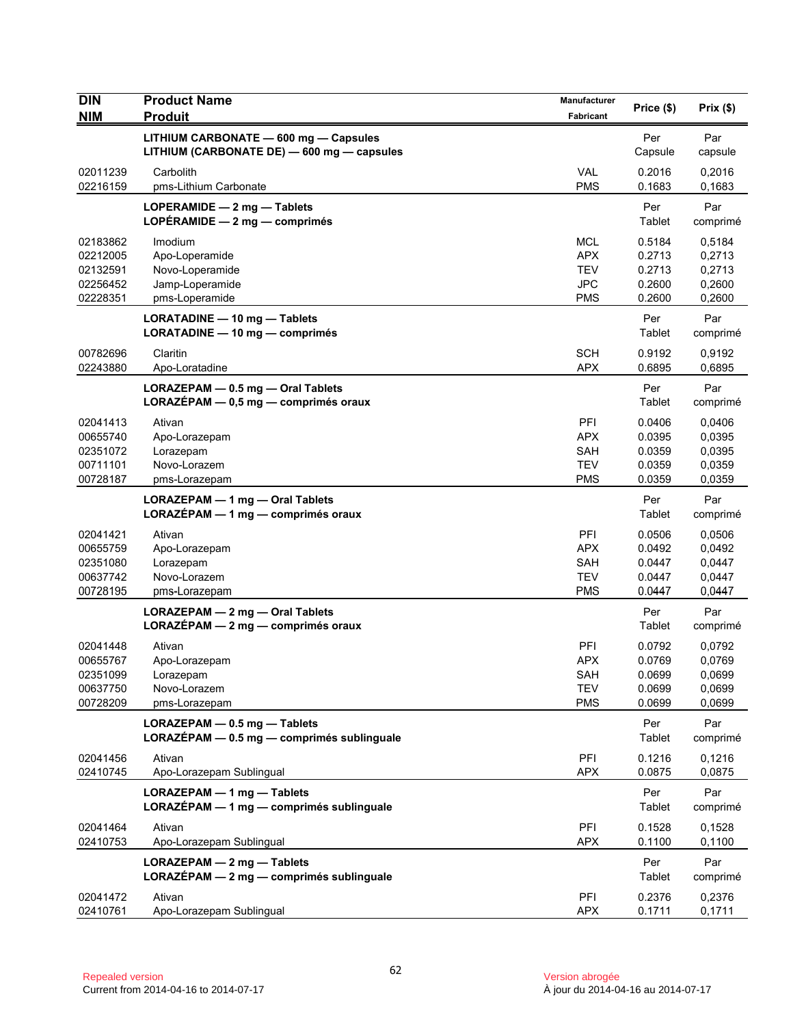| <b>DIN</b><br><b>NIM</b>                                 | <b>Product Name</b><br><b>Produit</b>                                               | Manufacturer<br>Fabricant                                          | Price (\$)                                     | Prix(\$)                                       |
|----------------------------------------------------------|-------------------------------------------------------------------------------------|--------------------------------------------------------------------|------------------------------------------------|------------------------------------------------|
|                                                          | LITHIUM CARBONATE - 600 mg - Capsules<br>LITHIUM (CARBONATE DE) - 600 mg - capsules |                                                                    | Per<br>Capsule                                 | Par<br>capsule                                 |
| 02011239<br>02216159                                     | Carbolith<br>pms-Lithium Carbonate                                                  | <b>VAL</b><br><b>PMS</b>                                           | 0.2016<br>0.1683                               | 0,2016<br>0,1683                               |
|                                                          | LOPERAMIDE - 2 mg - Tablets<br>LOPÉRAMIDE $-2$ mg $-$ comprimés                     |                                                                    | Per<br>Tablet                                  | Par<br>comprimé                                |
| 02183862<br>02212005<br>02132591<br>02256452<br>02228351 | Imodium<br>Apo-Loperamide<br>Novo-Loperamide<br>Jamp-Loperamide<br>pms-Loperamide   | <b>MCL</b><br><b>APX</b><br><b>TEV</b><br><b>JPC</b><br><b>PMS</b> | 0.5184<br>0.2713<br>0.2713<br>0.2600<br>0.2600 | 0,5184<br>0,2713<br>0,2713<br>0,2600<br>0,2600 |
|                                                          | LORATADINE - 10 mg - Tablets<br>LORATADINE - 10 mg - comprimés                      |                                                                    | Per<br>Tablet                                  | Par<br>comprimé                                |
| 00782696<br>02243880                                     | Claritin<br>Apo-Loratadine                                                          | <b>SCH</b><br><b>APX</b>                                           | 0.9192<br>0.6895                               | 0,9192<br>0,6895                               |
|                                                          | LORAZEPAM - 0.5 mg - Oral Tablets<br>$LORAZÉPAM - 0.5 mg - comprimés oraux$         |                                                                    | Per<br>Tablet                                  | Par<br>comprimé                                |
| 02041413<br>00655740<br>02351072<br>00711101<br>00728187 | Ativan<br>Apo-Lorazepam<br>Lorazepam<br>Novo-Lorazem<br>pms-Lorazepam               | PFI<br><b>APX</b><br>SAH<br><b>TEV</b><br><b>PMS</b>               | 0.0406<br>0.0395<br>0.0359<br>0.0359<br>0.0359 | 0,0406<br>0,0395<br>0,0395<br>0,0359<br>0,0359 |
|                                                          | LORAZEPAM - 1 mg - Oral Tablets<br>LORAZÉPAM - 1 mg - comprimés oraux               |                                                                    | Per<br>Tablet                                  | Par<br>comprimé                                |
| 02041421<br>00655759<br>02351080<br>00637742<br>00728195 | Ativan<br>Apo-Lorazepam<br>Lorazepam<br>Novo-Lorazem<br>pms-Lorazepam               | PFI<br><b>APX</b><br><b>SAH</b><br><b>TEV</b><br><b>PMS</b>        | 0.0506<br>0.0492<br>0.0447<br>0.0447<br>0.0447 | 0,0506<br>0,0492<br>0,0447<br>0,0447<br>0,0447 |
|                                                          | LORAZEPAM - 2 mg - Oral Tablets<br>LORAZÉPAM - 2 mg - comprimés oraux               |                                                                    | Per<br>Tablet                                  | Par<br>comprimé                                |
| 02041448<br>00655767<br>02351099<br>00637750<br>00728209 | Ativan<br>Apo-Lorazepam<br>Lorazepam<br>Novo-Lorazem<br>pms-Lorazepam               | PFI<br><b>APX</b><br>SAH<br><b>TEV</b><br><b>PMS</b>               | 0.0792<br>0.0769<br>0.0699<br>0.0699<br>0.0699 | 0,0792<br>0,0769<br>0,0699<br>0,0699<br>0,0699 |
|                                                          | LORAZEPAM - 0.5 mg - Tablets<br>LORAZÉPAM - 0.5 mg - comprimés sublinguale          |                                                                    | Per<br>Tablet                                  | Par<br>comprimé                                |
| 02041456<br>02410745                                     | Ativan<br>Apo-Lorazepam Sublingual                                                  | PFI<br><b>APX</b>                                                  | 0.1216<br>0.0875                               | 0,1216<br>0,0875                               |
|                                                          | LORAZEPAM - 1 mg - Tablets<br>LORAZÉPAM - 1 mg - comprimés sublinguale              |                                                                    | Per<br>Tablet                                  | Par<br>comprimé                                |
| 02041464<br>02410753                                     | Ativan<br>Apo-Lorazepam Sublingual                                                  | PFI<br><b>APX</b>                                                  | 0.1528<br>0.1100                               | 0,1528<br>0,1100                               |
|                                                          | LORAZEPAM - 2 mg - Tablets<br>LORAZÉPAM - 2 mg - comprimés sublinguale              |                                                                    | Per<br>Tablet                                  | Par<br>comprimé                                |
| 02041472<br>02410761                                     | Ativan<br>Apo-Lorazepam Sublingual                                                  | PFI<br><b>APX</b>                                                  | 0.2376<br>0.1711                               | 0,2376<br>0,1711                               |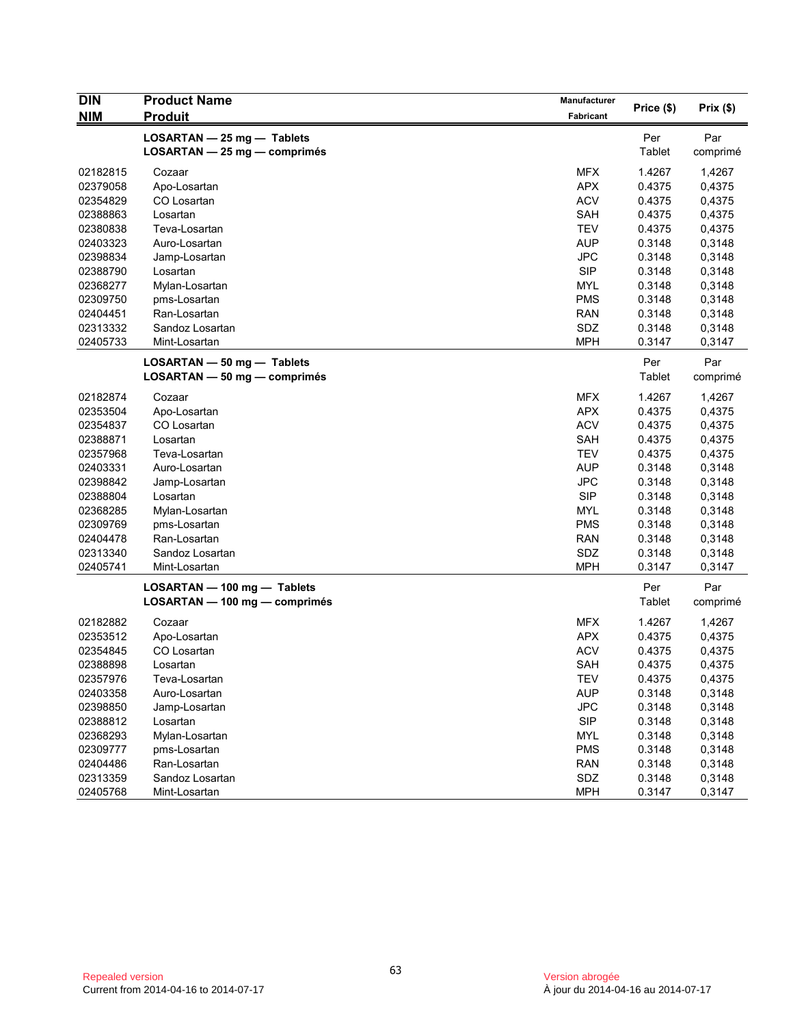| <b>DIN</b> | <b>Product Name</b>           | Manufacturer | Price (\$)    | Prix(\$) |
|------------|-------------------------------|--------------|---------------|----------|
| <b>NIM</b> | <b>Produit</b>                | Fabricant    |               |          |
|            | LOSARTAN - 25 mg - Tablets    |              | Per           | Par      |
|            | LOSARTAN - 25 mg - comprimés  |              | <b>Tablet</b> | comprimé |
| 02182815   | Cozaar                        | <b>MFX</b>   | 1.4267        | 1,4267   |
| 02379058   | Apo-Losartan                  | <b>APX</b>   | 0.4375        | 0,4375   |
| 02354829   | CO Losartan                   | <b>ACV</b>   | 0.4375        | 0,4375   |
| 02388863   | Losartan                      | SAH          | 0.4375        | 0,4375   |
| 02380838   | Teva-Losartan                 | <b>TEV</b>   | 0.4375        | 0,4375   |
| 02403323   | Auro-Losartan                 | <b>AUP</b>   | 0.3148        | 0,3148   |
| 02398834   | Jamp-Losartan                 | <b>JPC</b>   | 0.3148        | 0,3148   |
| 02388790   | Losartan                      | <b>SIP</b>   | 0.3148        | 0,3148   |
| 02368277   | Mylan-Losartan                | <b>MYL</b>   | 0.3148        | 0,3148   |
| 02309750   | pms-Losartan                  | <b>PMS</b>   | 0.3148        | 0,3148   |
| 02404451   | Ran-Losartan                  | <b>RAN</b>   | 0.3148        | 0,3148   |
| 02313332   | Sandoz Losartan               | SDZ          | 0.3148        | 0,3148   |
| 02405733   | Mint-Losartan                 | <b>MPH</b>   | 0.3147        | 0,3147   |
|            | LOSARTAN - 50 mg - Tablets    |              | Per           | Par      |
|            | LOSARTAN - 50 mg - comprimés  |              | Tablet        | comprimé |
| 02182874   | Cozaar                        | MFX          | 1.4267        | 1,4267   |
| 02353504   | Apo-Losartan                  | <b>APX</b>   | 0.4375        | 0,4375   |
| 02354837   | CO Losartan                   | <b>ACV</b>   | 0.4375        | 0,4375   |
| 02388871   | Losartan                      | SAH          | 0.4375        | 0,4375   |
| 02357968   | Teva-Losartan                 | <b>TEV</b>   | 0.4375        | 0,4375   |
| 02403331   | Auro-Losartan                 | <b>AUP</b>   | 0.3148        | 0,3148   |
| 02398842   | Jamp-Losartan                 | <b>JPC</b>   | 0.3148        | 0,3148   |
| 02388804   | Losartan                      | <b>SIP</b>   | 0.3148        | 0,3148   |
| 02368285   | Mylan-Losartan                | <b>MYL</b>   | 0.3148        | 0,3148   |
| 02309769   | pms-Losartan                  | <b>PMS</b>   | 0.3148        | 0,3148   |
| 02404478   | Ran-Losartan                  | <b>RAN</b>   | 0.3148        | 0,3148   |
| 02313340   | Sandoz Losartan               | SDZ          | 0.3148        | 0,3148   |
| 02405741   | Mint-Losartan                 | <b>MPH</b>   | 0.3147        | 0,3147   |
|            | LOSARTAN - 100 mg - Tablets   |              | Per           | Par      |
|            | LOSARTAN - 100 mg - comprimés |              | Tablet        | comprimé |
| 02182882   | Cozaar                        | <b>MFX</b>   | 1.4267        | 1,4267   |
| 02353512   | Apo-Losartan                  | <b>APX</b>   | 0.4375        | 0,4375   |
| 02354845   | CO Losartan                   | <b>ACV</b>   | 0.4375        | 0,4375   |
| 02388898   | Losartan                      | SAH          | 0.4375        | 0,4375   |
| 02357976   | Teva-Losartan                 | <b>TEV</b>   | 0.4375        | 0,4375   |
| 02403358   | Auro-Losartan                 | <b>AUP</b>   | 0.3148        | 0,3148   |
| 02398850   | Jamp-Losartan                 | <b>JPC</b>   | 0.3148        | 0,3148   |
| 02388812   | Losartan                      | SIP          | 0.3148        | 0,3148   |
| 02368293   | Mylan-Losartan                | <b>MYL</b>   | 0.3148        | 0,3148   |
| 02309777   | pms-Losartan                  | <b>PMS</b>   | 0.3148        | 0,3148   |
| 02404486   | Ran-Losartan                  | <b>RAN</b>   | 0.3148        | 0,3148   |
| 02313359   | Sandoz Losartan               | SDZ          | 0.3148        | 0,3148   |
| 02405768   | Mint-Losartan                 | <b>MPH</b>   | 0.3147        | 0,3147   |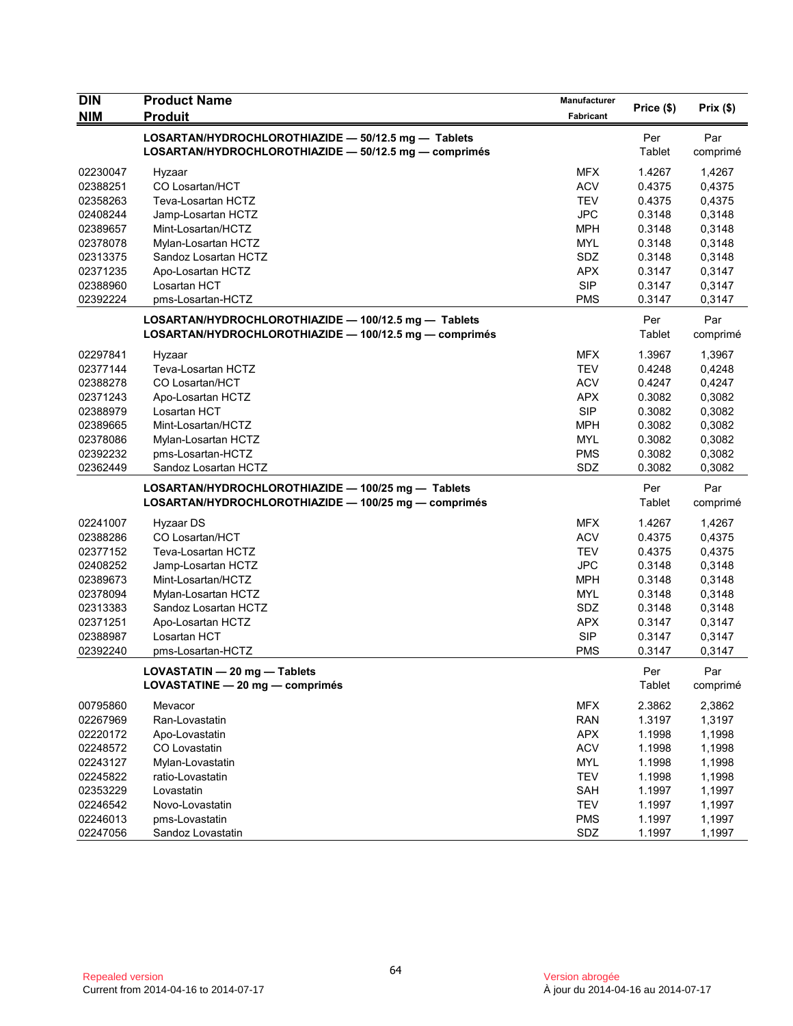| <b>DIN</b> | <b>Product Name</b>                                    | Manufacturer |            | Prix(\$) |
|------------|--------------------------------------------------------|--------------|------------|----------|
| NIM        | <b>Produit</b>                                         | Fabricant    | Price (\$) |          |
|            | LOSARTAN/HYDROCHLOROTHIAZIDE - 50/12.5 mg - Tablets    |              | Per        | Par      |
|            | LOSARTAN/HYDROCHLOROTHIAZIDE - 50/12.5 mg - comprimés  |              | Tablet     | comprimé |
| 02230047   | Hyzaar                                                 | <b>MFX</b>   | 1.4267     | 1,4267   |
| 02388251   | CO Losartan/HCT                                        | <b>ACV</b>   | 0.4375     | 0,4375   |
| 02358263   | Teva-Losartan HCTZ                                     | <b>TEV</b>   | 0.4375     | 0,4375   |
| 02408244   | Jamp-Losartan HCTZ                                     | <b>JPC</b>   | 0.3148     | 0,3148   |
| 02389657   | Mint-Losartan/HCTZ                                     | <b>MPH</b>   | 0.3148     | 0,3148   |
| 02378078   | Mylan-Losartan HCTZ                                    | <b>MYL</b>   | 0.3148     | 0,3148   |
| 02313375   | Sandoz Losartan HCTZ                                   | SDZ          | 0.3148     | 0,3148   |
| 02371235   | Apo-Losartan HCTZ                                      | <b>APX</b>   | 0.3147     | 0,3147   |
| 02388960   | Losartan HCT                                           | <b>SIP</b>   | 0.3147     | 0,3147   |
| 02392224   | pms-Losartan-HCTZ                                      | <b>PMS</b>   | 0.3147     | 0,3147   |
|            | LOSARTAN/HYDROCHLOROTHIAZIDE - 100/12.5 mg - Tablets   |              | Per        | Par      |
|            | LOSARTAN/HYDROCHLOROTHIAZIDE - 100/12.5 mg - comprimés |              | Tablet     | comprimé |
| 02297841   | Hyzaar                                                 | <b>MFX</b>   | 1.3967     | 1,3967   |
| 02377144   | Teva-Losartan HCTZ                                     | <b>TEV</b>   | 0.4248     | 0,4248   |
| 02388278   | CO Losartan/HCT                                        | <b>ACV</b>   | 0.4247     | 0,4247   |
| 02371243   | Apo-Losartan HCTZ                                      | <b>APX</b>   | 0.3082     | 0,3082   |
| 02388979   | Losartan HCT                                           | SIP          | 0.3082     | 0,3082   |
| 02389665   | Mint-Losartan/HCTZ                                     | <b>MPH</b>   | 0.3082     | 0,3082   |
| 02378086   | Mylan-Losartan HCTZ                                    | <b>MYL</b>   | 0.3082     | 0,3082   |
| 02392232   | pms-Losartan-HCTZ                                      | <b>PMS</b>   | 0.3082     | 0,3082   |
| 02362449   | Sandoz Losartan HCTZ                                   | SDZ          | 0.3082     | 0,3082   |
|            | LOSARTAN/HYDROCHLOROTHIAZIDE - 100/25 mg - Tablets     |              | Per        | Par      |
|            | LOSARTAN/HYDROCHLOROTHIAZIDE - 100/25 mg - comprimés   |              | Tablet     | comprimé |
| 02241007   | Hyzaar DS                                              | <b>MFX</b>   | 1.4267     | 1,4267   |
| 02388286   | CO Losartan/HCT                                        | <b>ACV</b>   | 0.4375     | 0,4375   |
| 02377152   | Teva-Losartan HCTZ                                     | <b>TEV</b>   | 0.4375     | 0,4375   |
| 02408252   | Jamp-Losartan HCTZ                                     | <b>JPC</b>   | 0.3148     | 0,3148   |
| 02389673   | Mint-Losartan/HCTZ                                     | <b>MPH</b>   | 0.3148     | 0,3148   |
| 02378094   | Mylan-Losartan HCTZ                                    | <b>MYL</b>   | 0.3148     | 0,3148   |
| 02313383   | Sandoz Losartan HCTZ                                   | SDZ          | 0.3148     | 0,3148   |
| 02371251   | Apo-Losartan HCTZ                                      | <b>APX</b>   | 0.3147     | 0,3147   |
| 02388987   | Losartan HCT                                           | <b>SIP</b>   | 0.3147     | 0,3147   |
| 02392240   | pms-Losartan-HCTZ                                      | <b>PMS</b>   | 0.3147     | 0,3147   |
|            | LOVASTATIN - 20 mg - Tablets                           |              | Per        | Par      |
|            | LOVASTATINE - 20 mg - comprimés                        |              | Tablet     | comprimé |
| 00795860   | Mevacor                                                | <b>MFX</b>   | 2.3862     | 2,3862   |
| 02267969   | Ran-Lovastatin                                         | <b>RAN</b>   | 1.3197     | 1,3197   |
| 02220172   | Apo-Lovastatin                                         | <b>APX</b>   | 1.1998     | 1,1998   |
| 02248572   | CO Lovastatin                                          | <b>ACV</b>   | 1.1998     | 1,1998   |
| 02243127   | Mylan-Lovastatin                                       | <b>MYL</b>   | 1.1998     | 1,1998   |
| 02245822   | ratio-Lovastatin                                       | TEV          | 1.1998     | 1,1998   |
| 02353229   | Lovastatin                                             | SAH          | 1.1997     | 1,1997   |
| 02246542   | Novo-Lovastatin                                        | TEV          | 1.1997     | 1,1997   |
| 02246013   | pms-Lovastatin                                         | <b>PMS</b>   | 1.1997     | 1,1997   |
| 02247056   | Sandoz Lovastatin                                      | SDZ          | 1.1997     | 1,1997   |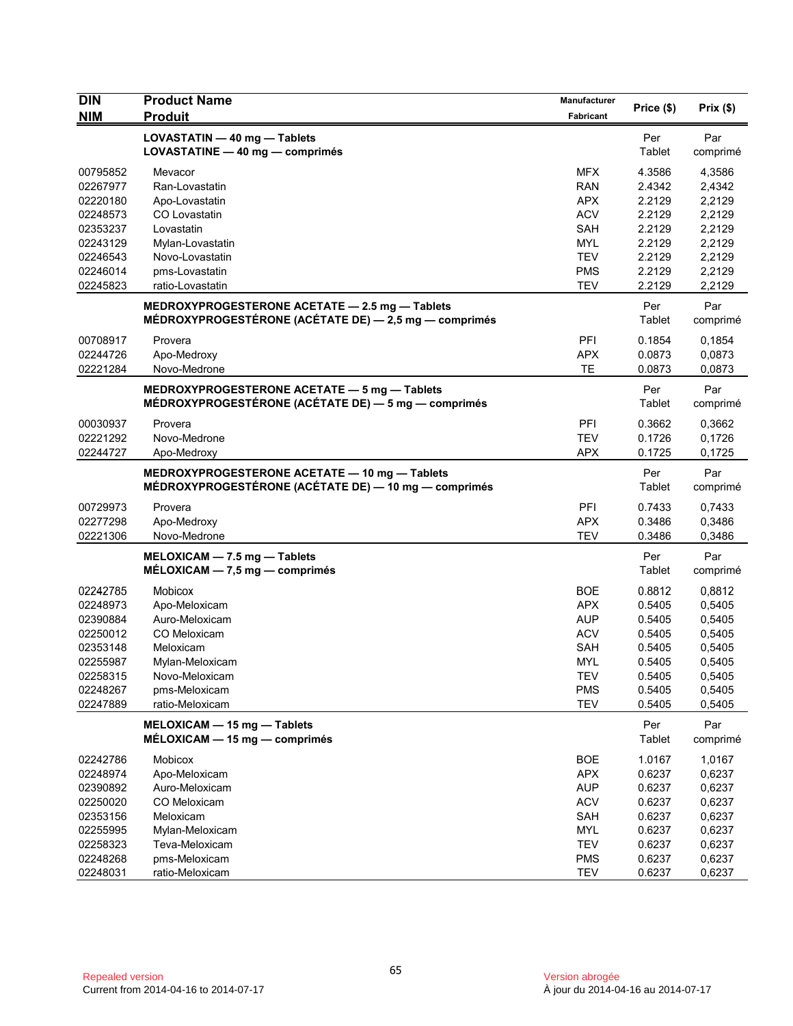| <b>DIN</b> | <b>Product Name</b>                                   | <b>Manufacturer</b> | Price (\$) | Prix(\$) |
|------------|-------------------------------------------------------|---------------------|------------|----------|
| <b>NIM</b> | <b>Produit</b>                                        | Fabricant           |            |          |
|            | LOVASTATIN - 40 mg - Tablets                          |                     | Per        | Par      |
|            | LOVASTATINE - 40 mg - comprimés                       |                     | Tablet     | comprimé |
| 00795852   | Mevacor                                               | <b>MFX</b>          | 4.3586     | 4,3586   |
| 02267977   | Ran-Lovastatin                                        | <b>RAN</b>          | 2.4342     | 2,4342   |
| 02220180   | Apo-Lovastatin                                        | <b>APX</b>          | 2.2129     | 2,2129   |
| 02248573   | CO Lovastatin                                         | <b>ACV</b>          | 2.2129     | 2,2129   |
| 02353237   | Lovastatin                                            | SAH                 | 2.2129     | 2,2129   |
| 02243129   | Mylan-Lovastatin                                      | <b>MYL</b>          | 2.2129     | 2,2129   |
| 02246543   | Novo-Lovastatin                                       | <b>TEV</b>          | 2.2129     | 2,2129   |
| 02246014   | pms-Lovastatin                                        | <b>PMS</b>          | 2.2129     | 2,2129   |
| 02245823   | ratio-Lovastatin                                      | <b>TEV</b>          | 2.2129     | 2,2129   |
|            | MEDROXYPROGESTERONE ACETATE - 2.5 mg - Tablets        |                     | Per        | Par      |
|            | MÉDROXYPROGESTÉRONE (ACÉTATE DE) - 2,5 mg - comprimés |                     | Tablet     | comprimé |
| 00708917   | Provera                                               | <b>PFI</b>          | 0.1854     | 0,1854   |
| 02244726   | Apo-Medroxy                                           | <b>APX</b>          | 0.0873     | 0,0873   |
| 02221284   | Novo-Medrone                                          | <b>TE</b>           | 0.0873     | 0,0873   |
|            | MEDROXYPROGESTERONE ACETATE - 5 mg - Tablets          |                     | Per        | Par      |
|            | MÉDROXYPROGESTÉRONE (ACÉTATE DE) — 5 mg — comprimés   |                     | Tablet     | comprimé |
| 00030937   | Provera                                               | PFI                 | 0.3662     | 0,3662   |
| 02221292   | Novo-Medrone                                          | <b>TEV</b>          | 0.1726     | 0,1726   |
| 02244727   | Apo-Medroxy                                           | <b>APX</b>          | 0.1725     | 0,1725   |
|            | MEDROXYPROGESTERONE ACETATE - 10 mg - Tablets         |                     | Per        | Par      |
|            | MÉDROXYPROGESTÉRONE (ACÉTATE DE) — 10 mg — comprimés  |                     | Tablet     | comprimé |
| 00729973   | Provera                                               | PFI                 | 0.7433     | 0,7433   |
| 02277298   | Apo-Medroxy                                           | <b>APX</b>          | 0.3486     | 0,3486   |
| 02221306   | Novo-Medrone                                          | <b>TEV</b>          | 0.3486     | 0,3486   |
|            | MELOXICAM - 7.5 mg - Tablets                          |                     | Per        | Par      |
|            | $MÉLOXICAM - 7,5 mg - comprimés$                      |                     | Tablet     | comprimé |
| 02242785   | <b>Mobicox</b>                                        | <b>BOE</b>          | 0.8812     | 0,8812   |
| 02248973   | Apo-Meloxicam                                         | <b>APX</b>          | 0.5405     | 0,5405   |
| 02390884   | Auro-Meloxicam                                        | <b>AUP</b>          | 0.5405     | 0,5405   |
| 02250012   | CO Meloxicam                                          | <b>ACV</b>          | 0.5405     | 0,5405   |
| 02353148   | Meloxicam                                             | SAH                 | 0.5405     | 0,5405   |
| 02255987   | Mylan-Meloxicam                                       | <b>MYL</b>          | 0.5405     | 0,5405   |
| 02258315   | Novo-Meloxicam                                        | TEV                 | 0.5405     | 0,5405   |
| 02248267   | pms-Meloxicam                                         | <b>PMS</b>          | 0.5405     | 0,5405   |
| 02247889   | ratio-Meloxicam                                       | <b>TEV</b>          | 0.5405     | 0,5405   |
|            | MELOXICAM - 15 mg - Tablets                           |                     | Per        | Par      |
|            | $MÉLOXICAM - 15 mg - comprimés$                       |                     | Tablet     | comprimé |
| 02242786   | Mobicox                                               | <b>BOE</b>          | 1.0167     | 1,0167   |
| 02248974   | Apo-Meloxicam                                         | <b>APX</b>          | 0.6237     | 0,6237   |
| 02390892   | Auro-Meloxicam                                        | <b>AUP</b>          | 0.6237     | 0,6237   |
| 02250020   | CO Meloxicam                                          | <b>ACV</b>          | 0.6237     | 0,6237   |
| 02353156   | Meloxicam                                             | SAH                 | 0.6237     | 0,6237   |
| 02255995   | Mylan-Meloxicam                                       | <b>MYL</b>          | 0.6237     | 0,6237   |
| 02258323   | Teva-Meloxicam                                        | <b>TEV</b>          | 0.6237     | 0,6237   |
| 02248268   | pms-Meloxicam                                         | <b>PMS</b>          | 0.6237     | 0,6237   |
| 02248031   | ratio-Meloxicam                                       | <b>TEV</b>          | 0.6237     | 0,6237   |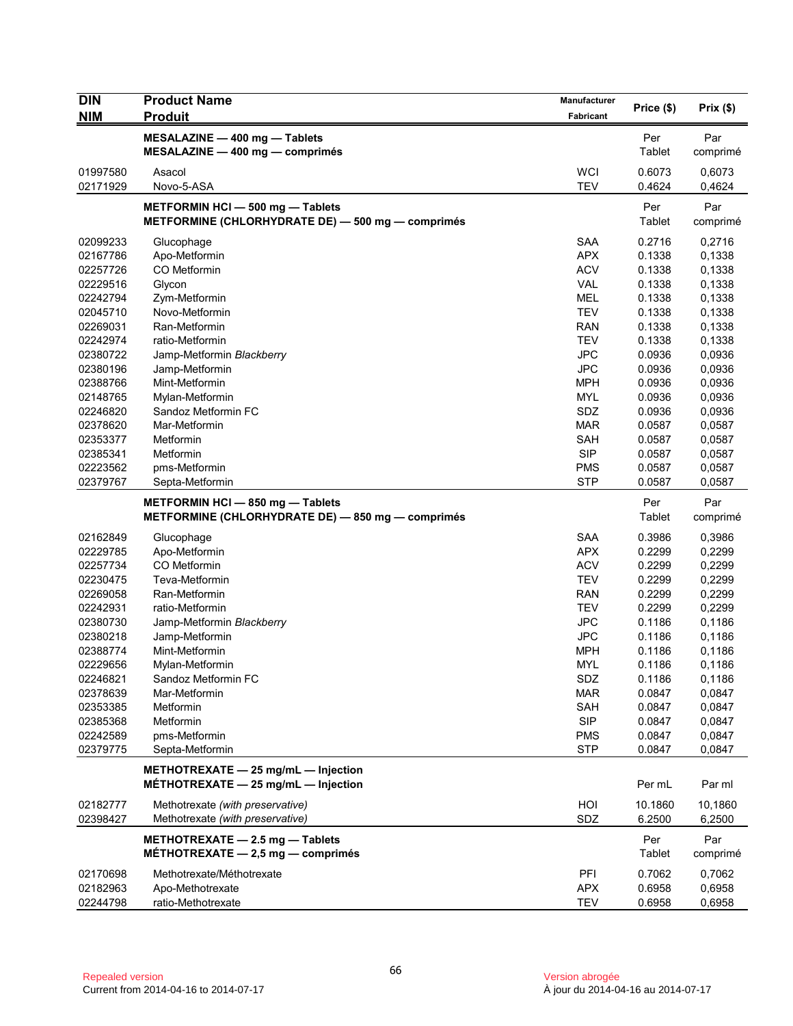| <b>DIN</b> | <b>Product Name</b>                                                            | Manufacturer | Price (\$) | Prix(\$) |
|------------|--------------------------------------------------------------------------------|--------------|------------|----------|
| <b>NIM</b> | <b>Produit</b>                                                                 | Fabricant    |            |          |
|            | MESALAZINE - 400 mg - Tablets                                                  |              | Per        | Par      |
|            | $MESALAZINE - 400 mg - comprimés$                                              |              | Tablet     | comprimé |
| 01997580   | Asacol                                                                         | <b>WCI</b>   | 0.6073     | 0,6073   |
| 02171929   | Novo-5-ASA                                                                     | <b>TEV</b>   | 0.4624     | 0,4624   |
|            | METFORMIN HCI-500 mg-Tablets                                                   |              | Per        | Par      |
|            | METFORMINE (CHLORHYDRATE DE) - 500 mg - comprimés                              |              | Tablet     | comprimé |
| 02099233   | Glucophage                                                                     | <b>SAA</b>   | 0.2716     | 0,2716   |
| 02167786   | Apo-Metformin                                                                  | <b>APX</b>   | 0.1338     | 0,1338   |
| 02257726   | CO Metformin                                                                   | <b>ACV</b>   | 0.1338     | 0,1338   |
| 02229516   | Glycon                                                                         | <b>VAL</b>   | 0.1338     | 0,1338   |
| 02242794   | Zym-Metformin                                                                  | MEL          | 0.1338     | 0,1338   |
| 02045710   | Novo-Metformin                                                                 | <b>TEV</b>   | 0.1338     | 0,1338   |
| 02269031   | Ran-Metformin                                                                  | RAN          | 0.1338     | 0,1338   |
| 02242974   | ratio-Metformin                                                                | <b>TEV</b>   | 0.1338     | 0,1338   |
| 02380722   | Jamp-Metformin Blackberry                                                      | <b>JPC</b>   | 0.0936     | 0,0936   |
| 02380196   | Jamp-Metformin                                                                 | <b>JPC</b>   | 0.0936     | 0,0936   |
| 02388766   | Mint-Metformin                                                                 | <b>MPH</b>   | 0.0936     | 0,0936   |
| 02148765   | Mylan-Metformin                                                                | <b>MYL</b>   | 0.0936     | 0,0936   |
| 02246820   | Sandoz Metformin FC                                                            | SDZ          | 0.0936     | 0,0936   |
| 02378620   | Mar-Metformin                                                                  | <b>MAR</b>   | 0.0587     | 0,0587   |
| 02353377   | Metformin                                                                      | <b>SAH</b>   | 0.0587     | 0,0587   |
| 02385341   | Metformin                                                                      | <b>SIP</b>   | 0.0587     | 0,0587   |
| 02223562   | pms-Metformin                                                                  | <b>PMS</b>   | 0.0587     | 0,0587   |
| 02379767   | Septa-Metformin                                                                | <b>STP</b>   | 0.0587     | 0,0587   |
|            | METFORMIN HCI - 850 mg - Tablets                                               |              | Per        | Par      |
|            | METFORMINE (CHLORHYDRATE DE) - 850 mg - comprimés                              |              | Tablet     | comprimé |
| 02162849   | Glucophage                                                                     | <b>SAA</b>   | 0.3986     | 0,3986   |
| 02229785   | Apo-Metformin                                                                  | <b>APX</b>   | 0.2299     | 0,2299   |
| 02257734   | CO Metformin                                                                   | <b>ACV</b>   | 0.2299     | 0,2299   |
| 02230475   | Teva-Metformin                                                                 | <b>TEV</b>   | 0.2299     | 0,2299   |
| 02269058   | Ran-Metformin                                                                  | <b>RAN</b>   | 0.2299     | 0,2299   |
| 02242931   | ratio-Metformin                                                                | <b>TEV</b>   | 0.2299     | 0,2299   |
| 02380730   | Jamp-Metformin Blackberry                                                      | <b>JPC</b>   | 0.1186     | 0,1186   |
| 02380218   | Jamp-Metformin                                                                 | <b>JPC</b>   | 0.1186     | 0,1186   |
| 02388774   | Mint-Metformin                                                                 | <b>MPH</b>   | 0.1186     | 0,1186   |
| 02229656   | Mylan-Metformin                                                                | <b>MYL</b>   | 0.1186     | 0,1186   |
| 02246821   | Sandoz Metformin FC                                                            | SDZ          | 0.1186     | 0,1186   |
| 02378639   | Mar-Metformin                                                                  | <b>MAR</b>   | 0.0847     | 0,0847   |
| 02353385   | Metformin                                                                      | SAH          | 0.0847     | 0,0847   |
| 02385368   | Metformin                                                                      | SIP          | 0.0847     | 0,0847   |
|            |                                                                                | <b>PMS</b>   |            |          |
| 02242589   | pms-Metformin<br>Septa-Metformin                                               |              | 0.0847     | 0,0847   |
| 02379775   |                                                                                | <b>STP</b>   | 0.0847     | 0,0847   |
|            | METHOTREXATE - 25 mg/mL - Injection<br>MÉTHOTREXATE $-$ 25 mg/mL $-$ Injection |              | Per mL     | Par ml   |
| 02182777   | Methotrexate (with preservative)                                               | HOI          | 10.1860    | 10,1860  |
| 02398427   | Methotrexate (with preservative)                                               | SDZ          | 6.2500     | 6,2500   |
|            | METHOTREXATE $-2.5$ mg $-$ Tablets                                             |              | Per        | Par      |
|            | MÉTHOTREXATE $-2,5$ mg $-$ comprimés                                           |              | Tablet     | comprimé |
| 02170698   | Methotrexate/Méthotrexate                                                      | PFI          | 0.7062     | 0,7062   |
| 02182963   | Apo-Methotrexate                                                               | <b>APX</b>   | 0.6958     | 0,6958   |
| 02244798   | ratio-Methotrexate                                                             | <b>TEV</b>   | 0.6958     | 0,6958   |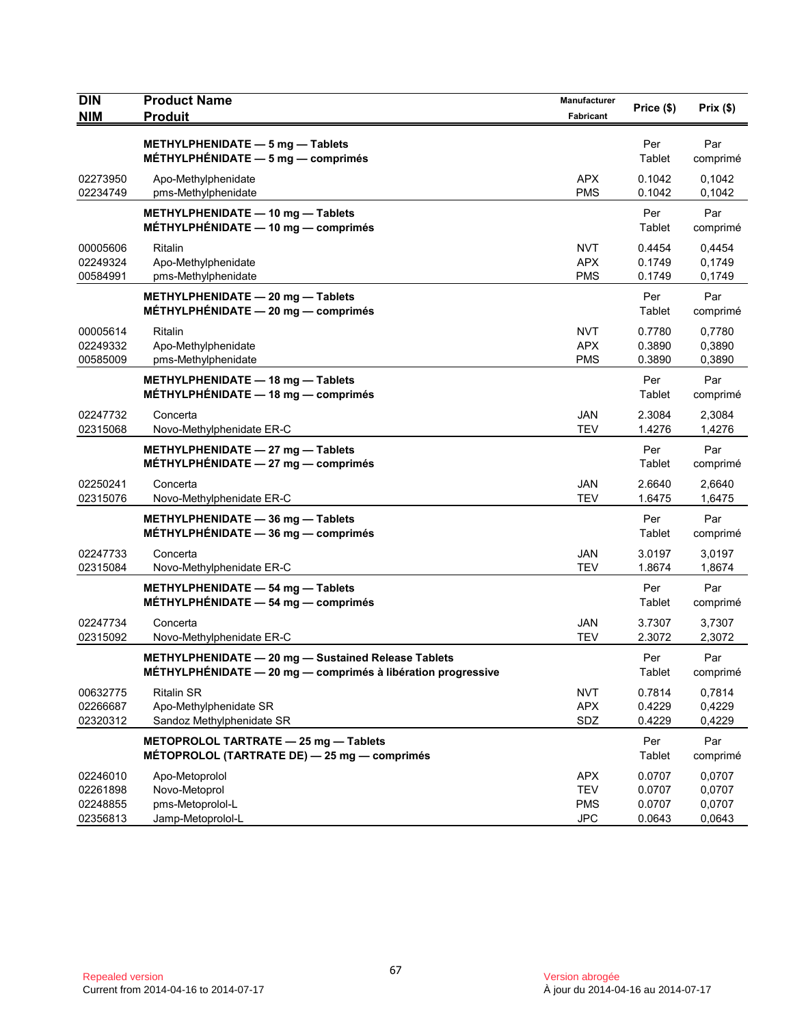| <b>DIN</b><br><b>NIM</b>                     | <b>Product Name</b><br><b>Produit</b>                                                                               | Manufacturer<br>Fabricant              | Price (\$)                           | Prix(\$)                             |
|----------------------------------------------|---------------------------------------------------------------------------------------------------------------------|----------------------------------------|--------------------------------------|--------------------------------------|
|                                              | METHYLPHENIDATE $-5$ mg $-$ Tablets<br>MÉTHYLPHÉNIDATE $-5$ mg $-$ comprimés                                        |                                        | Per<br>Tablet                        | Par<br>comprimé                      |
| 02273950<br>02234749                         | Apo-Methylphenidate<br>pms-Methylphenidate                                                                          | <b>APX</b><br><b>PMS</b>               | 0.1042<br>0.1042                     | 0.1042<br>0,1042                     |
|                                              | METHYLPHENIDATE - 10 mg - Tablets<br>MÉTHYLPHÉNIDATE $-$ 10 mg $-$ comprimés                                        |                                        | Per<br>Tablet                        | Par<br>comprimé                      |
| 00005606<br>02249324<br>00584991             | Ritalin<br>Apo-Methylphenidate<br>pms-Methylphenidate                                                               | <b>NVT</b><br><b>APX</b><br><b>PMS</b> | 0.4454<br>0.1749<br>0.1749           | 0,4454<br>0,1749<br>0,1749           |
|                                              | METHYLPHENIDATE - 20 mg - Tablets<br>$MÉTHYLPHÉNIDATE - 20 mg - comprimés$                                          |                                        | Per<br>Tablet                        | Par<br>comprimé                      |
| 00005614<br>02249332<br>00585009             | Ritalin<br>Apo-Methylphenidate<br>pms-Methylphenidate                                                               | <b>NVT</b><br><b>APX</b><br><b>PMS</b> | 0.7780<br>0.3890<br>0.3890           | 0,7780<br>0,3890<br>0,3890           |
|                                              | METHYLPHENIDATE - 18 mg - Tablets<br>MÉTHYLPHÉNIDATE $-$ 18 mg $-$ comprimés                                        |                                        | Per<br>Tablet                        | Par<br>comprimé                      |
| 02247732<br>02315068                         | Concerta<br>Novo-Methylphenidate ER-C                                                                               | <b>JAN</b><br><b>TEV</b>               | 2.3084<br>1.4276                     | 2,3084<br>1,4276                     |
|                                              | METHYLPHENIDATE - 27 mg - Tablets<br>$MÉTHYLPHÉNIDATE - 27 mg - comprimés$                                          |                                        | Per<br>Tablet                        | Par<br>comprimé                      |
| 02250241<br>02315076                         | Concerta<br>Novo-Methylphenidate ER-C                                                                               | <b>JAN</b><br><b>TEV</b>               | 2.6640<br>1.6475                     | 2,6640<br>1,6475                     |
|                                              | METHYLPHENIDATE - 36 mg - Tablets<br>$MÉTHYLPHÉNIDATE - 36 mg - comprimés$                                          |                                        | Per<br>Tablet                        | Par<br>comprimé                      |
| 02247733<br>02315084                         | Concerta<br>Novo-Methylphenidate ER-C                                                                               | <b>JAN</b><br><b>TEV</b>               | 3.0197<br>1.8674                     | 3,0197<br>1,8674                     |
|                                              | METHYLPHENIDATE $-$ 54 mg $-$ Tablets<br>$MÉTHYLPHÉNIDATE - 54 mg - comprimés$                                      |                                        | Per<br>Tablet                        | Par<br>comprimé                      |
| 02247734<br>02315092                         | Concerta<br>Novo-Methylphenidate ER-C                                                                               | <b>JAN</b><br><b>TEV</b>               | 3.7307<br>2.3072                     | 3,7307<br>2,3072                     |
|                                              | METHYLPHENIDATE - 20 mg - Sustained Release Tablets<br>MÉTHYLPHÉNIDATE - 20 mg - comprimés à libération progressive |                                        | Per<br>Tablet                        | Par<br>comprimé                      |
| 00632775<br>02266687<br>02320312             | <b>Ritalin SR</b><br>Apo-Methylphenidate SR<br>Sandoz Methylphenidate SR                                            | <b>NVT</b><br><b>APX</b><br>SDZ        | 0.7814<br>0.4229<br>0.4229           | 0,7814<br>0,4229<br>0,4229           |
|                                              | METOPROLOL TARTRATE - 25 mg - Tablets<br>MÉTOPROLOL (TARTRATE DE) - 25 mg - comprimés                               |                                        | Per<br>Tablet                        | Par<br>comprimé                      |
| 02246010<br>02261898<br>02248855<br>02356813 | Apo-Metoprolol<br>Novo-Metoprol<br>pms-Metoprolol-L<br>Jamp-Metoprolol-L                                            | <b>APX</b><br>TEV<br><b>PMS</b><br>JPC | 0.0707<br>0.0707<br>0.0707<br>0.0643 | 0,0707<br>0,0707<br>0,0707<br>0,0643 |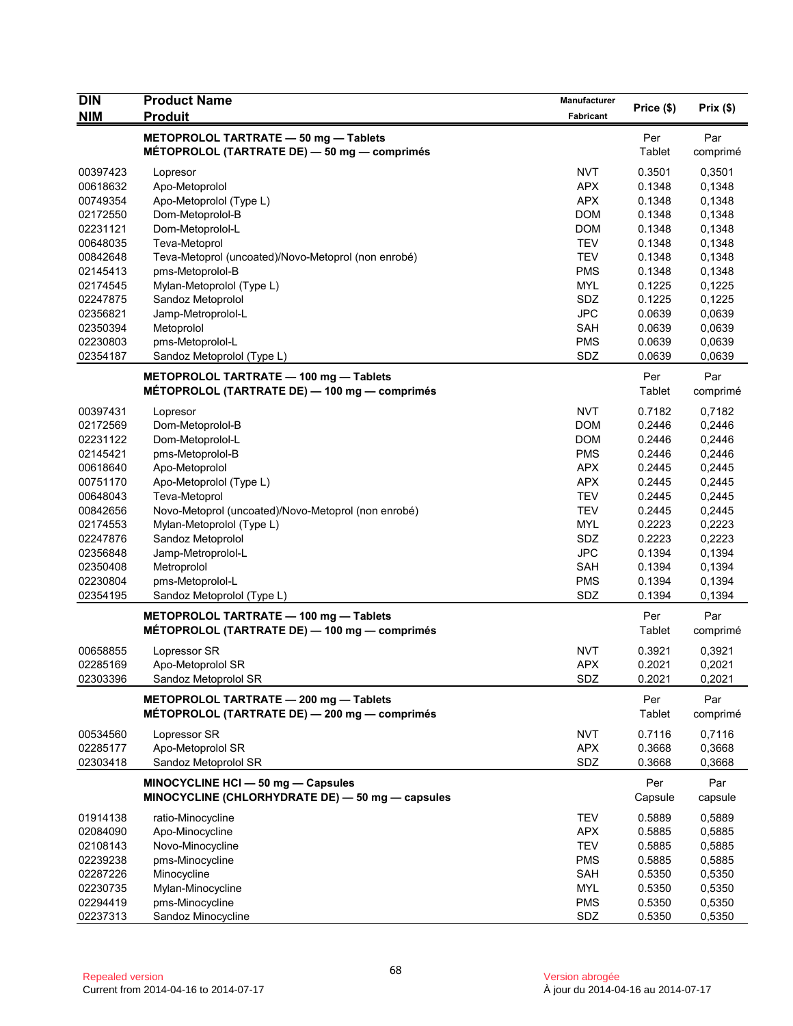| <b>DIN</b><br><b>NIM</b> | <b>Product Name</b><br><b>Produit</b>                                                   | Manufacturer<br>Fabricant | Price (\$)     | Prix(\$)         |
|--------------------------|-----------------------------------------------------------------------------------------|---------------------------|----------------|------------------|
|                          | METOPROLOL TARTRATE - 50 mg - Tablets                                                   |                           | Per            | Par              |
|                          | MÉTOPROLOL (TARTRATE DE) - 50 mg - comprimés                                            |                           | Tablet         | comprimé         |
| 00397423                 | Lopresor                                                                                | <b>NVT</b>                | 0.3501         | 0,3501           |
| 00618632                 | Apo-Metoprolol                                                                          | <b>APX</b>                | 0.1348         | 0,1348           |
| 00749354                 | Apo-Metoprolol (Type L)                                                                 | <b>APX</b>                | 0.1348         | 0,1348           |
| 02172550                 | Dom-Metoprolol-B                                                                        | <b>DOM</b>                | 0.1348         | 0,1348           |
| 02231121                 | Dom-Metoprolol-L                                                                        | <b>DOM</b>                | 0.1348         | 0,1348           |
| 00648035                 | Teva-Metoprol                                                                           | <b>TEV</b>                | 0.1348         | 0,1348           |
| 00842648                 | Teva-Metoprol (uncoated)/Novo-Metoprol (non enrobé)                                     | <b>TEV</b>                | 0.1348         | 0,1348           |
| 02145413                 | pms-Metoprolol-B                                                                        | <b>PMS</b>                | 0.1348         | 0,1348           |
| 02174545                 | Mylan-Metoprolol (Type L)                                                               | <b>MYL</b>                | 0.1225         | 0,1225           |
| 02247875                 | Sandoz Metoprolol                                                                       | SDZ                       | 0.1225         | 0,1225           |
| 02356821                 | Jamp-Metroprolol-L                                                                      | <b>JPC</b>                | 0.0639         | 0,0639           |
| 02350394                 | Metoprolol                                                                              | <b>SAH</b>                | 0.0639         | 0,0639           |
| 02230803                 | pms-Metoprolol-L                                                                        | <b>PMS</b>                | 0.0639         | 0,0639           |
| 02354187                 | Sandoz Metoprolol (Type L)                                                              | SDZ                       | 0.0639         | 0,0639           |
|                          | METOPROLOL TARTRATE - 100 mg - Tablets                                                  |                           | Per            | Par              |
|                          | MÉTOPROLOL (TARTRATE DE) - 100 mg - comprimés                                           |                           | Tablet         | comprimé         |
| 00397431                 | Lopresor                                                                                | <b>NVT</b>                | 0.7182         | 0,7182           |
| 02172569                 | Dom-Metoprolol-B                                                                        | <b>DOM</b>                | 0.2446         | 0,2446           |
| 02231122                 | Dom-Metoprolol-L                                                                        | <b>DOM</b>                | 0.2446         | 0,2446           |
| 02145421                 | pms-Metoprolol-B                                                                        | <b>PMS</b>                | 0.2446         | 0,2446           |
| 00618640                 | Apo-Metoprolol                                                                          | <b>APX</b>                | 0.2445         | 0,2445           |
| 00751170                 | Apo-Metoprolol (Type L)                                                                 | <b>APX</b>                | 0.2445         | 0,2445           |
| 00648043                 | Teva-Metoprol                                                                           | <b>TEV</b>                | 0.2445         | 0,2445           |
| 00842656                 | Novo-Metoprol (uncoated)/Novo-Metoprol (non enrobé)                                     | <b>TEV</b>                | 0.2445         | 0,2445           |
| 02174553                 | Mylan-Metoprolol (Type L)                                                               | <b>MYL</b>                | 0.2223         | 0,2223           |
| 02247876                 | Sandoz Metoprolol                                                                       | SDZ                       | 0.2223         | 0,2223           |
| 02356848                 | Jamp-Metroprolol-L                                                                      | <b>JPC</b>                | 0.1394         | 0,1394           |
| 02350408                 | Metroprolol                                                                             | <b>SAH</b>                | 0.1394         | 0,1394           |
| 02230804                 | pms-Metoprolol-L                                                                        | <b>PMS</b>                | 0.1394         | 0,1394           |
| 02354195                 | Sandoz Metoprolol (Type L)                                                              | SDZ                       | 0.1394         | 0,1394           |
|                          | METOPROLOL TARTRATE - 100 mg - Tablets                                                  |                           | Per            | Par              |
|                          | MÉTOPROLOL (TARTRATE DE) - 100 mg - comprimés                                           |                           | Tablet         | comprimé         |
| 00658855                 | Lopressor SR                                                                            | <b>NVT</b>                | 0.3921         | 0,3921           |
| 02285169                 | Apo-Metoprolol SR                                                                       | <b>APX</b>                | 0.2021         | 0,2021           |
| 02303396                 | Sandoz Metoprolol SR                                                                    | SDZ                       | 0.2021         | 0,2021           |
|                          | METOPROLOL TARTRATE - 200 mg - Tablets<br>MÉTOPROLOL (TARTRATE DE) - 200 mg - comprimés |                           | Per<br>Tablet  | Par<br>comprimé  |
| 00534560                 | Lopressor SR                                                                            | <b>NVT</b>                | 0.7116         | 0,7116           |
| 02285177                 | Apo-Metoprolol SR                                                                       | <b>APX</b>                | 0.3668         |                  |
| 02303418                 | Sandoz Metoprolol SR                                                                    | SDZ                       | 0.3668         | 0,3668<br>0,3668 |
|                          |                                                                                         |                           |                |                  |
|                          | MINOCYCLINE HCI - 50 mg - Capsules<br>MINOCYCLINE (CHLORHYDRATE DE) - 50 mg - capsules  |                           | Per<br>Capsule | Par<br>capsule   |
| 01914138                 | ratio-Minocycline                                                                       | <b>TEV</b>                | 0.5889         | 0,5889           |
| 02084090                 | Apo-Minocycline                                                                         | <b>APX</b>                | 0.5885         | 0,5885           |
| 02108143                 | Novo-Minocycline                                                                        | <b>TEV</b>                | 0.5885         | 0,5885           |
| 02239238                 | pms-Minocycline                                                                         | <b>PMS</b>                | 0.5885         | 0,5885           |
| 02287226                 | Minocycline                                                                             | SAH                       | 0.5350         | 0,5350           |
| 02230735                 | Mylan-Minocycline                                                                       | <b>MYL</b>                | 0.5350         | 0,5350           |
| 02294419                 | pms-Minocycline                                                                         | <b>PMS</b>                | 0.5350         | 0,5350           |
| 02237313                 | Sandoz Minocycline                                                                      | SDZ                       | 0.5350         | 0,5350           |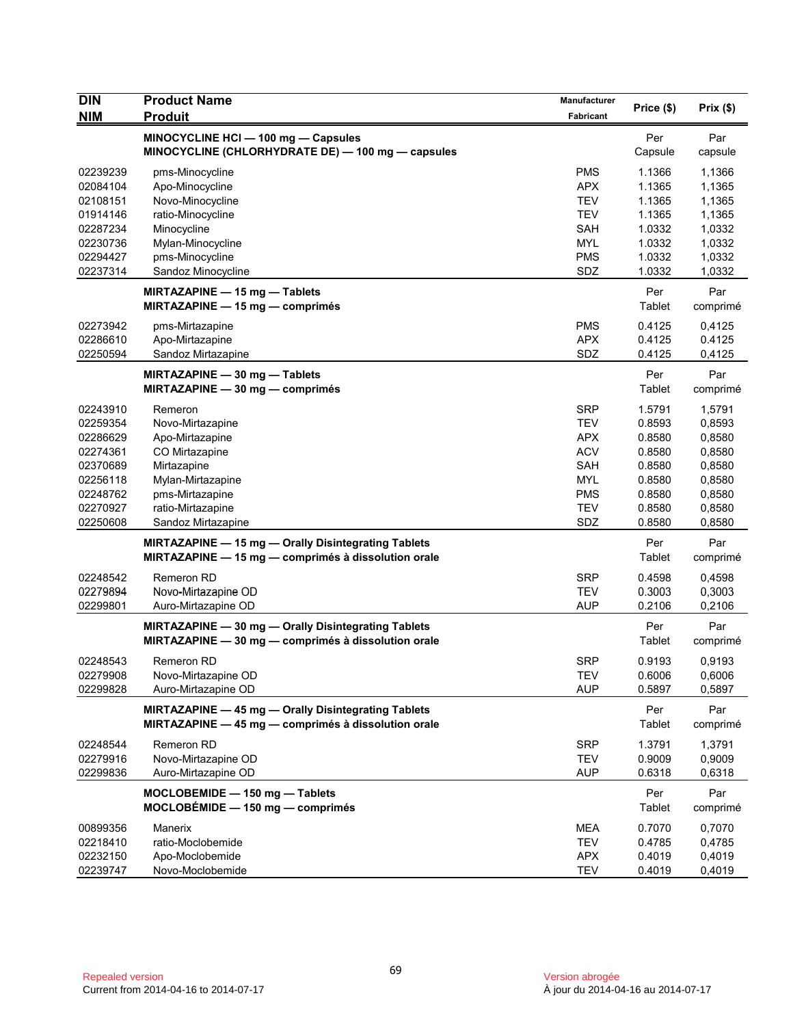| <b>DIN</b>           | <b>Product Name</b>                                                  | <b>Manufacturer</b> | Price (\$)       | Prix $(\$)$      |
|----------------------|----------------------------------------------------------------------|---------------------|------------------|------------------|
| <b>NIM</b>           | <b>Produit</b>                                                       | Fabricant           |                  |                  |
|                      | MINOCYCLINE HCI - 100 mg - Capsules                                  |                     | Per              | Par              |
|                      | MINOCYCLINE (CHLORHYDRATE DE) - 100 mg - capsules                    |                     | Capsule          | capsule          |
| 02239239             | pms-Minocycline                                                      | <b>PMS</b>          | 1.1366           | 1,1366           |
| 02084104             | Apo-Minocycline                                                      | <b>APX</b>          | 1.1365           | 1,1365           |
| 02108151             | Novo-Minocycline                                                     | <b>TEV</b>          | 1.1365           | 1,1365           |
| 01914146             | ratio-Minocycline                                                    | <b>TEV</b>          | 1.1365           | 1,1365           |
| 02287234<br>02230736 | Minocycline                                                          | SAH<br><b>MYL</b>   | 1.0332<br>1.0332 | 1,0332<br>1,0332 |
| 02294427             | Mylan-Minocycline<br>pms-Minocycline                                 | <b>PMS</b>          | 1.0332           | 1,0332           |
| 02237314             | Sandoz Minocycline                                                   | SDZ                 | 1.0332           | 1,0332           |
|                      |                                                                      |                     |                  |                  |
|                      | MIRTAZAPINE - 15 mg - Tablets<br>MIRTAZAPINE $-$ 15 mg $-$ comprimés |                     | Per<br>Tablet    | Par              |
|                      |                                                                      |                     |                  | comprimé         |
| 02273942             | pms-Mirtazapine                                                      | <b>PMS</b>          | 0.4125           | 0,4125           |
| 02286610             | Apo-Mirtazapine                                                      | <b>APX</b>          | 0.4125           | 0.4125           |
| 02250594             | Sandoz Mirtazapine                                                   | SDZ                 | 0.4125           | 0,4125           |
|                      | MIRTAZAPINE - 30 mg - Tablets                                        |                     | Per              | Par              |
|                      | MIRTAZAPINE - 30 mg - comprimés                                      |                     | Tablet           | comprimé         |
| 02243910             | Remeron                                                              | <b>SRP</b>          | 1.5791           | 1,5791           |
| 02259354             | Novo-Mirtazapine                                                     | <b>TEV</b>          | 0.8593           | 0,8593           |
| 02286629             | Apo-Mirtazapine                                                      | <b>APX</b>          | 0.8580           | 0,8580           |
| 02274361             | CO Mirtazapine                                                       | <b>ACV</b>          | 0.8580           | 0,8580           |
| 02370689             | Mirtazapine                                                          | SAH                 | 0.8580           | 0,8580           |
| 02256118             | Mylan-Mirtazapine                                                    | <b>MYL</b>          | 0.8580           | 0,8580           |
| 02248762             | pms-Mirtazapine                                                      | <b>PMS</b>          | 0.8580           | 0,8580           |
| 02270927             | ratio-Mirtazapine                                                    | <b>TEV</b>          | 0.8580           | 0,8580           |
| 02250608             | Sandoz Mirtazapine                                                   | SDZ                 | 0.8580           | 0,8580           |
|                      | MIRTAZAPINE - 15 mg - Orally Disintegrating Tablets                  |                     | Per              | Par              |
|                      | MIRTAZAPINE - 15 mg - comprimés à dissolution orale                  |                     | <b>Tablet</b>    | comprimé         |
| 02248542             | Remeron RD                                                           | <b>SRP</b>          | 0.4598           | 0,4598           |
| 02279894             | Novo-Mirtazapine OD                                                  | <b>TEV</b>          | 0.3003           | 0,3003           |
| 02299801             | Auro-Mirtazapine OD                                                  | <b>AUP</b>          | 0.2106           | 0,2106           |
|                      | MIRTAZAPINE - 30 mg - Orally Disintegrating Tablets                  |                     | Per              | Par              |
|                      | MIRTAZAPINE - 30 mg - comprimés à dissolution orale                  |                     | Tablet           | comprimé         |
|                      |                                                                      | <b>SRP</b>          |                  |                  |
| 02248543             | Remeron RD<br>Novo-Mirtazapine OD                                    | <b>TEV</b>          | 0.9193<br>0.6006 | 0,9193           |
| 02279908<br>02299828 | Auro-Mirtazapine OD                                                  | <b>AUP</b>          | 0.5897           | 0,6006<br>0,5897 |
|                      |                                                                      |                     |                  |                  |
|                      | MIRTAZAPINE - 45 mg - Orally Disintegrating Tablets                  |                     | Per              | Par              |
|                      | MIRTAZAPINE - 45 mg - comprimés à dissolution orale                  |                     | Tablet           | comprimé         |
| 02248544             | Remeron RD                                                           | <b>SRP</b>          | 1.3791           | 1,3791           |
| 02279916             | Novo-Mirtazapine OD                                                  | <b>TEV</b>          | 0.9009           | 0,9009           |
| 02299836             | Auro-Mirtazapine OD                                                  | <b>AUP</b>          | 0.6318           | 0,6318           |
|                      | MOCLOBEMIDE - 150 mg - Tablets                                       |                     | Per              | Par              |
|                      | $MOCLOBÉMIDE - 150 mg - comprimés$                                   |                     | <b>Tablet</b>    | comprimé         |
| 00899356             | Manerix                                                              | <b>MEA</b>          | 0.7070           | 0,7070           |
| 02218410             | ratio-Moclobemide                                                    | <b>TEV</b>          | 0.4785           | 0,4785           |
| 02232150             | Apo-Moclobemide                                                      | <b>APX</b>          | 0.4019           | 0,4019           |
| 02239747             | Novo-Moclobemide                                                     | <b>TEV</b>          | 0.4019           | 0,4019           |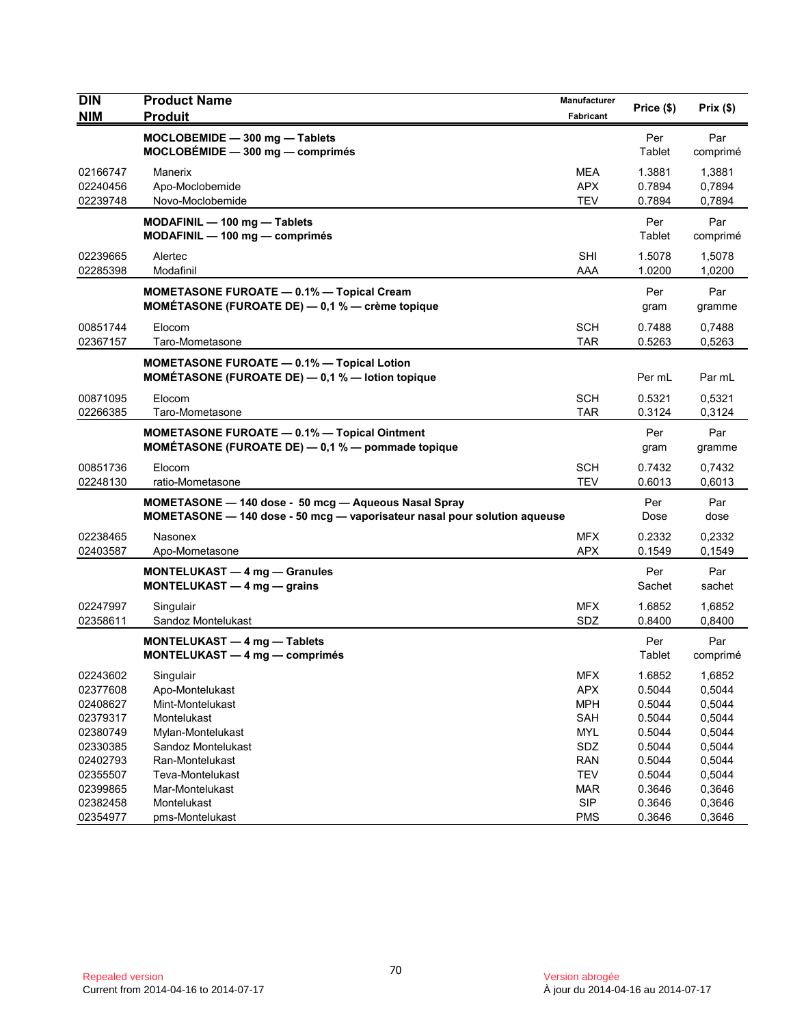| <b>DIN</b><br><b>NIM</b> | <b>Product Name</b><br><b>Produit</b>                                                                                             | Manufacturer<br>Fabricant | Price (\$)    | Prix (\$)       |
|--------------------------|-----------------------------------------------------------------------------------------------------------------------------------|---------------------------|---------------|-----------------|
|                          | MOCLOBEMIDE - 300 mg - Tablets<br>$MOCLOBÉMIDE - 300 mg - comprimés$                                                              |                           | Per<br>Tablet | Par<br>comprimé |
| 02166747                 | Manerix                                                                                                                           | <b>MEA</b>                | 1.3881        | 1,3881          |
| 02240456                 | Apo-Moclobemide                                                                                                                   | <b>APX</b>                | 0.7894        | 0,7894          |
| 02239748                 | Novo-Moclobemide                                                                                                                  | <b>TEV</b>                | 0.7894        | 0,7894          |
|                          | MODAFINIL - 100 mg - Tablets<br>MODAFINIL - 100 mg - comprimés                                                                    |                           | Per<br>Tablet | Par<br>comprimé |
| 02239665                 | Alertec                                                                                                                           | <b>SHI</b>                | 1.5078        | 1,5078          |
| 02285398                 | Modafinil                                                                                                                         | AAA                       | 1.0200        | 1,0200          |
|                          | MOMETASONE FUROATE - 0.1% - Topical Cream<br>MOMÉTASONE (FUROATE DE) $-$ 0,1 % $-$ crème topique                                  |                           | Per<br>gram   | Par<br>gramme   |
| 00851744                 | Elocom                                                                                                                            | <b>SCH</b>                | 0.7488        | 0,7488          |
| 02367157                 | Taro-Mometasone                                                                                                                   | <b>TAR</b>                | 0.5263        | 0,5263          |
|                          | <b>MOMETASONE FUROATE - 0.1% - Topical Lotion</b><br>MOMÉTASONE (FUROATE DE) - 0,1 % - lotion topique                             |                           | Per mL        | Par mL          |
| 00871095                 | Elocom                                                                                                                            | <b>SCH</b>                | 0.5321        | 0,5321          |
| 02266385                 | Taro-Mometasone                                                                                                                   | TAR                       | 0.3124        | 0,3124          |
|                          | <b>MOMETASONE FUROATE - 0.1% - Topical Ointment</b><br>MOMÉTASONE (FUROATE DE) $-$ 0,1 % $-$ pommade topique                      |                           | Per<br>gram   | Par<br>gramme   |
| 00851736                 | Elocom                                                                                                                            | <b>SCH</b>                | 0.7432        | 0,7432          |
| 02248130                 | ratio-Mometasone                                                                                                                  | <b>TEV</b>                | 0.6013        | 0,6013          |
|                          | MOMETASONE - 140 dose - 50 mcg - Aqueous Nasal Spray<br>MOMETASONE - 140 dose - 50 mcg - vaporisateur nasal pour solution aqueuse |                           | Per<br>Dose   | Par<br>dose     |
| 02238465                 | Nasonex                                                                                                                           | <b>MFX</b>                | 0.2332        | 0,2332          |
| 02403587                 | Apo-Mometasone                                                                                                                    | <b>APX</b>                | 0.1549        | 0,1549          |
|                          | <b>MONTELUKAST - 4 mg - Granules</b><br>MONTELUKAST $-4$ mg $-$ grains                                                            |                           | Per<br>Sachet | Par<br>sachet   |
| 02247997                 | Singulair                                                                                                                         | <b>MFX</b>                | 1.6852        | 1,6852          |
| 02358611                 | Sandoz Montelukast                                                                                                                | SDZ                       | 0.8400        | 0,8400          |
|                          | MONTELUKAST - 4 mg - Tablets<br>MONTELUKAST - 4 mg - comprimés                                                                    |                           | Per<br>Tablet | Par<br>comprimé |
| 02243602                 | Singulair                                                                                                                         | <b>MFX</b>                | 1.6852        | 1,6852          |
| 02377608                 | Apo-Montelukast                                                                                                                   | <b>APX</b>                | 0.5044        | 0,5044          |
| 02408627                 | Mint-Montelukast                                                                                                                  | <b>MPH</b>                | 0.5044        | 0,5044          |
| 02379317                 | Montelukast                                                                                                                       | SAH                       | 0.5044        | 0,5044          |
| 02380749                 | Mylan-Montelukast                                                                                                                 | <b>MYL</b>                | 0.5044        | 0,5044          |
| 02330385                 | Sandoz Montelukast                                                                                                                | SDZ                       | 0.5044        | 0,5044          |
| 02402793                 | Ran-Montelukast                                                                                                                   | <b>RAN</b>                | 0.5044        | 0,5044          |
| 02355507                 | Teva-Montelukast                                                                                                                  | <b>TEV</b>                | 0.5044        | 0,5044          |
| 02399865                 | Mar-Montelukast                                                                                                                   | <b>MAR</b>                | 0.3646        | 0,3646          |
| 02382458                 | Montelukast                                                                                                                       | <b>SIP</b>                | 0.3646        | 0,3646          |
| 02354977                 | pms-Montelukast                                                                                                                   | <b>PMS</b>                | 0.3646        | 0,3646          |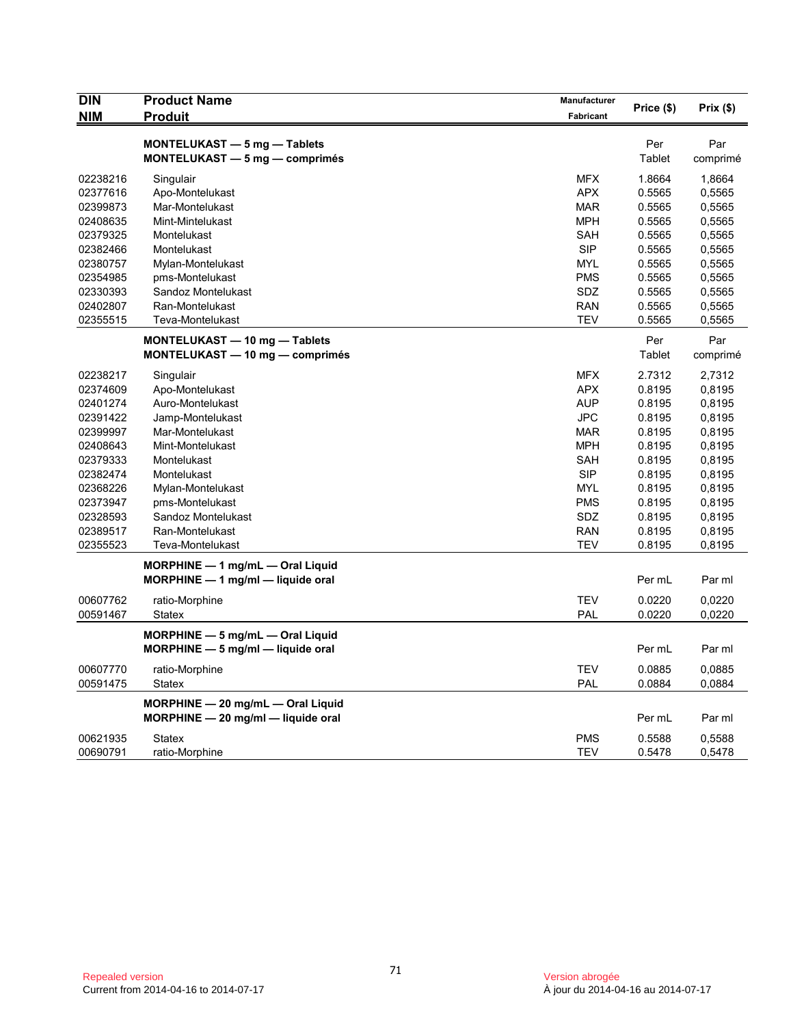| <b>DIN</b>           | <b>Product Name</b>                   | Manufacturer             | Price (\$)       | Prix(\$)         |
|----------------------|---------------------------------------|--------------------------|------------------|------------------|
| <b>NIM</b>           | <b>Produit</b>                        | Fabricant                |                  |                  |
|                      | <b>MONTELUKAST - 5 mg - Tablets</b>   |                          | Per              | Par              |
|                      | MONTELUKAST - 5 mg - comprimés        |                          | Tablet           | comprimé         |
|                      |                                       |                          |                  |                  |
| 02238216<br>02377616 | Singulair                             | <b>MFX</b><br><b>APX</b> | 1.8664<br>0.5565 | 1,8664<br>0,5565 |
| 02399873             | Apo-Montelukast<br>Mar-Montelukast    | <b>MAR</b>               | 0.5565           |                  |
| 02408635             | Mint-Mintelukast                      | <b>MPH</b>               | 0.5565           | 0,5565<br>0,5565 |
| 02379325             | Montelukast                           | SAH                      | 0.5565           | 0,5565           |
|                      |                                       | SIP                      |                  |                  |
| 02382466             | Montelukast                           |                          | 0.5565           | 0,5565           |
| 02380757             | Mylan-Montelukast                     | MYL                      | 0.5565           | 0,5565           |
| 02354985             | pms-Montelukast                       | <b>PMS</b>               | 0.5565           | 0,5565           |
| 02330393             | Sandoz Montelukast                    | SDZ                      | 0.5565           | 0,5565           |
| 02402807             | Ran-Montelukast                       | <b>RAN</b>               | 0.5565           | 0,5565           |
| 02355515             | Teva-Montelukast                      | <b>TEV</b>               | 0.5565           | 0,5565           |
|                      | MONTELUKAST - 10 mg - Tablets         |                          | Per              | Par              |
|                      | MONTELUKAST - 10 mg - comprimés       |                          | Tablet           | comprimé         |
| 02238217             | Singulair                             | <b>MFX</b>               | 2.7312           | 2,7312           |
| 02374609             | Apo-Montelukast                       | <b>APX</b>               | 0.8195           | 0,8195           |
| 02401274             | Auro-Montelukast                      | <b>AUP</b>               | 0.8195           | 0,8195           |
| 02391422             | Jamp-Montelukast                      | <b>JPC</b>               | 0.8195           | 0,8195           |
| 02399997             | Mar-Montelukast                       | <b>MAR</b>               | 0.8195           | 0,8195           |
| 02408643             | Mint-Montelukast                      | <b>MPH</b>               | 0.8195           | 0,8195           |
| 02379333             | Montelukast                           | SAH                      | 0.8195           | 0,8195           |
| 02382474             | Montelukast                           | <b>SIP</b>               | 0.8195           | 0,8195           |
| 02368226             | Mylan-Montelukast                     | <b>MYL</b>               | 0.8195           | 0,8195           |
| 02373947             | pms-Montelukast                       | <b>PMS</b>               | 0.8195           | 0,8195           |
| 02328593             | Sandoz Montelukast                    | SDZ                      | 0.8195           | 0,8195           |
| 02389517             | Ran-Montelukast                       | <b>RAN</b>               | 0.8195           | 0,8195           |
| 02355523             | Teva-Montelukast                      | <b>TEV</b>               | 0.8195           | 0,8195           |
|                      | MORPHINE $-1$ mg/mL $-$ Oral Liquid   |                          |                  |                  |
|                      | MORPHINE - 1 mg/ml - liquide oral     |                          | Per mL           | Par ml           |
| 00607762             | ratio-Morphine                        | <b>TEV</b>               | 0.0220           | 0,0220           |
| 00591467             | Statex                                | <b>PAL</b>               | 0.0220           | 0,0220           |
|                      |                                       |                          |                  |                  |
|                      | MORPHINE $-5$ mg/mL $-$ Oral Liquid   |                          |                  |                  |
|                      | MORPHINE $-5$ mg/ml $-$ liquide oral  |                          | Per mL           | Par ml           |
| 00607770             | ratio-Morphine                        | <b>TEV</b>               | 0.0885           | 0.0885           |
| 00591475             | <b>Statex</b>                         | PAL                      | 0.0884           | 0,0884           |
|                      | MORPHINE $-$ 20 mg/mL $-$ Oral Liquid |                          |                  |                  |
|                      | $MORPHINE - 20$ mg/ml - liquide oral  |                          | Per mL           | Par ml           |
| 00621935             | <b>Statex</b>                         | <b>PMS</b>               | 0.5588           | 0,5588           |
| 00690791             | ratio-Morphine                        | <b>TEV</b>               | 0.5478           | 0,5478           |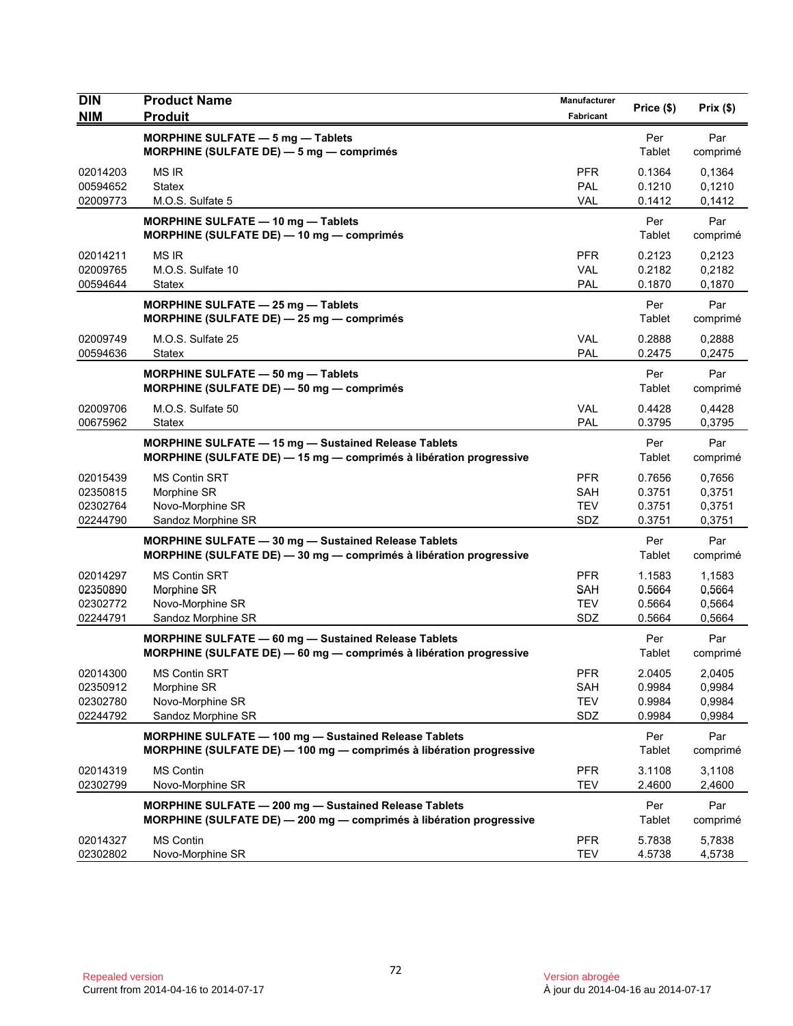| <b>DIN</b>                                   | <b>Product Name</b>                                                                                                                 | Manufacturer                                  | Price (\$)                           | Prix(\$)                             |
|----------------------------------------------|-------------------------------------------------------------------------------------------------------------------------------------|-----------------------------------------------|--------------------------------------|--------------------------------------|
| <b>NIM</b>                                   | <b>Produit</b><br>MORPHINE SULFATE - 5 mg - Tablets<br>MORPHINE (SULFATE DE) - 5 mg - comprimés                                     | Fabricant                                     | Per<br>Tablet                        | Par<br>comprimé                      |
| 02014203<br>00594652<br>02009773             | <b>MS IR</b><br><b>Statex</b><br>M.O.S. Sulfate 5                                                                                   | <b>PFR</b><br>PAL<br><b>VAL</b>               | 0.1364<br>0.1210<br>0.1412           | 0,1364<br>0,1210<br>0,1412           |
|                                              | <b>MORPHINE SULFATE - 10 mg - Tablets</b><br>MORPHINE (SULFATE DE) - 10 mg - comprimés                                              |                                               | Per<br>Tablet                        | Par<br>comprimé                      |
| 02014211<br>02009765<br>00594644             | <b>MS IR</b><br>M.O.S. Sulfate 10<br>Statex                                                                                         | <b>PFR</b><br><b>VAL</b><br>PAL               | 0.2123<br>0.2182<br>0.1870           | 0,2123<br>0,2182<br>0,1870           |
|                                              | MORPHINE SULFATE - 25 mg - Tablets<br>MORPHINE (SULFATE DE) - 25 mg - comprimés                                                     |                                               | Per<br>Tablet                        | Par<br>comprimé                      |
| 02009749<br>00594636                         | M.O.S. Sulfate 25<br>Statex                                                                                                         | <b>VAL</b><br>PAL                             | 0.2888<br>0.2475                     | 0,2888<br>0,2475                     |
|                                              | MORPHINE SULFATE - 50 mg - Tablets<br>MORPHINE (SULFATE DE) - 50 mg - comprimés                                                     |                                               | Per<br>Tablet                        | Par<br>comprimé                      |
| 02009706<br>00675962                         | M.O.S. Sulfate 50<br><b>Statex</b>                                                                                                  | VAL<br>PAL                                    | 0.4428<br>0.3795                     | 0,4428<br>0,3795                     |
|                                              | <b>MORPHINE SULFATE - 15 mg - Sustained Release Tablets</b><br>MORPHINE (SULFATE DE) - 15 mg - comprimés à libération progressive   |                                               | Per<br>Tablet                        | Par<br>comprimé                      |
| 02015439<br>02350815<br>02302764<br>02244790 | <b>MS Contin SRT</b><br>Morphine SR<br>Novo-Morphine SR<br>Sandoz Morphine SR                                                       | <b>PFR</b><br><b>SAH</b><br><b>TEV</b><br>SDZ | 0.7656<br>0.3751<br>0.3751<br>0.3751 | 0,7656<br>0,3751<br>0,3751<br>0,3751 |
|                                              | MORPHINE SULFATE - 30 mg - Sustained Release Tablets<br>MORPHINE (SULFATE DE) - 30 mg - comprimés à libération progressive          |                                               | Per<br>Tablet                        | Par<br>comprimé                      |
| 02014297<br>02350890<br>02302772<br>02244791 | <b>MS Contin SRT</b><br>Morphine SR<br>Novo-Morphine SR<br>Sandoz Morphine SR                                                       | <b>PFR</b><br><b>SAH</b><br><b>TEV</b><br>SDZ | 1.1583<br>0.5664<br>0.5664<br>0.5664 | 1,1583<br>0,5664<br>0,5664<br>0,5664 |
|                                              | <b>MORPHINE SULFATE - 60 mg - Sustained Release Tablets</b><br>MORPHINE (SULFATE DE) - 60 mg - comprimés à libération progressive   |                                               | Per<br>Tablet                        | Par<br>comprimé                      |
| 02014300<br>02350912<br>02302780<br>02244792 | MS Contin SRT<br>Morphine SR<br>Novo-Morphine SR<br>Sandoz Morphine SR                                                              | PFR<br>SAH<br><b>TEV</b><br>SDZ               | 2.0405<br>0.9984<br>0.9984<br>0.9984 | 2,0405<br>0,9984<br>0,9984<br>0,9984 |
|                                              | MORPHINE SULFATE - 100 mg - Sustained Release Tablets<br>MORPHINE (SULFATE DE) $-$ 100 mg $-$ comprimés à libération progressive    |                                               | Per<br>Tablet                        | Par<br>comprimé                      |
| 02014319<br>02302799                         | <b>MS Contin</b><br>Novo-Morphine SR                                                                                                | <b>PFR</b><br><b>TEV</b>                      | 3.1108<br>2.4600                     | 3,1108<br>2,4600                     |
|                                              | <b>MORPHINE SULFATE - 200 mg - Sustained Release Tablets</b><br>MORPHINE (SULFATE DE) - 200 mg - comprimés à libération progressive |                                               | Per<br>Tablet                        | Par<br>comprimé                      |
| 02014327<br>02302802                         | <b>MS Contin</b><br>Novo-Morphine SR                                                                                                | <b>PFR</b><br><b>TEV</b>                      | 5.7838<br>4.5738                     | 5,7838<br>4,5738                     |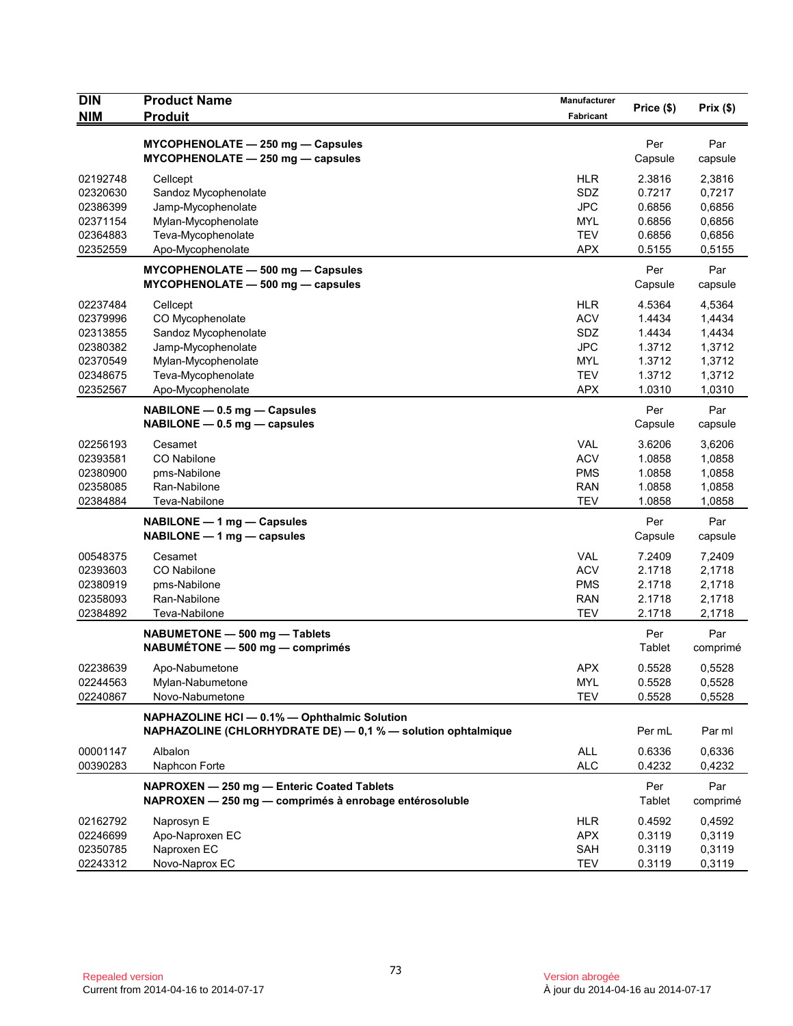| <b>DIN</b> | <b>Product Name</b>                                          | Manufacturer | Price (\$) | Prix (\$) |
|------------|--------------------------------------------------------------|--------------|------------|-----------|
| <b>NIM</b> | <b>Produit</b>                                               | Fabricant    |            |           |
|            | $MYCOPHENOLATE - 250 mg - Capsules$                          |              | Per        | Par       |
|            | MYCOPHENOLATE - 250 mg - capsules                            |              | Capsule    | capsule   |
| 02192748   | Cellcept                                                     | <b>HLR</b>   | 2.3816     | 2,3816    |
| 02320630   | Sandoz Mycophenolate                                         | SDZ          | 0.7217     | 0,7217    |
| 02386399   | Jamp-Mycophenolate                                           | <b>JPC</b>   | 0.6856     | 0,6856    |
| 02371154   | Mylan-Mycophenolate                                          | <b>MYL</b>   | 0.6856     | 0,6856    |
| 02364883   | Teva-Mycophenolate                                           | <b>TEV</b>   | 0.6856     | 0,6856    |
| 02352559   | Apo-Mycophenolate                                            | <b>APX</b>   | 0.5155     | 0,5155    |
|            | MYCOPHENOLATE - 500 mg - Capsules                            |              | Per        | Par       |
|            | $MYCOPHENOLATE - 500 mg - capsules$                          |              | Capsule    | capsule   |
| 02237484   | Cellcept                                                     | <b>HLR</b>   | 4.5364     | 4,5364    |
| 02379996   | CO Mycophenolate                                             | <b>ACV</b>   | 1.4434     | 1,4434    |
| 02313855   | Sandoz Mycophenolate                                         | SDZ          | 1.4434     | 1,4434    |
| 02380382   | Jamp-Mycophenolate                                           | <b>JPC</b>   | 1.3712     | 1,3712    |
| 02370549   | Mylan-Mycophenolate                                          | <b>MYL</b>   | 1.3712     | 1,3712    |
| 02348675   | Teva-Mycophenolate                                           | <b>TEV</b>   | 1.3712     | 1,3712    |
| 02352567   | Apo-Mycophenolate                                            | <b>APX</b>   | 1.0310     | 1,0310    |
|            | NABILONE - 0.5 mg - Capsules                                 |              | Per        | Par       |
|            | $NABILITY - 0.5$ mg - capsules                               |              | Capsule    | capsule   |
| 02256193   | Cesamet                                                      | <b>VAL</b>   | 3.6206     | 3,6206    |
| 02393581   | CO Nabilone                                                  | <b>ACV</b>   | 1.0858     | 1,0858    |
| 02380900   | pms-Nabilone                                                 | <b>PMS</b>   | 1.0858     | 1,0858    |
| 02358085   | Ran-Nabilone                                                 | <b>RAN</b>   | 1.0858     | 1,0858    |
| 02384884   | Teva-Nabilone                                                | TEV          | 1.0858     | 1,0858    |
|            | NABILONE - 1 mg - Capsules                                   |              | Per        | Par       |
|            | $NABILITY - 1 mg - capsules$                                 |              | Capsule    | capsule   |
| 00548375   | Cesamet                                                      | <b>VAL</b>   | 7.2409     | 7,2409    |
| 02393603   | CO Nabilone                                                  | <b>ACV</b>   | 2.1718     | 2,1718    |
| 02380919   | pms-Nabilone                                                 | <b>PMS</b>   | 2.1718     | 2,1718    |
| 02358093   | Ran-Nabilone                                                 | <b>RAN</b>   | 2.1718     | 2,1718    |
| 02384892   | Teva-Nabilone                                                | <b>TEV</b>   | 2.1718     | 2,1718    |
|            | NABUMETONE - 500 mg - Tablets                                |              | Per        | Par       |
|            | NABUMÉTONE - 500 mg - comprimés                              |              | Tablet     | comprimé  |
| 02238639   | Apo-Nabumetone                                               | <b>APX</b>   | 0.5528     | 0,5528    |
| 02244563   | Mylan-Nabumetone                                             | <b>MYL</b>   | 0.5528     | 0,5528    |
| 02240867   | Novo-Nabumetone                                              | <b>TEV</b>   | 0.5528     | 0,5528    |
|            | NAPHAZOLINE HCI - 0.1% - Ophthalmic Solution                 |              |            |           |
|            | NAPHAZOLINE (CHLORHYDRATE DE) - 0,1 % - solution ophtalmique |              | Per mL     | Par ml    |
| 00001147   | Albalon                                                      | <b>ALL</b>   | 0.6336     | 0,6336    |
| 00390283   | Naphcon Forte                                                | <b>ALC</b>   | 0.4232     | 0,4232    |
|            | NAPROXEN - 250 mg - Enteric Coated Tablets                   |              | Per        | Par       |
|            | NAPROXEN - 250 mg - comprimés à enrobage entérosoluble       |              | Tablet     | comprimé  |
| 02162792   | Naprosyn E                                                   | <b>HLR</b>   | 0.4592     | 0,4592    |
| 02246699   | Apo-Naproxen EC                                              | <b>APX</b>   | 0.3119     | 0,3119    |
| 02350785   | Naproxen EC                                                  | SAH          | 0.3119     | 0,3119    |
| 02243312   | Novo-Naprox EC                                               | <b>TEV</b>   | 0.3119     | 0,3119    |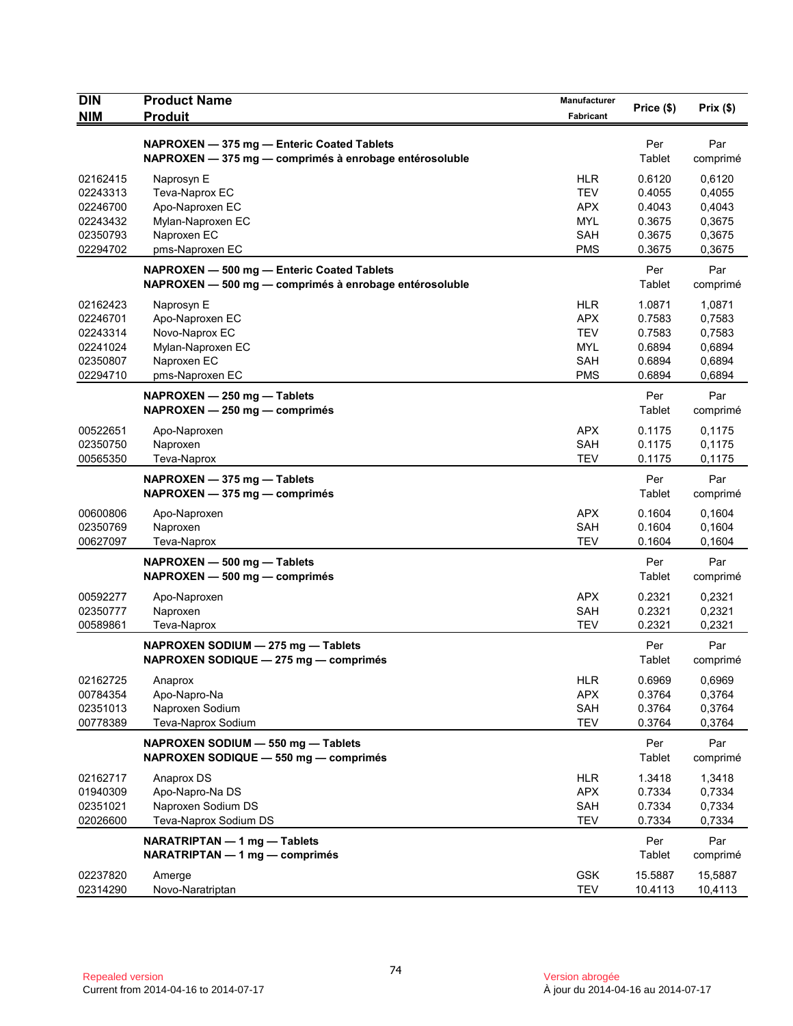| <b>DIN</b>           | <b>Product Name</b>                                                         | <b>Manufacturer</b> | Price (\$)    | Prix(\$)         |
|----------------------|-----------------------------------------------------------------------------|---------------------|---------------|------------------|
| <b>NIM</b>           | <b>Produit</b>                                                              | Fabricant           |               |                  |
|                      | NAPROXEN - 375 mg - Enteric Coated Tablets                                  |                     | Per           | Par              |
|                      | NAPROXEN - 375 mg - comprimés à enrobage entérosoluble                      |                     | Tablet        | comprimé         |
|                      |                                                                             | <b>HLR</b>          | 0.6120        |                  |
| 02162415<br>02243313 | Naprosyn E<br>Teva-Naprox EC                                                | <b>TEV</b>          | 0.4055        | 0,6120<br>0,4055 |
| 02246700             | Apo-Naproxen EC                                                             | <b>APX</b>          | 0.4043        | 0,4043           |
| 02243432             | Mylan-Naproxen EC                                                           | <b>MYL</b>          | 0.3675        | 0,3675           |
| 02350793             | Naproxen EC                                                                 | <b>SAH</b>          | 0.3675        | 0,3675           |
| 02294702             | pms-Naproxen EC                                                             | <b>PMS</b>          | 0.3675        | 0,3675           |
|                      | NAPROXEN - 500 mg - Enteric Coated Tablets                                  |                     | Per           | Par              |
|                      | NAPROXEN - 500 mg - comprimés à enrobage entérosoluble                      |                     | Tablet        | comprimé         |
| 02162423             | Naprosyn E                                                                  | HLR                 | 1.0871        | 1,0871           |
| 02246701             | Apo-Naproxen EC                                                             | <b>APX</b>          | 0.7583        | 0,7583           |
| 02243314             | Novo-Naprox EC                                                              | <b>TEV</b>          | 0.7583        | 0,7583           |
| 02241024             | Mylan-Naproxen EC                                                           | <b>MYL</b>          | 0.6894        | 0,6894           |
| 02350807             | Naproxen EC                                                                 | <b>SAH</b>          | 0.6894        | 0,6894           |
| 02294710             | pms-Naproxen EC                                                             | <b>PMS</b>          | 0.6894        | 0,6894           |
|                      | NAPROXEN - 250 mg - Tablets                                                 |                     | Per           | Par              |
|                      | $NAPROXEN - 250 mg - comprimés$                                             |                     | Tablet        | comprimé         |
| 00522651             | Apo-Naproxen                                                                | <b>APX</b>          | 0.1175        | 0,1175           |
| 02350750             | Naproxen                                                                    | <b>SAH</b>          | 0.1175        | 0,1175           |
| 00565350             | Teva-Naprox                                                                 | <b>TEV</b>          | 0.1175        | 0,1175           |
|                      | NAPROXEN - 375 mg - Tablets                                                 |                     | Per           | Par              |
|                      | $NAPROXEN - 375 mg - comprimés$                                             |                     | Tablet        | comprimé         |
| 00600806             | Apo-Naproxen                                                                | APX                 | 0.1604        | 0,1604           |
| 02350769             | Naproxen                                                                    | <b>SAH</b>          | 0.1604        | 0,1604           |
| 00627097             | Teva-Naprox                                                                 | <b>TEV</b>          | 0.1604        | 0,1604           |
|                      | NAPROXEN - 500 mg - Tablets                                                 |                     | Per           | Par              |
|                      | NAPROXEN - 500 mg - comprimés                                               |                     | Tablet        | comprimé         |
| 00592277             | Apo-Naproxen                                                                | APX                 | 0.2321        | 0,2321           |
| 02350777             | Naproxen                                                                    | <b>SAH</b>          | 0.2321        | 0,2321           |
| 00589861             | Teva-Naprox                                                                 | <b>TEV</b>          | 0.2321        | 0,2321           |
|                      | NAPROXEN SODIUM - 275 mg - Tablets                                          |                     | Per           | Par              |
|                      | NAPROXEN SODIQUE - 275 mg - comprimés                                       |                     | Tablet        | comprimé         |
| 02162725             | Anaprox                                                                     | <b>HLR</b>          | 0.6969        | 0,6969           |
| 00784354             | Apo-Napro-Na                                                                | <b>APX</b>          | 0.3764        | 0,3764           |
| 02351013             | Naproxen Sodium                                                             | SAH                 | 0.3764        | 0,3764           |
| 00778389             | Teva-Naprox Sodium                                                          | <b>TEV</b>          | 0.3764        | 0,3764           |
|                      | NAPROXEN SODIUM - 550 mg - Tablets<br>NAPROXEN SODIQUE - 550 mg - comprimés |                     | Per<br>Tablet | Par<br>comprimé  |
| 02162717             | Anaprox DS                                                                  | <b>HLR</b>          | 1.3418        | 1,3418           |
| 01940309             | Apo-Napro-Na DS                                                             | <b>APX</b>          | 0.7334        | 0,7334           |
| 02351021             | Naproxen Sodium DS                                                          | SAH                 | 0.7334        | 0,7334           |
| 02026600             | Teva-Naprox Sodium DS                                                       | TEV                 | 0.7334        | 0,7334           |
|                      | NARATRIPTAN - 1 mg - Tablets                                                |                     | Per           | Par              |
|                      | $NARATRIPTAN - 1 mg - comprimés$                                            |                     | Tablet        | comprimé         |
| 02237820             | Amerge                                                                      | <b>GSK</b>          | 15.5887       | 15,5887          |
| 02314290             | Novo-Naratriptan                                                            | <b>TEV</b>          | 10.4113       | 10,4113          |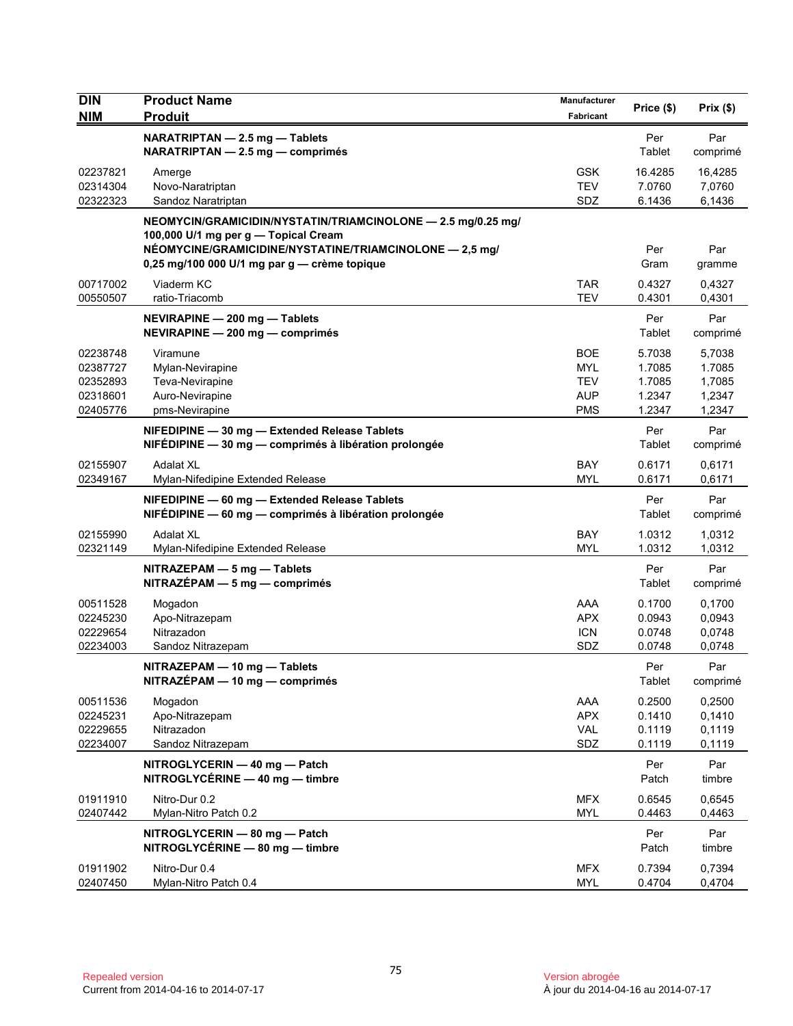| <b>DIN</b><br><b>NIM</b>         | <b>Product Name</b><br><b>Produit</b>                                                                   | Manufacturer<br>Fabricant       | Price (\$)                  | Prix(\$)                    |
|----------------------------------|---------------------------------------------------------------------------------------------------------|---------------------------------|-----------------------------|-----------------------------|
|                                  | NARATRIPTAN - 2.5 mg - Tablets<br>NARATRIPTAN - 2.5 mg - comprimés                                      |                                 | Per<br>Tablet               | Par<br>comprimé             |
| 02237821<br>02314304<br>02322323 | Amerge<br>Novo-Naratriptan<br>Sandoz Naratriptan                                                        | <b>GSK</b><br><b>TEV</b><br>SDZ | 16.4285<br>7.0760<br>6.1436 | 16,4285<br>7,0760<br>6,1436 |
|                                  | NEOMYCIN/GRAMICIDIN/NYSTATIN/TRIAMCINOLONE - 2.5 mg/0.25 mg/<br>100,000 U/1 mg per g - Topical Cream    |                                 |                             |                             |
|                                  | NÉOMYCINE/GRAMICIDINE/NYSTATINE/TRIAMCINOLONE - 2,5 mg/<br>0,25 mg/100 000 U/1 mg par g - crème topique |                                 | Per<br>Gram                 | Par<br>gramme               |
| 00717002<br>00550507             | Viaderm KC<br>ratio-Triacomb                                                                            | <b>TAR</b><br><b>TEV</b>        | 0.4327<br>0.4301            | 0,4327<br>0,4301            |
|                                  | NEVIRAPINE - 200 mg - Tablets<br>NEVIRAPINE - 200 mg - comprimés                                        |                                 | Per<br>Tablet               | Par<br>comprimé             |
| 02238748<br>02387727             | Viramune<br>Mylan-Nevirapine                                                                            | <b>BOE</b><br><b>MYL</b>        | 5.7038<br>1.7085            | 5,7038<br>1.7085            |
| 02352893                         | Teva-Nevirapine                                                                                         | <b>TEV</b>                      | 1.7085                      | 1,7085                      |
| 02318601                         | Auro-Nevirapine                                                                                         | <b>AUP</b>                      | 1.2347                      | 1,2347                      |
| 02405776                         | pms-Nevirapine                                                                                          | <b>PMS</b>                      | 1.2347                      | 1,2347                      |
|                                  | NIFEDIPINE - 30 mg - Extended Release Tablets<br>NIFÉDIPINE - 30 mg - comprimés à libération prolongée  |                                 | Per<br>Tablet               | Par<br>comprimé             |
| 02155907<br>02349167             | <b>Adalat XL</b><br>Mylan-Nifedipine Extended Release                                                   | <b>BAY</b><br><b>MYL</b>        | 0.6171<br>0.6171            | 0,6171<br>0,6171            |
|                                  | NIFEDIPINE - 60 mg - Extended Release Tablets<br>NIFÉDIPINE - 60 mg - comprimés à libération prolongée  |                                 | Per<br>Tablet               | Par<br>comprimé             |
| 02155990<br>02321149             | <b>Adalat XL</b><br>Mylan-Nifedipine Extended Release                                                   | <b>BAY</b><br><b>MYL</b>        | 1.0312<br>1.0312            | 1,0312<br>1,0312            |
|                                  | $NITRAZEPAM - 5 mg - Tables$<br>NITRAZÉPAM - 5 mg - comprimés                                           |                                 | Per<br>Tablet               | Par<br>comprimé             |
| 00511528                         | Mogadon                                                                                                 | AAA                             | 0.1700                      | 0,1700                      |
| 02245230                         | Apo-Nitrazepam                                                                                          | <b>APX</b>                      | 0.0943                      | 0,0943                      |
| 02229654<br>02234003             | Nitrazadon<br>Sandoz Nitrazepam                                                                         | <b>ICN</b><br>SDZ               | 0.0748<br>0.0748            | 0,0748<br>0,0748            |
|                                  | NITRAZEPAM - 10 mg - Tablets<br>$NITRAZÉPAM - 10 mg - comprimés$                                        |                                 | Per<br>Tablet               | Par<br>comprimé             |
| 00511536                         | Mogadon                                                                                                 | AAA                             | 0.2500                      | 0,2500                      |
| 02245231                         | Apo-Nitrazepam                                                                                          | <b>APX</b>                      | 0.1410                      | 0,1410                      |
| 02229655<br>02234007             | Nitrazadon<br>Sandoz Nitrazepam                                                                         | VAL<br>SDZ                      | 0.1119<br>0.1119            | 0,1119<br>0,1119            |
|                                  | NITROGLYCERIN - 40 mg - Patch<br>NITROGLYCÉRINE - 40 mg - timbre                                        |                                 | Per<br>Patch                | Par<br>timbre               |
| 01911910<br>02407442             | Nitro-Dur 0.2<br>Mylan-Nitro Patch 0.2                                                                  | <b>MFX</b><br><b>MYL</b>        | 0.6545<br>0.4463            | 0,6545<br>0,4463            |
|                                  | NITROGLYCERIN - 80 mg - Patch<br>NITROGLYCÉRINE - 80 mg - timbre                                        |                                 | Per<br>Patch                | Par<br>timbre               |
| 01911902<br>02407450             | Nitro-Dur 0.4<br>Mylan-Nitro Patch 0.4                                                                  | <b>MFX</b><br><b>MYL</b>        | 0.7394<br>0.4704            | 0,7394<br>0,4704            |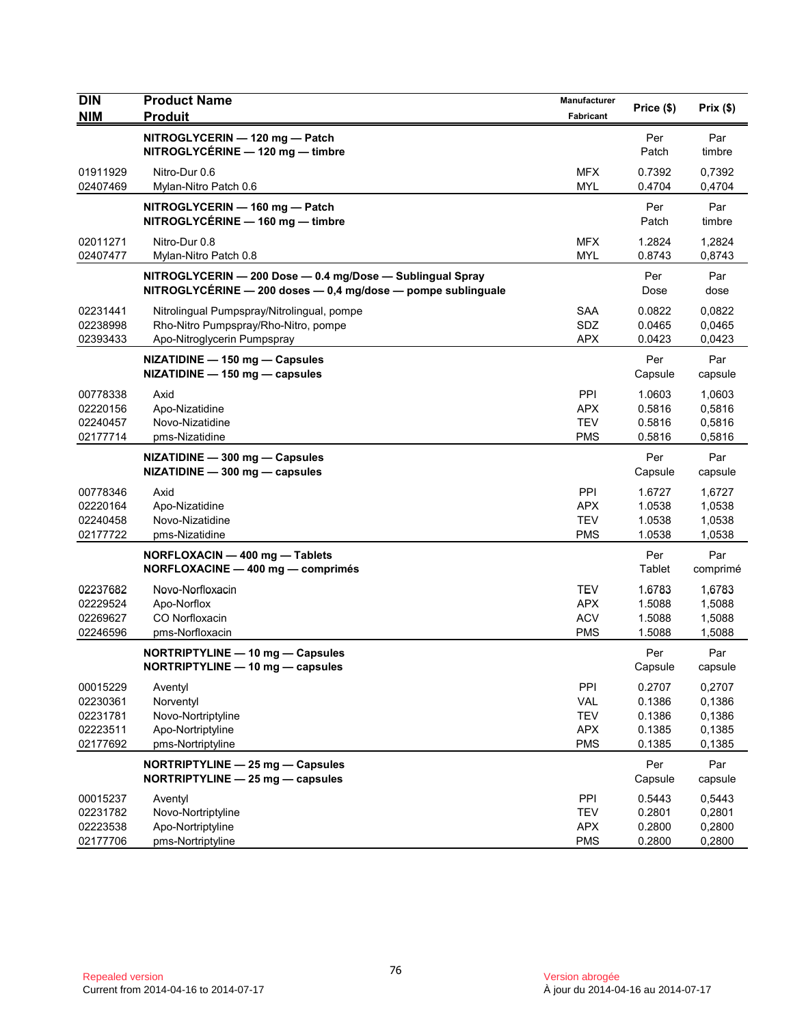| <b>DIN</b><br><b>NIM</b>                                 | <b>Product Name</b><br><b>Produit</b>                                                                                     | <b>Manufacturer</b><br>Fabricant                            | Price (\$)                                     | Prix(\$)                                       |
|----------------------------------------------------------|---------------------------------------------------------------------------------------------------------------------------|-------------------------------------------------------------|------------------------------------------------|------------------------------------------------|
|                                                          | NITROGLYCERIN - 120 mg - Patch<br>NITROGLYCÉRINE - 120 mg - timbre                                                        |                                                             | Per<br>Patch                                   | Par<br>timbre                                  |
| 01911929<br>02407469                                     | Nitro-Dur 0.6<br>Mylan-Nitro Patch 0.6                                                                                    | <b>MFX</b><br>MYL                                           | 0.7392<br>0.4704                               | 0,7392<br>0,4704                               |
|                                                          | NITROGLYCERIN - 160 mg - Patch<br>NITROGLYCÉRINE - 160 mg - timbre                                                        |                                                             | Per<br>Patch                                   | Par<br>timbre                                  |
| 02011271<br>02407477                                     | Nitro-Dur 0.8<br>Mylan-Nitro Patch 0.8                                                                                    | MFX<br><b>MYL</b>                                           | 1.2824<br>0.8743                               | 1,2824<br>0,8743                               |
|                                                          | NITROGLYCERIN - 200 Dose - 0.4 mg/Dose - Sublingual Spray<br>NITROGLYCÉRINE - 200 doses - 0,4 mg/dose - pompe sublinguale |                                                             | Per<br>Dose                                    | Par<br>dose                                    |
| 02231441<br>02238998<br>02393433                         | Nitrolingual Pumpspray/Nitrolingual, pompe<br>Rho-Nitro Pumpspray/Rho-Nitro, pompe<br>Apo-Nitroglycerin Pumpspray         | <b>SAA</b><br>SDZ<br><b>APX</b>                             | 0.0822<br>0.0465<br>0.0423                     | 0,0822<br>0,0465<br>0,0423                     |
|                                                          | NIZATIDINE - 150 mg - Capsules<br>NIZATIDINE - 150 mg - capsules                                                          |                                                             | Per<br>Capsule                                 | Par<br>capsule                                 |
| 00778338<br>02220156<br>02240457<br>02177714             | Axid<br>Apo-Nizatidine<br>Novo-Nizatidine<br>pms-Nizatidine                                                               | <b>PPI</b><br>APX<br>TEV<br><b>PMS</b>                      | 1.0603<br>0.5816<br>0.5816<br>0.5816           | 1,0603<br>0,5816<br>0,5816<br>0,5816           |
|                                                          | NIZATIDINE - 300 mg - Capsules<br>NIZATIDINE - 300 mg - capsules                                                          |                                                             | Per<br>Capsule                                 | Par<br>capsule                                 |
| 00778346<br>02220164<br>02240458<br>02177722             | Axid<br>Apo-Nizatidine<br>Novo-Nizatidine<br>pms-Nizatidine                                                               | <b>PPI</b><br><b>APX</b><br><b>TEV</b><br><b>PMS</b>        | 1.6727<br>1.0538<br>1.0538<br>1.0538           | 1,6727<br>1,0538<br>1,0538<br>1,0538           |
|                                                          | NORFLOXACIN - 400 mg - Tablets<br>NORFLOXACINE - 400 mg - comprimés                                                       |                                                             | Per<br>Tablet                                  | Par<br>comprimé                                |
| 02237682<br>02229524<br>02269627<br>02246596             | Novo-Norfloxacin<br>Apo-Norflox<br>CO Norfloxacin<br>pms-Norfloxacin                                                      | <b>TEV</b><br><b>APX</b><br><b>ACV</b><br><b>PMS</b>        | 1.6783<br>1.5088<br>1.5088<br>1.5088           | 1,6783<br>1,5088<br>1,5088<br>1,5088           |
|                                                          | NORTRIPTYLINE - 10 mg - Capsules<br>NORTRIPTYLINE - 10 mg - capsules                                                      |                                                             | Per<br>Capsule                                 | Par<br>capsule                                 |
| 00015229<br>02230361<br>02231781<br>02223511<br>02177692 | Aventyl<br>Norventyl<br>Novo-Nortriptyline<br>Apo-Nortriptyline<br>pms-Nortriptyline                                      | PPI<br><b>VAL</b><br><b>TEV</b><br><b>APX</b><br><b>PMS</b> | 0.2707<br>0.1386<br>0.1386<br>0.1385<br>0.1385 | 0,2707<br>0,1386<br>0,1386<br>0,1385<br>0,1385 |
|                                                          | NORTRIPTYLINE - 25 mg - Capsules<br>NORTRIPTYLINE - 25 mg - capsules                                                      |                                                             | Per<br>Capsule                                 | Par<br>capsule                                 |
| 00015237<br>02231782<br>02223538<br>02177706             | Aventyl<br>Novo-Nortriptyline<br>Apo-Nortriptyline<br>pms-Nortriptyline                                                   | <b>PPI</b><br><b>TEV</b><br><b>APX</b><br><b>PMS</b>        | 0.5443<br>0.2801<br>0.2800<br>0.2800           | 0,5443<br>0,2801<br>0,2800<br>0,2800           |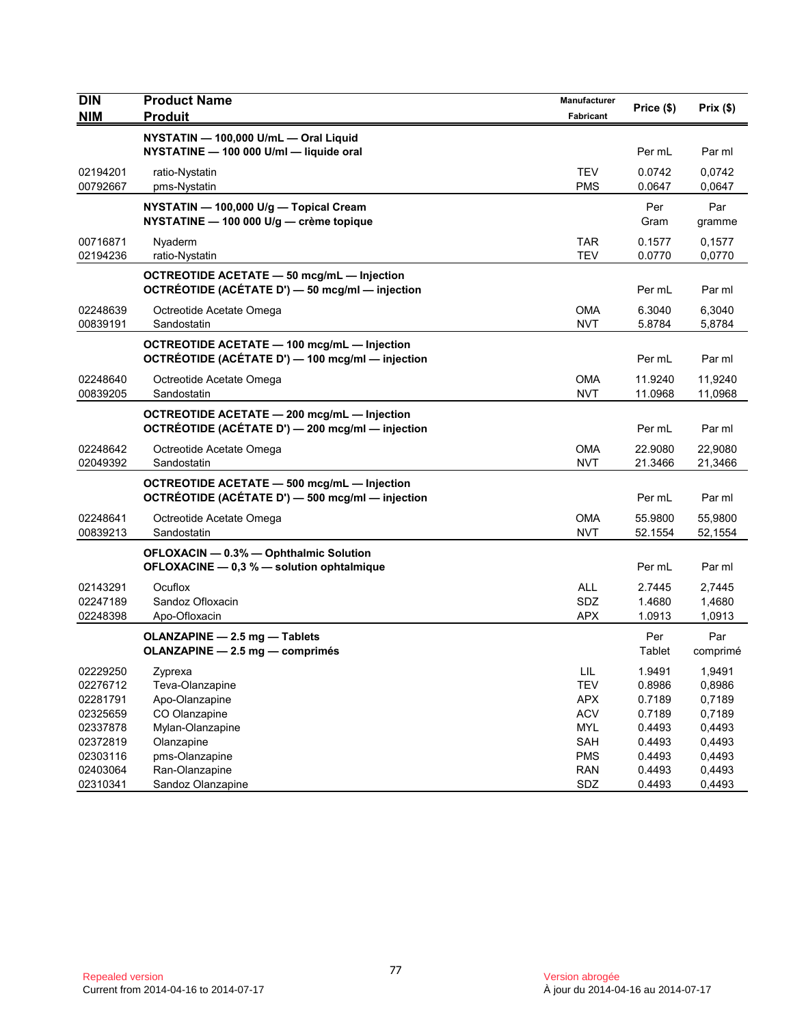| <b>DIN</b><br><b>NIM</b> | <b>Product Name</b><br><b>Produit</b>                                                                | Manufacturer<br>Fabricant   | Price (\$)    | Prix(\$)        |
|--------------------------|------------------------------------------------------------------------------------------------------|-----------------------------|---------------|-----------------|
|                          | NYSTATIN - 100,000 U/mL - Oral Liquid<br>NYSTATINE - 100 000 U/ml - liquide oral                     |                             | Per mL        | Par ml          |
| 02194201                 | ratio-Nystatin                                                                                       | <b>TEV</b>                  | 0.0742        | 0,0742          |
| 00792667                 | pms-Nystatin                                                                                         | <b>PMS</b>                  | 0.0647        | 0,0647          |
|                          | NYSTATIN - 100,000 U/g - Topical Cream<br>NYSTATINE - 100 000 U/g - crème topique                    |                             | Per<br>Gram   | Par<br>gramme   |
| 00716871                 | Nyaderm                                                                                              | <b>TAR</b>                  | 0.1577        | 0,1577          |
| 02194236                 | ratio-Nystatin                                                                                       | <b>TEV</b>                  | 0.0770        | 0,0770          |
|                          | <b>OCTREOTIDE ACETATE - 50 mcg/mL - Injection</b><br>OCTRÉOTIDE (ACÉTATE D') - 50 mcg/ml - injection |                             | Per mL        | Par ml          |
| 02248639                 | Octreotide Acetate Omega                                                                             | <b>OMA</b>                  | 6.3040        | 6,3040          |
| 00839191                 | Sandostatin                                                                                          | <b>NVT</b>                  | 5.8784        | 5,8784          |
|                          | OCTREOTIDE ACETATE - 100 mcg/mL - Injection<br>OCTRÉOTIDE (ACÉTATE D') - 100 mcg/ml - injection      |                             | Per mL        | Par ml          |
| 02248640                 | Octreotide Acetate Omega                                                                             | <b>OMA</b>                  | 11.9240       | 11,9240         |
| 00839205                 | Sandostatin                                                                                          | <b>NVT</b>                  | 11.0968       | 11,0968         |
|                          | OCTREOTIDE ACETATE - 200 mcg/mL - Injection<br>OCTRÉOTIDE (ACÉTATE D') - 200 mcg/ml - injection      |                             | Per mL        | Par ml          |
| 02248642                 | Octreotide Acetate Omega                                                                             | <b>OMA</b>                  | 22.9080       | 22,9080         |
| 02049392                 | Sandostatin                                                                                          | <b>NVT</b>                  | 21.3466       | 21,3466         |
|                          | OCTREOTIDE ACETATE - 500 mcg/mL - Injection<br>OCTRÉOTIDE (ACÉTATE D') - 500 mcg/ml - injection      |                             | Per mL        | Par ml          |
| 02248641                 | Octreotide Acetate Omega                                                                             | OMA                         | 55.9800       | 55,9800         |
| 00839213                 | Sandostatin                                                                                          | <b>NVT</b>                  | 52.1554       | 52,1554         |
|                          | OFLOXACIN - 0.3% - Ophthalmic Solution<br>OFLOXACINE - 0,3 % - solution ophtalmique                  |                             | Per mL        | Par ml          |
| 02143291                 | Ocuflox                                                                                              | <b>ALL</b>                  | 2.7445        | 2,7445          |
| 02247189                 | Sandoz Ofloxacin                                                                                     | SDZ                         | 1.4680        | 1,4680          |
| 02248398                 | Apo-Ofloxacin                                                                                        | <b>APX</b>                  | 1.0913        | 1,0913          |
|                          | OLANZAPINE - 2.5 mg - Tablets<br>OLANZAPINE - 2.5 mg - comprimés                                     |                             | Per<br>Tablet | Par<br>comprimé |
| 02229250                 | Zyprexa                                                                                              | $\ensuremath{\mathsf{LIL}}$ | 1.9491        | 1,9491          |
| 02276712                 | Teva-Olanzapine                                                                                      | <b>TEV</b>                  | 0.8986        | 0,8986          |
| 02281791                 | Apo-Olanzapine                                                                                       | <b>APX</b>                  | 0.7189        | 0,7189          |
| 02325659                 | CO Olanzapine                                                                                        | <b>ACV</b>                  | 0.7189        | 0,7189          |
| 02337878                 | Mylan-Olanzapine                                                                                     | <b>MYL</b>                  | 0.4493        | 0,4493          |
| 02372819                 | Olanzapine                                                                                           | <b>SAH</b>                  | 0.4493        | 0,4493          |
| 02303116                 | pms-Olanzapine                                                                                       | <b>PMS</b>                  | 0.4493        | 0,4493          |
| 02403064                 | Ran-Olanzapine                                                                                       | <b>RAN</b>                  | 0.4493        | 0,4493          |
| 02310341                 | Sandoz Olanzapine                                                                                    | SDZ                         | 0.4493        | 0,4493          |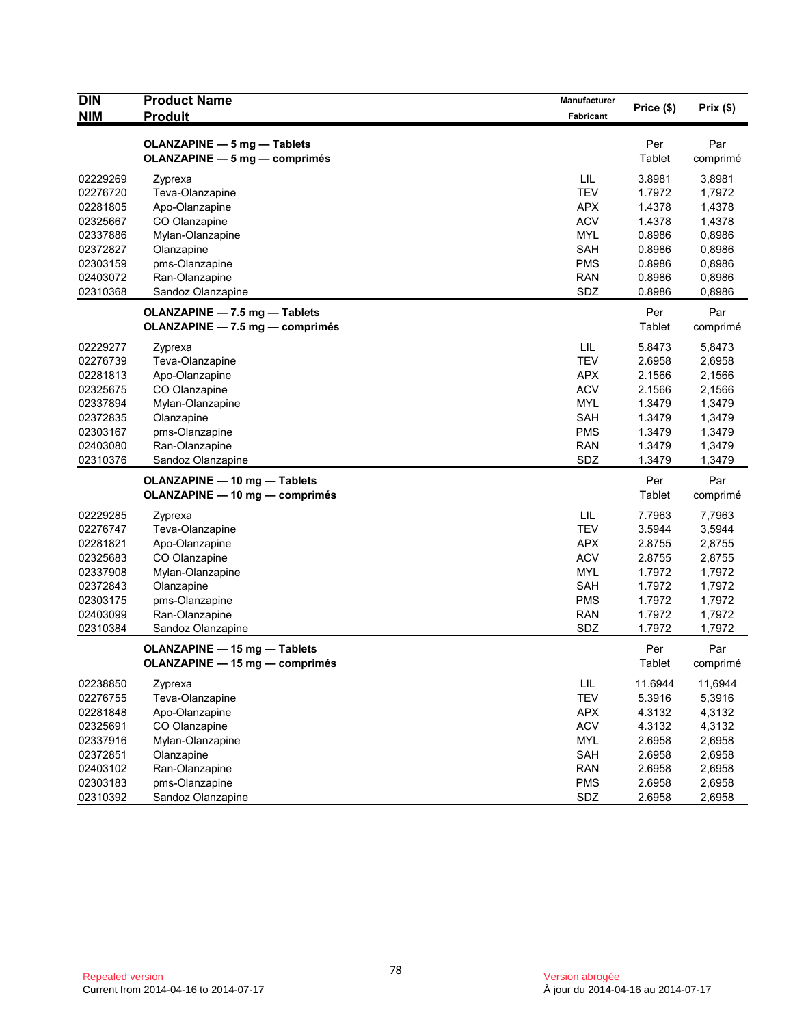| <b>DIN</b> | <b>Product Name</b>                                                 | <b>Manufacturer</b> | Price (\$)    | Prix(\$)        |
|------------|---------------------------------------------------------------------|---------------------|---------------|-----------------|
| <b>NIM</b> | <b>Produit</b>                                                      | Fabricant           |               |                 |
|            | <b>OLANZAPINE - 5 mg - Tablets</b><br>OLANZAPINE - 5 mg - comprimés |                     | Per<br>Tablet | Par<br>comprimé |
| 02229269   | Zyprexa                                                             | LIL                 | 3.8981        | 3,8981          |
| 02276720   | Teva-Olanzapine                                                     | <b>TEV</b>          | 1.7972        | 1,7972          |
| 02281805   | Apo-Olanzapine                                                      | <b>APX</b>          | 1.4378        | 1,4378          |
| 02325667   | CO Olanzapine                                                       | <b>ACV</b>          | 1.4378        | 1,4378          |
| 02337886   | Mylan-Olanzapine                                                    | <b>MYL</b>          | 0.8986        | 0,8986          |
| 02372827   | Olanzapine                                                          | <b>SAH</b>          | 0.8986        | 0,8986          |
| 02303159   | pms-Olanzapine                                                      | <b>PMS</b>          | 0.8986        | 0,8986          |
| 02403072   | Ran-Olanzapine                                                      | <b>RAN</b>          | 0.8986        | 0,8986          |
| 02310368   | Sandoz Olanzapine                                                   | SDZ                 | 0.8986        | 0,8986          |
|            | OLANZAPINE - 7.5 mg - Tablets                                       |                     | Per           | Par             |
|            | OLANZAPINE - 7.5 mg - comprimés                                     |                     | Tablet        | comprimé        |
| 02229277   | Zyprexa                                                             | LIL                 | 5.8473        | 5,8473          |
| 02276739   | Teva-Olanzapine                                                     | <b>TEV</b>          | 2.6958        | 2,6958          |
| 02281813   | Apo-Olanzapine                                                      | <b>APX</b>          | 2.1566        | 2,1566          |
| 02325675   | CO Olanzapine                                                       | <b>ACV</b>          | 2.1566        | 2,1566          |
| 02337894   | Mylan-Olanzapine                                                    | <b>MYL</b>          | 1.3479        | 1,3479          |
| 02372835   | Olanzapine                                                          | <b>SAH</b>          | 1.3479        | 1,3479          |
| 02303167   | pms-Olanzapine                                                      | <b>PMS</b>          | 1.3479        | 1,3479          |
| 02403080   | Ran-Olanzapine                                                      | <b>RAN</b>          | 1.3479        | 1,3479          |
| 02310376   | Sandoz Olanzapine                                                   | SDZ                 | 1.3479        | 1,3479          |
|            | OLANZAPINE - 10 mg - Tablets                                        |                     | Per           | Par             |
|            | OLANZAPINE - 10 mg - comprimés                                      |                     | Tablet        | comprimé        |
| 02229285   | Zyprexa                                                             | LIL                 | 7.7963        | 7,7963          |
| 02276747   | Teva-Olanzapine                                                     | <b>TEV</b>          | 3.5944        | 3,5944          |
| 02281821   | Apo-Olanzapine                                                      | <b>APX</b>          | 2.8755        | 2,8755          |
| 02325683   | CO Olanzapine                                                       | <b>ACV</b>          | 2.8755        | 2,8755          |
| 02337908   | Mylan-Olanzapine                                                    | <b>MYL</b>          | 1.7972        | 1,7972          |
| 02372843   | Olanzapine                                                          | <b>SAH</b>          | 1.7972        | 1,7972          |
| 02303175   | pms-Olanzapine                                                      | <b>PMS</b>          | 1.7972        | 1,7972          |
| 02403099   | Ran-Olanzapine                                                      | <b>RAN</b>          | 1.7972        | 1,7972          |
| 02310384   | Sandoz Olanzapine                                                   | SDZ                 | 1.7972        | 1,7972          |
|            | OLANZAPINE - 15 mg - Tablets                                        |                     | Per           | Par             |
|            | OLANZAPINE - 15 mg - comprimés                                      |                     | Tablet        | comprimé        |
| 02238850   | Zyprexa                                                             | LIL                 | 11.6944       | 11,6944         |
| 02276755   | Teva-Olanzapine                                                     | <b>TEV</b>          | 5.3916        | 5,3916          |
| 02281848   | Apo-Olanzapine                                                      | APX                 | 4.3132        | 4,3132          |
| 02325691   | CO Olanzapine                                                       | <b>ACV</b>          | 4.3132        | 4,3132          |
| 02337916   | Mylan-Olanzapine                                                    | <b>MYL</b>          | 2.6958        | 2,6958          |
| 02372851   | Olanzapine                                                          | SAH                 | 2.6958        | 2,6958          |
| 02403102   | Ran-Olanzapine                                                      | <b>RAN</b>          | 2.6958        | 2,6958          |
| 02303183   | pms-Olanzapine                                                      | <b>PMS</b>          | 2.6958        | 2,6958          |
| 02310392   | Sandoz Olanzapine                                                   | SDZ                 | 2.6958        | 2,6958          |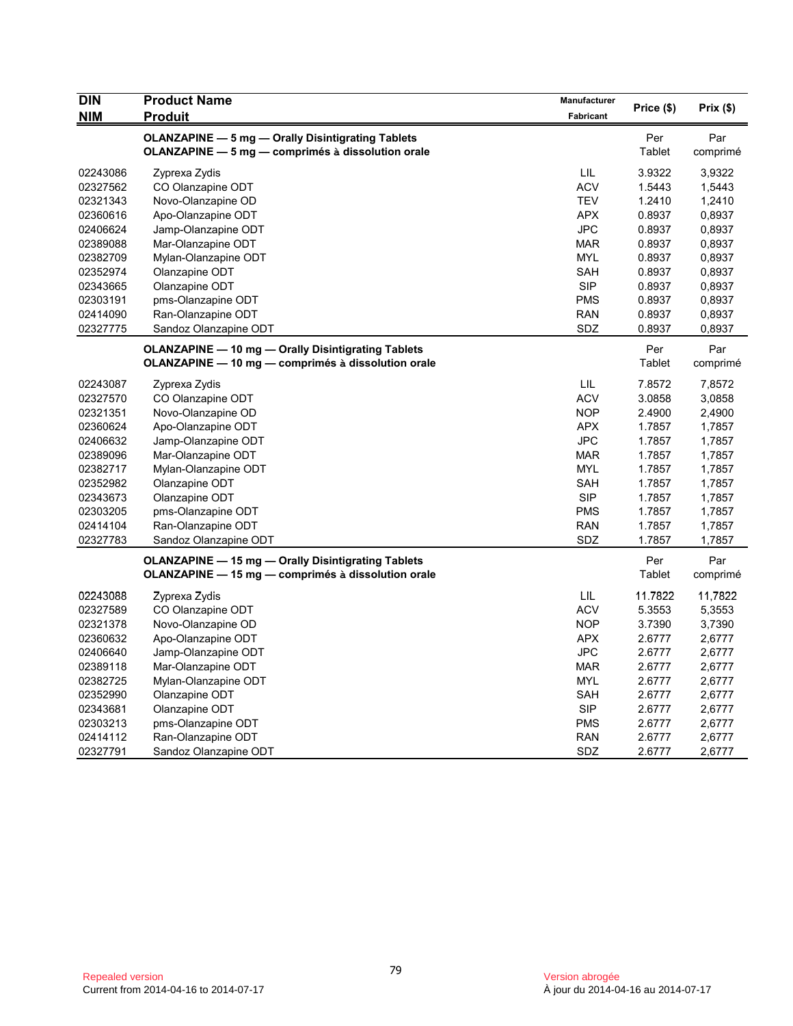| <b>DIN</b> | <b>Product Name</b>                                                                                             | <b>Manufacturer</b> | Price (\$)    | $Prix($ \$)     |
|------------|-----------------------------------------------------------------------------------------------------------------|---------------------|---------------|-----------------|
| <b>NIM</b> | Produit                                                                                                         | Fabricant           |               |                 |
|            | <b>OLANZAPINE - 5 mg - Orally Disintigrating Tablets</b><br>OLANZAPINE - 5 mg - comprimés à dissolution orale   |                     | Per<br>Tablet | Par<br>comprimé |
| 02243086   | Zyprexa Zydis                                                                                                   | LIL                 | 3.9322        | 3,9322          |
| 02327562   | CO Olanzapine ODT                                                                                               | <b>ACV</b>          | 1.5443        | 1,5443          |
| 02321343   | Novo-Olanzapine OD                                                                                              | <b>TEV</b>          | 1.2410        | 1,2410          |
| 02360616   | Apo-Olanzapine ODT                                                                                              | <b>APX</b>          | 0.8937        | 0,8937          |
| 02406624   | Jamp-Olanzapine ODT                                                                                             | <b>JPC</b>          | 0.8937        | 0,8937          |
| 02389088   | Mar-Olanzapine ODT                                                                                              | <b>MAR</b>          | 0.8937        | 0,8937          |
| 02382709   | Mylan-Olanzapine ODT                                                                                            | <b>MYL</b>          | 0.8937        | 0,8937          |
| 02352974   | Olanzapine ODT                                                                                                  | SAH                 | 0.8937        | 0,8937          |
| 02343665   | Olanzapine ODT                                                                                                  | <b>SIP</b>          | 0.8937        | 0,8937          |
| 02303191   | pms-Olanzapine ODT                                                                                              | <b>PMS</b>          | 0.8937        | 0,8937          |
| 02414090   | Ran-Olanzapine ODT                                                                                              | <b>RAN</b>          | 0.8937        | 0,8937          |
| 02327775   | Sandoz Olanzapine ODT                                                                                           | SDZ                 | 0.8937        | 0,8937          |
|            | <b>OLANZAPINE — 10 mg — Orally Disintigrating Tablets</b><br>OLANZAPINE - 10 mg - comprimés à dissolution orale |                     | Per<br>Tablet | Par<br>comprimé |
| 02243087   | Zyprexa Zydis                                                                                                   | LIL                 | 7.8572        | 7,8572          |
| 02327570   | CO Olanzapine ODT                                                                                               | <b>ACV</b>          | 3.0858        | 3,0858          |
| 02321351   | Novo-Olanzapine OD                                                                                              | <b>NOP</b>          | 2.4900        | 2,4900          |
| 02360624   | Apo-Olanzapine ODT                                                                                              | <b>APX</b>          | 1.7857        | 1,7857          |
| 02406632   | Jamp-Olanzapine ODT                                                                                             | JPC                 | 1.7857        | 1,7857          |
| 02389096   | Mar-Olanzapine ODT                                                                                              | <b>MAR</b>          | 1.7857        | 1,7857          |
| 02382717   | Mylan-Olanzapine ODT                                                                                            | <b>MYL</b>          | 1.7857        | 1,7857          |
| 02352982   | Olanzapine ODT                                                                                                  | <b>SAH</b>          | 1.7857        | 1,7857          |
| 02343673   | Olanzapine ODT                                                                                                  | <b>SIP</b>          | 1.7857        | 1,7857          |
| 02303205   | pms-Olanzapine ODT                                                                                              | <b>PMS</b>          | 1.7857        | 1,7857          |
| 02414104   | Ran-Olanzapine ODT                                                                                              | <b>RAN</b>          | 1.7857        | 1,7857          |
| 02327783   | Sandoz Olanzapine ODT                                                                                           | SDZ                 | 1.7857        | 1,7857          |
|            | <b>OLANZAPINE - 15 mg - Orally Disintigrating Tablets</b><br>OLANZAPINE - 15 mg - comprimés à dissolution orale |                     | Per<br>Tablet | Par<br>comprimé |
| 02243088   | Zyprexa Zydis                                                                                                   | LIL                 | 11.7822       | 11,7822         |
| 02327589   | CO Olanzapine ODT                                                                                               | <b>ACV</b>          | 5.3553        | 5,3553          |
| 02321378   | Novo-Olanzapine OD                                                                                              | <b>NOP</b>          | 3.7390        | 3,7390          |
| 02360632   | Apo-Olanzapine ODT                                                                                              | <b>APX</b>          | 2.6777        | 2,6777          |
| 02406640   | Jamp-Olanzapine ODT                                                                                             | <b>JPC</b>          | 2.6777        | 2,6777          |
| 02389118   | Mar-Olanzapine ODT                                                                                              | <b>MAR</b>          | 2.6777        | 2,6777          |
| 02382725   | Mylan-Olanzapine ODT                                                                                            | <b>MYL</b>          | 2.6777        | 2,6777          |
| 02352990   | Olanzapine ODT                                                                                                  | <b>SAH</b>          | 2.6777        | 2,6777          |
| 02343681   | Olanzapine ODT                                                                                                  | <b>SIP</b>          | 2.6777        | 2,6777          |
| 02303213   | pms-Olanzapine ODT                                                                                              | <b>PMS</b>          | 2.6777        | 2,6777          |
| 02414112   | Ran-Olanzapine ODT                                                                                              | <b>RAN</b>          | 2.6777        | 2,6777          |
| 02327791   | Sandoz Olanzapine ODT                                                                                           | SDZ                 | 2.6777        | 2,6777          |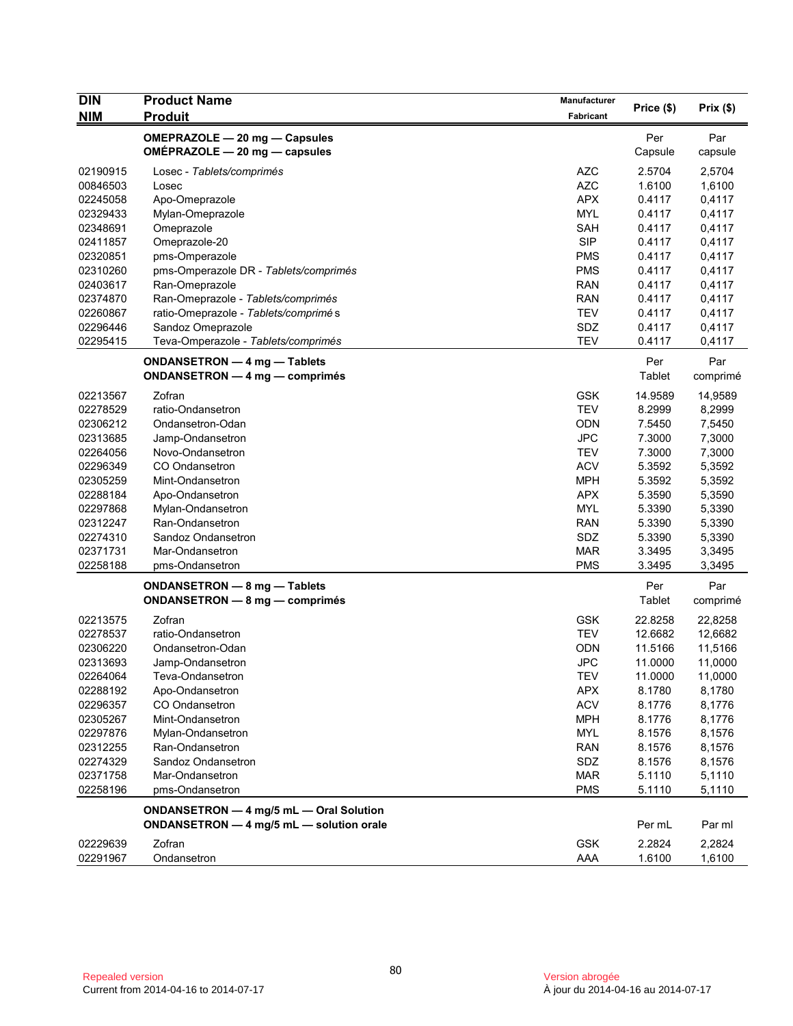| <b>DIN</b> | <b>Product Name</b>                      | Manufacturer |            |           |
|------------|------------------------------------------|--------------|------------|-----------|
| <b>NIM</b> | <b>Produit</b>                           | Fabricant    | Price (\$) | Prix (\$) |
|            | OMEPRAZOLE - 20 mg - Capsules            |              | Per        | Par       |
|            | OMÉPRAZOLE - 20 mg - capsules            |              | Capsule    | capsule   |
| 02190915   | Losec - Tablets/comprimés                | <b>AZC</b>   | 2.5704     | 2,5704    |
| 00846503   | Losec                                    | <b>AZC</b>   | 1.6100     | 1,6100    |
| 02245058   | Apo-Omeprazole                           | <b>APX</b>   | 0.4117     | 0,4117    |
| 02329433   | Mylan-Omeprazole                         | <b>MYL</b>   | 0.4117     | 0,4117    |
| 02348691   | Omeprazole                               | <b>SAH</b>   | 0.4117     | 0,4117    |
| 02411857   | Omeprazole-20                            | <b>SIP</b>   | 0.4117     | 0,4117    |
| 02320851   | pms-Omperazole                           | <b>PMS</b>   | 0.4117     | 0,4117    |
| 02310260   | pms-Omperazole DR - Tablets/comprimés    | <b>PMS</b>   | 0.4117     | 0,4117    |
| 02403617   | Ran-Omeprazole                           | <b>RAN</b>   | 0.4117     | 0,4117    |
| 02374870   | Ran-Omeprazole - Tablets/comprimés       | <b>RAN</b>   | 0.4117     | 0,4117    |
| 02260867   | ratio-Omeprazole - Tablets/comprimés     | <b>TEV</b>   | 0.4117     | 0,4117    |
| 02296446   | Sandoz Omeprazole                        | SDZ          | 0.4117     | 0,4117    |
| 02295415   | Teva-Omperazole - Tablets/comprimés      | <b>TEV</b>   | 0.4117     | 0,4117    |
|            | ONDANSETRON - 4 mg - Tablets             |              | Per        | Par       |
|            | ONDANSETRON - 4 mg - comprimés           |              | Tablet     | comprimé  |
| 02213567   | Zofran                                   | <b>GSK</b>   | 14.9589    | 14,9589   |
| 02278529   | ratio-Ondansetron                        | <b>TEV</b>   | 8.2999     | 8,2999    |
| 02306212   | Ondansetron-Odan                         | <b>ODN</b>   | 7.5450     | 7,5450    |
| 02313685   | Jamp-Ondansetron                         | <b>JPC</b>   | 7.3000     | 7,3000    |
| 02264056   | Novo-Ondansetron                         | <b>TEV</b>   | 7.3000     | 7,3000    |
| 02296349   | <b>CO Ondansetron</b>                    | <b>ACV</b>   | 5.3592     | 5,3592    |
| 02305259   | Mint-Ondansetron                         | <b>MPH</b>   | 5.3592     | 5,3592    |
| 02288184   | Apo-Ondansetron                          | <b>APX</b>   | 5.3590     | 5,3590    |
| 02297868   | Mylan-Ondansetron                        | <b>MYL</b>   | 5.3390     | 5,3390    |
| 02312247   | Ran-Ondansetron                          | <b>RAN</b>   | 5.3390     | 5,3390    |
| 02274310   | Sandoz Ondansetron                       | SDZ          | 5.3390     | 5,3390    |
| 02371731   | Mar-Ondansetron                          | MAR          | 3.3495     | 3,3495    |
| 02258188   | pms-Ondansetron                          | <b>PMS</b>   | 3.3495     | 3,3495    |
|            | ONDANSETRON - 8 mg - Tablets             |              | Per        | Par       |
|            | <b>ONDANSETRON - 8 mg - comprimés</b>    |              | Tablet     | comprimé  |
| 02213575   | Zofran                                   | <b>GSK</b>   | 22.8258    | 22,8258   |
| 02278537   | ratio-Ondansetron                        | <b>TEV</b>   | 12.6682    | 12,6682   |
| 02306220   | Ondansetron-Odan                         | ODN          | 11.5166    | 11,5166   |
| 02313693   | Jamp-Ondansetron                         | <b>JPC</b>   | 11.0000    | 11,0000   |
| 02264064   | Teva-Ondansetron                         | TEV          | 11.0000    | 11,0000   |
| 02288192   | Apo-Ondansetron                          | <b>APX</b>   | 8.1780     | 8,1780    |
| 02296357   | CO Ondansetron                           | <b>ACV</b>   | 8.1776     | 8,1776    |
| 02305267   | Mint-Ondansetron                         | <b>MPH</b>   | 8.1776     | 8,1776    |
| 02297876   | Mylan-Ondansetron                        | <b>MYL</b>   | 8.1576     | 8,1576    |
| 02312255   | Ran-Ondansetron                          | <b>RAN</b>   | 8.1576     | 8,1576    |
| 02274329   | Sandoz Ondansetron                       | SDZ          | 8.1576     | 8,1576    |
| 02371758   | Mar-Ondansetron                          | <b>MAR</b>   | 5.1110     | 5,1110    |
| 02258196   | pms-Ondansetron                          | <b>PMS</b>   | 5.1110     | 5,1110    |
|            | ONDANSETRON - 4 mg/5 mL - Oral Solution  |              |            |           |
|            | ONDANSETRON - 4 mg/5 mL - solution orale |              | Per mL     | Par ml    |
| 02229639   | Zofran                                   | <b>GSK</b>   | 2.2824     | 2,2824    |
| 02291967   | Ondansetron                              | AAA          | 1.6100     | 1,6100    |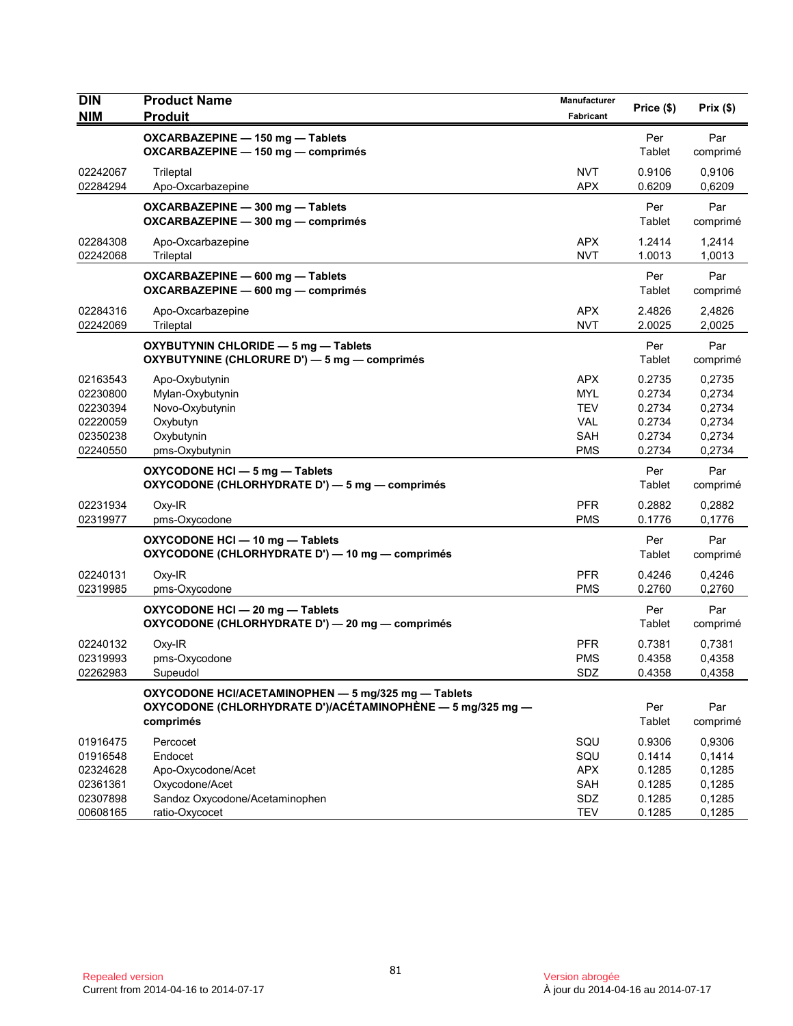| <b>DIN</b>                                                           | <b>Product Name</b>                                                                                                            | Manufacturer                                                                     | Price (\$)                                               | Prix(\$)                                                 |
|----------------------------------------------------------------------|--------------------------------------------------------------------------------------------------------------------------------|----------------------------------------------------------------------------------|----------------------------------------------------------|----------------------------------------------------------|
| <b>NIM</b>                                                           | <b>Produit</b>                                                                                                                 | Fabricant                                                                        |                                                          |                                                          |
|                                                                      | OXCARBAZEPINE - 150 mg - Tablets<br>OXCARBAZEPINE - 150 mg - comprimés                                                         |                                                                                  | Per<br>Tablet                                            | Par<br>comprimé                                          |
| 02242067<br>02284294                                                 | Trileptal<br>Apo-Oxcarbazepine                                                                                                 | <b>NVT</b><br><b>APX</b>                                                         | 0.9106<br>0.6209                                         | 0,9106<br>0,6209                                         |
|                                                                      | OXCARBAZEPINE - 300 mg - Tablets<br>OXCARBAZEPINE - 300 mg - comprimés                                                         |                                                                                  | Per<br>Tablet                                            | Par<br>comprimé                                          |
| 02284308<br>02242068                                                 | Apo-Oxcarbazepine<br>Trileptal                                                                                                 | <b>APX</b><br><b>NVT</b>                                                         | 1.2414<br>1.0013                                         | 1,2414<br>1,0013                                         |
|                                                                      | OXCARBAZEPINE - 600 mg - Tablets<br>OXCARBAZEPINE - 600 mg - comprimés                                                         |                                                                                  | Per<br>Tablet                                            | Par<br>comprimé                                          |
| 02284316<br>02242069                                                 | Apo-Oxcarbazepine<br>Trileptal                                                                                                 | <b>APX</b><br><b>NVT</b>                                                         | 2.4826<br>2.0025                                         | 2,4826<br>2,0025                                         |
|                                                                      | OXYBUTYNIN CHLORIDE - 5 mg - Tablets<br>OXYBUTYNINE (CHLORURE D') - 5 mg - comprimés                                           |                                                                                  | Per<br>Tablet                                            | Par<br>comprimé                                          |
| 02163543<br>02230800<br>02230394<br>02220059<br>02350238<br>02240550 | Apo-Oxybutynin<br>Mylan-Oxybutynin<br>Novo-Oxybutynin<br>Oxybutyn<br>Oxybutynin<br>pms-Oxybutynin                              | <b>APX</b><br><b>MYL</b><br><b>TEV</b><br><b>VAL</b><br><b>SAH</b><br><b>PMS</b> | 0.2735<br>0.2734<br>0.2734<br>0.2734<br>0.2734<br>0.2734 | 0,2735<br>0,2734<br>0,2734<br>0,2734<br>0,2734<br>0,2734 |
|                                                                      | OXYCODONE HCI-5 mg-Tablets<br>OXYCODONE (CHLORHYDRATE D') - 5 mg - comprimés                                                   |                                                                                  | Per<br>Tablet                                            | Par<br>comprimé                                          |
| 02231934<br>02319977                                                 | Oxy-IR<br>pms-Oxycodone                                                                                                        | <b>PFR</b><br><b>PMS</b>                                                         | 0.2882<br>0.1776                                         | 0,2882<br>0,1776                                         |
|                                                                      | OXYCODONE HCI-10 mg-Tablets<br>OXYCODONE (CHLORHYDRATE D') - 10 mg - comprimés                                                 |                                                                                  | Per<br>Tablet                                            | Par<br>comprimé                                          |
| 02240131<br>02319985                                                 | Oxy-IR<br>pms-Oxycodone                                                                                                        | <b>PFR</b><br><b>PMS</b>                                                         | 0.4246<br>0.2760                                         | 0,4246<br>0,2760                                         |
|                                                                      | OXYCODONE HCI-20 mg-Tablets<br>OXYCODONE (CHLORHYDRATE D') - 20 mg - comprimés                                                 |                                                                                  | Per<br>Tablet                                            | Par<br>comprimé                                          |
| 02240132<br>02319993<br>02262983                                     | Oxy-IR<br>pms-Oxycodone<br>Supeudol                                                                                            | <b>PFR</b><br><b>PMS</b><br>SDZ                                                  | 0.7381<br>0.4358<br>0.4358                               | 0,7381<br>0,4358<br>0,4358                               |
|                                                                      | OXYCODONE HCI/ACETAMINOPHEN - 5 mg/325 mg - Tablets<br>OXYCODONE (CHLORHYDRATE D')/ACÉTAMINOPHÈNE — 5 mg/325 mg —<br>comprimés |                                                                                  | Per<br>Tablet                                            | Par<br>comprimé                                          |
| 01916475<br>01916548<br>02324628<br>02361361<br>02307898<br>00608165 | Percocet<br>Endocet<br>Apo-Oxycodone/Acet<br>Oxycodone/Acet<br>Sandoz Oxycodone/Acetaminophen<br>ratio-Oxycocet                | SQU<br>SQU<br><b>APX</b><br>SAH<br>SDZ<br><b>TEV</b>                             | 0.9306<br>0.1414<br>0.1285<br>0.1285<br>0.1285<br>0.1285 | 0,9306<br>0,1414<br>0,1285<br>0,1285<br>0,1285<br>0,1285 |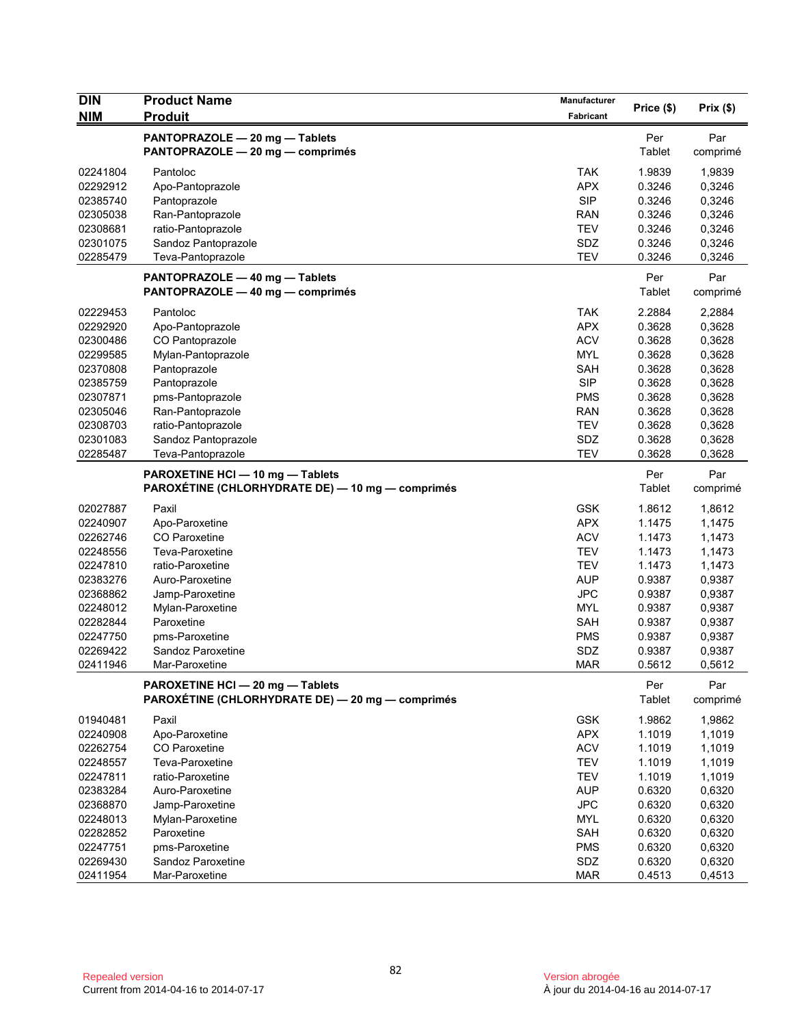| Price (\$)<br>Prix(\$)<br><b>NIM</b><br><b>Produit</b><br>Fabricant<br>PANTOPRAZOLE - 20 mg - Tablets<br>Per<br>Par<br>Tablet<br>PANTOPRAZOLE - 20 mg - comprimés<br>comprimé<br><b>TAK</b><br>1.9839<br>02241804<br>Pantoloc<br>1,9839<br>02292912<br><b>APX</b><br>0.3246<br>0,3246<br>Apo-Pantoprazole<br><b>SIP</b><br>02385740<br>Pantoprazole<br>0.3246<br>0,3246<br>02305038<br>Ran-Pantoprazole<br><b>RAN</b><br>0.3246<br>0,3246<br><b>TEV</b><br>0.3246<br>02308681<br>ratio-Pantoprazole<br>0,3246<br>SDZ<br>0.3246<br>02301075<br>Sandoz Pantoprazole<br>0,3246<br><b>TEV</b><br>02285479<br>Teva-Pantoprazole<br>0.3246<br>0,3246<br>Per<br>Par<br>PANTOPRAZOLE - 40 mg - Tablets<br><b>Tablet</b><br>PANTOPRAZOLE - 40 mg - comprimés<br>comprimé<br>02229453<br><b>TAK</b><br>2.2884<br>Pantoloc<br>2,2884<br>02292920<br><b>APX</b><br>0.3628<br>0,3628<br>Apo-Pantoprazole<br><b>ACV</b><br>0.3628<br>02300486<br>CO Pantoprazole<br>0,3628<br>02299585<br><b>MYL</b><br>0.3628<br>0,3628<br>Mylan-Pantoprazole<br>02370808<br><b>SAH</b><br>0.3628<br>0,3628<br>Pantoprazole<br><b>SIP</b><br>0.3628<br>0,3628<br>02385759<br>Pantoprazole<br>02307871<br><b>PMS</b><br>0.3628<br>0,3628<br>pms-Pantoprazole<br><b>RAN</b><br>0.3628<br>02305046<br>Ran-Pantoprazole<br>0,3628<br>02308703<br><b>TEV</b><br>0.3628<br>ratio-Pantoprazole<br>0,3628<br>02301083<br>SDZ<br>0.3628<br>0,3628<br>Sandoz Pantoprazole<br>02285487<br><b>TEV</b><br>0.3628<br>Teva-Pantoprazole<br>0,3628<br>PAROXETINE HCI - 10 mg - Tablets<br>Per<br>Par<br>PAROXÉTINE (CHLORHYDRATE DE) — 10 mg — comprimés<br>Tablet<br>comprimé<br><b>GSK</b><br>02027887<br>1.8612<br>Paxil<br>1,8612<br><b>APX</b><br>02240907<br>Apo-Paroxetine<br>1.1475<br>1,1475<br><b>ACV</b><br>1.1473<br>02262746<br>CO Paroxetine<br>1,1473<br><b>TEV</b><br>02248556<br>Teva-Paroxetine<br>1.1473<br>1,1473<br><b>TEV</b><br>02247810<br>ratio-Paroxetine<br>1.1473<br>1,1473<br>02383276<br>Auro-Paroxetine<br><b>AUP</b><br>0.9387<br>0,9387<br>02368862<br><b>JPC</b><br>0.9387<br>0,9387<br>Jamp-Paroxetine<br>02248012<br><b>MYL</b><br>0.9387<br>0,9387<br>Mylan-Paroxetine<br>02282844<br>Paroxetine<br><b>SAH</b><br>0.9387<br>0,9387<br><b>PMS</b><br>02247750<br>pms-Paroxetine<br>0.9387<br>0,9387 |
|--------------------------------------------------------------------------------------------------------------------------------------------------------------------------------------------------------------------------------------------------------------------------------------------------------------------------------------------------------------------------------------------------------------------------------------------------------------------------------------------------------------------------------------------------------------------------------------------------------------------------------------------------------------------------------------------------------------------------------------------------------------------------------------------------------------------------------------------------------------------------------------------------------------------------------------------------------------------------------------------------------------------------------------------------------------------------------------------------------------------------------------------------------------------------------------------------------------------------------------------------------------------------------------------------------------------------------------------------------------------------------------------------------------------------------------------------------------------------------------------------------------------------------------------------------------------------------------------------------------------------------------------------------------------------------------------------------------------------------------------------------------------------------------------------------------------------------------------------------------------------------------------------------------------------------------------------------------------------------------------------------------------------------------------------------------------------------------------------------------------------------------------------------------------------------------------------------------------------------------------------------------------------------------------|
|                                                                                                                                                                                                                                                                                                                                                                                                                                                                                                                                                                                                                                                                                                                                                                                                                                                                                                                                                                                                                                                                                                                                                                                                                                                                                                                                                                                                                                                                                                                                                                                                                                                                                                                                                                                                                                                                                                                                                                                                                                                                                                                                                                                                                                                                                            |
|                                                                                                                                                                                                                                                                                                                                                                                                                                                                                                                                                                                                                                                                                                                                                                                                                                                                                                                                                                                                                                                                                                                                                                                                                                                                                                                                                                                                                                                                                                                                                                                                                                                                                                                                                                                                                                                                                                                                                                                                                                                                                                                                                                                                                                                                                            |
|                                                                                                                                                                                                                                                                                                                                                                                                                                                                                                                                                                                                                                                                                                                                                                                                                                                                                                                                                                                                                                                                                                                                                                                                                                                                                                                                                                                                                                                                                                                                                                                                                                                                                                                                                                                                                                                                                                                                                                                                                                                                                                                                                                                                                                                                                            |
|                                                                                                                                                                                                                                                                                                                                                                                                                                                                                                                                                                                                                                                                                                                                                                                                                                                                                                                                                                                                                                                                                                                                                                                                                                                                                                                                                                                                                                                                                                                                                                                                                                                                                                                                                                                                                                                                                                                                                                                                                                                                                                                                                                                                                                                                                            |
|                                                                                                                                                                                                                                                                                                                                                                                                                                                                                                                                                                                                                                                                                                                                                                                                                                                                                                                                                                                                                                                                                                                                                                                                                                                                                                                                                                                                                                                                                                                                                                                                                                                                                                                                                                                                                                                                                                                                                                                                                                                                                                                                                                                                                                                                                            |
|                                                                                                                                                                                                                                                                                                                                                                                                                                                                                                                                                                                                                                                                                                                                                                                                                                                                                                                                                                                                                                                                                                                                                                                                                                                                                                                                                                                                                                                                                                                                                                                                                                                                                                                                                                                                                                                                                                                                                                                                                                                                                                                                                                                                                                                                                            |
|                                                                                                                                                                                                                                                                                                                                                                                                                                                                                                                                                                                                                                                                                                                                                                                                                                                                                                                                                                                                                                                                                                                                                                                                                                                                                                                                                                                                                                                                                                                                                                                                                                                                                                                                                                                                                                                                                                                                                                                                                                                                                                                                                                                                                                                                                            |
|                                                                                                                                                                                                                                                                                                                                                                                                                                                                                                                                                                                                                                                                                                                                                                                                                                                                                                                                                                                                                                                                                                                                                                                                                                                                                                                                                                                                                                                                                                                                                                                                                                                                                                                                                                                                                                                                                                                                                                                                                                                                                                                                                                                                                                                                                            |
|                                                                                                                                                                                                                                                                                                                                                                                                                                                                                                                                                                                                                                                                                                                                                                                                                                                                                                                                                                                                                                                                                                                                                                                                                                                                                                                                                                                                                                                                                                                                                                                                                                                                                                                                                                                                                                                                                                                                                                                                                                                                                                                                                                                                                                                                                            |
|                                                                                                                                                                                                                                                                                                                                                                                                                                                                                                                                                                                                                                                                                                                                                                                                                                                                                                                                                                                                                                                                                                                                                                                                                                                                                                                                                                                                                                                                                                                                                                                                                                                                                                                                                                                                                                                                                                                                                                                                                                                                                                                                                                                                                                                                                            |
|                                                                                                                                                                                                                                                                                                                                                                                                                                                                                                                                                                                                                                                                                                                                                                                                                                                                                                                                                                                                                                                                                                                                                                                                                                                                                                                                                                                                                                                                                                                                                                                                                                                                                                                                                                                                                                                                                                                                                                                                                                                                                                                                                                                                                                                                                            |
|                                                                                                                                                                                                                                                                                                                                                                                                                                                                                                                                                                                                                                                                                                                                                                                                                                                                                                                                                                                                                                                                                                                                                                                                                                                                                                                                                                                                                                                                                                                                                                                                                                                                                                                                                                                                                                                                                                                                                                                                                                                                                                                                                                                                                                                                                            |
|                                                                                                                                                                                                                                                                                                                                                                                                                                                                                                                                                                                                                                                                                                                                                                                                                                                                                                                                                                                                                                                                                                                                                                                                                                                                                                                                                                                                                                                                                                                                                                                                                                                                                                                                                                                                                                                                                                                                                                                                                                                                                                                                                                                                                                                                                            |
|                                                                                                                                                                                                                                                                                                                                                                                                                                                                                                                                                                                                                                                                                                                                                                                                                                                                                                                                                                                                                                                                                                                                                                                                                                                                                                                                                                                                                                                                                                                                                                                                                                                                                                                                                                                                                                                                                                                                                                                                                                                                                                                                                                                                                                                                                            |
|                                                                                                                                                                                                                                                                                                                                                                                                                                                                                                                                                                                                                                                                                                                                                                                                                                                                                                                                                                                                                                                                                                                                                                                                                                                                                                                                                                                                                                                                                                                                                                                                                                                                                                                                                                                                                                                                                                                                                                                                                                                                                                                                                                                                                                                                                            |
|                                                                                                                                                                                                                                                                                                                                                                                                                                                                                                                                                                                                                                                                                                                                                                                                                                                                                                                                                                                                                                                                                                                                                                                                                                                                                                                                                                                                                                                                                                                                                                                                                                                                                                                                                                                                                                                                                                                                                                                                                                                                                                                                                                                                                                                                                            |
|                                                                                                                                                                                                                                                                                                                                                                                                                                                                                                                                                                                                                                                                                                                                                                                                                                                                                                                                                                                                                                                                                                                                                                                                                                                                                                                                                                                                                                                                                                                                                                                                                                                                                                                                                                                                                                                                                                                                                                                                                                                                                                                                                                                                                                                                                            |
|                                                                                                                                                                                                                                                                                                                                                                                                                                                                                                                                                                                                                                                                                                                                                                                                                                                                                                                                                                                                                                                                                                                                                                                                                                                                                                                                                                                                                                                                                                                                                                                                                                                                                                                                                                                                                                                                                                                                                                                                                                                                                                                                                                                                                                                                                            |
|                                                                                                                                                                                                                                                                                                                                                                                                                                                                                                                                                                                                                                                                                                                                                                                                                                                                                                                                                                                                                                                                                                                                                                                                                                                                                                                                                                                                                                                                                                                                                                                                                                                                                                                                                                                                                                                                                                                                                                                                                                                                                                                                                                                                                                                                                            |
|                                                                                                                                                                                                                                                                                                                                                                                                                                                                                                                                                                                                                                                                                                                                                                                                                                                                                                                                                                                                                                                                                                                                                                                                                                                                                                                                                                                                                                                                                                                                                                                                                                                                                                                                                                                                                                                                                                                                                                                                                                                                                                                                                                                                                                                                                            |
|                                                                                                                                                                                                                                                                                                                                                                                                                                                                                                                                                                                                                                                                                                                                                                                                                                                                                                                                                                                                                                                                                                                                                                                                                                                                                                                                                                                                                                                                                                                                                                                                                                                                                                                                                                                                                                                                                                                                                                                                                                                                                                                                                                                                                                                                                            |
|                                                                                                                                                                                                                                                                                                                                                                                                                                                                                                                                                                                                                                                                                                                                                                                                                                                                                                                                                                                                                                                                                                                                                                                                                                                                                                                                                                                                                                                                                                                                                                                                                                                                                                                                                                                                                                                                                                                                                                                                                                                                                                                                                                                                                                                                                            |
|                                                                                                                                                                                                                                                                                                                                                                                                                                                                                                                                                                                                                                                                                                                                                                                                                                                                                                                                                                                                                                                                                                                                                                                                                                                                                                                                                                                                                                                                                                                                                                                                                                                                                                                                                                                                                                                                                                                                                                                                                                                                                                                                                                                                                                                                                            |
|                                                                                                                                                                                                                                                                                                                                                                                                                                                                                                                                                                                                                                                                                                                                                                                                                                                                                                                                                                                                                                                                                                                                                                                                                                                                                                                                                                                                                                                                                                                                                                                                                                                                                                                                                                                                                                                                                                                                                                                                                                                                                                                                                                                                                                                                                            |
|                                                                                                                                                                                                                                                                                                                                                                                                                                                                                                                                                                                                                                                                                                                                                                                                                                                                                                                                                                                                                                                                                                                                                                                                                                                                                                                                                                                                                                                                                                                                                                                                                                                                                                                                                                                                                                                                                                                                                                                                                                                                                                                                                                                                                                                                                            |
|                                                                                                                                                                                                                                                                                                                                                                                                                                                                                                                                                                                                                                                                                                                                                                                                                                                                                                                                                                                                                                                                                                                                                                                                                                                                                                                                                                                                                                                                                                                                                                                                                                                                                                                                                                                                                                                                                                                                                                                                                                                                                                                                                                                                                                                                                            |
|                                                                                                                                                                                                                                                                                                                                                                                                                                                                                                                                                                                                                                                                                                                                                                                                                                                                                                                                                                                                                                                                                                                                                                                                                                                                                                                                                                                                                                                                                                                                                                                                                                                                                                                                                                                                                                                                                                                                                                                                                                                                                                                                                                                                                                                                                            |
|                                                                                                                                                                                                                                                                                                                                                                                                                                                                                                                                                                                                                                                                                                                                                                                                                                                                                                                                                                                                                                                                                                                                                                                                                                                                                                                                                                                                                                                                                                                                                                                                                                                                                                                                                                                                                                                                                                                                                                                                                                                                                                                                                                                                                                                                                            |
|                                                                                                                                                                                                                                                                                                                                                                                                                                                                                                                                                                                                                                                                                                                                                                                                                                                                                                                                                                                                                                                                                                                                                                                                                                                                                                                                                                                                                                                                                                                                                                                                                                                                                                                                                                                                                                                                                                                                                                                                                                                                                                                                                                                                                                                                                            |
|                                                                                                                                                                                                                                                                                                                                                                                                                                                                                                                                                                                                                                                                                                                                                                                                                                                                                                                                                                                                                                                                                                                                                                                                                                                                                                                                                                                                                                                                                                                                                                                                                                                                                                                                                                                                                                                                                                                                                                                                                                                                                                                                                                                                                                                                                            |
|                                                                                                                                                                                                                                                                                                                                                                                                                                                                                                                                                                                                                                                                                                                                                                                                                                                                                                                                                                                                                                                                                                                                                                                                                                                                                                                                                                                                                                                                                                                                                                                                                                                                                                                                                                                                                                                                                                                                                                                                                                                                                                                                                                                                                                                                                            |
|                                                                                                                                                                                                                                                                                                                                                                                                                                                                                                                                                                                                                                                                                                                                                                                                                                                                                                                                                                                                                                                                                                                                                                                                                                                                                                                                                                                                                                                                                                                                                                                                                                                                                                                                                                                                                                                                                                                                                                                                                                                                                                                                                                                                                                                                                            |
|                                                                                                                                                                                                                                                                                                                                                                                                                                                                                                                                                                                                                                                                                                                                                                                                                                                                                                                                                                                                                                                                                                                                                                                                                                                                                                                                                                                                                                                                                                                                                                                                                                                                                                                                                                                                                                                                                                                                                                                                                                                                                                                                                                                                                                                                                            |
|                                                                                                                                                                                                                                                                                                                                                                                                                                                                                                                                                                                                                                                                                                                                                                                                                                                                                                                                                                                                                                                                                                                                                                                                                                                                                                                                                                                                                                                                                                                                                                                                                                                                                                                                                                                                                                                                                                                                                                                                                                                                                                                                                                                                                                                                                            |
|                                                                                                                                                                                                                                                                                                                                                                                                                                                                                                                                                                                                                                                                                                                                                                                                                                                                                                                                                                                                                                                                                                                                                                                                                                                                                                                                                                                                                                                                                                                                                                                                                                                                                                                                                                                                                                                                                                                                                                                                                                                                                                                                                                                                                                                                                            |
| 02269422<br>Sandoz Paroxetine<br>SDZ<br>0.9387<br>0,9387                                                                                                                                                                                                                                                                                                                                                                                                                                                                                                                                                                                                                                                                                                                                                                                                                                                                                                                                                                                                                                                                                                                                                                                                                                                                                                                                                                                                                                                                                                                                                                                                                                                                                                                                                                                                                                                                                                                                                                                                                                                                                                                                                                                                                                   |
| 02411946<br><b>MAR</b><br>0.5612<br>0,5612<br>Mar-Paroxetine                                                                                                                                                                                                                                                                                                                                                                                                                                                                                                                                                                                                                                                                                                                                                                                                                                                                                                                                                                                                                                                                                                                                                                                                                                                                                                                                                                                                                                                                                                                                                                                                                                                                                                                                                                                                                                                                                                                                                                                                                                                                                                                                                                                                                               |
| Per<br>PAROXETINE HCI - 20 mg - Tablets<br>Par                                                                                                                                                                                                                                                                                                                                                                                                                                                                                                                                                                                                                                                                                                                                                                                                                                                                                                                                                                                                                                                                                                                                                                                                                                                                                                                                                                                                                                                                                                                                                                                                                                                                                                                                                                                                                                                                                                                                                                                                                                                                                                                                                                                                                                             |
| PAROXÉTINE (CHLORHYDRATE DE) - 20 mg - comprimés<br>Tablet<br>comprimé                                                                                                                                                                                                                                                                                                                                                                                                                                                                                                                                                                                                                                                                                                                                                                                                                                                                                                                                                                                                                                                                                                                                                                                                                                                                                                                                                                                                                                                                                                                                                                                                                                                                                                                                                                                                                                                                                                                                                                                                                                                                                                                                                                                                                     |
| 01940481<br><b>GSK</b><br>1.9862<br>1,9862<br>Paxil                                                                                                                                                                                                                                                                                                                                                                                                                                                                                                                                                                                                                                                                                                                                                                                                                                                                                                                                                                                                                                                                                                                                                                                                                                                                                                                                                                                                                                                                                                                                                                                                                                                                                                                                                                                                                                                                                                                                                                                                                                                                                                                                                                                                                                        |
| <b>APX</b><br>02240908<br>Apo-Paroxetine<br>1.1019<br>1,1019                                                                                                                                                                                                                                                                                                                                                                                                                                                                                                                                                                                                                                                                                                                                                                                                                                                                                                                                                                                                                                                                                                                                                                                                                                                                                                                                                                                                                                                                                                                                                                                                                                                                                                                                                                                                                                                                                                                                                                                                                                                                                                                                                                                                                               |
| <b>ACV</b><br>02262754<br>CO Paroxetine<br>1.1019<br>1,1019                                                                                                                                                                                                                                                                                                                                                                                                                                                                                                                                                                                                                                                                                                                                                                                                                                                                                                                                                                                                                                                                                                                                                                                                                                                                                                                                                                                                                                                                                                                                                                                                                                                                                                                                                                                                                                                                                                                                                                                                                                                                                                                                                                                                                                |
| 02248557<br>Teva-Paroxetine<br><b>TEV</b><br>1.1019<br>1,1019                                                                                                                                                                                                                                                                                                                                                                                                                                                                                                                                                                                                                                                                                                                                                                                                                                                                                                                                                                                                                                                                                                                                                                                                                                                                                                                                                                                                                                                                                                                                                                                                                                                                                                                                                                                                                                                                                                                                                                                                                                                                                                                                                                                                                              |
| 02247811<br>ratio-Paroxetine<br><b>TEV</b><br>1.1019<br>1,1019                                                                                                                                                                                                                                                                                                                                                                                                                                                                                                                                                                                                                                                                                                                                                                                                                                                                                                                                                                                                                                                                                                                                                                                                                                                                                                                                                                                                                                                                                                                                                                                                                                                                                                                                                                                                                                                                                                                                                                                                                                                                                                                                                                                                                             |
| 02383284<br>Auro-Paroxetine<br><b>AUP</b><br>0.6320<br>0,6320                                                                                                                                                                                                                                                                                                                                                                                                                                                                                                                                                                                                                                                                                                                                                                                                                                                                                                                                                                                                                                                                                                                                                                                                                                                                                                                                                                                                                                                                                                                                                                                                                                                                                                                                                                                                                                                                                                                                                                                                                                                                                                                                                                                                                              |
| <b>JPC</b><br>02368870<br>Jamp-Paroxetine<br>0.6320<br>0,6320                                                                                                                                                                                                                                                                                                                                                                                                                                                                                                                                                                                                                                                                                                                                                                                                                                                                                                                                                                                                                                                                                                                                                                                                                                                                                                                                                                                                                                                                                                                                                                                                                                                                                                                                                                                                                                                                                                                                                                                                                                                                                                                                                                                                                              |
| 02248013<br>Mylan-Paroxetine<br>MYL<br>0.6320<br>0,6320                                                                                                                                                                                                                                                                                                                                                                                                                                                                                                                                                                                                                                                                                                                                                                                                                                                                                                                                                                                                                                                                                                                                                                                                                                                                                                                                                                                                                                                                                                                                                                                                                                                                                                                                                                                                                                                                                                                                                                                                                                                                                                                                                                                                                                    |
| 02282852<br>Paroxetine<br>SAH<br>0.6320<br>0,6320                                                                                                                                                                                                                                                                                                                                                                                                                                                                                                                                                                                                                                                                                                                                                                                                                                                                                                                                                                                                                                                                                                                                                                                                                                                                                                                                                                                                                                                                                                                                                                                                                                                                                                                                                                                                                                                                                                                                                                                                                                                                                                                                                                                                                                          |
| 02247751<br>pms-Paroxetine<br><b>PMS</b><br>0.6320<br>0,6320                                                                                                                                                                                                                                                                                                                                                                                                                                                                                                                                                                                                                                                                                                                                                                                                                                                                                                                                                                                                                                                                                                                                                                                                                                                                                                                                                                                                                                                                                                                                                                                                                                                                                                                                                                                                                                                                                                                                                                                                                                                                                                                                                                                                                               |
| Sandoz Paroxetine<br>02269430<br>SDZ<br>0.6320<br>0,6320                                                                                                                                                                                                                                                                                                                                                                                                                                                                                                                                                                                                                                                                                                                                                                                                                                                                                                                                                                                                                                                                                                                                                                                                                                                                                                                                                                                                                                                                                                                                                                                                                                                                                                                                                                                                                                                                                                                                                                                                                                                                                                                                                                                                                                   |
| 02411954<br>Mar-Paroxetine<br><b>MAR</b><br>0.4513<br>0,4513                                                                                                                                                                                                                                                                                                                                                                                                                                                                                                                                                                                                                                                                                                                                                                                                                                                                                                                                                                                                                                                                                                                                                                                                                                                                                                                                                                                                                                                                                                                                                                                                                                                                                                                                                                                                                                                                                                                                                                                                                                                                                                                                                                                                                               |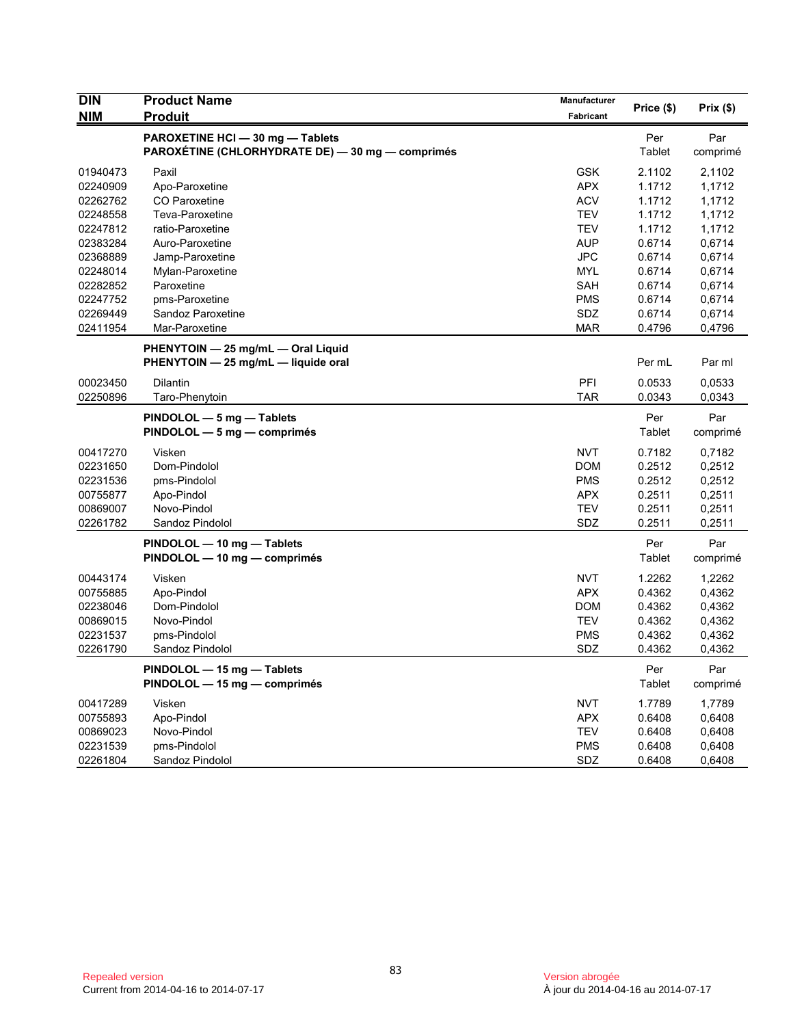| <b>DIN</b> | <b>Product Name</b>                                                                  | Manufacturer | Price (\$)    | $Prix($ \$)     |
|------------|--------------------------------------------------------------------------------------|--------------|---------------|-----------------|
| <b>NIM</b> | <b>Produit</b>                                                                       | Fabricant    |               |                 |
|            | PAROXETINE HCI - 30 mg - Tablets<br>PAROXÉTINE (CHLORHYDRATE DE) — 30 mg — comprimés |              | Per<br>Tablet | Par<br>comprimé |
| 01940473   | Paxil                                                                                | <b>GSK</b>   | 2.1102        | 2,1102          |
| 02240909   | Apo-Paroxetine                                                                       | <b>APX</b>   | 1.1712        | 1,1712          |
| 02262762   | <b>CO Paroxetine</b>                                                                 | <b>ACV</b>   | 1.1712        | 1,1712          |
| 02248558   | Teva-Paroxetine                                                                      | <b>TEV</b>   | 1.1712        | 1,1712          |
| 02247812   | ratio-Paroxetine                                                                     | <b>TEV</b>   | 1.1712        | 1,1712          |
| 02383284   | Auro-Paroxetine                                                                      | <b>AUP</b>   | 0.6714        | 0,6714          |
| 02368889   | Jamp-Paroxetine                                                                      | <b>JPC</b>   | 0.6714        | 0,6714          |
| 02248014   | Mylan-Paroxetine                                                                     | <b>MYL</b>   | 0.6714        | 0,6714          |
| 02282852   | Paroxetine                                                                           | SAH          | 0.6714        | 0,6714          |
| 02247752   | pms-Paroxetine                                                                       | <b>PMS</b>   | 0.6714        | 0,6714          |
| 02269449   | Sandoz Paroxetine                                                                    | SDZ          | 0.6714        | 0,6714          |
| 02411954   | Mar-Paroxetine                                                                       | <b>MAR</b>   | 0.4796        | 0,4796          |
|            | PHENYTOIN - 25 mg/mL - Oral Liquid                                                   |              |               |                 |
|            | PHENYTOIN - 25 mg/mL - liquide oral                                                  |              | Per mL        | Par ml          |
| 00023450   | <b>Dilantin</b>                                                                      | PFI          | 0.0533        | 0.0533          |
| 02250896   | Taro-Phenytoin                                                                       | <b>TAR</b>   | 0.0343        | 0,0343          |
|            | PINDOLOL - 5 mg - Tablets                                                            |              | Per           | Par             |
|            | PINDOLOL - 5 mg - comprimés                                                          |              | Tablet        | comprimé        |
| 00417270   | Visken                                                                               | <b>NVT</b>   | 0.7182        | 0,7182          |
| 02231650   | Dom-Pindolol                                                                         | <b>DOM</b>   | 0.2512        | 0,2512          |
| 02231536   | pms-Pindolol                                                                         | <b>PMS</b>   | 0.2512        | 0,2512          |
| 00755877   | Apo-Pindol                                                                           | <b>APX</b>   | 0.2511        | 0,2511          |
| 00869007   | Novo-Pindol                                                                          | TEV          | 0.2511        | 0,2511          |
| 02261782   | Sandoz Pindolol                                                                      | SDZ          | 0.2511        | 0,2511          |
|            | PINDOLOL - 10 mg - Tablets                                                           |              | Per           | Par             |
|            | PINDOLOL - 10 mg - comprimés                                                         |              | Tablet        | comprimé        |
| 00443174   | Visken                                                                               | <b>NVT</b>   | 1.2262        | 1,2262          |
| 00755885   | Apo-Pindol                                                                           | <b>APX</b>   | 0.4362        | 0,4362          |
| 02238046   | Dom-Pindolol                                                                         | <b>DOM</b>   | 0.4362        | 0,4362          |
| 00869015   | Novo-Pindol                                                                          | <b>TEV</b>   | 0.4362        | 0,4362          |
| 02231537   | pms-Pindolol                                                                         | <b>PMS</b>   | 0.4362        | 0,4362          |
| 02261790   | Sandoz Pindolol                                                                      | SDZ          | 0.4362        | 0,4362          |
|            | PINDOLOL - 15 mg - Tablets                                                           |              | Per           | Par             |
|            | PINDOLOL - 15 mg - comprimés                                                         |              | Tablet        | comprimé        |
| 00417289   | Visken                                                                               | <b>NVT</b>   | 1.7789        | 1,7789          |
| 00755893   | Apo-Pindol                                                                           | <b>APX</b>   | 0.6408        | 0,6408          |
| 00869023   | Novo-Pindol                                                                          | <b>TEV</b>   | 0.6408        | 0,6408          |
| 02231539   | pms-Pindolol                                                                         | <b>PMS</b>   | 0.6408        | 0,6408          |
| 02261804   | Sandoz Pindolol                                                                      | SDZ          | 0.6408        | 0,6408          |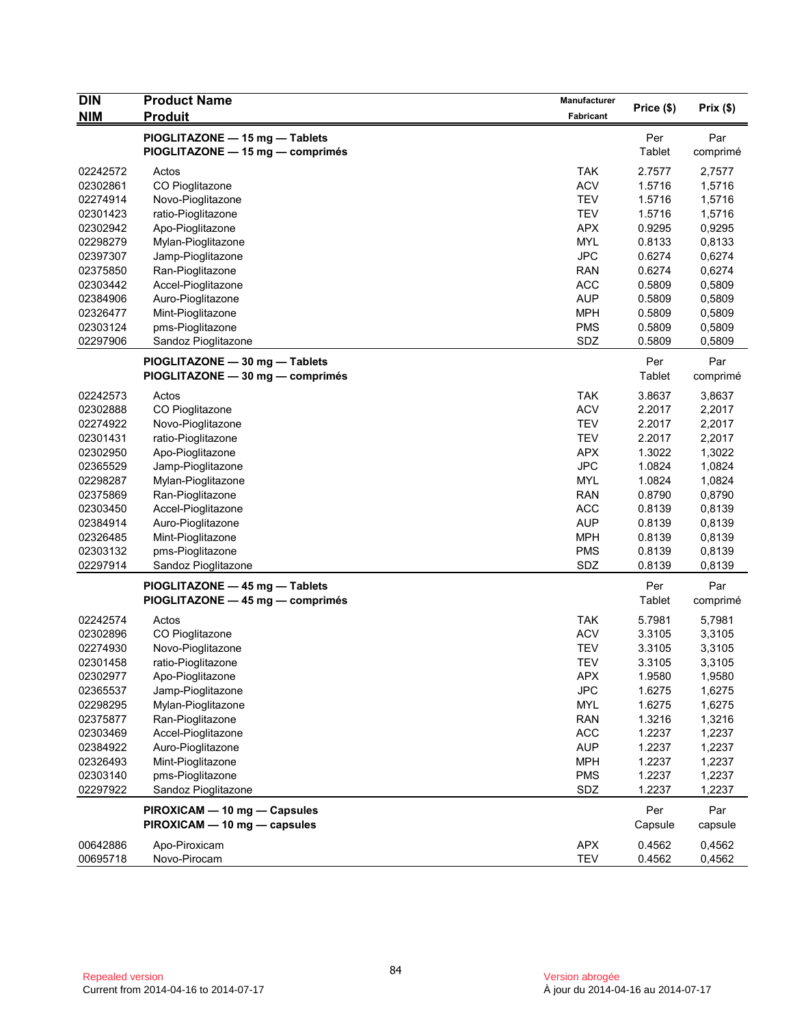| <b>DIN</b> | <b>Product Name</b>              | Manufacturer |            | $Prix($ \$) |
|------------|----------------------------------|--------------|------------|-------------|
| <b>NIM</b> | <b>Produit</b>                   | Fabricant    | Price (\$) |             |
|            | PIOGLITAZONE - 15 mg - Tablets   |              | Per        | Par         |
|            | PIOGLITAZONE - 15 mg - comprimés |              | Tablet     | comprimé    |
| 02242572   | Actos                            | <b>TAK</b>   | 2.7577     | 2,7577      |
| 02302861   | CO Pioglitazone                  | <b>ACV</b>   | 1.5716     | 1,5716      |
| 02274914   | Novo-Pioglitazone                | <b>TEV</b>   | 1.5716     | 1,5716      |
| 02301423   | ratio-Pioglitazone               | <b>TEV</b>   | 1.5716     | 1,5716      |
| 02302942   | Apo-Pioglitazone                 | <b>APX</b>   | 0.9295     | 0,9295      |
| 02298279   | Mylan-Pioglitazone               | <b>MYL</b>   | 0.8133     | 0,8133      |
| 02397307   | Jamp-Pioglitazone                | <b>JPC</b>   | 0.6274     | 0,6274      |
| 02375850   | Ran-Pioglitazone                 | <b>RAN</b>   | 0.6274     | 0,6274      |
| 02303442   | Accel-Pioglitazone               | <b>ACC</b>   | 0.5809     | 0,5809      |
| 02384906   | Auro-Pioglitazone                | <b>AUP</b>   | 0.5809     | 0,5809      |
| 02326477   | Mint-Pioglitazone                | <b>MPH</b>   | 0.5809     | 0,5809      |
| 02303124   | pms-Pioglitazone                 | <b>PMS</b>   | 0.5809     | 0,5809      |
| 02297906   | Sandoz Pioglitazone              | SDZ          | 0.5809     | 0,5809      |
|            | PIOGLITAZONE - 30 mg - Tablets   |              | Per        | Par         |
|            | PIOGLITAZONE - 30 mg - comprimés |              | Tablet     | comprimé    |
| 02242573   | Actos                            | <b>TAK</b>   | 3.8637     | 3,8637      |
| 02302888   | CO Pioglitazone                  | <b>ACV</b>   | 2.2017     | 2,2017      |
| 02274922   | Novo-Pioglitazone                | <b>TEV</b>   | 2.2017     | 2,2017      |
| 02301431   | ratio-Pioglitazone               | <b>TEV</b>   | 2.2017     | 2,2017      |
| 02302950   | Apo-Pioglitazone                 | <b>APX</b>   | 1.3022     | 1,3022      |
| 02365529   | Jamp-Pioglitazone                | <b>JPC</b>   | 1.0824     | 1,0824      |
| 02298287   | Mylan-Pioglitazone               | <b>MYL</b>   | 1.0824     | 1,0824      |
| 02375869   | Ran-Pioglitazone                 | <b>RAN</b>   | 0.8790     | 0,8790      |
| 02303450   | Accel-Pioglitazone               | <b>ACC</b>   | 0.8139     | 0,8139      |
| 02384914   | Auro-Pioglitazone                | <b>AUP</b>   | 0.8139     | 0,8139      |
| 02326485   | Mint-Pioglitazone                | <b>MPH</b>   | 0.8139     | 0,8139      |
| 02303132   | pms-Pioglitazone                 | <b>PMS</b>   | 0.8139     | 0,8139      |
| 02297914   | Sandoz Pioglitazone              | SDZ          | 0.8139     | 0,8139      |
|            | PIOGLITAZONE - 45 mg - Tablets   |              | Per        | Par         |
|            | PIOGLITAZONE - 45 mg - comprimés |              | Tablet     | comprimé    |
| 02242574   | Actos                            | <b>TAK</b>   | 5.7981     | 5,7981      |
| 02302896   | CO Pioglitazone                  | <b>ACV</b>   | 3.3105     | 3,3105      |
| 02274930   | Novo-Pioglitazone                | <b>TEV</b>   | 3.3105     | 3,3105      |
| 02301458   | ratio-Pioglitazone               | TEV          | 3.3105     | 3,3105      |
| 02302977   | Apo-Pioglitazone                 | <b>APX</b>   | 1.9580     | 1,9580      |
| 02365537   | Jamp-Pioglitazone                | <b>JPC</b>   | 1.6275     | 1,6275      |
| 02298295   | Mylan-Pioglitazone               | <b>MYL</b>   | 1.6275     | 1,6275      |
| 02375877   | Ran-Pioglitazone                 | <b>RAN</b>   | 1.3216     | 1,3216      |
| 02303469   | Accel-Pioglitazone               | <b>ACC</b>   | 1.2237     | 1,2237      |
| 02384922   | Auro-Pioglitazone                | <b>AUP</b>   | 1.2237     | 1,2237      |
| 02326493   | Mint-Pioglitazone                | <b>MPH</b>   | 1.2237     | 1,2237      |
| 02303140   | pms-Pioglitazone                 | <b>PMS</b>   | 1.2237     | 1,2237      |
| 02297922   | Sandoz Pioglitazone              | SDZ          | 1.2237     | 1,2237      |
|            | PIROXICAM - 10 mg - Capsules     |              | Per        | Par         |
|            | PIROXICAM - 10 mg - capsules     |              | Capsule    | capsule     |
| 00642886   | Apo-Piroxicam                    | <b>APX</b>   | 0.4562     | 0,4562      |
| 00695718   | Novo-Pirocam                     | <b>TEV</b>   | 0.4562     | 0,4562      |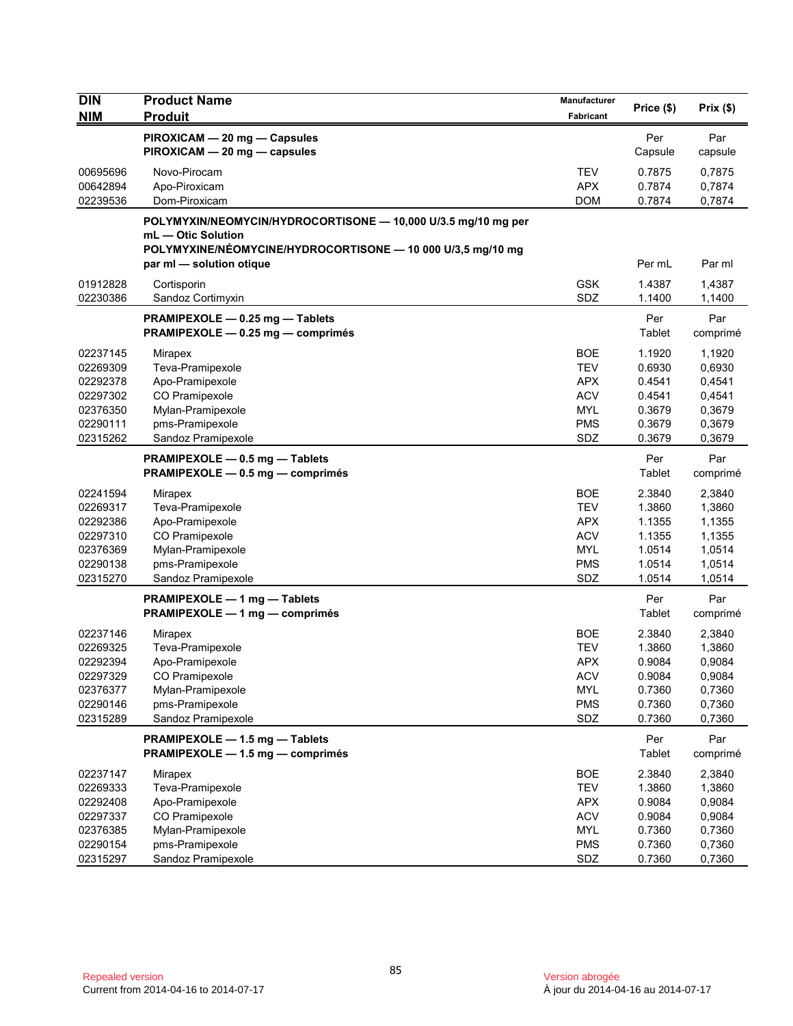| <b>DIN</b>           | <b>Product Name</b>                                                | Manufacturer      | Price (\$)       | Prix(\$)         |
|----------------------|--------------------------------------------------------------------|-------------------|------------------|------------------|
| <b>NIM</b>           | <b>Produit</b>                                                     | Fabricant         |                  |                  |
|                      | PIROXICAM - 20 mg - Capsules                                       |                   | Per              | Par              |
|                      | PIROXICAM - 20 mg - capsules                                       |                   | Capsule          | capsule          |
| 00695696             | Novo-Pirocam                                                       | <b>TEV</b>        | 0.7875           | 0,7875           |
| 00642894             | Apo-Piroxicam                                                      | <b>APX</b>        | 0.7874           | 0,7874           |
| 02239536             | Dom-Piroxicam                                                      | <b>DOM</b>        | 0.7874           | 0,7874           |
|                      | POLYMYXIN/NEOMYCIN/HYDROCORTISONE - 10,000 U/3.5 mg/10 mg per      |                   |                  |                  |
|                      | mL - Otic Solution                                                 |                   |                  |                  |
|                      | POLYMYXINE/NÉOMYCINE/HYDROCORTISONE - 10 000 U/3,5 mg/10 mg        |                   |                  | Par ml           |
|                      | par ml - solution otique                                           |                   | Per mL           |                  |
| 01912828             | Cortisporin                                                        | <b>GSK</b>        | 1.4387           | 1,4387           |
| 02230386             | Sandoz Cortimyxin                                                  | SDZ               | 1.1400           | 1,1400           |
|                      | PRAMIPEXOLE - 0.25 mg - Tablets                                    |                   | Per              | Par              |
|                      | PRAMIPEXOLE - 0.25 mg - comprimés                                  |                   | Tablet           | comprimé         |
| 02237145             | <b>Mirapex</b>                                                     | <b>BOE</b>        | 1.1920           | 1,1920           |
| 02269309             | Teva-Pramipexole                                                   | <b>TEV</b>        | 0.6930           | 0,6930           |
| 02292378             | Apo-Pramipexole                                                    | <b>APX</b>        | 0.4541           | 0,4541           |
| 02297302             | CO Pramipexole                                                     | <b>ACV</b>        | 0.4541           | 0,4541           |
| 02376350             | Mylan-Pramipexole                                                  | <b>MYL</b>        | 0.3679           | 0,3679           |
| 02290111<br>02315262 | pms-Pramipexole<br>Sandoz Pramipexole                              | <b>PMS</b><br>SDZ | 0.3679<br>0.3679 | 0,3679<br>0,3679 |
|                      |                                                                    |                   |                  |                  |
|                      | PRAMIPEXOLE - 0.5 mg - Tablets<br>PRAMIPEXOLE - 0.5 mg - comprimés |                   | Per<br>Tablet    | Par<br>comprimé  |
| 02241594             | Mirapex                                                            | <b>BOE</b>        | 2.3840           | 2,3840           |
| 02269317             | Teva-Pramipexole                                                   | <b>TEV</b>        | 1.3860           | 1,3860           |
| 02292386             | Apo-Pramipexole                                                    | <b>APX</b>        | 1.1355           | 1,1355           |
| 02297310             | CO Pramipexole                                                     | <b>ACV</b>        | 1.1355           | 1,1355           |
| 02376369             | Mylan-Pramipexole                                                  | <b>MYL</b>        | 1.0514           | 1,0514           |
| 02290138<br>02315270 | pms-Pramipexole<br>Sandoz Pramipexole                              | <b>PMS</b><br>SDZ | 1.0514<br>1.0514 | 1,0514<br>1,0514 |
|                      |                                                                    |                   |                  |                  |
|                      | PRAMIPEXOLE - 1 mg - Tablets<br>PRAMIPEXOLE - 1 mg - comprimés     |                   | Per<br>Tablet    | Par<br>comprimé  |
| 02237146             | <b>Mirapex</b>                                                     | <b>BOE</b>        | 2.3840           | 2,3840           |
| 02269325             | Teva-Pramipexole                                                   | <b>TEV</b>        | 1.3860           | 1,3860           |
| 02292394             | Apo-Pramipexole                                                    | <b>APX</b>        | 0.9084           | 0,9084           |
| 02297329             | CO Pramipexole                                                     | <b>ACV</b>        | 0.9084           | 0,9084           |
| 02376377             | Mylan-Pramipexole                                                  | <b>MYL</b>        | 0.7360           | 0,7360           |
| 02290146             | pms-Pramipexole                                                    | <b>PMS</b>        | 0.7360           | 0,7360           |
| 02315289             | Sandoz Pramipexole                                                 | SDZ               | 0.7360           | 0,7360           |
|                      | PRAMIPEXOLE - 1.5 mg - Tablets                                     |                   | Per              | Par              |
|                      | PRAMIPEXOLE - 1.5 mg - comprimés                                   |                   | Tablet           | comprimé         |
| 02237147             | <b>Mirapex</b>                                                     | <b>BOE</b>        | 2.3840           | 2,3840           |
| 02269333             | Teva-Pramipexole                                                   | <b>TEV</b>        | 1.3860           | 1,3860           |
| 02292408             | Apo-Pramipexole                                                    | <b>APX</b>        | 0.9084           | 0,9084           |
| 02297337             | CO Pramipexole                                                     | <b>ACV</b>        | 0.9084           | 0,9084           |
| 02376385             | Mylan-Pramipexole                                                  | <b>MYL</b>        | 0.7360           | 0,7360           |
| 02290154             | pms-Pramipexole                                                    | <b>PMS</b>        | 0.7360           | 0,7360           |
| 02315297             | Sandoz Pramipexole                                                 | SDZ               | 0.7360           | 0,7360           |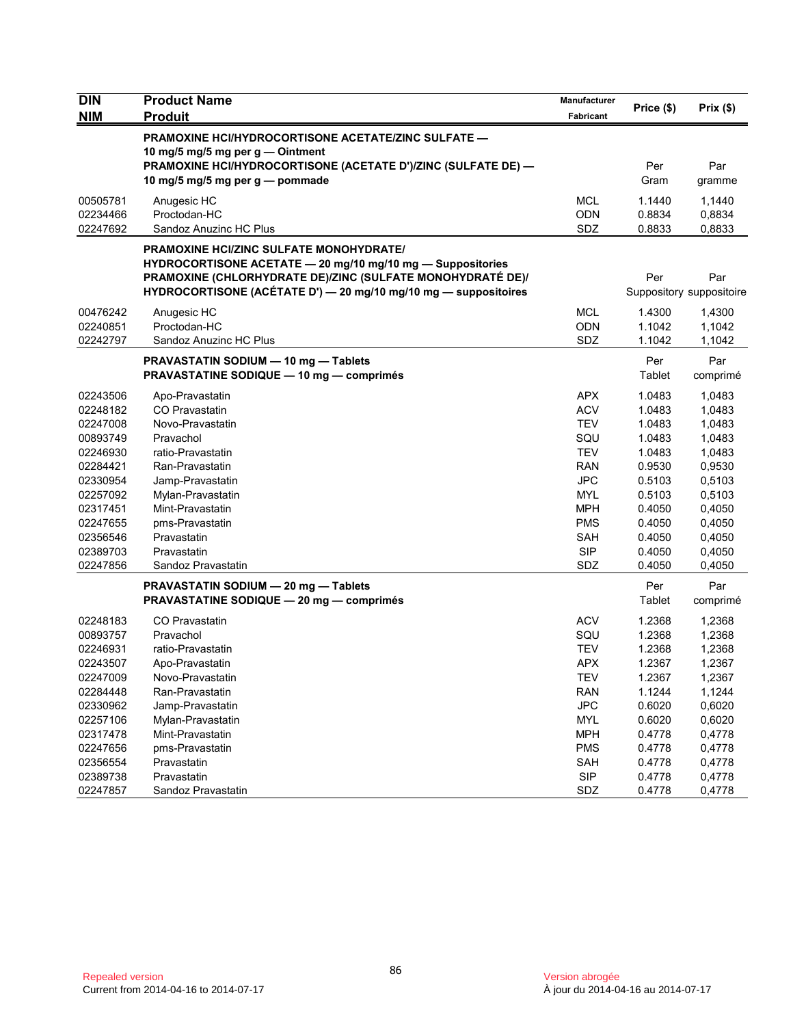| <b>DIN</b> | <b>Product Name</b>                                                                                                                                                                                                                           | Manufacturer     |               |                                 |
|------------|-----------------------------------------------------------------------------------------------------------------------------------------------------------------------------------------------------------------------------------------------|------------------|---------------|---------------------------------|
| <b>NIM</b> | <b>Produit</b>                                                                                                                                                                                                                                | <b>Fabricant</b> | Price (\$)    | Prix (\$)                       |
|            | <b>PRAMOXINE HCI/HYDROCORTISONE ACETATE/ZINC SULFATE -</b><br>10 mg/5 mg/5 mg per g - Ointment<br>PRAMOXINE HCI/HYDROCORTISONE (ACETATE D')/ZINC (SULFATE DE) —<br>10 mg/5 mg/5 mg per g - pommade                                            |                  | Per<br>Gram   | Par<br>gramme                   |
| 00505781   | Anugesic HC                                                                                                                                                                                                                                   | <b>MCL</b>       | 1.1440        | 1,1440                          |
| 02234466   | Proctodan-HC                                                                                                                                                                                                                                  | <b>ODN</b>       | 0.8834        | 0,8834                          |
| 02247692   | Sandoz Anuzinc HC Plus                                                                                                                                                                                                                        | SDZ              | 0.8833        | 0,8833                          |
|            | <b>PRAMOXINE HCI/ZINC SULFATE MONOHYDRATE/</b><br>HYDROCORTISONE ACETATE - 20 mg/10 mg/10 mg - Suppositories<br>PRAMOXINE (CHLORHYDRATE DE)/ZINC (SULFATE MONOHYDRATÉ DE)/<br>HYDROCORTISONE (ACÉTATE D') - 20 mg/10 mg/10 mg - suppositoires |                  | Per           | Par<br>Suppository suppositoire |
| 00476242   | Anugesic HC                                                                                                                                                                                                                                   | <b>MCL</b>       | 1.4300        | 1,4300                          |
| 02240851   | Proctodan-HC                                                                                                                                                                                                                                  | <b>ODN</b>       | 1.1042        | 1,1042                          |
| 02242797   | Sandoz Anuzinc HC Plus                                                                                                                                                                                                                        | SDZ              | 1.1042        | 1,1042                          |
|            | PRAVASTATIN SODIUM - 10 mg - Tablets<br><b>PRAVASTATINE SODIQUE - 10 mg - comprimés</b>                                                                                                                                                       |                  | Per<br>Tablet | Par<br>comprimé                 |
| 02243506   | Apo-Pravastatin                                                                                                                                                                                                                               | <b>APX</b>       | 1.0483        | 1,0483                          |
| 02248182   | <b>CO Pravastatin</b>                                                                                                                                                                                                                         | <b>ACV</b>       | 1.0483        | 1,0483                          |
| 02247008   | Novo-Pravastatin                                                                                                                                                                                                                              | <b>TEV</b>       | 1.0483        | 1,0483                          |
| 00893749   | Pravachol                                                                                                                                                                                                                                     | SQU              | 1.0483        | 1,0483                          |
| 02246930   | ratio-Pravastatin                                                                                                                                                                                                                             | TEV              | 1.0483        | 1,0483                          |
| 02284421   | Ran-Pravastatin                                                                                                                                                                                                                               | <b>RAN</b>       | 0.9530        | 0,9530                          |
| 02330954   | Jamp-Pravastatin                                                                                                                                                                                                                              | <b>JPC</b>       | 0.5103        | 0,5103                          |
| 02257092   | Mylan-Pravastatin                                                                                                                                                                                                                             | <b>MYL</b>       | 0.5103        | 0,5103                          |
| 02317451   | Mint-Pravastatin                                                                                                                                                                                                                              | <b>MPH</b>       | 0.4050        | 0,4050                          |
| 02247655   | pms-Pravastatin                                                                                                                                                                                                                               | <b>PMS</b>       | 0.4050        | 0,4050                          |
| 02356546   | Pravastatin                                                                                                                                                                                                                                   | SAH              | 0.4050        | 0,4050                          |
| 02389703   | Pravastatin                                                                                                                                                                                                                                   | <b>SIP</b>       | 0.4050        | 0,4050                          |
| 02247856   | Sandoz Pravastatin                                                                                                                                                                                                                            | SDZ              | 0.4050        | 0,4050                          |
|            | PRAVASTATIN SODIUM - 20 mg - Tablets<br><b>PRAVASTATINE SODIQUE - 20 mg - comprimés</b>                                                                                                                                                       |                  | Per<br>Tablet | Par<br>comprimé                 |
| 02248183   | CO Pravastatin                                                                                                                                                                                                                                | <b>ACV</b>       | 1.2368        | 1,2368                          |
| 00893757   | Pravachol                                                                                                                                                                                                                                     | SQU              | 1.2368        | 1,2368                          |
| 02246931   | ratio-Pravastatin                                                                                                                                                                                                                             | <b>TEV</b>       | 1.2368        | 1,2368                          |
| 02243507   | Apo-Pravastatin                                                                                                                                                                                                                               | APX              | 1.2367        | 1,2367                          |
| 02247009   | Novo-Pravastatin                                                                                                                                                                                                                              | TEV              | 1.2367        | 1,2367                          |
| 02284448   | Ran-Pravastatin                                                                                                                                                                                                                               | <b>RAN</b>       | 1.1244        | 1,1244                          |
| 02330962   | Jamp-Pravastatin                                                                                                                                                                                                                              | JPC              | 0.6020        | 0,6020                          |
| 02257106   | Mylan-Pravastatin                                                                                                                                                                                                                             | MYL              | 0.6020        | 0,6020                          |
| 02317478   | Mint-Pravastatin                                                                                                                                                                                                                              | <b>MPH</b>       | 0.4778        | 0,4778                          |
| 02247656   | pms-Pravastatin                                                                                                                                                                                                                               | <b>PMS</b>       | 0.4778        | 0,4778                          |
| 02356554   | Pravastatin                                                                                                                                                                                                                                   | SAH              | 0.4778        | 0,4778                          |
| 02389738   | Pravastatin                                                                                                                                                                                                                                   | <b>SIP</b>       | 0.4778        | 0,4778                          |
| 02247857   | Sandoz Pravastatin                                                                                                                                                                                                                            | SDZ              | 0.4778        | 0,4778                          |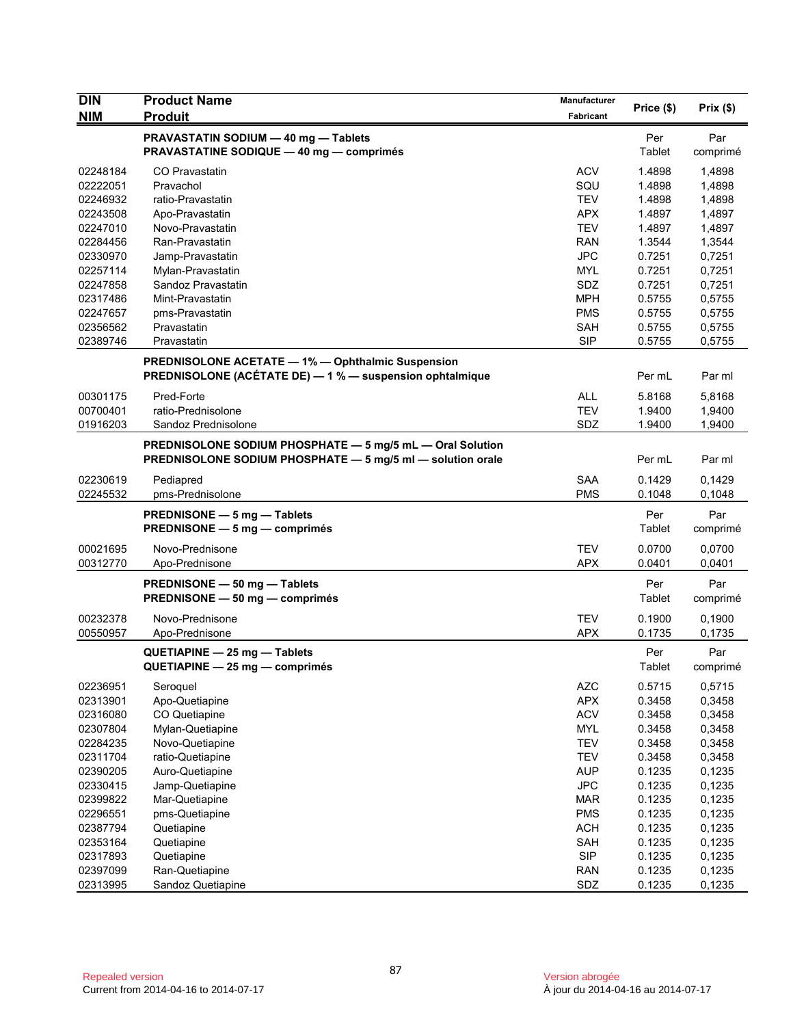| PRAVASTATIN SODIUM - 40 mg - Tablets<br>Per<br>Par<br><b>PRAVASTATINE SODIQUE - 40 mg - comprimés</b><br>Tablet<br>comprimé<br><b>CO Pravastatin</b><br><b>ACV</b><br>1.4898<br>02248184<br>1,4898<br>02222051<br>SQU<br>1.4898<br>1,4898<br>Pravachol<br>ratio-Pravastatin<br><b>TEV</b><br>02246932<br>1.4898<br>1,4898<br>02243508<br>Apo-Pravastatin<br><b>APX</b><br>1.4897<br>1,4897<br>02247010<br>Novo-Pravastatin<br><b>TEV</b><br>1.4897<br>1,4897<br>02284456<br>Ran-Pravastatin<br><b>RAN</b><br>1.3544<br>1,3544<br><b>JPC</b><br>0.7251<br>0,7251<br>02330970<br>Jamp-Pravastatin<br>02257114<br>Mylan-Pravastatin<br><b>MYL</b><br>0.7251<br>0,7251<br>02247858<br>Sandoz Pravastatin<br>SDZ<br>0.7251<br>0,7251<br>Mint-Pravastatin<br><b>MPH</b><br>0.5755<br>0,5755<br>02317486<br><b>PMS</b><br>0.5755<br>0,5755<br>02247657<br>pms-Pravastatin<br>02356562<br>Pravastatin<br>SAH<br>0.5755<br>0,5755<br><b>SIP</b><br>02389746<br>Pravastatin<br>0.5755<br>0,5755<br><b>PREDNISOLONE ACETATE - 1% - Ophthalmic Suspension</b><br>PREDNISOLONE (ACÉTATE DE) - 1 % - suspension ophtalmique<br>Per mL<br>Par ml<br>Pred-Forte<br><b>ALL</b><br>5.8168<br>5,8168<br>00301175<br><b>TEV</b><br>00700401<br>ratio-Prednisolone<br>1.9400<br>1,9400<br>01916203<br>SDZ<br>1.9400<br>1,9400<br>Sandoz Prednisolone<br>PREDNISOLONE SODIUM PHOSPHATE - 5 mg/5 mL - Oral Solution<br>PREDNISOLONE SODIUM PHOSPHATE - 5 mg/5 ml - solution orale<br>Per mL<br>Par ml<br><b>SAA</b><br>0,1429<br>02230619<br>Pediapred<br>0.1429<br>02245532<br><b>PMS</b><br>0.1048<br>pms-Prednisolone<br>0,1048<br>Per<br>Par<br>PREDNISONE - 5 mg - Tablets<br>Tablet<br><b>PREDNISONE <math>-5</math> mg <math>-</math> comprimes</b><br>comprimé<br>00021695<br><b>TEV</b><br>0.0700<br>Novo-Prednisone<br>0,0700<br>00312770<br><b>APX</b><br>Apo-Prednisone<br>0.0401<br>0,0401<br>Per<br>Par<br>PREDNISONE - 50 mg - Tablets<br>Tablet<br>PREDNISONE - 50 mg - comprimés<br>comprimé<br>00232378<br><b>TEV</b><br>Novo-Prednisone<br>0.1900<br>0,1900<br><b>APX</b><br>0.1735<br>00550957<br>Apo-Prednisone<br>0,1735<br>Per<br>QUETIAPINE - 25 mg - Tablets<br>Par<br>QUETIAPINE - 25 mg - comprimés<br>Tablet<br>comprimé<br><b>AZC</b><br>02236951<br>Seroquel<br>0.5715<br>0,5715<br><b>APX</b><br>0.3458<br>02313901<br>Apo-Quetiapine<br>0,3458<br><b>ACV</b><br>02316080<br>CO Quetiapine<br>0.3458<br>0,3458<br><b>MYL</b><br>02307804<br>Mylan-Quetiapine<br>0.3458<br>0,3458<br><b>TEV</b><br>02284235<br>Novo-Quetiapine<br>0.3458<br>0,3458<br><b>TEV</b><br>0,3458<br>02311704<br>ratio-Quetiapine<br>0.3458<br><b>AUP</b><br>0,1235<br>02390205<br>Auro-Quetiapine<br>0.1235<br>02330415<br>Jamp-Quetiapine<br><b>JPC</b><br>0.1235<br>0,1235<br>02399822<br>Mar-Quetiapine<br><b>MAR</b><br>0.1235<br>0,1235<br><b>PMS</b><br>02296551<br>pms-Quetiapine<br>0.1235<br>0,1235<br><b>ACH</b><br>0,1235<br>02387794<br>Quetiapine<br>0.1235 | <b>DIN</b><br><b>NIM</b> | <b>Product Name</b><br><b>Produit</b> | Manufacturer<br>Fabricant | Price (\$) | Prix(\$) |
|-----------------------------------------------------------------------------------------------------------------------------------------------------------------------------------------------------------------------------------------------------------------------------------------------------------------------------------------------------------------------------------------------------------------------------------------------------------------------------------------------------------------------------------------------------------------------------------------------------------------------------------------------------------------------------------------------------------------------------------------------------------------------------------------------------------------------------------------------------------------------------------------------------------------------------------------------------------------------------------------------------------------------------------------------------------------------------------------------------------------------------------------------------------------------------------------------------------------------------------------------------------------------------------------------------------------------------------------------------------------------------------------------------------------------------------------------------------------------------------------------------------------------------------------------------------------------------------------------------------------------------------------------------------------------------------------------------------------------------------------------------------------------------------------------------------------------------------------------------------------------------------------------------------------------------------------------------------------------------------------------------------------------------------------------------------------------------------------------------------------------------------------------------------------------------------------------------------------------------------------------------------------------------------------------------------------------------------------------------------------------------------------------------------------------------------------------------------------------------------------------------------------------------------------------------------------------------------------------------------------------------------------------------------------------------------------------------------------------------------------------------------------------------------------------------------------------------------------------------------------------------------------------------------------------------------------------------------|--------------------------|---------------------------------------|---------------------------|------------|----------|
|                                                                                                                                                                                                                                                                                                                                                                                                                                                                                                                                                                                                                                                                                                                                                                                                                                                                                                                                                                                                                                                                                                                                                                                                                                                                                                                                                                                                                                                                                                                                                                                                                                                                                                                                                                                                                                                                                                                                                                                                                                                                                                                                                                                                                                                                                                                                                                                                                                                                                                                                                                                                                                                                                                                                                                                                                                                                                                                                                           |                          |                                       |                           |            |          |
|                                                                                                                                                                                                                                                                                                                                                                                                                                                                                                                                                                                                                                                                                                                                                                                                                                                                                                                                                                                                                                                                                                                                                                                                                                                                                                                                                                                                                                                                                                                                                                                                                                                                                                                                                                                                                                                                                                                                                                                                                                                                                                                                                                                                                                                                                                                                                                                                                                                                                                                                                                                                                                                                                                                                                                                                                                                                                                                                                           |                          |                                       |                           |            |          |
|                                                                                                                                                                                                                                                                                                                                                                                                                                                                                                                                                                                                                                                                                                                                                                                                                                                                                                                                                                                                                                                                                                                                                                                                                                                                                                                                                                                                                                                                                                                                                                                                                                                                                                                                                                                                                                                                                                                                                                                                                                                                                                                                                                                                                                                                                                                                                                                                                                                                                                                                                                                                                                                                                                                                                                                                                                                                                                                                                           |                          |                                       |                           |            |          |
|                                                                                                                                                                                                                                                                                                                                                                                                                                                                                                                                                                                                                                                                                                                                                                                                                                                                                                                                                                                                                                                                                                                                                                                                                                                                                                                                                                                                                                                                                                                                                                                                                                                                                                                                                                                                                                                                                                                                                                                                                                                                                                                                                                                                                                                                                                                                                                                                                                                                                                                                                                                                                                                                                                                                                                                                                                                                                                                                                           |                          |                                       |                           |            |          |
|                                                                                                                                                                                                                                                                                                                                                                                                                                                                                                                                                                                                                                                                                                                                                                                                                                                                                                                                                                                                                                                                                                                                                                                                                                                                                                                                                                                                                                                                                                                                                                                                                                                                                                                                                                                                                                                                                                                                                                                                                                                                                                                                                                                                                                                                                                                                                                                                                                                                                                                                                                                                                                                                                                                                                                                                                                                                                                                                                           |                          |                                       |                           |            |          |
|                                                                                                                                                                                                                                                                                                                                                                                                                                                                                                                                                                                                                                                                                                                                                                                                                                                                                                                                                                                                                                                                                                                                                                                                                                                                                                                                                                                                                                                                                                                                                                                                                                                                                                                                                                                                                                                                                                                                                                                                                                                                                                                                                                                                                                                                                                                                                                                                                                                                                                                                                                                                                                                                                                                                                                                                                                                                                                                                                           |                          |                                       |                           |            |          |
|                                                                                                                                                                                                                                                                                                                                                                                                                                                                                                                                                                                                                                                                                                                                                                                                                                                                                                                                                                                                                                                                                                                                                                                                                                                                                                                                                                                                                                                                                                                                                                                                                                                                                                                                                                                                                                                                                                                                                                                                                                                                                                                                                                                                                                                                                                                                                                                                                                                                                                                                                                                                                                                                                                                                                                                                                                                                                                                                                           |                          |                                       |                           |            |          |
|                                                                                                                                                                                                                                                                                                                                                                                                                                                                                                                                                                                                                                                                                                                                                                                                                                                                                                                                                                                                                                                                                                                                                                                                                                                                                                                                                                                                                                                                                                                                                                                                                                                                                                                                                                                                                                                                                                                                                                                                                                                                                                                                                                                                                                                                                                                                                                                                                                                                                                                                                                                                                                                                                                                                                                                                                                                                                                                                                           |                          |                                       |                           |            |          |
|                                                                                                                                                                                                                                                                                                                                                                                                                                                                                                                                                                                                                                                                                                                                                                                                                                                                                                                                                                                                                                                                                                                                                                                                                                                                                                                                                                                                                                                                                                                                                                                                                                                                                                                                                                                                                                                                                                                                                                                                                                                                                                                                                                                                                                                                                                                                                                                                                                                                                                                                                                                                                                                                                                                                                                                                                                                                                                                                                           |                          |                                       |                           |            |          |
|                                                                                                                                                                                                                                                                                                                                                                                                                                                                                                                                                                                                                                                                                                                                                                                                                                                                                                                                                                                                                                                                                                                                                                                                                                                                                                                                                                                                                                                                                                                                                                                                                                                                                                                                                                                                                                                                                                                                                                                                                                                                                                                                                                                                                                                                                                                                                                                                                                                                                                                                                                                                                                                                                                                                                                                                                                                                                                                                                           |                          |                                       |                           |            |          |
|                                                                                                                                                                                                                                                                                                                                                                                                                                                                                                                                                                                                                                                                                                                                                                                                                                                                                                                                                                                                                                                                                                                                                                                                                                                                                                                                                                                                                                                                                                                                                                                                                                                                                                                                                                                                                                                                                                                                                                                                                                                                                                                                                                                                                                                                                                                                                                                                                                                                                                                                                                                                                                                                                                                                                                                                                                                                                                                                                           |                          |                                       |                           |            |          |
|                                                                                                                                                                                                                                                                                                                                                                                                                                                                                                                                                                                                                                                                                                                                                                                                                                                                                                                                                                                                                                                                                                                                                                                                                                                                                                                                                                                                                                                                                                                                                                                                                                                                                                                                                                                                                                                                                                                                                                                                                                                                                                                                                                                                                                                                                                                                                                                                                                                                                                                                                                                                                                                                                                                                                                                                                                                                                                                                                           |                          |                                       |                           |            |          |
|                                                                                                                                                                                                                                                                                                                                                                                                                                                                                                                                                                                                                                                                                                                                                                                                                                                                                                                                                                                                                                                                                                                                                                                                                                                                                                                                                                                                                                                                                                                                                                                                                                                                                                                                                                                                                                                                                                                                                                                                                                                                                                                                                                                                                                                                                                                                                                                                                                                                                                                                                                                                                                                                                                                                                                                                                                                                                                                                                           |                          |                                       |                           |            |          |
|                                                                                                                                                                                                                                                                                                                                                                                                                                                                                                                                                                                                                                                                                                                                                                                                                                                                                                                                                                                                                                                                                                                                                                                                                                                                                                                                                                                                                                                                                                                                                                                                                                                                                                                                                                                                                                                                                                                                                                                                                                                                                                                                                                                                                                                                                                                                                                                                                                                                                                                                                                                                                                                                                                                                                                                                                                                                                                                                                           |                          |                                       |                           |            |          |
|                                                                                                                                                                                                                                                                                                                                                                                                                                                                                                                                                                                                                                                                                                                                                                                                                                                                                                                                                                                                                                                                                                                                                                                                                                                                                                                                                                                                                                                                                                                                                                                                                                                                                                                                                                                                                                                                                                                                                                                                                                                                                                                                                                                                                                                                                                                                                                                                                                                                                                                                                                                                                                                                                                                                                                                                                                                                                                                                                           |                          |                                       |                           |            |          |
|                                                                                                                                                                                                                                                                                                                                                                                                                                                                                                                                                                                                                                                                                                                                                                                                                                                                                                                                                                                                                                                                                                                                                                                                                                                                                                                                                                                                                                                                                                                                                                                                                                                                                                                                                                                                                                                                                                                                                                                                                                                                                                                                                                                                                                                                                                                                                                                                                                                                                                                                                                                                                                                                                                                                                                                                                                                                                                                                                           |                          |                                       |                           |            |          |
|                                                                                                                                                                                                                                                                                                                                                                                                                                                                                                                                                                                                                                                                                                                                                                                                                                                                                                                                                                                                                                                                                                                                                                                                                                                                                                                                                                                                                                                                                                                                                                                                                                                                                                                                                                                                                                                                                                                                                                                                                                                                                                                                                                                                                                                                                                                                                                                                                                                                                                                                                                                                                                                                                                                                                                                                                                                                                                                                                           |                          |                                       |                           |            |          |
|                                                                                                                                                                                                                                                                                                                                                                                                                                                                                                                                                                                                                                                                                                                                                                                                                                                                                                                                                                                                                                                                                                                                                                                                                                                                                                                                                                                                                                                                                                                                                                                                                                                                                                                                                                                                                                                                                                                                                                                                                                                                                                                                                                                                                                                                                                                                                                                                                                                                                                                                                                                                                                                                                                                                                                                                                                                                                                                                                           |                          |                                       |                           |            |          |
|                                                                                                                                                                                                                                                                                                                                                                                                                                                                                                                                                                                                                                                                                                                                                                                                                                                                                                                                                                                                                                                                                                                                                                                                                                                                                                                                                                                                                                                                                                                                                                                                                                                                                                                                                                                                                                                                                                                                                                                                                                                                                                                                                                                                                                                                                                                                                                                                                                                                                                                                                                                                                                                                                                                                                                                                                                                                                                                                                           |                          |                                       |                           |            |          |
|                                                                                                                                                                                                                                                                                                                                                                                                                                                                                                                                                                                                                                                                                                                                                                                                                                                                                                                                                                                                                                                                                                                                                                                                                                                                                                                                                                                                                                                                                                                                                                                                                                                                                                                                                                                                                                                                                                                                                                                                                                                                                                                                                                                                                                                                                                                                                                                                                                                                                                                                                                                                                                                                                                                                                                                                                                                                                                                                                           |                          |                                       |                           |            |          |
|                                                                                                                                                                                                                                                                                                                                                                                                                                                                                                                                                                                                                                                                                                                                                                                                                                                                                                                                                                                                                                                                                                                                                                                                                                                                                                                                                                                                                                                                                                                                                                                                                                                                                                                                                                                                                                                                                                                                                                                                                                                                                                                                                                                                                                                                                                                                                                                                                                                                                                                                                                                                                                                                                                                                                                                                                                                                                                                                                           |                          |                                       |                           |            |          |
|                                                                                                                                                                                                                                                                                                                                                                                                                                                                                                                                                                                                                                                                                                                                                                                                                                                                                                                                                                                                                                                                                                                                                                                                                                                                                                                                                                                                                                                                                                                                                                                                                                                                                                                                                                                                                                                                                                                                                                                                                                                                                                                                                                                                                                                                                                                                                                                                                                                                                                                                                                                                                                                                                                                                                                                                                                                                                                                                                           |                          |                                       |                           |            |          |
|                                                                                                                                                                                                                                                                                                                                                                                                                                                                                                                                                                                                                                                                                                                                                                                                                                                                                                                                                                                                                                                                                                                                                                                                                                                                                                                                                                                                                                                                                                                                                                                                                                                                                                                                                                                                                                                                                                                                                                                                                                                                                                                                                                                                                                                                                                                                                                                                                                                                                                                                                                                                                                                                                                                                                                                                                                                                                                                                                           |                          |                                       |                           |            |          |
|                                                                                                                                                                                                                                                                                                                                                                                                                                                                                                                                                                                                                                                                                                                                                                                                                                                                                                                                                                                                                                                                                                                                                                                                                                                                                                                                                                                                                                                                                                                                                                                                                                                                                                                                                                                                                                                                                                                                                                                                                                                                                                                                                                                                                                                                                                                                                                                                                                                                                                                                                                                                                                                                                                                                                                                                                                                                                                                                                           |                          |                                       |                           |            |          |
|                                                                                                                                                                                                                                                                                                                                                                                                                                                                                                                                                                                                                                                                                                                                                                                                                                                                                                                                                                                                                                                                                                                                                                                                                                                                                                                                                                                                                                                                                                                                                                                                                                                                                                                                                                                                                                                                                                                                                                                                                                                                                                                                                                                                                                                                                                                                                                                                                                                                                                                                                                                                                                                                                                                                                                                                                                                                                                                                                           |                          |                                       |                           |            |          |
|                                                                                                                                                                                                                                                                                                                                                                                                                                                                                                                                                                                                                                                                                                                                                                                                                                                                                                                                                                                                                                                                                                                                                                                                                                                                                                                                                                                                                                                                                                                                                                                                                                                                                                                                                                                                                                                                                                                                                                                                                                                                                                                                                                                                                                                                                                                                                                                                                                                                                                                                                                                                                                                                                                                                                                                                                                                                                                                                                           |                          |                                       |                           |            |          |
|                                                                                                                                                                                                                                                                                                                                                                                                                                                                                                                                                                                                                                                                                                                                                                                                                                                                                                                                                                                                                                                                                                                                                                                                                                                                                                                                                                                                                                                                                                                                                                                                                                                                                                                                                                                                                                                                                                                                                                                                                                                                                                                                                                                                                                                                                                                                                                                                                                                                                                                                                                                                                                                                                                                                                                                                                                                                                                                                                           |                          |                                       |                           |            |          |
|                                                                                                                                                                                                                                                                                                                                                                                                                                                                                                                                                                                                                                                                                                                                                                                                                                                                                                                                                                                                                                                                                                                                                                                                                                                                                                                                                                                                                                                                                                                                                                                                                                                                                                                                                                                                                                                                                                                                                                                                                                                                                                                                                                                                                                                                                                                                                                                                                                                                                                                                                                                                                                                                                                                                                                                                                                                                                                                                                           |                          |                                       |                           |            |          |
|                                                                                                                                                                                                                                                                                                                                                                                                                                                                                                                                                                                                                                                                                                                                                                                                                                                                                                                                                                                                                                                                                                                                                                                                                                                                                                                                                                                                                                                                                                                                                                                                                                                                                                                                                                                                                                                                                                                                                                                                                                                                                                                                                                                                                                                                                                                                                                                                                                                                                                                                                                                                                                                                                                                                                                                                                                                                                                                                                           |                          |                                       |                           |            |          |
|                                                                                                                                                                                                                                                                                                                                                                                                                                                                                                                                                                                                                                                                                                                                                                                                                                                                                                                                                                                                                                                                                                                                                                                                                                                                                                                                                                                                                                                                                                                                                                                                                                                                                                                                                                                                                                                                                                                                                                                                                                                                                                                                                                                                                                                                                                                                                                                                                                                                                                                                                                                                                                                                                                                                                                                                                                                                                                                                                           |                          |                                       |                           |            |          |
|                                                                                                                                                                                                                                                                                                                                                                                                                                                                                                                                                                                                                                                                                                                                                                                                                                                                                                                                                                                                                                                                                                                                                                                                                                                                                                                                                                                                                                                                                                                                                                                                                                                                                                                                                                                                                                                                                                                                                                                                                                                                                                                                                                                                                                                                                                                                                                                                                                                                                                                                                                                                                                                                                                                                                                                                                                                                                                                                                           |                          |                                       |                           |            |          |
|                                                                                                                                                                                                                                                                                                                                                                                                                                                                                                                                                                                                                                                                                                                                                                                                                                                                                                                                                                                                                                                                                                                                                                                                                                                                                                                                                                                                                                                                                                                                                                                                                                                                                                                                                                                                                                                                                                                                                                                                                                                                                                                                                                                                                                                                                                                                                                                                                                                                                                                                                                                                                                                                                                                                                                                                                                                                                                                                                           |                          |                                       |                           |            |          |
|                                                                                                                                                                                                                                                                                                                                                                                                                                                                                                                                                                                                                                                                                                                                                                                                                                                                                                                                                                                                                                                                                                                                                                                                                                                                                                                                                                                                                                                                                                                                                                                                                                                                                                                                                                                                                                                                                                                                                                                                                                                                                                                                                                                                                                                                                                                                                                                                                                                                                                                                                                                                                                                                                                                                                                                                                                                                                                                                                           |                          |                                       |                           |            |          |
|                                                                                                                                                                                                                                                                                                                                                                                                                                                                                                                                                                                                                                                                                                                                                                                                                                                                                                                                                                                                                                                                                                                                                                                                                                                                                                                                                                                                                                                                                                                                                                                                                                                                                                                                                                                                                                                                                                                                                                                                                                                                                                                                                                                                                                                                                                                                                                                                                                                                                                                                                                                                                                                                                                                                                                                                                                                                                                                                                           |                          |                                       |                           |            |          |
|                                                                                                                                                                                                                                                                                                                                                                                                                                                                                                                                                                                                                                                                                                                                                                                                                                                                                                                                                                                                                                                                                                                                                                                                                                                                                                                                                                                                                                                                                                                                                                                                                                                                                                                                                                                                                                                                                                                                                                                                                                                                                                                                                                                                                                                                                                                                                                                                                                                                                                                                                                                                                                                                                                                                                                                                                                                                                                                                                           |                          |                                       |                           |            |          |
|                                                                                                                                                                                                                                                                                                                                                                                                                                                                                                                                                                                                                                                                                                                                                                                                                                                                                                                                                                                                                                                                                                                                                                                                                                                                                                                                                                                                                                                                                                                                                                                                                                                                                                                                                                                                                                                                                                                                                                                                                                                                                                                                                                                                                                                                                                                                                                                                                                                                                                                                                                                                                                                                                                                                                                                                                                                                                                                                                           |                          |                                       |                           |            |          |
|                                                                                                                                                                                                                                                                                                                                                                                                                                                                                                                                                                                                                                                                                                                                                                                                                                                                                                                                                                                                                                                                                                                                                                                                                                                                                                                                                                                                                                                                                                                                                                                                                                                                                                                                                                                                                                                                                                                                                                                                                                                                                                                                                                                                                                                                                                                                                                                                                                                                                                                                                                                                                                                                                                                                                                                                                                                                                                                                                           |                          |                                       |                           |            |          |
|                                                                                                                                                                                                                                                                                                                                                                                                                                                                                                                                                                                                                                                                                                                                                                                                                                                                                                                                                                                                                                                                                                                                                                                                                                                                                                                                                                                                                                                                                                                                                                                                                                                                                                                                                                                                                                                                                                                                                                                                                                                                                                                                                                                                                                                                                                                                                                                                                                                                                                                                                                                                                                                                                                                                                                                                                                                                                                                                                           |                          |                                       |                           |            |          |
|                                                                                                                                                                                                                                                                                                                                                                                                                                                                                                                                                                                                                                                                                                                                                                                                                                                                                                                                                                                                                                                                                                                                                                                                                                                                                                                                                                                                                                                                                                                                                                                                                                                                                                                                                                                                                                                                                                                                                                                                                                                                                                                                                                                                                                                                                                                                                                                                                                                                                                                                                                                                                                                                                                                                                                                                                                                                                                                                                           |                          |                                       |                           |            |          |
|                                                                                                                                                                                                                                                                                                                                                                                                                                                                                                                                                                                                                                                                                                                                                                                                                                                                                                                                                                                                                                                                                                                                                                                                                                                                                                                                                                                                                                                                                                                                                                                                                                                                                                                                                                                                                                                                                                                                                                                                                                                                                                                                                                                                                                                                                                                                                                                                                                                                                                                                                                                                                                                                                                                                                                                                                                                                                                                                                           |                          |                                       |                           |            |          |
|                                                                                                                                                                                                                                                                                                                                                                                                                                                                                                                                                                                                                                                                                                                                                                                                                                                                                                                                                                                                                                                                                                                                                                                                                                                                                                                                                                                                                                                                                                                                                                                                                                                                                                                                                                                                                                                                                                                                                                                                                                                                                                                                                                                                                                                                                                                                                                                                                                                                                                                                                                                                                                                                                                                                                                                                                                                                                                                                                           |                          |                                       |                           |            |          |
|                                                                                                                                                                                                                                                                                                                                                                                                                                                                                                                                                                                                                                                                                                                                                                                                                                                                                                                                                                                                                                                                                                                                                                                                                                                                                                                                                                                                                                                                                                                                                                                                                                                                                                                                                                                                                                                                                                                                                                                                                                                                                                                                                                                                                                                                                                                                                                                                                                                                                                                                                                                                                                                                                                                                                                                                                                                                                                                                                           |                          |                                       |                           |            |          |
|                                                                                                                                                                                                                                                                                                                                                                                                                                                                                                                                                                                                                                                                                                                                                                                                                                                                                                                                                                                                                                                                                                                                                                                                                                                                                                                                                                                                                                                                                                                                                                                                                                                                                                                                                                                                                                                                                                                                                                                                                                                                                                                                                                                                                                                                                                                                                                                                                                                                                                                                                                                                                                                                                                                                                                                                                                                                                                                                                           |                          |                                       |                           |            |          |
|                                                                                                                                                                                                                                                                                                                                                                                                                                                                                                                                                                                                                                                                                                                                                                                                                                                                                                                                                                                                                                                                                                                                                                                                                                                                                                                                                                                                                                                                                                                                                                                                                                                                                                                                                                                                                                                                                                                                                                                                                                                                                                                                                                                                                                                                                                                                                                                                                                                                                                                                                                                                                                                                                                                                                                                                                                                                                                                                                           |                          |                                       |                           |            |          |
|                                                                                                                                                                                                                                                                                                                                                                                                                                                                                                                                                                                                                                                                                                                                                                                                                                                                                                                                                                                                                                                                                                                                                                                                                                                                                                                                                                                                                                                                                                                                                                                                                                                                                                                                                                                                                                                                                                                                                                                                                                                                                                                                                                                                                                                                                                                                                                                                                                                                                                                                                                                                                                                                                                                                                                                                                                                                                                                                                           |                          |                                       |                           |            |          |
|                                                                                                                                                                                                                                                                                                                                                                                                                                                                                                                                                                                                                                                                                                                                                                                                                                                                                                                                                                                                                                                                                                                                                                                                                                                                                                                                                                                                                                                                                                                                                                                                                                                                                                                                                                                                                                                                                                                                                                                                                                                                                                                                                                                                                                                                                                                                                                                                                                                                                                                                                                                                                                                                                                                                                                                                                                                                                                                                                           |                          |                                       |                           |            |          |
|                                                                                                                                                                                                                                                                                                                                                                                                                                                                                                                                                                                                                                                                                                                                                                                                                                                                                                                                                                                                                                                                                                                                                                                                                                                                                                                                                                                                                                                                                                                                                                                                                                                                                                                                                                                                                                                                                                                                                                                                                                                                                                                                                                                                                                                                                                                                                                                                                                                                                                                                                                                                                                                                                                                                                                                                                                                                                                                                                           |                          |                                       |                           |            |          |
|                                                                                                                                                                                                                                                                                                                                                                                                                                                                                                                                                                                                                                                                                                                                                                                                                                                                                                                                                                                                                                                                                                                                                                                                                                                                                                                                                                                                                                                                                                                                                                                                                                                                                                                                                                                                                                                                                                                                                                                                                                                                                                                                                                                                                                                                                                                                                                                                                                                                                                                                                                                                                                                                                                                                                                                                                                                                                                                                                           |                          |                                       |                           |            |          |
|                                                                                                                                                                                                                                                                                                                                                                                                                                                                                                                                                                                                                                                                                                                                                                                                                                                                                                                                                                                                                                                                                                                                                                                                                                                                                                                                                                                                                                                                                                                                                                                                                                                                                                                                                                                                                                                                                                                                                                                                                                                                                                                                                                                                                                                                                                                                                                                                                                                                                                                                                                                                                                                                                                                                                                                                                                                                                                                                                           | 02353164                 | Quetiapine                            | SAH                       | 0.1235     | 0,1235   |
| <b>SIP</b><br>02317893<br>Quetiapine<br>0.1235<br>0,1235                                                                                                                                                                                                                                                                                                                                                                                                                                                                                                                                                                                                                                                                                                                                                                                                                                                                                                                                                                                                                                                                                                                                                                                                                                                                                                                                                                                                                                                                                                                                                                                                                                                                                                                                                                                                                                                                                                                                                                                                                                                                                                                                                                                                                                                                                                                                                                                                                                                                                                                                                                                                                                                                                                                                                                                                                                                                                                  |                          |                                       |                           |            |          |
| 02397099<br>Ran-Quetiapine<br><b>RAN</b><br>0.1235<br>0,1235                                                                                                                                                                                                                                                                                                                                                                                                                                                                                                                                                                                                                                                                                                                                                                                                                                                                                                                                                                                                                                                                                                                                                                                                                                                                                                                                                                                                                                                                                                                                                                                                                                                                                                                                                                                                                                                                                                                                                                                                                                                                                                                                                                                                                                                                                                                                                                                                                                                                                                                                                                                                                                                                                                                                                                                                                                                                                              |                          |                                       |                           |            |          |
| SDZ<br>02313995<br>Sandoz Quetiapine<br>0.1235<br>0,1235                                                                                                                                                                                                                                                                                                                                                                                                                                                                                                                                                                                                                                                                                                                                                                                                                                                                                                                                                                                                                                                                                                                                                                                                                                                                                                                                                                                                                                                                                                                                                                                                                                                                                                                                                                                                                                                                                                                                                                                                                                                                                                                                                                                                                                                                                                                                                                                                                                                                                                                                                                                                                                                                                                                                                                                                                                                                                                  |                          |                                       |                           |            |          |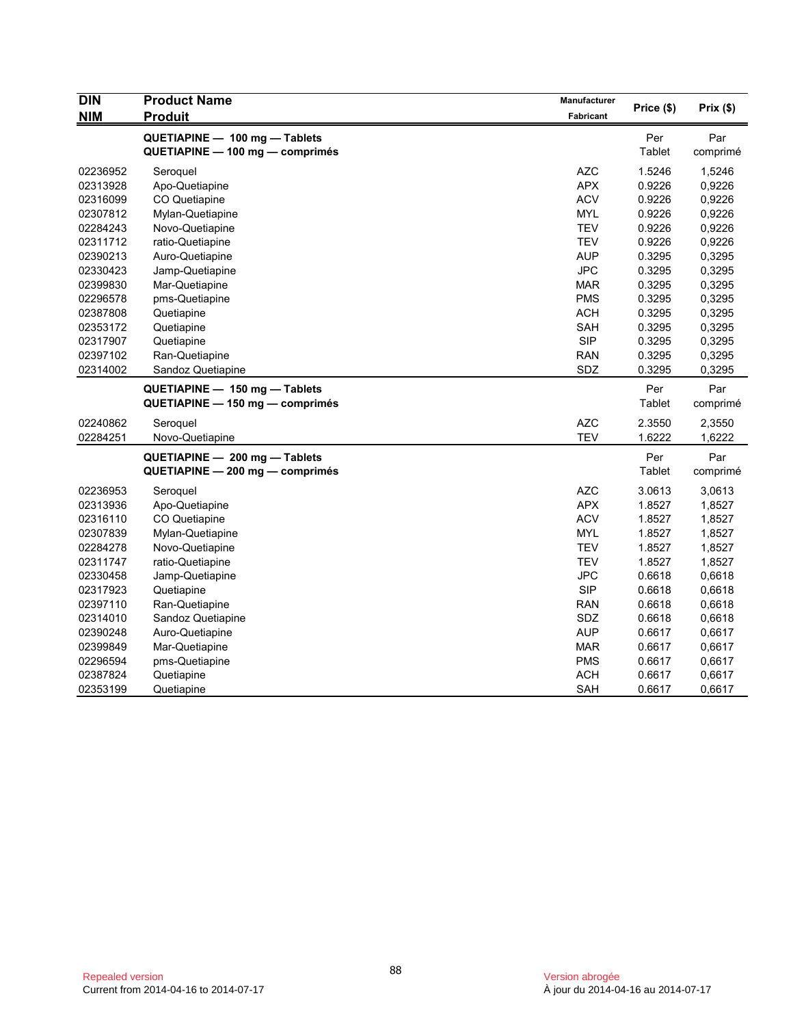| <b>DIN</b> | <b>Product Name</b>             | Manufacturer | Price (\$) | Prix(\$) |
|------------|---------------------------------|--------------|------------|----------|
| <b>NIM</b> | <b>Produit</b>                  | Fabricant    |            |          |
|            | QUETIAPINE - 100 mg - Tablets   |              | Per        | Par      |
|            | QUETIAPINE - 100 mg - comprimés |              | Tablet     | comprimé |
| 02236952   | Seroquel                        | <b>AZC</b>   | 1.5246     | 1,5246   |
| 02313928   | Apo-Quetiapine                  | <b>APX</b>   | 0.9226     | 0,9226   |
| 02316099   | CO Quetiapine                   | <b>ACV</b>   | 0.9226     | 0,9226   |
| 02307812   | Mylan-Quetiapine                | <b>MYL</b>   | 0.9226     | 0,9226   |
| 02284243   | Novo-Quetiapine                 | <b>TEV</b>   | 0.9226     | 0,9226   |
| 02311712   | ratio-Quetiapine                | <b>TEV</b>   | 0.9226     | 0,9226   |
| 02390213   | Auro-Quetiapine                 | <b>AUP</b>   | 0.3295     | 0,3295   |
| 02330423   | Jamp-Quetiapine                 | <b>JPC</b>   | 0.3295     | 0,3295   |
| 02399830   | Mar-Quetiapine                  | <b>MAR</b>   | 0.3295     | 0,3295   |
| 02296578   | pms-Quetiapine                  | <b>PMS</b>   | 0.3295     | 0,3295   |
| 02387808   | Quetiapine                      | <b>ACH</b>   | 0.3295     | 0,3295   |
| 02353172   | Quetiapine                      | <b>SAH</b>   | 0.3295     | 0,3295   |
| 02317907   | Quetiapine                      | <b>SIP</b>   | 0.3295     | 0,3295   |
| 02397102   | Ran-Quetiapine                  | <b>RAN</b>   | 0.3295     | 0,3295   |
| 02314002   | Sandoz Quetiapine               | SDZ          | 0.3295     | 0,3295   |
|            | QUETIAPINE - 150 mg - Tablets   |              | Per        | Par      |
|            | QUETIAPINE - 150 mg - comprimés |              | Tablet     | comprimé |
| 02240862   | Seroquel                        | <b>AZC</b>   | 2.3550     | 2,3550   |
| 02284251   | Novo-Quetiapine                 | <b>TEV</b>   | 1.6222     | 1,6222   |
|            | QUETIAPINE - 200 mg - Tablets   |              | Per        | Par      |
|            | QUETIAPINE - 200 mg - comprimés |              | Tablet     | comprimé |
| 02236953   | Seroquel                        | <b>AZC</b>   | 3.0613     | 3,0613   |
| 02313936   | Apo-Quetiapine                  | <b>APX</b>   | 1.8527     | 1,8527   |
| 02316110   | CO Quetiapine                   | <b>ACV</b>   | 1.8527     | 1,8527   |
| 02307839   | Mylan-Quetiapine                | <b>MYL</b>   | 1.8527     | 1,8527   |
| 02284278   | Novo-Quetiapine                 | <b>TEV</b>   | 1.8527     | 1,8527   |
| 02311747   | ratio-Quetiapine                | <b>TEV</b>   | 1.8527     | 1,8527   |
| 02330458   | Jamp-Quetiapine                 | <b>JPC</b>   | 0.6618     | 0,6618   |
| 02317923   | Quetiapine                      | <b>SIP</b>   | 0.6618     | 0,6618   |
| 02397110   | Ran-Quetiapine                  | <b>RAN</b>   | 0.6618     | 0,6618   |
| 02314010   | Sandoz Quetiapine               | <b>SDZ</b>   | 0.6618     | 0,6618   |
| 02390248   | Auro-Quetiapine                 | <b>AUP</b>   | 0.6617     | 0,6617   |
| 02399849   | Mar-Quetiapine                  | <b>MAR</b>   | 0.6617     | 0,6617   |
| 02296594   | pms-Quetiapine                  | <b>PMS</b>   | 0.6617     | 0,6617   |
| 02387824   | Quetiapine                      | <b>ACH</b>   | 0.6617     | 0,6617   |
| 02353199   | Quetiapine                      | <b>SAH</b>   | 0.6617     | 0,6617   |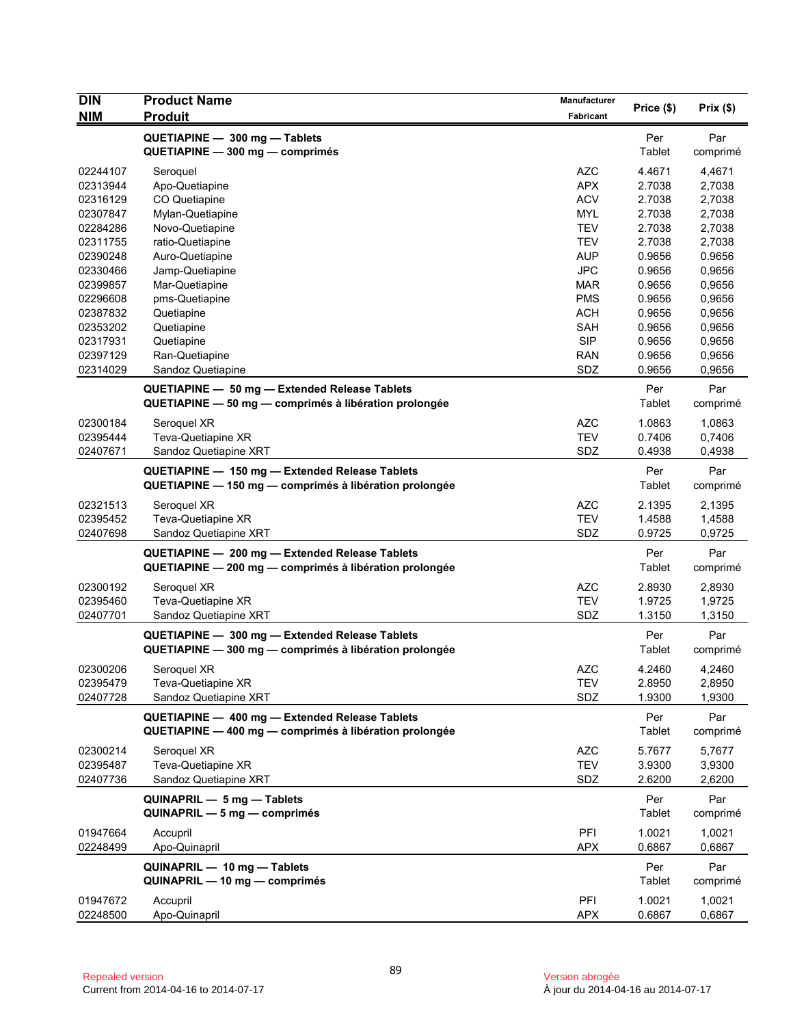| <b>DIN</b> | <b>Product Name</b>                                                                                      | Manufacturer | Price (\$)    | Prix(\$)        |
|------------|----------------------------------------------------------------------------------------------------------|--------------|---------------|-----------------|
| <b>NIM</b> | <b>Produit</b>                                                                                           | Fabricant    |               |                 |
|            | QUETIAPINE - 300 mg - Tablets<br>QUETIAPINE - 300 mg - comprimés                                         |              | Per<br>Tablet | Par<br>comprimé |
| 02244107   | Seroquel                                                                                                 | <b>AZC</b>   | 4.4671        | 4,4671          |
| 02313944   | Apo-Quetiapine                                                                                           | <b>APX</b>   | 2.7038        | 2,7038          |
| 02316129   | CO Quetiapine                                                                                            | <b>ACV</b>   | 2.7038        | 2,7038          |
| 02307847   | Mylan-Quetiapine                                                                                         | <b>MYL</b>   | 2.7038        | 2,7038          |
| 02284286   | Novo-Quetiapine                                                                                          | <b>TEV</b>   | 2.7038        | 2,7038          |
| 02311755   | ratio-Quetiapine                                                                                         | TEV          | 2.7038        | 2,7038          |
| 02390248   | Auro-Quetiapine                                                                                          | <b>AUP</b>   | 0.9656        | 0.9656          |
| 02330466   | Jamp-Quetiapine                                                                                          | <b>JPC</b>   | 0.9656        | 0,9656          |
| 02399857   | Mar-Quetiapine                                                                                           | MAR          | 0.9656        | 0,9656          |
| 02296608   | pms-Quetiapine                                                                                           | <b>PMS</b>   | 0.9656        | 0,9656          |
| 02387832   | Quetiapine                                                                                               | <b>ACH</b>   | 0.9656        | 0,9656          |
| 02353202   | Quetiapine                                                                                               | SAH          | 0.9656        | 0,9656          |
| 02317931   | Quetiapine                                                                                               | <b>SIP</b>   | 0.9656        | 0,9656          |
| 02397129   | Ran-Quetiapine                                                                                           | <b>RAN</b>   | 0.9656        | 0,9656          |
| 02314029   | Sandoz Quetiapine<br>QUETIAPINE - 50 mg - Extended Release Tablets                                       | SDZ          | 0.9656<br>Per | 0,9656<br>Par   |
|            | QUETIAPINE - 50 mg - comprimés à libération prolongée                                                    |              | Tablet        | comprimé        |
| 02300184   | Seroquel XR                                                                                              | <b>AZC</b>   | 1.0863        | 1,0863          |
| 02395444   | Teva-Quetiapine XR                                                                                       | <b>TEV</b>   | 0.7406        | 0,7406          |
| 02407671   | Sandoz Quetiapine XRT                                                                                    | SDZ          | 0.4938        | 0,4938          |
|            | QUETIAPINE - 150 mg - Extended Release Tablets                                                           |              | Per           | Par             |
|            | QUETIAPINE - 150 mg - comprimés à libération prolongée                                                   |              | Tablet        | comprimé        |
| 02321513   | Seroquel XR                                                                                              | <b>AZC</b>   | 2.1395        | 2,1395          |
| 02395452   | Teva-Quetiapine XR                                                                                       | <b>TEV</b>   | 1.4588        | 1,4588          |
| 02407698   | Sandoz Quetiapine XRT                                                                                    | SDZ          | 0.9725        | 0,9725          |
|            | QUETIAPINE - 200 mg - Extended Release Tablets<br>QUETIAPINE - 200 mg - comprimés à libération prolongée |              | Per<br>Tablet | Par<br>comprimé |
| 02300192   | Seroquel XR                                                                                              | <b>AZC</b>   | 2.8930        | 2,8930          |
| 02395460   | Teva-Quetiapine XR                                                                                       | <b>TEV</b>   | 1.9725        | 1,9725          |
| 02407701   | Sandoz Quetiapine XRT                                                                                    | SDZ          | 1.3150        | 1,3150          |
|            | QUETIAPINE - 300 mg - Extended Release Tablets                                                           |              | Per           | Par             |
|            | QUETIAPINE - 300 mg - comprimés à libération prolongée                                                   |              | Tablet        | comprimé        |
| 02300206   | Seroquel XR                                                                                              | <b>AZC</b>   | 4.2460        | 4,2460          |
| 02395479   | Teva-Quetiapine XR                                                                                       | <b>TEV</b>   | 2.8950        | 2,8950          |
| 02407728   | Sandoz Quetiapine XRT                                                                                    | SDZ          | 1.9300        | 1,9300          |
|            | QUETIAPINE - 400 mg - Extended Release Tablets                                                           |              | Per           | Par             |
|            | QUETIAPINE - 400 mg - comprimés à libération prolongée                                                   |              | Tablet        | comprimé        |
| 02300214   | Seroquel XR                                                                                              | <b>AZC</b>   | 5.7677        | 5,7677          |
| 02395487   | Teva-Quetiapine XR                                                                                       | <b>TEV</b>   | 3.9300        | 3,9300          |
| 02407736   | Sandoz Quetiapine XRT                                                                                    | SDZ          | 2.6200        | 2,6200          |
|            |                                                                                                          |              |               |                 |
|            | QUINAPRIL - 5 mg - Tablets<br>QUINAPRIL - 5 mg - comprimés                                               |              | Per<br>Tablet | Par<br>comprimé |
| 01947664   | Accupril                                                                                                 | PFI          | 1.0021        | 1,0021          |
| 02248499   | Apo-Quinapril                                                                                            | <b>APX</b>   | 0.6867        | 0,6867          |
|            | QUINAPRIL - 10 mg - Tablets<br>QUINAPRIL - 10 mg - comprimés                                             |              | Per<br>Tablet | Par<br>comprimé |
| 01947672   | Accupril                                                                                                 | PFI          | 1.0021        | 1,0021          |
| 02248500   | Apo-Quinapril                                                                                            | <b>APX</b>   | 0.6867        | 0,6867          |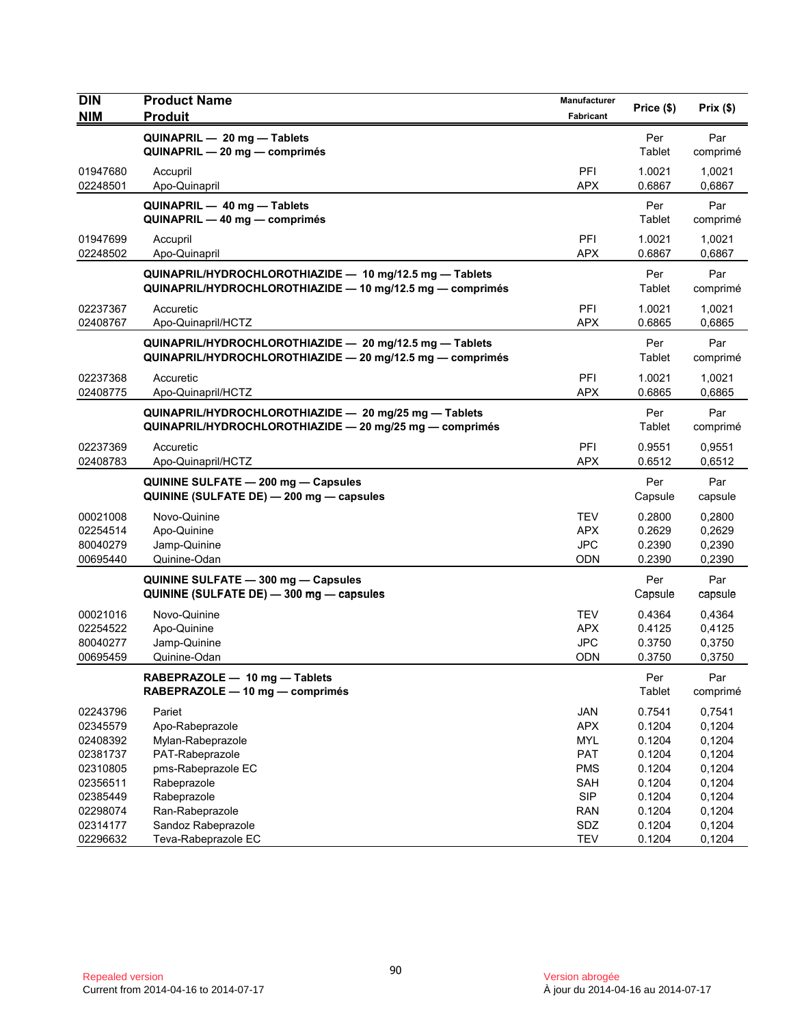| <b>DIN</b>                                               | <b>Product Name</b>                                                                                                  | <b>Manufacturer</b>                                  | Price (\$)                                     | Prix(\$)                                       |
|----------------------------------------------------------|----------------------------------------------------------------------------------------------------------------------|------------------------------------------------------|------------------------------------------------|------------------------------------------------|
| <b>NIM</b>                                               | <b>Produit</b>                                                                                                       | Fabricant                                            |                                                |                                                |
|                                                          | QUINAPRIL - 20 mg - Tablets<br>QUINAPRIL - 20 mg - comprimés                                                         |                                                      | Per<br>Tablet                                  | Par<br>comprimé                                |
| 01947680<br>02248501                                     | Accupril<br>Apo-Quinapril                                                                                            | <b>PFI</b><br><b>APX</b>                             | 1.0021<br>0.6867                               | 1,0021<br>0,6867                               |
|                                                          | QUINAPRIL - 40 mg - Tablets<br>QUINAPRIL - 40 mg - comprimés                                                         |                                                      | Per<br>Tablet                                  | Par<br>comprimé                                |
| 01947699<br>02248502                                     | Accupril<br>Apo-Quinapril                                                                                            | PFI<br><b>APX</b>                                    | 1.0021<br>0.6867                               | 1,0021<br>0,6867                               |
|                                                          | QUINAPRIL/HYDROCHLOROTHIAZIDE - 10 mg/12.5 mg - Tablets<br>QUINAPRIL/HYDROCHLOROTHIAZIDE - 10 mg/12.5 mg - comprimés |                                                      | Per<br>Tablet                                  | Par<br>comprimé                                |
| 02237367<br>02408767                                     | Accuretic<br>Apo-Quinapril/HCTZ                                                                                      | <b>PFI</b><br><b>APX</b>                             | 1.0021<br>0.6865                               | 1,0021<br>0,6865                               |
|                                                          | QUINAPRIL/HYDROCHLOROTHIAZIDE - 20 mg/12.5 mg - Tablets<br>QUINAPRIL/HYDROCHLOROTHIAZIDE - 20 mg/12.5 mg - comprimés |                                                      | Per<br>Tablet                                  | Par<br>comprimé                                |
| 02237368<br>02408775                                     | Accuretic<br>Apo-Quinapril/HCTZ                                                                                      | PFI<br><b>APX</b>                                    | 1.0021<br>0.6865                               | 1,0021<br>0,6865                               |
|                                                          | QUINAPRIL/HYDROCHLOROTHIAZIDE - 20 mg/25 mg - Tablets<br>QUINAPRIL/HYDROCHLOROTHIAZIDE - 20 mg/25 mg - comprimés     |                                                      | Per<br>Tablet                                  | Par<br>comprimé                                |
| 02237369<br>02408783                                     | Accuretic<br>Apo-Quinapril/HCTZ                                                                                      | <b>PFI</b><br><b>APX</b>                             | 0.9551<br>0.6512                               | 0,9551<br>0,6512                               |
|                                                          | QUININE SULFATE - 200 mg - Capsules<br>QUININE (SULFATE DE) - 200 mg - capsules                                      |                                                      | Per<br>Capsule                                 | Par<br>capsule                                 |
| 00021008<br>02254514<br>80040279<br>00695440             | Novo-Quinine<br>Apo-Quinine<br>Jamp-Quinine<br>Quinine-Odan                                                          | <b>TEV</b><br><b>APX</b><br><b>JPC</b><br><b>ODN</b> | 0.2800<br>0.2629<br>0.2390<br>0.2390           | 0,2800<br>0,2629<br>0,2390<br>0,2390           |
|                                                          | QUININE SULFATE - 300 mg - Capsules<br>QUININE (SULFATE DE) - 300 mg - capsules                                      |                                                      | Per<br>Capsule                                 | Par<br>capsule                                 |
| 00021016<br>02254522<br>80040277<br>00695459             | Novo-Quinine<br>Apo-Quinine<br>Jamp-Quinine<br>Quinine-Odan                                                          | <b>TEV</b><br><b>APX</b><br><b>JPC</b><br><b>ODN</b> | 0.4364<br>0.4125<br>0.3750<br>0.3750           | 0,4364<br>0,4125<br>0,3750<br>0,3750           |
|                                                          | RABEPRAZOLE - 10 mg - Tablets<br>RABEPRAZOLE - 10 mg - comprimés                                                     |                                                      | Per<br>Tablet                                  | Par<br>comprimé                                |
| 02243796<br>02345579<br>02408392<br>02381737<br>02310805 | Pariet<br>Apo-Rabeprazole<br>Mylan-Rabeprazole<br>PAT-Rabeprazole<br>pms-Rabeprazole EC                              | JAN<br><b>APX</b><br><b>MYL</b><br>PAT<br><b>PMS</b> | 0.7541<br>0.1204<br>0.1204<br>0.1204<br>0.1204 | 0,7541<br>0,1204<br>0,1204<br>0,1204<br>0,1204 |
| 02356511<br>02385449<br>02298074<br>02314177<br>02296632 | Rabeprazole<br>Rabeprazole<br>Ran-Rabeprazole<br>Sandoz Rabeprazole<br>Teva-Rabeprazole EC                           | SAH<br><b>SIP</b><br><b>RAN</b><br>SDZ<br><b>TEV</b> | 0.1204<br>0.1204<br>0.1204<br>0.1204<br>0.1204 | 0,1204<br>0,1204<br>0,1204<br>0,1204<br>0,1204 |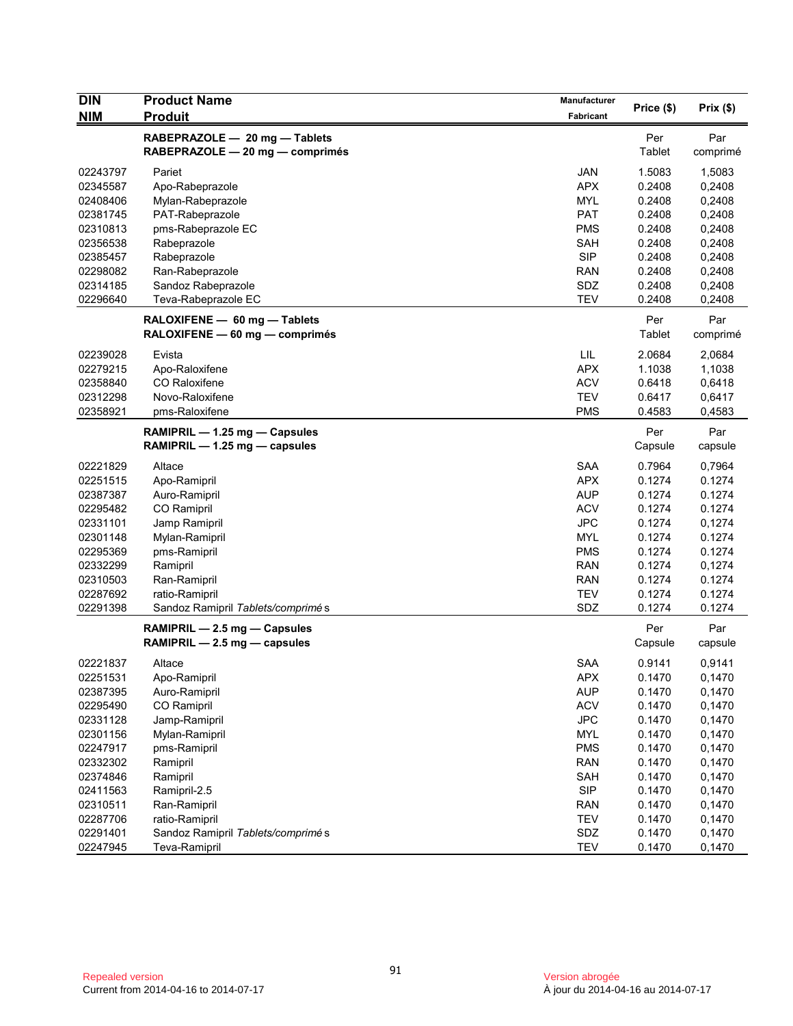| <b>DIN</b>           | <b>Product Name</b>                                                  | Manufacturer | Price (\$)     | Prix(\$)         |
|----------------------|----------------------------------------------------------------------|--------------|----------------|------------------|
| <b>NIM</b>           | <b>Produit</b>                                                       | Fabricant    |                |                  |
|                      | RABEPRAZOLE - 20 mg - Tablets<br>RABEPRAZOLE - 20 mg - comprimés     |              | Per<br>Tablet  | Par<br>comprimé  |
| 02243797             | Pariet                                                               | <b>JAN</b>   | 1.5083         | 1,5083           |
| 02345587             | Apo-Rabeprazole                                                      | <b>APX</b>   | 0.2408         | 0,2408           |
| 02408406             | Mylan-Rabeprazole                                                    | <b>MYL</b>   | 0.2408         | 0,2408           |
| 02381745             | PAT-Rabeprazole                                                      | <b>PAT</b>   | 0.2408         | 0,2408           |
| 02310813             | pms-Rabeprazole EC                                                   | <b>PMS</b>   | 0.2408         | 0,2408           |
| 02356538             | Rabeprazole                                                          | SAH          | 0.2408         | 0,2408           |
| 02385457             | Rabeprazole                                                          | <b>SIP</b>   | 0.2408         | 0,2408           |
| 02298082             | Ran-Rabeprazole                                                      | <b>RAN</b>   | 0.2408         | 0,2408           |
| 02314185             | Sandoz Rabeprazole                                                   | SDZ          | 0.2408         | 0,2408           |
| 02296640             | Teva-Rabeprazole EC                                                  | <b>TEV</b>   | 0.2408         | 0,2408           |
|                      | RALOXIFENE - 60 mg - Tablets<br>RALOXIFENE - 60 mg - comprimés       |              | Per<br>Tablet  | Par<br>comprimé  |
| 02239028             | Evista                                                               | LIL          | 2.0684         | 2,0684           |
| 02279215             | Apo-Raloxifene                                                       | <b>APX</b>   | 1.1038         | 1,1038           |
| 02358840             | CO Raloxifene                                                        | <b>ACV</b>   | 0.6418         | 0,6418           |
| 02312298             | Novo-Raloxifene                                                      | <b>TEV</b>   | 0.6417         | 0,6417           |
| 02358921             | pms-Raloxifene                                                       | <b>PMS</b>   | 0.4583         | 0,4583           |
|                      | RAMIPRIL - 1.25 mg - Capsules<br>RAMIPRIL - 1.25 mg - capsules       |              | Per<br>Capsule | Par<br>capsule   |
| 02221829             |                                                                      | <b>SAA</b>   | 0.7964         |                  |
|                      | Altace                                                               | <b>APX</b>   | 0.1274         | 0,7964<br>0.1274 |
| 02251515             | Apo-Ramipril                                                         | <b>AUP</b>   | 0.1274         | 0.1274           |
| 02387387<br>02295482 | Auro-Ramipril<br>CO Ramipril                                         | <b>ACV</b>   | 0.1274         | 0.1274           |
| 02331101             |                                                                      | <b>JPC</b>   | 0.1274         | 0,1274           |
| 02301148             | Jamp Ramipril                                                        | MYL          | 0.1274         | 0.1274           |
| 02295369             | Mylan-Ramipril                                                       | <b>PMS</b>   | 0.1274         | 0.1274           |
| 02332299             | pms-Ramipril                                                         | <b>RAN</b>   | 0.1274         | 0,1274           |
|                      | Ramipril                                                             | <b>RAN</b>   | 0.1274         | 0.1274           |
| 02310503<br>02287692 | Ran-Ramipril                                                         | <b>TEV</b>   | 0.1274         | 0.1274           |
| 02291398             | ratio-Ramipril                                                       | SDZ          | 0.1274         | 0.1274           |
|                      | Sandoz Ramipril Tablets/comprimés<br>RAMIPRIL $-2.5$ mg $-$ Capsules |              | Per            | Par              |
|                      | RAMIPRIL $-2.5$ mg $-$ capsules                                      |              | Capsule        | capsule          |
| 02221837             | Altace                                                               | <b>SAA</b>   | 0.9141         | 0,9141           |
| 02251531             | Apo-Ramipril                                                         | APX          | 0.1470         | 0,1470           |
| 02387395             | Auro-Ramipril                                                        | <b>AUP</b>   | 0.1470         | 0,1470           |
| 02295490             | CO Ramipril                                                          | <b>ACV</b>   | 0.1470         | 0,1470           |
| 02331128             | Jamp-Ramipril                                                        | <b>JPC</b>   | 0.1470         | 0,1470           |
| 02301156             | Mylan-Ramipril                                                       | <b>MYL</b>   | 0.1470         | 0,1470           |
| 02247917             | pms-Ramipril                                                         | <b>PMS</b>   | 0.1470         | 0,1470           |
| 02332302             | Ramipril                                                             | <b>RAN</b>   | 0.1470         | 0,1470           |
| 02374846             | Ramipril                                                             | SAH          | 0.1470         | 0,1470           |
| 02411563             | Ramipril-2.5                                                         | <b>SIP</b>   | 0.1470         | 0,1470           |
| 02310511             | Ran-Ramipril                                                         | <b>RAN</b>   | 0.1470         | 0,1470           |
| 02287706             | ratio-Ramipril                                                       | <b>TEV</b>   | 0.1470         | 0,1470           |
| 02291401             | Sandoz Ramipril Tablets/comprimés                                    | SDZ          | 0.1470         | 0,1470           |
| 02247945             | Teva-Ramipril                                                        | <b>TEV</b>   | 0.1470         | 0,1470           |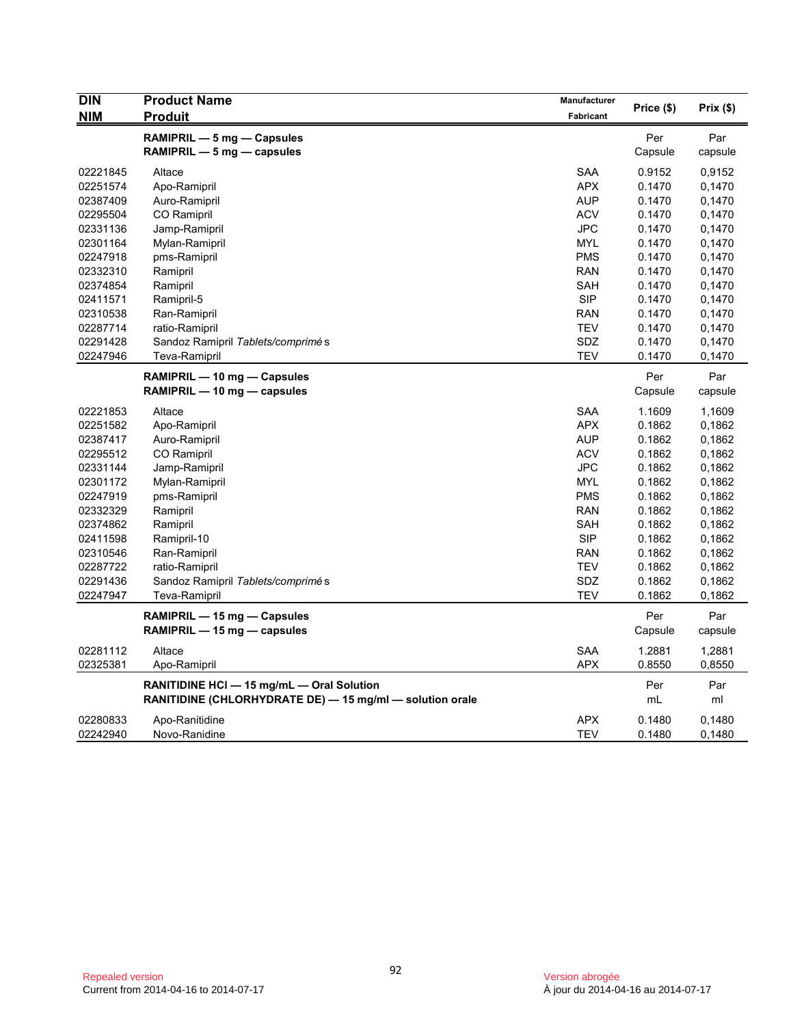| <b>DIN</b> | <b>Product Name</b>                                      | Manufacturer     |            |          |
|------------|----------------------------------------------------------|------------------|------------|----------|
| <b>NIM</b> | Produit                                                  | <b>Fabricant</b> | Price (\$) | Prix(\$) |
|            | RAMIPRIL - 5 mg - Capsules                               |                  | Per        | Par      |
|            | $RAMIPRIL - 5 mg - capsules$                             |                  | Capsule    | capsule  |
| 02221845   | Altace                                                   | <b>SAA</b>       | 0.9152     | 0,9152   |
| 02251574   | Apo-Ramipril                                             | <b>APX</b>       | 0.1470     | 0,1470   |
| 02387409   | Auro-Ramipril                                            | <b>AUP</b>       | 0.1470     | 0,1470   |
| 02295504   | <b>CO</b> Ramipril                                       | <b>ACV</b>       | 0.1470     | 0,1470   |
| 02331136   | Jamp-Ramipril                                            | <b>JPC</b>       | 0.1470     | 0,1470   |
| 02301164   | Mylan-Ramipril                                           | <b>MYL</b>       | 0.1470     | 0,1470   |
| 02247918   | pms-Ramipril                                             | <b>PMS</b>       | 0.1470     | 0,1470   |
| 02332310   | Ramipril                                                 | <b>RAN</b>       | 0.1470     | 0,1470   |
| 02374854   | Ramipril                                                 | <b>SAH</b>       | 0.1470     | 0,1470   |
| 02411571   | Ramipril-5                                               | <b>SIP</b>       | 0.1470     | 0,1470   |
| 02310538   | Ran-Ramipril                                             | <b>RAN</b>       | 0.1470     | 0,1470   |
| 02287714   | ratio-Ramipril                                           | <b>TEV</b>       | 0.1470     | 0,1470   |
| 02291428   | Sandoz Ramipril Tablets/comprimés                        | SDZ              | 0.1470     | 0,1470   |
| 02247946   | <b>Teva-Ramipril</b>                                     | <b>TEV</b>       | 0.1470     | 0,1470   |
|            | RAMIPRIL - 10 mg - Capsules                              |                  | Per        | Par      |
|            | RAMIPRIL - 10 mg - capsules                              |                  | Capsule    | capsule  |
| 02221853   | Altace                                                   | <b>SAA</b>       | 1.1609     | 1,1609   |
| 02251582   | Apo-Ramipril                                             | <b>APX</b>       | 0.1862     | 0,1862   |
| 02387417   | Auro-Ramipril                                            | AUP              | 0.1862     | 0,1862   |
| 02295512   | CO Ramipril                                              | <b>ACV</b>       | 0.1862     | 0,1862   |
| 02331144   | Jamp-Ramipril                                            | <b>JPC</b>       | 0.1862     | 0,1862   |
| 02301172   | Mylan-Ramipril                                           | <b>MYL</b>       | 0.1862     | 0,1862   |
| 02247919   | pms-Ramipril                                             | <b>PMS</b>       | 0.1862     | 0,1862   |
| 02332329   | Ramipril                                                 | <b>RAN</b>       | 0.1862     | 0,1862   |
| 02374862   | Ramipril                                                 | <b>SAH</b>       | 0.1862     | 0,1862   |
| 02411598   | Ramipril-10                                              | <b>SIP</b>       | 0.1862     | 0,1862   |
| 02310546   | Ran-Ramipril                                             | <b>RAN</b>       | 0.1862     | 0,1862   |
| 02287722   | ratio-Ramipril                                           | <b>TEV</b>       | 0.1862     | 0,1862   |
| 02291436   | Sandoz Ramipril Tablets/comprimés                        | SDZ              | 0.1862     | 0,1862   |
| 02247947   | <b>Teva-Ramipril</b>                                     | TEV              | 0.1862     | 0,1862   |
|            | RAMIPRIL - 15 mg - Capsules                              |                  | Per        | Par      |
|            | RAMIPRIL - 15 mg - capsules                              |                  | Capsule    | capsule  |
| 02281112   | Altace                                                   | SAA              | 1.2881     | 1,2881   |
| 02325381   | Apo-Ramipril                                             | APX              | 0.8550     | 0,8550   |
|            | RANITIDINE HCI - 15 mg/mL - Oral Solution                |                  | Per        | Par      |
|            | RANITIDINE (CHLORHYDRATE DE) - 15 mg/ml - solution orale |                  | mL         | ml       |
| 02280833   | Apo-Ranitidine                                           | <b>APX</b>       | 0.1480     | 0,1480   |
| 02242940   | Novo-Ranidine                                            | <b>TEV</b>       | 0.1480     | 0,1480   |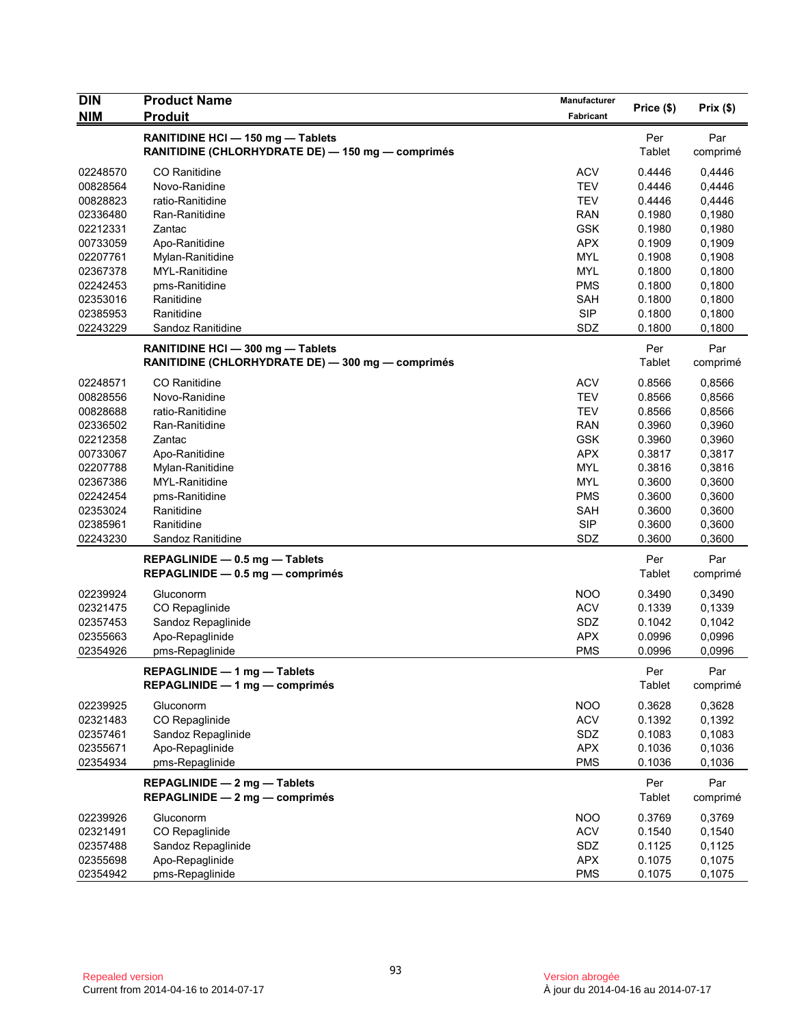| <b>DIN</b> | <b>Product Name</b>                               | Manufacturer | Price (\$) | Prix(\$) |
|------------|---------------------------------------------------|--------------|------------|----------|
| <b>NIM</b> | <b>Produit</b>                                    | Fabricant    |            |          |
|            | RANITIDINE HCI - 150 mg - Tablets                 |              | Per        | Par      |
|            | RANITIDINE (CHLORHYDRATE DE) - 150 mg - comprimés |              | Tablet     | comprimé |
| 02248570   | CO Ranitidine                                     | <b>ACV</b>   | 0.4446     | 0,4446   |
| 00828564   | Novo-Ranidine                                     | <b>TEV</b>   | 0.4446     | 0,4446   |
| 00828823   | ratio-Ranitidine                                  | <b>TEV</b>   | 0.4446     | 0,4446   |
| 02336480   | Ran-Ranitidine                                    | <b>RAN</b>   | 0.1980     | 0,1980   |
| 02212331   | Zantac                                            | <b>GSK</b>   | 0.1980     | 0,1980   |
| 00733059   | Apo-Ranitidine                                    | <b>APX</b>   | 0.1909     | 0,1909   |
| 02207761   | Mylan-Ranitidine                                  | <b>MYL</b>   | 0.1908     | 0,1908   |
| 02367378   | <b>MYL-Ranitidine</b>                             | <b>MYL</b>   | 0.1800     | 0,1800   |
| 02242453   | pms-Ranitidine                                    | <b>PMS</b>   | 0.1800     | 0,1800   |
| 02353016   | Ranitidine                                        | SAH          | 0.1800     | 0,1800   |
| 02385953   | Ranitidine                                        | <b>SIP</b>   | 0.1800     | 0,1800   |
| 02243229   | Sandoz Ranitidine                                 | SDZ          | 0.1800     | 0,1800   |
|            | RANITIDINE HCI - 300 mg - Tablets                 |              | Per        | Par      |
|            | RANITIDINE (CHLORHYDRATE DE) - 300 mg - comprimés |              | Tablet     | comprimé |
| 02248571   | CO Ranitidine                                     | <b>ACV</b>   | 0.8566     | 0,8566   |
| 00828556   | Novo-Ranidine                                     | <b>TEV</b>   | 0.8566     | 0,8566   |
| 00828688   | ratio-Ranitidine                                  | <b>TEV</b>   | 0.8566     | 0,8566   |
| 02336502   | Ran-Ranitidine                                    | <b>RAN</b>   | 0.3960     | 0,3960   |
| 02212358   | Zantac                                            | <b>GSK</b>   | 0.3960     | 0,3960   |
| 00733067   | Apo-Ranitidine                                    | <b>APX</b>   | 0.3817     | 0,3817   |
| 02207788   | Mylan-Ranitidine                                  | <b>MYL</b>   | 0.3816     | 0,3816   |
| 02367386   | MYL-Ranitidine                                    | MYL          | 0.3600     | 0,3600   |
| 02242454   | pms-Ranitidine                                    | <b>PMS</b>   | 0.3600     | 0,3600   |
| 02353024   | Ranitidine                                        | SAH          | 0.3600     | 0,3600   |
| 02385961   | Ranitidine                                        | <b>SIP</b>   | 0.3600     | 0,3600   |
| 02243230   | Sandoz Ranitidine                                 | SDZ          | 0.3600     | 0,3600   |
|            | REPAGLINIDE - 0.5 mg - Tablets                    |              | Per        | Par      |
|            | REPAGLINIDE - 0.5 mg - comprimés                  |              | Tablet     | comprimé |
| 02239924   | Gluconorm                                         | <b>NOO</b>   | 0.3490     | 0,3490   |
| 02321475   | CO Repaglinide                                    | <b>ACV</b>   | 0.1339     | 0,1339   |
| 02357453   | Sandoz Repaglinide                                | SDZ          | 0.1042     | 0,1042   |
| 02355663   | Apo-Repaglinide                                   | <b>APX</b>   | 0.0996     | 0,0996   |
| 02354926   | pms-Repaglinide                                   | <b>PMS</b>   | 0.0996     | 0,0996   |
|            | REPAGLINIDE - 1 mg - Tablets                      |              | Per        | Par      |
|            | REPAGLINIDE - 1 mg - comprimés                    |              | Tablet     | comprimé |
| 02239925   | Gluconorm                                         | <b>NOO</b>   | 0.3628     | 0,3628   |
| 02321483   | CO Repaglinide                                    | <b>ACV</b>   | 0.1392     | 0,1392   |
| 02357461   | Sandoz Repaglinide                                | SDZ          | 0.1083     | 0,1083   |
| 02355671   | Apo-Repaglinide                                   | <b>APX</b>   | 0.1036     | 0,1036   |
| 02354934   | pms-Repaglinide                                   | <b>PMS</b>   | 0.1036     | 0,1036   |
|            | REPAGLINIDE - 2 mg - Tablets                      |              | Per        | Par      |
|            | $REPAGLINIDE - 2 mg - comprimés$                  |              | Tablet     | comprimé |
| 02239926   | Gluconorm                                         | <b>NOO</b>   | 0.3769     | 0,3769   |
| 02321491   | CO Repaglinide                                    | <b>ACV</b>   | 0.1540     | 0,1540   |
| 02357488   | Sandoz Repaglinide                                | SDZ          | 0.1125     | 0,1125   |
| 02355698   | Apo-Repaglinide                                   | <b>APX</b>   | 0.1075     | 0,1075   |
| 02354942   | pms-Repaglinide                                   | <b>PMS</b>   | 0.1075     | 0,1075   |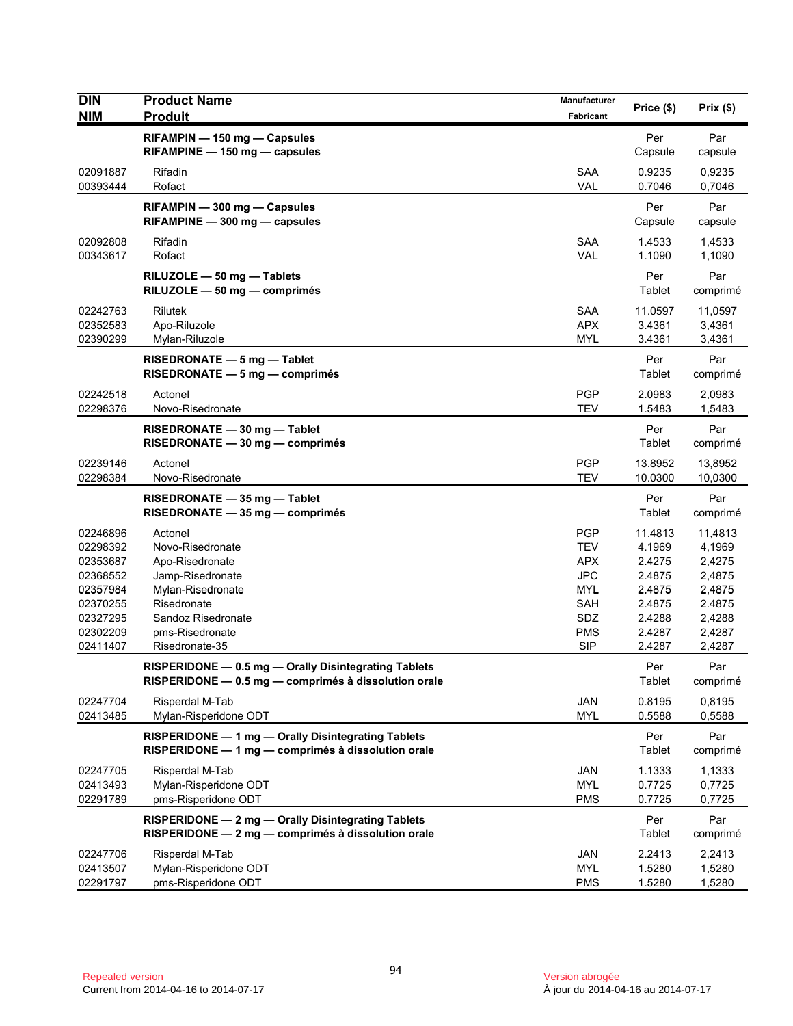| <b>DIN</b>           | <b>Product Name</b>                                                                                      | Manufacturer             | Price (\$)       | Prix(\$)         |
|----------------------|----------------------------------------------------------------------------------------------------------|--------------------------|------------------|------------------|
| <b>NIM</b>           | <b>Produit</b>                                                                                           | <b>Fabricant</b>         |                  |                  |
|                      | RIFAMPIN - 150 mg - Capsules<br>$RIFAMPINE - 150 mg - capsules$                                          |                          | Per<br>Capsule   | Par<br>capsule   |
| 02091887             | Rifadin                                                                                                  | <b>SAA</b>               | 0.9235           | 0,9235           |
| 00393444             | Rofact                                                                                                   | VAL                      | 0.7046           | 0,7046           |
|                      | RIFAMPIN - 300 mg - Capsules                                                                             |                          | Per              | Par              |
|                      | RIFAMPINE - 300 mg - capsules                                                                            |                          | Capsule          | capsule          |
| 02092808             | Rifadin                                                                                                  | <b>SAA</b>               | 1.4533           | 1,4533           |
| 00343617             | Rofact                                                                                                   | <b>VAL</b>               | 1.1090           | 1,1090           |
|                      | RILUZOLE - 50 mg - Tablets                                                                               |                          | Per              | Par              |
|                      | RILUZOLE - 50 mg - comprimés                                                                             |                          | Tablet           | comprimé         |
| 02242763             | <b>Rilutek</b>                                                                                           | <b>SAA</b>               | 11.0597          | 11,0597          |
| 02352583<br>02390299 | Apo-Riluzole<br>Mylan-Riluzole                                                                           | <b>APX</b><br><b>MYL</b> | 3.4361<br>3.4361 | 3,4361<br>3,4361 |
|                      |                                                                                                          |                          |                  |                  |
|                      | RISEDRONATE $-5$ mg $-$ Tablet<br>RISEDRONATE - 5 mg - comprimés                                         |                          | Per<br>Tablet    | Par<br>comprimé  |
|                      |                                                                                                          |                          |                  |                  |
| 02242518<br>02298376 | Actonel<br>Novo-Risedronate                                                                              | <b>PGP</b><br><b>TEV</b> | 2.0983<br>1.5483 | 2,0983<br>1,5483 |
|                      |                                                                                                          |                          |                  |                  |
|                      | RISEDRONATE - 30 mg - Tablet<br>RISEDRONATE - 30 mg - comprimés                                          |                          | Per<br>Tablet    | Par<br>comprimé  |
| 02239146             | Actonel                                                                                                  | <b>PGP</b>               | 13.8952          | 13,8952          |
| 02298384             | Novo-Risedronate                                                                                         | <b>TEV</b>               | 10.0300          | 10,0300          |
|                      | RISEDRONATE - 35 mg - Tablet                                                                             |                          | Per              | Par              |
|                      | RISEDRONATE - 35 mg - comprimés                                                                          |                          | Tablet           | comprimé         |
| 02246896             | Actonel                                                                                                  | <b>PGP</b>               | 11.4813          | 11,4813          |
| 02298392             | Novo-Risedronate                                                                                         | <b>TEV</b>               | 4.1969           | 4,1969           |
| 02353687             | Apo-Risedronate                                                                                          | <b>APX</b>               | 2.4275           | 2,4275           |
| 02368552             | Jamp-Risedronate                                                                                         | <b>JPC</b>               | 2.4875           | 2,4875           |
| 02357984             | Mylan-Risedronate                                                                                        | <b>MYL</b>               | 2.4875           | 2,4875           |
| 02370255<br>02327295 | Risedronate<br>Sandoz Risedronate                                                                        | <b>SAH</b><br>SDZ        | 2.4875<br>2.4288 | 2.4875<br>2,4288 |
| 02302209             | pms-Risedronate                                                                                          | <b>PMS</b>               | 2.4287           | 2,4287           |
| 02411407             | Risedronate-35                                                                                           | <b>SIP</b>               | 2.4287           | 2,4287           |
|                      | RISPERIDONE - 0.5 mg - Orally Disintegrating Tablets                                                     |                          | Per              | Par              |
|                      | RISPERIDONE - 0.5 mg - comprimés à dissolution orale                                                     |                          | Tablet           | comprimé         |
| 02247704             | Risperdal M-Tab                                                                                          | JAN                      | 0.8195           | 0,8195           |
| 02413485             | Mylan-Risperidone ODT                                                                                    | <b>MYL</b>               | 0.5588           | 0,5588           |
|                      | RISPERIDONE - 1 mg - Orally Disintegrating Tablets                                                       |                          | Per              | Par              |
|                      | RISPERIDONE - 1 mg - comprimés à dissolution orale                                                       |                          | Tablet           | comprimé         |
| 02247705             | Risperdal M-Tab                                                                                          | <b>JAN</b>               | 1.1333           | 1,1333           |
| 02413493<br>02291789 | Mylan-Risperidone ODT<br>pms-Risperidone ODT                                                             | <b>MYL</b><br><b>PMS</b> | 0.7725<br>0.7725 | 0,7725<br>0,7725 |
|                      |                                                                                                          |                          |                  |                  |
|                      | RISPERIDONE - 2 mg - Orally Disintegrating Tablets<br>RISPERIDONE - 2 mg - comprimés à dissolution orale |                          | Per<br>Tablet    | Par<br>comprimé  |
|                      |                                                                                                          |                          |                  |                  |
| 02247706<br>02413507 | Risperdal M-Tab<br>Mylan-Risperidone ODT                                                                 | JAN<br><b>MYL</b>        | 2.2413<br>1.5280 | 2,2413<br>1,5280 |
| 02291797             | pms-Risperidone ODT                                                                                      | <b>PMS</b>               | 1.5280           | 1,5280           |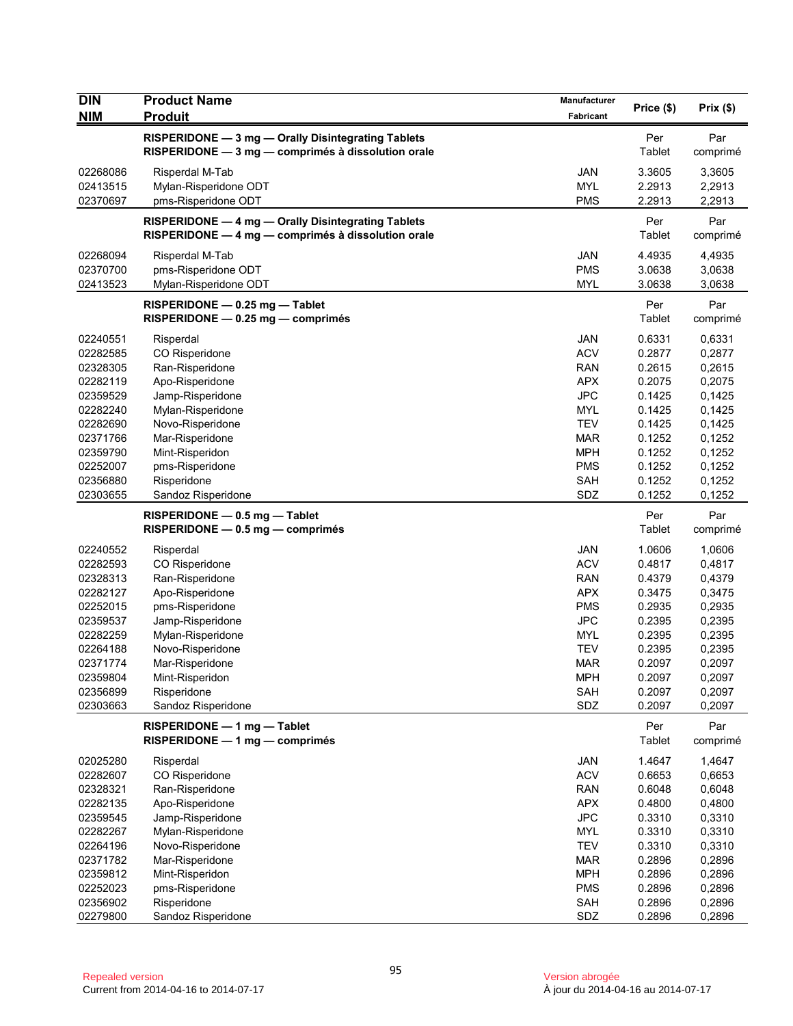| <b>DIN</b>           | <b>Product Name</b>                                                                                      | Manufacturer             | Price (\$)       | Prix(\$)         |
|----------------------|----------------------------------------------------------------------------------------------------------|--------------------------|------------------|------------------|
| <b>NIM</b>           | <b>Produit</b>                                                                                           | Fabricant                |                  |                  |
|                      | RISPERIDONE - 3 mg - Orally Disintegrating Tablets<br>RISPERIDONE - 3 mg - comprimés à dissolution orale |                          | Per<br>Tablet    | Par<br>comprimé  |
| 02268086             | Risperdal M-Tab                                                                                          | <b>JAN</b>               | 3.3605           | 3,3605           |
| 02413515             | Mylan-Risperidone ODT                                                                                    | <b>MYL</b>               | 2.2913           | 2,2913           |
| 02370697             | pms-Risperidone ODT                                                                                      | <b>PMS</b>               | 2.2913           | 2,2913           |
|                      | RISPERIDONE - 4 mg - Orally Disintegrating Tablets<br>RISPERIDONE - 4 mg - comprimés à dissolution orale |                          | Per<br>Tablet    | Par<br>comprimé  |
| 02268094             | Risperdal M-Tab                                                                                          | JAN                      | 4.4935           | 4,4935           |
| 02370700             | pms-Risperidone ODT                                                                                      | <b>PMS</b>               | 3.0638           | 3,0638           |
| 02413523             | Mylan-Risperidone ODT                                                                                    | <b>MYL</b>               | 3.0638           | 3,0638           |
|                      | RISPERIDONE - 0.25 mg - Tablet<br>$RISPERIDONE - 0.25 mg - comprimés$                                    |                          | Per<br>Tablet    | Par<br>comprimé  |
| 02240551             | Risperdal                                                                                                | JAN                      | 0.6331           | 0,6331           |
| 02282585             | CO Risperidone                                                                                           | <b>ACV</b>               | 0.2877           | 0,2877           |
| 02328305             | Ran-Risperidone                                                                                          | <b>RAN</b>               | 0.2615           | 0,2615           |
| 02282119             | Apo-Risperidone                                                                                          | <b>APX</b>               | 0.2075           | 0,2075           |
| 02359529             | Jamp-Risperidone                                                                                         | <b>JPC</b>               | 0.1425           | 0,1425           |
| 02282240             | Mylan-Risperidone                                                                                        | <b>MYL</b>               | 0.1425           | 0,1425           |
| 02282690             | Novo-Risperidone                                                                                         | <b>TEV</b>               | 0.1425           | 0,1425           |
| 02371766             | Mar-Risperidone                                                                                          | <b>MAR</b>               | 0.1252           | 0,1252           |
| 02359790             | Mint-Risperidon                                                                                          | <b>MPH</b>               | 0.1252           | 0,1252           |
| 02252007             | pms-Risperidone                                                                                          | <b>PMS</b>               | 0.1252           | 0,1252           |
| 02356880<br>02303655 | Risperidone                                                                                              | SAH<br>SDZ               | 0.1252<br>0.1252 | 0,1252<br>0,1252 |
|                      | Sandoz Risperidone                                                                                       |                          |                  |                  |
|                      | RISPERIDONE - 0.5 mg - Tablet<br>RISPERIDONE - 0.5 mg - comprimés                                        |                          | Per<br>Tablet    | Par<br>comprimé  |
| 02240552             | Risperdal                                                                                                | JAN                      | 1.0606           | 1,0606           |
| 02282593             | CO Risperidone                                                                                           | <b>ACV</b>               | 0.4817           | 0,4817           |
| 02328313             | Ran-Risperidone                                                                                          | RAN                      | 0.4379           | 0,4379           |
| 02282127             | Apo-Risperidone                                                                                          | <b>APX</b>               | 0.3475           | 0,3475           |
| 02252015             | pms-Risperidone                                                                                          | <b>PMS</b>               | 0.2935           | 0,2935           |
| 02359537             | Jamp-Risperidone                                                                                         | <b>JPC</b>               | 0.2395           | 0,2395           |
| 02282259             | Mylan-Risperidone                                                                                        | <b>MYL</b>               | 0.2395           | 0,2395           |
| 02264188<br>02371774 | Novo-Risperidone<br>Mar-Risperidone                                                                      | <b>TEV</b><br><b>MAR</b> | 0.2395<br>0.2097 | 0,2395<br>0,2097 |
| 02359804             | Mint-Risperidon                                                                                          | <b>MPH</b>               | 0.2097           | 0,2097           |
| 02356899             | Risperidone                                                                                              | SAH                      | 0.2097           | 0,2097           |
| 02303663             | Sandoz Risperidone                                                                                       | SDZ                      | 0.2097           | 0,2097           |
|                      | RISPERIDONE - 1 mg - Tablet<br>RISPERIDONE - 1 mg - comprimés                                            |                          | Per<br>Tablet    | Par<br>comprimé  |
| 02025280             | Risperdal                                                                                                | <b>JAN</b>               | 1.4647           | 1,4647           |
| 02282607             | CO Risperidone                                                                                           | <b>ACV</b>               | 0.6653           | 0,6653           |
| 02328321             | Ran-Risperidone                                                                                          | <b>RAN</b>               | 0.6048           | 0,6048           |
| 02282135             | Apo-Risperidone                                                                                          | <b>APX</b>               | 0.4800           | 0,4800           |
| 02359545             | Jamp-Risperidone                                                                                         | <b>JPC</b>               | 0.3310           | 0,3310           |
| 02282267             | Mylan-Risperidone                                                                                        | <b>MYL</b>               | 0.3310           | 0,3310           |
| 02264196             | Novo-Risperidone                                                                                         | <b>TEV</b>               | 0.3310           | 0,3310           |
| 02371782             | Mar-Risperidone                                                                                          | <b>MAR</b>               | 0.2896           | 0,2896           |
| 02359812             | Mint-Risperidon                                                                                          | <b>MPH</b>               | 0.2896           | 0,2896           |
| 02252023             | pms-Risperidone                                                                                          | <b>PMS</b>               | 0.2896           | 0,2896           |
| 02356902             | Risperidone                                                                                              | <b>SAH</b>               | 0.2896           | 0,2896           |
| 02279800             | Sandoz Risperidone                                                                                       | SDZ                      | 0.2896           | 0,2896           |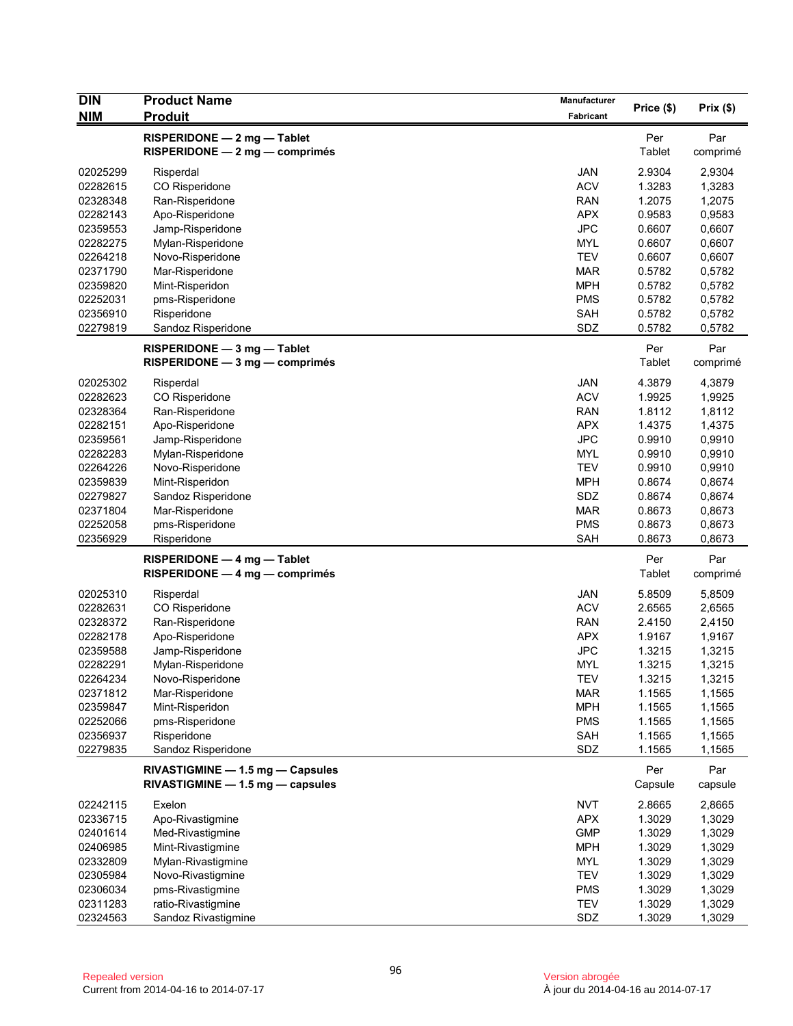| <b>DIN</b> | <b>Product Name</b>                                           | Manufacturer |            |          |
|------------|---------------------------------------------------------------|--------------|------------|----------|
| <b>NIM</b> | <b>Produit</b>                                                | Fabricant    | Price (\$) | Prix(\$) |
|            |                                                               |              | Per        | Par      |
|            | RISPERIDONE - 2 mg - Tablet<br>RISPERIDONE - 2 mg - comprimés |              | Tablet     | comprimé |
|            |                                                               |              |            |          |
| 02025299   | Risperdal                                                     | <b>JAN</b>   | 2.9304     | 2,9304   |
| 02282615   | CO Risperidone                                                | <b>ACV</b>   | 1.3283     | 1,3283   |
| 02328348   | Ran-Risperidone                                               | <b>RAN</b>   | 1.2075     | 1,2075   |
| 02282143   | Apo-Risperidone                                               | <b>APX</b>   | 0.9583     | 0,9583   |
| 02359553   | Jamp-Risperidone                                              | <b>JPC</b>   | 0.6607     | 0,6607   |
| 02282275   | Mylan-Risperidone                                             | <b>MYL</b>   | 0.6607     | 0,6607   |
| 02264218   | Novo-Risperidone                                              | <b>TEV</b>   | 0.6607     | 0,6607   |
| 02371790   | Mar-Risperidone                                               | <b>MAR</b>   | 0.5782     | 0,5782   |
| 02359820   | Mint-Risperidon                                               | <b>MPH</b>   | 0.5782     | 0,5782   |
| 02252031   | pms-Risperidone                                               | <b>PMS</b>   | 0.5782     | 0,5782   |
| 02356910   | Risperidone                                                   | <b>SAH</b>   | 0.5782     | 0,5782   |
| 02279819   | Sandoz Risperidone                                            | SDZ          | 0.5782     | 0,5782   |
|            | $RISPERIDONE - 3 mg - Table$                                  |              | Per        | Par      |
|            | $RISPERIDONE - 3 mg - comprimés$                              |              | Tablet     | comprimé |
| 02025302   | Risperdal                                                     | JAN          | 4.3879     | 4,3879   |
| 02282623   | CO Risperidone                                                | <b>ACV</b>   | 1.9925     | 1,9925   |
| 02328364   | Ran-Risperidone                                               | <b>RAN</b>   | 1.8112     | 1,8112   |
| 02282151   | Apo-Risperidone                                               | <b>APX</b>   | 1.4375     | 1,4375   |
| 02359561   | Jamp-Risperidone                                              | <b>JPC</b>   | 0.9910     | 0,9910   |
| 02282283   | Mylan-Risperidone                                             | <b>MYL</b>   | 0.9910     | 0,9910   |
| 02264226   | Novo-Risperidone                                              | <b>TEV</b>   | 0.9910     | 0,9910   |
| 02359839   | Mint-Risperidon                                               | <b>MPH</b>   | 0.8674     | 0,8674   |
| 02279827   | Sandoz Risperidone                                            | SDZ          | 0.8674     | 0,8674   |
| 02371804   | Mar-Risperidone                                               | <b>MAR</b>   | 0.8673     | 0,8673   |
| 02252058   | pms-Risperidone                                               | <b>PMS</b>   | 0.8673     | 0,8673   |
| 02356929   | Risperidone                                                   | <b>SAH</b>   | 0.8673     | 0,8673   |
|            |                                                               |              |            |          |
|            | RISPERIDONE - 4 mg - Tablet                                   |              | Per        | Par      |
|            | $RISPERIDONE - 4 mg - comprimés$                              |              | Tablet     | comprimé |
| 02025310   | Risperdal                                                     | <b>JAN</b>   | 5.8509     | 5,8509   |
| 02282631   | CO Risperidone                                                | <b>ACV</b>   | 2.6565     | 2,6565   |
| 02328372   | Ran-Risperidone                                               | <b>RAN</b>   | 2.4150     | 2,4150   |
| 02282178   | Apo-Risperidone                                               | <b>APX</b>   | 1.9167     | 1,9167   |
| 02359588   | Jamp-Risperidone                                              | <b>JPC</b>   | 1.3215     | 1,3215   |
| 02282291   | Mylan-Risperidone                                             | <b>MYL</b>   | 1.3215     | 1,3215   |
| 02264234   | Novo-Risperidone                                              | <b>TEV</b>   | 1.3215     | 1,3215   |
| 02371812   | Mar-Risperidone                                               | <b>MAR</b>   | 1.1565     | 1,1565   |
| 02359847   | Mint-Risperidon                                               | <b>MPH</b>   | 1.1565     | 1,1565   |
| 02252066   | pms-Risperidone                                               | <b>PMS</b>   | 1.1565     | 1,1565   |
| 02356937   | Risperidone                                                   | SAH          | 1.1565     | 1,1565   |
| 02279835   | Sandoz Risperidone                                            | SDZ          | 1.1565     | 1,1565   |
|            | RIVASTIGMINE - 1.5 mg - Capsules                              |              | Per        | Par      |
|            | $RIVASTIGMINE - 1.5 mg - capsules$                            |              | Capsule    | capsule  |
|            |                                                               |              |            |          |
| 02242115   | Exelon                                                        | <b>NVT</b>   | 2.8665     | 2,8665   |
| 02336715   | Apo-Rivastigmine                                              | <b>APX</b>   | 1.3029     | 1,3029   |
| 02401614   | Med-Rivastigmine                                              | <b>GMP</b>   | 1.3029     | 1,3029   |
| 02406985   | Mint-Rivastigmine                                             | <b>MPH</b>   | 1.3029     | 1,3029   |
| 02332809   | Mylan-Rivastigmine                                            | <b>MYL</b>   | 1.3029     | 1,3029   |
| 02305984   | Novo-Rivastigmine                                             | <b>TEV</b>   | 1.3029     | 1,3029   |
| 02306034   | pms-Rivastigmine                                              | <b>PMS</b>   | 1.3029     | 1,3029   |
| 02311283   | ratio-Rivastigmine                                            | <b>TEV</b>   | 1.3029     | 1,3029   |
| 02324563   | Sandoz Rivastigmine                                           | SDZ          | 1.3029     | 1,3029   |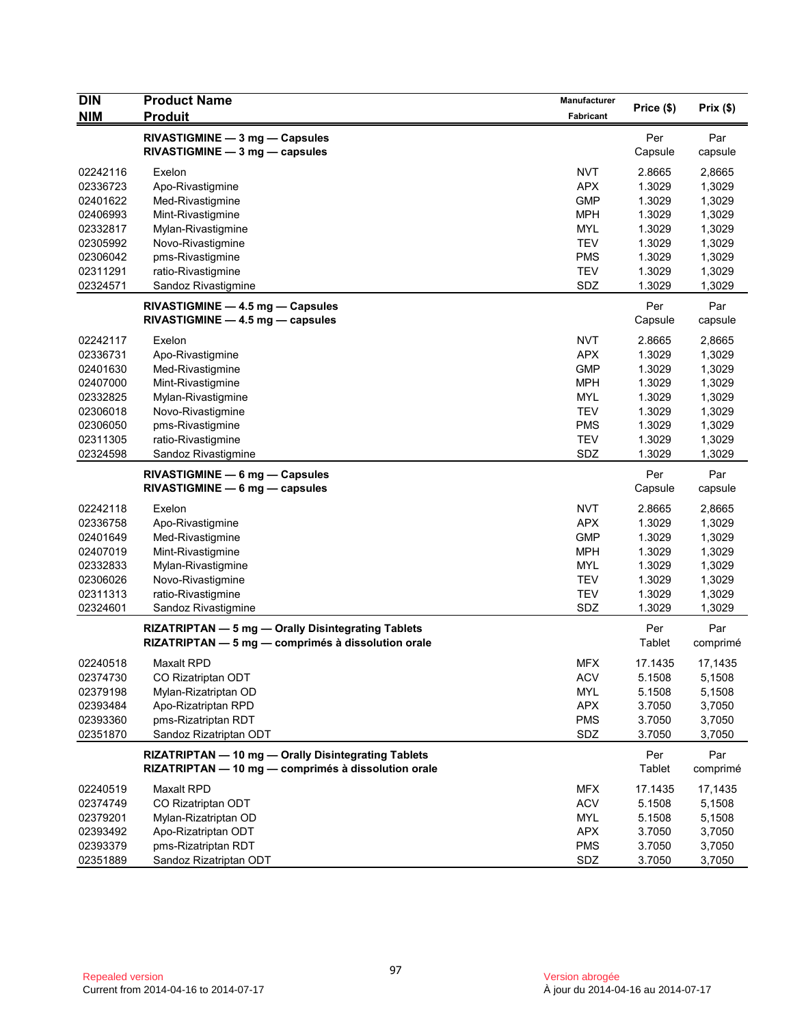| <b>DIN</b> | <b>Product Name</b>                                 | Manufacturer | Price (\$) | Prix(\$) |
|------------|-----------------------------------------------------|--------------|------------|----------|
| <b>NIM</b> | <b>Produit</b>                                      | Fabricant    |            |          |
|            | RIVASTIGMINE - 3 mg - Capsules                      |              | Per        | Par      |
|            | RIVASTIGMINE - 3 mg - capsules                      |              | Capsule    | capsule  |
| 02242116   | Exelon                                              | <b>NVT</b>   | 2.8665     | 2,8665   |
| 02336723   | Apo-Rivastigmine                                    | <b>APX</b>   | 1.3029     | 1,3029   |
| 02401622   | Med-Rivastigmine                                    | <b>GMP</b>   | 1.3029     | 1,3029   |
| 02406993   | Mint-Rivastigmine                                   | <b>MPH</b>   | 1.3029     | 1,3029   |
| 02332817   | Mylan-Rivastigmine                                  | <b>MYL</b>   | 1.3029     | 1,3029   |
| 02305992   | Novo-Rivastigmine                                   | <b>TEV</b>   | 1.3029     | 1,3029   |
| 02306042   | pms-Rivastigmine                                    | <b>PMS</b>   | 1.3029     | 1,3029   |
| 02311291   | ratio-Rivastigmine                                  | <b>TEV</b>   | 1.3029     | 1,3029   |
| 02324571   | Sandoz Rivastigmine                                 | SDZ          | 1.3029     | 1,3029   |
|            | RIVASTIGMINE - 4.5 mg - Capsules                    |              | Per        | Par      |
|            | $RIVASTIGMINE - 4.5 mg - capsules$                  |              | Capsule    | capsule  |
| 02242117   | Exelon                                              | <b>NVT</b>   | 2.8665     | 2,8665   |
| 02336731   | Apo-Rivastigmine                                    | <b>APX</b>   | 1.3029     | 1,3029   |
| 02401630   | Med-Rivastigmine                                    | <b>GMP</b>   | 1.3029     | 1,3029   |
| 02407000   | Mint-Rivastigmine                                   | <b>MPH</b>   | 1.3029     | 1,3029   |
| 02332825   | Mylan-Rivastigmine                                  | <b>MYL</b>   | 1.3029     | 1,3029   |
| 02306018   | Novo-Rivastigmine                                   | <b>TEV</b>   | 1.3029     | 1,3029   |
| 02306050   | pms-Rivastigmine                                    | <b>PMS</b>   | 1.3029     | 1,3029   |
| 02311305   | ratio-Rivastigmine                                  | <b>TEV</b>   | 1.3029     | 1,3029   |
| 02324598   | Sandoz Rivastigmine                                 | SDZ          | 1.3029     | 1,3029   |
|            | RIVASTIGMINE - 6 mg - Capsules                      |              | Per        | Par      |
|            | $RIVASTIGMINE - 6 mg - capsules$                    |              | Capsule    | capsule  |
| 02242118   | Exelon                                              | <b>NVT</b>   | 2.8665     | 2,8665   |
| 02336758   | Apo-Rivastigmine                                    | <b>APX</b>   | 1.3029     | 1,3029   |
| 02401649   | Med-Rivastigmine                                    | <b>GMP</b>   | 1.3029     | 1,3029   |
| 02407019   | Mint-Rivastigmine                                   | <b>MPH</b>   | 1.3029     | 1,3029   |
| 02332833   | Mylan-Rivastigmine                                  | <b>MYL</b>   | 1.3029     | 1,3029   |
| 02306026   | Novo-Rivastigmine                                   | <b>TEV</b>   | 1.3029     | 1,3029   |
| 02311313   | ratio-Rivastigmine                                  | <b>TEV</b>   | 1.3029     | 1,3029   |
| 02324601   | Sandoz Rivastigmine                                 | SDZ          | 1.3029     | 1,3029   |
|            | RIZATRIPTAN - 5 mg - Orally Disintegrating Tablets  |              | Per        | Par      |
|            | RIZATRIPTAN - 5 mg - comprimés à dissolution orale  |              | Tablet     | comprimé |
| 02240518   | <b>Maxalt RPD</b>                                   | <b>MFX</b>   | 17.1435    | 17,1435  |
| 02374730   | CO Rizatriptan ODT                                  | <b>ACV</b>   | 5.1508     | 5,1508   |
| 02379198   | Mylan-Rizatriptan OD                                | <b>MYL</b>   | 5.1508     | 5,1508   |
| 02393484   | Apo-Rizatriptan RPD                                 | <b>APX</b>   | 3.7050     | 3,7050   |
| 02393360   | pms-Rizatriptan RDT                                 | <b>PMS</b>   | 3.7050     | 3,7050   |
| 02351870   | Sandoz Rizatriptan ODT                              | SDZ          | 3.7050     | 3,7050   |
|            | RIZATRIPTAN - 10 mg - Orally Disintegrating Tablets |              | Per        | Par      |
|            | RIZATRIPTAN - 10 mg - comprimés à dissolution orale |              | Tablet     | comprimé |
| 02240519   | <b>Maxalt RPD</b>                                   | <b>MFX</b>   | 17.1435    | 17,1435  |
| 02374749   | CO Rizatriptan ODT                                  | <b>ACV</b>   | 5.1508     | 5,1508   |
| 02379201   | Mylan-Rizatriptan OD                                | <b>MYL</b>   | 5.1508     | 5,1508   |
| 02393492   | Apo-Rizatriptan ODT                                 | <b>APX</b>   | 3.7050     | 3,7050   |
| 02393379   | pms-Rizatriptan RDT                                 | <b>PMS</b>   | 3.7050     | 3,7050   |
| 02351889   | Sandoz Rizatriptan ODT                              | SDZ          | 3.7050     | 3,7050   |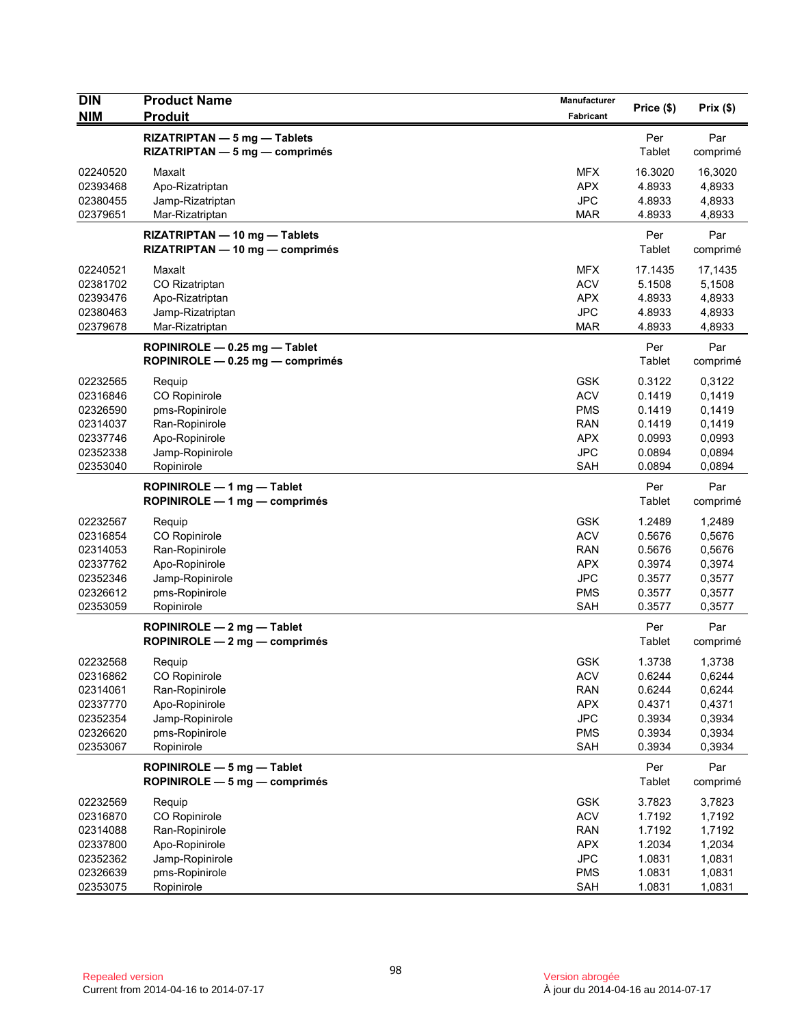| <b>DIN</b><br><b>NIM</b>         | <b>Product Name</b><br><b>Produit</b>                                 | Manufacturer<br>Fabricant              | Price (\$)                  | Prix(\$)                    |
|----------------------------------|-----------------------------------------------------------------------|----------------------------------------|-----------------------------|-----------------------------|
|                                  | RIZATRIPTAN - 5 mg - Tablets<br>$RIZATRIPTAN - 5 mg - comprimés$      |                                        | Per<br>Tablet               | Par<br>comprimé             |
| 02240520<br>02393468<br>02380455 | Maxalt<br>Apo-Rizatriptan<br>Jamp-Rizatriptan                         | <b>MFX</b><br><b>APX</b><br><b>JPC</b> | 16.3020<br>4.8933<br>4.8933 | 16,3020<br>4,8933<br>4,8933 |
| 02379651                         | Mar-Rizatriptan                                                       | <b>MAR</b>                             | 4.8933                      | 4,8933                      |
|                                  | RIZATRIPTAN - 10 mg - Tablets<br>RIZATRIPTAN - 10 mg - comprimés      |                                        | Per<br>Tablet               | Par<br>comprimé             |
| 02240521                         | Maxalt                                                                | MFX                                    | 17.1435                     | 17,1435                     |
| 02381702<br>02393476             | CO Rizatriptan<br>Apo-Rizatriptan                                     | <b>ACV</b><br><b>APX</b>               | 5.1508<br>4.8933            | 5,1508<br>4,8933            |
| 02380463                         | Jamp-Rizatriptan                                                      | <b>JPC</b>                             | 4.8933                      | 4,8933                      |
| 02379678                         | Mar-Rizatriptan                                                       | <b>MAR</b>                             | 4.8933                      | 4,8933                      |
|                                  | ROPINIROLE $-$ 0.25 mg $-$ Tablet<br>ROPINIROLE - 0.25 mg - comprimés |                                        | Per<br>Tablet               | Par<br>comprimé             |
| 02232565                         | Requip                                                                | <b>GSK</b>                             | 0.3122                      | 0,3122                      |
| 02316846                         | CO Ropinirole                                                         | <b>ACV</b>                             | 0.1419                      | 0,1419                      |
| 02326590                         | pms-Ropinirole                                                        | <b>PMS</b>                             | 0.1419                      | 0,1419                      |
| 02314037                         | Ran-Ropinirole                                                        | <b>RAN</b>                             | 0.1419                      | 0,1419                      |
| 02337746                         | Apo-Ropinirole                                                        | <b>APX</b>                             | 0.0993                      | 0,0993                      |
| 02352338                         | Jamp-Ropinirole                                                       | <b>JPC</b>                             | 0.0894                      | 0,0894                      |
| 02353040                         | Ropinirole                                                            | <b>SAH</b>                             | 0.0894                      | 0,0894                      |
|                                  | ROPINIROLE $-1$ mg $-$ Tablet<br>ROPINIROLE - 1 mg - comprimés        |                                        | Per<br>Tablet               | Par<br>comprimé             |
| 02232567                         | Requip                                                                | <b>GSK</b>                             | 1.2489                      | 1,2489                      |
| 02316854                         | CO Ropinirole                                                         | <b>ACV</b>                             | 0.5676                      | 0,5676                      |
| 02314053                         | Ran-Ropinirole                                                        | RAN                                    | 0.5676                      | 0,5676                      |
| 02337762                         | Apo-Ropinirole                                                        | <b>APX</b>                             | 0.3974                      | 0,3974                      |
| 02352346<br>02326612             | Jamp-Ropinirole                                                       | <b>JPC</b><br><b>PMS</b>               | 0.3577<br>0.3577            | 0,3577                      |
| 02353059                         | pms-Ropinirole<br>Ropinirole                                          | <b>SAH</b>                             | 0.3577                      | 0,3577<br>0,3577            |
|                                  |                                                                       |                                        | Per                         | Par                         |
|                                  | ROPINIROLE - 2 mg - Tablet<br>ROPINIROLE - 2 mg - comprimés           |                                        | Tablet                      | comprimé                    |
| 02232568                         | Requip                                                                | <b>GSK</b>                             | 1.3738                      | 1,3738                      |
| 02316862                         | CO Ropinirole                                                         | <b>ACV</b>                             | 0.6244                      | 0,6244                      |
| 02314061                         | Ran-Ropinirole                                                        | <b>RAN</b><br><b>APX</b>               | 0.6244                      | 0,6244                      |
| 02337770<br>02352354             | Apo-Ropinirole<br>Jamp-Ropinirole                                     | <b>JPC</b>                             | 0.4371<br>0.3934            | 0,4371<br>0,3934            |
| 02326620                         | pms-Ropinirole                                                        | <b>PMS</b>                             | 0.3934                      | 0,3934                      |
| 02353067                         | Ropinirole                                                            | <b>SAH</b>                             | 0.3934                      | 0,3934                      |
|                                  | ROPINIROLE - 5 mg - Tablet<br>ROPINIROLE $-5$ mg $-$ comprimes        |                                        | Per<br>Tablet               | Par<br>comprimé             |
| 02232569                         | Requip                                                                | <b>GSK</b>                             | 3.7823                      | 3,7823                      |
| 02316870                         | CO Ropinirole                                                         | <b>ACV</b>                             | 1.7192                      | 1,7192                      |
| 02314088                         | Ran-Ropinirole                                                        | <b>RAN</b>                             | 1.7192                      | 1,7192                      |
| 02337800                         | Apo-Ropinirole                                                        | <b>APX</b>                             | 1.2034                      | 1,2034                      |
| 02352362                         | Jamp-Ropinirole                                                       | <b>JPC</b>                             | 1.0831                      | 1,0831                      |
| 02326639                         | pms-Ropinirole                                                        | <b>PMS</b>                             | 1.0831                      | 1,0831                      |
| 02353075                         | Ropinirole                                                            | <b>SAH</b>                             | 1.0831                      | 1,0831                      |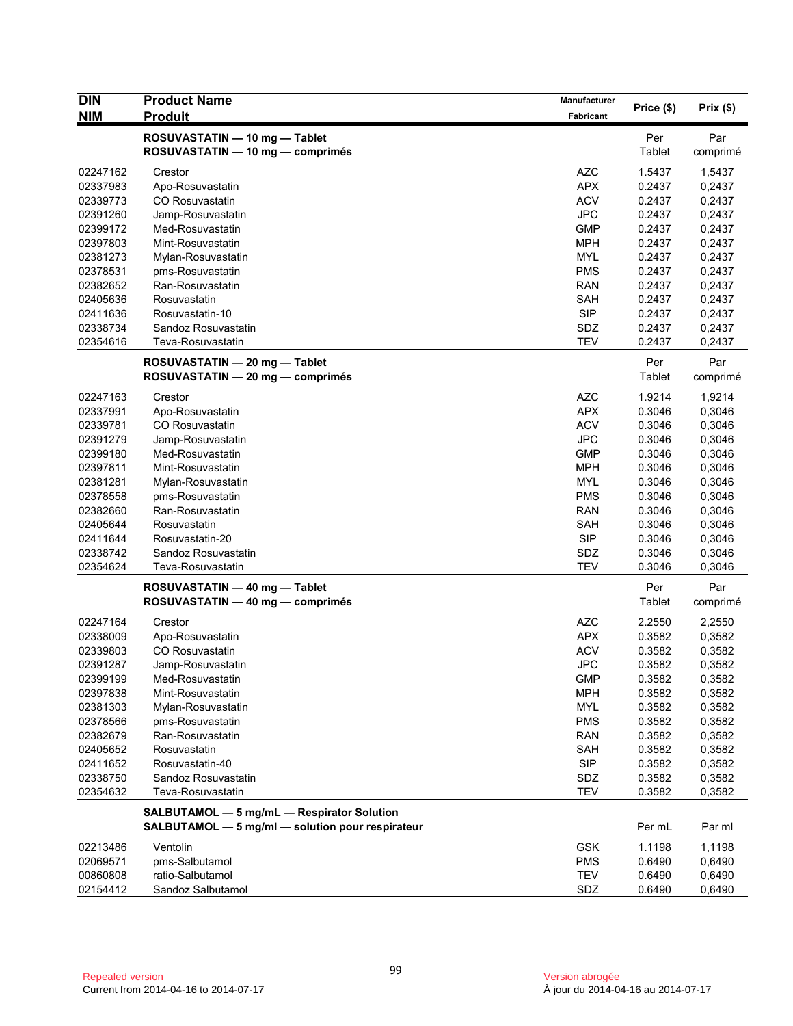| <b>DIN</b> | <b>Product Name</b>                                                                            | Manufacturer | Price (\$) | Prix(\$) |
|------------|------------------------------------------------------------------------------------------------|--------------|------------|----------|
| <b>NIM</b> | <b>Produit</b>                                                                                 | Fabricant    |            |          |
|            | ROSUVASTATIN - 10 mg - Tablet                                                                  |              | Per        | Par      |
|            | ROSUVASTATIN - 10 mg - comprimés                                                               |              | Tablet     | comprimé |
| 02247162   | Crestor                                                                                        | <b>AZC</b>   | 1.5437     | 1,5437   |
| 02337983   | Apo-Rosuvastatin                                                                               | <b>APX</b>   | 0.2437     | 0,2437   |
| 02339773   | <b>CO Rosuvastatin</b>                                                                         | <b>ACV</b>   | 0.2437     | 0,2437   |
| 02391260   | Jamp-Rosuvastatin                                                                              | <b>JPC</b>   | 0.2437     | 0,2437   |
| 02399172   | Med-Rosuvastatin                                                                               | <b>GMP</b>   | 0.2437     | 0,2437   |
| 02397803   | Mint-Rosuvastatin                                                                              | MPH          | 0.2437     | 0,2437   |
| 02381273   | Mylan-Rosuvastatin                                                                             | <b>MYL</b>   | 0.2437     | 0,2437   |
| 02378531   | pms-Rosuvastatin                                                                               | <b>PMS</b>   | 0.2437     | 0,2437   |
| 02382652   | Ran-Rosuvastatin                                                                               | <b>RAN</b>   | 0.2437     | 0,2437   |
| 02405636   | Rosuvastatin                                                                                   | SAH          | 0.2437     | 0,2437   |
| 02411636   | Rosuvastatin-10                                                                                | <b>SIP</b>   | 0.2437     | 0,2437   |
| 02338734   | Sandoz Rosuvastatin                                                                            | SDZ          | 0.2437     | 0,2437   |
| 02354616   | Teva-Rosuvastatin                                                                              | <b>TEV</b>   | 0.2437     | 0,2437   |
|            | ROSUVASTATIN - 20 mg - Tablet                                                                  |              | Per        | Par      |
|            | ROSUVASTATIN - 20 mg - comprimés                                                               |              | Tablet     | comprimé |
| 02247163   | Crestor                                                                                        | <b>AZC</b>   | 1.9214     | 1,9214   |
| 02337991   | Apo-Rosuvastatin                                                                               | <b>APX</b>   | 0.3046     | 0,3046   |
| 02339781   | <b>CO Rosuvastatin</b>                                                                         | <b>ACV</b>   | 0.3046     | 0,3046   |
| 02391279   | Jamp-Rosuvastatin                                                                              | <b>JPC</b>   | 0.3046     | 0,3046   |
| 02399180   | Med-Rosuvastatin                                                                               | <b>GMP</b>   | 0.3046     | 0,3046   |
| 02397811   | Mint-Rosuvastatin                                                                              | <b>MPH</b>   | 0.3046     | 0,3046   |
| 02381281   | Mylan-Rosuvastatin                                                                             | <b>MYL</b>   | 0.3046     | 0,3046   |
| 02378558   | pms-Rosuvastatin                                                                               | <b>PMS</b>   | 0.3046     | 0,3046   |
| 02382660   | Ran-Rosuvastatin                                                                               | <b>RAN</b>   | 0.3046     | 0,3046   |
| 02405644   | Rosuvastatin                                                                                   | SAH          | 0.3046     | 0,3046   |
| 02411644   | Rosuvastatin-20                                                                                | <b>SIP</b>   | 0.3046     | 0,3046   |
| 02338742   | Sandoz Rosuvastatin                                                                            | SDZ          | 0.3046     | 0,3046   |
| 02354624   | Teva-Rosuvastatin                                                                              | <b>TEV</b>   | 0.3046     | 0,3046   |
|            | ROSUVASTATIN - 40 mg - Tablet                                                                  |              | Per        | Par      |
|            | ROSUVASTATIN - 40 mg - comprimés                                                               |              | Tablet     | comprimé |
| 02247164   | Crestor                                                                                        | <b>AZC</b>   | 2.2550     | 2,2550   |
| 02338009   | Apo-Rosuvastatin                                                                               | <b>APX</b>   | 0.3582     | 0,3582   |
| 02339803   | <b>CO Rosuvastatin</b>                                                                         | <b>ACV</b>   | 0.3582     | 0,3582   |
| 02391287   | Jamp-Rosuvastatin                                                                              | <b>JPC</b>   | 0.3582     | 0,3582   |
| 02399199   | Med-Rosuvastatin                                                                               | <b>GMP</b>   | 0.3582     | 0,3582   |
| 02397838   | Mint-Rosuvastatin                                                                              | <b>MPH</b>   | 0.3582     | 0,3582   |
| 02381303   | Mylan-Rosuvastatin                                                                             | MYL          | 0.3582     | 0,3582   |
| 02378566   | pms-Rosuvastatin                                                                               | <b>PMS</b>   | 0.3582     | 0,3582   |
| 02382679   | Ran-Rosuvastatin                                                                               | <b>RAN</b>   | 0.3582     | 0,3582   |
| 02405652   | Rosuvastatin                                                                                   | SAH          | 0.3582     | 0,3582   |
| 02411652   | Rosuvastatin-40                                                                                | <b>SIP</b>   | 0.3582     | 0,3582   |
| 02338750   | Sandoz Rosuvastatin                                                                            | SDZ          | 0.3582     | 0,3582   |
| 02354632   | Teva-Rosuvastatin                                                                              | <b>TEV</b>   | 0.3582     | 0,3582   |
|            | SALBUTAMOL - 5 mg/mL - Respirator Solution<br>SALBUTAMOL - 5 mg/ml - solution pour respirateur |              | Per mL     | Par ml   |
| 02213486   | Ventolin                                                                                       | <b>GSK</b>   | 1.1198     | 1,1198   |
| 02069571   | pms-Salbutamol                                                                                 | <b>PMS</b>   | 0.6490     | 0,6490   |
| 00860808   | ratio-Salbutamol                                                                               | <b>TEV</b>   | 0.6490     | 0,6490   |
| 02154412   | Sandoz Salbutamol                                                                              | SDZ          | 0.6490     | 0,6490   |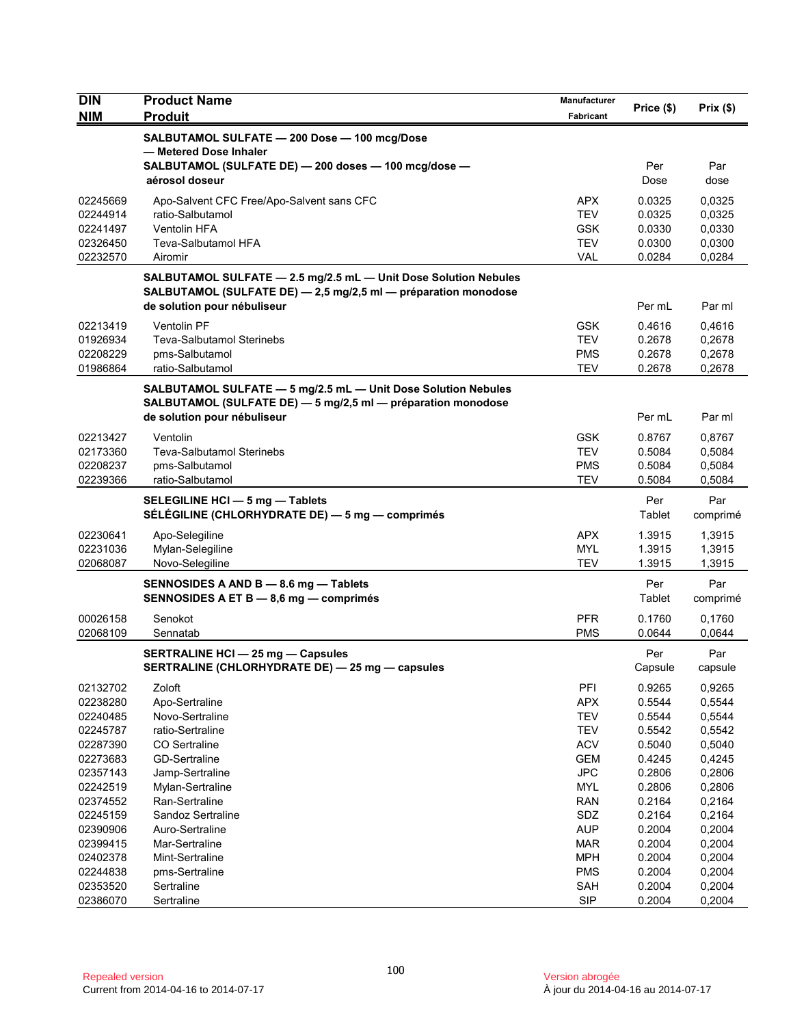| <b>NIM</b><br><b>Produit</b><br>Fabricant                                                                                     | Price (\$)       |                  |
|-------------------------------------------------------------------------------------------------------------------------------|------------------|------------------|
|                                                                                                                               |                  | Prix(\$)         |
| SALBUTAMOL SULFATE - 200 Dose - 100 mcg/Dose<br>- Metered Dose Inhaler                                                        |                  |                  |
| SALBUTAMOL (SULFATE DE) - 200 doses - 100 mcg/dose -<br>aérosol doseur                                                        | Per<br>Dose      | Par<br>dose      |
| 02245669<br>Apo-Salvent CFC Free/Apo-Salvent sans CFC<br><b>APX</b>                                                           | 0.0325           | 0,0325           |
| <b>TEV</b><br>02244914<br>ratio-Salbutamol                                                                                    | 0.0325           | 0,0325           |
| Ventolin HFA<br><b>GSK</b><br>02241497                                                                                        | 0.0330           | 0,0330           |
| Teva-Salbutamol HFA<br><b>TEV</b><br>02326450                                                                                 | 0.0300           | 0,0300           |
| <b>VAL</b><br>02232570<br>Airomir                                                                                             | 0.0284           | 0,0284           |
| SALBUTAMOL SULFATE - 2.5 mg/2.5 mL - Unit Dose Solution Nebules                                                               |                  |                  |
| SALBUTAMOL (SULFATE DE) - 2,5 mg/2,5 ml - préparation monodose                                                                |                  |                  |
| de solution pour nébuliseur                                                                                                   | Per mL           | Par ml           |
| 02213419<br><b>Ventolin PF</b><br><b>GSK</b>                                                                                  | 0.4616           | 0,4616           |
| 01926934<br><b>Teva-Salbutamol Sterinebs</b><br><b>TEV</b>                                                                    | 0.2678           | 0,2678           |
| 02208229<br>pms-Salbutamol<br><b>PMS</b><br>ratio-Salbutamol<br><b>TEV</b>                                                    | 0.2678           | 0,2678           |
| 01986864                                                                                                                      | 0.2678           | 0,2678           |
| SALBUTAMOL SULFATE - 5 mg/2.5 mL - Unit Dose Solution Nebules<br>SALBUTAMOL (SULFATE DE) - 5 mg/2,5 ml - préparation monodose |                  |                  |
| de solution pour nébuliseur                                                                                                   | Per mL           | Par ml           |
| <b>GSK</b><br>02213427<br>Ventolin                                                                                            | 0.8767           | 0,8767           |
| 02173360<br><b>Teva-Salbutamol Sterinebs</b><br><b>TEV</b>                                                                    | 0.5084           | 0,5084           |
| 02208237<br>pms-Salbutamol<br><b>PMS</b>                                                                                      | 0.5084           | 0,5084           |
| 02239366<br>ratio-Salbutamol<br><b>TEV</b>                                                                                    | 0.5084           | 0,5084           |
| SELEGILINE HCI - 5 mg - Tablets                                                                                               | Per              | Par              |
| SÉLÉGILINE (CHLORHYDRATE DE) - 5 mg - comprimés                                                                               | Tablet           | comprimé         |
| Apo-Selegiline<br><b>APX</b><br>02230641                                                                                      | 1.3915           | 1,3915           |
| 02231036<br>Mylan-Selegiline<br><b>MYL</b>                                                                                    | 1.3915           | 1,3915           |
| 02068087<br>Novo-Selegiline<br><b>TEV</b>                                                                                     | 1.3915           | 1,3915           |
| SENNOSIDES A AND B - 8.6 mg - Tablets                                                                                         | Per              | Par              |
| SENNOSIDES A ET B - 8,6 mg - comprimés                                                                                        | Tablet           | comprimé         |
| Senokot<br><b>PFR</b><br>00026158                                                                                             | 0.1760           | 0,1760           |
| 02068109<br><b>PMS</b><br>Sennatab                                                                                            | 0.0644           | 0,0644           |
| <b>SERTRALINE HCI - 25 mg - Capsules</b>                                                                                      | Per              | Par              |
| SERTRALINE (CHLORHYDRATE DE) - 25 mg - capsules                                                                               | Capsule          | capsule          |
| Zoloft<br>PFI<br>02132702                                                                                                     | 0.9265           | 0,9265           |
| 02238280<br>Apo-Sertraline<br><b>APX</b>                                                                                      | 0.5544           | 0,5544           |
| 02240485<br>Novo-Sertraline<br><b>TEV</b>                                                                                     | 0.5544           | 0,5544           |
| 02245787<br>ratio-Sertraline<br><b>TEV</b>                                                                                    | 0.5542           | 0,5542           |
| <b>ACV</b><br>02287390<br><b>CO</b> Sertraline                                                                                | 0.5040           | 0,5040           |
| <b>GEM</b><br>02273683<br><b>GD-Sertraline</b>                                                                                | 0.4245           | 0,4245           |
| <b>JPC</b><br>02357143<br>Jamp-Sertraline                                                                                     | 0.2806           | 0,2806           |
| 02242519<br><b>MYL</b><br>Mylan-Sertraline                                                                                    | 0.2806           | 0,2806           |
| 02374552<br>Ran-Sertraline<br><b>RAN</b>                                                                                      | 0.2164           | 0,2164           |
| 02245159<br>Sandoz Sertraline<br>SDZ                                                                                          | 0.2164           | 0,2164           |
| 02390906<br><b>AUP</b><br>Auro-Sertraline<br>02399415<br>Mar-Sertraline<br><b>MAR</b>                                         | 0.2004<br>0.2004 | 0,2004<br>0,2004 |
| <b>MPH</b><br>02402378<br>Mint-Sertraline                                                                                     | 0.2004           | 0,2004           |
| 02244838<br><b>PMS</b><br>pms-Sertraline                                                                                      | 0.2004           | 0,2004           |
| 02353520<br><b>SAH</b><br>Sertraline                                                                                          | 0.2004           | 0,2004           |
| <b>SIP</b><br>02386070<br>Sertraline                                                                                          | 0.2004           | 0,2004           |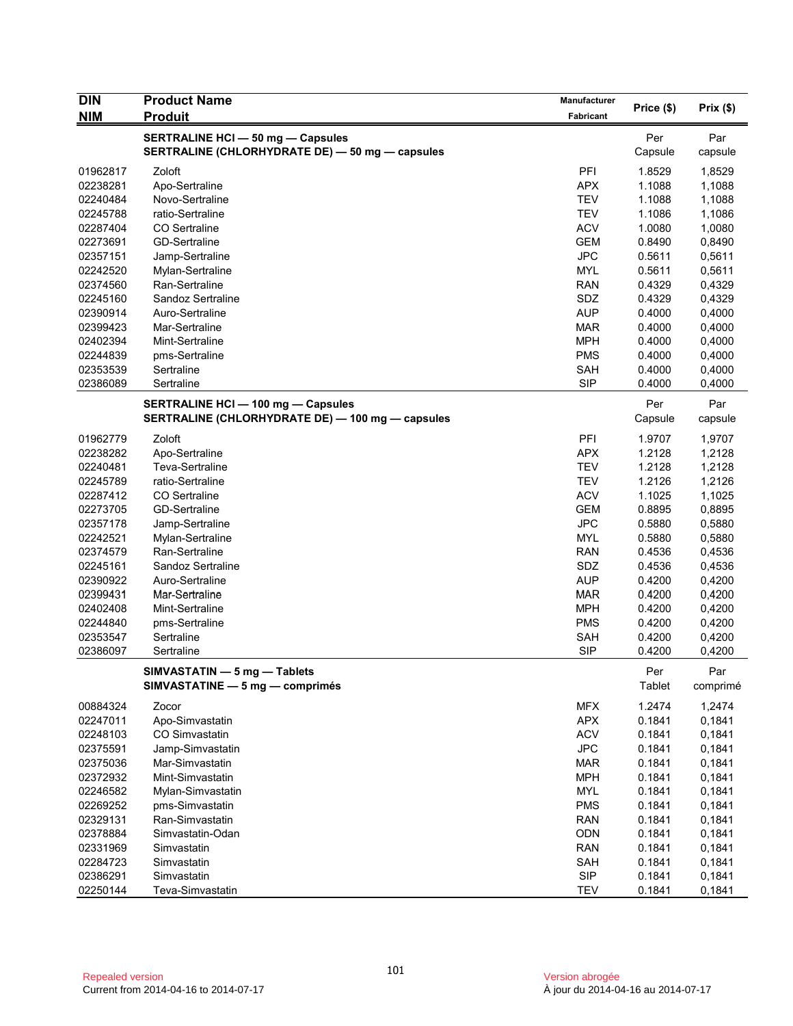| <b>DIN</b>           | <b>Product Name</b>                              | Manufacturer |            |                  |
|----------------------|--------------------------------------------------|--------------|------------|------------------|
| <b>NIM</b>           | <b>Produit</b>                                   | Fabricant    | Price (\$) | Prix(\$)         |
|                      | <b>SERTRALINE HCI - 50 mg - Capsules</b>         |              | Per        | Par              |
|                      | SERTRALINE (CHLORHYDRATE DE) - 50 mg - capsules  |              | Capsule    | capsule          |
|                      |                                                  | PFI          | 1.8529     |                  |
| 01962817<br>02238281 | Zoloft<br>Apo-Sertraline                         | <b>APX</b>   | 1.1088     | 1,8529<br>1,1088 |
| 02240484             | Novo-Sertraline                                  | <b>TEV</b>   | 1.1088     | 1,1088           |
| 02245788             | ratio-Sertraline                                 | <b>TEV</b>   | 1.1086     | 1,1086           |
| 02287404             | <b>CO</b> Sertraline                             | <b>ACV</b>   | 1.0080     | 1,0080           |
| 02273691             | <b>GD-Sertraline</b>                             | <b>GEM</b>   | 0.8490     | 0,8490           |
| 02357151             | Jamp-Sertraline                                  | JPC          | 0.5611     | 0,5611           |
| 02242520             | Mylan-Sertraline                                 | <b>MYL</b>   | 0.5611     | 0,5611           |
| 02374560             | Ran-Sertraline                                   | <b>RAN</b>   | 0.4329     | 0,4329           |
| 02245160             | Sandoz Sertraline                                | SDZ          | 0.4329     | 0,4329           |
| 02390914             | Auro-Sertraline                                  | <b>AUP</b>   | 0.4000     | 0,4000           |
| 02399423             | Mar-Sertraline                                   | <b>MAR</b>   | 0.4000     | 0,4000           |
| 02402394             | Mint-Sertraline                                  | <b>MPH</b>   | 0.4000     | 0,4000           |
| 02244839             | pms-Sertraline                                   | <b>PMS</b>   | 0.4000     | 0,4000           |
| 02353539             | Sertraline                                       | SAH          | 0.4000     | 0,4000           |
| 02386089             | Sertraline                                       | <b>SIP</b>   | 0.4000     | 0,4000           |
|                      |                                                  |              |            |                  |
|                      | <b>SERTRALINE HCI-100 mg-Capsules</b>            |              | Per        | Par              |
|                      | SERTRALINE (CHLORHYDRATE DE) - 100 mg - capsules |              | Capsule    | capsule          |
| 01962779             | Zoloft                                           | PFI          | 1.9707     | 1,9707           |
| 02238282             | Apo-Sertraline                                   | <b>APX</b>   | 1.2128     | 1,2128           |
| 02240481             | Teva-Sertraline                                  | <b>TEV</b>   | 1.2128     | 1,2128           |
| 02245789             | ratio-Sertraline                                 | <b>TEV</b>   | 1.2126     | 1,2126           |
| 02287412             | <b>CO</b> Sertraline                             | <b>ACV</b>   | 1.1025     | 1,1025           |
| 02273705             | <b>GD-Sertraline</b>                             | <b>GEM</b>   | 0.8895     | 0,8895           |
| 02357178             | Jamp-Sertraline                                  | <b>JPC</b>   | 0.5880     | 0,5880           |
| 02242521             | Mylan-Sertraline                                 | <b>MYL</b>   | 0.5880     | 0,5880           |
| 02374579             | Ran-Sertraline                                   | <b>RAN</b>   | 0.4536     | 0,4536           |
| 02245161             | Sandoz Sertraline                                | SDZ          | 0.4536     | 0,4536           |
| 02390922             | Auro-Sertraline                                  | <b>AUP</b>   | 0.4200     | 0,4200           |
| 02399431             | Mar-Sertraline                                   | <b>MAR</b>   | 0.4200     | 0,4200           |
| 02402408             | Mint-Sertraline                                  | <b>MPH</b>   | 0.4200     | 0,4200           |
| 02244840             | pms-Sertraline                                   | <b>PMS</b>   | 0.4200     | 0,4200           |
| 02353547             | Sertraline                                       | SAH          | 0.4200     | 0,4200           |
| 02386097             | Sertraline                                       | <b>SIP</b>   | 0.4200     | 0,4200           |
|                      | SIMVASTATIN - 5 mg - Tablets                     |              | Per        | Par              |
|                      | SIMVASTATINE - 5 mg - comprimés                  |              | Tablet     | comprimé         |
| 00884324             | Zocor                                            | <b>MFX</b>   | 1.2474     | 1,2474           |
| 02247011             | Apo-Simvastatin                                  | <b>APX</b>   | 0.1841     | 0,1841           |
| 02248103             | CO Simvastatin                                   | <b>ACV</b>   | 0.1841     | 0,1841           |
| 02375591             | Jamp-Simvastatin                                 | <b>JPC</b>   | 0.1841     | 0,1841           |
| 02375036             | Mar-Simvastatin                                  | <b>MAR</b>   | 0.1841     | 0,1841           |
| 02372932             | Mint-Simvastatin                                 | <b>MPH</b>   | 0.1841     | 0,1841           |
| 02246582             | Mylan-Simvastatin                                | <b>MYL</b>   | 0.1841     | 0,1841           |
| 02269252             | pms-Simvastatin                                  | <b>PMS</b>   | 0.1841     | 0,1841           |
| 02329131             | Ran-Simvastatin                                  | <b>RAN</b>   | 0.1841     | 0,1841           |
| 02378884             | Simvastatin-Odan                                 | ODN          | 0.1841     | 0,1841           |
| 02331969             | Simvastatin                                      | <b>RAN</b>   | 0.1841     | 0,1841           |
| 02284723             | Simvastatin                                      | SAH          | 0.1841     | 0,1841           |
| 02386291             | Simvastatin                                      | <b>SIP</b>   | 0.1841     | 0,1841           |
| 02250144             | Teva-Simvastatin                                 | <b>TEV</b>   | 0.1841     | 0,1841           |
|                      |                                                  |              |            |                  |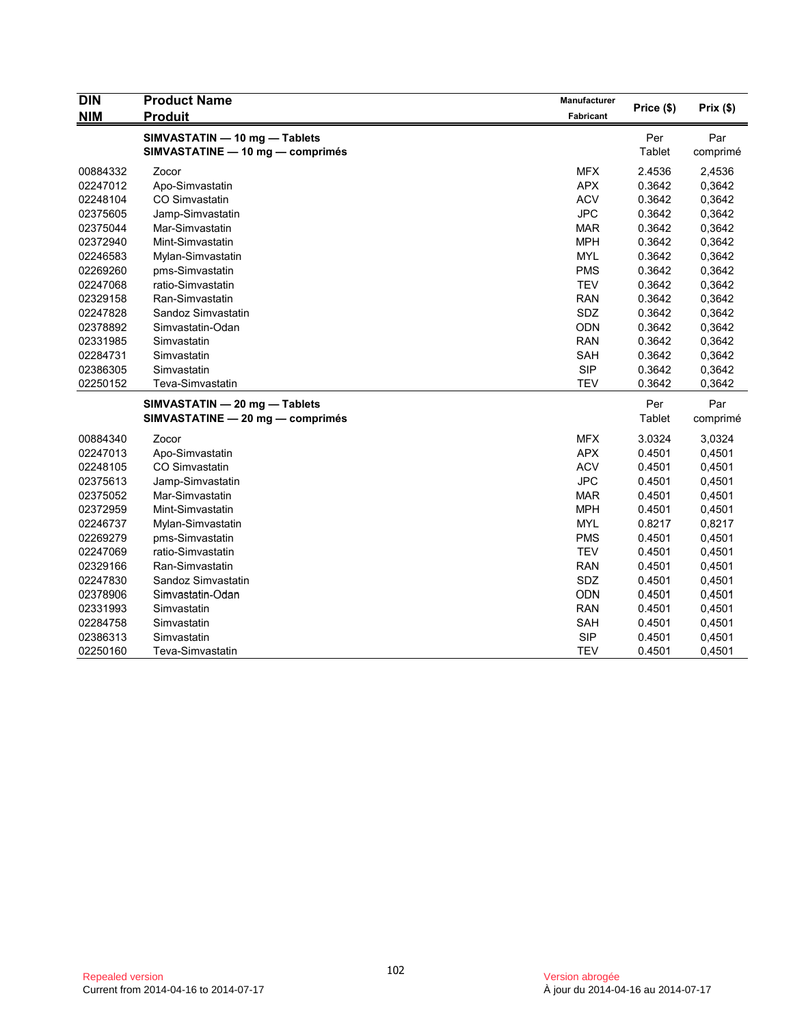| <b>DIN</b> | <b>Product Name</b>              | Manufacturer |            |          |
|------------|----------------------------------|--------------|------------|----------|
| <b>NIM</b> | <b>Produit</b>                   | Fabricant    | Price (\$) | Prix(\$) |
|            | SIMVASTATIN - 10 mg - Tablets    |              | Per        | Par      |
|            | SIMVASTATINE - 10 mg - comprimés |              | Tablet     | comprimé |
| 00884332   | Zocor                            | <b>MFX</b>   | 2.4536     | 2,4536   |
| 02247012   | Apo-Simvastatin                  | <b>APX</b>   | 0.3642     | 0,3642   |
| 02248104   | CO Simvastatin                   | <b>ACV</b>   | 0.3642     | 0,3642   |
| 02375605   | Jamp-Simvastatin                 | <b>JPC</b>   | 0.3642     | 0,3642   |
| 02375044   | Mar-Simvastatin                  | <b>MAR</b>   | 0.3642     | 0,3642   |
| 02372940   | Mint-Simvastatin                 | <b>MPH</b>   | 0.3642     | 0,3642   |
| 02246583   | Mylan-Simvastatin                | <b>MYL</b>   | 0.3642     | 0,3642   |
| 02269260   | pms-Simvastatin                  | <b>PMS</b>   | 0.3642     | 0,3642   |
| 02247068   | ratio-Simvastatin                | <b>TEV</b>   | 0.3642     | 0,3642   |
| 02329158   | Ran-Simvastatin                  | <b>RAN</b>   | 0.3642     | 0,3642   |
| 02247828   | Sandoz Simvastatin               | SDZ          | 0.3642     | 0,3642   |
| 02378892   | Simvastatin-Odan                 | ODN          | 0.3642     | 0,3642   |
| 02331985   | Simvastatin                      | <b>RAN</b>   | 0.3642     | 0,3642   |
| 02284731   | Simvastatin                      | SAH          | 0.3642     | 0,3642   |
| 02386305   | Simvastatin                      | <b>SIP</b>   | 0.3642     | 0,3642   |
| 02250152   | Teva-Simvastatin                 | <b>TEV</b>   | 0.3642     | 0,3642   |
|            | SIMVASTATIN - 20 mg - Tablets    |              | Per        | Par      |
|            | SIMVASTATINE - 20 mg - comprimés |              | Tablet     | comprimé |
| 00884340   | Zocor                            | <b>MFX</b>   | 3.0324     | 3,0324   |
| 02247013   | Apo-Simvastatin                  | <b>APX</b>   | 0.4501     | 0,4501   |
| 02248105   | <b>CO Simvastatin</b>            | <b>ACV</b>   | 0.4501     | 0,4501   |
| 02375613   | Jamp-Simvastatin                 | <b>JPC</b>   | 0.4501     | 0,4501   |
| 02375052   | Mar-Simvastatin                  | <b>MAR</b>   | 0.4501     | 0,4501   |
| 02372959   | Mint-Simvastatin                 | <b>MPH</b>   | 0.4501     | 0,4501   |
| 02246737   | Mylan-Simvastatin                | <b>MYL</b>   | 0.8217     | 0,8217   |
| 02269279   | pms-Simvastatin                  | <b>PMS</b>   | 0.4501     | 0,4501   |
| 02247069   | ratio-Simvastatin                | <b>TEV</b>   | 0.4501     | 0,4501   |
| 02329166   | Ran-Simvastatin                  | <b>RAN</b>   | 0.4501     | 0,4501   |
| 02247830   | Sandoz Simvastatin               | SDZ          | 0.4501     | 0,4501   |
| 02378906   | Simvastatin-Odan                 | <b>ODN</b>   | 0.4501     | 0,4501   |
| 02331993   | Simvastatin                      | <b>RAN</b>   | 0.4501     | 0,4501   |
| 02284758   | Simvastatin                      | SAH          | 0.4501     | 0,4501   |
| 02386313   | Simvastatin                      | <b>SIP</b>   | 0.4501     | 0,4501   |
| 02250160   | Teva-Simvastatin                 | <b>TEV</b>   | 0.4501     | 0,4501   |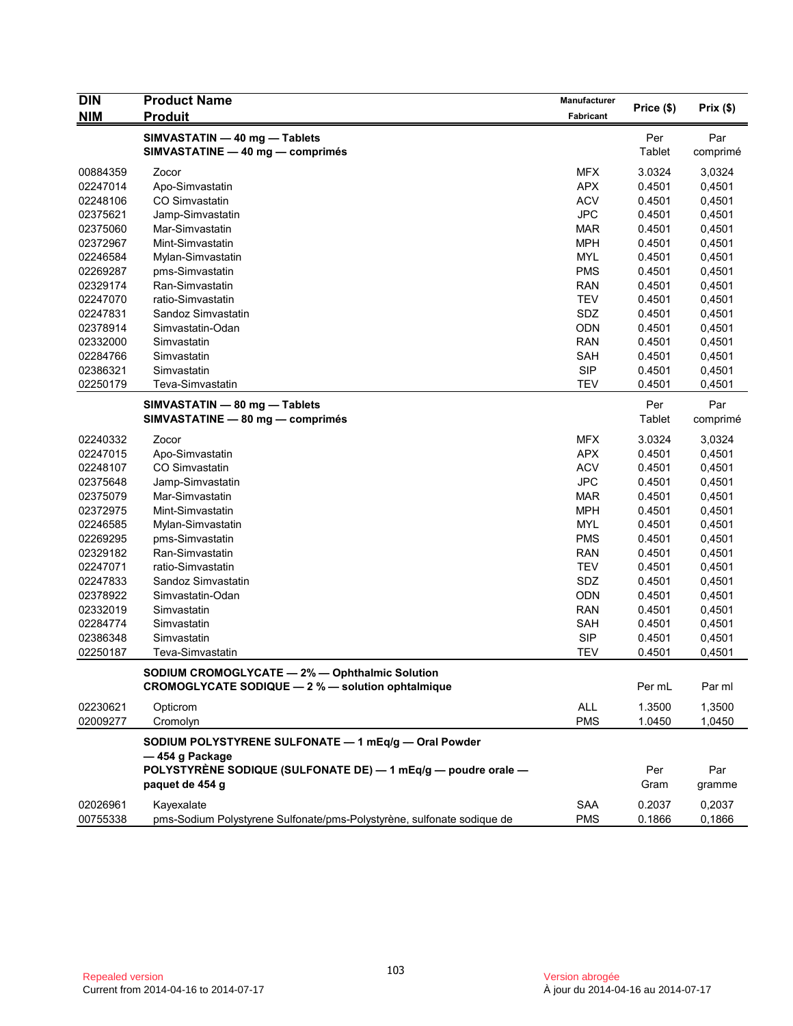| <b>DIN</b> | <b>Product Name</b>                                                    | Manufacturer |            | Prix(\$) |
|------------|------------------------------------------------------------------------|--------------|------------|----------|
| NIM        | <b>Produit</b>                                                         | Fabricant    | Price (\$) |          |
|            | SIMVASTATIN - 40 mg - Tablets                                          |              | Per        | Par      |
|            | SIMVASTATINE - 40 mg - comprimés                                       |              | Tablet     | comprimé |
| 00884359   | Zocor                                                                  | <b>MFX</b>   | 3.0324     | 3,0324   |
| 02247014   | Apo-Simvastatin                                                        | <b>APX</b>   | 0.4501     | 0,4501   |
| 02248106   | <b>CO Simvastatin</b>                                                  | <b>ACV</b>   | 0.4501     | 0,4501   |
| 02375621   | Jamp-Simvastatin                                                       | <b>JPC</b>   | 0.4501     | 0,4501   |
| 02375060   | Mar-Simvastatin                                                        | <b>MAR</b>   | 0.4501     | 0,4501   |
| 02372967   | Mint-Simvastatin                                                       | <b>MPH</b>   | 0.4501     | 0,4501   |
| 02246584   | Mylan-Simvastatin                                                      | <b>MYL</b>   | 0.4501     | 0,4501   |
| 02269287   | pms-Simvastatin                                                        | <b>PMS</b>   | 0.4501     | 0,4501   |
| 02329174   | Ran-Simvastatin                                                        | <b>RAN</b>   | 0.4501     | 0,4501   |
| 02247070   | ratio-Simvastatin                                                      | <b>TEV</b>   | 0.4501     | 0,4501   |
| 02247831   | Sandoz Simvastatin                                                     | SDZ          | 0.4501     | 0,4501   |
| 02378914   | Simvastatin-Odan                                                       | <b>ODN</b>   | 0.4501     | 0,4501   |
| 02332000   | Simvastatin                                                            | <b>RAN</b>   | 0.4501     | 0,4501   |
| 02284766   | Simvastatin                                                            | <b>SAH</b>   | 0.4501     | 0,4501   |
| 02386321   | Simvastatin                                                            | <b>SIP</b>   | 0.4501     | 0,4501   |
| 02250179   | Teva-Simvastatin                                                       | <b>TEV</b>   | 0.4501     | 0,4501   |
|            |                                                                        |              |            |          |
|            | SIMVASTATIN - 80 mg - Tablets                                          |              | Per        | Par      |
|            | SIMVASTATINE - 80 mg - comprimés                                       |              | Tablet     | comprimé |
| 02240332   | Zocor                                                                  | <b>MFX</b>   | 3.0324     | 3,0324   |
| 02247015   | Apo-Simvastatin                                                        | <b>APX</b>   | 0.4501     | 0,4501   |
| 02248107   | <b>CO Simvastatin</b>                                                  | <b>ACV</b>   | 0.4501     | 0,4501   |
| 02375648   | Jamp-Simvastatin                                                       | <b>JPC</b>   | 0.4501     | 0,4501   |
| 02375079   | Mar-Simvastatin                                                        | <b>MAR</b>   | 0.4501     | 0,4501   |
| 02372975   | Mint-Simvastatin                                                       | <b>MPH</b>   | 0.4501     | 0,4501   |
| 02246585   | Mylan-Simvastatin                                                      | <b>MYL</b>   | 0.4501     | 0,4501   |
| 02269295   | pms-Simvastatin                                                        | <b>PMS</b>   | 0.4501     | 0,4501   |
| 02329182   | Ran-Simvastatin                                                        | <b>RAN</b>   | 0.4501     | 0,4501   |
| 02247071   | ratio-Simvastatin                                                      | <b>TEV</b>   | 0.4501     | 0,4501   |
| 02247833   | Sandoz Simvastatin                                                     | SDZ          | 0.4501     | 0,4501   |
| 02378922   | Simvastatin-Odan                                                       | <b>ODN</b>   | 0.4501     | 0,4501   |
| 02332019   | Simvastatin                                                            | <b>RAN</b>   | 0.4501     | 0,4501   |
| 02284774   | Simvastatin                                                            | <b>SAH</b>   | 0.4501     | 0,4501   |
| 02386348   | Simvastatin                                                            | <b>SIP</b>   | 0.4501     | 0,4501   |
| 02250187   | Teva-Simvastatin                                                       | <b>TEV</b>   | 0.4501     | 0,4501   |
|            |                                                                        |              |            |          |
|            | SODIUM CROMOGLYCATE - 2% - Ophthalmic Solution                         |              |            |          |
|            | CROMOGLYCATE SODIQUE - 2 % - solution ophtalmique                      |              | Per mL     | Par ml   |
| 02230621   | Opticrom                                                               | <b>ALL</b>   | 1.3500     | 1,3500   |
| 02009277   | Cromolyn                                                               | <b>PMS</b>   | 1.0450     | 1,0450   |
|            | SODIUM POLYSTYRENE SULFONATE - 1 mEq/g - Oral Powder                   |              |            |          |
|            | -454 g Package                                                         |              |            |          |
|            | POLYSTYRENE SODIQUE (SULFONATE DE) - 1 mEq/g - poudre orale -          |              | Per        | Par      |
|            | paquet de 454 g                                                        |              | Gram       | gramme   |
|            |                                                                        |              |            |          |
| 02026961   | Kayexalate                                                             | <b>SAA</b>   | 0.2037     | 0,2037   |
| 00755338   | pms-Sodium Polystyrene Sulfonate/pms-Polystyrène, sulfonate sodique de | <b>PMS</b>   | 0.1866     | 0,1866   |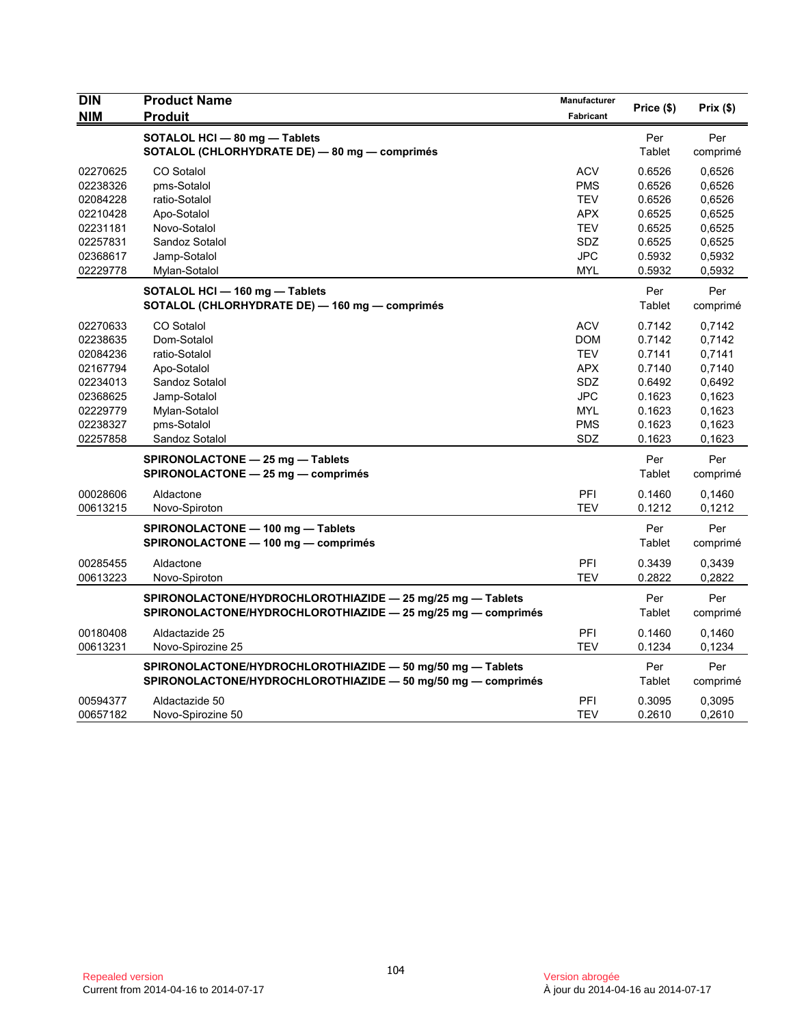| <b>DIN</b><br><b>NIM</b> | <b>Product Name</b><br><b>Produit</b>                                                                                      | Manufacturer<br>Fabricant | Price (\$)       | Prix(\$)         |
|--------------------------|----------------------------------------------------------------------------------------------------------------------------|---------------------------|------------------|------------------|
|                          | SOTALOL HCI - 80 mg - Tablets<br>SOTALOL (CHLORHYDRATE DE) - 80 mg - comprimés                                             |                           | Per<br>Tablet    | Per<br>comprimé  |
| 02270625<br>02238326     | CO Sotalol<br>pms-Sotalol                                                                                                  | <b>ACV</b><br><b>PMS</b>  | 0.6526<br>0.6526 | 0,6526<br>0,6526 |
| 02084228<br>02210428     | ratio-Sotalol<br>Apo-Sotalol                                                                                               | <b>TEV</b><br><b>APX</b>  | 0.6526<br>0.6525 | 0,6526<br>0,6525 |
| 02231181                 | Novo-Sotalol                                                                                                               | <b>TEV</b>                | 0.6525           | 0,6525           |
| 02257831                 | Sandoz Sotalol                                                                                                             | <b>SDZ</b>                | 0.6525           | 0,6525           |
| 02368617<br>02229778     | Jamp-Sotalol<br>Mylan-Sotalol                                                                                              | <b>JPC</b><br><b>MYL</b>  | 0.5932<br>0.5932 | 0,5932<br>0,5932 |
|                          | SOTALOL HCI - 160 mg - Tablets<br>SOTALOL (CHLORHYDRATE DE) - 160 mg - comprimés                                           |                           | Per<br>Tablet    | Per<br>comprimé  |
| 02270633                 | CO Sotalol                                                                                                                 | <b>ACV</b>                | 0.7142           | 0,7142           |
| 02238635                 | Dom-Sotalol                                                                                                                | <b>DOM</b>                | 0.7142           | 0.7142           |
| 02084236                 | ratio-Sotalol                                                                                                              | <b>TEV</b>                | 0.7141           | 0,7141           |
| 02167794<br>02234013     | Apo-Sotalol<br>Sandoz Sotalol                                                                                              | <b>APX</b><br>SDZ         | 0.7140<br>0.6492 | 0,7140<br>0,6492 |
| 02368625                 | Jamp-Sotalol                                                                                                               | <b>JPC</b>                | 0.1623           | 0,1623           |
| 02229779                 | Mylan-Sotalol                                                                                                              | <b>MYL</b>                | 0.1623           | 0,1623           |
| 02238327                 | pms-Sotalol                                                                                                                | <b>PMS</b>                | 0.1623           | 0.1623           |
| 02257858                 | Sandoz Sotalol                                                                                                             | SDZ                       | 0.1623           | 0,1623           |
|                          | SPIRONOLACTONE - 25 mg - Tablets<br>SPIRONOLACTONE - 25 mg - comprimés                                                     |                           | Per<br>Tablet    | Per<br>comprimé  |
| 00028606                 | Aldactone                                                                                                                  | PFI                       | 0.1460           | 0,1460           |
| 00613215                 | Novo-Spiroton                                                                                                              | <b>TEV</b>                | 0.1212           | 0,1212           |
|                          | SPIRONOLACTONE - 100 mg - Tablets<br>SPIRONOLACTONE - 100 mg - comprimés                                                   |                           | Per<br>Tablet    | Per<br>comprimé  |
| 00285455                 | Aldactone                                                                                                                  | PFI                       | 0.3439           | 0,3439           |
| 00613223                 | Novo-Spiroton                                                                                                              | <b>TEV</b>                | 0.2822           | 0,2822           |
|                          | SPIRONOLACTONE/HYDROCHLOROTHIAZIDE - 25 mg/25 mg - Tablets<br>SPIRONOLACTONE/HYDROCHLOROTHIAZIDE - 25 mg/25 mg - comprimés |                           | Per<br>Tablet    | Per<br>comprimé  |
| 00180408<br>00613231     | Aldactazide 25<br>Novo-Spirozine 25                                                                                        | PFI<br><b>TEV</b>         | 0.1460<br>0.1234 | 0,1460<br>0,1234 |
|                          | SPIRONOLACTONE/HYDROCHLOROTHIAZIDE - 50 mg/50 mg - Tablets<br>SPIRONOLACTONE/HYDROCHLOROTHIAZIDE - 50 mg/50 mg - comprimés |                           | Per<br>Tablet    | Per<br>comprimé  |
| 00594377                 | Aldactazide 50                                                                                                             | PFI                       | 0.3095           | 0,3095           |
| 00657182                 | Novo-Spirozine 50                                                                                                          | <b>TEV</b>                | 0.2610           | 0,2610           |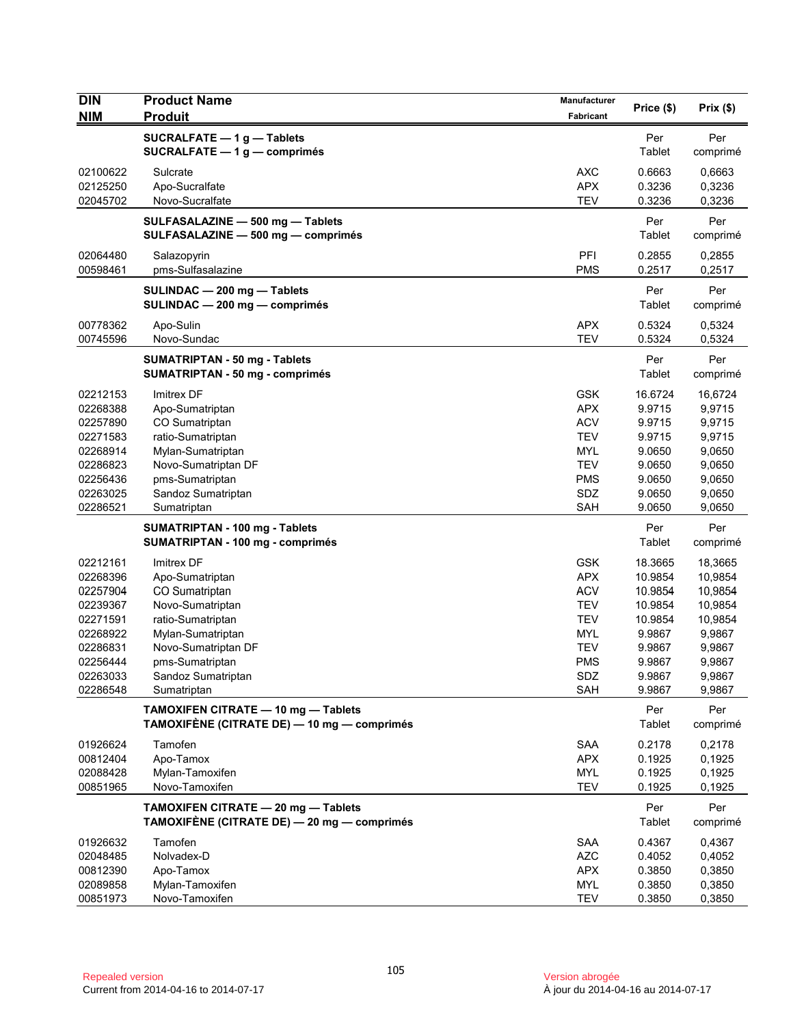| <b>DIN</b><br><b>NIM</b>                                                                                             | <b>Product Name</b><br><b>Produit</b>                                                                                                                                                        | Manufacturer<br>Fabricant                                                                                                         | Price (\$)                                                                                            | $Prix($ \$)                                                                                           |
|----------------------------------------------------------------------------------------------------------------------|----------------------------------------------------------------------------------------------------------------------------------------------------------------------------------------------|-----------------------------------------------------------------------------------------------------------------------------------|-------------------------------------------------------------------------------------------------------|-------------------------------------------------------------------------------------------------------|
|                                                                                                                      | SUCRALFATE - 1 g - Tablets<br>SUCRALFATE $-1$ g $-$ comprimés                                                                                                                                |                                                                                                                                   | Per<br>Tablet                                                                                         | Per<br>comprimé                                                                                       |
| 02100622<br>02125250<br>02045702                                                                                     | Sulcrate<br>Apo-Sucralfate<br>Novo-Sucralfate                                                                                                                                                | <b>AXC</b><br><b>APX</b><br><b>TEV</b>                                                                                            | 0.6663<br>0.3236<br>0.3236                                                                            | 0.6663<br>0,3236<br>0,3236                                                                            |
|                                                                                                                      | SULFASALAZINE - 500 mg - Tablets<br>SULFASALAZINE - 500 mg - comprimés                                                                                                                       |                                                                                                                                   | Per<br>Tablet                                                                                         | Per<br>comprimé                                                                                       |
| 02064480<br>00598461                                                                                                 | Salazopyrin<br>pms-Sulfasalazine                                                                                                                                                             | PFI<br><b>PMS</b>                                                                                                                 | 0.2855<br>0.2517                                                                                      | 0,2855<br>0,2517                                                                                      |
|                                                                                                                      | SULINDAC - 200 mg - Tablets<br>SULINDAC - 200 mg - comprimés                                                                                                                                 |                                                                                                                                   | Per<br>Tablet                                                                                         | Per<br>comprimé                                                                                       |
| 00778362<br>00745596                                                                                                 | Apo-Sulin<br>Novo-Sundac                                                                                                                                                                     | <b>APX</b><br><b>TEV</b>                                                                                                          | 0.5324<br>0.5324                                                                                      | 0,5324<br>0,5324                                                                                      |
|                                                                                                                      | <b>SUMATRIPTAN - 50 mg - Tablets</b><br><b>SUMATRIPTAN - 50 mg - comprimés</b>                                                                                                               |                                                                                                                                   | Per<br>Tablet                                                                                         | Per<br>comprimé                                                                                       |
| 02212153<br>02268388<br>02257890<br>02271583<br>02268914<br>02286823<br>02256436<br>02263025<br>02286521             | Imitrex DF<br>Apo-Sumatriptan<br>CO Sumatriptan<br>ratio-Sumatriptan<br>Mylan-Sumatriptan<br>Novo-Sumatriptan DF<br>pms-Sumatriptan<br>Sandoz Sumatriptan<br>Sumatriptan                     | <b>GSK</b><br><b>APX</b><br><b>ACV</b><br><b>TEV</b><br><b>MYL</b><br><b>TEV</b><br><b>PMS</b><br>SDZ<br>SAH                      | 16.6724<br>9.9715<br>9.9715<br>9.9715<br>9.0650<br>9.0650<br>9.0650<br>9.0650<br>9.0650               | 16,6724<br>9,9715<br>9,9715<br>9,9715<br>9,0650<br>9,0650<br>9,0650<br>9,0650<br>9,0650               |
|                                                                                                                      | SUMATRIPTAN - 100 mg - Tablets<br>SUMATRIPTAN - 100 mg - comprimés                                                                                                                           |                                                                                                                                   | Per<br>Tablet                                                                                         | Per<br>comprimé                                                                                       |
| 02212161<br>02268396<br>02257904<br>02239367<br>02271591<br>02268922<br>02286831<br>02256444<br>02263033<br>02286548 | Imitrex DF<br>Apo-Sumatriptan<br>CO Sumatriptan<br>Novo-Sumatriptan<br>ratio-Sumatriptan<br>Mylan-Sumatriptan<br>Novo-Sumatriptan DF<br>pms-Sumatriptan<br>Sandoz Sumatriptan<br>Sumatriptan | <b>GSK</b><br><b>APX</b><br><b>ACV</b><br><b>TEV</b><br><b>TEV</b><br><b>MYL</b><br><b>TEV</b><br><b>PMS</b><br>SDZ<br><b>SAH</b> | 18.3665<br>10.9854<br>10.9854<br>10.9854<br>10.9854<br>9.9867<br>9.9867<br>9.9867<br>9.9867<br>9.9867 | 18,3665<br>10,9854<br>10,9854<br>10,9854<br>10,9854<br>9,9867<br>9,9867<br>9,9867<br>9,9867<br>9,9867 |
|                                                                                                                      | TAMOXIFEN CITRATE - 10 mg - Tablets<br>TAMOXIFÈNE (CITRATE DE) - 10 mg - comprimés                                                                                                           |                                                                                                                                   | Per<br>Tablet                                                                                         | Per<br>comprimé                                                                                       |
| 01926624<br>00812404<br>02088428<br>00851965                                                                         | Tamofen<br>Apo-Tamox<br>Mylan-Tamoxifen<br>Novo-Tamoxifen                                                                                                                                    | <b>SAA</b><br><b>APX</b><br><b>MYL</b><br><b>TEV</b>                                                                              | 0.2178<br>0.1925<br>0.1925<br>0.1925                                                                  | 0,2178<br>0,1925<br>0,1925<br>0,1925                                                                  |
|                                                                                                                      | TAMOXIFEN CITRATE - 20 mg - Tablets<br>TAMOXIFÈNE (CITRATE DE) — 20 mg — comprimés                                                                                                           |                                                                                                                                   | Per<br>Tablet                                                                                         | Per<br>comprimé                                                                                       |
| 01926632<br>02048485<br>00812390<br>02089858<br>00851973                                                             | Tamofen<br>Nolvadex-D<br>Apo-Tamox<br>Mylan-Tamoxifen<br>Novo-Tamoxifen                                                                                                                      | <b>SAA</b><br><b>AZC</b><br><b>APX</b><br>MYL<br><b>TEV</b>                                                                       | 0.4367<br>0.4052<br>0.3850<br>0.3850<br>0.3850                                                        | 0,4367<br>0,4052<br>0,3850<br>0,3850<br>0,3850                                                        |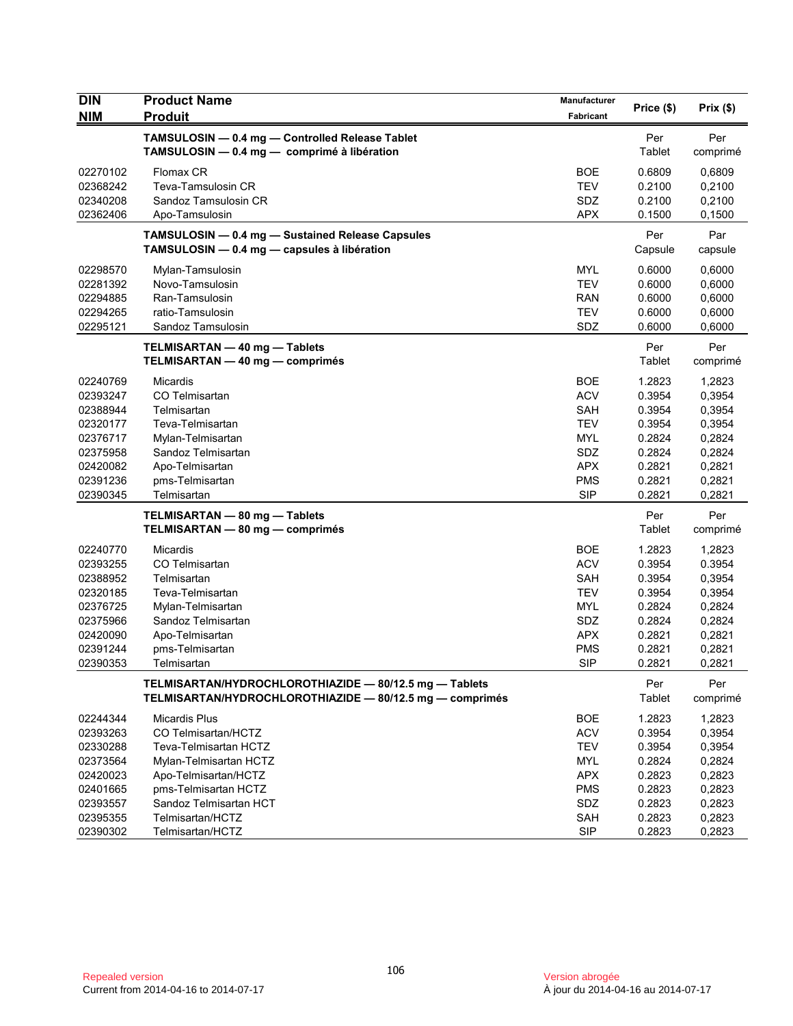| <b>DIN</b>                                                                                               | <b>Product Name</b>                                                                                                                                                                              | Manufacturer                                                                                                        | Price (\$)                                                                                       | $Prix($ \$)                                                                                        |
|----------------------------------------------------------------------------------------------------------|--------------------------------------------------------------------------------------------------------------------------------------------------------------------------------------------------|---------------------------------------------------------------------------------------------------------------------|--------------------------------------------------------------------------------------------------|----------------------------------------------------------------------------------------------------|
| <b>NIM</b>                                                                                               | <b>Produit</b>                                                                                                                                                                                   | Fabricant                                                                                                           |                                                                                                  |                                                                                                    |
|                                                                                                          | TAMSULOSIN - 0.4 mg - Controlled Release Tablet<br>TAMSULOSIN - 0.4 mg - comprimé à libération                                                                                                   |                                                                                                                     | Per<br>Tablet                                                                                    | Per<br>comprimé                                                                                    |
| 02270102<br>02368242<br>02340208<br>02362406                                                             | Flomax CR<br>Teva-Tamsulosin CR<br>Sandoz Tamsulosin CR<br>Apo-Tamsulosin                                                                                                                        | BOE<br><b>TEV</b><br>SDZ<br><b>APX</b>                                                                              | 0.6809<br>0.2100<br>0.2100<br>0.1500                                                             | 0,6809<br>0,2100<br>0,2100<br>0,1500                                                               |
|                                                                                                          | TAMSULOSIN - 0.4 mg - Sustained Release Capsules<br>TAMSULOSIN - 0.4 mg - capsules à libération                                                                                                  |                                                                                                                     | Per<br>Capsule                                                                                   | Par<br>capsule                                                                                     |
| 02298570<br>02281392<br>02294885<br>02294265<br>02295121                                                 | Mylan-Tamsulosin<br>Novo-Tamsulosin<br>Ran-Tamsulosin<br>ratio-Tamsulosin<br>Sandoz Tamsulosin                                                                                                   | <b>MYL</b><br><b>TEV</b><br><b>RAN</b><br><b>TEV</b><br>SDZ                                                         | 0.6000<br>0.6000<br>0.6000<br>0.6000<br>0.6000                                                   | 0,6000<br>0,6000<br>0,6000<br>0,6000<br>0,6000                                                     |
|                                                                                                          | TELMISARTAN — 40 mg — Tablets<br>TELMISARTAN - 40 mg - comprimés                                                                                                                                 |                                                                                                                     | Per<br>Tablet                                                                                    | Per<br>comprimé                                                                                    |
| 02240769<br>02393247<br>02388944<br>02320177<br>02376717<br>02375958<br>02420082<br>02391236<br>02390345 | Micardis<br>CO Telmisartan<br>Telmisartan<br>Teva-Telmisartan<br>Mylan-Telmisartan<br>Sandoz Telmisartan<br>Apo-Telmisartan<br>pms-Telmisartan<br>Telmisartan<br>TELMISARTAN - 80 mg - Tablets   | <b>BOE</b><br><b>ACV</b><br><b>SAH</b><br><b>TEV</b><br><b>MYL</b><br>SDZ<br><b>APX</b><br><b>PMS</b><br><b>SIP</b> | 1.2823<br>0.3954<br>0.3954<br>0.3954<br>0.2824<br>0.2824<br>0.2821<br>0.2821<br>0.2821<br>Per    | 1,2823<br>0,3954<br>0,3954<br>0,3954<br>0,2824<br>0,2824<br>0,2821<br>0,2821<br>0,2821<br>Per      |
| 02240770<br>02393255<br>02388952<br>02320185<br>02376725<br>02375966<br>02420090<br>02391244<br>02390353 | TELMISARTAN - 80 mg - comprimés<br>Micardis<br>CO Telmisartan<br>Telmisartan<br>Teva-Telmisartan<br>Mylan-Telmisartan<br>Sandoz Telmisartan<br>Apo-Telmisartan<br>pms-Telmisartan<br>Telmisartan | <b>BOE</b><br><b>ACV</b><br><b>SAH</b><br><b>TEV</b><br><b>MYL</b><br>SDZ<br><b>APX</b><br><b>PMS</b><br><b>SIP</b> | Tablet<br>1.2823<br>0.3954<br>0.3954<br>0.3954<br>0.2824<br>0.2824<br>0.2821<br>0.2821<br>0.2821 | comprimé<br>1,2823<br>0.3954<br>0,3954<br>0,3954<br>0,2824<br>0,2824<br>0,2821<br>0,2821<br>0,2821 |
|                                                                                                          | TELMISARTAN/HYDROCHLOROTHIAZIDE - 80/12.5 mg - Tablets<br>TELMISARTAN/HYDROCHLOROTHIAZIDE - 80/12.5 mg - comprimés                                                                               |                                                                                                                     | Per<br>Tablet                                                                                    | Per<br>comprimé                                                                                    |
| 02244344<br>02393263<br>02330288<br>02373564<br>02420023<br>02401665<br>02393557<br>02395355             | <b>Micardis Plus</b><br>CO Telmisartan/HCTZ<br>Teva-Telmisartan HCTZ<br>Mylan-Telmisartan HCTZ<br>Apo-Telmisartan/HCTZ<br>pms-Telmisartan HCTZ<br>Sandoz Telmisartan HCT<br>Telmisartan/HCTZ     | <b>BOE</b><br><b>ACV</b><br><b>TEV</b><br><b>MYL</b><br><b>APX</b><br><b>PMS</b><br>SDZ<br>SAH                      | 1.2823<br>0.3954<br>0.3954<br>0.2824<br>0.2823<br>0.2823<br>0.2823<br>0.2823                     | 1,2823<br>0,3954<br>0,3954<br>0,2824<br>0,2823<br>0,2823<br>0,2823<br>0,2823                       |
| 02390302                                                                                                 | Telmisartan/HCTZ                                                                                                                                                                                 | <b>SIP</b>                                                                                                          | 0.2823                                                                                           | 0,2823                                                                                             |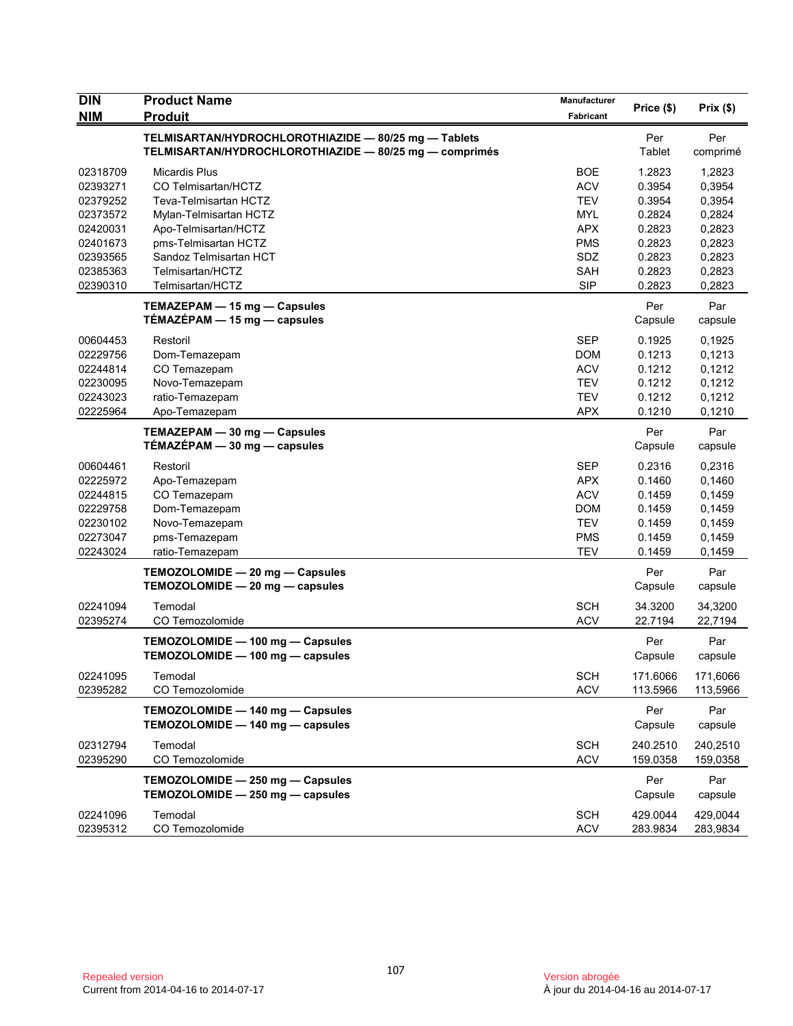| <b>DIN</b> | <b>Product Name</b>                                                                                            | Manufacturer |                |                 |
|------------|----------------------------------------------------------------------------------------------------------------|--------------|----------------|-----------------|
| <b>NIM</b> | <b>Produit</b>                                                                                                 | Fabricant    | Price (\$)     | Prix(\$)        |
|            | TELMISARTAN/HYDROCHLOROTHIAZIDE - 80/25 mg - Tablets<br>TELMISARTAN/HYDROCHLOROTHIAZIDE - 80/25 mg - comprimés |              | Per<br>Tablet  | Per<br>comprimé |
| 02318709   | <b>Micardis Plus</b>                                                                                           | <b>BOE</b>   | 1.2823         | 1,2823          |
| 02393271   | CO Telmisartan/HCTZ                                                                                            | <b>ACV</b>   | 0.3954         | 0,3954          |
| 02379252   | Teva-Telmisartan HCTZ                                                                                          | <b>TEV</b>   | 0.3954         | 0,3954          |
| 02373572   | Mylan-Telmisartan HCTZ                                                                                         | <b>MYL</b>   | 0.2824         | 0,2824          |
| 02420031   | Apo-Telmisartan/HCTZ                                                                                           | <b>APX</b>   | 0.2823         | 0,2823          |
| 02401673   | pms-Telmisartan HCTZ                                                                                           | <b>PMS</b>   | 0.2823         | 0,2823          |
| 02393565   | Sandoz Telmisartan HCT                                                                                         | <b>SDZ</b>   | 0.2823         | 0,2823          |
| 02385363   | Telmisartan/HCTZ                                                                                               | SAH          | 0.2823         | 0,2823          |
| 02390310   | Telmisartan/HCTZ                                                                                               | <b>SIP</b>   | 0.2823         | 0,2823          |
|            | TEMAZEPAM - 15 mg - Capsules<br>TÉMAZÉPAM - 15 mg - capsules                                                   |              | Per<br>Capsule | Par<br>capsule  |
| 00604453   | Restoril                                                                                                       | <b>SEP</b>   | 0.1925         | 0,1925          |
| 02229756   | Dom-Temazepam                                                                                                  | <b>DOM</b>   | 0.1213         | 0,1213          |
| 02244814   | CO Temazepam                                                                                                   | <b>ACV</b>   | 0.1212         | 0,1212          |
| 02230095   | Novo-Temazepam                                                                                                 | <b>TEV</b>   | 0.1212         | 0,1212          |
| 02243023   | ratio-Temazepam                                                                                                | TEV          | 0.1212         | 0,1212          |
| 02225964   | Apo-Temazepam                                                                                                  | <b>APX</b>   | 0.1210         | 0,1210          |
|            | TEMAZEPAM - 30 mg - Capsules<br>TÉMAZÉPAM - 30 mg - capsules                                                   |              | Per<br>Capsule | Par<br>capsule  |
| 00604461   | Restoril                                                                                                       | <b>SEP</b>   | 0.2316         | 0,2316          |
| 02225972   | Apo-Temazepam                                                                                                  | <b>APX</b>   | 0.1460         | 0,1460          |
| 02244815   | CO Temazepam                                                                                                   | <b>ACV</b>   | 0.1459         | 0,1459          |
| 02229758   | Dom-Temazepam                                                                                                  | <b>DOM</b>   | 0.1459         | 0,1459          |
| 02230102   | Novo-Temazepam                                                                                                 | <b>TEV</b>   | 0.1459         | 0,1459          |
| 02273047   | pms-Temazepam                                                                                                  | <b>PMS</b>   | 0.1459         | 0,1459          |
| 02243024   | ratio-Temazepam                                                                                                | <b>TEV</b>   | 0.1459         | 0,1459          |
|            | TEMOZOLOMIDE - 20 mg - Capsules<br>TEMOZOLOMIDE - 20 mg - capsules                                             |              | Per<br>Capsule | Par<br>capsule  |
| 02241094   | Temodal                                                                                                        | <b>SCH</b>   | 34.3200        | 34,3200         |
| 02395274   | CO Temozolomide                                                                                                | <b>ACV</b>   | 22.7194        | 22,7194         |
|            | TEMOZOLOMIDE - 100 mg - Capsules<br>TEMOZOLOMIDE - 100 mg - capsules                                           |              | Per<br>Capsule | Par<br>capsule  |
| 02241095   | Temodal                                                                                                        | SCH          | 171.6066       | 171,6066        |
| 02395282   | CO Temozolomide                                                                                                | <b>ACV</b>   | 113.5966       | 113,5966        |
|            | TEMOZOLOMIDE - 140 mg - Capsules<br>TEMOZOLOMIDE - 140 mg - capsules                                           |              | Per<br>Capsule | Par<br>capsule  |
| 02312794   | Temodal                                                                                                        | <b>SCH</b>   | 240.2510       | 240,2510        |
| 02395290   | CO Temozolomide                                                                                                | <b>ACV</b>   | 159.0358       | 159,0358        |
|            | TEMOZOLOMIDE - 250 mg - Capsules<br>TEMOZOLOMIDE - 250 mg - capsules                                           |              | Per<br>Capsule | Par<br>capsule  |
| 02241096   | Temodal                                                                                                        | <b>SCH</b>   | 429.0044       | 429,0044        |
| 02395312   | CO Temozolomide                                                                                                | <b>ACV</b>   | 283.9834       | 283,9834        |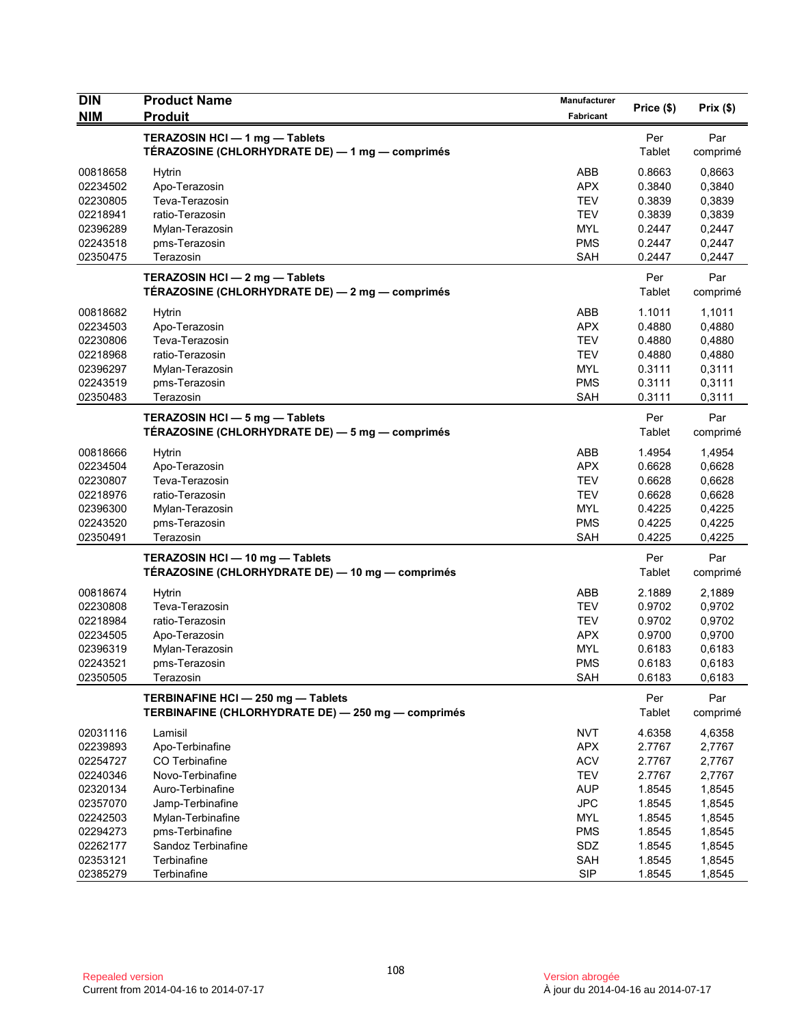| <b>DIN</b> | <b>Product Name</b>                                | Manufacturer | Price (\$) | $Prix($ \$) |
|------------|----------------------------------------------------|--------------|------------|-------------|
| <b>NIM</b> | <b>Produit</b>                                     | Fabricant    |            |             |
|            | TERAZOSIN HCI - 1 mg - Tablets                     |              | Per        | Par         |
|            | TÉRAZOSINE (CHLORHYDRATE DE) — 1 mg — comprimés    |              | Tablet     | comprimé    |
| 00818658   | Hytrin                                             | ABB          | 0.8663     | 0,8663      |
| 02234502   | Apo-Terazosin                                      | <b>APX</b>   | 0.3840     | 0,3840      |
| 02230805   | Teva-Terazosin                                     | <b>TEV</b>   | 0.3839     | 0,3839      |
| 02218941   | ratio-Terazosin                                    | <b>TEV</b>   | 0.3839     | 0,3839      |
| 02396289   | Mylan-Terazosin                                    | <b>MYL</b>   | 0.2447     | 0,2447      |
| 02243518   | pms-Terazosin                                      | <b>PMS</b>   | 0.2447     | 0,2447      |
| 02350475   | Terazosin                                          | <b>SAH</b>   | 0.2447     | 0,2447      |
|            | TERAZOSIN HCI - 2 mg - Tablets                     |              | Per        | Par         |
|            | TÉRAZOSINE (CHLORHYDRATE DE) - 2 mg - comprimés    |              | Tablet     | comprimé    |
| 00818682   | Hytrin                                             | ABB          | 1.1011     | 1,1011      |
| 02234503   | Apo-Terazosin                                      | <b>APX</b>   | 0.4880     | 0,4880      |
| 02230806   | Teva-Terazosin                                     | <b>TEV</b>   | 0.4880     | 0,4880      |
| 02218968   | ratio-Terazosin                                    | <b>TEV</b>   | 0.4880     | 0,4880      |
| 02396297   | Mylan-Terazosin                                    | <b>MYL</b>   | 0.3111     | 0,3111      |
| 02243519   | pms-Terazosin                                      | <b>PMS</b>   | 0.3111     | 0,3111      |
| 02350483   | Terazosin                                          | <b>SAH</b>   | 0.3111     | 0,3111      |
|            | TERAZOSIN HCI - 5 mg - Tablets                     |              | Per        | Par         |
|            | TÉRAZOSINE (CHLORHYDRATE DE) - 5 mg - comprimés    |              | Tablet     | comprimé    |
| 00818666   | Hytrin                                             | <b>ABB</b>   | 1.4954     | 1,4954      |
| 02234504   | Apo-Terazosin                                      | <b>APX</b>   | 0.6628     | 0,6628      |
| 02230807   | Teva-Terazosin                                     | <b>TEV</b>   | 0.6628     | 0,6628      |
| 02218976   | ratio-Terazosin                                    | <b>TEV</b>   | 0.6628     | 0,6628      |
| 02396300   | Mylan-Terazosin                                    | <b>MYL</b>   | 0.4225     | 0,4225      |
| 02243520   | pms-Terazosin                                      | <b>PMS</b>   | 0.4225     | 0,4225      |
| 02350491   | Terazosin                                          | <b>SAH</b>   | 0.4225     | 0,4225      |
|            | TERAZOSIN HCI-10 mg-Tablets                        |              | Per        | Par         |
|            | TÉRAZOSINE (CHLORHYDRATE DE) — 10 mg — comprimés   |              | Tablet     | comprimé    |
| 00818674   | <b>Hytrin</b>                                      | <b>ABB</b>   | 2.1889     | 2,1889      |
| 02230808   | Teva-Terazosin                                     | <b>TEV</b>   | 0.9702     | 0,9702      |
| 02218984   | ratio-Terazosin                                    | <b>TEV</b>   | 0.9702     | 0,9702      |
| 02234505   | Apo-Terazosin                                      | <b>APX</b>   | 0.9700     | 0,9700      |
| 02396319   | Mylan-Terazosin                                    | <b>MYL</b>   | 0.6183     | 0,6183      |
| 02243521   | pms-Terazosin                                      | <b>PMS</b>   | 0.6183     | 0,6183      |
| 02350505   | Terazosin                                          | SAH          | 0.6183     | 0,6183      |
|            | TERBINAFINE HCI - 250 mg - Tablets                 |              | Per        | Par         |
|            | TERBINAFINE (CHLORHYDRATE DE) - 250 mg - comprimés |              | Tablet     | comprimé    |
| 02031116   | Lamisil                                            | <b>NVT</b>   | 4.6358     | 4,6358      |
| 02239893   | Apo-Terbinafine                                    | <b>APX</b>   | 2.7767     | 2,7767      |
| 02254727   | CO Terbinafine                                     | <b>ACV</b>   | 2.7767     | 2,7767      |
| 02240346   | Novo-Terbinafine                                   | <b>TEV</b>   | 2.7767     | 2,7767      |
| 02320134   | Auro-Terbinafine                                   | <b>AUP</b>   | 1.8545     | 1,8545      |
| 02357070   | Jamp-Terbinafine                                   | <b>JPC</b>   | 1.8545     | 1,8545      |
| 02242503   | Mylan-Terbinafine                                  | <b>MYL</b>   | 1.8545     | 1,8545      |
| 02294273   | pms-Terbinafine                                    | <b>PMS</b>   | 1.8545     | 1,8545      |
| 02262177   | Sandoz Terbinafine                                 | SDZ          | 1.8545     | 1,8545      |
| 02353121   | Terbinafine                                        | SAH          | 1.8545     | 1,8545      |
| 02385279   | Terbinafine                                        | SIP          | 1.8545     | 1,8545      |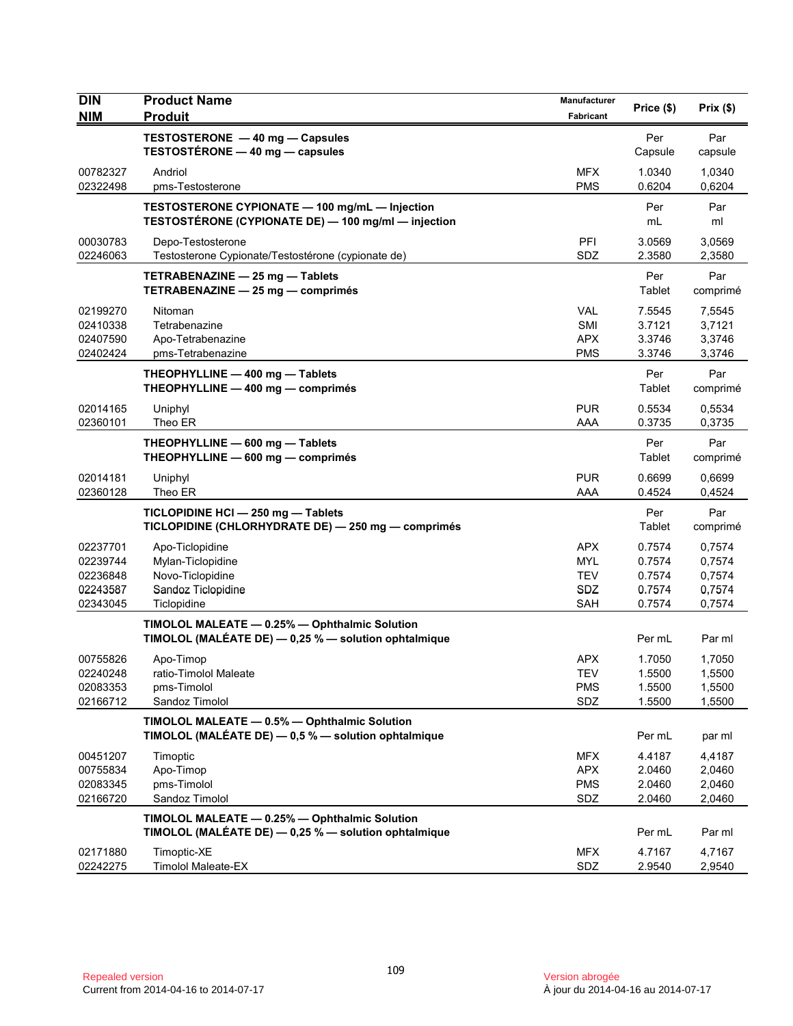| <b>DIN</b><br><b>NIM</b>                                 | <b>Product Name</b><br><b>Produit</b>                                                                 | Manufacturer<br>Fabricant                                   | Price (\$)                                     | Prix(\$)                                       |
|----------------------------------------------------------|-------------------------------------------------------------------------------------------------------|-------------------------------------------------------------|------------------------------------------------|------------------------------------------------|
|                                                          | TESTOSTERONE - 40 mg - Capsules<br><b>TESTOSTERONE <math>-</math> 40 mg <math>-</math> capsules</b>   |                                                             | Per<br>Capsule                                 | Par<br>capsule                                 |
| 00782327<br>02322498                                     | Andriol<br>pms-Testosterone                                                                           | <b>MFX</b><br><b>PMS</b>                                    | 1.0340<br>0.6204                               | 1,0340<br>0,6204                               |
|                                                          | TESTOSTERONE CYPIONATE - 100 mg/mL - Injection<br>TESTOSTÉRONE (CYPIONATE DE) - 100 mg/ml - injection |                                                             | Per<br>mL                                      | Par<br>ml                                      |
| 00030783<br>02246063                                     | Depo-Testosterone<br>Testosterone Cypionate/Testostérone (cypionate de)                               | PFI<br>SDZ                                                  | 3.0569<br>2.3580                               | 3,0569<br>2,3580                               |
|                                                          | TETRABENAZINE - 25 mg - Tablets<br>TETRABENAZINE - 25 mg - comprimés                                  |                                                             | Per<br>Tablet                                  | Par<br>comprimé                                |
| 02199270<br>02410338<br>02407590<br>02402424             | Nitoman<br>Tetrabenazine<br>Apo-Tetrabenazine<br>pms-Tetrabenazine                                    | <b>VAL</b><br><b>SMI</b><br><b>APX</b><br><b>PMS</b>        | 7.5545<br>3.7121<br>3.3746<br>3.3746           | 7,5545<br>3,7121<br>3,3746<br>3,3746           |
|                                                          | THEOPHYLLINE - 400 mg - Tablets<br>THEOPHYLLINE - 400 mg - comprimés                                  |                                                             | Per<br>Tablet                                  | Par<br>comprimé                                |
| 02014165<br>02360101                                     | Uniphyl<br>Theo ER                                                                                    | <b>PUR</b><br>AAA                                           | 0.5534<br>0.3735                               | 0,5534<br>0,3735                               |
|                                                          | THEOPHYLLINE - 600 mg - Tablets<br>THEOPHYLLINE - 600 mg - comprimés                                  |                                                             | Per<br>Tablet                                  | Par<br>comprimé                                |
| 02014181<br>02360128                                     | Uniphyl<br>Theo ER                                                                                    | <b>PUR</b><br>AAA                                           | 0.6699<br>0.4524                               | 0,6699<br>0,4524                               |
|                                                          | TICLOPIDINE HCI - 250 mg - Tablets<br>TICLOPIDINE (CHLORHYDRATE DE) - 250 mg - comprimés              |                                                             | Per<br>Tablet                                  | Par<br>comprimé                                |
| 02237701<br>02239744<br>02236848<br>02243587<br>02343045 | Apo-Ticlopidine<br>Mylan-Ticlopidine<br>Novo-Ticlopidine<br>Sandoz Ticlopidine<br>Ticlopidine         | <b>APX</b><br><b>MYL</b><br><b>TEV</b><br>SDZ<br><b>SAH</b> | 0.7574<br>0.7574<br>0.7574<br>0.7574<br>0.7574 | 0,7574<br>0,7574<br>0,7574<br>0,7574<br>0,7574 |
|                                                          | TIMOLOL MALEATE - 0.25% - Ophthalmic Solution<br>TIMOLOL (MALÉATE DE) - 0,25 % - solution ophtalmique |                                                             | Per mL                                         | Par ml                                         |
| 00755826<br>02240248<br>02083353<br>02166712             | Apo-Timop<br>ratio-Timolol Maleate<br>pms-Timolol<br>Sandoz Timolol                                   | <b>APX</b><br><b>TEV</b><br><b>PMS</b><br>SDZ               | 1.7050<br>1.5500<br>1.5500<br>1.5500           | 1,7050<br>1,5500<br>1,5500<br>1,5500           |
|                                                          | TIMOLOL MALEATE - 0.5% - Ophthalmic Solution<br>TIMOLOL (MALÉATE DE) - 0,5 % - solution ophtalmique   |                                                             | Per mL                                         | par ml                                         |
| 00451207<br>00755834<br>02083345<br>02166720             | Timoptic<br>Apo-Timop<br>pms-Timolol<br>Sandoz Timolol                                                | <b>MFX</b><br><b>APX</b><br><b>PMS</b><br>SDZ               | 4.4187<br>2.0460<br>2.0460<br>2.0460           | 4,4187<br>2,0460<br>2,0460<br>2,0460           |
|                                                          | TIMOLOL MALEATE - 0.25% - Ophthalmic Solution<br>TIMOLOL (MALÉATE DE) - 0,25 % - solution ophtalmique |                                                             | Per mL                                         | Par ml                                         |
| 02171880<br>02242275                                     | Timoptic-XE<br><b>Timolol Maleate-EX</b>                                                              | <b>MFX</b><br>SDZ                                           | 4.7167<br>2.9540                               | 4,7167<br>2,9540                               |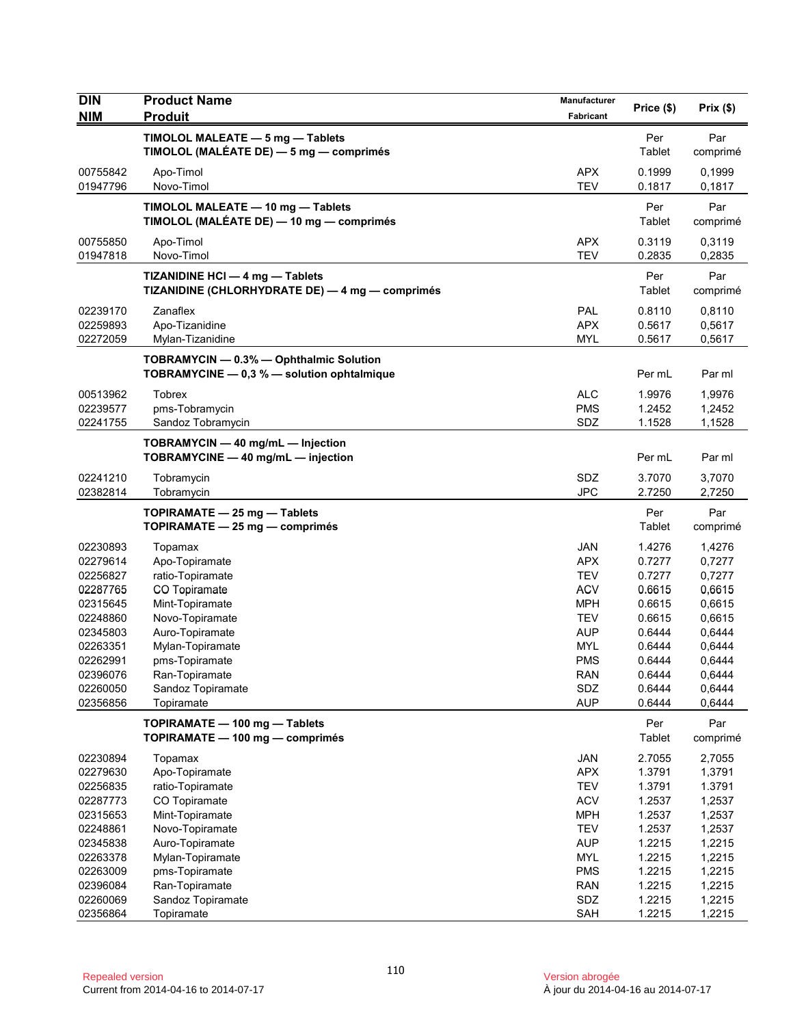| <b>DIN</b>           | <b>Product Name</b>                                                                | Manufacturer             | Price (\$)       | Prix(\$)         |
|----------------------|------------------------------------------------------------------------------------|--------------------------|------------------|------------------|
| <b>NIM</b>           | <b>Produit</b>                                                                     | Fabricant                |                  |                  |
|                      | TIMOLOL MALEATE - 5 mg - Tablets<br>TIMOLOL (MALÉATE DE) — 5 mg — comprimés        |                          | Per<br>Tablet    | Par<br>comprimé  |
| 00755842<br>01947796 | Apo-Timol<br>Novo-Timol                                                            | <b>APX</b><br><b>TEV</b> | 0.1999<br>0.1817 | 0,1999<br>0,1817 |
|                      | TIMOLOL MALEATE - 10 mg - Tablets<br>TIMOLOL (MALÉATE DE) - 10 mg - comprimés      |                          | Per<br>Tablet    | Par<br>comprimé  |
| 00755850<br>01947818 | Apo-Timol<br>Novo-Timol                                                            | <b>APX</b><br><b>TEV</b> | 0.3119<br>0.2835 | 0,3119<br>0,2835 |
|                      | TIZANIDINE HCI - 4 mg - Tablets<br>TIZANIDINE (CHLORHYDRATE DE) - 4 mg - comprimés |                          | Per<br>Tablet    | Par<br>comprimé  |
| 02239170             | Zanaflex                                                                           | PAL                      | 0.8110           | 0,8110           |
| 02259893<br>02272059 | Apo-Tizanidine<br>Mylan-Tizanidine                                                 | <b>APX</b><br><b>MYL</b> | 0.5617<br>0.5617 | 0,5617<br>0,5617 |
|                      | TOBRAMYCIN - 0.3% - Ophthalmic Solution                                            |                          |                  |                  |
|                      | TOBRAMYCINE - 0,3 % - solution ophtalmique                                         |                          | Per mL           | Par ml           |
| 00513962             | <b>Tobrex</b>                                                                      | <b>ALC</b>               | 1.9976           | 1,9976           |
| 02239577             | pms-Tobramycin                                                                     | <b>PMS</b>               | 1.2452           | 1,2452           |
| 02241755             | Sandoz Tobramycin                                                                  | SDZ                      | 1.1528           | 1,1528           |
|                      | TOBRAMYCIN - 40 mg/mL - Injection<br>TOBRAMYCINE - 40 mg/mL - injection            |                          | Per mL           | Par ml           |
| 02241210             | Tobramycin                                                                         | SDZ                      | 3.7070           | 3,7070           |
| 02382814             | Tobramycin                                                                         | <b>JPC</b>               | 2.7250           | 2,7250           |
|                      | TOPIRAMATE - 25 mg - Tablets<br>TOPIRAMATE $-25$ mg $-$ comprimés                  |                          | Per<br>Tablet    | Par<br>comprimé  |
| 02230893             | Topamax                                                                            | <b>JAN</b>               | 1.4276           | 1,4276           |
| 02279614             | Apo-Topiramate                                                                     | <b>APX</b>               | 0.7277           | 0,7277           |
| 02256827             | ratio-Topiramate                                                                   | <b>TEV</b>               | 0.7277           | 0,7277           |
| 02287765             | CO Topiramate                                                                      | <b>ACV</b>               | 0.6615           | 0,6615           |
| 02315645             | Mint-Topiramate                                                                    | <b>MPH</b>               | 0.6615           | 0,6615           |
| 02248860             | Novo-Topiramate                                                                    | <b>TEV</b>               | 0.6615           | 0,6615           |
| 02345803             | Auro-Topiramate                                                                    | <b>AUP</b>               | 0.6444           | 0,6444           |
| 02263351             | Mylan-Topiramate                                                                   | <b>MYL</b>               | 0.6444           | 0,6444           |
| 02262991             | pms-Topiramate                                                                     | PMS                      | 0.6444           | 0,6444           |
| 02396076             | Ran-Topiramate                                                                     | <b>RAN</b>               | 0.6444           | 0,6444           |
| 02260050             | Sandoz Topiramate                                                                  | SDZ                      | 0.6444           | 0,6444           |
| 02356856             | Topiramate                                                                         | <b>AUP</b>               | 0.6444           | 0,6444           |
|                      | TOPIRAMATE - 100 mg - Tablets<br>TOPIRAMATE - 100 mg - comprimés                   |                          | Per<br>Tablet    | Par<br>comprimé  |
| 02230894             | Topamax                                                                            | JAN                      | 2.7055           | 2,7055           |
| 02279630             | Apo-Topiramate                                                                     | <b>APX</b>               | 1.3791           | 1,3791           |
| 02256835             | ratio-Topiramate                                                                   | <b>TEV</b>               | 1.3791           | 1.3791           |
| 02287773             | CO Topiramate                                                                      | <b>ACV</b>               | 1.2537           | 1,2537           |
| 02315653             | Mint-Topiramate                                                                    | <b>MPH</b>               | 1.2537           | 1,2537           |
| 02248861             | Novo-Topiramate                                                                    | <b>TEV</b>               | 1.2537           | 1,2537           |
| 02345838             | Auro-Topiramate                                                                    | <b>AUP</b>               | 1.2215           | 1,2215           |
| 02263378             | Mylan-Topiramate                                                                   | <b>MYL</b>               | 1.2215           | 1,2215           |
| 02263009             | pms-Topiramate                                                                     | <b>PMS</b>               | 1.2215           | 1,2215           |
| 02396084             | Ran-Topiramate                                                                     | <b>RAN</b>               | 1.2215           | 1,2215           |
| 02260069             | Sandoz Topiramate                                                                  | SDZ                      | 1.2215           | 1,2215           |
| 02356864             | Topiramate                                                                         | SAH                      | 1.2215           | 1,2215           |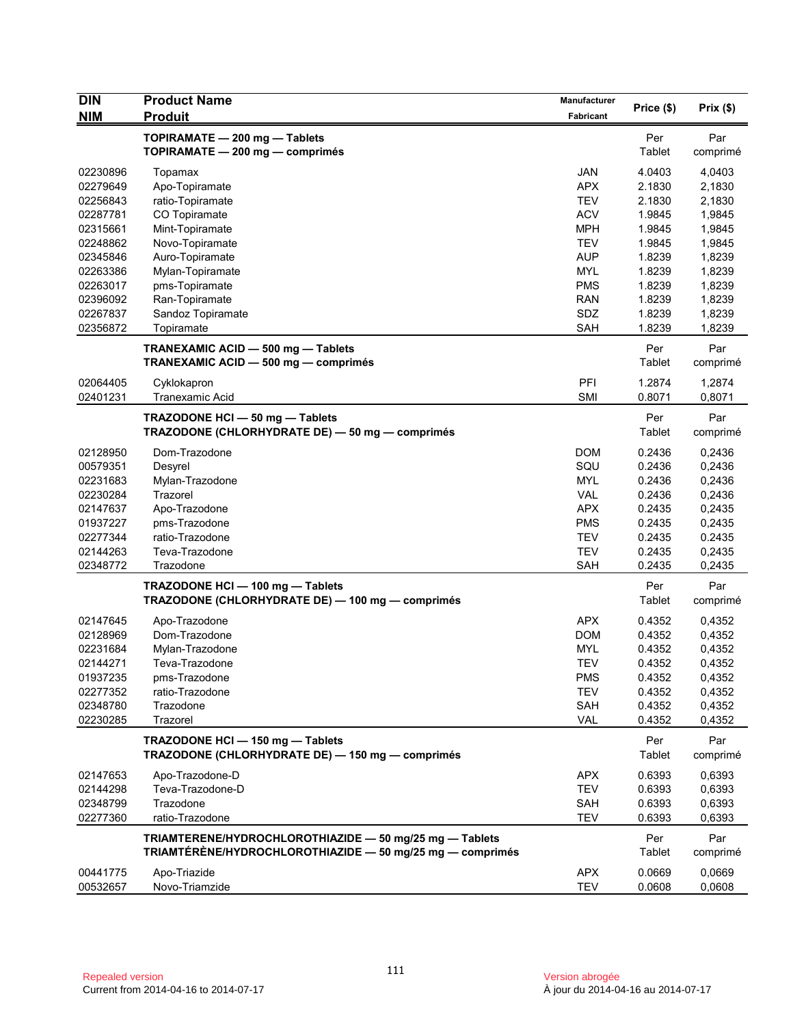| <b>DIN</b>           | <b>Product Name</b>                                       | Manufacturer | Price (\$)       | Prix(\$)         |
|----------------------|-----------------------------------------------------------|--------------|------------------|------------------|
| <b>NIM</b>           | <b>Produit</b>                                            | Fabricant    |                  |                  |
|                      | TOPIRAMATE - 200 mg - Tablets                             |              | Per              | Par              |
|                      | TOPIRAMATE - 200 mg - comprimés                           |              | Tablet           | comprimé         |
| 02230896             | Topamax                                                   | <b>JAN</b>   | 4.0403           | 4,0403           |
| 02279649             | Apo-Topiramate                                            | <b>APX</b>   | 2.1830           | 2,1830           |
| 02256843             | ratio-Topiramate                                          | <b>TEV</b>   | 2.1830           | 2,1830           |
| 02287781             | CO Topiramate                                             | <b>ACV</b>   | 1.9845           | 1,9845           |
| 02315661             | Mint-Topiramate                                           | <b>MPH</b>   | 1.9845           | 1,9845           |
| 02248862             | Novo-Topiramate                                           | <b>TEV</b>   | 1.9845           | 1,9845           |
| 02345846             | Auro-Topiramate                                           | <b>AUP</b>   | 1.8239           | 1,8239           |
| 02263386             | Mylan-Topiramate                                          | <b>MYL</b>   | 1.8239           | 1,8239           |
| 02263017             | pms-Topiramate                                            | <b>PMS</b>   | 1.8239           | 1,8239           |
| 02396092             | Ran-Topiramate                                            | <b>RAN</b>   | 1.8239           | 1,8239           |
| 02267837             | Sandoz Topiramate                                         | SDZ          | 1.8239           | 1,8239           |
| 02356872             | Topiramate                                                | SAH          | 1.8239           | 1,8239           |
|                      | TRANEXAMIC ACID - 500 mg - Tablets                        |              | Per              | Par              |
|                      | TRANEXAMIC ACID - 500 mg - comprimés                      |              | Tablet           | comprimé         |
|                      |                                                           |              |                  |                  |
| 02064405<br>02401231 | Cyklokapron<br><b>Tranexamic Acid</b>                     | PFI<br>SMI   | 1.2874<br>0.8071 | 1,2874<br>0,8071 |
|                      |                                                           |              |                  |                  |
|                      | TRAZODONE HCI-50 mg-Tablets                               |              | Per              | Par              |
|                      | TRAZODONE (CHLORHYDRATE DE) - 50 mg - comprimés           |              | Tablet           | comprimé         |
| 02128950             | Dom-Trazodone                                             | <b>DOM</b>   | 0.2436           | 0,2436           |
| 00579351             | Desyrel                                                   | SQU          | 0.2436           | 0,2436           |
| 02231683             | Mylan-Trazodone                                           | <b>MYL</b>   | 0.2436           | 0,2436           |
| 02230284             | Trazorel                                                  | <b>VAL</b>   | 0.2436           | 0,2436           |
| 02147637             | Apo-Trazodone                                             | <b>APX</b>   | 0.2435           | 0,2435           |
| 01937227             | pms-Trazodone                                             | <b>PMS</b>   | 0.2435           | 0,2435           |
| 02277344             | ratio-Trazodone                                           | <b>TEV</b>   | 0.2435           | 0.2435           |
| 02144263             | Teva-Trazodone                                            | <b>TEV</b>   | 0.2435           | 0,2435           |
| 02348772             | Trazodone                                                 | SAH          | 0.2435           | 0,2435           |
|                      | TRAZODONE HCI - 100 mg - Tablets                          |              | Per              | Par              |
|                      | TRAZODONE (CHLORHYDRATE DE) - 100 mg - comprimés          |              | Tablet           | comprimé         |
| 02147645             | Apo-Trazodone                                             | <b>APX</b>   | 0.4352           | 0,4352           |
| 02128969             | Dom-Trazodone                                             | <b>DOM</b>   | 0.4352           | 0,4352           |
| 02231684             | Mylan-Trazodone                                           | MYL          | 0.4352           | 0,4352           |
| 02144271             | Teva-Trazodone                                            | <b>TEV</b>   | 0.4352           | 0,4352           |
| 01937235             | pms-Trazodone                                             | <b>PMS</b>   | 0.4352           | 0,4352           |
| 02277352             | ratio-Trazodone                                           | <b>TEV</b>   | 0.4352           | 0,4352           |
| 02348780             | Trazodone                                                 | SAH          | 0.4352           | 0,4352           |
| 02230285             | Trazorel                                                  | VAL          | 0.4352           | 0,4352           |
|                      | TRAZODONE HCI-150 mg-Tablets                              |              | Per              | Par              |
|                      | TRAZODONE (CHLORHYDRATE DE) - 150 mg - comprimés          |              | Tablet           | comprimé         |
| 02147653             | Apo-Trazodone-D                                           | <b>APX</b>   | 0.6393           | 0,6393           |
| 02144298             | Teva-Trazodone-D                                          | <b>TEV</b>   | 0.6393           | 0,6393           |
| 02348799             | Trazodone                                                 | SAH          | 0.6393           | 0,6393           |
| 02277360             | ratio-Trazodone                                           | <b>TEV</b>   | 0.6393           | 0,6393           |
|                      | TRIAMTERENE/HYDROCHLOROTHIAZIDE - 50 mg/25 mg - Tablets   |              | Per              | Par              |
|                      | TRIAMTÉRÈNE/HYDROCHLOROTHIAZIDE - 50 mg/25 mg - comprimés |              | Tablet           | comprimé         |
| 00441775             | Apo-Triazide                                              | <b>APX</b>   | 0.0669           | 0,0669           |
| 00532657             | Novo-Triamzide                                            | <b>TEV</b>   | 0.0608           | 0,0608           |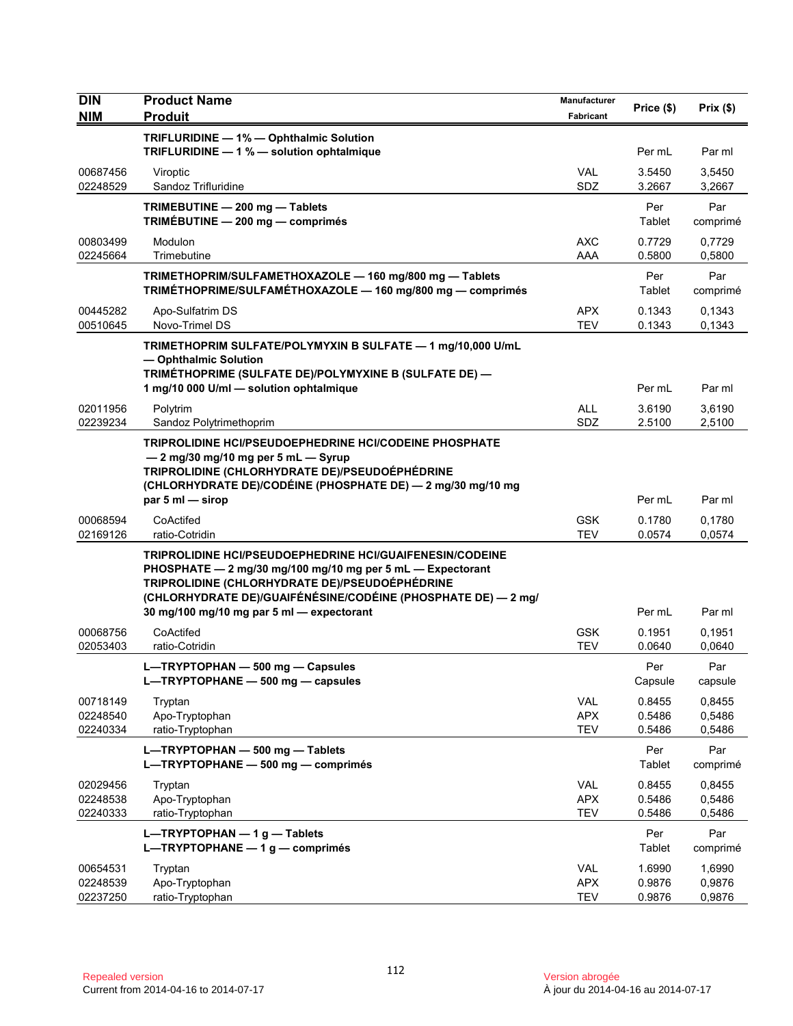| <b>DIN</b><br><b>NIM</b>         | <b>Product Name</b><br><b>Produit</b>                                                                                                                                                                                                                                                  | Manufacturer<br>Fabricant              | Price (\$)                 | Prix(\$)                   |
|----------------------------------|----------------------------------------------------------------------------------------------------------------------------------------------------------------------------------------------------------------------------------------------------------------------------------------|----------------------------------------|----------------------------|----------------------------|
|                                  | TRIFLURIDINE - 1% - Ophthalmic Solution<br>TRIFLURIDINE - 1 % - solution ophtalmique                                                                                                                                                                                                   |                                        | Per mL                     | Par ml                     |
| 00687456<br>02248529             | Viroptic<br>Sandoz Trifluridine                                                                                                                                                                                                                                                        | <b>VAL</b><br><b>SDZ</b>               | 3.5450<br>3.2667           | 3,5450<br>3,2667           |
|                                  | TRIMEBUTINE - 200 mg - Tablets<br>TRIMÉBUTINE - 200 mg - comprimés                                                                                                                                                                                                                     |                                        | Per<br>Tablet              | Par<br>comprimé            |
| 00803499<br>02245664             | Modulon<br>Trimebutine                                                                                                                                                                                                                                                                 | <b>AXC</b><br>AAA                      | 0.7729<br>0.5800           | 0,7729<br>0,5800           |
|                                  | TRIMETHOPRIM/SULFAMETHOXAZOLE - 160 mg/800 mg - Tablets<br>TRIMÉTHOPRIME/SULFAMÉTHOXAZOLE - 160 mg/800 mg - comprimés                                                                                                                                                                  |                                        | Per<br>Tablet              | Par<br>comprimé            |
| 00445282<br>00510645             | Apo-Sulfatrim DS<br>Novo-Trimel DS                                                                                                                                                                                                                                                     | <b>APX</b><br><b>TEV</b>               | 0.1343<br>0.1343           | 0,1343<br>0,1343           |
|                                  | TRIMETHOPRIM SULFATE/POLYMYXIN B SULFATE - 1 mg/10,000 U/mL<br>- Ophthalmic Solution                                                                                                                                                                                                   |                                        |                            |                            |
|                                  | TRIMÉTHOPRIME (SULFATE DE)/POLYMYXINE B (SULFATE DE) -<br>1 mg/10 000 U/ml - solution ophtalmique                                                                                                                                                                                      |                                        | Per mL                     | Par ml                     |
| 02011956<br>02239234             | Polytrim<br>Sandoz Polytrimethoprim                                                                                                                                                                                                                                                    | <b>ALL</b><br>SDZ                      | 3.6190<br>2.5100           | 3,6190<br>2,5100           |
|                                  | TRIPROLIDINE HCI/PSEUDOEPHEDRINE HCI/CODEINE PHOSPHATE<br>- 2 mg/30 mg/10 mg per 5 mL - Syrup<br>TRIPROLIDINE (CHLORHYDRATE DE)/PSEUDOÉPHÉDRINE<br>(CHLORHYDRATE DE)/CODÉINE (PHOSPHATE DE) - 2 mg/30 mg/10 mg<br>par 5 ml - sirop                                                     |                                        | Per mL                     | Par ml                     |
| 00068594<br>02169126             | CoActifed<br>ratio-Cotridin                                                                                                                                                                                                                                                            | <b>GSK</b><br>TEV                      | 0.1780<br>0.0574           | 0,1780<br>0,0574           |
|                                  | TRIPROLIDINE HCI/PSEUDOEPHEDRINE HCI/GUAIFENESIN/CODEINE<br>PHOSPHATE - 2 mg/30 mg/100 mg/10 mg per 5 mL - Expectorant<br>TRIPROLIDINE (CHLORHYDRATE DE)/PSEUDOÉPHÉDRINE<br>(CHLORHYDRATE DE)/GUAIFÉNÉSINE/CODÉINE (PHOSPHATE DE) - 2 mg/<br>30 mg/100 mg/10 mg par 5 ml - expectorant |                                        | Per mL                     | Par ml                     |
| 00068756<br>02053403             | CoActifed<br>ratio-Cotridin                                                                                                                                                                                                                                                            | <b>GSK</b><br><b>TEV</b>               | 0.1951<br>0.0640           | 0,1951<br>0,0640           |
|                                  | L-TRYPTOPHAN - 500 mg - Capsules<br>$L$ —TRYPTOPHANE — 500 mg — capsules                                                                                                                                                                                                               |                                        | Per<br>Capsule             | Par<br>capsule             |
| 00718149<br>02248540<br>02240334 | Tryptan<br>Apo-Tryptophan<br>ratio-Tryptophan                                                                                                                                                                                                                                          | VAL<br><b>APX</b><br><b>TEV</b>        | 0.8455<br>0.5486<br>0.5486 | 0,8455<br>0,5486<br>0,5486 |
|                                  | L-TRYPTOPHAN - 500 mg - Tablets<br>L-TRYPTOPHANE - 500 mg - comprimés                                                                                                                                                                                                                  |                                        | Per<br>Tablet              | Par<br>comprimé            |
| 02029456<br>02248538<br>02240333 | Tryptan<br>Apo-Tryptophan<br>ratio-Tryptophan                                                                                                                                                                                                                                          | <b>VAL</b><br><b>APX</b><br><b>TEV</b> | 0.8455<br>0.5486<br>0.5486 | 0,8455<br>0,5486<br>0,5486 |
|                                  | L-TRYPTOPHAN - 1 g - Tablets<br>L-TRYPTOPHANE - 1 g - comprimés                                                                                                                                                                                                                        |                                        | Per<br>Tablet              | Par<br>comprimé            |
| 00654531<br>02248539<br>02237250 | Tryptan<br>Apo-Tryptophan<br>ratio-Tryptophan                                                                                                                                                                                                                                          | VAL<br><b>APX</b><br><b>TEV</b>        | 1.6990<br>0.9876<br>0.9876 | 1,6990<br>0,9876<br>0,9876 |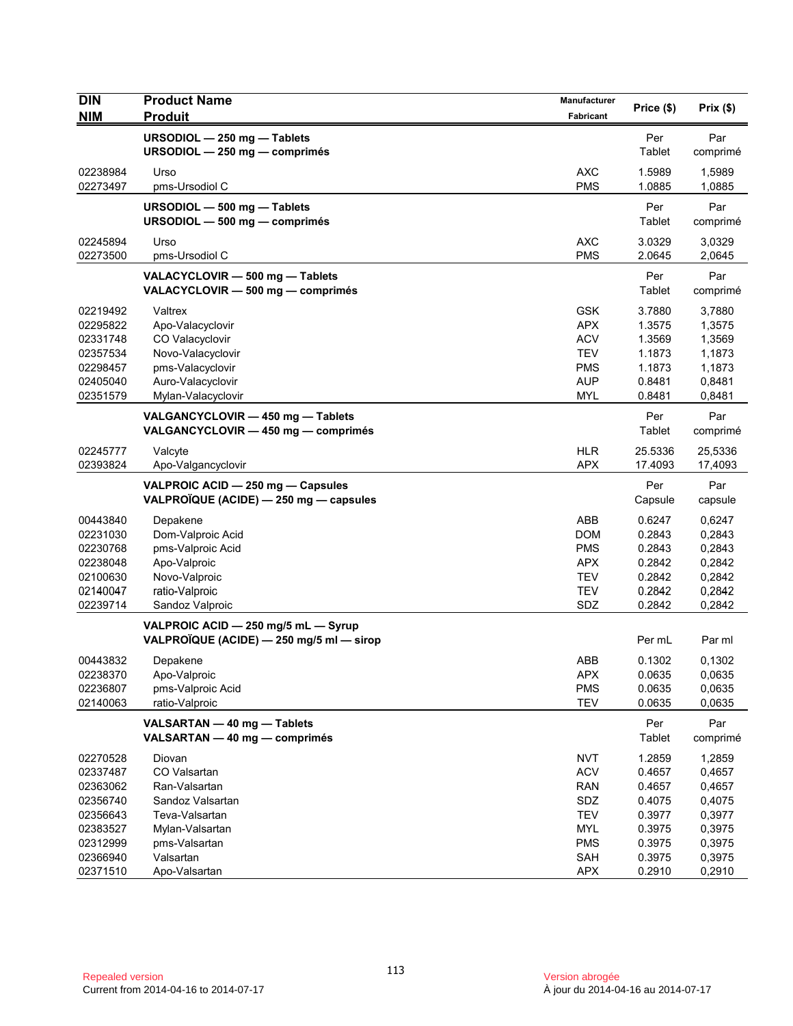| <b>DIN</b><br><b>NIM</b> | <b>Product Name</b><br><b>Produit</b>                                           | Manufacturer<br>Fabricant | Price (\$)     | Prix(\$)        |
|--------------------------|---------------------------------------------------------------------------------|---------------------------|----------------|-----------------|
|                          | URSODIOL - 250 mg - Tablets<br>URSODIOL $-$ 250 mg $-$ comprimés                |                           | Per<br>Tablet  | Par<br>comprimé |
| 02238984                 | Urso                                                                            | AXC                       | 1.5989         | 1,5989          |
| 02273497                 | pms-Ursodiol C                                                                  | <b>PMS</b>                | 1.0885         | 1,0885          |
|                          | URSODIOL - 500 mg - Tablets<br>URSODIOL - 500 mg - comprimés                    |                           | Per<br>Tablet  | Par<br>comprimé |
| 02245894                 | Urso                                                                            | <b>AXC</b>                | 3.0329         | 3,0329          |
| 02273500                 | pms-Ursodiol C                                                                  | <b>PMS</b>                | 2.0645         | 2,0645          |
|                          | VALACYCLOVIR - 500 mg - Tablets<br>VALACYCLOVIR - 500 mg - comprimés            |                           | Per<br>Tablet  | Par<br>comprimé |
| 02219492                 | Valtrex                                                                         | <b>GSK</b>                | 3.7880         | 3,7880          |
| 02295822                 | Apo-Valacyclovir                                                                | <b>APX</b>                | 1.3575         | 1,3575          |
| 02331748                 | CO Valacyclovir                                                                 | <b>ACV</b>                | 1.3569         | 1,3569          |
| 02357534                 | Novo-Valacyclovir                                                               | <b>TEV</b>                | 1.1873         | 1,1873          |
| 02298457                 | pms-Valacyclovir                                                                | <b>PMS</b>                | 1.1873         | 1,1873          |
| 02405040                 | Auro-Valacyclovir                                                               | <b>AUP</b>                | 0.8481         | 0,8481          |
| 02351579                 | Mylan-Valacyclovir                                                              | <b>MYL</b>                | 0.8481         | 0,8481          |
|                          | VALGANCYCLOVIR - 450 mg - Tablets<br>VALGANCYCLOVIR - 450 mg - comprimés        |                           | Per<br>Tablet  | Par<br>comprimé |
| 02245777                 | Valcyte                                                                         | <b>HLR</b>                | 25.5336        | 25,5336         |
| 02393824                 | Apo-Valgancyclovir                                                              | <b>APX</b>                | 17.4093        | 17,4093         |
|                          | VALPROIC ACID - 250 mg - Capsules<br>VALPROÏQUE (ACIDE) - 250 mg - capsules     |                           | Per<br>Capsule | Par<br>capsule  |
| 00443840                 | Depakene                                                                        | ABB                       | 0.6247         | 0,6247          |
| 02231030                 | Dom-Valproic Acid                                                               | <b>DOM</b>                | 0.2843         | 0,2843          |
| 02230768                 | pms-Valproic Acid                                                               | <b>PMS</b>                | 0.2843         | 0,2843          |
| 02238048                 | Apo-Valproic                                                                    | <b>APX</b>                | 0.2842         | 0,2842          |
| 02100630                 | Novo-Valproic                                                                   | <b>TEV</b>                | 0.2842         | 0,2842          |
| 02140047                 | ratio-Valproic                                                                  | <b>TEV</b>                | 0.2842         | 0,2842          |
| 02239714                 | Sandoz Valproic                                                                 | SDZ                       | 0.2842         | 0,2842          |
|                          | VALPROIC ACID - 250 mg/5 mL - Syrup<br>VALPROÏQUE (ACIDE) - 250 mg/5 ml - sirop |                           | Per mL         | Par ml          |
| 00443832                 | Depakene                                                                        | ABB                       | 0.1302         | 0,1302          |
| 02238370                 | Apo-Valproic                                                                    | APX                       | 0.0635         | 0,0635          |
| 02236807                 | pms-Valproic Acid                                                               | <b>PMS</b>                | 0.0635         | 0,0635          |
| 02140063                 | ratio-Valproic                                                                  | <b>TEV</b>                | 0.0635         | 0,0635          |
|                          | VALSARTAN - 40 mg - Tablets<br>VALSARTAN - 40 mg - comprimés                    |                           | Per<br>Tablet  | Par<br>comprimé |
| 02270528                 | Diovan                                                                          | <b>NVT</b>                | 1.2859         | 1,2859          |
| 02337487                 | CO Valsartan                                                                    | <b>ACV</b>                | 0.4657         | 0,4657          |
| 02363062                 | Ran-Valsartan                                                                   | <b>RAN</b>                | 0.4657         | 0,4657          |
| 02356740                 | Sandoz Valsartan                                                                | SDZ                       | 0.4075         | 0,4075          |
| 02356643                 | Teva-Valsartan                                                                  | <b>TEV</b>                | 0.3977         | 0,3977          |
| 02383527                 | Mylan-Valsartan                                                                 | <b>MYL</b>                | 0.3975         | 0,3975          |
| 02312999                 | pms-Valsartan                                                                   | <b>PMS</b>                | 0.3975         | 0,3975          |
| 02366940                 | Valsartan                                                                       | SAH                       | 0.3975         | 0,3975          |
| 02371510                 | Apo-Valsartan                                                                   | APX                       | 0.2910         | 0,2910          |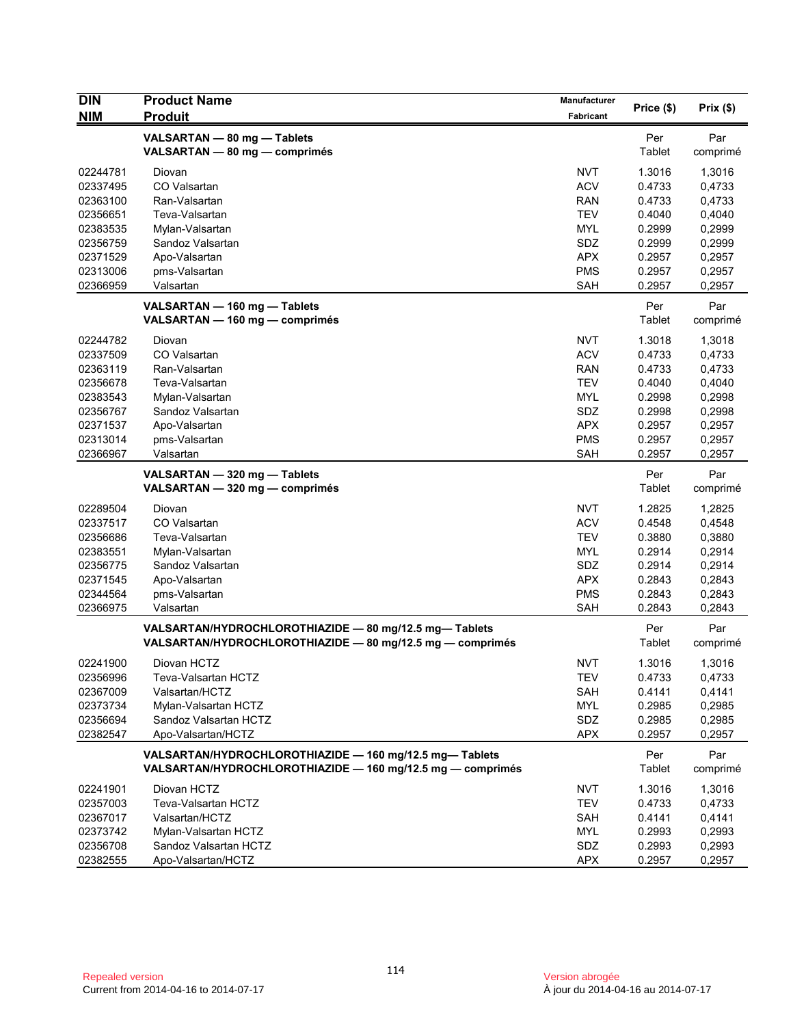| <b>DIN</b>           | <b>Product Name</b>                                                                                                  | Manufacturer             |                  |                  |
|----------------------|----------------------------------------------------------------------------------------------------------------------|--------------------------|------------------|------------------|
| <b>NIM</b>           | <b>Produit</b>                                                                                                       | Fabricant                | Price (\$)       | Prix(\$)         |
|                      | VALSARTAN - 80 mg - Tablets<br>VALSARTAN - 80 mg - comprimés                                                         |                          | Per<br>Tablet    | Par<br>comprimé  |
|                      |                                                                                                                      |                          |                  |                  |
| 02244781             | Diovan                                                                                                               | <b>NVT</b>               | 1.3016           | 1,3016           |
| 02337495             | CO Valsartan                                                                                                         | <b>ACV</b>               | 0.4733           | 0,4733           |
| 02363100             | Ran-Valsartan                                                                                                        | RAN                      | 0.4733           | 0,4733           |
| 02356651             | Teva-Valsartan                                                                                                       | <b>TEV</b><br><b>MYL</b> | 0.4040<br>0.2999 | 0,4040           |
| 02383535<br>02356759 | Mylan-Valsartan<br>Sandoz Valsartan                                                                                  | SDZ                      | 0.2999           | 0,2999<br>0,2999 |
| 02371529             | Apo-Valsartan                                                                                                        | <b>APX</b>               | 0.2957           | 0,2957           |
| 02313006             | pms-Valsartan                                                                                                        | <b>PMS</b>               | 0.2957           | 0,2957           |
| 02366959             | Valsartan                                                                                                            | SAH                      | 0.2957           | 0,2957           |
|                      | VALSARTAN - 160 mg - Tablets                                                                                         |                          | Per              | Par              |
|                      | VALSARTAN - 160 mg - comprimés                                                                                       |                          | Tablet           | comprimé         |
| 02244782             | Diovan                                                                                                               | <b>NVT</b>               | 1.3018           | 1,3018           |
| 02337509             | CO Valsartan                                                                                                         | <b>ACV</b>               | 0.4733           | 0,4733           |
| 02363119             | Ran-Valsartan                                                                                                        | <b>RAN</b>               | 0.4733           | 0,4733           |
| 02356678             | Teva-Valsartan                                                                                                       | <b>TEV</b>               | 0.4040           | 0,4040           |
| 02383543             | Mylan-Valsartan                                                                                                      | <b>MYL</b>               | 0.2998           | 0,2998           |
| 02356767             | Sandoz Valsartan                                                                                                     | SDZ                      | 0.2998           | 0,2998           |
| 02371537             | Apo-Valsartan                                                                                                        | <b>APX</b>               | 0.2957           | 0,2957           |
| 02313014             | pms-Valsartan                                                                                                        | <b>PMS</b>               | 0.2957           | 0,2957           |
| 02366967             | Valsartan                                                                                                            | <b>SAH</b>               | 0.2957           | 0,2957           |
|                      | VALSARTAN - 320 mg - Tablets                                                                                         |                          | Per              | Par              |
|                      | VALSARTAN - 320 mg - comprimés                                                                                       |                          | Tablet           | comprimé         |
| 02289504             | Diovan                                                                                                               | <b>NVT</b>               | 1.2825           | 1,2825           |
| 02337517             | CO Valsartan                                                                                                         | <b>ACV</b>               | 0.4548           | 0,4548           |
| 02356686             | Teva-Valsartan                                                                                                       | <b>TEV</b>               | 0.3880           | 0,3880           |
| 02383551             | Mylan-Valsartan                                                                                                      | MYL                      | 0.2914           | 0,2914           |
| 02356775             | Sandoz Valsartan                                                                                                     | SDZ                      | 0.2914           | 0,2914           |
| 02371545             | Apo-Valsartan                                                                                                        | <b>APX</b>               | 0.2843           | 0,2843           |
| 02344564             | pms-Valsartan                                                                                                        | <b>PMS</b>               | 0.2843           | 0,2843           |
| 02366975             | Valsartan                                                                                                            | <b>SAH</b>               | 0.2843           | 0,2843           |
|                      | VALSARTAN/HYDROCHLOROTHIAZIDE - 80 mg/12.5 mg-Tablets                                                                |                          | Per              | Par              |
|                      | VALSARTAN/HYDROCHLOROTHIAZIDE - 80 mg/12.5 mg - comprimés                                                            |                          | Tablet           | comprimé         |
| 02241900             | Diovan HCTZ                                                                                                          | <b>NVT</b>               | 1.3016           | 1,3016           |
| 02356996             | Teva-Valsartan HCTZ                                                                                                  | <b>TEV</b>               | 0.4733           | 0,4733           |
| 02367009             | Valsartan/HCTZ                                                                                                       | SAH                      | 0.4141           | 0,4141           |
| 02373734             | Mylan-Valsartan HCTZ                                                                                                 | <b>MYL</b>               | 0.2985           | 0,2985           |
| 02356694             | Sandoz Valsartan HCTZ                                                                                                | SDZ                      | 0.2985           | 0,2985           |
| 02382547             | Apo-Valsartan/HCTZ                                                                                                   | <b>APX</b>               | 0.2957           | 0,2957           |
|                      | VALSARTAN/HYDROCHLOROTHIAZIDE - 160 mg/12.5 mg-Tablets<br>VALSARTAN/HYDROCHLOROTHIAZIDE - 160 mg/12.5 mg - comprimés |                          | Per<br>Tablet    | Par<br>comprimé  |
| 02241901             | Diovan HCTZ                                                                                                          | <b>NVT</b>               | 1.3016           | 1,3016           |
| 02357003             | Teva-Valsartan HCTZ                                                                                                  | <b>TEV</b>               | 0.4733           | 0,4733           |
| 02367017             | Valsartan/HCTZ                                                                                                       | SAH                      | 0.4141           | 0,4141           |
| 02373742             | Mylan-Valsartan HCTZ                                                                                                 | <b>MYL</b>               | 0.2993           | 0,2993           |
| 02356708             | Sandoz Valsartan HCTZ                                                                                                | SDZ                      | 0.2993           | 0,2993           |
| 02382555             | Apo-Valsartan/HCTZ                                                                                                   | <b>APX</b>               | 0.2957           | 0,2957           |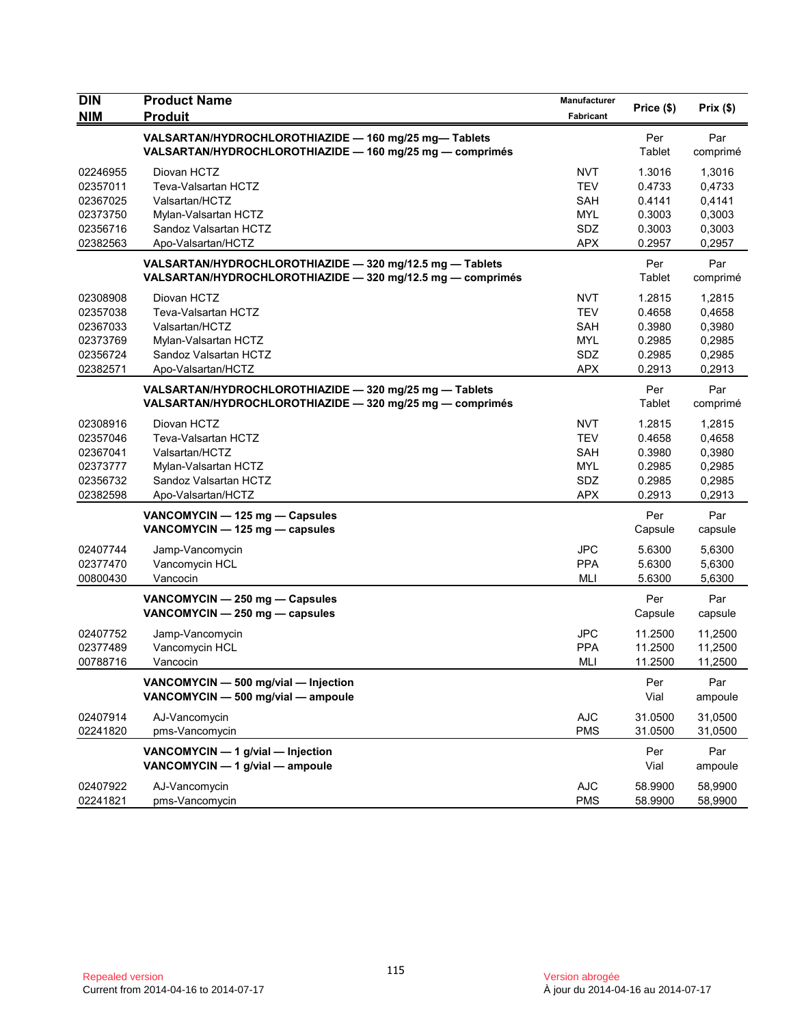| <b>DIN</b>                                                           | <b>Product Name</b>                                                                                                                          | <b>Manufacturer</b>                                                | Price (\$)                                               | Prix(\$)                                                 |
|----------------------------------------------------------------------|----------------------------------------------------------------------------------------------------------------------------------------------|--------------------------------------------------------------------|----------------------------------------------------------|----------------------------------------------------------|
| <b>NIM</b>                                                           | <b>Produit</b>                                                                                                                               | <b>Fabricant</b>                                                   |                                                          |                                                          |
|                                                                      | VALSARTAN/HYDROCHLOROTHIAZIDE - 160 mg/25 mg-Tablets<br>VALSARTAN/HYDROCHLOROTHIAZIDE - 160 mg/25 mg - comprimés                             |                                                                    | Per<br>Tablet                                            | Par<br>comprimé                                          |
| 02246955<br>02357011<br>02367025<br>02373750<br>02356716             | Diovan HCTZ<br>Teva-Valsartan HCTZ<br>Valsartan/HCTZ<br>Mylan-Valsartan HCTZ<br>Sandoz Valsartan HCTZ                                        | NVT<br><b>TEV</b><br><b>SAH</b><br><b>MYL</b><br>SDZ               | 1.3016<br>0.4733<br>0.4141<br>0.3003<br>0.3003           | 1,3016<br>0,4733<br>0,4141<br>0,3003<br>0,3003           |
| 02382563                                                             | Apo-Valsartan/HCTZ<br>VALSARTAN/HYDROCHLOROTHIAZIDE - 320 mg/12.5 mg - Tablets<br>VALSARTAN/HYDROCHLOROTHIAZIDE - 320 mg/12.5 mg - comprimés | <b>APX</b>                                                         | 0.2957<br>Per<br>Tablet                                  | 0,2957<br>Par<br>comprimé                                |
| 02308908<br>02357038<br>02367033<br>02373769<br>02356724<br>02382571 | Diovan HCTZ<br>Teva-Valsartan HCTZ<br>Valsartan/HCTZ<br>Mylan-Valsartan HCTZ<br>Sandoz Valsartan HCTZ<br>Apo-Valsartan/HCTZ                  | <b>NVT</b><br><b>TEV</b><br>SAH<br><b>MYL</b><br>SDZ<br><b>APX</b> | 1.2815<br>0.4658<br>0.3980<br>0.2985<br>0.2985<br>0.2913 | 1,2815<br>0,4658<br>0,3980<br>0,2985<br>0,2985<br>0,2913 |
|                                                                      | VALSARTAN/HYDROCHLOROTHIAZIDE - 320 mg/25 mg - Tablets<br>VALSARTAN/HYDROCHLOROTHIAZIDE - 320 mg/25 mg - comprimés                           |                                                                    | Per<br>Tablet                                            | Par<br>comprimé                                          |
| 02308916<br>02357046<br>02367041<br>02373777<br>02356732<br>02382598 | Diovan HCTZ<br>Teva-Valsartan HCTZ<br>Valsartan/HCTZ<br>Mylan-Valsartan HCTZ<br>Sandoz Valsartan HCTZ<br>Apo-Valsartan/HCTZ                  | <b>NVT</b><br><b>TEV</b><br>SAH<br><b>MYL</b><br>SDZ<br><b>APX</b> | 1.2815<br>0.4658<br>0.3980<br>0.2985<br>0.2985<br>0.2913 | 1,2815<br>0,4658<br>0,3980<br>0,2985<br>0,2985<br>0,2913 |
|                                                                      | VANCOMYCIN - 125 mg - Capsules<br>VANCOMYCIN - 125 mg - capsules                                                                             |                                                                    | Per<br>Capsule                                           | Par<br>capsule                                           |
| 02407744<br>02377470<br>00800430                                     | Jamp-Vancomycin<br>Vancomycin HCL<br>Vancocin                                                                                                | <b>JPC</b><br><b>PPA</b><br><b>MLI</b>                             | 5.6300<br>5.6300<br>5.6300                               | 5,6300<br>5,6300<br>5,6300                               |
|                                                                      | VANCOMYCIN - 250 mg - Capsules<br>VANCOMYCIN - 250 mg - capsules                                                                             |                                                                    | Per<br>Capsule                                           | Par<br>capsule                                           |
| 02407752<br>02377489<br>00788716                                     | Jamp-Vancomycin<br>Vancomycin HCL<br>Vancocin                                                                                                | <b>JPC</b><br><b>PPA</b><br>MLI                                    | 11.2500<br>11.2500<br>11.2500                            | 11,2500<br>11,2500<br>11,2500                            |
|                                                                      | VANCOMYCIN - 500 mg/vial - Injection<br>VANCOMYCIN - 500 mg/vial - ampoule                                                                   |                                                                    | Per<br>Vial                                              | Par<br>ampoule                                           |
| 02407914<br>02241820                                                 | AJ-Vancomycin<br>pms-Vancomycin                                                                                                              | <b>AJC</b><br><b>PMS</b>                                           | 31.0500<br>31.0500                                       | 31,0500<br>31,0500                                       |
|                                                                      | VANCOMYCIN - 1 g/vial - Injection<br>VANCOMYCIN - 1 g/vial - ampoule                                                                         |                                                                    | Per<br>Vial                                              | Par<br>ampoule                                           |
| 02407922<br>02241821                                                 | AJ-Vancomycin<br>pms-Vancomycin                                                                                                              | <b>AJC</b><br><b>PMS</b>                                           | 58.9900<br>58.9900                                       | 58,9900<br>58,9900                                       |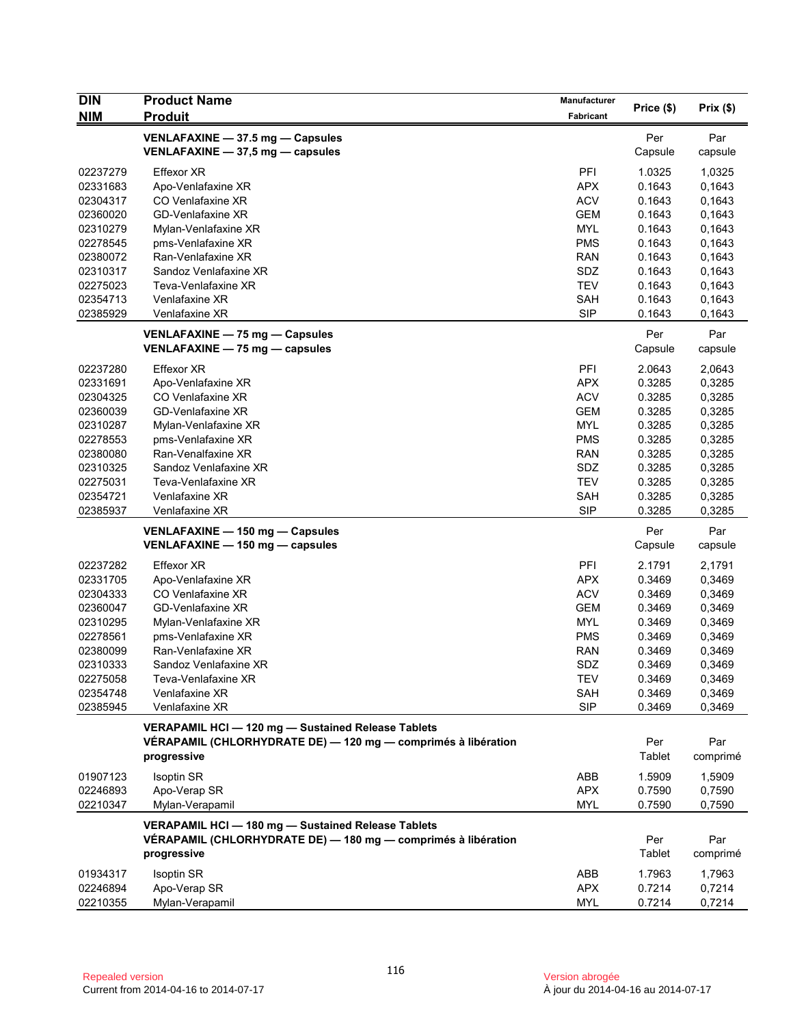| <b>DIN</b> | <b>Product Name</b>                                           | Manufacturer |            |             |
|------------|---------------------------------------------------------------|--------------|------------|-------------|
| <b>NIM</b> | <b>Produit</b>                                                | Fabricant    | Price (\$) | $Prix($ \$) |
|            | VENLAFAXINE - 37.5 mg - Capsules                              |              | Per        | Par         |
|            | VENLAFAXINE - 37,5 mg - capsules                              |              | Capsule    | capsule     |
|            |                                                               |              |            |             |
| 02237279   | Effexor XR                                                    | PFI          | 1.0325     | 1,0325      |
| 02331683   | Apo-Venlafaxine XR                                            | <b>APX</b>   | 0.1643     | 0,1643      |
| 02304317   | CO Venlafaxine XR                                             | <b>ACV</b>   | 0.1643     | 0,1643      |
| 02360020   | GD-Venlafaxine XR                                             | <b>GEM</b>   | 0.1643     | 0,1643      |
| 02310279   | Mylan-Venlafaxine XR                                          | <b>MYL</b>   | 0.1643     | 0,1643      |
| 02278545   | pms-Venlafaxine XR                                            | <b>PMS</b>   | 0.1643     | 0,1643      |
| 02380072   | Ran-Venlafaxine XR                                            | <b>RAN</b>   | 0.1643     | 0,1643      |
| 02310317   | Sandoz Venlafaxine XR                                         | SDZ          | 0.1643     | 0,1643      |
| 02275023   | Teva-Venlafaxine XR                                           | <b>TEV</b>   | 0.1643     | 0,1643      |
| 02354713   | Venlafaxine XR                                                | <b>SAH</b>   | 0.1643     | 0,1643      |
| 02385929   | Venlafaxine XR                                                | <b>SIP</b>   | 0.1643     | 0,1643      |
|            | VENLAFAXINE - 75 mg - Capsules                                |              | Per        | Par         |
|            | VENLAFAXINE - 75 mg - capsules                                |              | Capsule    | capsule     |
| 02237280   | Effexor XR                                                    | PFI          | 2.0643     | 2,0643      |
| 02331691   | Apo-Venlafaxine XR                                            | <b>APX</b>   | 0.3285     | 0,3285      |
| 02304325   | CO Venlafaxine XR                                             | <b>ACV</b>   | 0.3285     | 0,3285      |
| 02360039   | <b>GD-Venlafaxine XR</b>                                      | <b>GEM</b>   | 0.3285     | 0,3285      |
| 02310287   | Mylan-Venlafaxine XR                                          | <b>MYL</b>   | 0.3285     | 0,3285      |
| 02278553   | pms-Venlafaxine XR                                            | <b>PMS</b>   | 0.3285     | 0,3285      |
| 02380080   | Ran-Venalfaxine XR                                            | <b>RAN</b>   | 0.3285     | 0,3285      |
| 02310325   | Sandoz Venlafaxine XR                                         | SDZ          | 0.3285     | 0,3285      |
| 02275031   | Teva-Venlafaxine XR                                           | <b>TEV</b>   | 0.3285     | 0,3285      |
| 02354721   | Venlafaxine XR                                                | <b>SAH</b>   | 0.3285     | 0,3285      |
| 02385937   | Venlafaxine XR                                                | <b>SIP</b>   | 0.3285     | 0,3285      |
|            |                                                               |              |            |             |
|            | VENLAFAXINE - 150 mg - Capsules                               |              | Per        | Par         |
|            | VENLAFAXINE - 150 mg - capsules                               |              | Capsule    | capsule     |
| 02237282   | Effexor XR                                                    | PFI          | 2.1791     | 2,1791      |
| 02331705   | Apo-Venlafaxine XR                                            | <b>APX</b>   | 0.3469     | 0,3469      |
| 02304333   | CO Venlafaxine XR                                             | <b>ACV</b>   | 0.3469     | 0,3469      |
| 02360047   | <b>GD-Venlafaxine XR</b>                                      | <b>GEM</b>   | 0.3469     | 0,3469      |
| 02310295   | Mylan-Venlafaxine XR                                          | <b>MYL</b>   | 0.3469     | 0,3469      |
| 02278561   | pms-Venlafaxine XR                                            | <b>PMS</b>   | 0.3469     | 0,3469      |
| 02380099   | Ran-Venlafaxine XR                                            | <b>RAN</b>   | 0.3469     | 0,3469      |
| 02310333   | Sandoz Venlafaxine XR                                         | SDZ          | 0.3469     | 0,3469      |
| 02275058   | Teva-Venlafaxine XR                                           | <b>TEV</b>   | 0.3469     | 0,3469      |
| 02354748   | Venlafaxine XR                                                | SAH          | 0.3469     | 0,3469      |
| 02385945   | Venlafaxine XR                                                | <b>SIP</b>   | 0.3469     | 0,3469      |
|            | VERAPAMIL HCI - 120 mg - Sustained Release Tablets            |              |            |             |
|            | VÉRAPAMIL (CHLORHYDRATE DE) - 120 mg - comprimés à libération |              | Per        | Par         |
|            | progressive                                                   |              | Tablet     | comprimé    |
| 01907123   | <b>Isoptin SR</b>                                             | ABB          | 1.5909     | 1,5909      |
| 02246893   | Apo-Verap SR                                                  | <b>APX</b>   | 0.7590     | 0,7590      |
| 02210347   | Mylan-Verapamil                                               | <b>MYL</b>   | 0.7590     | 0,7590      |
|            |                                                               |              |            |             |
|            | VERAPAMIL HCI - 180 mg - Sustained Release Tablets            |              |            |             |
|            | VÉRAPAMIL (CHLORHYDRATE DE) — 180 mg — comprimés à libération |              | Per        | Par         |
|            | progressive                                                   |              | Tablet     | comprimé    |
| 01934317   | Isoptin SR                                                    | ABB          | 1.7963     | 1,7963      |
| 02246894   | Apo-Verap SR                                                  | <b>APX</b>   | 0.7214     | 0,7214      |
| 02210355   | Mylan-Verapamil                                               | <b>MYL</b>   | 0.7214     | 0,7214      |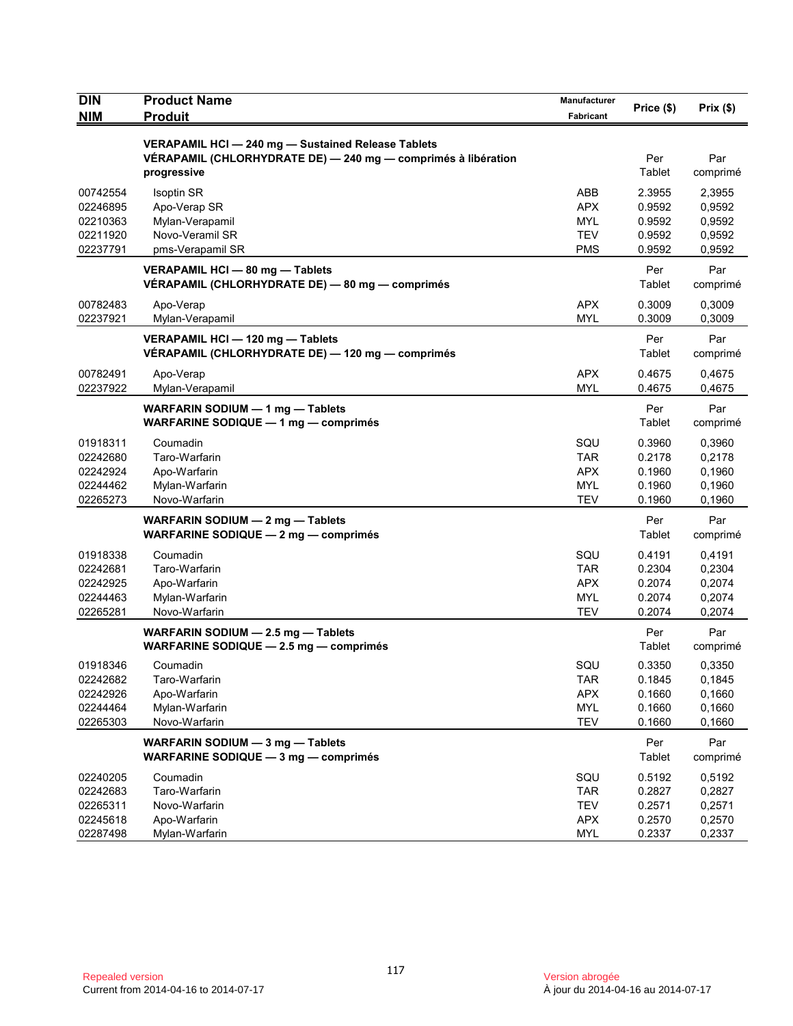| <b>DIN</b>                                               | <b>Product Name</b>                                                                                                                | Manufacturer                                                | Price (\$)                                     | Prix(\$)                                       |
|----------------------------------------------------------|------------------------------------------------------------------------------------------------------------------------------------|-------------------------------------------------------------|------------------------------------------------|------------------------------------------------|
| <b>NIM</b>                                               | <b>Produit</b>                                                                                                                     | Fabricant                                                   |                                                |                                                |
|                                                          | VERAPAMIL HCI - 240 mg - Sustained Release Tablets<br>VÉRAPAMIL (CHLORHYDRATE DE) — 240 mg — comprimés à libération<br>progressive |                                                             | Per<br>Tablet                                  | Par<br>comprimé                                |
| 00742554<br>02246895<br>02210363<br>02211920<br>02237791 | <b>Isoptin SR</b><br>Apo-Verap SR<br>Mylan-Verapamil<br>Novo-Veramil SR<br>pms-Verapamil SR                                        | ABB<br><b>APX</b><br><b>MYL</b><br><b>TEV</b><br><b>PMS</b> | 2.3955<br>0.9592<br>0.9592<br>0.9592<br>0.9592 | 2,3955<br>0,9592<br>0,9592<br>0,9592<br>0,9592 |
|                                                          | VERAPAMIL HCI - 80 mg - Tablets<br>VÉRAPAMIL (CHLORHYDRATE DE) — 80 mg — comprimés                                                 |                                                             | Per<br>Tablet                                  | Par<br>comprimé                                |
| 00782483<br>02237921                                     | Apo-Verap<br>Mylan-Verapamil                                                                                                       | APX<br><b>MYL</b>                                           | 0.3009<br>0.3009                               | 0,3009<br>0,3009                               |
|                                                          | VERAPAMIL HCI - 120 mg - Tablets<br>VÉRAPAMIL (CHLORHYDRATE DE) — 120 mg — comprimés                                               |                                                             | Per<br>Tablet                                  | Par<br>comprimé                                |
| 00782491<br>02237922                                     | Apo-Verap<br>Mylan-Verapamil                                                                                                       | APX<br><b>MYL</b>                                           | 0.4675<br>0.4675                               | 0,4675<br>0,4675                               |
|                                                          | WARFARIN SODIUM - 1 mg - Tablets<br>WARFARINE SODIQUE - 1 mg - comprimés                                                           |                                                             | Per<br>Tablet                                  | Par<br>comprimé                                |
| 01918311<br>02242680<br>02242924<br>02244462<br>02265273 | Coumadin<br>Taro-Warfarin<br>Apo-Warfarin<br>Mylan-Warfarin<br>Novo-Warfarin                                                       | SQU<br><b>TAR</b><br><b>APX</b><br><b>MYL</b><br><b>TEV</b> | 0.3960<br>0.2178<br>0.1960<br>0.1960<br>0.1960 | 0.3960<br>0,2178<br>0,1960<br>0,1960<br>0,1960 |
|                                                          | WARFARIN SODIUM - 2 mg - Tablets<br>WARFARINE SODIQUE - 2 mg - comprimés                                                           |                                                             | Per<br>Tablet                                  | Par<br>comprimé                                |
| 01918338<br>02242681<br>02242925<br>02244463<br>02265281 | Coumadin<br>Taro-Warfarin<br>Apo-Warfarin<br>Mylan-Warfarin<br>Novo-Warfarin                                                       | SQU<br><b>TAR</b><br><b>APX</b><br>MYL<br><b>TEV</b>        | 0.4191<br>0.2304<br>0.2074<br>0.2074<br>0.2074 | 0,4191<br>0,2304<br>0,2074<br>0,2074<br>0,2074 |
|                                                          | WARFARIN SODIUM - 2.5 mg - Tablets<br>WARFARINE SODIQUE - 2.5 mg - comprimés                                                       |                                                             | Per<br>Tablet                                  | Par<br>comprimé                                |
| 01918346<br>02242682<br>02242926<br>02244464<br>02265303 | Coumadin<br>Taro-Warfarin<br>Apo-Warfarin<br>Mylan-Warfarin<br>Novo-Warfarin                                                       | SQU<br><b>TAR</b><br><b>APX</b><br>MYL<br><b>TEV</b>        | 0.3350<br>0.1845<br>0.1660<br>0.1660<br>0.1660 | 0,3350<br>0,1845<br>0,1660<br>0,1660<br>0,1660 |
|                                                          | WARFARIN SODIUM - 3 mg - Tablets<br>WARFARINE SODIQUE - 3 mg - comprimés                                                           |                                                             | Per<br>Tablet                                  | Par<br>comprimé                                |
| 02240205<br>02242683<br>02265311<br>02245618<br>02287498 | Coumadin<br>Taro-Warfarin<br>Novo-Warfarin<br>Apo-Warfarin<br>Mylan-Warfarin                                                       | SQU<br><b>TAR</b><br><b>TEV</b><br><b>APX</b><br><b>MYL</b> | 0.5192<br>0.2827<br>0.2571<br>0.2570<br>0.2337 | 0,5192<br>0,2827<br>0,2571<br>0,2570<br>0,2337 |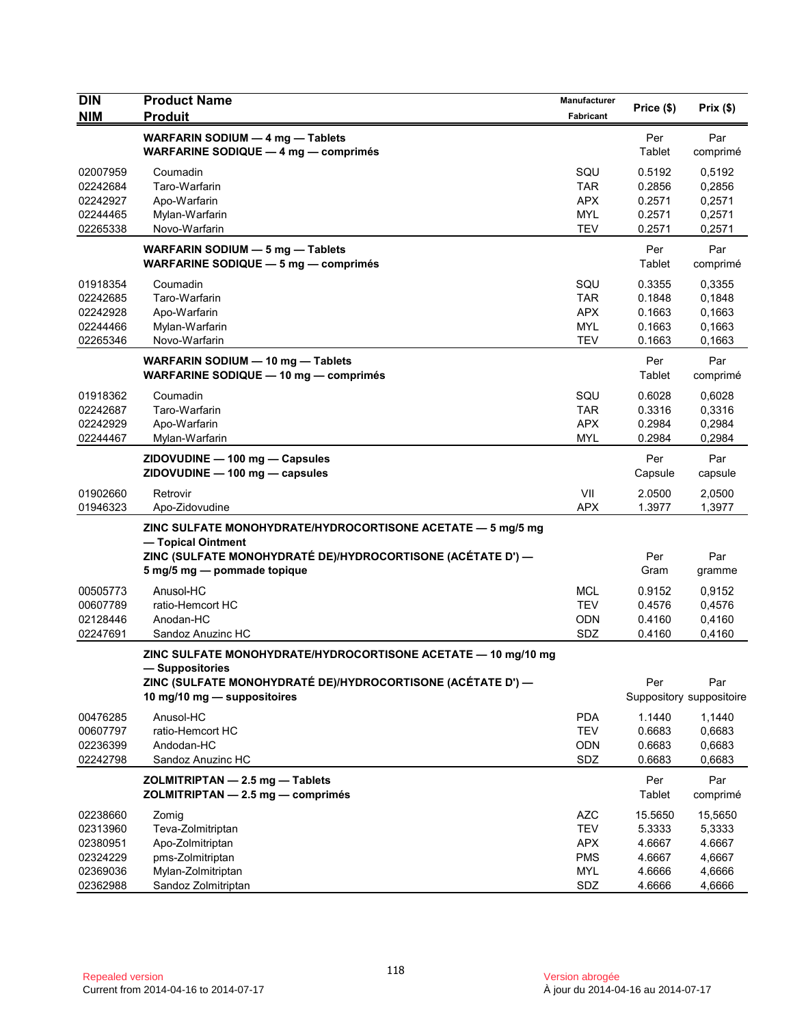| <b>DIN</b> | <b>Product Name</b>                                                                        | Manufacturer | Price (\$)     | Prix(\$)                 |
|------------|--------------------------------------------------------------------------------------------|--------------|----------------|--------------------------|
| <b>NIM</b> | <b>Produit</b>                                                                             | Fabricant    |                |                          |
|            | WARFARIN SODIUM - 4 mg - Tablets<br>WARFARINE SODIQUE - 4 mg - comprimés                   |              | Per<br>Tablet  | Par<br>comprimé          |
| 02007959   | Coumadin                                                                                   | SQU          | 0.5192         | 0,5192                   |
| 02242684   | Taro-Warfarin                                                                              | <b>TAR</b>   | 0.2856         | 0,2856                   |
| 02242927   | Apo-Warfarin                                                                               | <b>APX</b>   | 0.2571         | 0,2571                   |
| 02244465   | Mylan-Warfarin                                                                             | <b>MYL</b>   | 0.2571         | 0,2571                   |
| 02265338   | Novo-Warfarin                                                                              | <b>TEV</b>   | 0.2571         | 0,2571                   |
|            | WARFARIN SODIUM - 5 mg - Tablets<br>WARFARINE SODIQUE - 5 mg - comprimés                   |              | Per<br>Tablet  | Par<br>comprimé          |
| 01918354   | Coumadin                                                                                   | SQU          | 0.3355         | 0,3355                   |
| 02242685   | Taro-Warfarin                                                                              | <b>TAR</b>   | 0.1848         | 0,1848                   |
| 02242928   | Apo-Warfarin                                                                               | <b>APX</b>   | 0.1663         | 0,1663                   |
| 02244466   | Mylan-Warfarin                                                                             | <b>MYL</b>   | 0.1663         | 0,1663                   |
| 02265346   | Novo-Warfarin                                                                              | <b>TEV</b>   | 0.1663         | 0,1663                   |
|            | WARFARIN SODIUM - 10 mg - Tablets<br>WARFARINE SODIQUE - 10 mg - comprimés                 |              | Per<br>Tablet  | Par<br>comprimé          |
| 01918362   | Coumadin                                                                                   | SQU          | 0.6028         | 0,6028                   |
| 02242687   | Taro-Warfarin                                                                              | <b>TAR</b>   | 0.3316         | 0,3316                   |
| 02242929   | Apo-Warfarin                                                                               | <b>APX</b>   | 0.2984         | 0,2984                   |
| 02244467   | Mylan-Warfarin                                                                             | <b>MYL</b>   | 0.2984         | 0,2984                   |
|            | ZIDOVUDINE - 100 mg - Capsules<br>ZIDOVUDINE - 100 mg - capsules                           |              | Per<br>Capsule | Par<br>capsule           |
| 01902660   | Retrovir                                                                                   | VII          | 2.0500         | 2,0500                   |
| 01946323   | Apo-Zidovudine                                                                             | <b>APX</b>   | 1.3977         | 1,3977                   |
|            | ZINC SULFATE MONOHYDRATE/HYDROCORTISONE ACETATE - 5 mg/5 mg<br>- Topical Ointment          |              |                |                          |
|            | ZINC (SULFATE MONOHYDRATÉ DE)/HYDROCORTISONE (ACÉTATE D') —<br>5 mg/5 mg - pommade topique |              | Per<br>Gram    | Par<br>gramme            |
| 00505773   | Anusol-HC                                                                                  | <b>MCL</b>   | 0.9152         | 0,9152                   |
| 00607789   | ratio-Hemcort HC                                                                           | <b>TEV</b>   | 0.4576         | 0,4576                   |
| 02128446   | Anodan-HC                                                                                  | <b>ODN</b>   | 0.4160         | 0,4160                   |
| 02247691   | Sandoz Anuzinc HC                                                                          | SDZ          | 0.4160         | 0,4160                   |
|            | ZINC SULFATE MONOHYDRATE/HYDROCORTISONE ACETATE - 10 mg/10 mg<br>— Suppositories           |              |                |                          |
|            | ZINC (SULFATE MONOHYDRATÉ DE)/HYDROCORTISONE (ACÉTATE D') -                                |              | Per            | Par                      |
|            | 10 mg/10 mg - suppositoires                                                                |              |                | Suppository suppositoire |
| 00476285   | Anusol-HC                                                                                  | <b>PDA</b>   | 1.1440         | 1,1440                   |
| 00607797   | ratio-Hemcort HC                                                                           | <b>TEV</b>   | 0.6683         | 0,6683                   |
| 02236399   | Andodan-HC                                                                                 | ODN          | 0.6683         | 0,6683                   |
| 02242798   | Sandoz Anuzinc HC                                                                          | SDZ          | 0.6683         | 0,6683                   |
|            | ZOLMITRIPTAN - 2.5 mg - Tablets<br>ZOLMITRIPTAN - 2.5 mg - comprimés                       |              | Per<br>Tablet  | Par<br>comprimé          |
| 02238660   | Zomig                                                                                      | <b>AZC</b>   | 15.5650        | 15,5650                  |
| 02313960   | Teva-Zolmitriptan                                                                          | <b>TEV</b>   | 5.3333         | 5,3333                   |
| 02380951   | Apo-Zolmitriptan                                                                           | <b>APX</b>   | 4.6667         | 4.6667                   |
| 02324229   | pms-Zolmitriptan                                                                           | <b>PMS</b>   | 4.6667         | 4,6667                   |
| 02369036   | Mylan-Zolmitriptan                                                                         | <b>MYL</b>   | 4.6666         | 4,6666                   |
| 02362988   | Sandoz Zolmitriptan                                                                        | SDZ          | 4.6666         | 4,6666                   |